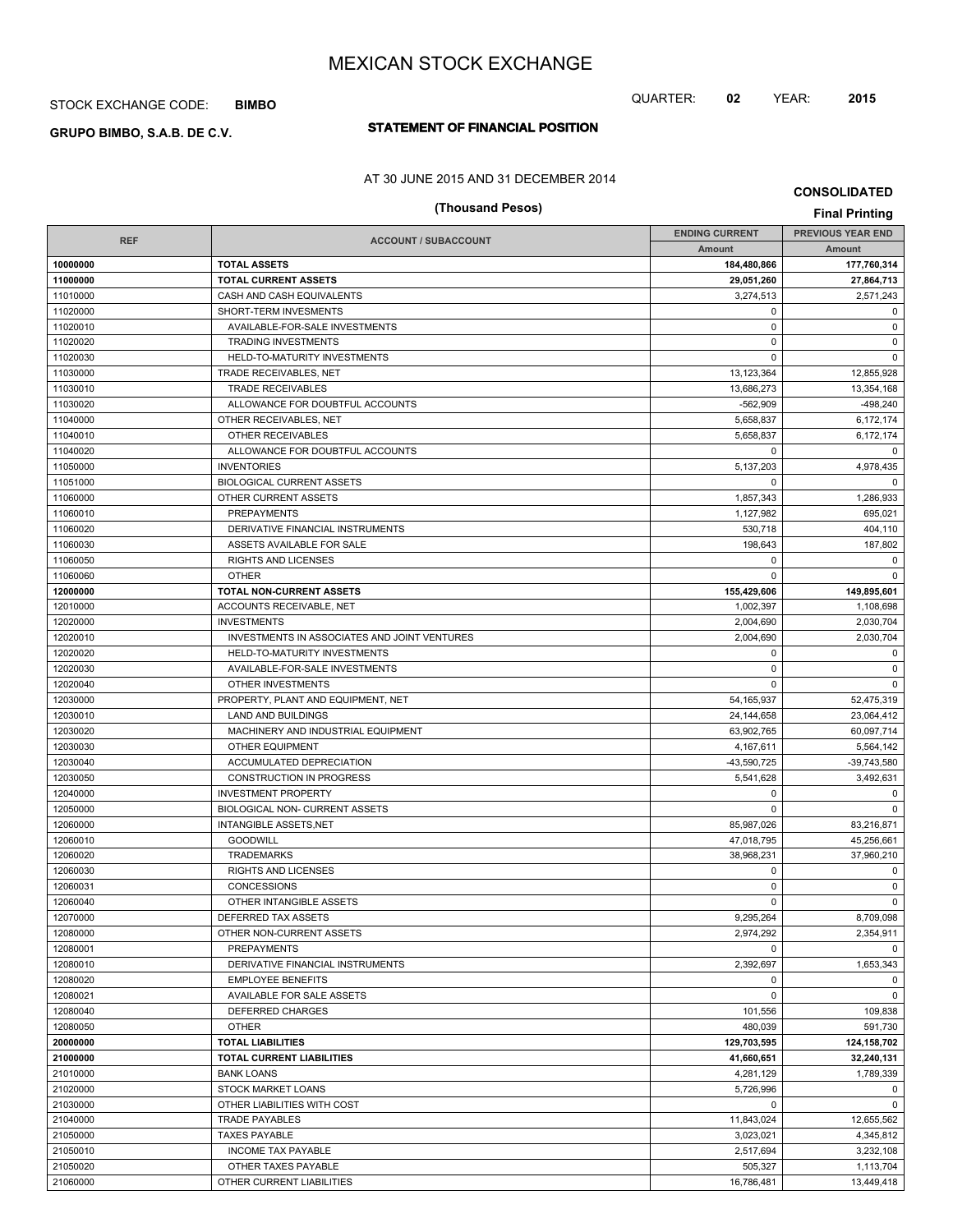# STOCK EXCHANGE CODE: **BIMBO**

# **STATEMENT OF FINANCIAL POSITION GRUPO BIMBO, S.A.B. DE C.V.**

# AT 30 JUNE 2015 AND 31 DECEMBER 2014

# **(Thousand Pesos) Final Printing**

**CONSOLIDATED**

QUARTER: **02** YEAR: **2015**

| <b>REF</b> |                                              | <b>ENDING CURRENT</b> | <b>PREVIOUS YEAR END</b> |
|------------|----------------------------------------------|-----------------------|--------------------------|
|            | <b>ACCOUNT / SUBACCOUNT</b>                  | Amount                | Amount                   |
| 10000000   | <b>TOTAL ASSETS</b>                          | 184,480,866           | 177,760,314              |
| 11000000   | <b>TOTAL CURRENT ASSETS</b>                  | 29,051,260            | 27,864,713               |
| 11010000   | CASH AND CASH EQUIVALENTS                    | 3,274,513             | 2,571,243                |
| 11020000   | SHORT-TERM INVESMENTS                        | $\mathbf 0$           | $\mathbf 0$              |
| 11020010   | AVAILABLE-FOR-SALE INVESTMENTS               | $\mathbf 0$           | $\mathbf 0$              |
| 11020020   | <b>TRADING INVESTMENTS</b>                   | $\mathbf 0$           | $\mathbf 0$              |
| 11020030   | HELD-TO-MATURITY INVESTMENTS                 | $\mathbf 0$           | $\mathbf 0$              |
| 11030000   | TRADE RECEIVABLES, NET                       | 13,123,364            | 12,855,928               |
| 11030010   | <b>TRADE RECEIVABLES</b>                     | 13,686,273            | 13,354,168               |
| 11030020   | ALLOWANCE FOR DOUBTFUL ACCOUNTS              | $-562,909$            | $-498.240$               |
| 11040000   | OTHER RECEIVABLES, NET                       | 5,658,837             | 6,172,174                |
| 11040010   | OTHER RECEIVABLES                            | 5,658,837             | 6,172,174                |
| 11040020   | ALLOWANCE FOR DOUBTFUL ACCOUNTS              | 0                     | 0                        |
| 11050000   | <b>INVENTORIES</b>                           | 5,137,203             | 4,978,435                |
| 11051000   | <b>BIOLOGICAL CURRENT ASSETS</b>             | $\mathbf 0$           | $\mathbf 0$              |
| 11060000   | OTHER CURRENT ASSETS                         | 1,857,343             | 1,286,933                |
| 11060010   | <b>PREPAYMENTS</b>                           | 1,127,982             | 695,021                  |
| 11060020   | DERIVATIVE FINANCIAL INSTRUMENTS             | 530,718               | 404,110                  |
| 11060030   | ASSETS AVAILABLE FOR SALE                    | 198,643               | 187,802                  |
| 11060050   | RIGHTS AND LICENSES                          | 0                     | $\mathbf 0$              |
| 11060060   | <b>OTHER</b>                                 | $\Omega$              | $\Omega$                 |
| 12000000   | TOTAL NON-CURRENT ASSETS                     | 155,429,606           | 149,895,601              |
| 12010000   | ACCOUNTS RECEIVABLE, NET                     | 1,002,397             | 1,108,698                |
| 12020000   | <b>INVESTMENTS</b>                           | 2,004,690             | 2,030,704                |
| 12020010   | INVESTMENTS IN ASSOCIATES AND JOINT VENTURES | 2,004,690             | 2,030,704                |
| 12020020   | HELD-TO-MATURITY INVESTMENTS                 | $\mathbf 0$           | $\mathbf 0$              |
| 12020030   | AVAILABLE-FOR-SALE INVESTMENTS               | $\mathbf 0$           | $\mathbf 0$              |
| 12020040   | OTHER INVESTMENTS                            | $\mathbf 0$           | $\mathbf 0$              |
| 12030000   | PROPERTY, PLANT AND EQUIPMENT, NET           | 54, 165, 937          | 52,475,319               |
| 12030010   | LAND AND BUILDINGS                           | 24,144,658            | 23,064,412               |
| 12030020   | MACHINERY AND INDUSTRIAL EQUIPMENT           | 63,902,765            | 60,097,714               |
| 12030030   | <b>OTHER EQUIPMENT</b>                       | 4,167,611             | 5,564,142                |
| 12030040   | ACCUMULATED DEPRECIATION                     | -43,590,725           | $-39,743,580$            |
| 12030050   | <b>CONSTRUCTION IN PROGRESS</b>              | 5,541,628             | 3,492,631                |
| 12040000   | <b>INVESTMENT PROPERTY</b>                   | 0                     | $\mathbf 0$              |
| 12050000   | BIOLOGICAL NON- CURRENT ASSETS               | $\mathbf 0$           | $\Omega$                 |
| 12060000   | <b>INTANGIBLE ASSETS, NET</b>                | 85,987,026            | 83,216,871               |
| 12060010   | <b>GOODWILL</b>                              | 47,018,795            | 45,256,661               |
| 12060020   | <b>TRADEMARKS</b>                            | 38,968,231            | 37,960,210               |
| 12060030   | <b>RIGHTS AND LICENSES</b>                   | 0                     | 0                        |
| 12060031   | CONCESSIONS                                  | 0                     | $\mathbf 0$              |
| 12060040   | OTHER INTANGIBLE ASSETS                      | $\mathbf 0$           | $\mathbf 0$              |
| 12070000   | DEFERRED TAX ASSETS                          | 9,295,264             | 8,709,098                |
| 12080000   | OTHER NON-CURRENT ASSETS                     | 2,974,292             | 2,354,911                |
| 12080001   | <b>PREPAYMENTS</b>                           | $\Omega$              | $\mathbf 0$              |
| 12080010   | DERIVATIVE FINANCIAL INSTRUMENTS             | 2,392,697             | 1,653,343                |
| 12080020   | <b>EMPLOYEE BENEFITS</b>                     | 0                     | $\mathbf 0$              |
| 12080021   | AVAILABLE FOR SALE ASSETS                    | $\mathbf 0$           | $\mathbf 0$              |
| 12080040   | DEFERRED CHARGES                             | 101,556               | 109,838                  |
| 12080050   | <b>OTHER</b>                                 | 480,039               | 591,730                  |
| 20000000   | <b>TOTAL LIABILITIES</b>                     | 129,703,595           | 124,158,702              |
| 21000000   | <b>TOTAL CURRENT LIABILITIES</b>             | 41,660,651            | 32,240,131               |
| 21010000   | <b>BANK LOANS</b>                            | 4,281,129             | 1,789,339                |
| 21020000   | STOCK MARKET LOANS                           | 5,726,996             | $\mathbf 0$              |
| 21030000   | OTHER LIABILITIES WITH COST                  | 0                     | $\mathbf 0$              |
| 21040000   | <b>TRADE PAYABLES</b>                        | 11,843,024            | 12,655,562               |
| 21050000   | <b>TAXES PAYABLE</b>                         | 3,023,021             | 4,345,812                |
| 21050010   | <b>INCOME TAX PAYABLE</b>                    | 2,517,694             | 3,232,108                |
| 21050020   | OTHER TAXES PAYABLE                          | 505,327               | 1,113,704                |
| 21060000   | OTHER CURRENT LIABILITIES                    | 16,786,481            | 13,449,418               |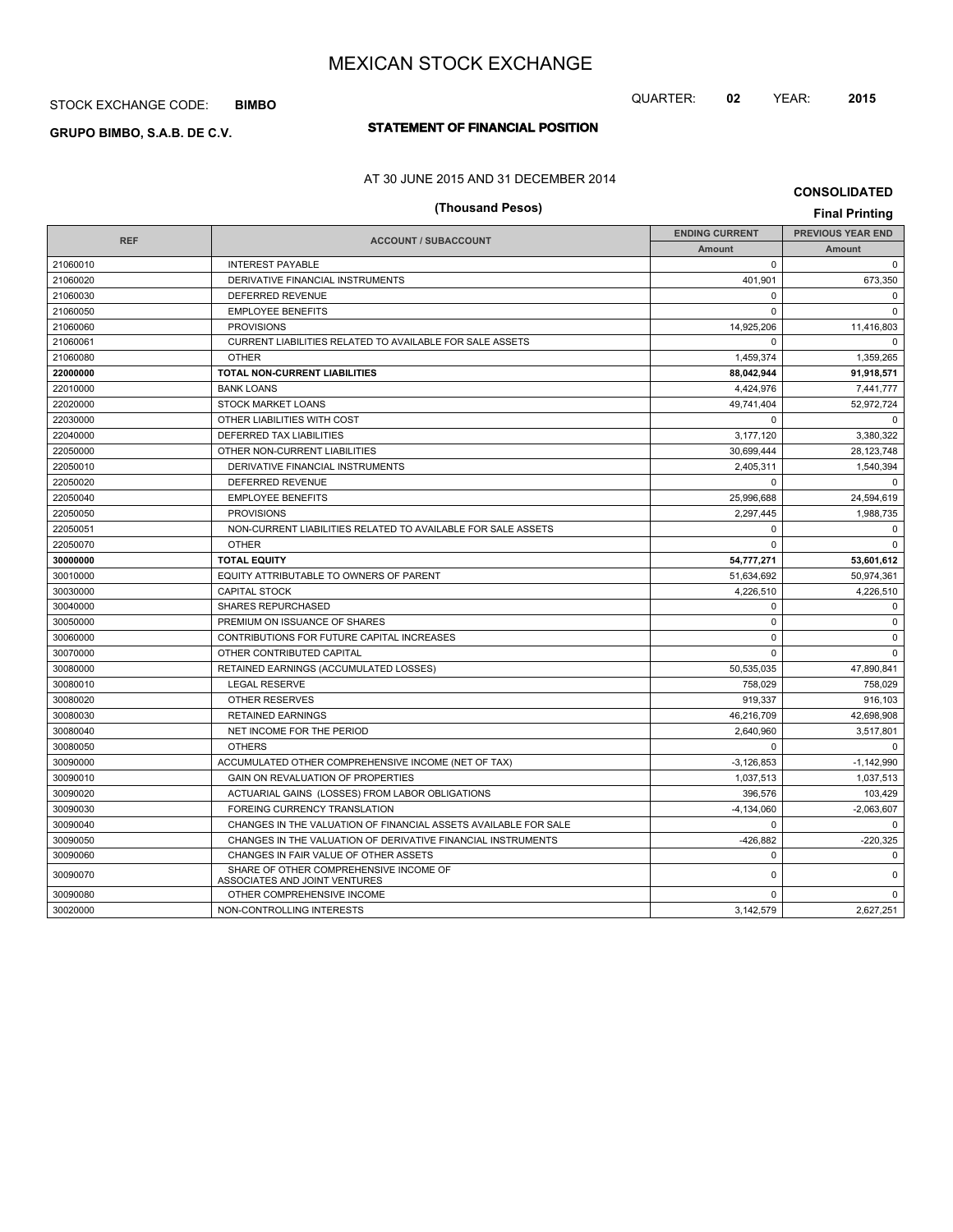# STOCK EXCHANGE CODE: **BIMBO**

# **STATEMENT OF FINANCIAL POSITION GRUPO BIMBO, S.A.B. DE C.V.**

# AT 30 JUNE 2015 AND 31 DECEMBER 2014

# **(Thousand Pesos) Final Printing**

**CONSOLIDATED**

| <b>REF</b> | <b>ACCOUNT / SUBACCOUNT</b>                                             | <b>ENDING CURRENT</b> | <b>PREVIOUS YEAR END</b> |
|------------|-------------------------------------------------------------------------|-----------------------|--------------------------|
|            |                                                                         | <b>Amount</b>         | <b>Amount</b>            |
| 21060010   | <b>INTEREST PAYABLE</b>                                                 | $\Omega$              | $\Omega$                 |
| 21060020   | DERIVATIVE FINANCIAL INSTRUMENTS                                        | 401.901               | 673,350                  |
| 21060030   | DEFERRED REVENUE                                                        | $\Omega$              | $\Omega$                 |
| 21060050   | <b>EMPLOYEE BENEFITS</b>                                                | $\Omega$              | $\Omega$                 |
| 21060060   | <b>PROVISIONS</b>                                                       | 14,925,206            | 11,416,803               |
| 21060061   | CURRENT LIABILITIES RELATED TO AVAILABLE FOR SALE ASSETS                | $\Omega$              | $\Omega$                 |
| 21060080   | <b>OTHER</b>                                                            | 1,459,374             | 1,359,265                |
| 22000000   | <b>TOTAL NON-CURRENT LIABILITIES</b>                                    | 88,042,944            | 91,918,571               |
| 22010000   | <b>BANK LOANS</b>                                                       | 4,424,976             | 7,441,777                |
| 22020000   | <b>STOCK MARKET LOANS</b>                                               | 49,741,404            | 52,972,724               |
| 22030000   | OTHER LIABILITIES WITH COST                                             | $\Omega$              | $\mathbf 0$              |
| 22040000   | DEFERRED TAX LIABILITIES                                                | 3,177,120             | 3,380,322                |
| 22050000   | OTHER NON-CURRENT LIABILITIES                                           | 30,699,444            | 28,123,748               |
| 22050010   | DERIVATIVE FINANCIAL INSTRUMENTS                                        | 2,405,311             | 1,540,394                |
| 22050020   | DEFERRED REVENUE                                                        | 0                     | 0                        |
| 22050040   | <b>EMPLOYEE BENEFITS</b>                                                | 25,996,688            | 24,594,619               |
| 22050050   | <b>PROVISIONS</b>                                                       | 2,297,445             | 1,988,735                |
| 22050051   | NON-CURRENT LIABILITIES RELATED TO AVAILABLE FOR SALE ASSETS            | $\mathbf 0$           | $\mathbf 0$              |
| 22050070   | <b>OTHER</b>                                                            | $\Omega$              | $\mathbf 0$              |
| 30000000   | <b>TOTAL EQUITY</b>                                                     | 54,777,271            | 53,601,612               |
| 30010000   | EQUITY ATTRIBUTABLE TO OWNERS OF PARENT                                 | 51,634,692            | 50,974,361               |
| 30030000   | <b>CAPITAL STOCK</b>                                                    | 4.226.510             | 4.226.510                |
| 30040000   | <b>SHARES REPURCHASED</b>                                               | $\Omega$              | $\Omega$                 |
| 30050000   | PREMIUM ON ISSUANCE OF SHARES                                           | $\mathbf 0$           | $\mathbf 0$              |
| 30060000   | CONTRIBUTIONS FOR FUTURE CAPITAL INCREASES                              | $\Omega$              | $\mathbf 0$              |
| 30070000   | OTHER CONTRIBUTED CAPITAL                                               | $\Omega$              | $\Omega$                 |
| 30080000   | RETAINED EARNINGS (ACCUMULATED LOSSES)                                  | 50,535,035            | 47,890,841               |
| 30080010   | <b>LEGAL RESERVE</b>                                                    | 758.029               | 758,029                  |
| 30080020   | <b>OTHER RESERVES</b>                                                   | 919.337               | 916.103                  |
| 30080030   | <b>RETAINED EARNINGS</b>                                                | 46,216,709            | 42,698,908               |
| 30080040   | NET INCOME FOR THE PERIOD                                               | 2.640.960             | 3,517,801                |
| 30080050   | <b>OTHERS</b>                                                           | $\Omega$              | $\Omega$                 |
| 30090000   | ACCUMULATED OTHER COMPREHENSIVE INCOME (NET OF TAX)                     | $-3,126,853$          | $-1,142,990$             |
| 30090010   | GAIN ON REVALUATION OF PROPERTIES                                       | 1,037,513             | 1,037,513                |
| 30090020   | ACTUARIAL GAINS (LOSSES) FROM LABOR OBLIGATIONS                         | 396,576               | 103,429                  |
| 30090030   | FOREING CURRENCY TRANSLATION                                            | $-4,134,060$          | $-2,063,607$             |
| 30090040   | CHANGES IN THE VALUATION OF FINANCIAL ASSETS AVAILABLE FOR SALE         | $\Omega$              | $\Omega$                 |
| 30090050   | CHANGES IN THE VALUATION OF DERIVATIVE FINANCIAL INSTRUMENTS            | $-426,882$            | $-220,325$               |
| 30090060   | CHANGES IN FAIR VALUE OF OTHER ASSETS                                   | $\Omega$              | $\mathbf 0$              |
| 30090070   | SHARE OF OTHER COMPREHENSIVE INCOME OF<br>ASSOCIATES AND JOINT VENTURES | 0                     | 0                        |
| 30090080   | OTHER COMPREHENSIVE INCOME                                              | 0                     | 0                        |
| 30020000   | NON-CONTROLLING INTERESTS                                               | 3,142,579             | 2,627,251                |

QUARTER: **02** YEAR: **2015**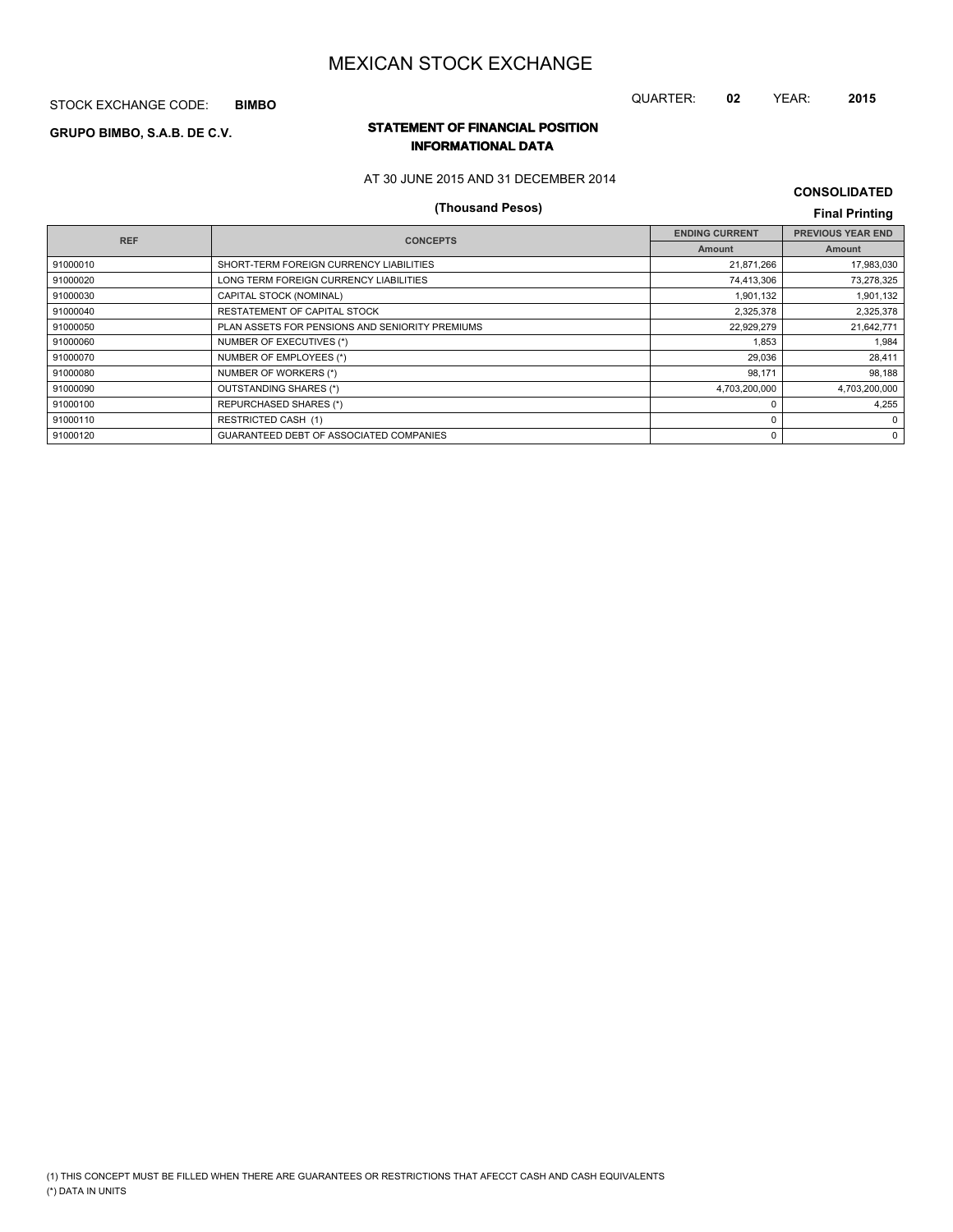STOCK EXCHANGE CODE: **BIMBO**

## QUARTER: **02** YEAR: **2015**

# **STATEMENT OF FINANCIAL POSITION GRUPO BIMBO, S.A.B. DE C.V. INFORMATIONAL DATA**

## AT 30 JUNE 2015 AND 31 DECEMBER 2014

# **(Thousand Pesos) Final Printing**

**CONSOLIDATED**

|          |                                                 | <b>ENDING CURRENT</b> | <b>PREVIOUS YEAR END</b> |
|----------|-------------------------------------------------|-----------------------|--------------------------|
|          | <b>REF</b><br><b>CONCEPTS</b>                   |                       | Amount                   |
| 91000010 | SHORT-TERM FOREIGN CURRENCY LIABILITIES         | 21,871,266            | 17,983,030               |
| 91000020 | LONG TERM FOREIGN CURRENCY LIABILITIES          | 74,413,306            | 73,278,325               |
| 91000030 | CAPITAL STOCK (NOMINAL)                         | 1,901,132             | 1,901,132                |
| 91000040 | RESTATEMENT OF CAPITAL STOCK                    | 2,325,378             | 2,325,378                |
| 91000050 | PLAN ASSETS FOR PENSIONS AND SENIORITY PREMIUMS | 22,929,279            | 21,642,771               |
| 91000060 | NUMBER OF EXECUTIVES (*)                        | 1.853                 | 1,984                    |
| 91000070 | NUMBER OF EMPLOYEES (*)                         | 29,036                | 28,411                   |
| 91000080 | NUMBER OF WORKERS (*)                           | 98,171                | 98,188                   |
| 91000090 | OUTSTANDING SHARES (*)                          | 4,703,200,000         | 4,703,200,000            |
| 91000100 | <b>REPURCHASED SHARES (*)</b>                   |                       | 4,255                    |
| 91000110 | RESTRICTED CASH (1)                             | 0                     | $\Omega$                 |
| 91000120 | GUARANTEED DEBT OF ASSOCIATED COMPANIES         | 0                     | 0                        |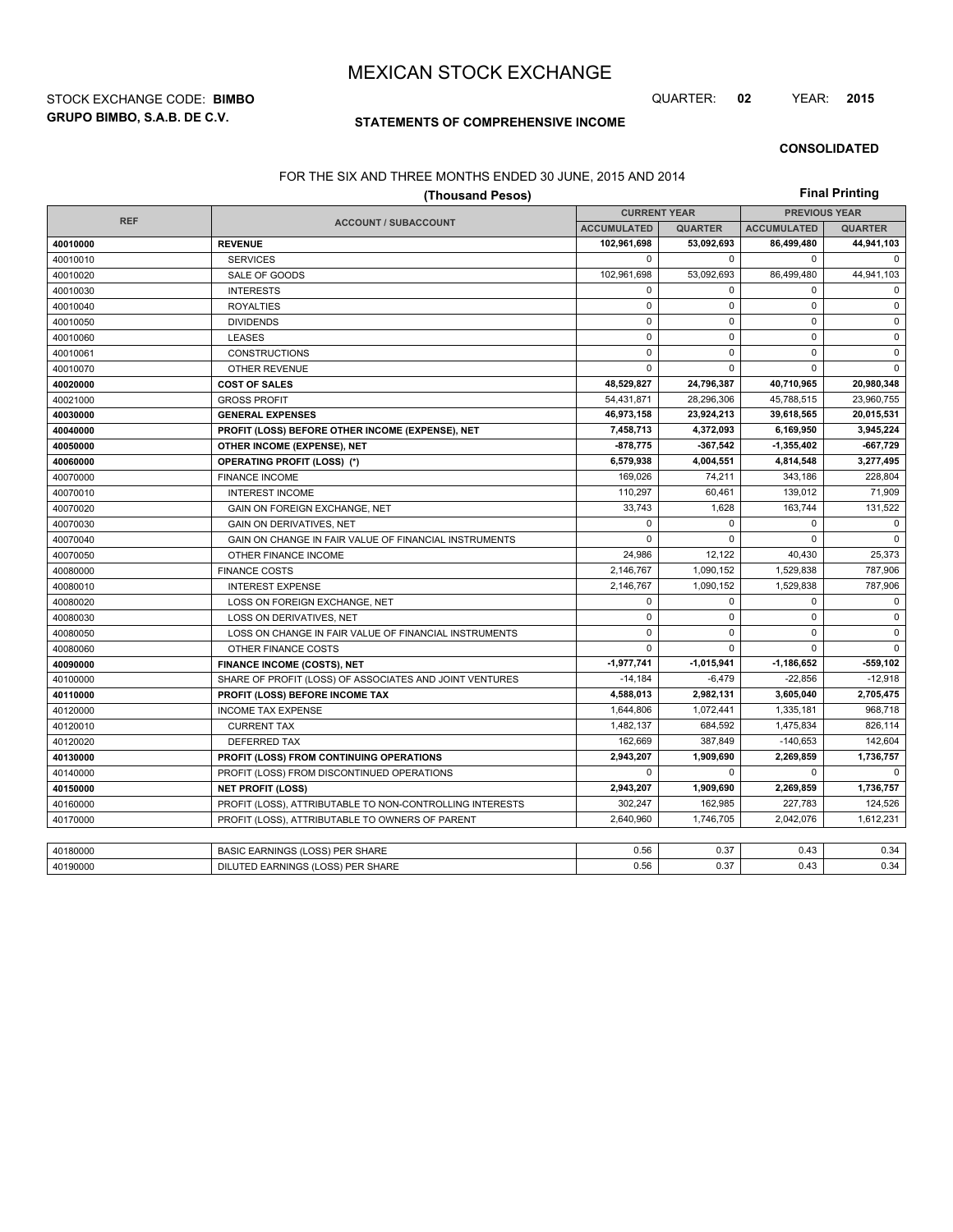**GRUPO BIMBO, S.A.B. DE C.V.** STOCK EXCHANGE CODE: **BIMBO** QUARTER: **02** YEAR: **2015**

## **STATEMENTS OF COMPREHENSIVE INCOME**

**CONSOLIDATED**

# FOR THE SIX AND THREE MONTHS ENDED 30 JUNE, 2015 AND 2014

|            | <b>Final Printing</b>                                    |                     |                |                      |                |
|------------|----------------------------------------------------------|---------------------|----------------|----------------------|----------------|
|            |                                                          | <b>CURRENT YEAR</b> |                | <b>PREVIOUS YEAR</b> |                |
| <b>REF</b> | <b>ACCOUNT / SUBACCOUNT</b>                              | <b>ACCUMULATED</b>  | <b>QUARTER</b> | <b>ACCUMULATED</b>   | <b>QUARTER</b> |
| 40010000   | <b>REVENUE</b>                                           | 102,961,698         | 53,092,693     | 86,499,480           | 44,941,103     |
| 40010010   | <b>SERVICES</b>                                          | $\mathsf 0$         | $\mathbf 0$    | 0                    | $\mathbf 0$    |
| 40010020   | SALE OF GOODS                                            | 102,961,698         | 53,092,693     | 86,499,480           | 44,941,103     |
| 40010030   | <b>INTERESTS</b>                                         | $\mathbf 0$         | $\mathbf 0$    | $\mathbf 0$          | 0              |
| 40010040   | <b>ROYALTIES</b>                                         | $\mathbf 0$         | $\mathbf 0$    | $\mathbf 0$          | $\mathbf{0}$   |
| 40010050   | <b>DIVIDENDS</b>                                         | $\mathsf 0$         | $\pmb{0}$      | $\pmb{0}$            | $\pmb{0}$      |
| 40010060   | <b>LEASES</b>                                            | $\mathbf 0$         | $\mathbf 0$    | $\mathbf 0$          | $\pmb{0}$      |
| 40010061   | <b>CONSTRUCTIONS</b>                                     | $\mathbf 0$         | $\mathbf 0$    | $\mathbf 0$          | $\pmb{0}$      |
| 40010070   | <b>OTHER REVENUE</b>                                     | $\mathbf 0$         | $\mathbf 0$    | $\mathbf 0$          | $\mathbf 0$    |
| 40020000   | <b>COST OF SALES</b>                                     | 48,529,827          | 24,796,387     | 40,710,965           | 20,980,348     |
| 40021000   | <b>GROSS PROFIT</b>                                      | 54,431,871          | 28,296,306     | 45,788,515           | 23,960,755     |
| 40030000   | <b>GENERAL EXPENSES</b>                                  | 46,973,158          | 23,924,213     | 39,618,565           | 20,015,531     |
| 40040000   | PROFIT (LOSS) BEFORE OTHER INCOME (EXPENSE), NET         | 7,458,713           | 4,372,093      | 6,169,950            | 3,945,224      |
| 40050000   | OTHER INCOME (EXPENSE), NET                              | $-878,775$          | -367,542       | $-1,355,402$         | $-667,729$     |
| 40060000   | <b>OPERATING PROFIT (LOSS) (*)</b>                       | 6,579,938           | 4,004,551      | 4,814,548            | 3,277,495      |
| 40070000   | <b>FINANCE INCOME</b>                                    | 169,026             | 74,211         | 343,186              | 228,804        |
| 40070010   | <b>INTEREST INCOME</b>                                   | 110,297             | 60,461         | 139,012              | 71,909         |
| 40070020   | GAIN ON FOREIGN EXCHANGE, NET                            | 33,743              | 1,628          | 163,744              | 131,522        |
| 40070030   | <b>GAIN ON DERIVATIVES. NET</b>                          | $\mathbf 0$         | $\mathbf 0$    | 0                    | $\mathsf 0$    |
| 40070040   | GAIN ON CHANGE IN FAIR VALUE OF FINANCIAL INSTRUMENTS    | $\Omega$            | $\Omega$       | $\Omega$             | $\mathbf 0$    |
| 40070050   | OTHER FINANCE INCOME                                     | 24,986              | 12,122         | 40,430               | 25,373         |
| 40080000   | <b>FINANCE COSTS</b>                                     | 2,146,767           | 1,090,152      | 1,529,838            | 787,906        |
| 40080010   | <b>INTEREST EXPENSE</b>                                  | 2,146,767           | 1,090,152      | 1,529,838            | 787,906        |
| 40080020   | LOSS ON FOREIGN EXCHANGE, NET                            | $\mathsf 0$         | $\mathbf 0$    | $\mathbf 0$          | $\mathsf 0$    |
| 40080030   | LOSS ON DERIVATIVES, NET                                 | $\mathsf 0$         | $\pmb{0}$      | 0                    | $\pmb{0}$      |
| 40080050   | LOSS ON CHANGE IN FAIR VALUE OF FINANCIAL INSTRUMENTS    | $\mathbf 0$         | $\mathbf 0$    | $\mathbf 0$          | $\mathbf{0}$   |
| 40080060   | OTHER FINANCE COSTS                                      | $\mathbf 0$         | $\mathbf 0$    | $\Omega$             | 0              |
| 40090000   | <b>FINANCE INCOME (COSTS), NET</b>                       | $-1,977,741$        | $-1,015,941$   | $-1,186,652$         | -559,102       |
| 40100000   | SHARE OF PROFIT (LOSS) OF ASSOCIATES AND JOINT VENTURES  | $-14,184$           | $-6,479$       | $-22,856$            | $-12,918$      |
| 40110000   | PROFIT (LOSS) BEFORE INCOME TAX                          | 4,588,013           | 2,982,131      | 3,605,040            | 2,705,475      |
| 40120000   | <b>INCOME TAX EXPENSE</b>                                | 1,644,806           | 1,072,441      | 1,335,181            | 968,718        |
| 40120010   | <b>CURRENT TAX</b>                                       | 1,482,137           | 684,592        | 1,475,834            | 826,114        |
| 40120020   | <b>DEFERRED TAX</b>                                      | 162,669             | 387,849        | $-140.653$           | 142,604        |
| 40130000   | PROFIT (LOSS) FROM CONTINUING OPERATIONS                 | 2,943,207           | 1,909,690      | 2,269,859            | 1,736,757      |
| 40140000   | PROFIT (LOSS) FROM DISCONTINUED OPERATIONS               | $\Omega$            | $\Omega$       | $\Omega$             | 0              |
| 40150000   | <b>NET PROFIT (LOSS)</b>                                 | 2,943,207           | 1,909,690      | 2,269,859            | 1,736,757      |
| 40160000   | PROFIT (LOSS), ATTRIBUTABLE TO NON-CONTROLLING INTERESTS | 302,247             | 162,985        | 227,783              | 124,526        |
| 40170000   | PROFIT (LOSS), ATTRIBUTABLE TO OWNERS OF PARENT          | 2,640,960           | 1,746,705      | 2,042,076            | 1,612,231      |
|            |                                                          |                     |                |                      |                |
| 40180000   | BASIC EARNINGS (LOSS) PER SHARE                          | 0.56                | 0.37           | 0.43                 | 0.34           |
| 40190000   | DILUTED EARNINGS (LOSS) PER SHARE                        | 0.56                | 0.37           | 0.43                 | 0.34           |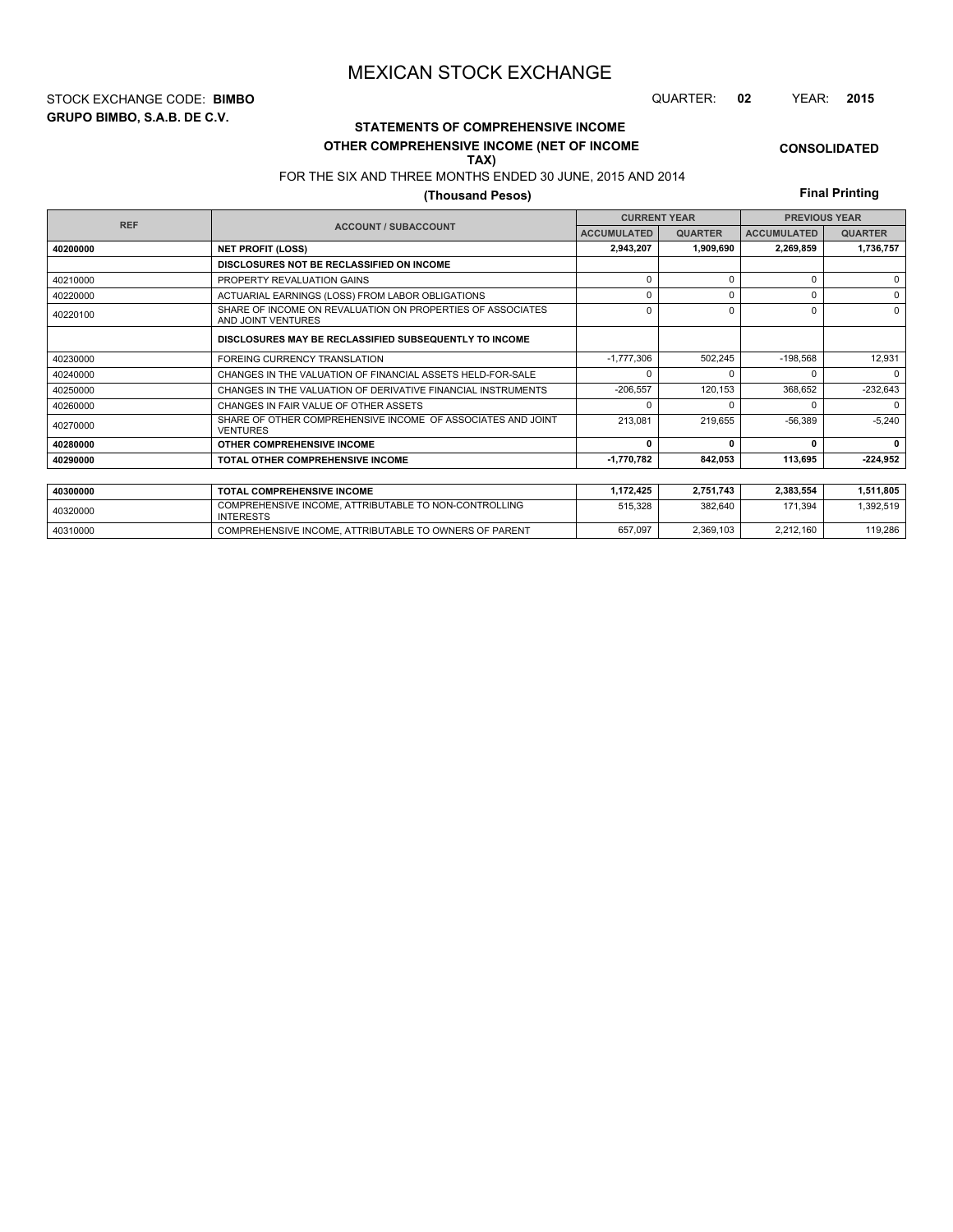**GRUPO BIMBO, S.A.B. DE C.V.** STOCK EXCHANGE CODE: **BIMBO** QUARTER: **02** YEAR: **2015**

# **CONSOLIDATED**

**STATEMENTS OF COMPREHENSIVE INCOME OTHER COMPREHENSIVE INCOME (NET OF INCOME TAX)**

FOR THE SIX AND THREE MONTHS ENDED 30 JUNE, 2015 AND 2014

# **(Thousand Pesos)**

**Final Printing**

|                                           |                                                                                  | <b>CURRENT YEAR</b> |                | <b>PREVIOUS YEAR</b> |                |  |
|-------------------------------------------|----------------------------------------------------------------------------------|---------------------|----------------|----------------------|----------------|--|
| <b>REF</b><br><b>ACCOUNT / SUBACCOUNT</b> |                                                                                  | <b>ACCUMULATED</b>  | <b>QUARTER</b> | <b>ACCUMULATED</b>   | <b>QUARTER</b> |  |
| 40200000                                  | <b>NET PROFIT (LOSS)</b>                                                         | 2,943,207           | 1,909,690      | 2,269,859            | 1,736,757      |  |
|                                           | DISCLOSURES NOT BE RECLASSIFIED ON INCOME                                        |                     |                |                      |                |  |
| 40210000                                  | PROPERTY REVALUATION GAINS                                                       | $\Omega$            | $\Omega$       | 0                    | $\Omega$       |  |
| 40220000                                  | ACTUARIAL EARNINGS (LOSS) FROM LABOR OBLIGATIONS                                 | $\Omega$            | $\Omega$       | 0                    | $\Omega$       |  |
| 40220100                                  | SHARE OF INCOME ON REVALUATION ON PROPERTIES OF ASSOCIATES<br>AND JOINT VENTURES | $\Omega$            | $\Omega$       | U                    | $\Omega$       |  |
|                                           | DISCLOSURES MAY BE RECLASSIFIED SUBSEQUENTLY TO INCOME                           |                     |                |                      |                |  |
| 40230000                                  | FOREING CURRENCY TRANSLATION                                                     | $-1,777,306$        | 502,245        | $-198,568$           | 12,931         |  |
| 40240000                                  | CHANGES IN THE VALUATION OF FINANCIAL ASSETS HELD-FOR-SALE                       | $\Omega$            |                | U                    | $\Omega$       |  |
| 40250000                                  | CHANGES IN THE VALUATION OF DERIVATIVE FINANCIAL INSTRUMENTS                     | $-206,557$          | 120,153        | 368,652              | $-232,643$     |  |
| 40260000                                  | CHANGES IN FAIR VALUE OF OTHER ASSETS                                            | $\Omega$            |                | U                    | $\Omega$       |  |
| 40270000                                  | SHARE OF OTHER COMPREHENSIVE INCOME OF ASSOCIATES AND JOINT<br><b>VENTURES</b>   | 213,081             | 219,655        | $-56,389$            | $-5,240$       |  |
| 40280000                                  | OTHER COMPREHENSIVE INCOME                                                       | $\Omega$            |                | 0                    | 0              |  |
| 40290000                                  | TOTAL OTHER COMPREHENSIVE INCOME                                                 | 1,770,782           | 842,053        | 113,695              | $-224,952$     |  |
|                                           |                                                                                  |                     |                |                      |                |  |
| 40300000                                  | TOTAL COMPREHENSIVE INCOME                                                       | 1,172,425           | 2,751,743      | 2,383,554            | 1,511,805      |  |
| 40320000                                  | COMPREHENSIVE INCOME, ATTRIBUTABLE TO NON-CONTROLLING<br><b>INTERESTS</b>        | 515,328             | 382,640        | 171,394              | 1,392,519      |  |

40310000 COMPREHENSIVE INCOME, ATTRIBUTABLE TO OWNERS OF PARENT 657,097 2,369,103 2,212,160 119,286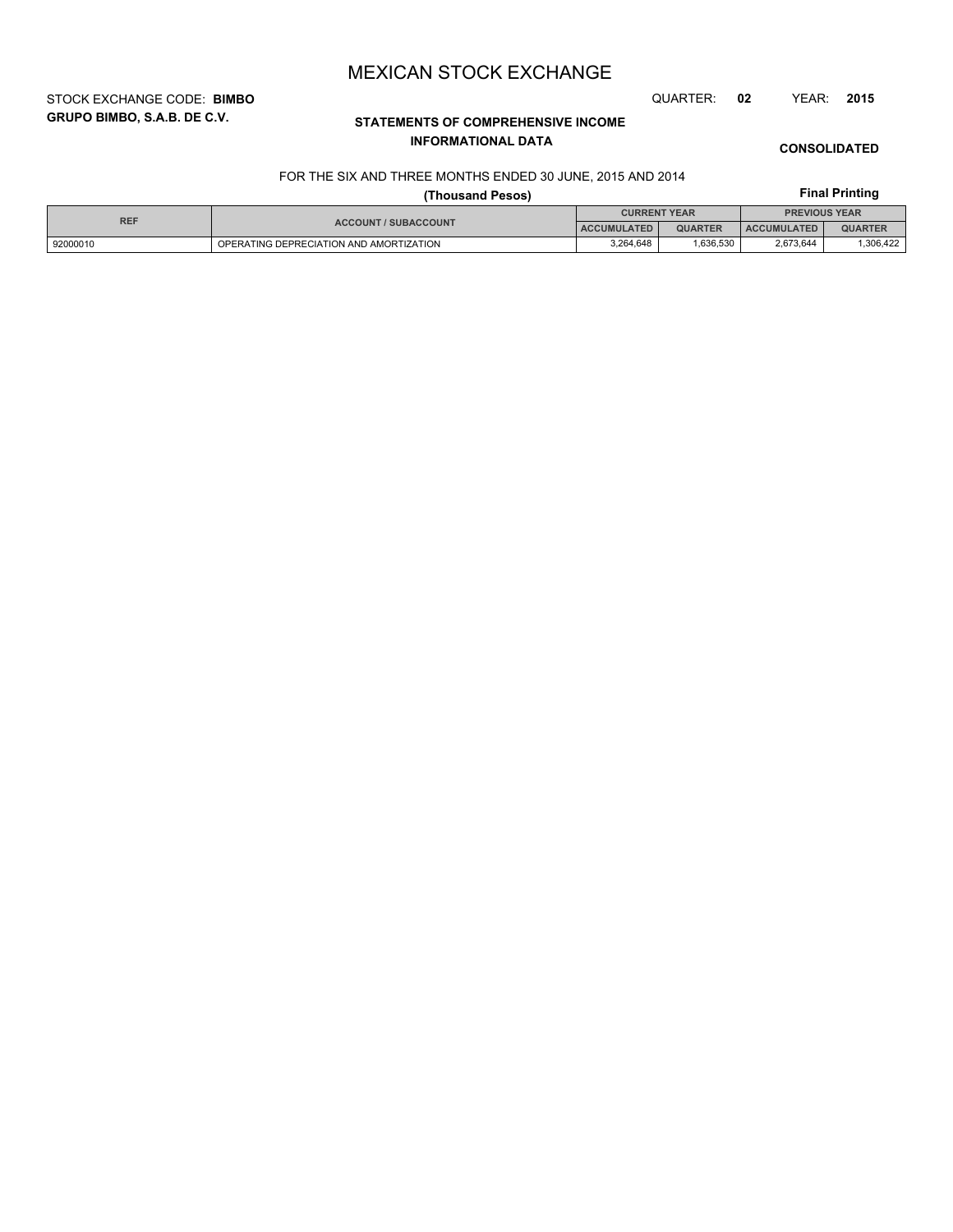STOCK EXCHANGE CODE: **BIMBO** QUARTER: **02** YEAR: **2015**

# **STATEMENTS OF COMPREHENSIVE INCOME INFORMATIONAL DATA**

# **CONSOLIDATED**

## FOR THE SIX AND THREE MONTHS ENDED 30 JUNE, 2015 AND 2014

|            |                                         | <b>Final Printing</b> |                     |                      |                |  |
|------------|-----------------------------------------|-----------------------|---------------------|----------------------|----------------|--|
| <b>REF</b> |                                         |                       | <b>CURRENT YEAR</b> | <b>PREVIOUS YEAR</b> |                |  |
|            | <b>ACCOUNT / SUBACCOUNT</b>             | <b>ACCUMULATED</b>    | <b>QUARTER</b>      | <b>ACCUMULATED</b>   | <b>QUARTER</b> |  |
| 92000010   | OPERATING DEPRECIATION AND AMORTIZATION | 3.264.648             | 1.636.530           | 2,673,644            | 306,422        |  |

# **GRUPO BIMBO, S.A.B. DE C.V.**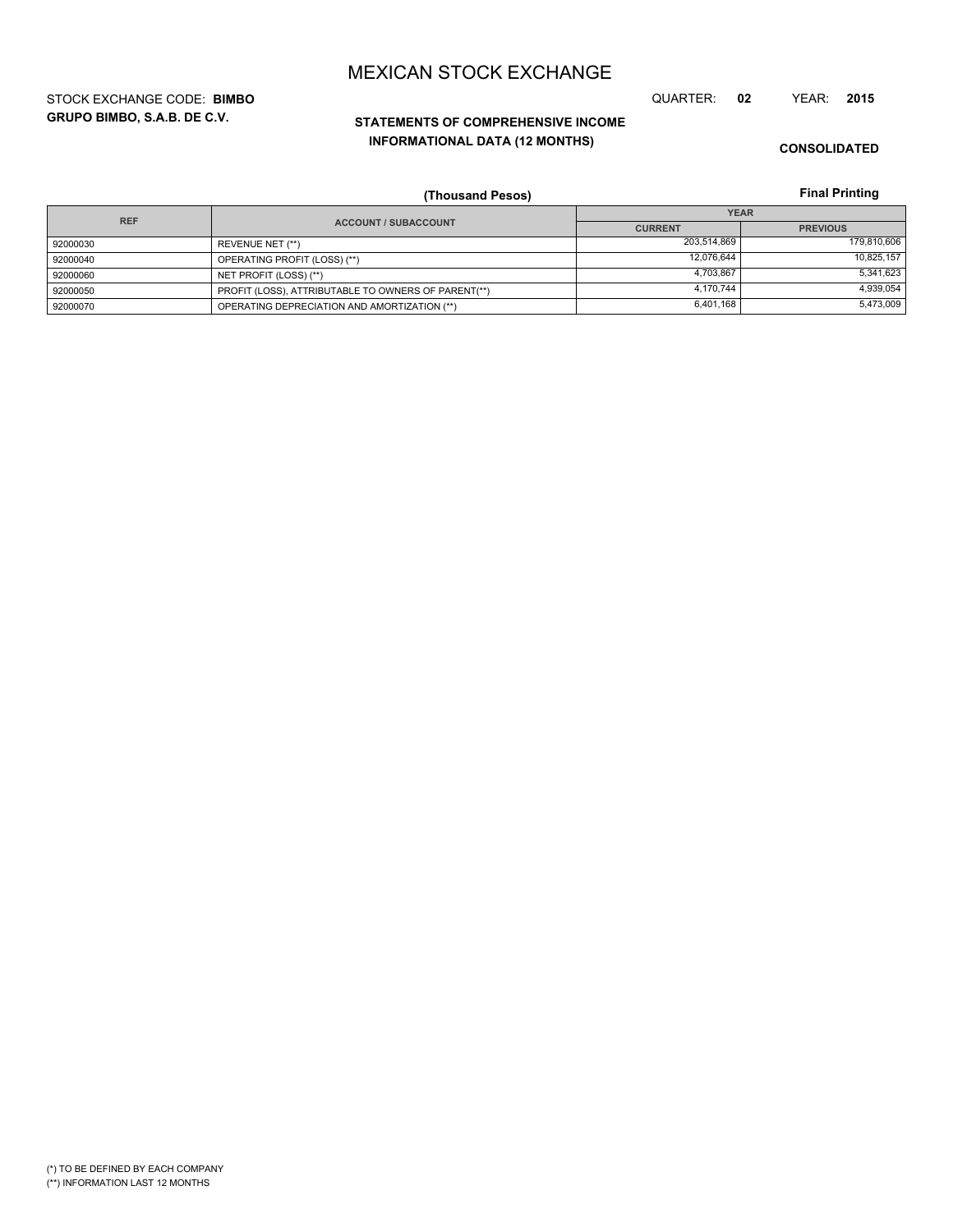**GRUPO BIMBO, S.A.B. DE C.V.** STOCK EXCHANGE CODE: **BIMBO** QUARTER: **02** YEAR: **2015**

# **STATEMENTS OF COMPREHENSIVE INCOME INFORMATIONAL DATA (12 MONTHS)**

**CONSOLIDATED**

**Final Printing**

|            | (Thousand Pesos)                                    |                | <b>Final Printing</b> |  |  |
|------------|-----------------------------------------------------|----------------|-----------------------|--|--|
| <b>REF</b> |                                                     | <b>YEAR</b>    |                       |  |  |
|            | <b>ACCOUNT / SUBACCOUNT</b>                         | <b>CURRENT</b> | <b>PREVIOUS</b>       |  |  |
| 92000030   | REVENUE NET (**)                                    | 203,514,869    | 179,810,606           |  |  |
| 92000040   | OPERATING PROFIT (LOSS) (**)                        | 12,076,644     | 10,825,157            |  |  |
| 92000060   | NET PROFIT (LOSS) (**)                              | 4,703,867      | 5,341,623             |  |  |
| 92000050   | PROFIT (LOSS), ATTRIBUTABLE TO OWNERS OF PARENT(**) | 4,170,744      | 4,939,054             |  |  |
| 92000070   | OPERATING DEPRECIATION AND AMORTIZATION (**)        | 6,401,168      | 5,473,009             |  |  |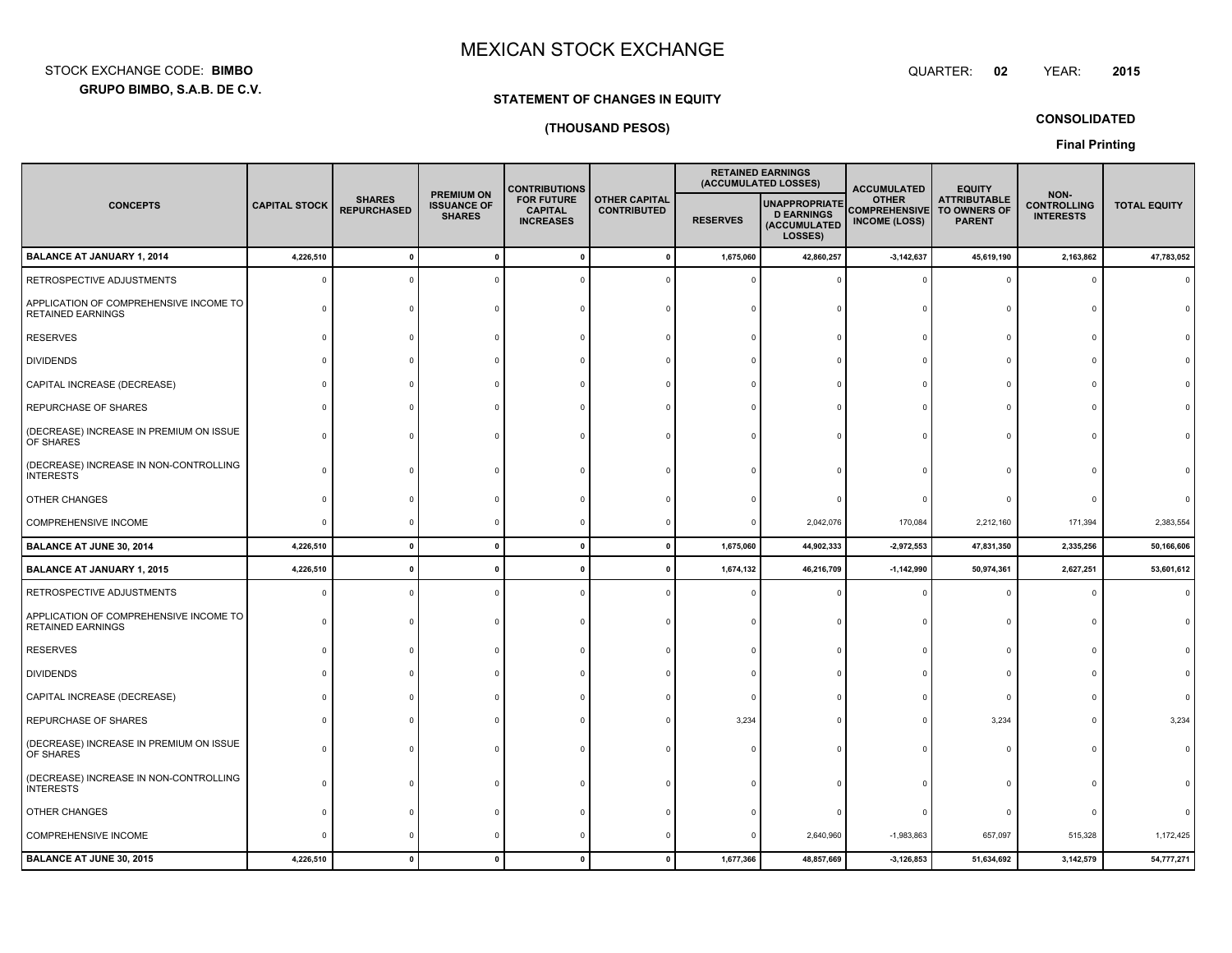**GRUPO BIMBO, S.A.B. DE C.V.** STOCK EXCHANGE CODE:**BIMBO**: BIMBO QUARTER:

**02**

# **STATEMENT OF CHANGES IN EQUITY**

# **(THOUSAND PESOS)**

**Final PrintingCONSOLIDATED**

|                                                                    |                      |                                     |                                                          | <b>CONTRIBUTIONS</b>                                    |                                            |                 | <b>RETAINED EARNINGS</b><br>(ACCUMULATED LOSSES)                     | <b>ACCUMULATED</b>                                           | <b>EQUITY</b>                                        |                                                |                     |
|--------------------------------------------------------------------|----------------------|-------------------------------------|----------------------------------------------------------|---------------------------------------------------------|--------------------------------------------|-----------------|----------------------------------------------------------------------|--------------------------------------------------------------|------------------------------------------------------|------------------------------------------------|---------------------|
| <b>CONCEPTS</b>                                                    | <b>CAPITAL STOCK</b> | <b>SHARES</b><br><b>REPURCHASED</b> | <b>PREMIUM ON</b><br><b>ISSUANCE OF</b><br><b>SHARES</b> | <b>FOR FUTURE</b><br><b>CAPITAL</b><br><b>INCREASES</b> | <b>OTHER CAPITAL</b><br><b>CONTRIBUTED</b> | <b>RESERVES</b> | <b>UNAPPROPRIATE</b><br><b>D EARNINGS</b><br>(ACCUMULATED<br>LOSSES) | <b>OTHER</b><br><b>COMPREHENSIVE</b><br><b>INCOME (LOSS)</b> | <b>ATTRIBUTABLE</b><br>TO OWNERS OF<br><b>PARENT</b> | NON-<br><b>CONTROLLING</b><br><b>INTERESTS</b> | <b>TOTAL EQUITY</b> |
| <b>BALANCE AT JANUARY 1, 2014</b>                                  | 4,226,510            | $\mathbf{0}$                        |                                                          | $\mathbf{0}$                                            |                                            | 1,675,060       | 42,860,257                                                           | $-3,142,637$                                                 | 45,619,190                                           | 2,163,862                                      | 47,783,052          |
| RETROSPECTIVE ADJUSTMENTS                                          | $\mathbf 0$          | $\Omega$                            |                                                          |                                                         |                                            |                 |                                                                      |                                                              |                                                      |                                                |                     |
| APPLICATION OF COMPREHENSIVE INCOME TO<br><b>RETAINED EARNINGS</b> | $\Omega$             |                                     |                                                          |                                                         |                                            |                 |                                                                      |                                                              |                                                      |                                                |                     |
| <b>RESERVES</b>                                                    | $\Omega$             | n                                   | $\Omega$                                                 |                                                         | $\Omega$                                   |                 |                                                                      |                                                              |                                                      |                                                |                     |
| <b>DIVIDENDS</b>                                                   | $\Omega$             |                                     |                                                          |                                                         |                                            |                 |                                                                      |                                                              |                                                      |                                                |                     |
| CAPITAL INCREASE (DECREASE)                                        | $\Omega$             |                                     |                                                          |                                                         |                                            |                 |                                                                      |                                                              |                                                      |                                                |                     |
| REPURCHASE OF SHARES                                               |                      |                                     |                                                          |                                                         |                                            |                 |                                                                      |                                                              |                                                      |                                                |                     |
| (DECREASE) INCREASE IN PREMIUM ON ISSUE<br>OF SHARES               |                      |                                     |                                                          |                                                         |                                            |                 |                                                                      |                                                              |                                                      |                                                |                     |
| (DECREASE) INCREASE IN NON-CONTROLLING<br><b>INTERESTS</b>         | $\Omega$             |                                     |                                                          |                                                         |                                            |                 |                                                                      |                                                              |                                                      |                                                |                     |
| OTHER CHANGES                                                      | $\Omega$             | $\Omega$                            | $\Omega$                                                 |                                                         |                                            |                 |                                                                      |                                                              |                                                      |                                                |                     |
| COMPREHENSIVE INCOME                                               | $\Omega$             | $\Omega$                            | $\Omega$                                                 | $\Omega$                                                | $\Omega$                                   | $\Omega$        | 2,042,076                                                            | 170,084                                                      | 2,212,160                                            | 171,394                                        | 2,383,554           |
| BALANCE AT JUNE 30, 2014                                           | 4,226,510            | $\mathbf 0$                         | $\pmb{0}$                                                | $\mathbf{0}$                                            | $\mathbf{0}$                               | 1,675,060       | 44,902,333                                                           | $-2,972,553$                                                 | 47,831,350                                           | 2,335,256                                      | 50,166,606          |
| <b>BALANCE AT JANUARY 1, 2015</b>                                  | 4,226,510            | $\mathbf{0}$                        | $\mathbf{0}$                                             | $\Omega$                                                |                                            | 1,674,132       | 46,216,709                                                           | $-1,142,990$                                                 | 50,974,361                                           | 2,627,251                                      | 53,601,612          |
| RETROSPECTIVE ADJUSTMENTS                                          |                      | $\Omega$                            |                                                          |                                                         |                                            |                 |                                                                      |                                                              |                                                      |                                                |                     |
| APPLICATION OF COMPREHENSIVE INCOME TO<br>RETAINED EARNINGS        | $\Omega$             |                                     |                                                          |                                                         |                                            |                 |                                                                      |                                                              |                                                      |                                                |                     |
| <b>RESERVES</b>                                                    | $\Omega$             | $\Omega$                            | $\Omega$                                                 | $\Omega$                                                | $\Omega$                                   |                 |                                                                      |                                                              |                                                      |                                                |                     |
| <b>DIVIDENDS</b>                                                   | $\Omega$             |                                     |                                                          |                                                         |                                            |                 |                                                                      |                                                              |                                                      |                                                |                     |
| CAPITAL INCREASE (DECREASE)                                        | $\Omega$             |                                     |                                                          |                                                         |                                            |                 |                                                                      |                                                              |                                                      |                                                |                     |
| REPURCHASE OF SHARES                                               |                      |                                     |                                                          |                                                         |                                            | 3,234           |                                                                      |                                                              | 3,234                                                |                                                | 3,234               |
| (DECREASE) INCREASE IN PREMIUM ON ISSUE<br>OF SHARES               |                      |                                     |                                                          |                                                         |                                            |                 |                                                                      |                                                              |                                                      |                                                |                     |
| (DECREASE) INCREASE IN NON-CONTROLLING<br><b>INTERESTS</b>         | $\Omega$             |                                     |                                                          |                                                         |                                            |                 |                                                                      |                                                              |                                                      |                                                |                     |
| OTHER CHANGES                                                      | $\Omega$             |                                     |                                                          |                                                         |                                            |                 |                                                                      |                                                              |                                                      |                                                |                     |
| COMPREHENSIVE INCOME                                               | $\Omega$             | $\Omega$                            | $\Omega$                                                 | $\Omega$                                                |                                            | $\Omega$        | 2,640,960                                                            | $-1,983,863$                                                 | 657,097                                              | 515,328                                        | 1,172,425           |
| <b>BALANCE AT JUNE 30, 2015</b>                                    | 4,226,510            | $\pmb{0}$                           | $\pmb{0}$                                                | $\pmb{0}$                                               | $\pmb{0}$                                  | 1,677,366       | 48,857,669                                                           | $-3,126,853$                                                 | 51,634,692                                           | 3,142,579                                      | 54,777,271          |

YEAR: **<sup>2015</sup>**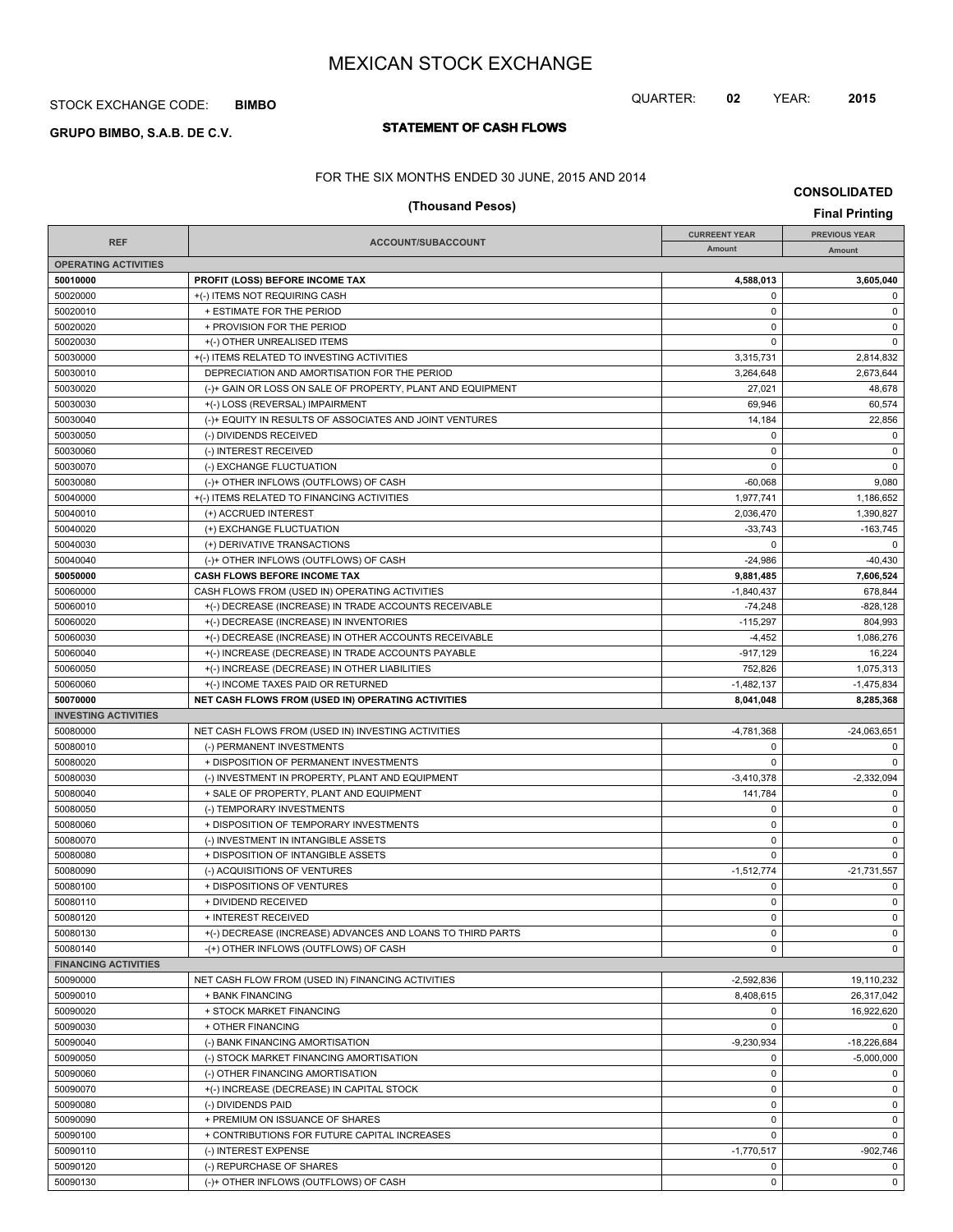# STOCK EXCHANGE CODE: **BIMBO**

# **STATEMENT OF CASH FLOWS GRUPO BIMBO, S.A.B. DE C.V.**

# FOR THE SIX MONTHS ENDED 30 JUNE, 2015 AND 2014

**CONSOLIDATED**

QUARTER: **02** YEAR: **2015**

|                             | (Thousand Pesos)                                           |                      | <b>Final Printing</b> |
|-----------------------------|------------------------------------------------------------|----------------------|-----------------------|
|                             |                                                            | <b>CURREENT YEAR</b> | <b>PREVIOUS YEAR</b>  |
| <b>REF</b>                  | ACCOUNT/SUBACCOUNT                                         | Amount               | Amount                |
| <b>OPERATING ACTIVITIES</b> |                                                            |                      |                       |
| 50010000                    | PROFIT (LOSS) BEFORE INCOME TAX                            | 4,588,013            | 3,605,040             |
| 50020000                    | +(-) ITEMS NOT REQUIRING CASH                              | $\mathbf 0$          | 0                     |
| 50020010                    | + ESTIMATE FOR THE PERIOD                                  | $\mathbf 0$          | $\mathbf 0$           |
| 50020020                    | + PROVISION FOR THE PERIOD                                 | $\mathbf 0$          | $\mathbf 0$           |
| 50020030                    | +(-) OTHER UNREALISED ITEMS                                | $\mathbf 0$          | $\mathbf 0$           |
| 50030000                    | +(-) ITEMS RELATED TO INVESTING ACTIVITIES                 | 3,315,731            | 2,814,832             |
| 50030010                    | DEPRECIATION AND AMORTISATION FOR THE PERIOD               | 3,264,648            | 2,673,644             |
| 50030020                    | (-)+ GAIN OR LOSS ON SALE OF PROPERTY, PLANT AND EQUIPMENT | 27,021               | 48,678                |
| 50030030                    | +(-) LOSS (REVERSAL) IMPAIRMENT                            | 69,946               | 60,574                |
| 50030040                    | (-)+ EQUITY IN RESULTS OF ASSOCIATES AND JOINT VENTURES    | 14,184               | 22,856                |
| 50030050                    | (-) DIVIDENDS RECEIVED                                     | $\mathbf 0$          | $\mathbf 0$           |
| 50030060                    | (-) INTEREST RECEIVED                                      | $\mathbf 0$          | $\mathbf 0$           |
| 50030070                    | (-) EXCHANGE FLUCTUATION                                   | $\mathbf 0$          | $\mathbf 0$           |
| 50030080                    | (-)+ OTHER INFLOWS (OUTFLOWS) OF CASH                      | $-60,068$            | 9,080                 |
| 50040000                    | +(-) ITEMS RELATED TO FINANCING ACTIVITIES                 | 1,977,741            | 1,186,652             |
| 50040010                    | (+) ACCRUED INTEREST                                       | 2,036,470            | 1,390,827             |
| 50040020                    | (+) EXCHANGE FLUCTUATION                                   | $-33,743$            | $-163,745$            |
| 50040030                    | (+) DERIVATIVE TRANSACTIONS                                | 0                    | $\Omega$              |
| 50040040                    | (-)+ OTHER INFLOWS (OUTFLOWS) OF CASH                      | $-24,986$            | $-40,430$             |
| 50050000                    | CASH FLOWS BEFORE INCOME TAX                               | 9,881,485            | 7,606,524             |
| 50060000                    | CASH FLOWS FROM (USED IN) OPERATING ACTIVITIES             | $-1,840,437$         | 678,844               |
| 50060010                    | +(-) DECREASE (INCREASE) IN TRADE ACCOUNTS RECEIVABLE      | $-74,248$            | $-828,128$            |
| 50060020                    | +(-) DECREASE (INCREASE) IN INVENTORIES                    | $-115,297$           | 804,993               |
| 50060030                    | +(-) DECREASE (INCREASE) IN OTHER ACCOUNTS RECEIVABLE      | $-4,452$             | 1,086,276             |
| 50060040                    | +(-) INCREASE (DECREASE) IN TRADE ACCOUNTS PAYABLE         | $-917,129$           | 16,224                |
| 50060050                    | +(-) INCREASE (DECREASE) IN OTHER LIABILITIES              | 752,826              | 1,075,313             |
| 50060060                    | +(-) INCOME TAXES PAID OR RETURNED                         | $-1,482,137$         | $-1,475,834$          |
| 50070000                    | NET CASH FLOWS FROM (USED IN) OPERATING ACTIVITIES         | 8,041,048            | 8,285,368             |
| <b>INVESTING ACTIVITIES</b> |                                                            |                      |                       |
| 50080000                    | NET CASH FLOWS FROM (USED IN) INVESTING ACTIVITIES         | -4,781,368           | $-24,063,651$         |
| 50080010                    | (-) PERMANENT INVESTMENTS                                  | $\mathbf 0$          | $\mathbf 0$           |
| 50080020                    | + DISPOSITION OF PERMANENT INVESTMENTS                     | $\mathbf 0$          | $\Omega$              |
| 50080030                    | (-) INVESTMENT IN PROPERTY, PLANT AND EQUIPMENT            | $-3,410,378$         | $-2,332,094$          |
| 50080040                    | + SALE OF PROPERTY, PLANT AND EQUIPMENT                    | 141,784              | $\mathbf 0$           |
| 50080050                    | (-) TEMPORARY INVESTMENTS                                  | $\mathbf 0$          | $\mathbf 0$           |
| 50080060                    | + DISPOSITION OF TEMPORARY INVESTMENTS                     | $\mathbf 0$          | $\mathbf 0$           |
| 50080070                    | (-) INVESTMENT IN INTANGIBLE ASSETS                        | $\mathbf 0$          | $\mathbf 0$           |
| 50080080                    | + DISPOSITION OF INTANGIBLE ASSETS                         | $\mathbf 0$          | $\mathbf 0$           |
| 50080090                    | (-) ACQUISITIONS OF VENTURES                               | $-1,512,774$         | $-21.731.557$         |
| 50080100                    | + DISPOSITIONS OF VENTURES                                 | $\mathbf 0$          | $\mathbf 0$           |
| 50080110                    | + DIVIDEND RECEIVED                                        | 0                    | 0                     |
| 50080120                    | + INTEREST RECEIVED                                        | $\mathbf 0$          | $\mathbf 0$           |
| 50080130                    | +(-) DECREASE (INCREASE) ADVANCES AND LOANS TO THIRD PARTS | $\mathbf 0$          | $\mathbf 0$           |
| 50080140                    | -(+) OTHER INFLOWS (OUTFLOWS) OF CASH                      | $\mathbf 0$          | $\mathbf 0$           |
| <b>FINANCING ACTIVITIES</b> |                                                            |                      |                       |
| 50090000                    | NET CASH FLOW FROM (USED IN) FINANCING ACTIVITIES          | $-2,592,836$         | 19,110,232            |
| 50090010                    | + BANK FINANCING                                           | 8,408,615            | 26,317,042            |
| 50090020                    | + STOCK MARKET FINANCING                                   | 0                    | 16.922.620            |
| 50090030                    | + OTHER FINANCING                                          | $\mathbf 0$          | $\mathbf 0$           |
| 50090040                    | (-) BANK FINANCING AMORTISATION                            | $-9,230,934$         | $-18,226,684$         |
| 50090050                    | (-) STOCK MARKET FINANCING AMORTISATION                    | $\mathbf 0$          | $-5,000,000$          |
| 50090060                    |                                                            |                      | $\mathbf 0$           |
|                             | (-) OTHER FINANCING AMORTISATION                           | $\mathbf 0$          |                       |
| 50090070                    | +(-) INCREASE (DECREASE) IN CAPITAL STOCK                  | $\mathbf 0$          | $\mathbf 0$           |
| 50090080                    | (-) DIVIDENDS PAID                                         | $\mathbf 0$          | $\mathbf 0$           |
| 50090090                    | + PREMIUM ON ISSUANCE OF SHARES                            | $\mathbf 0$          | $\mathbf 0$           |
| 50090100                    | + CONTRIBUTIONS FOR FUTURE CAPITAL INCREASES               | $\mathbf 0$          | $\mathbf 0$           |
| 50090110                    | (-) INTEREST EXPENSE                                       | $-1,770,517$         | $-902,746$            |
| 50090120                    | (-) REPURCHASE OF SHARES                                   | $\mathbf 0$          | 0                     |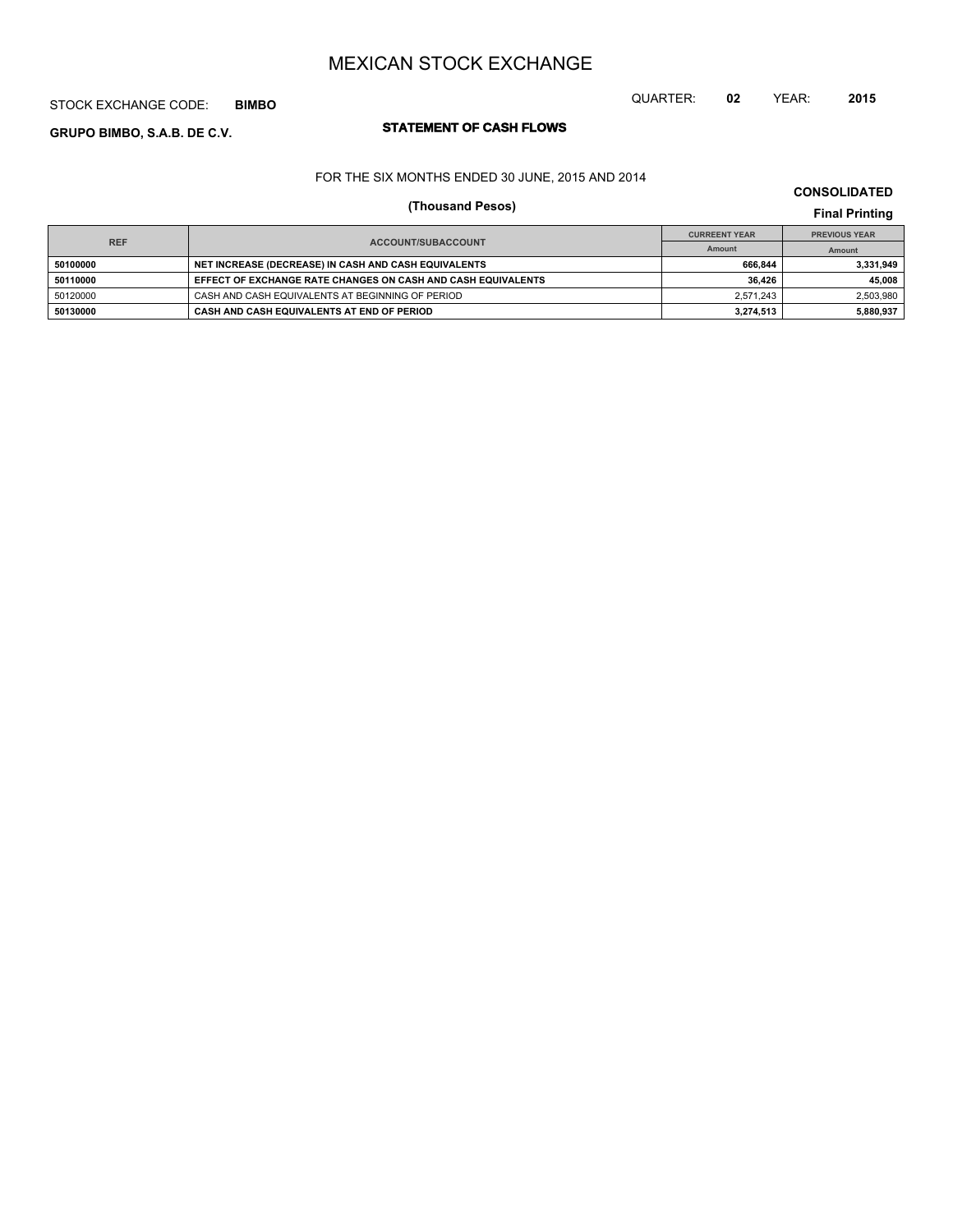# STOCK EXCHANGE CODE: **BIMBO**

# **STATEMENT OF CASH FLOWS GRUPO BIMBO, S.A.B. DE C.V.**

# FOR THE SIX MONTHS ENDED 30 JUNE, 2015 AND 2014

# **CONSOLIDATED**

QUARTER: **02** YEAR: **2015**

# **(Thousand Pesos) Final Printing**

|            |                                                              | <b>CURREENT YEAR</b> | <b>PREVIOUS YEAR</b> |  |
|------------|--------------------------------------------------------------|----------------------|----------------------|--|
| <b>REF</b> | ACCOUNT/SUBACCOUNT                                           | Amount               | Amount               |  |
| 50100000   | NET INCREASE (DECREASE) IN CASH AND CASH EQUIVALENTS         | 666.844              | 3.331.949            |  |
| 50110000   | EFFECT OF EXCHANGE RATE CHANGES ON CASH AND CASH EQUIVALENTS | 36.426               | 45.008               |  |
| 50120000   | CASH AND CASH EQUIVALENTS AT BEGINNING OF PERIOD             | 2.571.243            | 2,503,980            |  |
| 50130000   | CASH AND CASH EQUIVALENTS AT END OF PERIOD                   | 3.274.513            | 5,880,937            |  |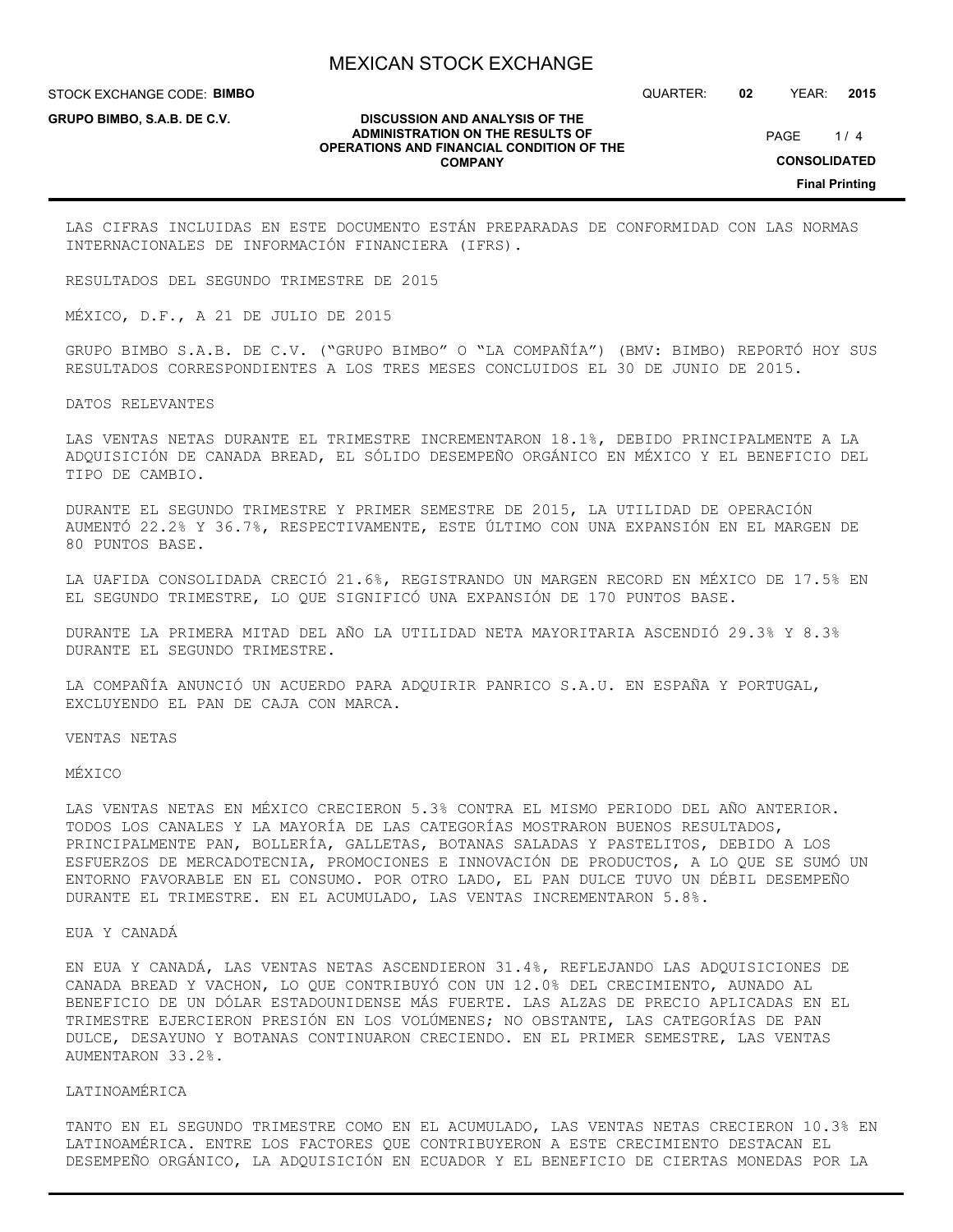**DISCUSSION AND ANALYSIS OF THE ADMINISTRATION ON THE RESULTS OF OPERATIONS AND FINANCIAL CONDITION OF THE COMPANY**

STOCK EXCHANGE CODE: **BIMBO**

**GRUPO BIMBO, S.A.B. DE C.V.**

QUARTER: **02** YEAR: **2015**

 $1/4$ PAGE

## **CONSOLIDATED**

**Final Printing**

LAS CIFRAS INCLUIDAS EN ESTE DOCUMENTO ESTÁN PREPARADAS DE CONFORMIDAD CON LAS NORMAS INTERNACIONALES DE INFORMACIÓN FINANCIERA (IFRS).

RESULTADOS DEL SEGUNDO TRIMESTRE DE 2015

MÉXICO, D.F., A 21 DE JULIO DE 2015

GRUPO BIMBO S.A.B. DE C.V. ("GRUPO BIMBO" O "LA COMPAÑÍA") (BMV: BIMBO) REPORTÓ HOY SUS RESULTADOS CORRESPONDIENTES A LOS TRES MESES CONCLUIDOS EL 30 DE JUNIO DE 2015.

DATOS RELEVANTES

LAS VENTAS NETAS DURANTE EL TRIMESTRE INCREMENTARON 18.1%, DEBIDO PRINCIPALMENTE A LA ADQUISICIÓN DE CANADA BREAD, EL SÓLIDO DESEMPEÑO ORGÁNICO EN MÉXICO Y EL BENEFICIO DEL TIPO DE CAMBIO.

DURANTE EL SEGUNDO TRIMESTRE Y PRIMER SEMESTRE DE 2015, LA UTILIDAD DE OPERACIÓN AUMENTÓ 22.2% Y 36.7%, RESPECTIVAMENTE, ESTE ÚLTIMO CON UNA EXPANSIÓN EN EL MARGEN DE 80 PUNTOS BASE.

LA UAFIDA CONSOLIDADA CRECIÓ 21.6%, REGISTRANDO UN MARGEN RECORD EN MÉXICO DE 17.5% EN EL SEGUNDO TRIMESTRE, LO QUE SIGNIFICÓ UNA EXPANSIÓN DE 170 PUNTOS BASE.

DURANTE LA PRIMERA MITAD DEL AÑO LA UTILIDAD NETA MAYORITARIA ASCENDIÓ 29.3% Y 8.3% DURANTE EL SEGUNDO TRIMESTRE.

LA COMPAÑÍA ANUNCIÓ UN ACUERDO PARA ADQUIRIR PANRICO S.A.U. EN ESPAÑA Y PORTUGAL, EXCLUYENDO EL PAN DE CAJA CON MARCA.

VENTAS NETAS

MÉXICO

LAS VENTAS NETAS EN MÉXICO CRECIERON 5.3% CONTRA EL MISMO PERIODO DEL AÑO ANTERIOR. TODOS LOS CANALES Y LA MAYORÍA DE LAS CATEGORÍAS MOSTRARON BUENOS RESULTADOS, PRINCIPALMENTE PAN, BOLLERÍA, GALLETAS, BOTANAS SALADAS Y PASTELITOS, DEBIDO A LOS ESFUERZOS DE MERCADOTECNIA, PROMOCIONES E INNOVACIÓN DE PRODUCTOS, A LO QUE SE SUMÓ UN ENTORNO FAVORABLE EN EL CONSUMO. POR OTRO LADO, EL PAN DULCE TUVO UN DÉBIL DESEMPEÑO DURANTE EL TRIMESTRE. EN EL ACUMULADO, LAS VENTAS INCREMENTARON 5.8%.

EUA Y CANADÁ

EN EUA Y CANADÁ, LAS VENTAS NETAS ASCENDIERON 31.4%, REFLEJANDO LAS ADQUISICIONES DE CANADA BREAD Y VACHON, LO QUE CONTRIBUYÓ CON UN 12.0% DEL CRECIMIENTO, AUNADO AL BENEFICIO DE UN DÓLAR ESTADOUNIDENSE MÁS FUERTE. LAS ALZAS DE PRECIO APLICADAS EN EL TRIMESTRE EJERCIERON PRESIÓN EN LOS VOLÚMENES; NO OBSTANTE, LAS CATEGORÍAS DE PAN DULCE, DESAYUNO Y BOTANAS CONTINUARON CRECIENDO. EN EL PRIMER SEMESTRE, LAS VENTAS AUMENTARON 33.2%.

### LATINOAMÉRICA

TANTO EN EL SEGUNDO TRIMESTRE COMO EN EL ACUMULADO, LAS VENTAS NETAS CRECIERON 10.3% EN LATINOAMÉRICA. ENTRE LOS FACTORES QUE CONTRIBUYERON A ESTE CRECIMIENTO DESTACAN EL DESEMPEÑO ORGÁNICO, LA ADQUISICIÓN EN ECUADOR Y EL BENEFICIO DE CIERTAS MONEDAS POR LA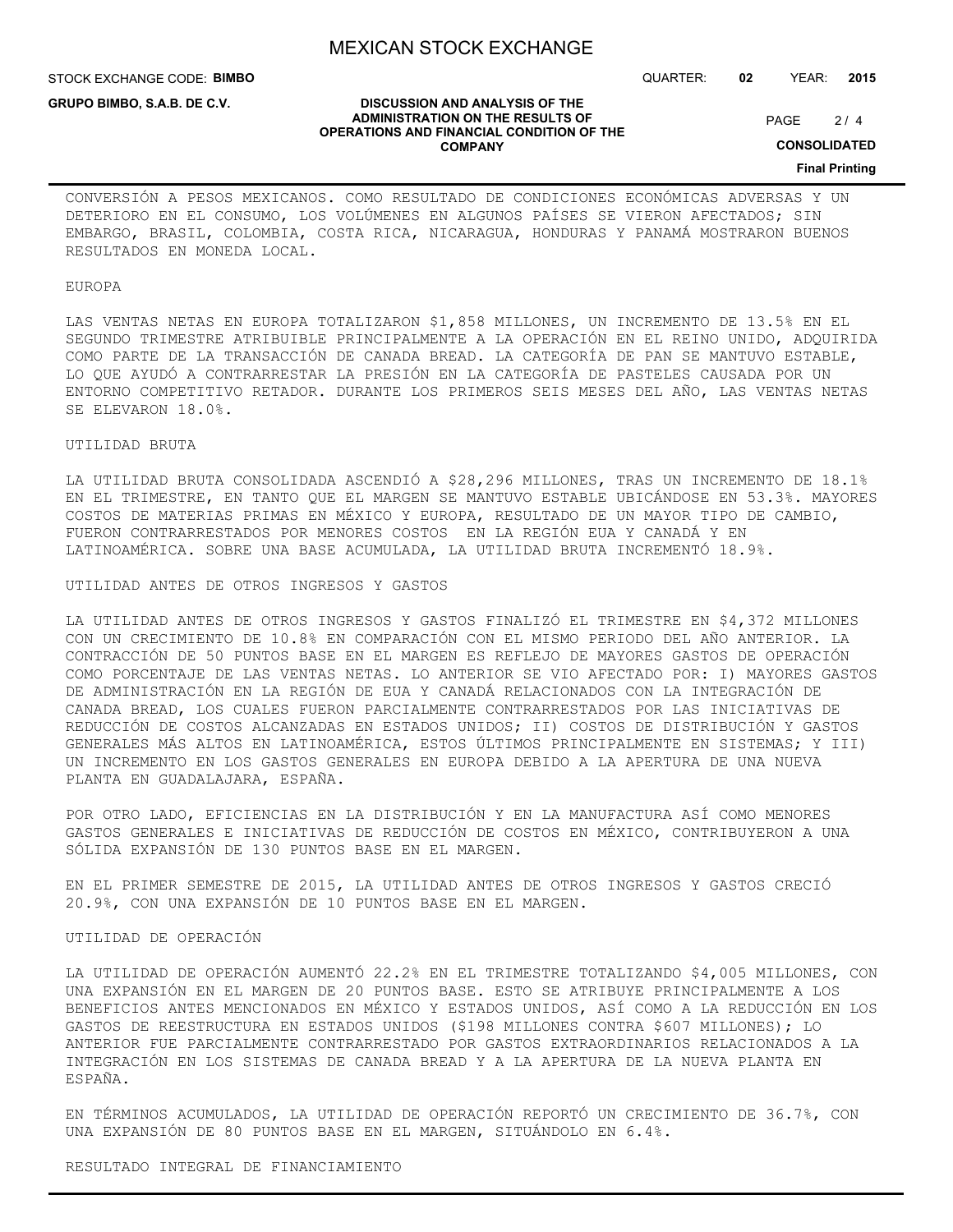STOCK EXCHANGE CODE: **BIMBO**

**GRUPO BIMBO, S.A.B. DE C.V.**

QUARTER: **02** YEAR: **2015**

#### **DISCUSSION AND ANALYSIS OF THE ADMINISTRATION ON THE RESULTS OF OPERATIONS AND FINANCIAL CONDITION OF THE COMPANY**

 $2/4$ PAGE

**CONSOLIDATED**

**Final Printing**

CONVERSIÓN A PESOS MEXICANOS. COMO RESULTADO DE CONDICIONES ECONÓMICAS ADVERSAS Y UN DETERIORO EN EL CONSUMO, LOS VOLÚMENES EN ALGUNOS PAÍSES SE VIERON AFECTADOS; SIN EMBARGO, BRASIL, COLOMBIA, COSTA RICA, NICARAGUA, HONDURAS Y PANAMÁ MOSTRARON BUENOS RESULTADOS EN MONEDA LOCAL.

#### **EUROPA**

LAS VENTAS NETAS EN EUROPA TOTALIZARON \$1,858 MILLONES, UN INCREMENTO DE 13.5% EN EL SEGUNDO TRIMESTRE ATRIBUIBLE PRINCIPALMENTE A LA OPERACIÓN EN EL REINO UNIDO, ADQUIRIDA COMO PARTE DE LA TRANSACCIÓN DE CANADA BREAD. LA CATEGORÍA DE PAN SE MANTUVO ESTABLE, LO QUE AYUDÓ A CONTRARRESTAR LA PRESIÓN EN LA CATEGORÍA DE PASTELES CAUSADA POR UN ENTORNO COMPETITIVO RETADOR. DURANTE LOS PRIMEROS SEIS MESES DEL AÑO, LAS VENTAS NETAS SE ELEVARON 18.0%.

## UTILIDAD BRUTA

LA UTILIDAD BRUTA CONSOLIDADA ASCENDIÓ A \$28,296 MILLONES, TRAS UN INCREMENTO DE 18.1% EN EL TRIMESTRE, EN TANTO QUE EL MARGEN SE MANTUVO ESTABLE UBICÁNDOSE EN 53.3%. MAYORES COSTOS DE MATERIAS PRIMAS EN MÉXICO Y EUROPA, RESULTADO DE UN MAYOR TIPO DE CAMBIO, FUERON CONTRARRESTADOS POR MENORES COSTOS EN LA REGIÓN EUA Y CANADÁ Y EN LATINOAMÉRICA. SOBRE UNA BASE ACUMULADA, LA UTILIDAD BRUTA INCREMENTÓ 18.9%.

#### UTILIDAD ANTES DE OTROS INGRESOS Y GASTOS

LA UTILIDAD ANTES DE OTROS INGRESOS Y GASTOS FINALIZÓ EL TRIMESTRE EN \$4,372 MILLONES CON UN CRECIMIENTO DE 10.8% EN COMPARACIÓN CON EL MISMO PERIODO DEL AÑO ANTERIOR. LA CONTRACCIÓN DE 50 PUNTOS BASE EN EL MARGEN ES REFLEJO DE MAYORES GASTOS DE OPERACIÓN COMO PORCENTAJE DE LAS VENTAS NETAS. LO ANTERIOR SE VIO AFECTADO POR: I) MAYORES GASTOS DE ADMINISTRACIÓN EN LA REGIÓN DE EUA Y CANADÁ RELACIONADOS CON LA INTEGRACIÓN DE CANADA BREAD, LOS CUALES FUERON PARCIALMENTE CONTRARRESTADOS POR LAS INICIATIVAS DE REDUCCIÓN DE COSTOS ALCANZADAS EN ESTADOS UNIDOS; II) COSTOS DE DISTRIBUCIÓN Y GASTOS GENERALES MÁS ALTOS EN LATINOAMÉRICA, ESTOS ÚLTIMOS PRINCIPALMENTE EN SISTEMAS; Y III) UN INCREMENTO EN LOS GASTOS GENERALES EN EUROPA DEBIDO A LA APERTURA DE UNA NUEVA PLANTA EN GUADALAJARA, ESPAÑA.

POR OTRO LADO, EFICIENCIAS EN LA DISTRIBUCIÓN Y EN LA MANUFACTURA ASÍ COMO MENORES GASTOS GENERALES E INICIATIVAS DE REDUCCIÓN DE COSTOS EN MÉXICO, CONTRIBUYERON A UNA SÓLIDA EXPANSIÓN DE 130 PUNTOS BASE EN EL MARGEN.

EN EL PRIMER SEMESTRE DE 2015, LA UTILIDAD ANTES DE OTROS INGRESOS Y GASTOS CRECIÓ 20.9%, CON UNA EXPANSIÓN DE 10 PUNTOS BASE EN EL MARGEN.

## UTILIDAD DE OPERACIÓN

LA UTILIDAD DE OPERACIÓN AUMENTÓ 22.2% EN EL TRIMESTRE TOTALIZANDO \$4,005 MILLONES, CON UNA EXPANSIÓN EN EL MARGEN DE 20 PUNTOS BASE. ESTO SE ATRIBUYE PRINCIPALMENTE A LOS BENEFICIOS ANTES MENCIONADOS EN MÉXICO Y ESTADOS UNIDOS, ASÍ COMO A LA REDUCCIÓN EN LOS GASTOS DE REESTRUCTURA EN ESTADOS UNIDOS (\$198 MILLONES CONTRA \$607 MILLONES); LO ANTERIOR FUE PARCIALMENTE CONTRARRESTADO POR GASTOS EXTRAORDINARIOS RELACIONADOS A LA INTEGRACIÓN EN LOS SISTEMAS DE CANADA BREAD Y A LA APERTURA DE LA NUEVA PLANTA EN ESPAÑA.

EN TÉRMINOS ACUMULADOS, LA UTILIDAD DE OPERACIÓN REPORTÓ UN CRECIMIENTO DE 36.7%, CON UNA EXPANSIÓN DE 80 PUNTOS BASE EN EL MARGEN, SITUÁNDOLO EN 6.4%.

#### RESULTADO INTEGRAL DE FINANCIAMIENTO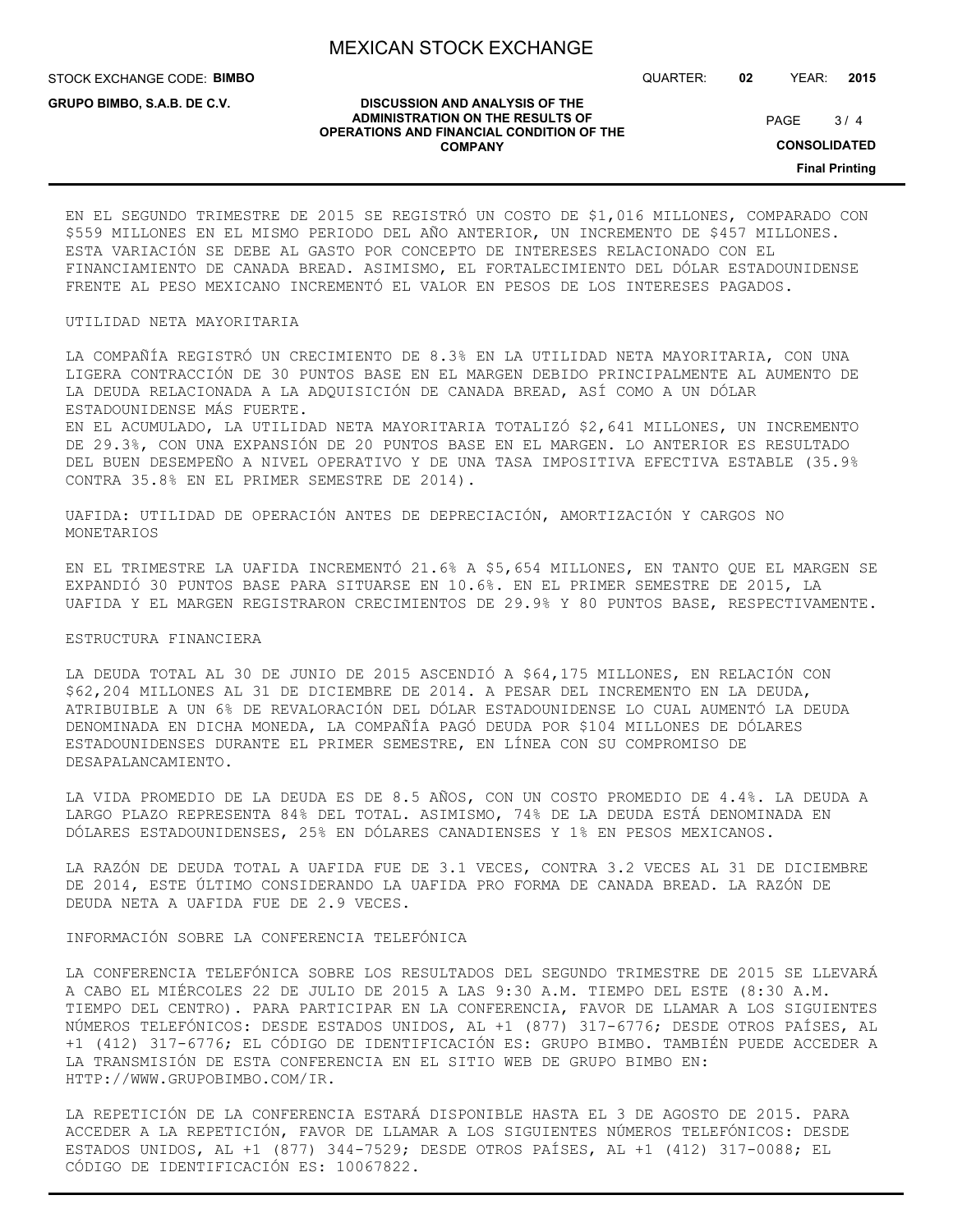STOCK EXCHANGE CODE: **BIMBO**

**GRUPO BIMBO, S.A.B. DE C.V.**

QUARTER: **02** YEAR: **2015**

#### **DISCUSSION AND ANALYSIS OF THE ADMINISTRATION ON THE RESULTS OF OPERATIONS AND FINANCIAL CONDITION OF THE**

 $3/4$ PAGE

**CONSOLIDATED**

**Final Printing**

EN EL SEGUNDO TRIMESTRE DE 2015 SE REGISTRÓ UN COSTO DE \$1,016 MILLONES, COMPARADO CON \$559 MILLONES EN EL MISMO PERIODO DEL AÑO ANTERIOR, UN INCREMENTO DE \$457 MILLONES. ESTA VARIACIÓN SE DEBE AL GASTO POR CONCEPTO DE INTERESES RELACIONADO CON EL FINANCIAMIENTO DE CANADA BREAD. ASIMISMO, EL FORTALECIMIENTO DEL DÓLAR ESTADOUNIDENSE FRENTE AL PESO MEXICANO INCREMENTÓ EL VALOR EN PESOS DE LOS INTERESES PAGADOS.

**COMPANY**

### UTILIDAD NETA MAYORITARIA

LA COMPAÑÍA REGISTRÓ UN CRECIMIENTO DE 8.3% EN LA UTILIDAD NETA MAYORITARIA, CON UNA LIGERA CONTRACCIÓN DE 30 PUNTOS BASE EN EL MARGEN DEBIDO PRINCIPALMENTE AL AUMENTO DE LA DEUDA RELACIONADA A LA ADQUISICIÓN DE CANADA BREAD, ASÍ COMO A UN DÓLAR ESTADOUNIDENSE MÁS FUERTE. EN EL ACUMULADO, LA UTILIDAD NETA MAYORITARIA TOTALIZÓ \$2,641 MILLONES, UN INCREMENTO

DE 29.3%, CON UNA EXPANSIÓN DE 20 PUNTOS BASE EN EL MARGEN. LO ANTERIOR ES RESULTADO DEL BUEN DESEMPEÑO A NIVEL OPERATIVO Y DE UNA TASA IMPOSITIVA EFECTIVA ESTABLE (35.9% CONTRA 35.8% EN EL PRIMER SEMESTRE DE 2014).

UAFIDA: UTILIDAD DE OPERACIÓN ANTES DE DEPRECIACIÓN, AMORTIZACIÓN Y CARGOS NO MONETARIOS

EN EL TRIMESTRE LA UAFIDA INCREMENTÓ 21.6% A \$5,654 MILLONES, EN TANTO QUE EL MARGEN SE EXPANDIÓ 30 PUNTOS BASE PARA SITUARSE EN 10.6%. EN EL PRIMER SEMESTRE DE 2015, LA UAFIDA Y EL MARGEN REGISTRARON CRECIMIENTOS DE 29.9% Y 80 PUNTOS BASE, RESPECTIVAMENTE.

## ESTRUCTURA FINANCIERA

LA DEUDA TOTAL AL 30 DE JUNIO DE 2015 ASCENDIÓ A \$64,175 MILLONES, EN RELACIÓN CON \$62,204 MILLONES AL 31 DE DICIEMBRE DE 2014. A PESAR DEL INCREMENTO EN LA DEUDA, ATRIBUIBLE A UN 6% DE REVALORACIÓN DEL DÓLAR ESTADOUNIDENSE LO CUAL AUMENTÓ LA DEUDA DENOMINADA EN DICHA MONEDA, LA COMPAÑÍA PAGÓ DEUDA POR \$104 MILLONES DE DÓLARES ESTADOUNIDENSES DURANTE EL PRIMER SEMESTRE, EN LÍNEA CON SU COMPROMISO DE DESAPALANCAMIENTO.

LA VIDA PROMEDIO DE LA DEUDA ES DE 8.5 AÑOS, CON UN COSTO PROMEDIO DE 4.4%. LA DEUDA A LARGO PLAZO REPRESENTA 84% DEL TOTAL. ASIMISMO, 74% DE LA DEUDA ESTÁ DENOMINADA EN DÓLARES ESTADOUNIDENSES, 25% EN DÓLARES CANADIENSES Y 1% EN PESOS MEXICANOS.

LA RAZÓN DE DEUDA TOTAL A UAFIDA FUE DE 3.1 VECES, CONTRA 3.2 VECES AL 31 DE DICIEMBRE DE 2014, ESTE ÚLTIMO CONSIDERANDO LA UAFIDA PRO FORMA DE CANADA BREAD. LA RAZÓN DE DEUDA NETA A UAFIDA FUE DE 2.9 VECES.

## INFORMACIÓN SOBRE LA CONFERENCIA TELEFÓNICA

LA CONFERENCIA TELEFÓNICA SOBRE LOS RESULTADOS DEL SEGUNDO TRIMESTRE DE 2015 SE LLEVARÁ A CABO EL MIÉRCOLES 22 DE JULIO DE 2015 A LAS 9:30 A.M. TIEMPO DEL ESTE (8:30 A.M. TIEMPO DEL CENTRO). PARA PARTICIPAR EN LA CONFERENCIA, FAVOR DE LLAMAR A LOS SIGUIENTES NÚMEROS TELEFÓNICOS: DESDE ESTADOS UNIDOS, AL +1 (877) 317-6776; DESDE OTROS PAÍSES, AL +1 (412) 317-6776; EL CÓDIGO DE IDENTIFICACIÓN ES: GRUPO BIMBO. TAMBIÉN PUEDE ACCEDER A LA TRANSMISIÓN DE ESTA CONFERENCIA EN EL SITIO WEB DE GRUPO BIMBO EN: HTTP://WWW.GRUPOBIMBO.COM/IR.

LA REPETICIÓN DE LA CONFERENCIA ESTARÁ DISPONIBLE HASTA EL 3 DE AGOSTO DE 2015. PARA ACCEDER A LA REPETICIÓN, FAVOR DE LLAMAR A LOS SIGUIENTES NÚMEROS TELEFÓNICOS: DESDE ESTADOS UNIDOS, AL +1 (877) 344-7529; DESDE OTROS PAÍSES, AL +1 (412) 317-0088; EL CÓDIGO DE IDENTIFICACIÓN ES: 10067822.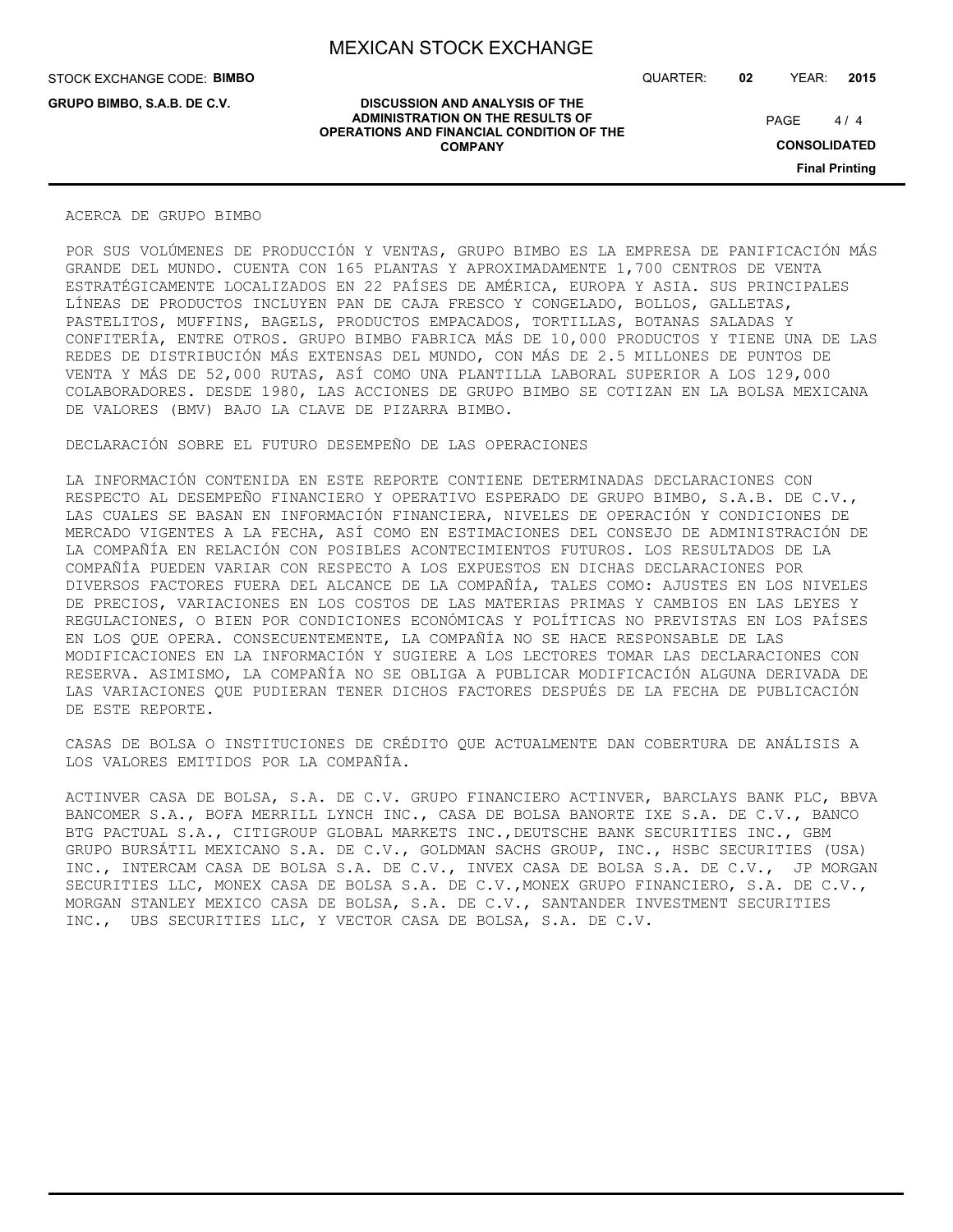STOCK EXCHANGE CODE: **BIMBO**

**GRUPO BIMBO, S.A.B. DE C.V.**

QUARTER: **02** YEAR: **2015**

 $4/4$ PAGE

**CONSOLIDATED**

**Final Printing**

#### ACERCA DE GRUPO BIMBO

POR SUS VOLÚMENES DE PRODUCCIÓN Y VENTAS, GRUPO BIMBO ES LA EMPRESA DE PANIFICACIÓN MÁS GRANDE DEL MUNDO. CUENTA CON 165 PLANTAS Y APROXIMADAMENTE 1,700 CENTROS DE VENTA ESTRATÉGICAMENTE LOCALIZADOS EN 22 PAÍSES DE AMÉRICA, EUROPA Y ASIA. SUS PRINCIPALES LÍNEAS DE PRODUCTOS INCLUYEN PAN DE CAJA FRESCO Y CONGELADO, BOLLOS, GALLETAS, PASTELITOS, MUFFINS, BAGELS, PRODUCTOS EMPACADOS, TORTILLAS, BOTANAS SALADAS Y CONFITERÍA, ENTRE OTROS. GRUPO BIMBO FABRICA MÁS DE 10,000 PRODUCTOS Y TIENE UNA DE LAS REDES DE DISTRIBUCIÓN MÁS EXTENSAS DEL MUNDO, CON MÁS DE 2.5 MILLONES DE PUNTOS DE VENTA Y MÁS DE 52,000 RUTAS, ASÍ COMO UNA PLANTILLA LABORAL SUPERIOR A LOS 129,000 COLABORADORES. DESDE 1980, LAS ACCIONES DE GRUPO BIMBO SE COTIZAN EN LA BOLSA MEXICANA DE VALORES (BMV) BAJO LA CLAVE DE PIZARRA BIMBO.

#### DECLARACIÓN SOBRE EL FUTURO DESEMPEÑO DE LAS OPERACIONES

LA INFORMACIÓN CONTENIDA EN ESTE REPORTE CONTIENE DETERMINADAS DECLARACIONES CON RESPECTO AL DESEMPEÑO FINANCIERO Y OPERATIVO ESPERADO DE GRUPO BIMBO, S.A.B. DE C.V., LAS CUALES SE BASAN EN INFORMACIÓN FINANCIERA, NIVELES DE OPERACIÓN Y CONDICIONES DE MERCADO VIGENTES A LA FECHA, ASÍ COMO EN ESTIMACIONES DEL CONSEJO DE ADMINISTRACIÓN DE LA COMPAÑÍA EN RELACIÓN CON POSIBLES ACONTECIMIENTOS FUTUROS. LOS RESULTADOS DE LA COMPAÑÍA PUEDEN VARIAR CON RESPECTO A LOS EXPUESTOS EN DICHAS DECLARACIONES POR DIVERSOS FACTORES FUERA DEL ALCANCE DE LA COMPAÑÍA, TALES COMO: AJUSTES EN LOS NIVELES DE PRECIOS, VARIACIONES EN LOS COSTOS DE LAS MATERIAS PRIMAS Y CAMBIOS EN LAS LEYES Y REGULACIONES, O BIEN POR CONDICIONES ECONÓMICAS Y POLÍTICAS NO PREVISTAS EN LOS PAÍSES EN LOS QUE OPERA. CONSECUENTEMENTE, LA COMPAÑÍA NO SE HACE RESPONSABLE DE LAS MODIFICACIONES EN LA INFORMACIÓN Y SUGIERE A LOS LECTORES TOMAR LAS DECLARACIONES CON RESERVA. ASIMISMO, LA COMPAÑÍA NO SE OBLIGA A PUBLICAR MODIFICACIÓN ALGUNA DERIVADA DE LAS VARIACIONES QUE PUDIERAN TENER DICHOS FACTORES DESPUÉS DE LA FECHA DE PUBLICACIÓN DE ESTE REPORTE.

CASAS DE BOLSA O INSTITUCIONES DE CRÉDITO QUE ACTUALMENTE DAN COBERTURA DE ANÁLISIS A LOS VALORES EMITIDOS POR LA COMPAÑÍA.

ACTINVER CASA DE BOLSA, S.A. DE C.V. GRUPO FINANCIERO ACTINVER, BARCLAYS BANK PLC, BBVA BANCOMER S.A., BOFA MERRILL LYNCH INC., CASA DE BOLSA BANORTE IXE S.A. DE C.V., BANCO BTG PACTUAL S.A., CITIGROUP GLOBAL MARKETS INC.,DEUTSCHE BANK SECURITIES INC., GBM GRUPO BURSÁTIL MEXICANO S.A. DE C.V., GOLDMAN SACHS GROUP, INC., HSBC SECURITIES (USA) INC., INTERCAM CASA DE BOLSA S.A. DE C.V., INVEX CASA DE BOLSA S.A. DE C.V., JP MORGAN SECURITIES LLC, MONEX CASA DE BOLSA S.A. DE C.V., MONEX GRUPO FINANCIERO, S.A. DE C.V., MORGAN STANLEY MEXICO CASA DE BOLSA, S.A. DE C.V., SANTANDER INVESTMENT SECURITIES INC., UBS SECURITIES LLC, Y VECTOR CASA DE BOLSA, S.A. DE C.V.

## **DISCUSSION AND ANALYSIS OF THE ADMINISTRATION ON THE RESULTS OF OPERATIONS AND FINANCIAL CONDITION OF THE COMPANY**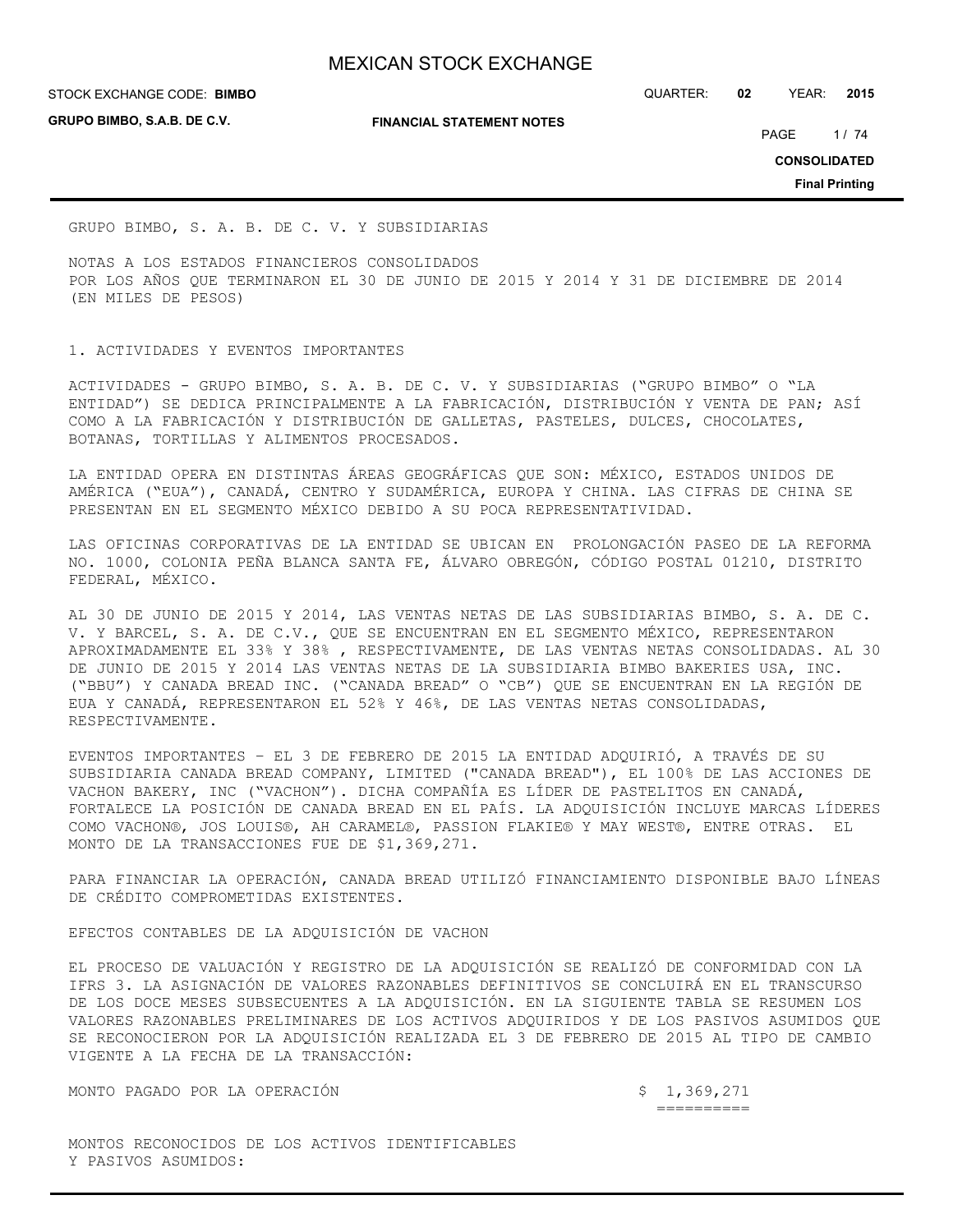**GRUPO BIMBO, S.A.B. DE C.V.**

**FINANCIAL STATEMENT NOTES**

STOCK EXCHANGE CODE: QUARTER: **02** YEAR: **2015 BIMBO**

PAGE 1/74

**CONSOLIDATED**

**Final Printing**

GRUPO BIMBO, S. A. B. DE C. V. Y SUBSIDIARIAS

NOTAS A LOS ESTADOS FINANCIEROS CONSOLIDADOS POR LOS AÑOS QUE TERMINARON EL 30 DE JUNIO DE 2015 Y 2014 Y 31 DE DICIEMBRE DE 2014 (EN MILES DE PESOS)

## 1. ACTIVIDADES Y EVENTOS IMPORTANTES

ACTIVIDADES - GRUPO BIMBO, S. A. B. DE C. V. Y SUBSIDIARIAS ("GRUPO BIMBO" O "LA ENTIDAD") SE DEDICA PRINCIPALMENTE A LA FABRICACIÓN, DISTRIBUCIÓN Y VENTA DE PAN; ASÍ COMO A LA FABRICACIÓN Y DISTRIBUCIÓN DE GALLETAS, PASTELES, DULCES, CHOCOLATES, BOTANAS, TORTILLAS Y ALIMENTOS PROCESADOS.

LA ENTIDAD OPERA EN DISTINTAS ÁREAS GEOGRÁFICAS QUE SON: MÉXICO, ESTADOS UNIDOS DE AMÉRICA ("EUA"), CANADÁ, CENTRO Y SUDAMÉRICA, EUROPA Y CHINA. LAS CIFRAS DE CHINA SE PRESENTAN EN EL SEGMENTO MÉXICO DEBIDO A SU POCA REPRESENTATIVIDAD.

LAS OFICINAS CORPORATIVAS DE LA ENTIDAD SE UBICAN EN PROLONGACIÓN PASEO DE LA REFORMA NO. 1000, COLONIA PEÑA BLANCA SANTA FE, ÁLVARO OBREGÓN, CÓDIGO POSTAL 01210, DISTRITO FEDERAL, MÉXICO.

AL 30 DE JUNIO DE 2015 Y 2014, LAS VENTAS NETAS DE LAS SUBSIDIARIAS BIMBO, S. A. DE C. V. Y BARCEL, S. A. DE C.V., QUE SE ENCUENTRAN EN EL SEGMENTO MÉXICO, REPRESENTARON APROXIMADAMENTE EL 33% Y 38% , RESPECTIVAMENTE, DE LAS VENTAS NETAS CONSOLIDADAS. AL 30 DE JUNIO DE 2015 Y 2014 LAS VENTAS NETAS DE LA SUBSIDIARIA BIMBO BAKERIES USA, INC. ("BBU") Y CANADA BREAD INC. ("CANADA BREAD" O "CB") QUE SE ENCUENTRAN EN LA REGIÓN DE EUA Y CANADÁ, REPRESENTARON EL 52% Y 46%, DE LAS VENTAS NETAS CONSOLIDADAS, RESPECTIVAMENTE.

EVENTOS IMPORTANTES – EL 3 DE FEBRERO DE 2015 LA ENTIDAD ADQUIRIÓ, A TRAVÉS DE SU SUBSIDIARIA CANADA BREAD COMPANY, LIMITED ("CANADA BREAD"), EL 100% DE LAS ACCIONES DE VACHON BAKERY, INC ("VACHON"). DICHA COMPAÑÍA ES LÍDER DE PASTELITOS EN CANADÁ, FORTALECE LA POSICIÓN DE CANADA BREAD EN EL PAÍS. LA ADQUISICIÓN INCLUYE MARCAS LÍDERES COMO VACHON®, JOS LOUIS®, AH CARAMEL®, PASSION FLAKIE® Y MAY WEST®, ENTRE OTRAS. EL MONTO DE LA TRANSACCIONES FUE DE \$1,369,271.

PARA FINANCIAR LA OPERACIÓN, CANADA BREAD UTILIZÓ FINANCIAMIENTO DISPONIBLE BAJO LÍNEAS DE CRÉDITO COMPROMETIDAS EXISTENTES.

EFECTOS CONTABLES DE LA ADQUISICIÓN DE VACHON

EL PROCESO DE VALUACIÓN Y REGISTRO DE LA ADQUISICIÓN SE REALIZÓ DE CONFORMIDAD CON LA IFRS 3. LA ASIGNACIÓN DE VALORES RAZONABLES DEFINITIVOS SE CONCLUIRÁ EN EL TRANSCURSO DE LOS DOCE MESES SUBSECUENTES A LA ADQUISICIÓN. EN LA SIGUIENTE TABLA SE RESUMEN LOS VALORES RAZONABLES PRELIMINARES DE LOS ACTIVOS ADQUIRIDOS Y DE LOS PASIVOS ASUMIDOS QUE SE RECONOCIERON POR LA ADQUISICIÓN REALIZADA EL 3 DE FEBRERO DE 2015 AL TIPO DE CAMBIO VIGENTE A LA FECHA DE LA TRANSACCIÓN:

MONTO PAGADO POR LA OPERACIÓN  $\zeta$  1,369,271

==========

MONTOS RECONOCIDOS DE LOS ACTIVOS IDENTIFICABLES Y PASIVOS ASUMIDOS: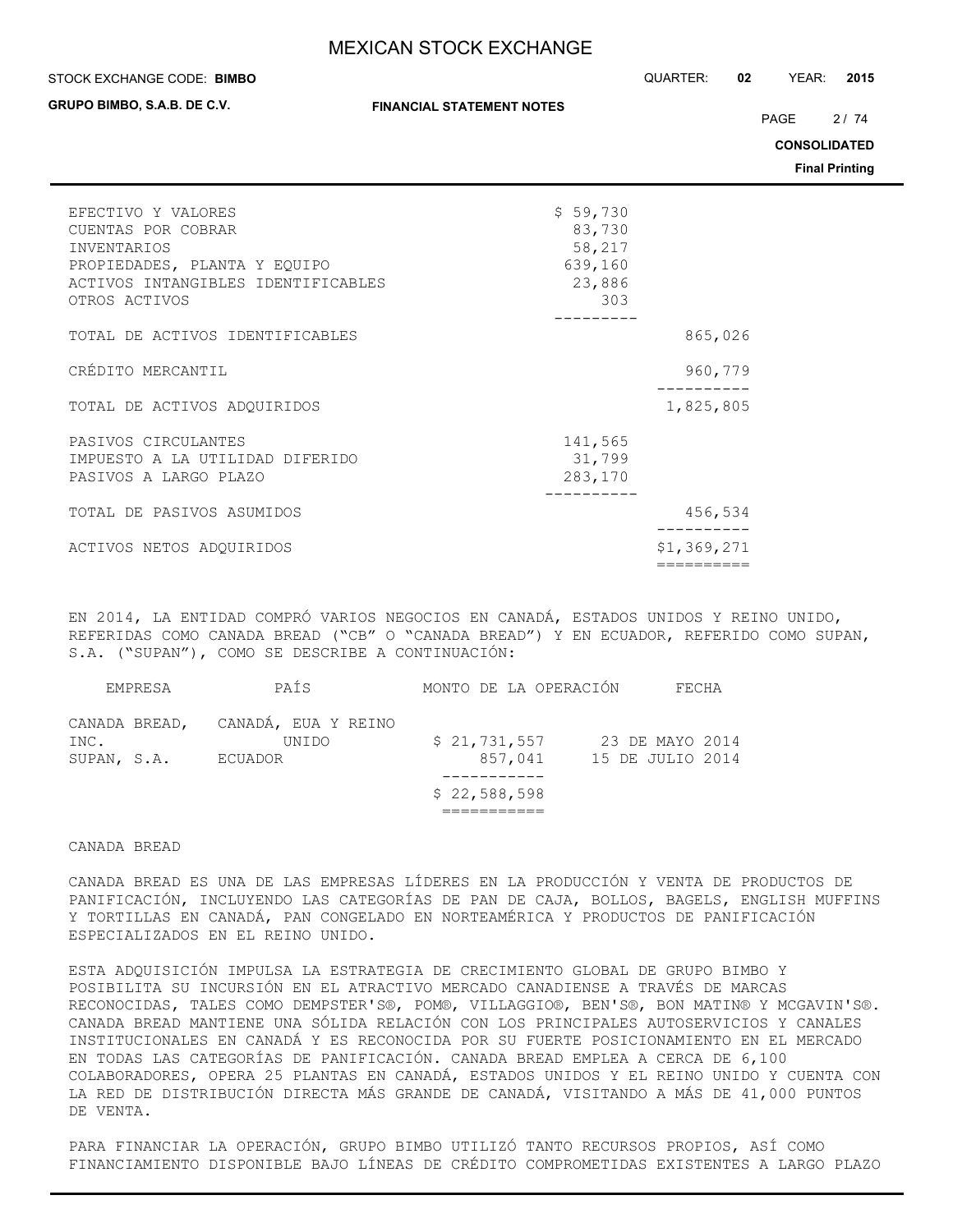#### **STOCK EXCHANGE CODE: BIMBO**

**GRUPO BIMBO, S.A.B. DE C.V.**

STOCK EXCHANGE CODE: QUARTER: **02** YEAR: **2015**

PAGE 2/74

**CONSOLIDATED**

**Final Printing**

| EFECTIVO Y VALORES<br>CUENTAS POR COBRAR<br><b>INVENTARIOS</b><br>PROPIEDADES, PLANTA Y EOUIPO<br>ACTIVOS INTANGIBLES IDENTIFICABLES<br>OTROS ACTIVOS | \$59,730<br>83,730<br>58,217<br>639,160<br>23,886<br>303 |                           |
|-------------------------------------------------------------------------------------------------------------------------------------------------------|----------------------------------------------------------|---------------------------|
| TOTAL DE ACTIVOS IDENTIFICABLES                                                                                                                       |                                                          | 865,026                   |
| CRÉDITO MERCANTIL                                                                                                                                     |                                                          | 960,779                   |
| TOTAL DE ACTIVOS ADQUIRIDOS                                                                                                                           |                                                          | 1,825,805                 |
| PASIVOS CIRCULANTES<br>IMPUESTO A LA UTILIDAD DIFERIDO<br>PASIVOS A LARGO PLAZO                                                                       | 141,565<br>31,799<br>283,170                             |                           |
| TOTAL DE PASIVOS ASUMIDOS                                                                                                                             |                                                          | 456,534                   |
| ACTIVOS NETOS ADQUIRIDOS                                                                                                                              |                                                          | \$1,369,271<br>========== |
|                                                                                                                                                       |                                                          |                           |

EN 2014, LA ENTIDAD COMPRÓ VARIOS NEGOCIOS EN CANADÁ, ESTADOS UNIDOS Y REINO UNIDO, REFERIDAS COMO CANADA BREAD ("CB" O "CANADA BREAD") Y EN ECUADOR, REFERIDO COMO SUPAN, S.A. ("SUPAN"), COMO SE DESCRIBE A CONTINUACIÓN:

|                     | EMPRESA | PAÍS                                                  |              |         | MONTO DE LA OPERACIÓN |                                     | FECHA |  |
|---------------------|---------|-------------------------------------------------------|--------------|---------|-----------------------|-------------------------------------|-------|--|
| INC.<br>SUPAN, S.A. |         | CANADA BREAD, CANADÁ, EUA Y REINO<br>UNIDO<br>ECUADOR | \$21,731,557 | 857,041 |                       | 23 DE MAYO 2014<br>15 DE JULIO 2014 |       |  |
|                     |         |                                                       |              |         |                       |                                     |       |  |
|                     |         |                                                       | \$22,588,598 |         |                       |                                     |       |  |
|                     |         |                                                       |              |         |                       |                                     |       |  |

#### CANADA BREAD

CANADA BREAD ES UNA DE LAS EMPRESAS LÍDERES EN LA PRODUCCIÓN Y VENTA DE PRODUCTOS DE PANIFICACIÓN, INCLUYENDO LAS CATEGORÍAS DE PAN DE CAJA, BOLLOS, BAGELS, ENGLISH MUFFINS Y TORTILLAS EN CANADÁ, PAN CONGELADO EN NORTEAMÉRICA Y PRODUCTOS DE PANIFICACIÓN ESPECIALIZADOS EN EL REINO UNIDO.

ESTA ADQUISICIÓN IMPULSA LA ESTRATEGIA DE CRECIMIENTO GLOBAL DE GRUPO BIMBO Y POSIBILITA SU INCURSIÓN EN EL ATRACTIVO MERCADO CANADIENSE A TRAVÉS DE MARCAS RECONOCIDAS, TALES COMO DEMPSTER'S®, POM®, VILLAGGIO®, BEN'S®, BON MATIN® Y MCGAVIN'S®. CANADA BREAD MANTIENE UNA SÓLIDA RELACIÓN CON LOS PRINCIPALES AUTOSERVICIOS Y CANALES INSTITUCIONALES EN CANADÁ Y ES RECONOCIDA POR SU FUERTE POSICIONAMIENTO EN EL MERCADO EN TODAS LAS CATEGORÍAS DE PANIFICACIÓN. CANADA BREAD EMPLEA A CERCA DE 6,100 COLABORADORES, OPERA 25 PLANTAS EN CANADÁ, ESTADOS UNIDOS Y EL REINO UNIDO Y CUENTA CON LA RED DE DISTRIBUCIÓN DIRECTA MÁS GRANDE DE CANADÁ, VISITANDO A MÁS DE 41,000 PUNTOS DE VENTA.

PARA FINANCIAR LA OPERACIÓN, GRUPO BIMBO UTILIZÓ TANTO RECURSOS PROPIOS, ASÍ COMO FINANCIAMIENTO DISPONIBLE BAJO LÍNEAS DE CRÉDITO COMPROMETIDAS EXISTENTES A LARGO PLAZO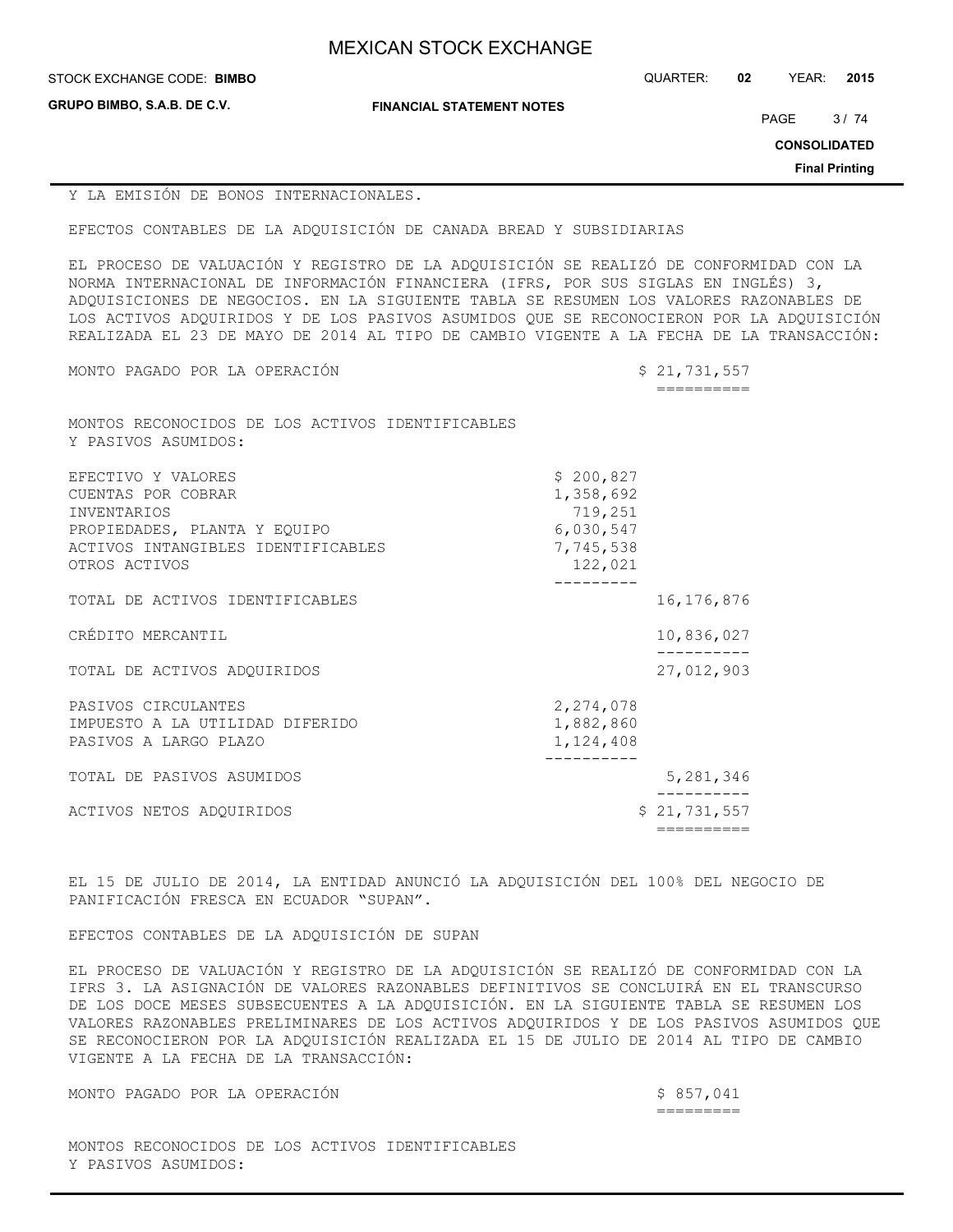| <b>MEXICAN STOCK EXCHANGE</b> |  |
|-------------------------------|--|
|-------------------------------|--|

STOCK EXCHANGE CODE: QUARTER: **02** YEAR: **2015 BIMBO**

**GRUPO BIMBO, S.A.B. DE C.V.**

**FINANCIAL STATEMENT NOTES**

PAGE 3/74

**CONSOLIDATED**

**Final Printing**

#### Y LA EMISIÓN DE BONOS INTERNACIONALES.

EFECTOS CONTABLES DE LA ADQUISICIÓN DE CANADA BREAD Y SUBSIDIARIAS

EL PROCESO DE VALUACIÓN Y REGISTRO DE LA ADQUISICIÓN SE REALIZÓ DE CONFORMIDAD CON LA NORMA INTERNACIONAL DE INFORMACIÓN FINANCIERA (IFRS, POR SUS SIGLAS EN INGLÉS) 3, ADQUISICIONES DE NEGOCIOS. EN LA SIGUIENTE TABLA SE RESUMEN LOS VALORES RAZONABLES DE LOS ACTIVOS ADQUIRIDOS Y DE LOS PASIVOS ASUMIDOS QUE SE RECONOCIERON POR LA ADQUISICIÓN REALIZADA EL 23 DE MAYO DE 2014 AL TIPO DE CAMBIO VIGENTE A LA FECHA DE LA TRANSACCIÓN:

MONTO PAGADO POR LA OPERACIÓN  $$21,731,557$ 

==========

MONTOS RECONOCIDOS DE LOS ACTIVOS IDENTIFICABLES Y PASIVOS ASUMIDOS:

| ACTIVOS NETOS ADQUIRIDOS                                                                                                                              |                                                                        | \$21,731,557 |
|-------------------------------------------------------------------------------------------------------------------------------------------------------|------------------------------------------------------------------------|--------------|
| TOTAL DE PASIVOS ASUMIDOS                                                                                                                             |                                                                        | 5,281,346    |
| PASIVOS CIRCULANTES<br>IMPUESTO A LA UTILIDAD DIFERIDO<br>PASIVOS A LARGO PLAZO                                                                       | 2,274,078<br>1,882,860<br>1,124,408                                    |              |
| TOTAL DE ACTIVOS ADOUIRIDOS                                                                                                                           |                                                                        | 27,012,903   |
| CRÉDITO MERCANTIL                                                                                                                                     |                                                                        | 10,836,027   |
| TOTAL DE ACTIVOS IDENTIFICABLES                                                                                                                       |                                                                        | 16,176,876   |
| EFECTIVO Y VALORES<br>CUENTAS POR COBRAR<br><b>INVENTARIOS</b><br>PROPIEDADES, PLANTA Y EQUIPO<br>ACTIVOS INTANGIBLES IDENTIFICABLES<br>OTROS ACTIVOS | \$200,827<br>1,358,692<br>719,251<br>6,030,547<br>7,745,538<br>122,021 |              |

EL 15 DE JULIO DE 2014, LA ENTIDAD ANUNCIÓ LA ADQUISICIÓN DEL 100% DEL NEGOCIO DE PANIFICACIÓN FRESCA EN ECUADOR "SUPAN".

EFECTOS CONTABLES DE LA ADQUISICIÓN DE SUPAN

EL PROCESO DE VALUACIÓN Y REGISTRO DE LA ADQUISICIÓN SE REALIZÓ DE CONFORMIDAD CON LA IFRS 3. LA ASIGNACIÓN DE VALORES RAZONABLES DEFINITIVOS SE CONCLUIRÁ EN EL TRANSCURSO DE LOS DOCE MESES SUBSECUENTES A LA ADQUISICIÓN. EN LA SIGUIENTE TABLA SE RESUMEN LOS VALORES RAZONABLES PRELIMINARES DE LOS ACTIVOS ADQUIRIDOS Y DE LOS PASIVOS ASUMIDOS QUE SE RECONOCIERON POR LA ADQUISICIÓN REALIZADA EL 15 DE JULIO DE 2014 AL TIPO DE CAMBIO VIGENTE A LA FECHA DE LA TRANSACCIÓN:

MONTO PAGADO POR LA OPERACIÓN \$ 857,041

=========

MONTOS RECONOCIDOS DE LOS ACTIVOS IDENTIFICABLES Y PASIVOS ASUMIDOS: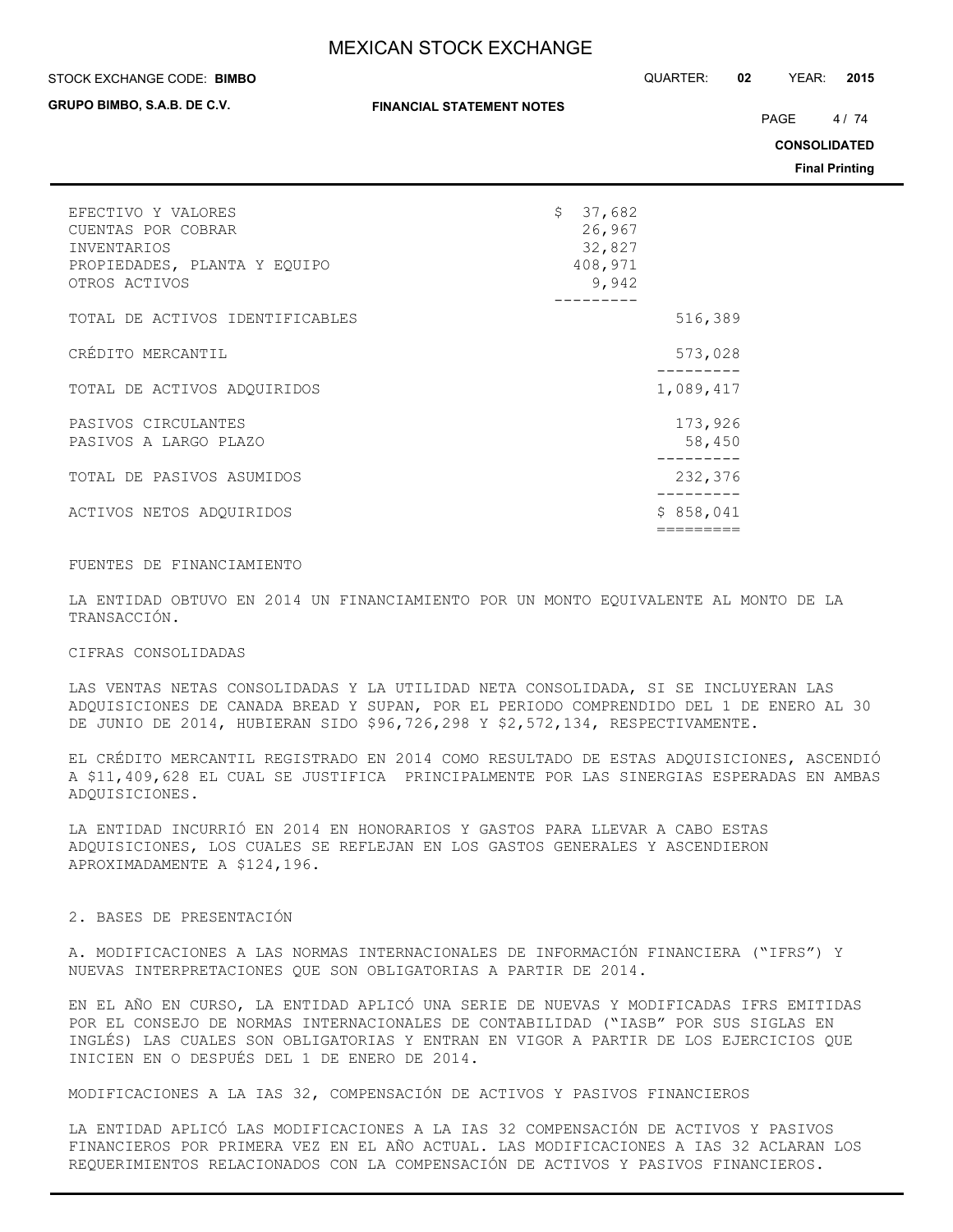#### STOCK EXCHANGE CODE: QUARTER: **02** YEAR: **2015 BIMBO**

**GRUPO BIMBO, S.A.B. DE C.V.**

PAGE 4/74

**CONSOLIDATED**

**Final Printing**

| EFECTIVO Y VALORES<br>CUENTAS POR COBRAR<br><b>INVENTARIOS</b><br>PROPIEDADES, PLANTA Y EQUIPO<br>OTROS ACTIVOS | \$37,682<br>26,967<br>32,827<br>408,971<br>9,942 |                   |
|-----------------------------------------------------------------------------------------------------------------|--------------------------------------------------|-------------------|
| TOTAL DE ACTIVOS IDENTIFICABLES                                                                                 |                                                  | 516,389           |
| CRÉDITO MERCANTIL                                                                                               |                                                  | 573,028           |
| TOTAL DE ACTIVOS ADOUIRIDOS                                                                                     |                                                  | 1,089,417         |
| PASIVOS CIRCULANTES<br>PASIVOS A LARGO PLAZO                                                                    |                                                  | 173,926<br>58,450 |
| TOTAL DE PASIVOS ASUMIDOS                                                                                       |                                                  | 232,376           |
| ACTIVOS NETOS ADOUIRIDOS                                                                                        |                                                  | \$858,041         |
|                                                                                                                 |                                                  |                   |

## FUENTES DE FINANCIAMIENTO

LA ENTIDAD OBTUVO EN 2014 UN FINANCIAMIENTO POR UN MONTO EQUIVALENTE AL MONTO DE LA TRANSACCIÓN.

#### CIFRAS CONSOLIDADAS

LAS VENTAS NETAS CONSOLIDADAS Y LA UTILIDAD NETA CONSOLIDADA, SI SE INCLUYERAN LAS ADQUISICIONES DE CANADA BREAD Y SUPAN, POR EL PERIODO COMPRENDIDO DEL 1 DE ENERO AL 30 DE JUNIO DE 2014, HUBIERAN SIDO \$96,726,298 Y \$2,572,134, RESPECTIVAMENTE.

EL CRÉDITO MERCANTIL REGISTRADO EN 2014 COMO RESULTADO DE ESTAS ADQUISICIONES, ASCENDIÓ A \$11,409,628 EL CUAL SE JUSTIFICA PRINCIPALMENTE POR LAS SINERGIAS ESPERADAS EN AMBAS ADQUISICIONES.

LA ENTIDAD INCURRIÓ EN 2014 EN HONORARIOS Y GASTOS PARA LLEVAR A CABO ESTAS ADQUISICIONES, LOS CUALES SE REFLEJAN EN LOS GASTOS GENERALES Y ASCENDIERON APROXIMADAMENTE A \$124,196.

### 2. BASES DE PRESENTACIÓN

A. MODIFICACIONES A LAS NORMAS INTERNACIONALES DE INFORMACIÓN FINANCIERA ("IFRS") Y NUEVAS INTERPRETACIONES QUE SON OBLIGATORIAS A PARTIR DE 2014.

EN EL AÑO EN CURSO, LA ENTIDAD APLICÓ UNA SERIE DE NUEVAS Y MODIFICADAS IFRS EMITIDAS POR EL CONSEJO DE NORMAS INTERNACIONALES DE CONTABILIDAD ("IASB" POR SUS SIGLAS EN INGLÉS) LAS CUALES SON OBLIGATORIAS Y ENTRAN EN VIGOR A PARTIR DE LOS EJERCICIOS QUE INICIEN EN O DESPUÉS DEL 1 DE ENERO DE 2014.

MODIFICACIONES A LA IAS 32, COMPENSACIÓN DE ACTIVOS Y PASIVOS FINANCIEROS

LA ENTIDAD APLICÓ LAS MODIFICACIONES A LA IAS 32 COMPENSACIÓN DE ACTIVOS Y PASIVOS FINANCIEROS POR PRIMERA VEZ EN EL AÑO ACTUAL. LAS MODIFICACIONES A IAS 32 ACLARAN LOS REQUERIMIENTOS RELACIONADOS CON LA COMPENSACIÓN DE ACTIVOS Y PASIVOS FINANCIEROS.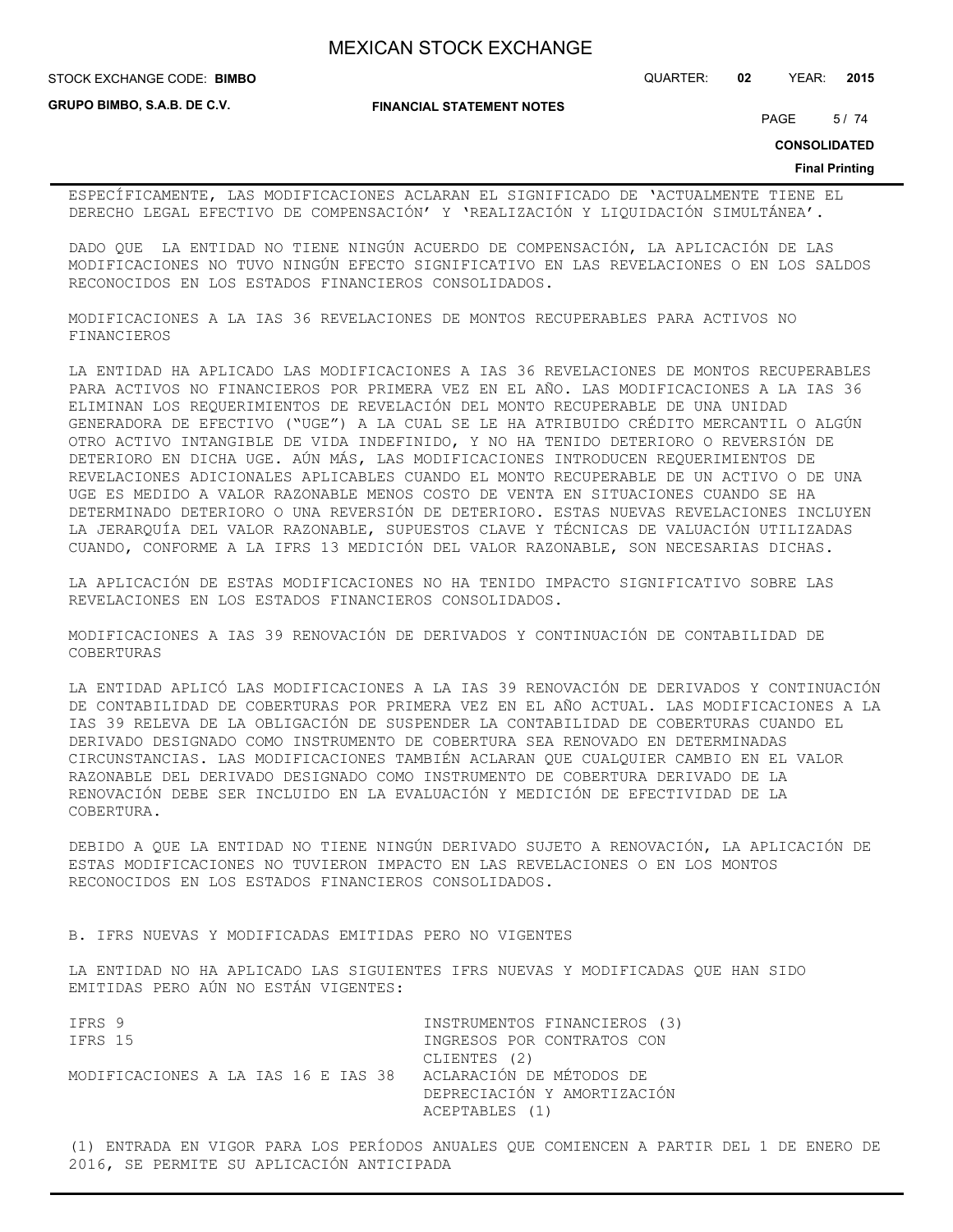STOCK EXCHANGE CODE: QUARTER: **02** YEAR: **2015 BIMBO**

**GRUPO BIMBO, S.A.B. DE C.V.**

**FINANCIAL STATEMENT NOTES**

PAGE 5/74

**CONSOLIDATED**

## **Final Printing**

ESPECÍFICAMENTE, LAS MODIFICACIONES ACLARAN EL SIGNIFICADO DE 'ACTUALMENTE TIENE EL DERECHO LEGAL EFECTIVO DE COMPENSACIÓN' Y 'REALIZACIÓN Y LIQUIDACIÓN SIMULTÁNEA'.

DADO QUE LA ENTIDAD NO TIENE NINGÚN ACUERDO DE COMPENSACIÓN, LA APLICACIÓN DE LAS MODIFICACIONES NO TUVO NINGÚN EFECTO SIGNIFICATIVO EN LAS REVELACIONES O EN LOS SALDOS RECONOCIDOS EN LOS ESTADOS FINANCIEROS CONSOLIDADOS.

MODIFICACIONES A LA IAS 36 REVELACIONES DE MONTOS RECUPERABLES PARA ACTIVOS NO FINANCIEROS

LA ENTIDAD HA APLICADO LAS MODIFICACIONES A IAS 36 REVELACIONES DE MONTOS RECUPERABLES PARA ACTIVOS NO FINANCIEROS POR PRIMERA VEZ EN EL AÑO. LAS MODIFICACIONES A LA IAS 36 ELIMINAN LOS REQUERIMIENTOS DE REVELACIÓN DEL MONTO RECUPERABLE DE UNA UNIDAD GENERADORA DE EFECTIVO ("UGE") A LA CUAL SE LE HA ATRIBUIDO CRÉDITO MERCANTIL O ALGÚN OTRO ACTIVO INTANGIBLE DE VIDA INDEFINIDO, Y NO HA TENIDO DETERIORO O REVERSIÓN DE DETERIORO EN DICHA UGE. AÚN MÁS, LAS MODIFICACIONES INTRODUCEN REQUERIMIENTOS DE REVELACIONES ADICIONALES APLICABLES CUANDO EL MONTO RECUPERABLE DE UN ACTIVO O DE UNA UGE ES MEDIDO A VALOR RAZONABLE MENOS COSTO DE VENTA EN SITUACIONES CUANDO SE HA DETERMINADO DETERIORO O UNA REVERSIÓN DE DETERIORO. ESTAS NUEVAS REVELACIONES INCLUYEN LA JERARQUÍA DEL VALOR RAZONABLE, SUPUESTOS CLAVE Y TÉCNICAS DE VALUACIÓN UTILIZADAS CUANDO, CONFORME A LA IFRS 13 MEDICIÓN DEL VALOR RAZONABLE, SON NECESARIAS DICHAS.

LA APLICACIÓN DE ESTAS MODIFICACIONES NO HA TENIDO IMPACTO SIGNIFICATIVO SOBRE LAS REVELACIONES EN LOS ESTADOS FINANCIEROS CONSOLIDADOS.

MODIFICACIONES A IAS 39 RENOVACIÓN DE DERIVADOS Y CONTINUACIÓN DE CONTABILIDAD DE COBERTURAS

LA ENTIDAD APLICÓ LAS MODIFICACIONES A LA IAS 39 RENOVACIÓN DE DERIVADOS Y CONTINUACIÓN DE CONTABILIDAD DE COBERTURAS POR PRIMERA VEZ EN EL AÑO ACTUAL. LAS MODIFICACIONES A LA IAS 39 RELEVA DE LA OBLIGACIÓN DE SUSPENDER LA CONTABILIDAD DE COBERTURAS CUANDO EL DERIVADO DESIGNADO COMO INSTRUMENTO DE COBERTURA SEA RENOVADO EN DETERMINADAS CIRCUNSTANCIAS. LAS MODIFICACIONES TAMBIÉN ACLARAN QUE CUALQUIER CAMBIO EN EL VALOR RAZONABLE DEL DERIVADO DESIGNADO COMO INSTRUMENTO DE COBERTURA DERIVADO DE LA RENOVACIÓN DEBE SER INCLUIDO EN LA EVALUACIÓN Y MEDICIÓN DE EFECTIVIDAD DE LA COBERTURA.

DEBIDO A QUE LA ENTIDAD NO TIENE NINGÚN DERIVADO SUJETO A RENOVACIÓN, LA APLICACIÓN DE ESTAS MODIFICACIONES NO TUVIERON IMPACTO EN LAS REVELACIONES O EN LOS MONTOS RECONOCIDOS EN LOS ESTADOS FINANCIEROS CONSOLIDADOS.

B. IFRS NUEVAS Y MODIFICADAS EMITIDAS PERO NO VIGENTES

LA ENTIDAD NO HA APLICADO LAS SIGUIENTES IFRS NUEVAS Y MODIFICADAS QUE HAN SIDO EMITIDAS PERO AÚN NO ESTÁN VIGENTES:

| TFRS 9<br>IFRS 15                   | INSTRUMENTOS FINANCIEROS (3)<br>INGRESOS POR CONTRATOS CON |
|-------------------------------------|------------------------------------------------------------|
|                                     | CLIENTES (2)                                               |
| MODIFICACIONES A LA IAS 16 E IAS 38 | ACLARACIÓN DE MÉTODOS DE                                   |
|                                     | DEPRECIACIÓN Y AMORTIZACIÓN                                |
|                                     | ACEPTABLES (1)                                             |

(1) ENTRADA EN VIGOR PARA LOS PERÍODOS ANUALES QUE COMIENCEN A PARTIR DEL 1 DE ENERO DE 2016, SE PERMITE SU APLICACIÓN ANTICIPADA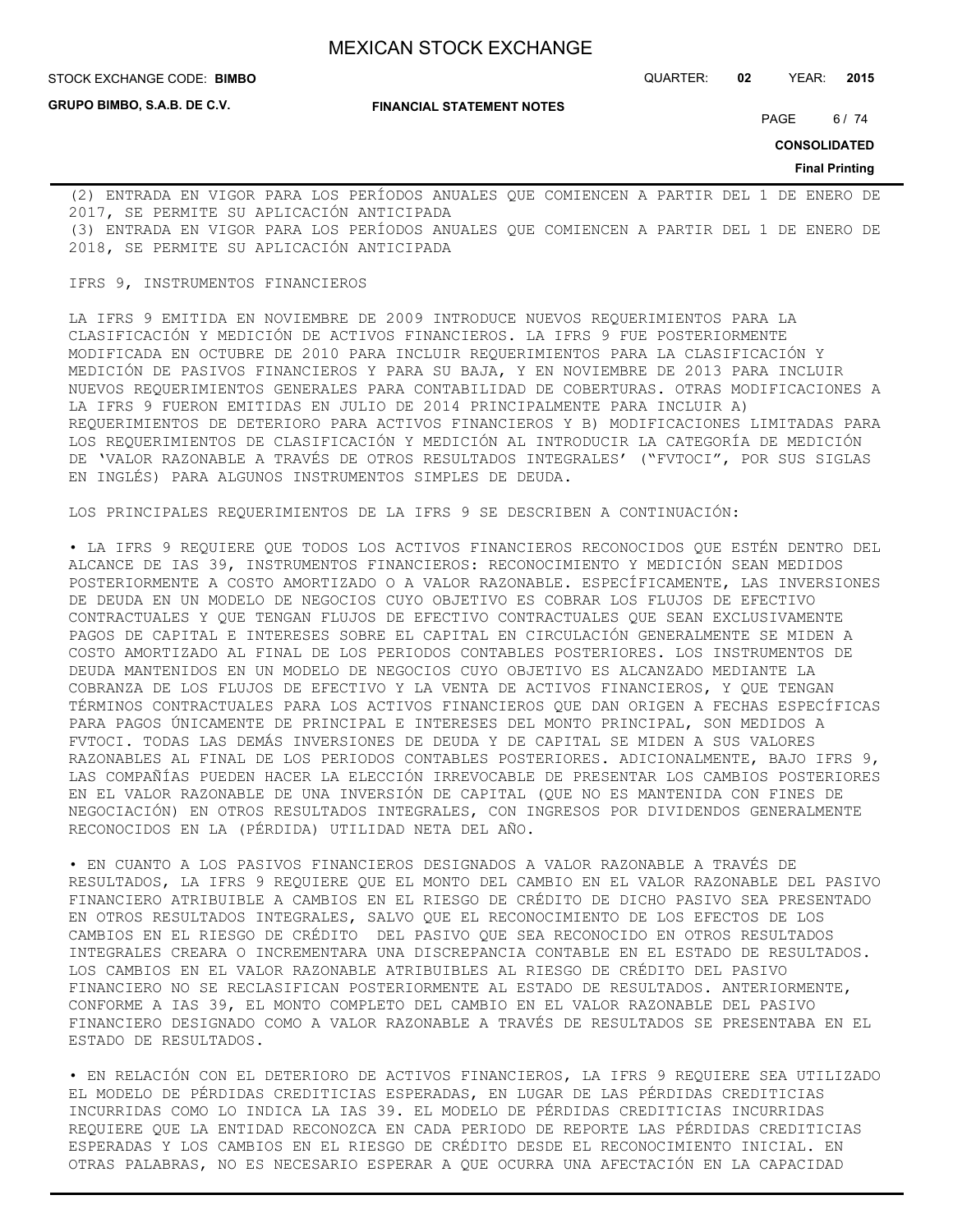**GRUPO BIMBO, S.A.B. DE C.V.**

**FINANCIAL STATEMENT NOTES**

STOCK EXCHANGE CODE: QUARTER: **02** YEAR: **2015 BIMBO**

PAGE 6/74

**CONSOLIDATED**

**Final Printing**

(2) ENTRADA EN VIGOR PARA LOS PERÍODOS ANUALES QUE COMIENCEN A PARTIR DEL 1 DE ENERO DE 2017, SE PERMITE SU APLICACIÓN ANTICIPADA (3) ENTRADA EN VIGOR PARA LOS PERÍODOS ANUALES QUE COMIENCEN A PARTIR DEL 1 DE ENERO DE 2018, SE PERMITE SU APLICACIÓN ANTICIPADA

## IFRS 9, INSTRUMENTOS FINANCIEROS

LA IFRS 9 EMITIDA EN NOVIEMBRE DE 2009 INTRODUCE NUEVOS REQUERIMIENTOS PARA LA CLASIFICACIÓN Y MEDICIÓN DE ACTIVOS FINANCIEROS. LA IFRS 9 FUE POSTERIORMENTE MODIFICADA EN OCTUBRE DE 2010 PARA INCLUIR REQUERIMIENTOS PARA LA CLASIFICACIÓN Y MEDICIÓN DE PASIVOS FINANCIEROS Y PARA SU BAJA, Y EN NOVIEMBRE DE 2013 PARA INCLUIR NUEVOS REQUERIMIENTOS GENERALES PARA CONTABILIDAD DE COBERTURAS. OTRAS MODIFICACIONES A LA IFRS 9 FUERON EMITIDAS EN JULIO DE 2014 PRINCIPALMENTE PARA INCLUIR A) REQUERIMIENTOS DE DETERIORO PARA ACTIVOS FINANCIEROS Y B) MODIFICACIONES LIMITADAS PARA LOS REQUERIMIENTOS DE CLASIFICACIÓN Y MEDICIÓN AL INTRODUCIR LA CATEGORÍA DE MEDICIÓN DE 'VALOR RAZONABLE A TRAVÉS DE OTROS RESULTADOS INTEGRALES' ("FVTOCI", POR SUS SIGLAS EN INGLÉS) PARA ALGUNOS INSTRUMENTOS SIMPLES DE DEUDA.

LOS PRINCIPALES REQUERIMIENTOS DE LA IFRS 9 SE DESCRIBEN A CONTINUACIÓN:

• LA IFRS 9 REQUIERE QUE TODOS LOS ACTIVOS FINANCIEROS RECONOCIDOS QUE ESTÉN DENTRO DEL ALCANCE DE IAS 39, INSTRUMENTOS FINANCIEROS: RECONOCIMIENTO Y MEDICIÓN SEAN MEDIDOS POSTERIORMENTE A COSTO AMORTIZADO O A VALOR RAZONABLE. ESPECÍFICAMENTE, LAS INVERSIONES DE DEUDA EN UN MODELO DE NEGOCIOS CUYO OBJETIVO ES COBRAR LOS FLUJOS DE EFECTIVO CONTRACTUALES Y QUE TENGAN FLUJOS DE EFECTIVO CONTRACTUALES QUE SEAN EXCLUSIVAMENTE PAGOS DE CAPITAL E INTERESES SOBRE EL CAPITAL EN CIRCULACIÓN GENERALMENTE SE MIDEN A COSTO AMORTIZADO AL FINAL DE LOS PERIODOS CONTABLES POSTERIORES. LOS INSTRUMENTOS DE DEUDA MANTENIDOS EN UN MODELO DE NEGOCIOS CUYO OBJETIVO ES ALCANZADO MEDIANTE LA COBRANZA DE LOS FLUJOS DE EFECTIVO Y LA VENTA DE ACTIVOS FINANCIEROS, Y QUE TENGAN TÉRMINOS CONTRACTUALES PARA LOS ACTIVOS FINANCIEROS QUE DAN ORIGEN A FECHAS ESPECÍFICAS PARA PAGOS ÚNICAMENTE DE PRINCIPAL E INTERESES DEL MONTO PRINCIPAL, SON MEDIDOS A FVTOCI. TODAS LAS DEMÁS INVERSIONES DE DEUDA Y DE CAPITAL SE MIDEN A SUS VALORES RAZONABLES AL FINAL DE LOS PERIODOS CONTABLES POSTERIORES. ADICIONALMENTE, BAJO IFRS 9, LAS COMPAÑÍAS PUEDEN HACER LA ELECCIÓN IRREVOCABLE DE PRESENTAR LOS CAMBIOS POSTERIORES EN EL VALOR RAZONABLE DE UNA INVERSIÓN DE CAPITAL (QUE NO ES MANTENIDA CON FINES DE NEGOCIACIÓN) EN OTROS RESULTADOS INTEGRALES, CON INGRESOS POR DIVIDENDOS GENERALMENTE RECONOCIDOS EN LA (PÉRDIDA) UTILIDAD NETA DEL AÑO.

• EN CUANTO A LOS PASIVOS FINANCIEROS DESIGNADOS A VALOR RAZONABLE A TRAVÉS DE RESULTADOS, LA IFRS 9 REQUIERE QUE EL MONTO DEL CAMBIO EN EL VALOR RAZONABLE DEL PASIVO FINANCIERO ATRIBUIBLE A CAMBIOS EN EL RIESGO DE CRÉDITO DE DICHO PASIVO SEA PRESENTADO EN OTROS RESULTADOS INTEGRALES, SALVO QUE EL RECONOCIMIENTO DE LOS EFECTOS DE LOS CAMBIOS EN EL RIESGO DE CRÉDITO DEL PASIVO QUE SEA RECONOCIDO EN OTROS RESULTADOS INTEGRALES CREARA O INCREMENTARA UNA DISCREPANCIA CONTABLE EN EL ESTADO DE RESULTADOS. LOS CAMBIOS EN EL VALOR RAZONABLE ATRIBUIBLES AL RIESGO DE CRÉDITO DEL PASIVO FINANCIERO NO SE RECLASIFICAN POSTERIORMENTE AL ESTADO DE RESULTADOS. ANTERIORMENTE, CONFORME A IAS 39, EL MONTO COMPLETO DEL CAMBIO EN EL VALOR RAZONABLE DEL PASIVO FINANCIERO DESIGNADO COMO A VALOR RAZONABLE A TRAVÉS DE RESULTADOS SE PRESENTABA EN EL ESTADO DE RESULTADOS.

• EN RELACIÓN CON EL DETERIORO DE ACTIVOS FINANCIEROS, LA IFRS 9 REQUIERE SEA UTILIZADO EL MODELO DE PÉRDIDAS CREDITICIAS ESPERADAS, EN LUGAR DE LAS PÉRDIDAS CREDITICIAS INCURRIDAS COMO LO INDICA LA IAS 39. EL MODELO DE PÉRDIDAS CREDITICIAS INCURRIDAS REQUIERE QUE LA ENTIDAD RECONOZCA EN CADA PERIODO DE REPORTE LAS PÉRDIDAS CREDITICIAS ESPERADAS Y LOS CAMBIOS EN EL RIESGO DE CRÉDITO DESDE EL RECONOCIMIENTO INICIAL. EN OTRAS PALABRAS, NO ES NECESARIO ESPERAR A QUE OCURRA UNA AFECTACIÓN EN LA CAPACIDAD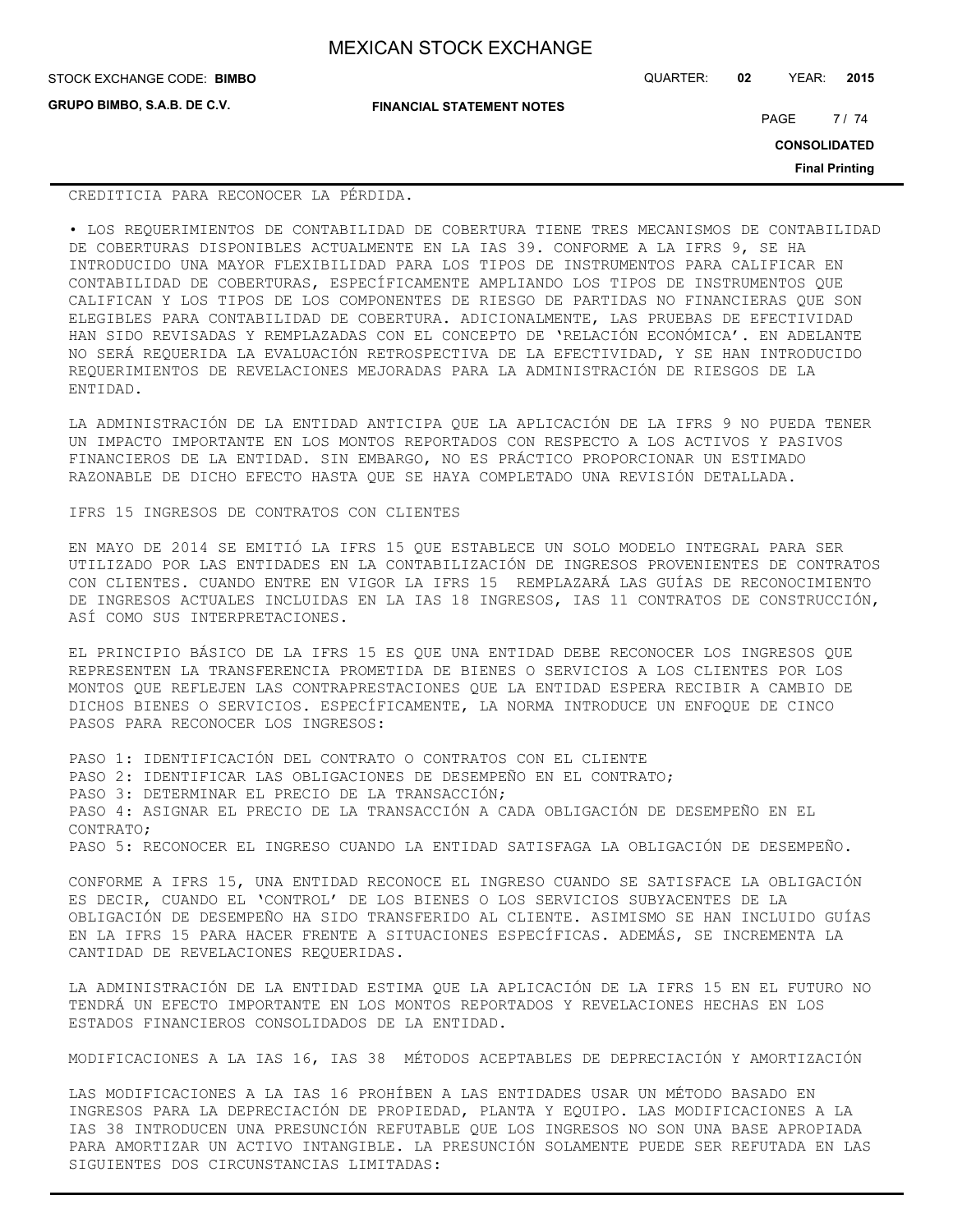| <b>MEXICAN STOCK EXCHANGE</b> |  |  |  |
|-------------------------------|--|--|--|
|-------------------------------|--|--|--|

| STOCK EXCHANGE CODE: BIMBO |  |
|----------------------------|--|
|----------------------------|--|

**GRUPO BIMBO, S.A.B. DE C.V.**

STOCK EXCHANGE CODE: QUARTER: **02** YEAR: **2015**

**FINANCIAL STATEMENT NOTES**

PAGE 7/74

**CONSOLIDATED**

**Final Printing**

#### CREDITICIA PARA RECONOCER LA PÉRDIDA.

• LOS REQUERIMIENTOS DE CONTABILIDAD DE COBERTURA TIENE TRES MECANISMOS DE CONTABILIDAD DE COBERTURAS DISPONIBLES ACTUALMENTE EN LA IAS 39. CONFORME A LA IFRS 9, SE HA INTRODUCIDO UNA MAYOR FLEXIBILIDAD PARA LOS TIPOS DE INSTRUMENTOS PARA CALIFICAR EN CONTABILIDAD DE COBERTURAS, ESPECÍFICAMENTE AMPLIANDO LOS TIPOS DE INSTRUMENTOS QUE CALIFICAN Y LOS TIPOS DE LOS COMPONENTES DE RIESGO DE PARTIDAS NO FINANCIERAS QUE SON ELEGIBLES PARA CONTABILIDAD DE COBERTURA. ADICIONALMENTE, LAS PRUEBAS DE EFECTIVIDAD HAN SIDO REVISADAS Y REMPLAZADAS CON EL CONCEPTO DE 'RELACIÓN ECONÓMICA'. EN ADELANTE NO SERÁ REQUERIDA LA EVALUACIÓN RETROSPECTIVA DE LA EFECTIVIDAD, Y SE HAN INTRODUCIDO REQUERIMIENTOS DE REVELACIONES MEJORADAS PARA LA ADMINISTRACIÓN DE RIESGOS DE LA ENTIDAD.

LA ADMINISTRACIÓN DE LA ENTIDAD ANTICIPA QUE LA APLICACIÓN DE LA IFRS 9 NO PUEDA TENER UN IMPACTO IMPORTANTE EN LOS MONTOS REPORTADOS CON RESPECTO A LOS ACTIVOS Y PASIVOS FINANCIEROS DE LA ENTIDAD. SIN EMBARGO, NO ES PRÁCTICO PROPORCIONAR UN ESTIMADO RAZONABLE DE DICHO EFECTO HASTA QUE SE HAYA COMPLETADO UNA REVISIÓN DETALLADA.

IFRS 15 INGRESOS DE CONTRATOS CON CLIENTES

EN MAYO DE 2014 SE EMITIÓ LA IFRS 15 QUE ESTABLECE UN SOLO MODELO INTEGRAL PARA SER UTILIZADO POR LAS ENTIDADES EN LA CONTABILIZACIÓN DE INGRESOS PROVENIENTES DE CONTRATOS CON CLIENTES. CUANDO ENTRE EN VIGOR LA IFRS 15 REMPLAZARÁ LAS GUÍAS DE RECONOCIMIENTO DE INGRESOS ACTUALES INCLUIDAS EN LA IAS 18 INGRESOS, IAS 11 CONTRATOS DE CONSTRUCCIÓN, ASÍ COMO SUS INTERPRETACIONES.

EL PRINCIPIO BÁSICO DE LA IFRS 15 ES QUE UNA ENTIDAD DEBE RECONOCER LOS INGRESOS QUE REPRESENTEN LA TRANSFERENCIA PROMETIDA DE BIENES O SERVICIOS A LOS CLIENTES POR LOS MONTOS QUE REFLEJEN LAS CONTRAPRESTACIONES QUE LA ENTIDAD ESPERA RECIBIR A CAMBIO DE DICHOS BIENES O SERVICIOS. ESPECÍFICAMENTE, LA NORMA INTRODUCE UN ENFOQUE DE CINCO PASOS PARA RECONOCER LOS INGRESOS:

PASO 1: IDENTIFICACIÓN DEL CONTRATO O CONTRATOS CON EL CLIENTE PASO 2: IDENTIFICAR LAS OBLIGACIONES DE DESEMPEÑO EN EL CONTRATO; PASO 3: DETERMINAR EL PRECIO DE LA TRANSACCIÓN; PASO 4: ASIGNAR EL PRECIO DE LA TRANSACCIÓN A CADA OBLIGACIÓN DE DESEMPEÑO EN EL CONTRATO; PASO 5: RECONOCER EL INGRESO CUANDO LA ENTIDAD SATISFAGA LA OBLIGACIÓN DE DESEMPEÑO.

CONFORME A IFRS 15, UNA ENTIDAD RECONOCE EL INGRESO CUANDO SE SATISFACE LA OBLIGACIÓN ES DECIR, CUANDO EL 'CONTROL' DE LOS BIENES O LOS SERVICIOS SUBYACENTES DE LA OBLIGACIÓN DE DESEMPEÑO HA SIDO TRANSFERIDO AL CLIENTE. ASIMISMO SE HAN INCLUIDO GUÍAS EN LA IFRS 15 PARA HACER FRENTE A SITUACIONES ESPECÍFICAS. ADEMÁS, SE INCREMENTA LA CANTIDAD DE REVELACIONES REQUERIDAS.

LA ADMINISTRACIÓN DE LA ENTIDAD ESTIMA QUE LA APLICACIÓN DE LA IFRS 15 EN EL FUTURO NO TENDRÁ UN EFECTO IMPORTANTE EN LOS MONTOS REPORTADOS Y REVELACIONES HECHAS EN LOS ESTADOS FINANCIEROS CONSOLIDADOS DE LA ENTIDAD.

MODIFICACIONES A LA IAS 16, IAS 38 MÉTODOS ACEPTABLES DE DEPRECIACIÓN Y AMORTIZACIÓN

LAS MODIFICACIONES A LA IAS 16 PROHÍBEN A LAS ENTIDADES USAR UN MÉTODO BASADO EN INGRESOS PARA LA DEPRECIACIÓN DE PROPIEDAD, PLANTA Y EQUIPO. LAS MODIFICACIONES A LA IAS 38 INTRODUCEN UNA PRESUNCIÓN REFUTABLE QUE LOS INGRESOS NO SON UNA BASE APROPIADA PARA AMORTIZAR UN ACTIVO INTANGIBLE. LA PRESUNCIÓN SOLAMENTE PUEDE SER REFUTADA EN LAS SIGUIENTES DOS CIRCUNSTANCIAS LIMITADAS: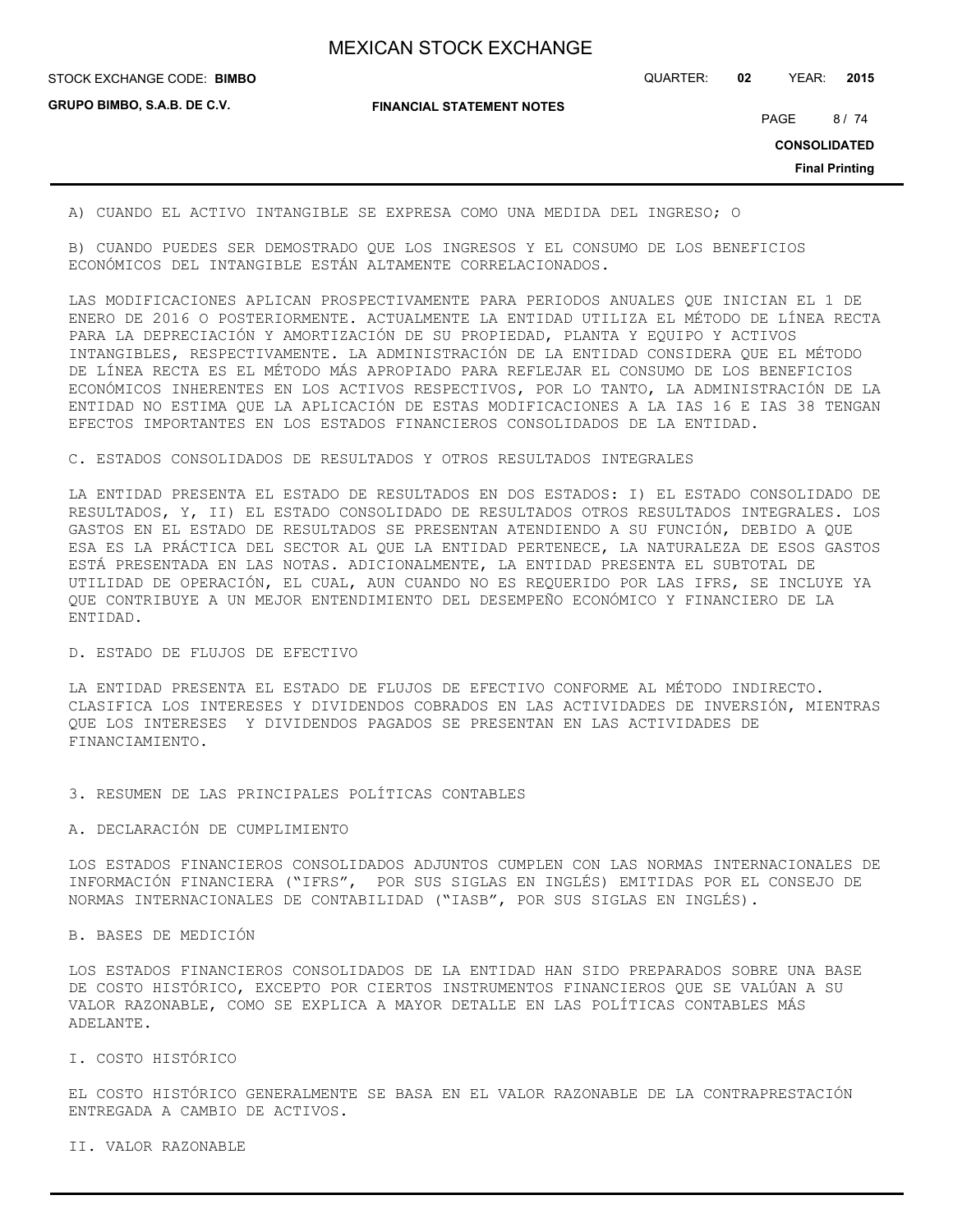STOCK EXCHANGE CODE: QUARTER: **02** YEAR: **2015 BIMBO**

**GRUPO BIMBO, S.A.B. DE C.V.**

**FINANCIAL STATEMENT NOTES**

PAGE 8/74

**CONSOLIDATED**

**Final Printing**

A) CUANDO EL ACTIVO INTANGIBLE SE EXPRESA COMO UNA MEDIDA DEL INGRESO; O

B) CUANDO PUEDES SER DEMOSTRADO QUE LOS INGRESOS Y EL CONSUMO DE LOS BENEFICIOS ECONÓMICOS DEL INTANGIBLE ESTÁN ALTAMENTE CORRELACIONADOS.

LAS MODIFICACIONES APLICAN PROSPECTIVAMENTE PARA PERIODOS ANUALES QUE INICIAN EL 1 DE ENERO DE 2016 O POSTERIORMENTE. ACTUALMENTE LA ENTIDAD UTILIZA EL MÉTODO DE LÍNEA RECTA PARA LA DEPRECIACIÓN Y AMORTIZACIÓN DE SU PROPIEDAD, PLANTA Y EQUIPO Y ACTIVOS INTANGIBLES, RESPECTIVAMENTE. LA ADMINISTRACIÓN DE LA ENTIDAD CONSIDERA QUE EL MÉTODO DE LÍNEA RECTA ES EL MÉTODO MÁS APROPIADO PARA REFLEJAR EL CONSUMO DE LOS BENEFICIOS ECONÓMICOS INHERENTES EN LOS ACTIVOS RESPECTIVOS, POR LO TANTO, LA ADMINISTRACIÓN DE LA ENTIDAD NO ESTIMA QUE LA APLICACIÓN DE ESTAS MODIFICACIONES A LA IAS 16 E IAS 38 TENGAN EFECTOS IMPORTANTES EN LOS ESTADOS FINANCIEROS CONSOLIDADOS DE LA ENTIDAD.

### C. ESTADOS CONSOLIDADOS DE RESULTADOS Y OTROS RESULTADOS INTEGRALES

LA ENTIDAD PRESENTA EL ESTADO DE RESULTADOS EN DOS ESTADOS: I) EL ESTADO CONSOLIDADO DE RESULTADOS, Y, II) EL ESTADO CONSOLIDADO DE RESULTADOS OTROS RESULTADOS INTEGRALES. LOS GASTOS EN EL ESTADO DE RESULTADOS SE PRESENTAN ATENDIENDO A SU FUNCIÓN, DEBIDO A QUE ESA ES LA PRÁCTICA DEL SECTOR AL QUE LA ENTIDAD PERTENECE, LA NATURALEZA DE ESOS GASTOS ESTÁ PRESENTADA EN LAS NOTAS. ADICIONALMENTE, LA ENTIDAD PRESENTA EL SUBTOTAL DE UTILIDAD DE OPERACIÓN, EL CUAL, AUN CUANDO NO ES REQUERIDO POR LAS IFRS, SE INCLUYE YA QUE CONTRIBUYE A UN MEJOR ENTENDIMIENTO DEL DESEMPEÑO ECONÓMICO Y FINANCIERO DE LA ENTIDAD.

#### D. ESTADO DE FLUJOS DE EFECTIVO

LA ENTIDAD PRESENTA EL ESTADO DE FLUJOS DE EFECTIVO CONFORME AL MÉTODO INDIRECTO. CLASIFICA LOS INTERESES Y DIVIDENDOS COBRADOS EN LAS ACTIVIDADES DE INVERSIÓN, MIENTRAS QUE LOS INTERESES Y DIVIDENDOS PAGADOS SE PRESENTAN EN LAS ACTIVIDADES DE FINANCIAMIENTO.

3. RESUMEN DE LAS PRINCIPALES POLÍTICAS CONTABLES

#### A. DECLARACIÓN DE CUMPLIMIENTO

LOS ESTADOS FINANCIEROS CONSOLIDADOS ADJUNTOS CUMPLEN CON LAS NORMAS INTERNACIONALES DE INFORMACIÓN FINANCIERA ("IFRS", POR SUS SIGLAS EN INGLÉS) EMITIDAS POR EL CONSEJO DE NORMAS INTERNACIONALES DE CONTABILIDAD ("IASB", POR SUS SIGLAS EN INGLÉS).

B. BASES DE MEDICIÓN

LOS ESTADOS FINANCIEROS CONSOLIDADOS DE LA ENTIDAD HAN SIDO PREPARADOS SOBRE UNA BASE DE COSTO HISTÓRICO, EXCEPTO POR CIERTOS INSTRUMENTOS FINANCIEROS QUE SE VALÚAN A SU VALOR RAZONABLE, COMO SE EXPLICA A MAYOR DETALLE EN LAS POLÍTICAS CONTABLES MÁS ADELANTE.

## I. COSTO HISTÓRICO

EL COSTO HISTÓRICO GENERALMENTE SE BASA EN EL VALOR RAZONABLE DE LA CONTRAPRESTACIÓN ENTREGADA A CAMBIO DE ACTIVOS.

II. VALOR RAZONABLE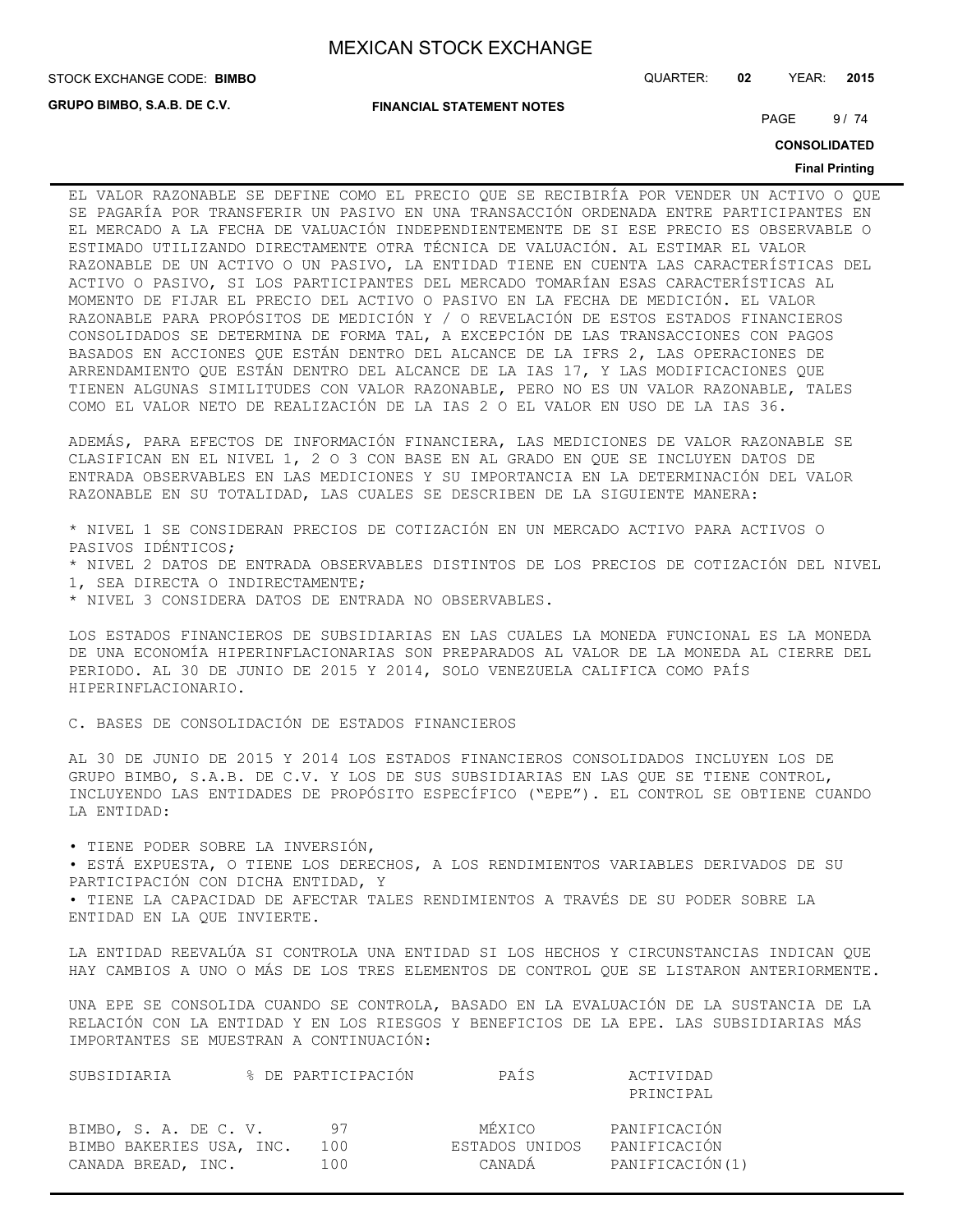**GRUPO BIMBO, S.A.B. DE C.V.**

STOCK EXCHANGE CODE: QUARTER: **02** YEAR: **2015 BIMBO**

**FINANCIAL STATEMENT NOTES**

PAGE 9/74

**CONSOLIDATED**

#### **Final Printing**

EL VALOR RAZONABLE SE DEFINE COMO EL PRECIO QUE SE RECIBIRÍA POR VENDER UN ACTIVO O QUE SE PAGARÍA POR TRANSFERIR UN PASIVO EN UNA TRANSACCIÓN ORDENADA ENTRE PARTICIPANTES EN EL MERCADO A LA FECHA DE VALUACIÓN INDEPENDIENTEMENTE DE SI ESE PRECIO ES OBSERVABLE O ESTIMADO UTILIZANDO DIRECTAMENTE OTRA TÉCNICA DE VALUACIÓN. AL ESTIMAR EL VALOR RAZONABLE DE UN ACTIVO O UN PASIVO, LA ENTIDAD TIENE EN CUENTA LAS CARACTERÍSTICAS DEL ACTIVO O PASIVO, SI LOS PARTICIPANTES DEL MERCADO TOMARÍAN ESAS CARACTERÍSTICAS AL MOMENTO DE FIJAR EL PRECIO DEL ACTIVO O PASIVO EN LA FECHA DE MEDICIÓN. EL VALOR RAZONABLE PARA PROPÓSITOS DE MEDICIÓN Y / O REVELACIÓN DE ESTOS ESTADOS FINANCIEROS CONSOLIDADOS SE DETERMINA DE FORMA TAL, A EXCEPCIÓN DE LAS TRANSACCIONES CON PAGOS BASADOS EN ACCIONES QUE ESTÁN DENTRO DEL ALCANCE DE LA IFRS 2, LAS OPERACIONES DE ARRENDAMIENTO QUE ESTÁN DENTRO DEL ALCANCE DE LA IAS 17, Y LAS MODIFICACIONES QUE TIENEN ALGUNAS SIMILITUDES CON VALOR RAZONABLE, PERO NO ES UN VALOR RAZONABLE, TALES COMO EL VALOR NETO DE REALIZACIÓN DE LA IAS 2 O EL VALOR EN USO DE LA IAS 36.

ADEMÁS, PARA EFECTOS DE INFORMACIÓN FINANCIERA, LAS MEDICIONES DE VALOR RAZONABLE SE CLASIFICAN EN EL NIVEL 1, 2 O 3 CON BASE EN AL GRADO EN QUE SE INCLUYEN DATOS DE ENTRADA OBSERVABLES EN LAS MEDICIONES Y SU IMPORTANCIA EN LA DETERMINACIÓN DEL VALOR RAZONABLE EN SU TOTALIDAD, LAS CUALES SE DESCRIBEN DE LA SIGUIENTE MANERA:

\* NIVEL 1 SE CONSIDERAN PRECIOS DE COTIZACIÓN EN UN MERCADO ACTIVO PARA ACTIVOS O PASIVOS IDÉNTICOS;

\* NIVEL 2 DATOS DE ENTRADA OBSERVABLES DISTINTOS DE LOS PRECIOS DE COTIZACIÓN DEL NIVEL 1, SEA DIRECTA O INDIRECTAMENTE;

\* NIVEL 3 CONSIDERA DATOS DE ENTRADA NO OBSERVABLES.

LOS ESTADOS FINANCIEROS DE SUBSIDIARIAS EN LAS CUALES LA MONEDA FUNCIONAL ES LA MONEDA DE UNA ECONOMÍA HIPERINFLACIONARIAS SON PREPARADOS AL VALOR DE LA MONEDA AL CIERRE DEL PERIODO. AL 30 DE JUNIO DE 2015 Y 2014, SOLO VENEZUELA CALIFICA COMO PAÍS HIPERINFLACIONARIO.

C. BASES DE CONSOLIDACIÓN DE ESTADOS FINANCIEROS

AL 30 DE JUNIO DE 2015 Y 2014 LOS ESTADOS FINANCIEROS CONSOLIDADOS INCLUYEN LOS DE GRUPO BIMBO, S.A.B. DE C.V. Y LOS DE SUS SUBSIDIARIAS EN LAS QUE SE TIENE CONTROL, INCLUYENDO LAS ENTIDADES DE PROPÓSITO ESPECÍFICO ("EPE"). EL CONTROL SE OBTIENE CUANDO LA ENTIDAD:

• TIENE PODER SOBRE LA INVERSIÓN, • ESTÁ EXPUESTA, O TIENE LOS DERECHOS, A LOS RENDIMIENTOS VARIABLES DERIVADOS DE SU PARTICIPACIÓN CON DICHA ENTIDAD, Y • TIENE LA CAPACIDAD DE AFECTAR TALES RENDIMIENTOS A TRAVÉS DE SU PODER SOBRE LA ENTIDAD EN LA QUE INVIERTE.

LA ENTIDAD REEVALÚA SI CONTROLA UNA ENTIDAD SI LOS HECHOS Y CIRCUNSTANCIAS INDICAN QUE HAY CAMBIOS A UNO O MÁS DE LOS TRES ELEMENTOS DE CONTROL QUE SE LISTARON ANTERIORMENTE.

UNA EPE SE CONSOLIDA CUANDO SE CONTROLA, BASADO EN LA EVALUACIÓN DE LA SUSTANCIA DE LA RELACIÓN CON LA ENTIDAD Y EN LOS RIESGOS Y BENEFICIOS DE LA EPE. LAS SUBSIDIARIAS MÁS IMPORTANTES SE MUESTRAN A CONTINUACIÓN:

| SUBSIDIARIA              | % DE PARTICIPACIÓN | PAÍS           | ACTIVIDAD<br>PRINCIPAL |
|--------------------------|--------------------|----------------|------------------------|
| BIMBO, S. A. DE C. V.    | 97                 | MÉXICO         | PANIFICACIÓN           |
| BIMBO BAKERIES USA, INC. | 100                | ESTADOS UNIDOS | PANIFICACIÓN           |
| CANADA BREAD, INC.       | 100                | CANADÁ         | PANIFICACIÓN(1)        |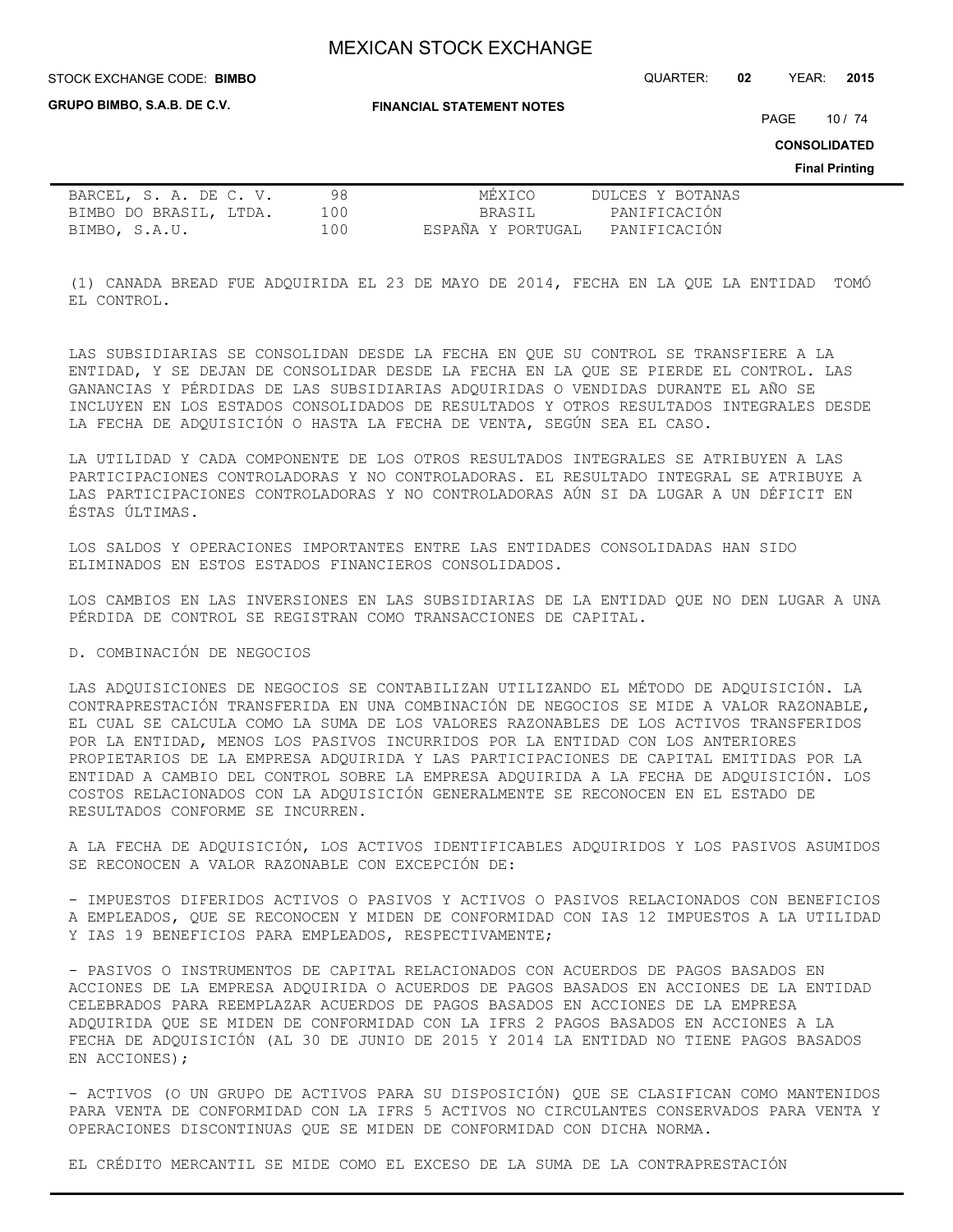STOCK EXCHANGE CODE: QUARTER: **02** YEAR: **2015 BIMBO**

**GRUPO BIMBO, S.A.B. DE C.V.**

**FINANCIAL STATEMENT NOTES**

PAGE 10 / 74

**CONSOLIDATED**

#### **Final Printing**

| BARCEL, S. A. DE C. V. | 98  | MÉXICO            | DULCES Y BOTANAS |
|------------------------|-----|-------------------|------------------|
| BIMBO DO BRASIL, LTDA. | 100 | BRASIL            | PANIFICACIÓN     |
| BIMBO, S.A.U.          | 100 | ESPAÑA Y PORTUGAL | PANIFICACIÓN     |

(1) CANADA BREAD FUE ADQUIRIDA EL 23 DE MAYO DE 2014, FECHA EN LA QUE LA ENTIDAD TOMÓ EL CONTROL.

LAS SUBSIDIARIAS SE CONSOLIDAN DESDE LA FECHA EN QUE SU CONTROL SE TRANSFIERE A LA ENTIDAD, Y SE DEJAN DE CONSOLIDAR DESDE LA FECHA EN LA QUE SE PIERDE EL CONTROL. LAS GANANCIAS Y PÉRDIDAS DE LAS SUBSIDIARIAS ADQUIRIDAS O VENDIDAS DURANTE EL AÑO SE INCLUYEN EN LOS ESTADOS CONSOLIDADOS DE RESULTADOS Y OTROS RESULTADOS INTEGRALES DESDE LA FECHA DE ADQUISICIÓN O HASTA LA FECHA DE VENTA, SEGÚN SEA EL CASO.

LA UTILIDAD Y CADA COMPONENTE DE LOS OTROS RESULTADOS INTEGRALES SE ATRIBUYEN A LAS PARTICIPACIONES CONTROLADORAS Y NO CONTROLADORAS. EL RESULTADO INTEGRAL SE ATRIBUYE A LAS PARTICIPACIONES CONTROLADORAS Y NO CONTROLADORAS AÚN SI DA LUGAR A UN DÉFICIT EN ÉSTAS ÚLTIMAS.

LOS SALDOS Y OPERACIONES IMPORTANTES ENTRE LAS ENTIDADES CONSOLIDADAS HAN SIDO ELIMINADOS EN ESTOS ESTADOS FINANCIEROS CONSOLIDADOS.

LOS CAMBIOS EN LAS INVERSIONES EN LAS SUBSIDIARIAS DE LA ENTIDAD QUE NO DEN LUGAR A UNA PÉRDIDA DE CONTROL SE REGISTRAN COMO TRANSACCIONES DE CAPITAL.

#### D. COMBINACIÓN DE NEGOCIOS

LAS ADQUISICIONES DE NEGOCIOS SE CONTABILIZAN UTILIZANDO EL MÉTODO DE ADQUISICIÓN. LA CONTRAPRESTACIÓN TRANSFERIDA EN UNA COMBINACIÓN DE NEGOCIOS SE MIDE A VALOR RAZONABLE, EL CUAL SE CALCULA COMO LA SUMA DE LOS VALORES RAZONABLES DE LOS ACTIVOS TRANSFERIDOS POR LA ENTIDAD, MENOS LOS PASIVOS INCURRIDOS POR LA ENTIDAD CON LOS ANTERIORES PROPIETARIOS DE LA EMPRESA ADQUIRIDA Y LAS PARTICIPACIONES DE CAPITAL EMITIDAS POR LA ENTIDAD A CAMBIO DEL CONTROL SOBRE LA EMPRESA ADQUIRIDA A LA FECHA DE ADQUISICIÓN. LOS COSTOS RELACIONADOS CON LA ADQUISICIÓN GENERALMENTE SE RECONOCEN EN EL ESTADO DE RESULTADOS CONFORME SE INCURREN.

A LA FECHA DE ADQUISICIÓN, LOS ACTIVOS IDENTIFICABLES ADQUIRIDOS Y LOS PASIVOS ASUMIDOS SE RECONOCEN A VALOR RAZONABLE CON EXCEPCIÓN DE:

- IMPUESTOS DIFERIDOS ACTIVOS O PASIVOS Y ACTIVOS O PASIVOS RELACIONADOS CON BENEFICIOS A EMPLEADOS, QUE SE RECONOCEN Y MIDEN DE CONFORMIDAD CON IAS 12 IMPUESTOS A LA UTILIDAD Y IAS 19 BENEFICIOS PARA EMPLEADOS, RESPECTIVAMENTE;

- PASIVOS O INSTRUMENTOS DE CAPITAL RELACIONADOS CON ACUERDOS DE PAGOS BASADOS EN ACCIONES DE LA EMPRESA ADQUIRIDA O ACUERDOS DE PAGOS BASADOS EN ACCIONES DE LA ENTIDAD CELEBRADOS PARA REEMPLAZAR ACUERDOS DE PAGOS BASADOS EN ACCIONES DE LA EMPRESA ADQUIRIDA QUE SE MIDEN DE CONFORMIDAD CON LA IFRS 2 PAGOS BASADOS EN ACCIONES A LA FECHA DE ADQUISICIÓN (AL 30 DE JUNIO DE 2015 Y 2014 LA ENTIDAD NO TIENE PAGOS BASADOS EN ACCIONES);

- ACTIVOS (O UN GRUPO DE ACTIVOS PARA SU DISPOSICIÓN) QUE SE CLASIFICAN COMO MANTENIDOS PARA VENTA DE CONFORMIDAD CON LA IFRS 5 ACTIVOS NO CIRCULANTES CONSERVADOS PARA VENTA Y OPERACIONES DISCONTINUAS QUE SE MIDEN DE CONFORMIDAD CON DICHA NORMA.

EL CRÉDITO MERCANTIL SE MIDE COMO EL EXCESO DE LA SUMA DE LA CONTRAPRESTACIÓN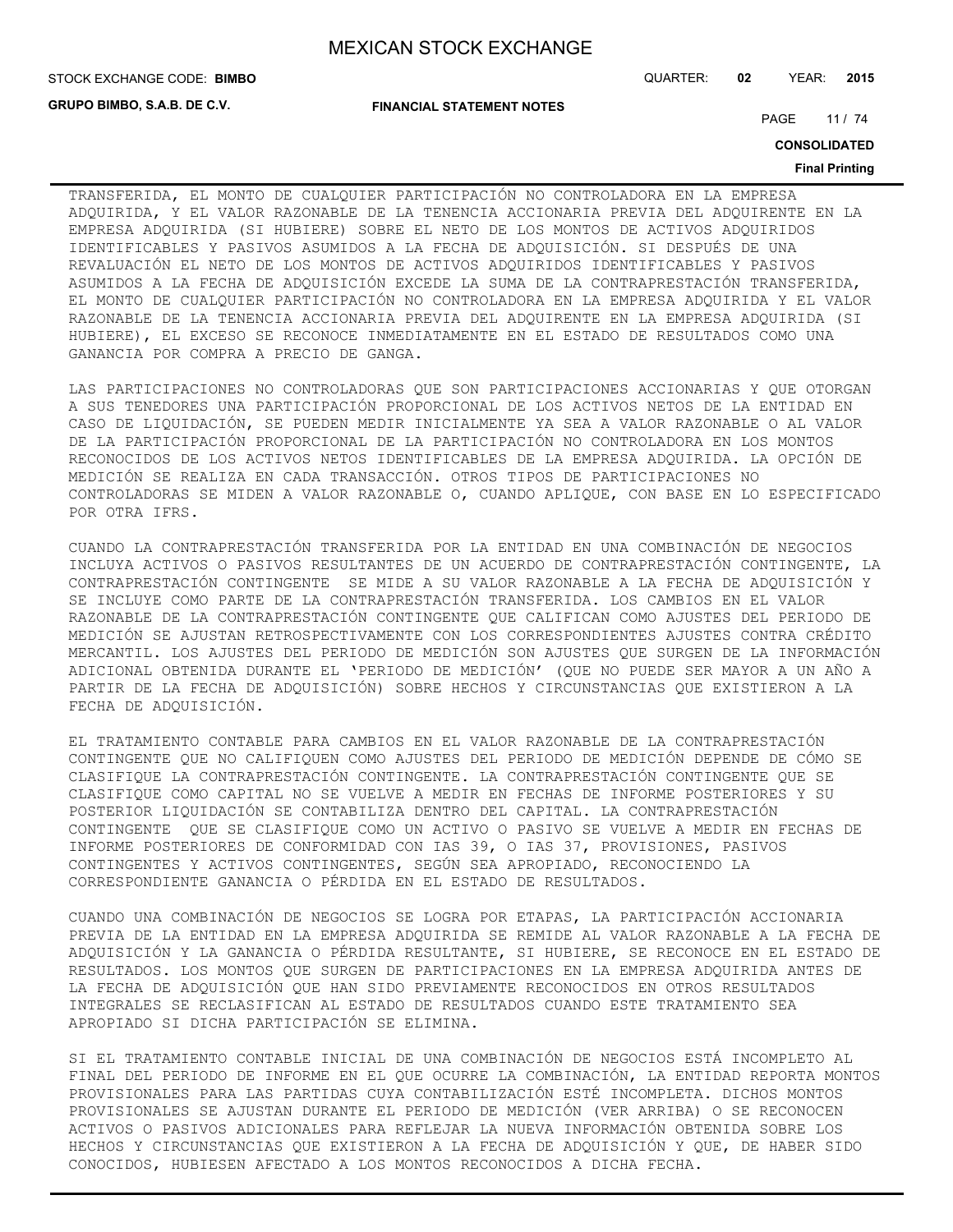**GRUPO BIMBO, S.A.B. DE C.V.**

**FINANCIAL STATEMENT NOTES**

STOCK EXCHANGE CODE: QUARTER: **02** YEAR: **2015 BIMBO**

PAGE 11 / 74

**CONSOLIDATED**

#### **Final Printing**

TRANSFERIDA, EL MONTO DE CUALQUIER PARTICIPACIÓN NO CONTROLADORA EN LA EMPRESA ADQUIRIDA, Y EL VALOR RAZONABLE DE LA TENENCIA ACCIONARIA PREVIA DEL ADQUIRENTE EN LA EMPRESA ADQUIRIDA (SI HUBIERE) SOBRE EL NETO DE LOS MONTOS DE ACTIVOS ADQUIRIDOS IDENTIFICABLES Y PASIVOS ASUMIDOS A LA FECHA DE ADQUISICIÓN. SI DESPUÉS DE UNA REVALUACIÓN EL NETO DE LOS MONTOS DE ACTIVOS ADQUIRIDOS IDENTIFICABLES Y PASIVOS ASUMIDOS A LA FECHA DE ADQUISICIÓN EXCEDE LA SUMA DE LA CONTRAPRESTACIÓN TRANSFERIDA, EL MONTO DE CUALQUIER PARTICIPACIÓN NO CONTROLADORA EN LA EMPRESA ADQUIRIDA Y EL VALOR RAZONABLE DE LA TENENCIA ACCIONARIA PREVIA DEL ADQUIRENTE EN LA EMPRESA ADQUIRIDA (SI HUBIERE), EL EXCESO SE RECONOCE INMEDIATAMENTE EN EL ESTADO DE RESULTADOS COMO UNA GANANCIA POR COMPRA A PRECIO DE GANGA.

LAS PARTICIPACIONES NO CONTROLADORAS QUE SON PARTICIPACIONES ACCIONARIAS Y QUE OTORGAN A SUS TENEDORES UNA PARTICIPACIÓN PROPORCIONAL DE LOS ACTIVOS NETOS DE LA ENTIDAD EN CASO DE LIQUIDACIÓN, SE PUEDEN MEDIR INICIALMENTE YA SEA A VALOR RAZONABLE O AL VALOR DE LA PARTICIPACIÓN PROPORCIONAL DE LA PARTICIPACIÓN NO CONTROLADORA EN LOS MONTOS RECONOCIDOS DE LOS ACTIVOS NETOS IDENTIFICABLES DE LA EMPRESA ADQUIRIDA. LA OPCIÓN DE MEDICIÓN SE REALIZA EN CADA TRANSACCIÓN. OTROS TIPOS DE PARTICIPACIONES NO CONTROLADORAS SE MIDEN A VALOR RAZONABLE O, CUANDO APLIQUE, CON BASE EN LO ESPECIFICADO POR OTRA IFRS.

CUANDO LA CONTRAPRESTACIÓN TRANSFERIDA POR LA ENTIDAD EN UNA COMBINACIÓN DE NEGOCIOS INCLUYA ACTIVOS O PASIVOS RESULTANTES DE UN ACUERDO DE CONTRAPRESTACIÓN CONTINGENTE, LA CONTRAPRESTACIÓN CONTINGENTE SE MIDE A SU VALOR RAZONABLE A LA FECHA DE ADQUISICIÓN Y SE INCLUYE COMO PARTE DE LA CONTRAPRESTACIÓN TRANSFERIDA. LOS CAMBIOS EN EL VALOR RAZONABLE DE LA CONTRAPRESTACIÓN CONTINGENTE QUE CALIFICAN COMO AJUSTES DEL PERIODO DE MEDICIÓN SE AJUSTAN RETROSPECTIVAMENTE CON LOS CORRESPONDIENTES AJUSTES CONTRA CRÉDITO MERCANTIL. LOS AJUSTES DEL PERIODO DE MEDICIÓN SON AJUSTES QUE SURGEN DE LA INFORMACIÓN ADICIONAL OBTENIDA DURANTE EL 'PERIODO DE MEDICIÓN' (QUE NO PUEDE SER MAYOR A UN AÑO A PARTIR DE LA FECHA DE ADQUISICIÓN) SOBRE HECHOS Y CIRCUNSTANCIAS QUE EXISTIERON A LA FECHA DE ADQUISICIÓN.

EL TRATAMIENTO CONTABLE PARA CAMBIOS EN EL VALOR RAZONABLE DE LA CONTRAPRESTACIÓN CONTINGENTE QUE NO CALIFIQUEN COMO AJUSTES DEL PERIODO DE MEDICIÓN DEPENDE DE CÓMO SE CLASIFIQUE LA CONTRAPRESTACIÓN CONTINGENTE. LA CONTRAPRESTACIÓN CONTINGENTE QUE SE CLASIFIQUE COMO CAPITAL NO SE VUELVE A MEDIR EN FECHAS DE INFORME POSTERIORES Y SU POSTERIOR LIQUIDACIÓN SE CONTABILIZA DENTRO DEL CAPITAL. LA CONTRAPRESTACIÓN CONTINGENTE QUE SE CLASIFIQUE COMO UN ACTIVO O PASIVO SE VUELVE A MEDIR EN FECHAS DE INFORME POSTERIORES DE CONFORMIDAD CON IAS 39, O IAS 37, PROVISIONES, PASIVOS CONTINGENTES Y ACTIVOS CONTINGENTES, SEGÚN SEA APROPIADO, RECONOCIENDO LA CORRESPONDIENTE GANANCIA O PÉRDIDA EN EL ESTADO DE RESULTADOS.

CUANDO UNA COMBINACIÓN DE NEGOCIOS SE LOGRA POR ETAPAS, LA PARTICIPACIÓN ACCIONARIA PREVIA DE LA ENTIDAD EN LA EMPRESA ADQUIRIDA SE REMIDE AL VALOR RAZONABLE A LA FECHA DE ADQUISICIÓN Y LA GANANCIA O PÉRDIDA RESULTANTE, SI HUBIERE, SE RECONOCE EN EL ESTADO DE RESULTADOS. LOS MONTOS QUE SURGEN DE PARTICIPACIONES EN LA EMPRESA ADQUIRIDA ANTES DE LA FECHA DE ADQUISICIÓN QUE HAN SIDO PREVIAMENTE RECONOCIDOS EN OTROS RESULTADOS INTEGRALES SE RECLASIFICAN AL ESTADO DE RESULTADOS CUANDO ESTE TRATAMIENTO SEA APROPIADO SI DICHA PARTICIPACIÓN SE ELIMINA.

SI EL TRATAMIENTO CONTABLE INICIAL DE UNA COMBINACIÓN DE NEGOCIOS ESTÁ INCOMPLETO AL FINAL DEL PERIODO DE INFORME EN EL QUE OCURRE LA COMBINACIÓN, LA ENTIDAD REPORTA MONTOS PROVISIONALES PARA LAS PARTIDAS CUYA CONTABILIZACIÓN ESTÉ INCOMPLETA. DICHOS MONTOS PROVISIONALES SE AJUSTAN DURANTE EL PERIODO DE MEDICIÓN (VER ARRIBA) O SE RECONOCEN ACTIVOS O PASIVOS ADICIONALES PARA REFLEJAR LA NUEVA INFORMACIÓN OBTENIDA SOBRE LOS HECHOS Y CIRCUNSTANCIAS QUE EXISTIERON A LA FECHA DE ADQUISICIÓN Y QUE, DE HABER SIDO CONOCIDOS, HUBIESEN AFECTADO A LOS MONTOS RECONOCIDOS A DICHA FECHA.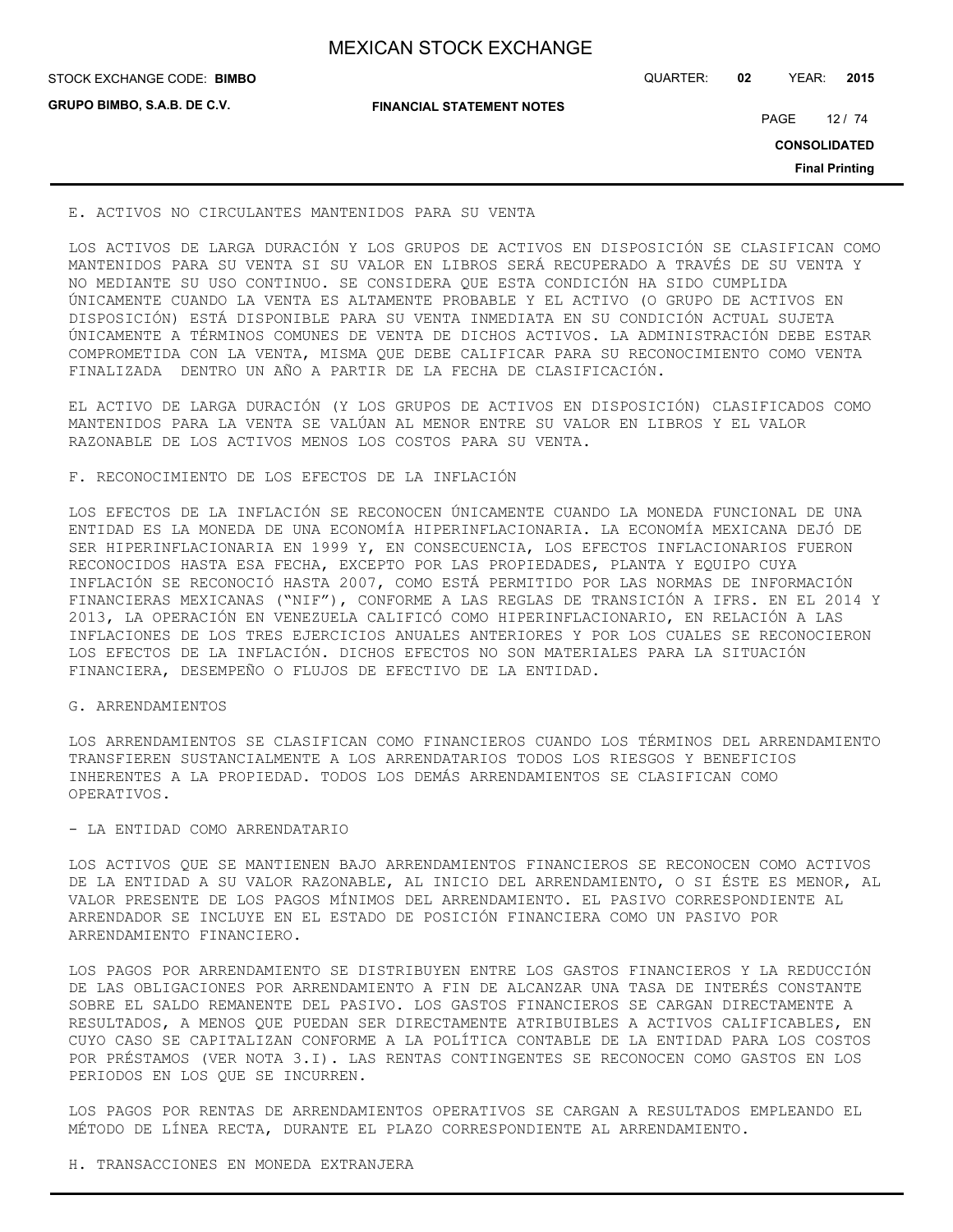| <b>MEXICAN STOCK EXCHANGE</b> |
|-------------------------------|
|-------------------------------|

**STOCK EXCHANGE CODE: BIMBO** 

**GRUPO BIMBO, S.A.B. DE C.V.**

STOCK EXCHANGE CODE: QUARTER: **02** YEAR: **2015**

**FINANCIAL STATEMENT NOTES**

PAGE 12 / 74

**CONSOLIDATED**

**Final Printing**

#### E. ACTIVOS NO CIRCULANTES MANTENIDOS PARA SU VENTA

LOS ACTIVOS DE LARGA DURACIÓN Y LOS GRUPOS DE ACTIVOS EN DISPOSICIÓN SE CLASIFICAN COMO MANTENIDOS PARA SU VENTA SI SU VALOR EN LIBROS SERÁ RECUPERADO A TRAVÉS DE SU VENTA Y NO MEDIANTE SU USO CONTINUO. SE CONSIDERA QUE ESTA CONDICIÓN HA SIDO CUMPLIDA ÚNICAMENTE CUANDO LA VENTA ES ALTAMENTE PROBABLE Y EL ACTIVO (O GRUPO DE ACTIVOS EN DISPOSICIÓN) ESTÁ DISPONIBLE PARA SU VENTA INMEDIATA EN SU CONDICIÓN ACTUAL SUJETA ÚNICAMENTE A TÉRMINOS COMUNES DE VENTA DE DICHOS ACTIVOS. LA ADMINISTRACIÓN DEBE ESTAR COMPROMETIDA CON LA VENTA, MISMA QUE DEBE CALIFICAR PARA SU RECONOCIMIENTO COMO VENTA FINALIZADA DENTRO UN AÑO A PARTIR DE LA FECHA DE CLASIFICACIÓN.

EL ACTIVO DE LARGA DURACIÓN (Y LOS GRUPOS DE ACTIVOS EN DISPOSICIÓN) CLASIFICADOS COMO MANTENIDOS PARA LA VENTA SE VALÚAN AL MENOR ENTRE SU VALOR EN LIBROS Y EL VALOR RAZONABLE DE LOS ACTIVOS MENOS LOS COSTOS PARA SU VENTA.

#### F. RECONOCIMIENTO DE LOS EFECTOS DE LA INFLACIÓN

LOS EFECTOS DE LA INFLACIÓN SE RECONOCEN ÚNICAMENTE CUANDO LA MONEDA FUNCIONAL DE UNA ENTIDAD ES LA MONEDA DE UNA ECONOMÍA HIPERINFLACIONARIA. LA ECONOMÍA MEXICANA DEJÓ DE SER HIPERINFLACIONARIA EN 1999 Y, EN CONSECUENCIA, LOS EFECTOS INFLACIONARIOS FUERON RECONOCIDOS HASTA ESA FECHA, EXCEPTO POR LAS PROPIEDADES, PLANTA Y EQUIPO CUYA INFLACIÓN SE RECONOCIÓ HASTA 2007, COMO ESTÁ PERMITIDO POR LAS NORMAS DE INFORMACIÓN FINANCIERAS MEXICANAS ("NIF"), CONFORME A LAS REGLAS DE TRANSICIÓN A IFRS. EN EL 2014 Y 2013, LA OPERACIÓN EN VENEZUELA CALIFICÓ COMO HIPERINFLACIONARIO, EN RELACIÓN A LAS INFLACIONES DE LOS TRES EJERCICIOS ANUALES ANTERIORES Y POR LOS CUALES SE RECONOCIERON LOS EFECTOS DE LA INFLACIÓN. DICHOS EFECTOS NO SON MATERIALES PARA LA SITUACIÓN FINANCIERA, DESEMPEÑO O FLUJOS DE EFECTIVO DE LA ENTIDAD.

#### G. ARRENDAMIENTOS

LOS ARRENDAMIENTOS SE CLASIFICAN COMO FINANCIEROS CUANDO LOS TÉRMINOS DEL ARRENDAMIENTO TRANSFIEREN SUSTANCIALMENTE A LOS ARRENDATARIOS TODOS LOS RIESGOS Y BENEFICIOS INHERENTES A LA PROPIEDAD. TODOS LOS DEMÁS ARRENDAMIENTOS SE CLASIFICAN COMO OPERATIVOS.

#### - LA ENTIDAD COMO ARRENDATARIO

LOS ACTIVOS QUE SE MANTIENEN BAJO ARRENDAMIENTOS FINANCIEROS SE RECONOCEN COMO ACTIVOS DE LA ENTIDAD A SU VALOR RAZONABLE, AL INICIO DEL ARRENDAMIENTO, O SI ÉSTE ES MENOR, AL VALOR PRESENTE DE LOS PAGOS MÍNIMOS DEL ARRENDAMIENTO. EL PASIVO CORRESPONDIENTE AL ARRENDADOR SE INCLUYE EN EL ESTADO DE POSICIÓN FINANCIERA COMO UN PASIVO POR ARRENDAMIENTO FINANCIERO.

LOS PAGOS POR ARRENDAMIENTO SE DISTRIBUYEN ENTRE LOS GASTOS FINANCIEROS Y LA REDUCCIÓN DE LAS OBLIGACIONES POR ARRENDAMIENTO A FIN DE ALCANZAR UNA TASA DE INTERÉS CONSTANTE SOBRE EL SALDO REMANENTE DEL PASIVO. LOS GASTOS FINANCIEROS SE CARGAN DIRECTAMENTE A RESULTADOS, A MENOS QUE PUEDAN SER DIRECTAMENTE ATRIBUIBLES A ACTIVOS CALIFICABLES, EN CUYO CASO SE CAPITALIZAN CONFORME A LA POLÍTICA CONTABLE DE LA ENTIDAD PARA LOS COSTOS POR PRÉSTAMOS (VER NOTA 3.I). LAS RENTAS CONTINGENTES SE RECONOCEN COMO GASTOS EN LOS PERIODOS EN LOS QUE SE INCURREN.

LOS PAGOS POR RENTAS DE ARRENDAMIENTOS OPERATIVOS SE CARGAN A RESULTADOS EMPLEANDO EL MÉTODO DE LÍNEA RECTA, DURANTE EL PLAZO CORRESPONDIENTE AL ARRENDAMIENTO.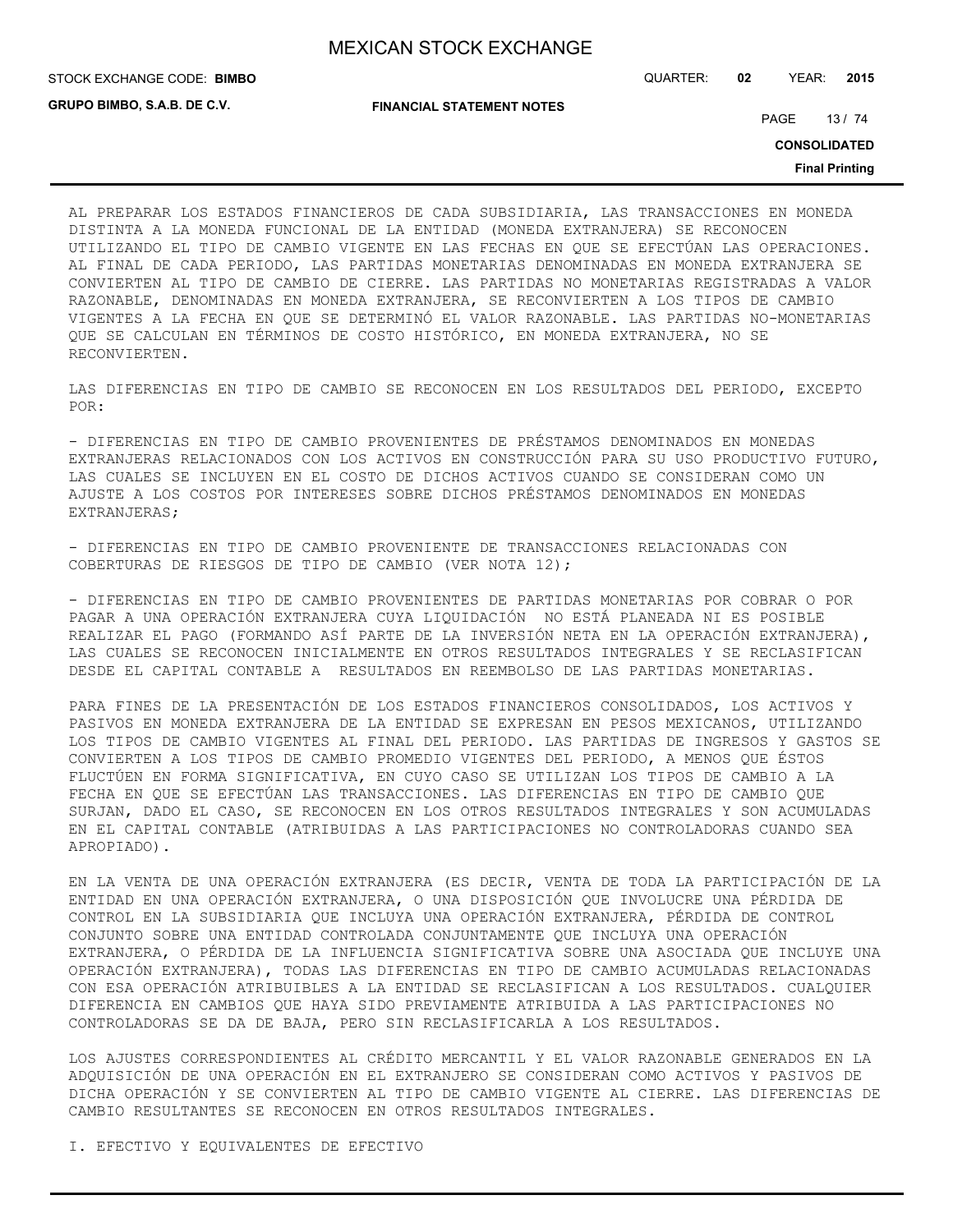**GRUPO BIMBO, S.A.B. DE C.V.**

STOCK EXCHANGE CODE: QUARTER: **02** YEAR: **2015 BIMBO**

**FINANCIAL STATEMENT NOTES**

PAGE 13 / 74

**CONSOLIDATED**

**Final Printing**

AL PREPARAR LOS ESTADOS FINANCIEROS DE CADA SUBSIDIARIA, LAS TRANSACCIONES EN MONEDA DISTINTA A LA MONEDA FUNCIONAL DE LA ENTIDAD (MONEDA EXTRANJERA) SE RECONOCEN UTILIZANDO EL TIPO DE CAMBIO VIGENTE EN LAS FECHAS EN QUE SE EFECTÚAN LAS OPERACIONES. AL FINAL DE CADA PERIODO, LAS PARTIDAS MONETARIAS DENOMINADAS EN MONEDA EXTRANJERA SE CONVIERTEN AL TIPO DE CAMBIO DE CIERRE. LAS PARTIDAS NO MONETARIAS REGISTRADAS A VALOR RAZONABLE, DENOMINADAS EN MONEDA EXTRANJERA, SE RECONVIERTEN A LOS TIPOS DE CAMBIO VIGENTES A LA FECHA EN QUE SE DETERMINÓ EL VALOR RAZONABLE. LAS PARTIDAS NO-MONETARIAS QUE SE CALCULAN EN TÉRMINOS DE COSTO HISTÓRICO, EN MONEDA EXTRANJERA, NO SE RECONVIERTEN.

LAS DIFERENCIAS EN TIPO DE CAMBIO SE RECONOCEN EN LOS RESULTADOS DEL PERIODO, EXCEPTO POR:

- DIFERENCIAS EN TIPO DE CAMBIO PROVENIENTES DE PRÉSTAMOS DENOMINADOS EN MONEDAS EXTRANJERAS RELACIONADOS CON LOS ACTIVOS EN CONSTRUCCIÓN PARA SU USO PRODUCTIVO FUTURO, LAS CUALES SE INCLUYEN EN EL COSTO DE DICHOS ACTIVOS CUANDO SE CONSIDERAN COMO UN AJUSTE A LOS COSTOS POR INTERESES SOBRE DICHOS PRÉSTAMOS DENOMINADOS EN MONEDAS EXTRANJERAS;

- DIFERENCIAS EN TIPO DE CAMBIO PROVENIENTE DE TRANSACCIONES RELACIONADAS CON COBERTURAS DE RIESGOS DE TIPO DE CAMBIO (VER NOTA 12);

- DIFERENCIAS EN TIPO DE CAMBIO PROVENIENTES DE PARTIDAS MONETARIAS POR COBRAR O POR PAGAR A UNA OPERACIÓN EXTRANJERA CUYA LIQUIDACIÓN NO ESTÁ PLANEADA NI ES POSIBLE REALIZAR EL PAGO (FORMANDO ASÍ PARTE DE LA INVERSIÓN NETA EN LA OPERACIÓN EXTRANJERA), LAS CUALES SE RECONOCEN INICIALMENTE EN OTROS RESULTADOS INTEGRALES Y SE RECLASIFICAN DESDE EL CAPITAL CONTABLE A RESULTADOS EN REEMBOLSO DE LAS PARTIDAS MONETARIAS.

PARA FINES DE LA PRESENTACIÓN DE LOS ESTADOS FINANCIEROS CONSOLIDADOS, LOS ACTIVOS Y PASIVOS EN MONEDA EXTRANJERA DE LA ENTIDAD SE EXPRESAN EN PESOS MEXICANOS, UTILIZANDO LOS TIPOS DE CAMBIO VIGENTES AL FINAL DEL PERIODO. LAS PARTIDAS DE INGRESOS Y GASTOS SE CONVIERTEN A LOS TIPOS DE CAMBIO PROMEDIO VIGENTES DEL PERIODO, A MENOS QUE ÉSTOS FLUCTÚEN EN FORMA SIGNIFICATIVA, EN CUYO CASO SE UTILIZAN LOS TIPOS DE CAMBIO A LA FECHA EN QUE SE EFECTÚAN LAS TRANSACCIONES. LAS DIFERENCIAS EN TIPO DE CAMBIO QUE SURJAN, DADO EL CASO, SE RECONOCEN EN LOS OTROS RESULTADOS INTEGRALES Y SON ACUMULADAS EN EL CAPITAL CONTABLE (ATRIBUIDAS A LAS PARTICIPACIONES NO CONTROLADORAS CUANDO SEA APROPIADO).

EN LA VENTA DE UNA OPERACIÓN EXTRANJERA (ES DECIR, VENTA DE TODA LA PARTICIPACIÓN DE LA ENTIDAD EN UNA OPERACIÓN EXTRANJERA, O UNA DISPOSICIÓN QUE INVOLUCRE UNA PÉRDIDA DE CONTROL EN LA SUBSIDIARIA QUE INCLUYA UNA OPERACIÓN EXTRANJERA, PÉRDIDA DE CONTROL CONJUNTO SOBRE UNA ENTIDAD CONTROLADA CONJUNTAMENTE QUE INCLUYA UNA OPERACIÓN EXTRANJERA, O PÉRDIDA DE LA INFLUENCIA SIGNIFICATIVA SOBRE UNA ASOCIADA QUE INCLUYE UNA OPERACIÓN EXTRANJERA), TODAS LAS DIFERENCIAS EN TIPO DE CAMBIO ACUMULADAS RELACIONADAS CON ESA OPERACIÓN ATRIBUIBLES A LA ENTIDAD SE RECLASIFICAN A LOS RESULTADOS. CUALQUIER DIFERENCIA EN CAMBIOS QUE HAYA SIDO PREVIAMENTE ATRIBUIDA A LAS PARTICIPACIONES NO CONTROLADORAS SE DA DE BAJA, PERO SIN RECLASIFICARLA A LOS RESULTADOS.

LOS AJUSTES CORRESPONDIENTES AL CRÉDITO MERCANTIL Y EL VALOR RAZONABLE GENERADOS EN LA ADQUISICIÓN DE UNA OPERACIÓN EN EL EXTRANJERO SE CONSIDERAN COMO ACTIVOS Y PASIVOS DE DICHA OPERACIÓN Y SE CONVIERTEN AL TIPO DE CAMBIO VIGENTE AL CIERRE. LAS DIFERENCIAS DE CAMBIO RESULTANTES SE RECONOCEN EN OTROS RESULTADOS INTEGRALES.

I. EFECTIVO Y EQUIVALENTES DE EFECTIVO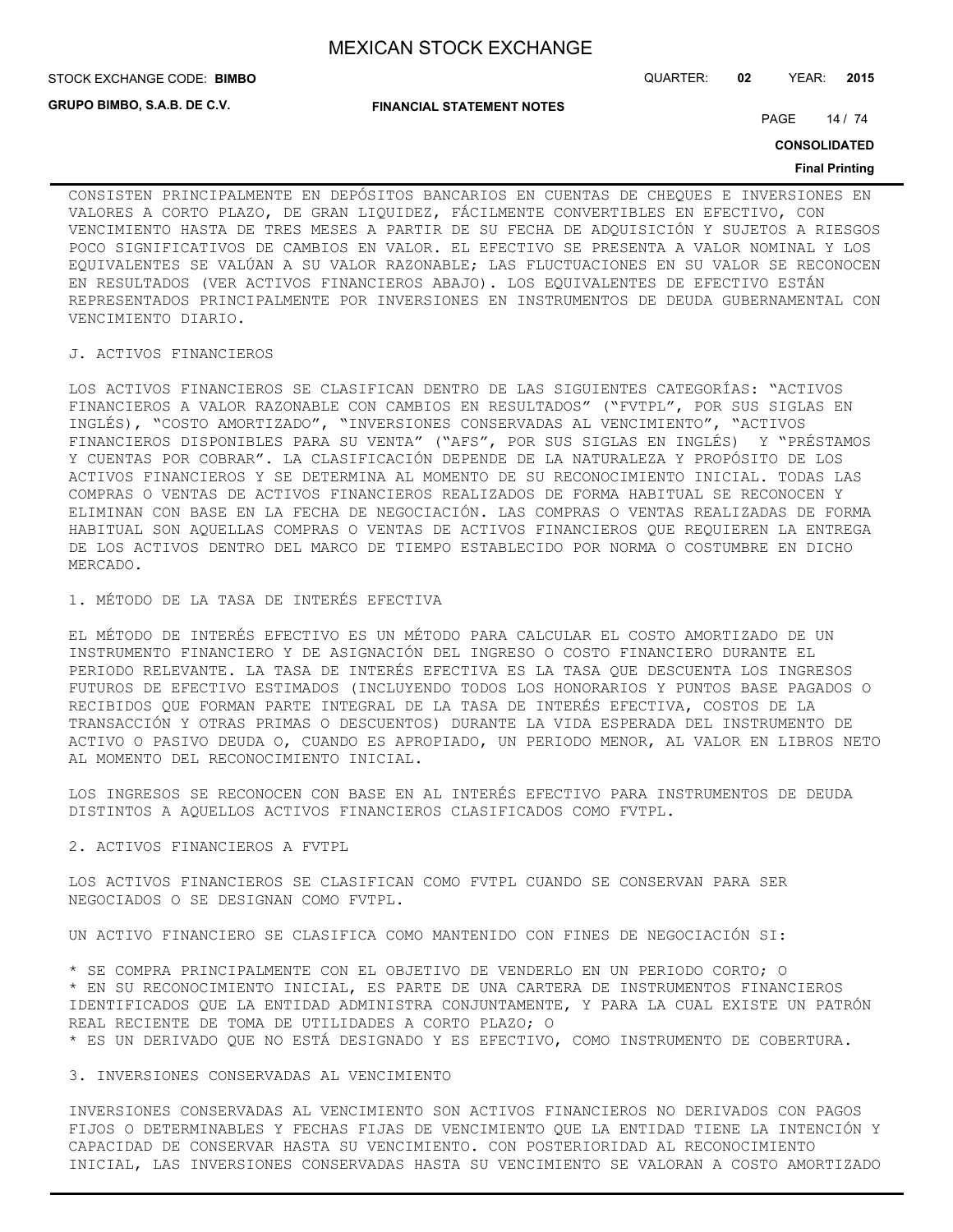**STOCK EXCHANGE CODE: BIMBO** 

**GRUPO BIMBO, S.A.B. DE C.V.**

**FINANCIAL STATEMENT NOTES**

STOCK EXCHANGE CODE: QUARTER: **02** YEAR: **2015**

PAGE 14 / 74

**CONSOLIDATED**

#### **Final Printing**

CONSISTEN PRINCIPALMENTE EN DEPÓSITOS BANCARIOS EN CUENTAS DE CHEQUES E INVERSIONES EN VALORES A CORTO PLAZO, DE GRAN LIQUIDEZ, FÁCILMENTE CONVERTIBLES EN EFECTIVO, CON VENCIMIENTO HASTA DE TRES MESES A PARTIR DE SU FECHA DE ADQUISICIÓN Y SUJETOS A RIESGOS POCO SIGNIFICATIVOS DE CAMBIOS EN VALOR. EL EFECTIVO SE PRESENTA A VALOR NOMINAL Y LOS EQUIVALENTES SE VALÚAN A SU VALOR RAZONABLE; LAS FLUCTUACIONES EN SU VALOR SE RECONOCEN EN RESULTADOS (VER ACTIVOS FINANCIEROS ABAJO). LOS EQUIVALENTES DE EFECTIVO ESTÁN REPRESENTADOS PRINCIPALMENTE POR INVERSIONES EN INSTRUMENTOS DE DEUDA GUBERNAMENTAL CON VENCIMIENTO DIARIO.

#### J. ACTIVOS FINANCIEROS

LOS ACTIVOS FINANCIEROS SE CLASIFICAN DENTRO DE LAS SIGUIENTES CATEGORÍAS: "ACTIVOS FINANCIEROS A VALOR RAZONABLE CON CAMBIOS EN RESULTADOS" ("FVTPL", POR SUS SIGLAS EN INGLÉS), "COSTO AMORTIZADO", "INVERSIONES CONSERVADAS AL VENCIMIENTO", "ACTIVOS FINANCIEROS DISPONIBLES PARA SU VENTA" ("AFS", POR SUS SIGLAS EN INGLÉS) Y "PRÉSTAMOS Y CUENTAS POR COBRAR". LA CLASIFICACIÓN DEPENDE DE LA NATURALEZA Y PROPÓSITO DE LOS ACTIVOS FINANCIEROS Y SE DETERMINA AL MOMENTO DE SU RECONOCIMIENTO INICIAL. TODAS LAS COMPRAS O VENTAS DE ACTIVOS FINANCIEROS REALIZADOS DE FORMA HABITUAL SE RECONOCEN Y ELIMINAN CON BASE EN LA FECHA DE NEGOCIACIÓN. LAS COMPRAS O VENTAS REALIZADAS DE FORMA HABITUAL SON AQUELLAS COMPRAS O VENTAS DE ACTIVOS FINANCIEROS QUE REQUIEREN LA ENTREGA DE LOS ACTIVOS DENTRO DEL MARCO DE TIEMPO ESTABLECIDO POR NORMA O COSTUMBRE EN DICHO MERCADO.

1. MÉTODO DE LA TASA DE INTERÉS EFECTIVA

EL MÉTODO DE INTERÉS EFECTIVO ES UN MÉTODO PARA CALCULAR EL COSTO AMORTIZADO DE UN INSTRUMENTO FINANCIERO Y DE ASIGNACIÓN DEL INGRESO O COSTO FINANCIERO DURANTE EL PERIODO RELEVANTE. LA TASA DE INTERÉS EFECTIVA ES LA TASA QUE DESCUENTA LOS INGRESOS FUTUROS DE EFECTIVO ESTIMADOS (INCLUYENDO TODOS LOS HONORARIOS Y PUNTOS BASE PAGADOS O RECIBIDOS QUE FORMAN PARTE INTEGRAL DE LA TASA DE INTERÉS EFECTIVA, COSTOS DE LA TRANSACCIÓN Y OTRAS PRIMAS O DESCUENTOS) DURANTE LA VIDA ESPERADA DEL INSTRUMENTO DE ACTIVO O PASIVO DEUDA O, CUANDO ES APROPIADO, UN PERIODO MENOR, AL VALOR EN LIBROS NETO AL MOMENTO DEL RECONOCIMIENTO INICIAL.

LOS INGRESOS SE RECONOCEN CON BASE EN AL INTERÉS EFECTIVO PARA INSTRUMENTOS DE DEUDA DISTINTOS A AQUELLOS ACTIVOS FINANCIEROS CLASIFICADOS COMO FVTPL.

## 2. ACTIVOS FINANCIEROS A FVTPL

LOS ACTIVOS FINANCIEROS SE CLASIFICAN COMO FVTPL CUANDO SE CONSERVAN PARA SER NEGOCIADOS O SE DESIGNAN COMO FVTPL.

UN ACTIVO FINANCIERO SE CLASIFICA COMO MANTENIDO CON FINES DE NEGOCIACIÓN SI:

\* SE COMPRA PRINCIPALMENTE CON EL OBJETIVO DE VENDERLO EN UN PERIODO CORTO; O \* EN SU RECONOCIMIENTO INICIAL, ES PARTE DE UNA CARTERA DE INSTRUMENTOS FINANCIEROS IDENTIFICADOS QUE LA ENTIDAD ADMINISTRA CONJUNTAMENTE, Y PARA LA CUAL EXISTE UN PATRÓN REAL RECIENTE DE TOMA DE UTILIDADES A CORTO PLAZO; O \* ES UN DERIVADO QUE NO ESTÁ DESIGNADO Y ES EFECTIVO, COMO INSTRUMENTO DE COBERTURA.

## 3. INVERSIONES CONSERVADAS AL VENCIMIENTO

INVERSIONES CONSERVADAS AL VENCIMIENTO SON ACTIVOS FINANCIEROS NO DERIVADOS CON PAGOS FIJOS O DETERMINABLES Y FECHAS FIJAS DE VENCIMIENTO QUE LA ENTIDAD TIENE LA INTENCIÓN Y CAPACIDAD DE CONSERVAR HASTA SU VENCIMIENTO. CON POSTERIORIDAD AL RECONOCIMIENTO INICIAL, LAS INVERSIONES CONSERVADAS HASTA SU VENCIMIENTO SE VALORAN A COSTO AMORTIZADO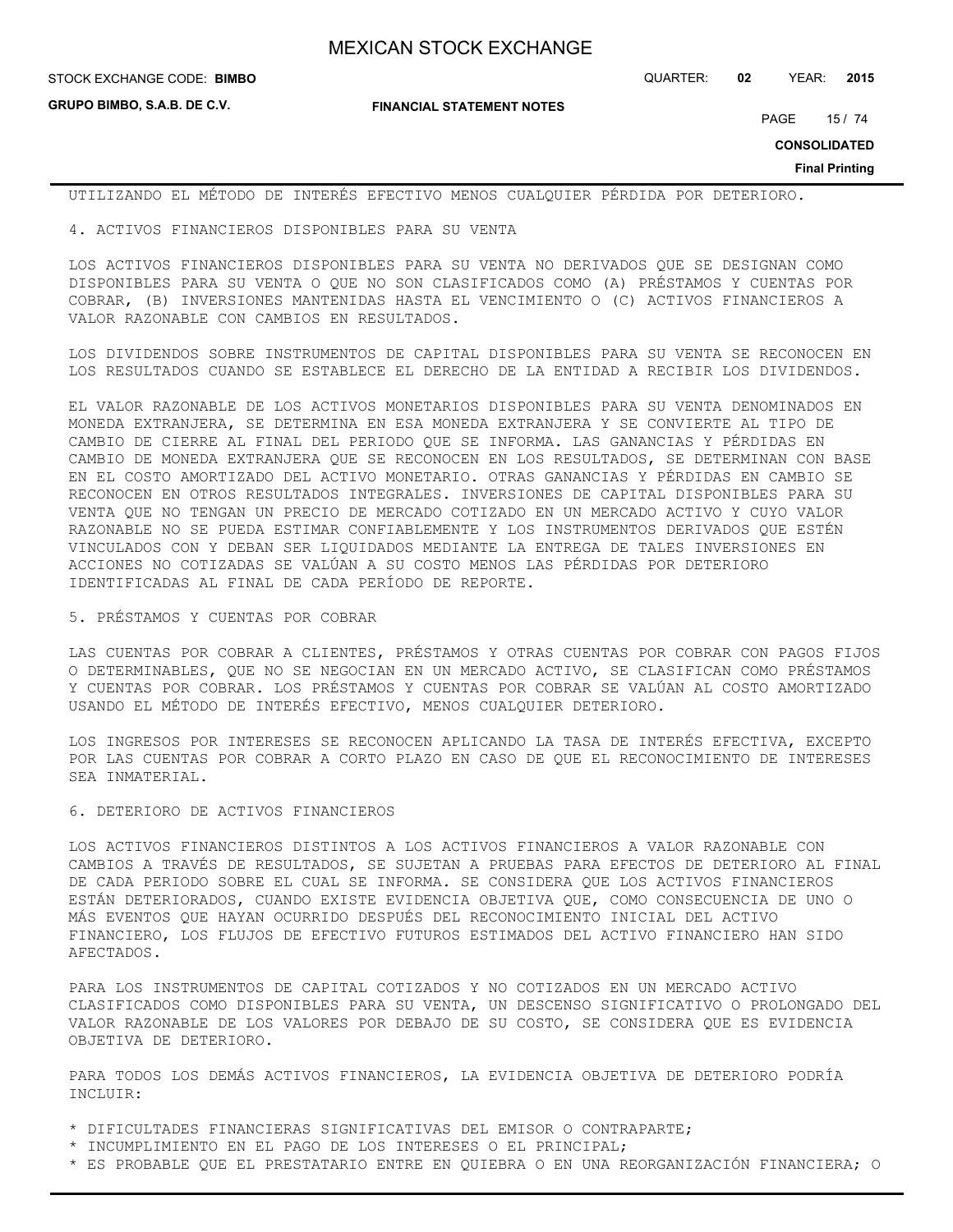**STOCK EXCHANGE CODE: BIMBO** 

**GRUPO BIMBO, S.A.B. DE C.V.**

**FINANCIAL STATEMENT NOTES**

STOCK EXCHANGE CODE: QUARTER: **02** YEAR: **2015**

PAGE 15 / 74

**CONSOLIDATED**

**Final Printing**

UTILIZANDO EL MÉTODO DE INTERÉS EFECTIVO MENOS CUALQUIER PÉRDIDA POR DETERIORO.

4. ACTIVOS FINANCIEROS DISPONIBLES PARA SU VENTA

LOS ACTIVOS FINANCIEROS DISPONIBLES PARA SU VENTA NO DERIVADOS QUE SE DESIGNAN COMO DISPONIBLES PARA SU VENTA O QUE NO SON CLASIFICADOS COMO (A) PRÉSTAMOS Y CUENTAS POR COBRAR, (B) INVERSIONES MANTENIDAS HASTA EL VENCIMIENTO O (C) ACTIVOS FINANCIEROS A VALOR RAZONABLE CON CAMBIOS EN RESULTADOS.

LOS DIVIDENDOS SOBRE INSTRUMENTOS DE CAPITAL DISPONIBLES PARA SU VENTA SE RECONOCEN EN LOS RESULTADOS CUANDO SE ESTABLECE EL DERECHO DE LA ENTIDAD A RECIBIR LOS DIVIDENDOS.

EL VALOR RAZONABLE DE LOS ACTIVOS MONETARIOS DISPONIBLES PARA SU VENTA DENOMINADOS EN MONEDA EXTRANJERA, SE DETERMINA EN ESA MONEDA EXTRANJERA Y SE CONVIERTE AL TIPO DE CAMBIO DE CIERRE AL FINAL DEL PERIODO QUE SE INFORMA. LAS GANANCIAS Y PÉRDIDAS EN CAMBIO DE MONEDA EXTRANJERA QUE SE RECONOCEN EN LOS RESULTADOS, SE DETERMINAN CON BASE EN EL COSTO AMORTIZADO DEL ACTIVO MONETARIO. OTRAS GANANCIAS Y PÉRDIDAS EN CAMBIO SE RECONOCEN EN OTROS RESULTADOS INTEGRALES. INVERSIONES DE CAPITAL DISPONIBLES PARA SU VENTA QUE NO TENGAN UN PRECIO DE MERCADO COTIZADO EN UN MERCADO ACTIVO Y CUYO VALOR RAZONABLE NO SE PUEDA ESTIMAR CONFIABLEMENTE Y LOS INSTRUMENTOS DERIVADOS QUE ESTÉN VINCULADOS CON Y DEBAN SER LIQUIDADOS MEDIANTE LA ENTREGA DE TALES INVERSIONES EN ACCIONES NO COTIZADAS SE VALÚAN A SU COSTO MENOS LAS PÉRDIDAS POR DETERIORO IDENTIFICADAS AL FINAL DE CADA PERÍODO DE REPORTE.

## 5. PRÉSTAMOS Y CUENTAS POR COBRAR

LAS CUENTAS POR COBRAR A CLIENTES, PRÉSTAMOS Y OTRAS CUENTAS POR COBRAR CON PAGOS FIJOS O DETERMINABLES, QUE NO SE NEGOCIAN EN UN MERCADO ACTIVO, SE CLASIFICAN COMO PRÉSTAMOS Y CUENTAS POR COBRAR. LOS PRÉSTAMOS Y CUENTAS POR COBRAR SE VALÚAN AL COSTO AMORTIZADO USANDO EL MÉTODO DE INTERÉS EFECTIVO, MENOS CUALQUIER DETERIORO.

LOS INGRESOS POR INTERESES SE RECONOCEN APLICANDO LA TASA DE INTERÉS EFECTIVA, EXCEPTO POR LAS CUENTAS POR COBRAR A CORTO PLAZO EN CASO DE QUE EL RECONOCIMIENTO DE INTERESES SEA INMATERIAL.

#### 6. DETERIORO DE ACTIVOS FINANCIEROS

LOS ACTIVOS FINANCIEROS DISTINTOS A LOS ACTIVOS FINANCIEROS A VALOR RAZONABLE CON CAMBIOS A TRAVÉS DE RESULTADOS, SE SUJETAN A PRUEBAS PARA EFECTOS DE DETERIORO AL FINAL DE CADA PERIODO SOBRE EL CUAL SE INFORMA. SE CONSIDERA QUE LOS ACTIVOS FINANCIEROS ESTÁN DETERIORADOS, CUANDO EXISTE EVIDENCIA OBJETIVA QUE, COMO CONSECUENCIA DE UNO O MÁS EVENTOS QUE HAYAN OCURRIDO DESPUÉS DEL RECONOCIMIENTO INICIAL DEL ACTIVO FINANCIERO, LOS FLUJOS DE EFECTIVO FUTUROS ESTIMADOS DEL ACTIVO FINANCIERO HAN SIDO AFECTADOS.

PARA LOS INSTRUMENTOS DE CAPITAL COTIZADOS Y NO COTIZADOS EN UN MERCADO ACTIVO CLASIFICADOS COMO DISPONIBLES PARA SU VENTA, UN DESCENSO SIGNIFICATIVO O PROLONGADO DEL VALOR RAZONABLE DE LOS VALORES POR DEBAJO DE SU COSTO, SE CONSIDERA QUE ES EVIDENCIA OBJETIVA DE DETERIORO.

PARA TODOS LOS DEMÁS ACTIVOS FINANCIEROS, LA EVIDENCIA OBJETIVA DE DETERIORO PODRÍA INCLUIR:

- \* DIFICULTADES FINANCIERAS SIGNIFICATIVAS DEL EMISOR O CONTRAPARTE;
- \* INCUMPLIMIENTO EN EL PAGO DE LOS INTERESES O EL PRINCIPAL;
- \* ES PROBABLE QUE EL PRESTATARIO ENTRE EN QUIEBRA O EN UNA REORGANIZACIÓN FINANCIERA; O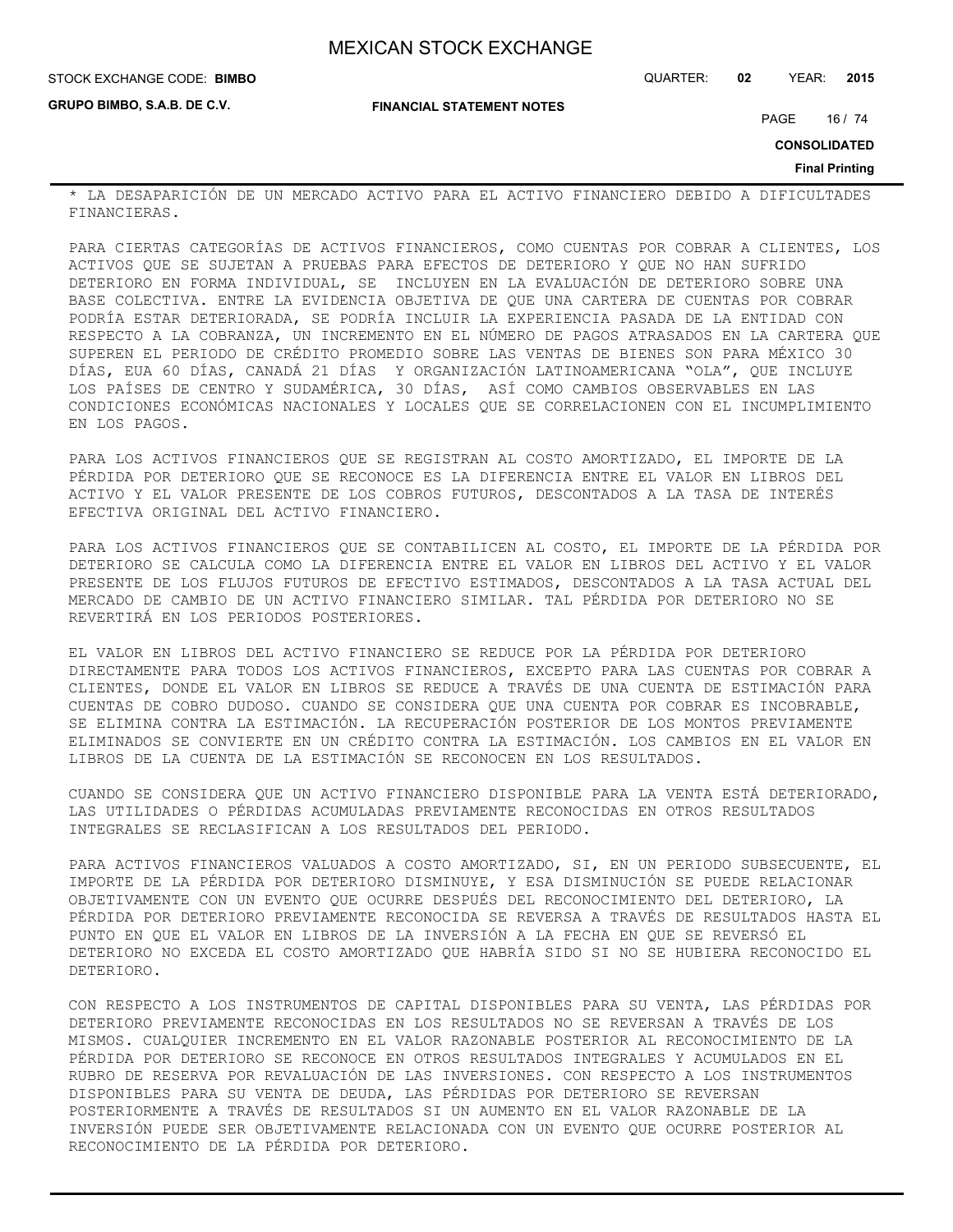**GRUPO BIMBO, S.A.B. DE C.V.**

**FINANCIAL STATEMENT NOTES**

PAGE 16 / 74

**CONSOLIDATED**

#### **Final Printing**

\* LA DESAPARICIÓN DE UN MERCADO ACTIVO PARA EL ACTIVO FINANCIERO DEBIDO A DIFICULTADES FINANCIERAS.

PARA CIERTAS CATEGORÍAS DE ACTIVOS FINANCIEROS, COMO CUENTAS POR COBRAR A CLIENTES, LOS ACTIVOS QUE SE SUJETAN A PRUEBAS PARA EFECTOS DE DETERIORO Y QUE NO HAN SUFRIDO DETERIORO EN FORMA INDIVIDUAL, SE INCLUYEN EN LA EVALUACIÓN DE DETERIORO SOBRE UNA BASE COLECTIVA. ENTRE LA EVIDENCIA OBJETIVA DE QUE UNA CARTERA DE CUENTAS POR COBRAR PODRÍA ESTAR DETERIORADA, SE PODRÍA INCLUIR LA EXPERIENCIA PASADA DE LA ENTIDAD CON RESPECTO A LA COBRANZA, UN INCREMENTO EN EL NÚMERO DE PAGOS ATRASADOS EN LA CARTERA QUE SUPEREN EL PERIODO DE CRÉDITO PROMEDIO SOBRE LAS VENTAS DE BIENES SON PARA MÉXICO 30 DÍAS, EUA 60 DÍAS, CANADÁ 21 DÍAS Y ORGANIZACIÓN LATINOAMERICANA "OLA", QUE INCLUYE LOS PAÍSES DE CENTRO Y SUDAMÉRICA, 30 DÍAS, ASÍ COMO CAMBIOS OBSERVABLES EN LAS CONDICIONES ECONÓMICAS NACIONALES Y LOCALES QUE SE CORRELACIONEN CON EL INCUMPLIMIENTO EN LOS PAGOS.

PARA LOS ACTIVOS FINANCIEROS QUE SE REGISTRAN AL COSTO AMORTIZADO, EL IMPORTE DE LA PÉRDIDA POR DETERIORO QUE SE RECONOCE ES LA DIFERENCIA ENTRE EL VALOR EN LIBROS DEL ACTIVO Y EL VALOR PRESENTE DE LOS COBROS FUTUROS, DESCONTADOS A LA TASA DE INTERÉS EFECTIVA ORIGINAL DEL ACTIVO FINANCIERO.

PARA LOS ACTIVOS FINANCIEROS QUE SE CONTABILICEN AL COSTO, EL IMPORTE DE LA PÉRDIDA POR DETERIORO SE CALCULA COMO LA DIFERENCIA ENTRE EL VALOR EN LIBROS DEL ACTIVO Y EL VALOR PRESENTE DE LOS FLUJOS FUTUROS DE EFECTIVO ESTIMADOS, DESCONTADOS A LA TASA ACTUAL DEL MERCADO DE CAMBIO DE UN ACTIVO FINANCIERO SIMILAR. TAL PÉRDIDA POR DETERIORO NO SE REVERTIRÁ EN LOS PERIODOS POSTERIORES.

EL VALOR EN LIBROS DEL ACTIVO FINANCIERO SE REDUCE POR LA PÉRDIDA POR DETERIORO DIRECTAMENTE PARA TODOS LOS ACTIVOS FINANCIEROS, EXCEPTO PARA LAS CUENTAS POR COBRAR A CLIENTES, DONDE EL VALOR EN LIBROS SE REDUCE A TRAVÉS DE UNA CUENTA DE ESTIMACIÓN PARA CUENTAS DE COBRO DUDOSO. CUANDO SE CONSIDERA QUE UNA CUENTA POR COBRAR ES INCOBRABLE, SE ELIMINA CONTRA LA ESTIMACIÓN. LA RECUPERACIÓN POSTERIOR DE LOS MONTOS PREVIAMENTE ELIMINADOS SE CONVIERTE EN UN CRÉDITO CONTRA LA ESTIMACIÓN. LOS CAMBIOS EN EL VALOR EN LIBROS DE LA CUENTA DE LA ESTIMACIÓN SE RECONOCEN EN LOS RESULTADOS.

CUANDO SE CONSIDERA QUE UN ACTIVO FINANCIERO DISPONIBLE PARA LA VENTA ESTÁ DETERIORADO, LAS UTILIDADES O PÉRDIDAS ACUMULADAS PREVIAMENTE RECONOCIDAS EN OTROS RESULTADOS INTEGRALES SE RECLASIFICAN A LOS RESULTADOS DEL PERIODO.

PARA ACTIVOS FINANCIEROS VALUADOS A COSTO AMORTIZADO, SI, EN UN PERIODO SUBSECUENTE, EL IMPORTE DE LA PÉRDIDA POR DETERIORO DISMINUYE, Y ESA DISMINUCIÓN SE PUEDE RELACIONAR OBJETIVAMENTE CON UN EVENTO QUE OCURRE DESPUÉS DEL RECONOCIMIENTO DEL DETERIORO, LA PÉRDIDA POR DETERIORO PREVIAMENTE RECONOCIDA SE REVERSA A TRAVÉS DE RESULTADOS HASTA EL PUNTO EN QUE EL VALOR EN LIBROS DE LA INVERSIÓN A LA FECHA EN QUE SE REVERSÓ EL DETERIORO NO EXCEDA EL COSTO AMORTIZADO QUE HABRÍA SIDO SI NO SE HUBIERA RECONOCIDO EL DETERIORO.

CON RESPECTO A LOS INSTRUMENTOS DE CAPITAL DISPONIBLES PARA SU VENTA, LAS PÉRDIDAS POR DETERIORO PREVIAMENTE RECONOCIDAS EN LOS RESULTADOS NO SE REVERSAN A TRAVÉS DE LOS MISMOS. CUALQUIER INCREMENTO EN EL VALOR RAZONABLE POSTERIOR AL RECONOCIMIENTO DE LA PÉRDIDA POR DETERIORO SE RECONOCE EN OTROS RESULTADOS INTEGRALES Y ACUMULADOS EN EL RUBRO DE RESERVA POR REVALUACIÓN DE LAS INVERSIONES. CON RESPECTO A LOS INSTRUMENTOS DISPONIBLES PARA SU VENTA DE DEUDA, LAS PÉRDIDAS POR DETERIORO SE REVERSAN POSTERIORMENTE A TRAVÉS DE RESULTADOS SI UN AUMENTO EN EL VALOR RAZONABLE DE LA INVERSIÓN PUEDE SER OBJETIVAMENTE RELACIONADA CON UN EVENTO QUE OCURRE POSTERIOR AL RECONOCIMIENTO DE LA PÉRDIDA POR DETERIORO.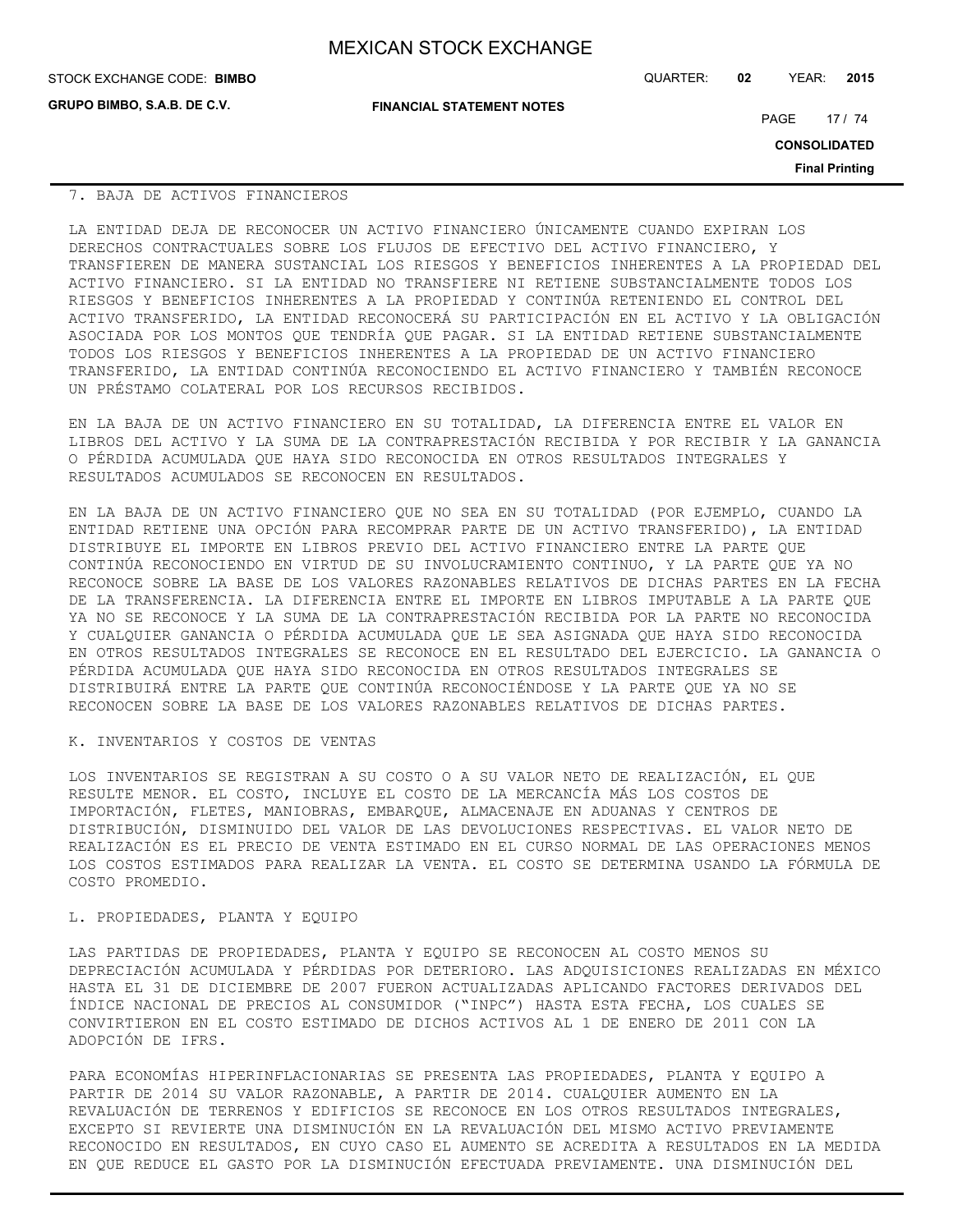**GRUPO BIMBO, S.A.B. DE C.V.**

STOCK EXCHANGE CODE: QUARTER: **02** YEAR: **2015 BIMBO**

**FINANCIAL STATEMENT NOTES**

PAGE 17 / 74

**CONSOLIDATED**

**Final Printing**

## 7. BAJA DE ACTIVOS FINANCIEROS

LA ENTIDAD DEJA DE RECONOCER UN ACTIVO FINANCIERO ÚNICAMENTE CUANDO EXPIRAN LOS DERECHOS CONTRACTUALES SOBRE LOS FLUJOS DE EFECTIVO DEL ACTIVO FINANCIERO, Y TRANSFIEREN DE MANERA SUSTANCIAL LOS RIESGOS Y BENEFICIOS INHERENTES A LA PROPIEDAD DEL ACTIVO FINANCIERO. SI LA ENTIDAD NO TRANSFIERE NI RETIENE SUBSTANCIALMENTE TODOS LOS RIESGOS Y BENEFICIOS INHERENTES A LA PROPIEDAD Y CONTINÚA RETENIENDO EL CONTROL DEL ACTIVO TRANSFERIDO, LA ENTIDAD RECONOCERÁ SU PARTICIPACIÓN EN EL ACTIVO Y LA OBLIGACIÓN ASOCIADA POR LOS MONTOS QUE TENDRÍA QUE PAGAR. SI LA ENTIDAD RETIENE SUBSTANCIALMENTE TODOS LOS RIESGOS Y BENEFICIOS INHERENTES A LA PROPIEDAD DE UN ACTIVO FINANCIERO TRANSFERIDO, LA ENTIDAD CONTINÚA RECONOCIENDO EL ACTIVO FINANCIERO Y TAMBIÉN RECONOCE UN PRÉSTAMO COLATERAL POR LOS RECURSOS RECIBIDOS.

EN LA BAJA DE UN ACTIVO FINANCIERO EN SU TOTALIDAD, LA DIFERENCIA ENTRE EL VALOR EN LIBROS DEL ACTIVO Y LA SUMA DE LA CONTRAPRESTACIÓN RECIBIDA Y POR RECIBIR Y LA GANANCIA O PÉRDIDA ACUMULADA QUE HAYA SIDO RECONOCIDA EN OTROS RESULTADOS INTEGRALES Y RESULTADOS ACUMULADOS SE RECONOCEN EN RESULTADOS.

EN LA BAJA DE UN ACTIVO FINANCIERO QUE NO SEA EN SU TOTALIDAD (POR EJEMPLO, CUANDO LA ENTIDAD RETIENE UNA OPCIÓN PARA RECOMPRAR PARTE DE UN ACTIVO TRANSFERIDO), LA ENTIDAD DISTRIBUYE EL IMPORTE EN LIBROS PREVIO DEL ACTIVO FINANCIERO ENTRE LA PARTE QUE CONTINÚA RECONOCIENDO EN VIRTUD DE SU INVOLUCRAMIENTO CONTINUO, Y LA PARTE QUE YA NO RECONOCE SOBRE LA BASE DE LOS VALORES RAZONABLES RELATIVOS DE DICHAS PARTES EN LA FECHA DE LA TRANSFERENCIA. LA DIFERENCIA ENTRE EL IMPORTE EN LIBROS IMPUTABLE A LA PARTE QUE YA NO SE RECONOCE Y LA SUMA DE LA CONTRAPRESTACIÓN RECIBIDA POR LA PARTE NO RECONOCIDA Y CUALQUIER GANANCIA O PÉRDIDA ACUMULADA QUE LE SEA ASIGNADA QUE HAYA SIDO RECONOCIDA EN OTROS RESULTADOS INTEGRALES SE RECONOCE EN EL RESULTADO DEL EJERCICIO. LA GANANCIA O PÉRDIDA ACUMULADA QUE HAYA SIDO RECONOCIDA EN OTROS RESULTADOS INTEGRALES SE DISTRIBUIRÁ ENTRE LA PARTE QUE CONTINÚA RECONOCIÉNDOSE Y LA PARTE QUE YA NO SE RECONOCEN SOBRE LA BASE DE LOS VALORES RAZONABLES RELATIVOS DE DICHAS PARTES.

## K. INVENTARIOS Y COSTOS DE VENTAS

LOS INVENTARIOS SE REGISTRAN A SU COSTO O A SU VALOR NETO DE REALIZACIÓN, EL QUE RESULTE MENOR. EL COSTO, INCLUYE EL COSTO DE LA MERCANCÍA MÁS LOS COSTOS DE IMPORTACIÓN, FLETES, MANIOBRAS, EMBARQUE, ALMACENAJE EN ADUANAS Y CENTROS DE DISTRIBUCIÓN, DISMINUIDO DEL VALOR DE LAS DEVOLUCIONES RESPECTIVAS. EL VALOR NETO DE REALIZACIÓN ES EL PRECIO DE VENTA ESTIMADO EN EL CURSO NORMAL DE LAS OPERACIONES MENOS LOS COSTOS ESTIMADOS PARA REALIZAR LA VENTA. EL COSTO SE DETERMINA USANDO LA FÓRMULA DE COSTO PROMEDIO.

## L. PROPIEDADES, PLANTA Y EQUIPO

LAS PARTIDAS DE PROPIEDADES, PLANTA Y EQUIPO SE RECONOCEN AL COSTO MENOS SU DEPRECIACIÓN ACUMULADA Y PÉRDIDAS POR DETERIORO. LAS ADQUISICIONES REALIZADAS EN MÉXICO HASTA EL 31 DE DICIEMBRE DE 2007 FUERON ACTUALIZADAS APLICANDO FACTORES DERIVADOS DEL ÍNDICE NACIONAL DE PRECIOS AL CONSUMIDOR ("INPC") HASTA ESTA FECHA, LOS CUALES SE CONVIRTIERON EN EL COSTO ESTIMADO DE DICHOS ACTIVOS AL 1 DE ENERO DE 2011 CON LA ADOPCIÓN DE IFRS.

PARA ECONOMÍAS HIPERINFLACIONARIAS SE PRESENTA LAS PROPIEDADES, PLANTA Y EQUIPO A PARTIR DE 2014 SU VALOR RAZONABLE, A PARTIR DE 2014. CUALQUIER AUMENTO EN LA REVALUACIÓN DE TERRENOS Y EDIFICIOS SE RECONOCE EN LOS OTROS RESULTADOS INTEGRALES, EXCEPTO SI REVIERTE UNA DISMINUCIÓN EN LA REVALUACIÓN DEL MISMO ACTIVO PREVIAMENTE RECONOCIDO EN RESULTADOS, EN CUYO CASO EL AUMENTO SE ACREDITA A RESULTADOS EN LA MEDIDA EN QUE REDUCE EL GASTO POR LA DISMINUCIÓN EFECTUADA PREVIAMENTE. UNA DISMINUCIÓN DEL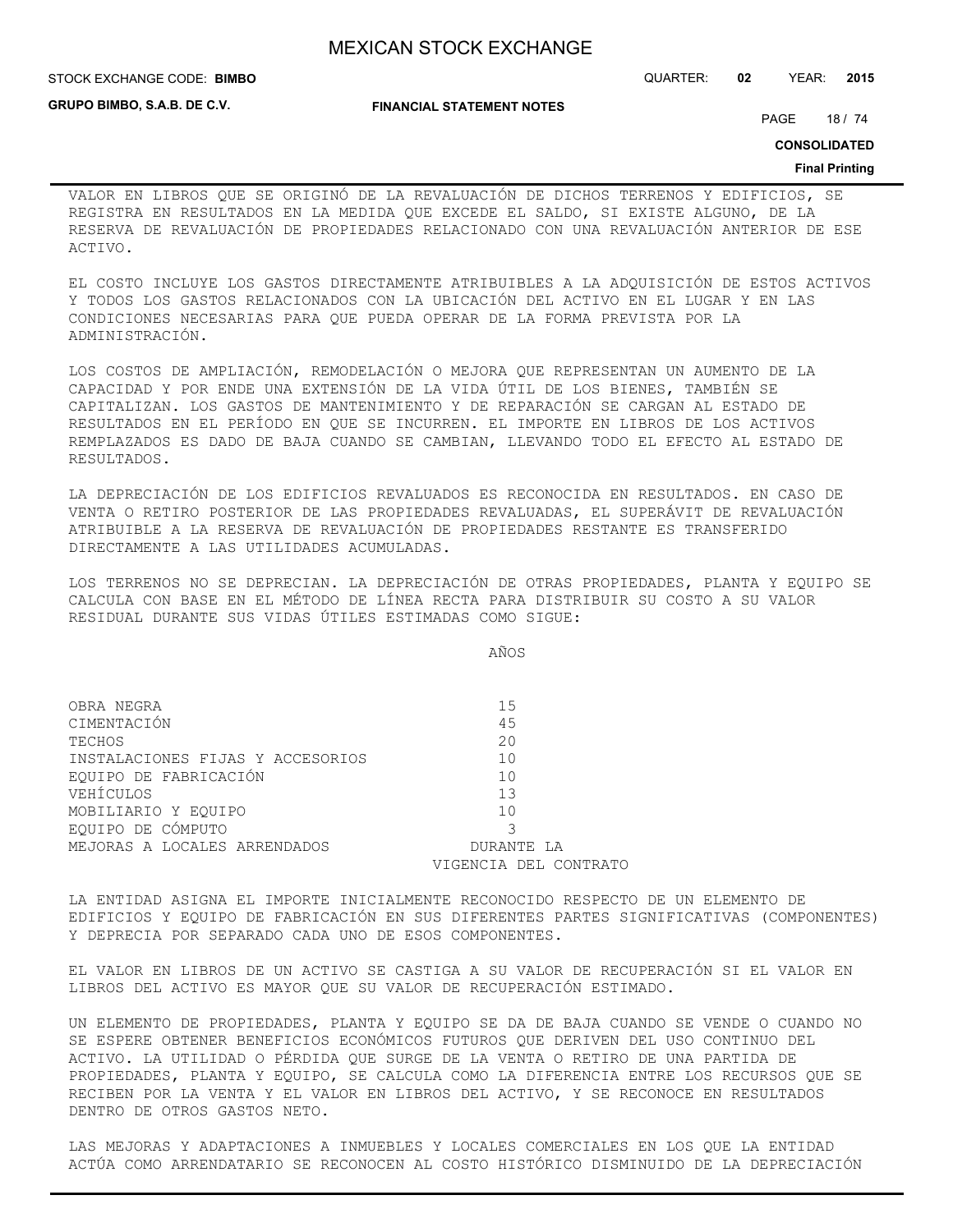**FINANCIAL STATEMENT NOTES**

**STOCK EXCHANGE CODE: BIMBO** 

**GRUPO BIMBO, S.A.B. DE C.V.**

STOCK EXCHANGE CODE: QUARTER: **02** YEAR: **2015**

PAGE 18 / 74

**CONSOLIDATED**

#### **Final Printing**

VALOR EN LIBROS QUE SE ORIGINÓ DE LA REVALUACIÓN DE DICHOS TERRENOS Y EDIFICIOS, SE REGISTRA EN RESULTADOS EN LA MEDIDA QUE EXCEDE EL SALDO, SI EXISTE ALGUNO, DE LA RESERVA DE REVALUACIÓN DE PROPIEDADES RELACIONADO CON UNA REVALUACIÓN ANTERIOR DE ESE ACTIVO.

EL COSTO INCLUYE LOS GASTOS DIRECTAMENTE ATRIBUIBLES A LA ADQUISICIÓN DE ESTOS ACTIVOS Y TODOS LOS GASTOS RELACIONADOS CON LA UBICACIÓN DEL ACTIVO EN EL LUGAR Y EN LAS CONDICIONES NECESARIAS PARA QUE PUEDA OPERAR DE LA FORMA PREVISTA POR LA ADMINISTRACIÓN.

LOS COSTOS DE AMPLIACIÓN, REMODELACIÓN O MEJORA QUE REPRESENTAN UN AUMENTO DE LA CAPACIDAD Y POR ENDE UNA EXTENSIÓN DE LA VIDA ÚTIL DE LOS BIENES, TAMBIÉN SE CAPITALIZAN. LOS GASTOS DE MANTENIMIENTO Y DE REPARACIÓN SE CARGAN AL ESTADO DE RESULTADOS EN EL PERÍODO EN QUE SE INCURREN. EL IMPORTE EN LIBROS DE LOS ACTIVOS REMPLAZADOS ES DADO DE BAJA CUANDO SE CAMBIAN, LLEVANDO TODO EL EFECTO AL ESTADO DE RESULTADOS.

LA DEPRECIACIÓN DE LOS EDIFICIOS REVALUADOS ES RECONOCIDA EN RESULTADOS. EN CASO DE VENTA O RETIRO POSTERIOR DE LAS PROPIEDADES REVALUADAS, EL SUPERÁVIT DE REVALUACIÓN ATRIBUIBLE A LA RESERVA DE REVALUACIÓN DE PROPIEDADES RESTANTE ES TRANSFERIDO DIRECTAMENTE A LAS UTILIDADES ACUMULADAS.

LOS TERRENOS NO SE DEPRECIAN. LA DEPRECIACIÓN DE OTRAS PROPIEDADES, PLANTA Y EQUIPO SE CALCULA CON BASE EN EL MÉTODO DE LÍNEA RECTA PARA DISTRIBUIR SU COSTO A SU VALOR RESIDUAL DURANTE SUS VIDAS ÚTILES ESTIMADAS COMO SIGUE:

|  | AÑOS<br>___ |
|--|-------------|
|  |             |

| OBRA NEGRA                       | 15                    |
|----------------------------------|-----------------------|
| CIMENTACIÓN                      | 45                    |
| TECHOS                           | 20                    |
| INSTALACIONES FIJAS Y ACCESORIOS | 10                    |
| EOUIPO DE FABRICACIÓN            | 10                    |
| VEHÍCULOS                        | 13                    |
| MOBILIARIO Y EOUIPO              | 10                    |
| EQUIPO DE CÓMPUTO                |                       |
| MEJORAS A LOCALES ARRENDADOS     | DURANTE LA            |
|                                  | VIGENCIA DEL CONTRATO |

LA ENTIDAD ASIGNA EL IMPORTE INICIALMENTE RECONOCIDO RESPECTO DE UN ELEMENTO DE EDIFICIOS Y EQUIPO DE FABRICACIÓN EN SUS DIFERENTES PARTES SIGNIFICATIVAS (COMPONENTES) Y DEPRECIA POR SEPARADO CADA UNO DE ESOS COMPONENTES.

EL VALOR EN LIBROS DE UN ACTIVO SE CASTIGA A SU VALOR DE RECUPERACIÓN SI EL VALOR EN LIBROS DEL ACTIVO ES MAYOR QUE SU VALOR DE RECUPERACIÓN ESTIMADO.

UN ELEMENTO DE PROPIEDADES, PLANTA Y EQUIPO SE DA DE BAJA CUANDO SE VENDE O CUANDO NO SE ESPERE OBTENER BENEFICIOS ECONÓMICOS FUTUROS QUE DERIVEN DEL USO CONTINUO DEL ACTIVO. LA UTILIDAD O PÉRDIDA QUE SURGE DE LA VENTA O RETIRO DE UNA PARTIDA DE PROPIEDADES, PLANTA Y EQUIPO, SE CALCULA COMO LA DIFERENCIA ENTRE LOS RECURSOS QUE SE RECIBEN POR LA VENTA Y EL VALOR EN LIBROS DEL ACTIVO, Y SE RECONOCE EN RESULTADOS DENTRO DE OTROS GASTOS NETO.

LAS MEJORAS Y ADAPTACIONES A INMUEBLES Y LOCALES COMERCIALES EN LOS QUE LA ENTIDAD ACTÚA COMO ARRENDATARIO SE RECONOCEN AL COSTO HISTÓRICO DISMINUIDO DE LA DEPRECIACIÓN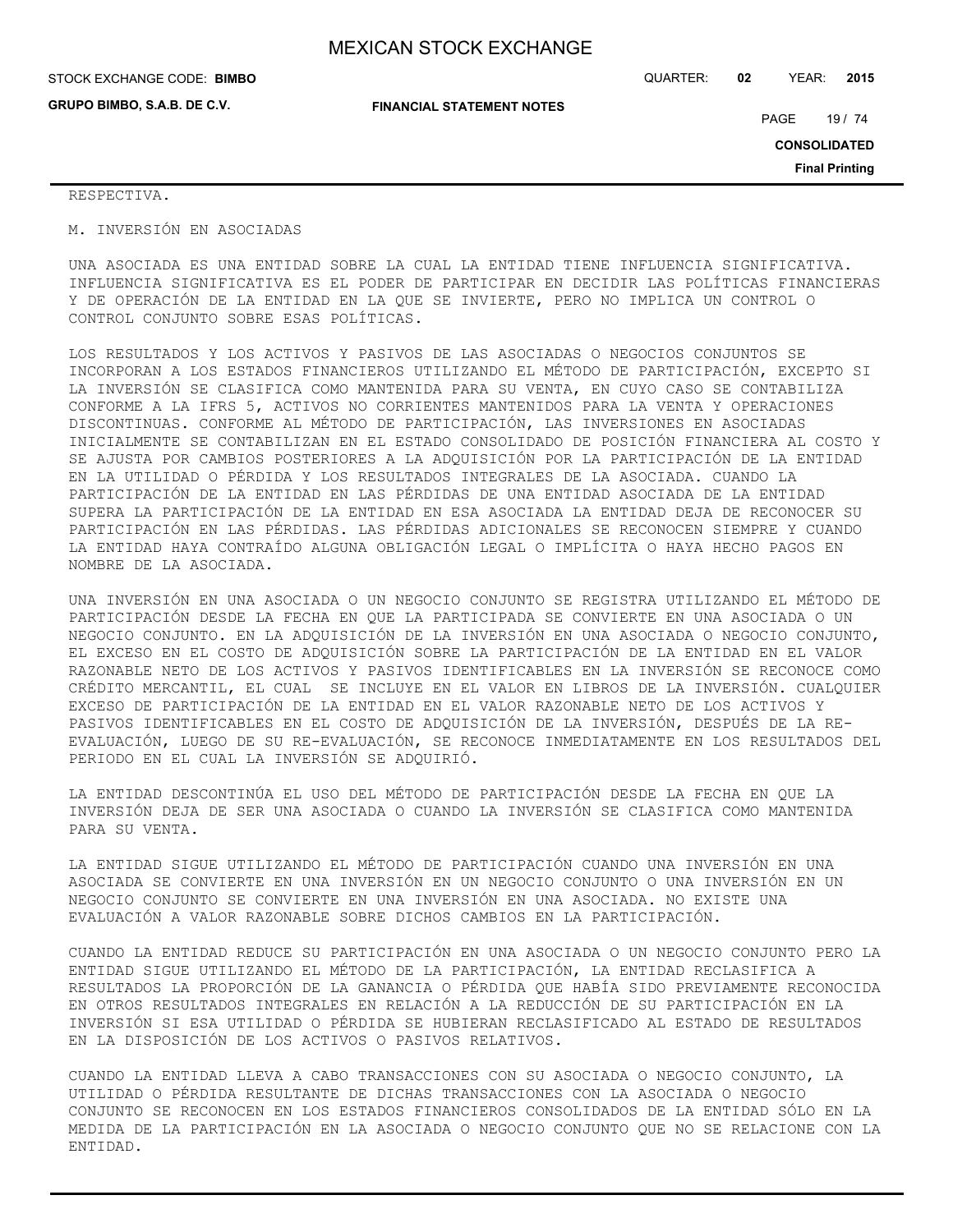| STOCK EXCHANGE CODE: BIMBO  |                                  | QUARTER: | 02 | YEAR: | 2015    |
|-----------------------------|----------------------------------|----------|----|-------|---------|
| GRUPO BIMBO, S.A.B. DE C.V. | <b>FINANCIAL STATEMENT NOTES</b> |          |    | PAGE  | 19 / 74 |

**CONSOLIDATED**

**Final Printing**

## RESPECTIVA.

M. INVERSIÓN EN ASOCIADAS

UNA ASOCIADA ES UNA ENTIDAD SOBRE LA CUAL LA ENTIDAD TIENE INFLUENCIA SIGNIFICATIVA. INFLUENCIA SIGNIFICATIVA ES EL PODER DE PARTICIPAR EN DECIDIR LAS POLÍTICAS FINANCIERAS Y DE OPERACIÓN DE LA ENTIDAD EN LA QUE SE INVIERTE, PERO NO IMPLICA UN CONTROL O CONTROL CONJUNTO SOBRE ESAS POLÍTICAS.

LOS RESULTADOS Y LOS ACTIVOS Y PASIVOS DE LAS ASOCIADAS O NEGOCIOS CONJUNTOS SE INCORPORAN A LOS ESTADOS FINANCIEROS UTILIZANDO EL MÉTODO DE PARTICIPACIÓN, EXCEPTO SI LA INVERSIÓN SE CLASIFICA COMO MANTENIDA PARA SU VENTA, EN CUYO CASO SE CONTABILIZA CONFORME A LA IFRS 5, ACTIVOS NO CORRIENTES MANTENIDOS PARA LA VENTA Y OPERACIONES DISCONTINUAS. CONFORME AL MÉTODO DE PARTICIPACIÓN, LAS INVERSIONES EN ASOCIADAS INICIALMENTE SE CONTABILIZAN EN EL ESTADO CONSOLIDADO DE POSICIÓN FINANCIERA AL COSTO Y SE AJUSTA POR CAMBIOS POSTERIORES A LA ADQUISICIÓN POR LA PARTICIPACIÓN DE LA ENTIDAD EN LA UTILIDAD O PÉRDIDA Y LOS RESULTADOS INTEGRALES DE LA ASOCIADA. CUANDO LA PARTICIPACIÓN DE LA ENTIDAD EN LAS PÉRDIDAS DE UNA ENTIDAD ASOCIADA DE LA ENTIDAD SUPERA LA PARTICIPACIÓN DE LA ENTIDAD EN ESA ASOCIADA LA ENTIDAD DEJA DE RECONOCER SU PARTICIPACIÓN EN LAS PÉRDIDAS. LAS PÉRDIDAS ADICIONALES SE RECONOCEN SIEMPRE Y CUANDO LA ENTIDAD HAYA CONTRAÍDO ALGUNA OBLIGACIÓN LEGAL O IMPLÍCITA O HAYA HECHO PAGOS EN NOMBRE DE LA ASOCIADA.

UNA INVERSIÓN EN UNA ASOCIADA O UN NEGOCIO CONJUNTO SE REGISTRA UTILIZANDO EL MÉTODO DE PARTICIPACIÓN DESDE LA FECHA EN QUE LA PARTICIPADA SE CONVIERTE EN UNA ASOCIADA O UN NEGOCIO CONJUNTO. EN LA ADQUISICIÓN DE LA INVERSIÓN EN UNA ASOCIADA O NEGOCIO CONJUNTO, EL EXCESO EN EL COSTO DE ADQUISICIÓN SOBRE LA PARTICIPACIÓN DE LA ENTIDAD EN EL VALOR RAZONABLE NETO DE LOS ACTIVOS Y PASIVOS IDENTIFICABLES EN LA INVERSIÓN SE RECONOCE COMO CRÉDITO MERCANTIL, EL CUAL SE INCLUYE EN EL VALOR EN LIBROS DE LA INVERSIÓN. CUALQUIER EXCESO DE PARTICIPACIÓN DE LA ENTIDAD EN EL VALOR RAZONABLE NETO DE LOS ACTIVOS Y PASIVOS IDENTIFICABLES EN EL COSTO DE ADQUISICIÓN DE LA INVERSIÓN, DESPUÉS DE LA RE-EVALUACIÓN, LUEGO DE SU RE-EVALUACIÓN, SE RECONOCE INMEDIATAMENTE EN LOS RESULTADOS DEL PERIODO EN EL CUAL LA INVERSIÓN SE ADQUIRIÓ.

LA ENTIDAD DESCONTINÚA EL USO DEL MÉTODO DE PARTICIPACIÓN DESDE LA FECHA EN QUE LA INVERSIÓN DEJA DE SER UNA ASOCIADA O CUANDO LA INVERSIÓN SE CLASIFICA COMO MANTENIDA PARA SU VENTA.

LA ENTIDAD SIGUE UTILIZANDO EL MÉTODO DE PARTICIPACIÓN CUANDO UNA INVERSIÓN EN UNA ASOCIADA SE CONVIERTE EN UNA INVERSIÓN EN UN NEGOCIO CONJUNTO O UNA INVERSIÓN EN UN NEGOCIO CONJUNTO SE CONVIERTE EN UNA INVERSIÓN EN UNA ASOCIADA. NO EXISTE UNA EVALUACIÓN A VALOR RAZONABLE SOBRE DICHOS CAMBIOS EN LA PARTICIPACIÓN.

CUANDO LA ENTIDAD REDUCE SU PARTICIPACIÓN EN UNA ASOCIADA O UN NEGOCIO CONJUNTO PERO LA ENTIDAD SIGUE UTILIZANDO EL MÉTODO DE LA PARTICIPACIÓN, LA ENTIDAD RECLASIFICA A RESULTADOS LA PROPORCIÓN DE LA GANANCIA O PÉRDIDA QUE HABÍA SIDO PREVIAMENTE RECONOCIDA EN OTROS RESULTADOS INTEGRALES EN RELACIÓN A LA REDUCCIÓN DE SU PARTICIPACIÓN EN LA INVERSIÓN SI ESA UTILIDAD O PÉRDIDA SE HUBIERAN RECLASIFICADO AL ESTADO DE RESULTADOS EN LA DISPOSICIÓN DE LOS ACTIVOS O PASIVOS RELATIVOS.

CUANDO LA ENTIDAD LLEVA A CABO TRANSACCIONES CON SU ASOCIADA O NEGOCIO CONJUNTO, LA UTILIDAD O PÉRDIDA RESULTANTE DE DICHAS TRANSACCIONES CON LA ASOCIADA O NEGOCIO CONJUNTO SE RECONOCEN EN LOS ESTADOS FINANCIEROS CONSOLIDADOS DE LA ENTIDAD SÓLO EN LA MEDIDA DE LA PARTICIPACIÓN EN LA ASOCIADA O NEGOCIO CONJUNTO QUE NO SE RELACIONE CON LA ENTIDAD.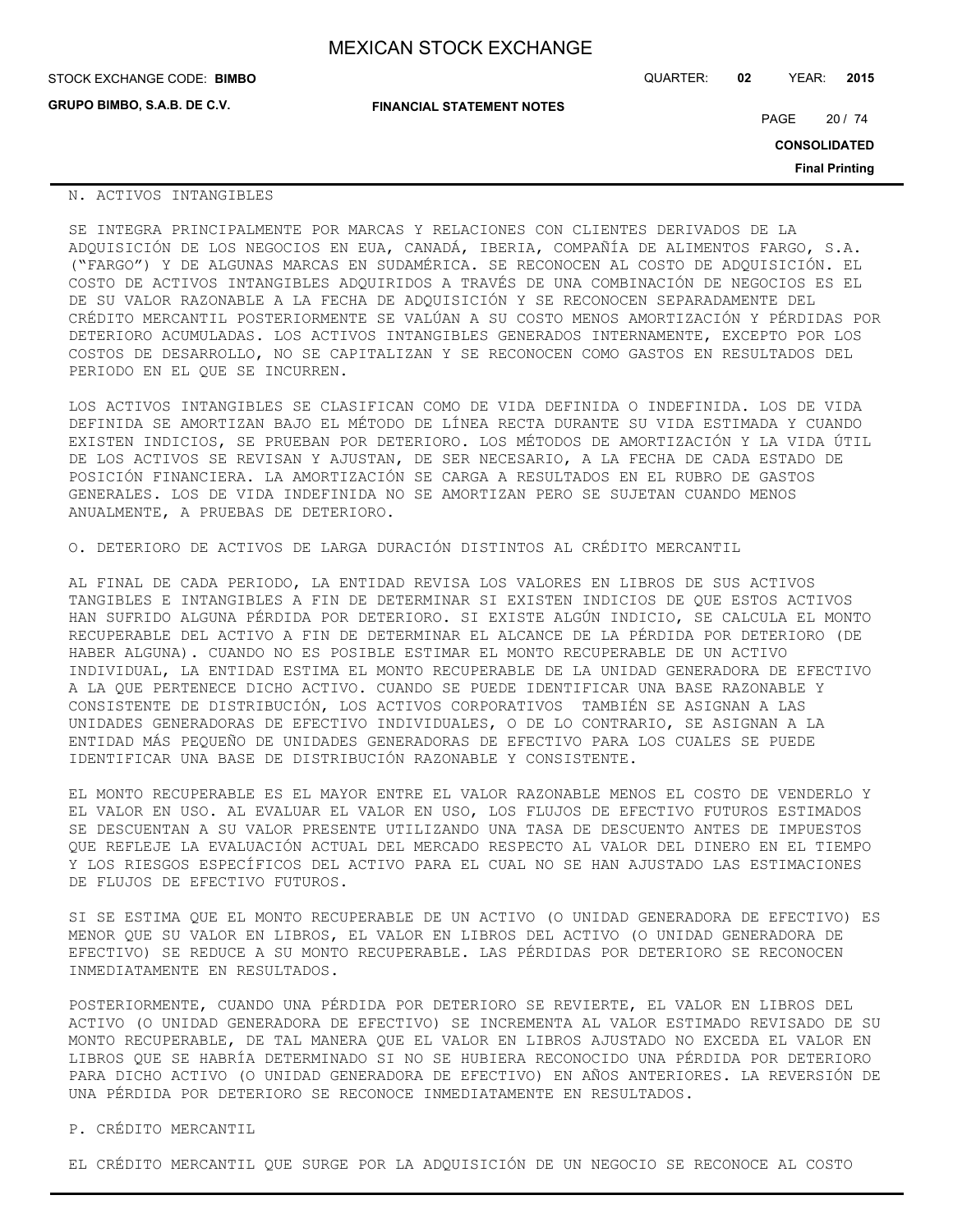| <b>MEXICAN STOCK EXCHANGE</b> |  |  |  |
|-------------------------------|--|--|--|
|-------------------------------|--|--|--|

| STOCK EXCHANGE CODE: BIMBO         |                                  | QUARTER: | 02 | YEAR:               | 2015                  |  |
|------------------------------------|----------------------------------|----------|----|---------------------|-----------------------|--|
| <b>GRUPO BIMBO, S.A.B. DE C.V.</b> | <b>FINANCIAL STATEMENT NOTES</b> |          |    | PAGE                | 20 / 74               |  |
|                                    |                                  |          |    | <b>CONSOLIDATED</b> |                       |  |
|                                    |                                  |          |    |                     | <b>Final Printing</b> |  |

# N. ACTIVOS INTANGIBLES

SE INTEGRA PRINCIPALMENTE POR MARCAS Y RELACIONES CON CLIENTES DERIVADOS DE LA ADQUISICIÓN DE LOS NEGOCIOS EN EUA, CANADÁ, IBERIA, COMPAÑÍA DE ALIMENTOS FARGO, S.A. ("FARGO") Y DE ALGUNAS MARCAS EN SUDAMÉRICA. SE RECONOCEN AL COSTO DE ADQUISICIÓN. EL COSTO DE ACTIVOS INTANGIBLES ADQUIRIDOS A TRAVÉS DE UNA COMBINACIÓN DE NEGOCIOS ES EL DE SU VALOR RAZONABLE A LA FECHA DE ADQUISICIÓN Y SE RECONOCEN SEPARADAMENTE DEL CRÉDITO MERCANTIL POSTERIORMENTE SE VALÚAN A SU COSTO MENOS AMORTIZACIÓN Y PÉRDIDAS POR DETERIORO ACUMULADAS. LOS ACTIVOS INTANGIBLES GENERADOS INTERNAMENTE, EXCEPTO POR LOS COSTOS DE DESARROLLO, NO SE CAPITALIZAN Y SE RECONOCEN COMO GASTOS EN RESULTADOS DEL PERIODO EN EL QUE SE INCURREN.

LOS ACTIVOS INTANGIBLES SE CLASIFICAN COMO DE VIDA DEFINIDA O INDEFINIDA. LOS DE VIDA DEFINIDA SE AMORTIZAN BAJO EL MÉTODO DE LÍNEA RECTA DURANTE SU VIDA ESTIMADA Y CUANDO EXISTEN INDICIOS, SE PRUEBAN POR DETERIORO. LOS MÉTODOS DE AMORTIZACIÓN Y LA VIDA ÚTIL DE LOS ACTIVOS SE REVISAN Y AJUSTAN, DE SER NECESARIO, A LA FECHA DE CADA ESTADO DE POSICIÓN FINANCIERA. LA AMORTIZACIÓN SE CARGA A RESULTADOS EN EL RUBRO DE GASTOS GENERALES. LOS DE VIDA INDEFINIDA NO SE AMORTIZAN PERO SE SUJETAN CUANDO MENOS ANUALMENTE, A PRUEBAS DE DETERIORO.

O. DETERIORO DE ACTIVOS DE LARGA DURACIÓN DISTINTOS AL CRÉDITO MERCANTIL

AL FINAL DE CADA PERIODO, LA ENTIDAD REVISA LOS VALORES EN LIBROS DE SUS ACTIVOS TANGIBLES E INTANGIBLES A FIN DE DETERMINAR SI EXISTEN INDICIOS DE QUE ESTOS ACTIVOS HAN SUFRIDO ALGUNA PÉRDIDA POR DETERIORO. SI EXISTE ALGÚN INDICIO, SE CALCULA EL MONTO RECUPERABLE DEL ACTIVO A FIN DE DETERMINAR EL ALCANCE DE LA PÉRDIDA POR DETERIORO (DE HABER ALGUNA). CUANDO NO ES POSIBLE ESTIMAR EL MONTO RECUPERABLE DE UN ACTIVO INDIVIDUAL, LA ENTIDAD ESTIMA EL MONTO RECUPERABLE DE LA UNIDAD GENERADORA DE EFECTIVO A LA QUE PERTENECE DICHO ACTIVO. CUANDO SE PUEDE IDENTIFICAR UNA BASE RAZONABLE Y CONSISTENTE DE DISTRIBUCIÓN, LOS ACTIVOS CORPORATIVOS TAMBIÉN SE ASIGNAN A LAS UNIDADES GENERADORAS DE EFECTIVO INDIVIDUALES, O DE LO CONTRARIO, SE ASIGNAN A LA ENTIDAD MÁS PEQUEÑO DE UNIDADES GENERADORAS DE EFECTIVO PARA LOS CUALES SE PUEDE IDENTIFICAR UNA BASE DE DISTRIBUCIÓN RAZONABLE Y CONSISTENTE.

EL MONTO RECUPERABLE ES EL MAYOR ENTRE EL VALOR RAZONABLE MENOS EL COSTO DE VENDERLO Y EL VALOR EN USO. AL EVALUAR EL VALOR EN USO, LOS FLUJOS DE EFECTIVO FUTUROS ESTIMADOS SE DESCUENTAN A SU VALOR PRESENTE UTILIZANDO UNA TASA DE DESCUENTO ANTES DE IMPUESTOS QUE REFLEJE LA EVALUACIÓN ACTUAL DEL MERCADO RESPECTO AL VALOR DEL DINERO EN EL TIEMPO Y LOS RIESGOS ESPECÍFICOS DEL ACTIVO PARA EL CUAL NO SE HAN AJUSTADO LAS ESTIMACIONES DE FLUJOS DE EFECTIVO FUTUROS.

SI SE ESTIMA QUE EL MONTO RECUPERABLE DE UN ACTIVO (O UNIDAD GENERADORA DE EFECTIVO) ES MENOR QUE SU VALOR EN LIBROS, EL VALOR EN LIBROS DEL ACTIVO (O UNIDAD GENERADORA DE EFECTIVO) SE REDUCE A SU MONTO RECUPERABLE. LAS PÉRDIDAS POR DETERIORO SE RECONOCEN INMEDIATAMENTE EN RESULTADOS.

POSTERIORMENTE, CUANDO UNA PÉRDIDA POR DETERIORO SE REVIERTE, EL VALOR EN LIBROS DEL ACTIVO (O UNIDAD GENERADORA DE EFECTIVO) SE INCREMENTA AL VALOR ESTIMADO REVISADO DE SU MONTO RECUPERABLE, DE TAL MANERA QUE EL VALOR EN LIBROS AJUSTADO NO EXCEDA EL VALOR EN LIBROS QUE SE HABRÍA DETERMINADO SI NO SE HUBIERA RECONOCIDO UNA PÉRDIDA POR DETERIORO PARA DICHO ACTIVO (O UNIDAD GENERADORA DE EFECTIVO) EN AÑOS ANTERIORES. LA REVERSIÓN DE UNA PÉRDIDA POR DETERIORO SE RECONOCE INMEDIATAMENTE EN RESULTADOS.

# P. CRÉDITO MERCANTIL

EL CRÉDITO MERCANTIL QUE SURGE POR LA ADQUISICIÓN DE UN NEGOCIO SE RECONOCE AL COSTO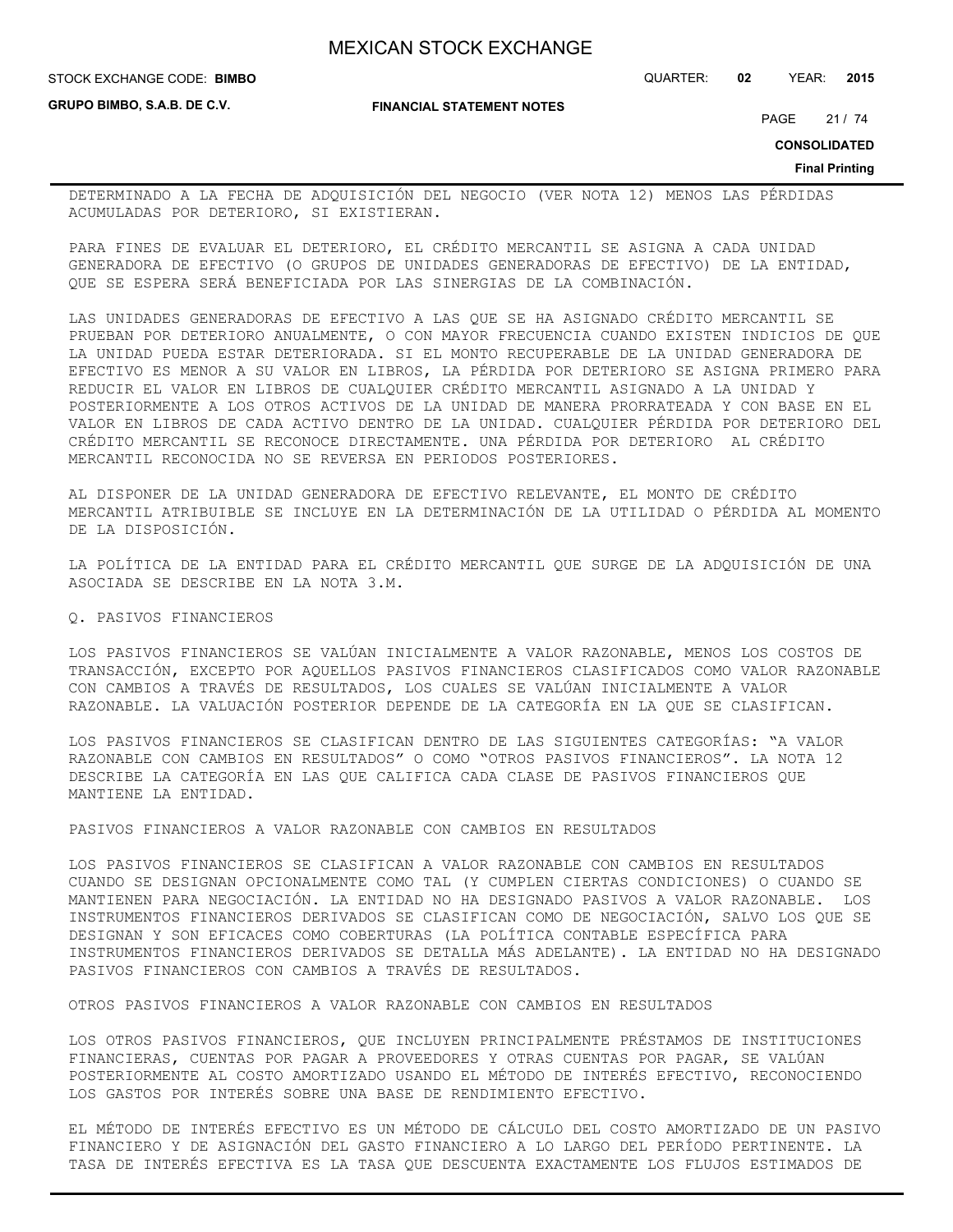**STOCK EXCHANGE CODE: BIMBO** 

**GRUPO BIMBO, S.A.B. DE C.V.**

**FINANCIAL STATEMENT NOTES**

PAGE 21 / 74

**CONSOLIDATED**

**Final Printing**

DETERMINADO A LA FECHA DE ADQUISICIÓN DEL NEGOCIO (VER NOTA 12) MENOS LAS PÉRDIDAS ACUMULADAS POR DETERIORO, SI EXISTIERAN.

PARA FINES DE EVALUAR EL DETERIORO, EL CRÉDITO MERCANTIL SE ASIGNA A CADA UNIDAD GENERADORA DE EFECTIVO (O GRUPOS DE UNIDADES GENERADORAS DE EFECTIVO) DE LA ENTIDAD, QUE SE ESPERA SERÁ BENEFICIADA POR LAS SINERGIAS DE LA COMBINACIÓN.

LAS UNIDADES GENERADORAS DE EFECTIVO A LAS QUE SE HA ASIGNADO CRÉDITO MERCANTIL SE PRUEBAN POR DETERIORO ANUALMENTE, O CON MAYOR FRECUENCIA CUANDO EXISTEN INDICIOS DE QUE LA UNIDAD PUEDA ESTAR DETERIORADA. SI EL MONTO RECUPERABLE DE LA UNIDAD GENERADORA DE EFECTIVO ES MENOR A SU VALOR EN LIBROS, LA PÉRDIDA POR DETERIORO SE ASIGNA PRIMERO PARA REDUCIR EL VALOR EN LIBROS DE CUALQUIER CRÉDITO MERCANTIL ASIGNADO A LA UNIDAD Y POSTERIORMENTE A LOS OTROS ACTIVOS DE LA UNIDAD DE MANERA PRORRATEADA Y CON BASE EN EL VALOR EN LIBROS DE CADA ACTIVO DENTRO DE LA UNIDAD. CUALQUIER PÉRDIDA POR DETERIORO DEL CRÉDITO MERCANTIL SE RECONOCE DIRECTAMENTE. UNA PÉRDIDA POR DETERIORO AL CRÉDITO MERCANTIL RECONOCIDA NO SE REVERSA EN PERIODOS POSTERIORES.

AL DISPONER DE LA UNIDAD GENERADORA DE EFECTIVO RELEVANTE, EL MONTO DE CRÉDITO MERCANTIL ATRIBUIBLE SE INCLUYE EN LA DETERMINACIÓN DE LA UTILIDAD O PÉRDIDA AL MOMENTO DE LA DISPOSICIÓN.

LA POLÍTICA DE LA ENTIDAD PARA EL CRÉDITO MERCANTIL QUE SURGE DE LA ADQUISICIÓN DE UNA ASOCIADA SE DESCRIBE EN LA NOTA 3.M.

## Q. PASIVOS FINANCIEROS

LOS PASIVOS FINANCIEROS SE VALÚAN INICIALMENTE A VALOR RAZONABLE, MENOS LOS COSTOS DE TRANSACCIÓN, EXCEPTO POR AQUELLOS PASIVOS FINANCIEROS CLASIFICADOS COMO VALOR RAZONABLE CON CAMBIOS A TRAVÉS DE RESULTADOS, LOS CUALES SE VALÚAN INICIALMENTE A VALOR RAZONABLE. LA VALUACIÓN POSTERIOR DEPENDE DE LA CATEGORÍA EN LA QUE SE CLASIFICAN.

LOS PASIVOS FINANCIEROS SE CLASIFICAN DENTRO DE LAS SIGUIENTES CATEGORÍAS: "A VALOR RAZONABLE CON CAMBIOS EN RESULTADOS" O COMO "OTROS PASIVOS FINANCIEROS". LA NOTA 12 DESCRIBE LA CATEGORÍA EN LAS QUE CALIFICA CADA CLASE DE PASIVOS FINANCIEROS QUE MANTIENE LA ENTIDAD.

PASIVOS FINANCIEROS A VALOR RAZONABLE CON CAMBIOS EN RESULTADOS

LOS PASIVOS FINANCIEROS SE CLASIFICAN A VALOR RAZONABLE CON CAMBIOS EN RESULTADOS CUANDO SE DESIGNAN OPCIONALMENTE COMO TAL (Y CUMPLEN CIERTAS CONDICIONES) O CUANDO SE MANTIENEN PARA NEGOCIACIÓN. LA ENTIDAD NO HA DESIGNADO PASIVOS A VALOR RAZONABLE. LOS INSTRUMENTOS FINANCIEROS DERIVADOS SE CLASIFICAN COMO DE NEGOCIACIÓN, SALVO LOS QUE SE DESIGNAN Y SON EFICACES COMO COBERTURAS (LA POLÍTICA CONTABLE ESPECÍFICA PARA INSTRUMENTOS FINANCIEROS DERIVADOS SE DETALLA MÁS ADELANTE). LA ENTIDAD NO HA DESIGNADO PASIVOS FINANCIEROS CON CAMBIOS A TRAVÉS DE RESULTADOS.

OTROS PASIVOS FINANCIEROS A VALOR RAZONABLE CON CAMBIOS EN RESULTADOS

LOS OTROS PASIVOS FINANCIEROS, QUE INCLUYEN PRINCIPALMENTE PRÉSTAMOS DE INSTITUCIONES FINANCIERAS, CUENTAS POR PAGAR A PROVEEDORES Y OTRAS CUENTAS POR PAGAR, SE VALÚAN POSTERIORMENTE AL COSTO AMORTIZADO USANDO EL MÉTODO DE INTERÉS EFECTIVO, RECONOCIENDO LOS GASTOS POR INTERÉS SOBRE UNA BASE DE RENDIMIENTO EFECTIVO.

EL MÉTODO DE INTERÉS EFECTIVO ES UN MÉTODO DE CÁLCULO DEL COSTO AMORTIZADO DE UN PASIVO FINANCIERO Y DE ASIGNACIÓN DEL GASTO FINANCIERO A LO LARGO DEL PERÍODO PERTINENTE. LA TASA DE INTERÉS EFECTIVA ES LA TASA QUE DESCUENTA EXACTAMENTE LOS FLUJOS ESTIMADOS DE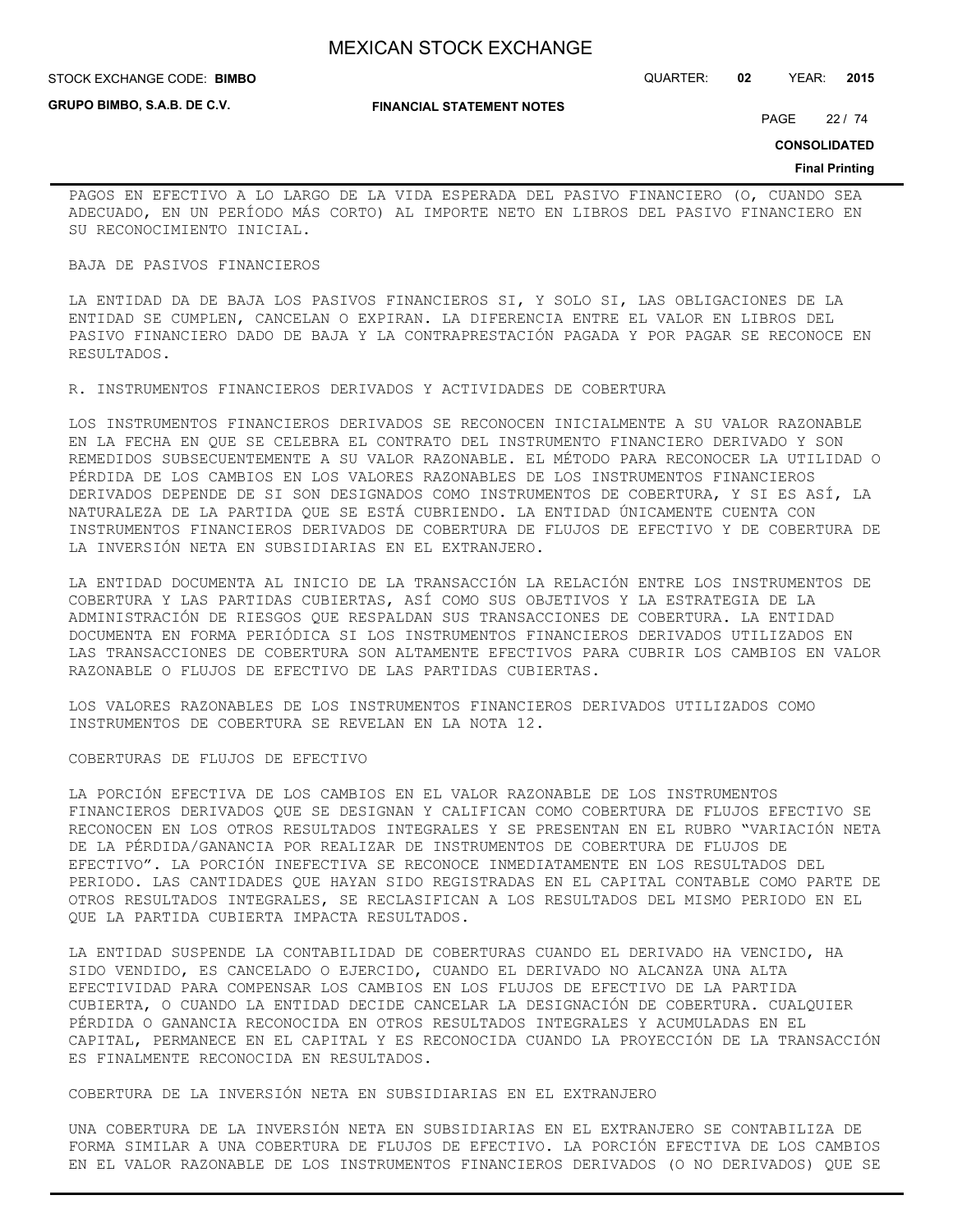**STOCK EXCHANGE CODE: BIMBO** 

**GRUPO BIMBO, S.A.B. DE C.V.**

**FINANCIAL STATEMENT NOTES**

STOCK EXCHANGE CODE: QUARTER: **02** YEAR: **2015**

PAGE 22 / 74

**CONSOLIDATED**

#### **Final Printing**

PAGOS EN EFECTIVO A LO LARGO DE LA VIDA ESPERADA DEL PASIVO FINANCIERO (O, CUANDO SEA ADECUADO, EN UN PERÍODO MÁS CORTO) AL IMPORTE NETO EN LIBROS DEL PASIVO FINANCIERO EN SU RECONOCIMIENTO INICIAL.

#### BAJA DE PASIVOS FINANCIEROS

LA ENTIDAD DA DE BAJA LOS PASIVOS FINANCIEROS SI, Y SOLO SI, LAS OBLIGACIONES DE LA ENTIDAD SE CUMPLEN, CANCELAN O EXPIRAN. LA DIFERENCIA ENTRE EL VALOR EN LIBROS DEL PASIVO FINANCIERO DADO DE BAJA Y LA CONTRAPRESTACIÓN PAGADA Y POR PAGAR SE RECONOCE EN RESULTADOS.

R. INSTRUMENTOS FINANCIEROS DERIVADOS Y ACTIVIDADES DE COBERTURA

LOS INSTRUMENTOS FINANCIEROS DERIVADOS SE RECONOCEN INICIALMENTE A SU VALOR RAZONABLE EN LA FECHA EN QUE SE CELEBRA EL CONTRATO DEL INSTRUMENTO FINANCIERO DERIVADO Y SON REMEDIDOS SUBSECUENTEMENTE A SU VALOR RAZONABLE. EL MÉTODO PARA RECONOCER LA UTILIDAD O PÉRDIDA DE LOS CAMBIOS EN LOS VALORES RAZONABLES DE LOS INSTRUMENTOS FINANCIEROS DERIVADOS DEPENDE DE SI SON DESIGNADOS COMO INSTRUMENTOS DE COBERTURA, Y SI ES ASÍ, LA NATURALEZA DE LA PARTIDA QUE SE ESTÁ CUBRIENDO. LA ENTIDAD ÚNICAMENTE CUENTA CON INSTRUMENTOS FINANCIEROS DERIVADOS DE COBERTURA DE FLUJOS DE EFECTIVO Y DE COBERTURA DE LA INVERSIÓN NETA EN SUBSIDIARIAS EN EL EXTRANJERO.

LA ENTIDAD DOCUMENTA AL INICIO DE LA TRANSACCIÓN LA RELACIÓN ENTRE LOS INSTRUMENTOS DE COBERTURA Y LAS PARTIDAS CUBIERTAS, ASÍ COMO SUS OBJETIVOS Y LA ESTRATEGIA DE LA ADMINISTRACIÓN DE RIESGOS QUE RESPALDAN SUS TRANSACCIONES DE COBERTURA. LA ENTIDAD DOCUMENTA EN FORMA PERIÓDICA SI LOS INSTRUMENTOS FINANCIEROS DERIVADOS UTILIZADOS EN LAS TRANSACCIONES DE COBERTURA SON ALTAMENTE EFECTIVOS PARA CUBRIR LOS CAMBIOS EN VALOR RAZONABLE O FLUJOS DE EFECTIVO DE LAS PARTIDAS CUBIERTAS.

LOS VALORES RAZONABLES DE LOS INSTRUMENTOS FINANCIEROS DERIVADOS UTILIZADOS COMO INSTRUMENTOS DE COBERTURA SE REVELAN EN LA NOTA 12.

### COBERTURAS DE FLUJOS DE EFECTIVO

LA PORCIÓN EFECTIVA DE LOS CAMBIOS EN EL VALOR RAZONABLE DE LOS INSTRUMENTOS FINANCIEROS DERIVADOS QUE SE DESIGNAN Y CALIFICAN COMO COBERTURA DE FLUJOS EFECTIVO SE RECONOCEN EN LOS OTROS RESULTADOS INTEGRALES Y SE PRESENTAN EN EL RUBRO "VARIACIÓN NETA DE LA PÉRDIDA/GANANCIA POR REALIZAR DE INSTRUMENTOS DE COBERTURA DE FLUJOS DE EFECTIVO". LA PORCIÓN INEFECTIVA SE RECONOCE INMEDIATAMENTE EN LOS RESULTADOS DEL PERIODO. LAS CANTIDADES QUE HAYAN SIDO REGISTRADAS EN EL CAPITAL CONTABLE COMO PARTE DE OTROS RESULTADOS INTEGRALES, SE RECLASIFICAN A LOS RESULTADOS DEL MISMO PERIODO EN EL QUE LA PARTIDA CUBIERTA IMPACTA RESULTADOS.

LA ENTIDAD SUSPENDE LA CONTABILIDAD DE COBERTURAS CUANDO EL DERIVADO HA VENCIDO, HA SIDO VENDIDO, ES CANCELADO O EJERCIDO, CUANDO EL DERIVADO NO ALCANZA UNA ALTA EFECTIVIDAD PARA COMPENSAR LOS CAMBIOS EN LOS FLUJOS DE EFECTIVO DE LA PARTIDA CUBIERTA, O CUANDO LA ENTIDAD DECIDE CANCELAR LA DESIGNACIÓN DE COBERTURA. CUALQUIER PÉRDIDA O GANANCIA RECONOCIDA EN OTROS RESULTADOS INTEGRALES Y ACUMULADAS EN EL CAPITAL, PERMANECE EN EL CAPITAL Y ES RECONOCIDA CUANDO LA PROYECCIÓN DE LA TRANSACCIÓN ES FINALMENTE RECONOCIDA EN RESULTADOS.

COBERTURA DE LA INVERSIÓN NETA EN SUBSIDIARIAS EN EL EXTRANJERO

UNA COBERTURA DE LA INVERSIÓN NETA EN SUBSIDIARIAS EN EL EXTRANJERO SE CONTABILIZA DE FORMA SIMILAR A UNA COBERTURA DE FLUJOS DE EFECTIVO. LA PORCIÓN EFECTIVA DE LOS CAMBIOS EN EL VALOR RAZONABLE DE LOS INSTRUMENTOS FINANCIEROS DERIVADOS (O NO DERIVADOS) QUE SE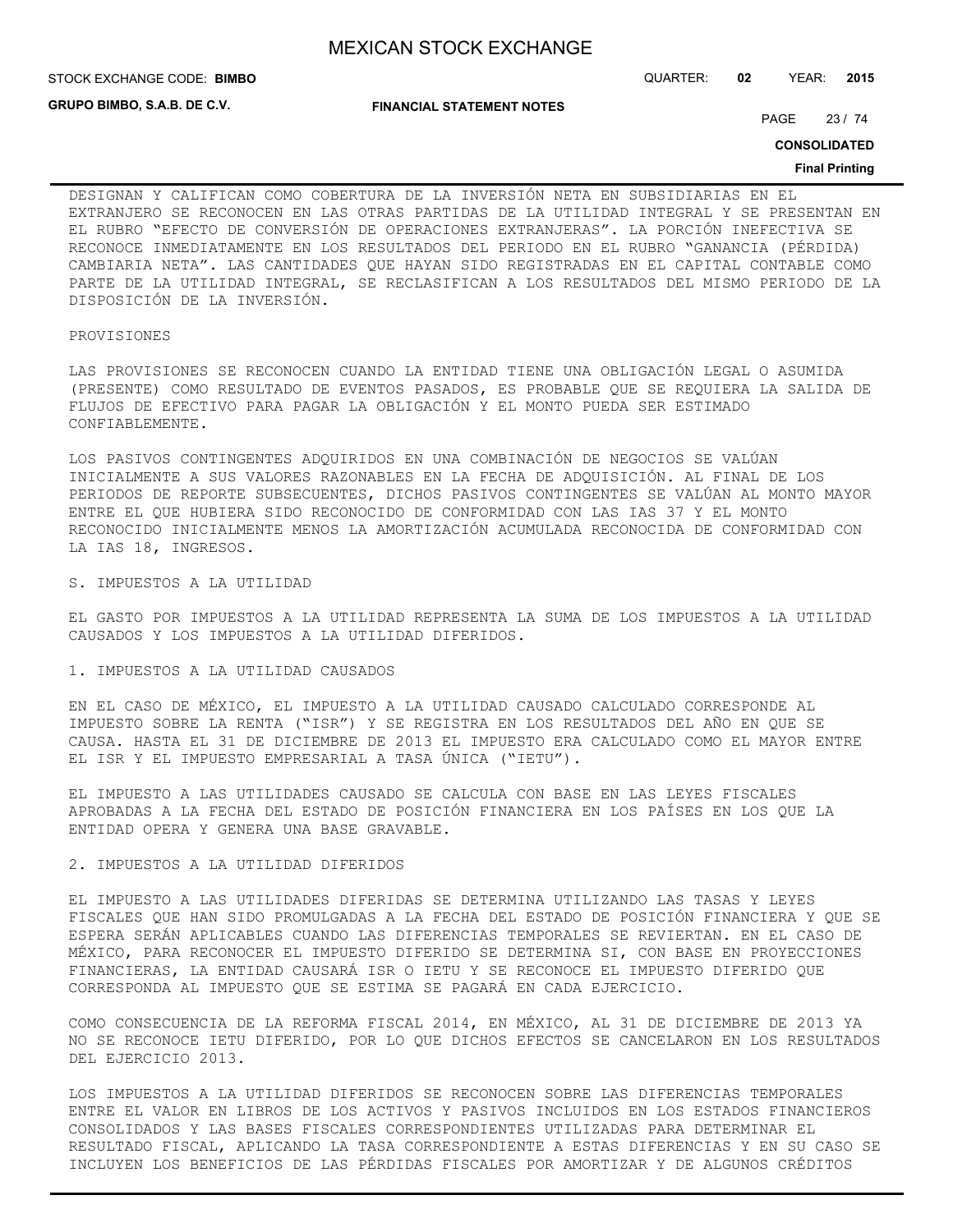**STOCK EXCHANGE CODE: BIMBO** 

**GRUPO BIMBO, S.A.B. DE C.V.**

**FINANCIAL STATEMENT NOTES**

PAGE 23 / 74

STOCK EXCHANGE CODE: QUARTER: **02** YEAR: **2015**

**CONSOLIDATED**

#### **Final Printing**

DESIGNAN Y CALIFICAN COMO COBERTURA DE LA INVERSIÓN NETA EN SUBSIDIARIAS EN EL EXTRANJERO SE RECONOCEN EN LAS OTRAS PARTIDAS DE LA UTILIDAD INTEGRAL Y SE PRESENTAN EN EL RUBRO "EFECTO DE CONVERSIÓN DE OPERACIONES EXTRANJERAS". LA PORCIÓN INEFECTIVA SE RECONOCE INMEDIATAMENTE EN LOS RESULTADOS DEL PERIODO EN EL RUBRO "GANANCIA (PÉRDIDA) CAMBIARIA NETA". LAS CANTIDADES QUE HAYAN SIDO REGISTRADAS EN EL CAPITAL CONTABLE COMO PARTE DE LA UTILIDAD INTEGRAL, SE RECLASIFICAN A LOS RESULTADOS DEL MISMO PERIODO DE LA DISPOSICIÓN DE LA INVERSIÓN.

#### PROVISIONES

LAS PROVISIONES SE RECONOCEN CUANDO LA ENTIDAD TIENE UNA OBLIGACIÓN LEGAL O ASUMIDA (PRESENTE) COMO RESULTADO DE EVENTOS PASADOS, ES PROBABLE QUE SE REQUIERA LA SALIDA DE FLUJOS DE EFECTIVO PARA PAGAR LA OBLIGACIÓN Y EL MONTO PUEDA SER ESTIMADO CONFIABLEMENTE.

LOS PASIVOS CONTINGENTES ADQUIRIDOS EN UNA COMBINACIÓN DE NEGOCIOS SE VALÚAN INICIALMENTE A SUS VALORES RAZONABLES EN LA FECHA DE ADQUISICIÓN. AL FINAL DE LOS PERIODOS DE REPORTE SUBSECUENTES, DICHOS PASIVOS CONTINGENTES SE VALÚAN AL MONTO MAYOR ENTRE EL QUE HUBIERA SIDO RECONOCIDO DE CONFORMIDAD CON LAS IAS 37 Y EL MONTO RECONOCIDO INICIALMENTE MENOS LA AMORTIZACIÓN ACUMULADA RECONOCIDA DE CONFORMIDAD CON LA IAS 18, INGRESOS.

#### S. IMPUESTOS A LA UTILIDAD

EL GASTO POR IMPUESTOS A LA UTILIDAD REPRESENTA LA SUMA DE LOS IMPUESTOS A LA UTILIDAD CAUSADOS Y LOS IMPUESTOS A LA UTILIDAD DIFERIDOS.

### 1. IMPUESTOS A LA UTILIDAD CAUSADOS

EN EL CASO DE MÉXICO, EL IMPUESTO A LA UTILIDAD CAUSADO CALCULADO CORRESPONDE AL IMPUESTO SOBRE LA RENTA ("ISR") Y SE REGISTRA EN LOS RESULTADOS DEL AÑO EN QUE SE CAUSA. HASTA EL 31 DE DICIEMBRE DE 2013 EL IMPUESTO ERA CALCULADO COMO EL MAYOR ENTRE EL ISR Y EL IMPUESTO EMPRESARIAL A TASA ÚNICA ("IETU").

EL IMPUESTO A LAS UTILIDADES CAUSADO SE CALCULA CON BASE EN LAS LEYES FISCALES APROBADAS A LA FECHA DEL ESTADO DE POSICIÓN FINANCIERA EN LOS PAÍSES EN LOS QUE LA ENTIDAD OPERA Y GENERA UNA BASE GRAVABLE.

## 2. IMPUESTOS A LA UTILIDAD DIFERIDOS

EL IMPUESTO A LAS UTILIDADES DIFERIDAS SE DETERMINA UTILIZANDO LAS TASAS Y LEYES FISCALES QUE HAN SIDO PROMULGADAS A LA FECHA DEL ESTADO DE POSICIÓN FINANCIERA Y QUE SE ESPERA SERÁN APLICABLES CUANDO LAS DIFERENCIAS TEMPORALES SE REVIERTAN. EN EL CASO DE MÉXICO, PARA RECONOCER EL IMPUESTO DIFERIDO SE DETERMINA SI, CON BASE EN PROYECCIONES FINANCIERAS, LA ENTIDAD CAUSARÁ ISR O IETU Y SE RECONOCE EL IMPUESTO DIFERIDO QUE CORRESPONDA AL IMPUESTO QUE SE ESTIMA SE PAGARÁ EN CADA EJERCICIO.

COMO CONSECUENCIA DE LA REFORMA FISCAL 2014, EN MÉXICO, AL 31 DE DICIEMBRE DE 2013 YA NO SE RECONOCE IETU DIFERIDO, POR LO QUE DICHOS EFECTOS SE CANCELARON EN LOS RESULTADOS DEL EJERCICIO 2013.

LOS IMPUESTOS A LA UTILIDAD DIFERIDOS SE RECONOCEN SOBRE LAS DIFERENCIAS TEMPORALES ENTRE EL VALOR EN LIBROS DE LOS ACTIVOS Y PASIVOS INCLUIDOS EN LOS ESTADOS FINANCIEROS CONSOLIDADOS Y LAS BASES FISCALES CORRESPONDIENTES UTILIZADAS PARA DETERMINAR EL RESULTADO FISCAL, APLICANDO LA TASA CORRESPONDIENTE A ESTAS DIFERENCIAS Y EN SU CASO SE INCLUYEN LOS BENEFICIOS DE LAS PÉRDIDAS FISCALES POR AMORTIZAR Y DE ALGUNOS CRÉDITOS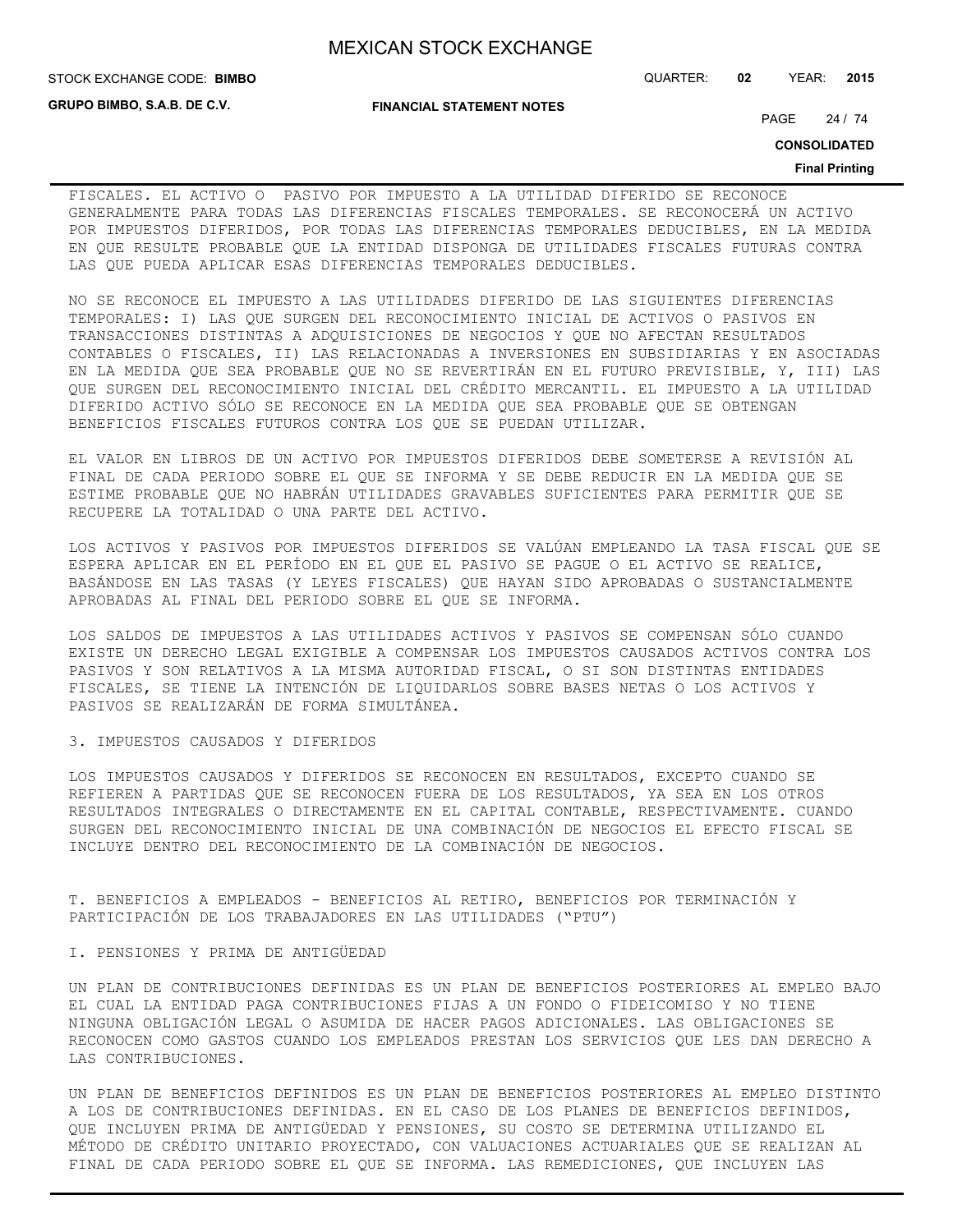**STOCK EXCHANGE CODE: BIMBO** 

**GRUPO BIMBO, S.A.B. DE C.V.**

**FINANCIAL STATEMENT NOTES**

STOCK EXCHANGE CODE: QUARTER: **02** YEAR: **2015**

PAGE 24 / 74

**CONSOLIDATED**

#### **Final Printing**

FISCALES. EL ACTIVO O PASIVO POR IMPUESTO A LA UTILIDAD DIFERIDO SE RECONOCE GENERALMENTE PARA TODAS LAS DIFERENCIAS FISCALES TEMPORALES. SE RECONOCERÁ UN ACTIVO POR IMPUESTOS DIFERIDOS, POR TODAS LAS DIFERENCIAS TEMPORALES DEDUCIBLES, EN LA MEDIDA EN QUE RESULTE PROBABLE QUE LA ENTIDAD DISPONGA DE UTILIDADES FISCALES FUTURAS CONTRA LAS QUE PUEDA APLICAR ESAS DIFERENCIAS TEMPORALES DEDUCIBLES.

NO SE RECONOCE EL IMPUESTO A LAS UTILIDADES DIFERIDO DE LAS SIGUIENTES DIFERENCIAS TEMPORALES: I) LAS QUE SURGEN DEL RECONOCIMIENTO INICIAL DE ACTIVOS O PASIVOS EN TRANSACCIONES DISTINTAS A ADQUISICIONES DE NEGOCIOS Y QUE NO AFECTAN RESULTADOS CONTABLES O FISCALES, II) LAS RELACIONADAS A INVERSIONES EN SUBSIDIARIAS Y EN ASOCIADAS EN LA MEDIDA QUE SEA PROBABLE QUE NO SE REVERTIRÁN EN EL FUTURO PREVISIBLE, Y, III) LAS QUE SURGEN DEL RECONOCIMIENTO INICIAL DEL CRÉDITO MERCANTIL. EL IMPUESTO A LA UTILIDAD DIFERIDO ACTIVO SÓLO SE RECONOCE EN LA MEDIDA QUE SEA PROBABLE QUE SE OBTENGAN BENEFICIOS FISCALES FUTUROS CONTRA LOS QUE SE PUEDAN UTILIZAR.

EL VALOR EN LIBROS DE UN ACTIVO POR IMPUESTOS DIFERIDOS DEBE SOMETERSE A REVISIÓN AL FINAL DE CADA PERIODO SOBRE EL QUE SE INFORMA Y SE DEBE REDUCIR EN LA MEDIDA QUE SE ESTIME PROBABLE QUE NO HABRÁN UTILIDADES GRAVABLES SUFICIENTES PARA PERMITIR QUE SE RECUPERE LA TOTALIDAD O UNA PARTE DEL ACTIVO.

LOS ACTIVOS Y PASIVOS POR IMPUESTOS DIFERIDOS SE VALÚAN EMPLEANDO LA TASA FISCAL QUE SE ESPERA APLICAR EN EL PERÍODO EN EL QUE EL PASIVO SE PAGUE O EL ACTIVO SE REALICE, BASÁNDOSE EN LAS TASAS (Y LEYES FISCALES) QUE HAYAN SIDO APROBADAS O SUSTANCIALMENTE APROBADAS AL FINAL DEL PERIODO SOBRE EL QUE SE INFORMA.

LOS SALDOS DE IMPUESTOS A LAS UTILIDADES ACTIVOS Y PASIVOS SE COMPENSAN SÓLO CUANDO EXISTE UN DERECHO LEGAL EXIGIBLE A COMPENSAR LOS IMPUESTOS CAUSADOS ACTIVOS CONTRA LOS PASIVOS Y SON RELATIVOS A LA MISMA AUTORIDAD FISCAL, O SI SON DISTINTAS ENTIDADES FISCALES, SE TIENE LA INTENCIÓN DE LIQUIDARLOS SOBRE BASES NETAS O LOS ACTIVOS Y PASIVOS SE REALIZARÁN DE FORMA SIMULTÁNEA.

3. IMPUESTOS CAUSADOS Y DIFERIDOS

LOS IMPUESTOS CAUSADOS Y DIFERIDOS SE RECONOCEN EN RESULTADOS, EXCEPTO CUANDO SE REFIEREN A PARTIDAS QUE SE RECONOCEN FUERA DE LOS RESULTADOS, YA SEA EN LOS OTROS RESULTADOS INTEGRALES O DIRECTAMENTE EN EL CAPITAL CONTABLE, RESPECTIVAMENTE. CUANDO SURGEN DEL RECONOCIMIENTO INICIAL DE UNA COMBINACIÓN DE NEGOCIOS EL EFECTO FISCAL SE INCLUYE DENTRO DEL RECONOCIMIENTO DE LA COMBINACIÓN DE NEGOCIOS.

T. BENEFICIOS A EMPLEADOS - BENEFICIOS AL RETIRO, BENEFICIOS POR TERMINACIÓN Y PARTICIPACIÓN DE LOS TRABAJADORES EN LAS UTILIDADES ("PTU")

I. PENSIONES Y PRIMA DE ANTIGÜEDAD

UN PLAN DE CONTRIBUCIONES DEFINIDAS ES UN PLAN DE BENEFICIOS POSTERIORES AL EMPLEO BAJO EL CUAL LA ENTIDAD PAGA CONTRIBUCIONES FIJAS A UN FONDO O FIDEICOMISO Y NO TIENE NINGUNA OBLIGACIÓN LEGAL O ASUMIDA DE HACER PAGOS ADICIONALES. LAS OBLIGACIONES SE RECONOCEN COMO GASTOS CUANDO LOS EMPLEADOS PRESTAN LOS SERVICIOS QUE LES DAN DERECHO A LAS CONTRIBUCIONES.

UN PLAN DE BENEFICIOS DEFINIDOS ES UN PLAN DE BENEFICIOS POSTERIORES AL EMPLEO DISTINTO A LOS DE CONTRIBUCIONES DEFINIDAS. EN EL CASO DE LOS PLANES DE BENEFICIOS DEFINIDOS, QUE INCLUYEN PRIMA DE ANTIGÜEDAD Y PENSIONES, SU COSTO SE DETERMINA UTILIZANDO EL MÉTODO DE CRÉDITO UNITARIO PROYECTADO, CON VALUACIONES ACTUARIALES QUE SE REALIZAN AL FINAL DE CADA PERIODO SOBRE EL QUE SE INFORMA. LAS REMEDICIONES, QUE INCLUYEN LAS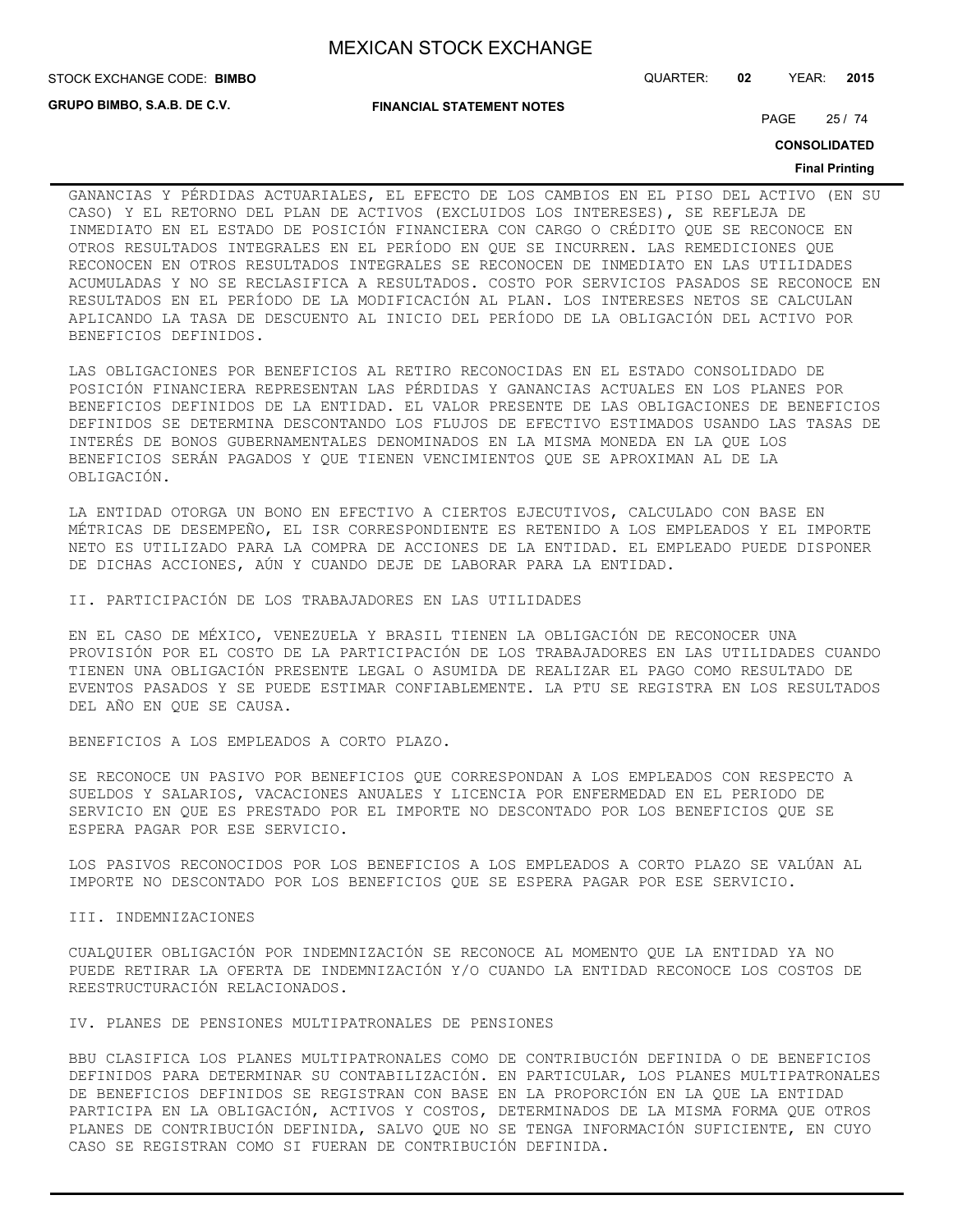STOCK EXCHANGE CODE: QUARTER: **02** YEAR: **2015 BIMBO**

**GRUPO BIMBO, S.A.B. DE C.V.**

**FINANCIAL STATEMENT NOTES**

PAGE 25 / 74

**CONSOLIDATED**

#### **Final Printing**

GANANCIAS Y PÉRDIDAS ACTUARIALES, EL EFECTO DE LOS CAMBIOS EN EL PISO DEL ACTIVO (EN SU CASO) Y EL RETORNO DEL PLAN DE ACTIVOS (EXCLUIDOS LOS INTERESES), SE REFLEJA DE INMEDIATO EN EL ESTADO DE POSICIÓN FINANCIERA CON CARGO O CRÉDITO QUE SE RECONOCE EN OTROS RESULTADOS INTEGRALES EN EL PERÍODO EN QUE SE INCURREN. LAS REMEDICIONES QUE RECONOCEN EN OTROS RESULTADOS INTEGRALES SE RECONOCEN DE INMEDIATO EN LAS UTILIDADES ACUMULADAS Y NO SE RECLASIFICA A RESULTADOS. COSTO POR SERVICIOS PASADOS SE RECONOCE EN RESULTADOS EN EL PERÍODO DE LA MODIFICACIÓN AL PLAN. LOS INTERESES NETOS SE CALCULAN APLICANDO LA TASA DE DESCUENTO AL INICIO DEL PERÍODO DE LA OBLIGACIÓN DEL ACTIVO POR BENEFICIOS DEFINIDOS.

LAS OBLIGACIONES POR BENEFICIOS AL RETIRO RECONOCIDAS EN EL ESTADO CONSOLIDADO DE POSICIÓN FINANCIERA REPRESENTAN LAS PÉRDIDAS Y GANANCIAS ACTUALES EN LOS PLANES POR BENEFICIOS DEFINIDOS DE LA ENTIDAD. EL VALOR PRESENTE DE LAS OBLIGACIONES DE BENEFICIOS DEFINIDOS SE DETERMINA DESCONTANDO LOS FLUJOS DE EFECTIVO ESTIMADOS USANDO LAS TASAS DE INTERÉS DE BONOS GUBERNAMENTALES DENOMINADOS EN LA MISMA MONEDA EN LA QUE LOS BENEFICIOS SERÁN PAGADOS Y QUE TIENEN VENCIMIENTOS QUE SE APROXIMAN AL DE LA OBLIGACIÓN.

LA ENTIDAD OTORGA UN BONO EN EFECTIVO A CIERTOS EJECUTIVOS, CALCULADO CON BASE EN MÉTRICAS DE DESEMPEÑO, EL ISR CORRESPONDIENTE ES RETENIDO A LOS EMPLEADOS Y EL IMPORTE NETO ES UTILIZADO PARA LA COMPRA DE ACCIONES DE LA ENTIDAD. EL EMPLEADO PUEDE DISPONER DE DICHAS ACCIONES, AÚN Y CUANDO DEJE DE LABORAR PARA LA ENTIDAD.

II. PARTICIPACIÓN DE LOS TRABAJADORES EN LAS UTILIDADES

EN EL CASO DE MÉXICO, VENEZUELA Y BRASIL TIENEN LA OBLIGACIÓN DE RECONOCER UNA PROVISIÓN POR EL COSTO DE LA PARTICIPACIÓN DE LOS TRABAJADORES EN LAS UTILIDADES CUANDO TIENEN UNA OBLIGACIÓN PRESENTE LEGAL O ASUMIDA DE REALIZAR EL PAGO COMO RESULTADO DE EVENTOS PASADOS Y SE PUEDE ESTIMAR CONFIABLEMENTE. LA PTU SE REGISTRA EN LOS RESULTADOS DEL AÑO EN QUE SE CAUSA.

BENEFICIOS A LOS EMPLEADOS A CORTO PLAZO.

SE RECONOCE UN PASIVO POR BENEFICIOS QUE CORRESPONDAN A LOS EMPLEADOS CON RESPECTO A SUELDOS Y SALARIOS, VACACIONES ANUALES Y LICENCIA POR ENFERMEDAD EN EL PERIODO DE SERVICIO EN QUE ES PRESTADO POR EL IMPORTE NO DESCONTADO POR LOS BENEFICIOS QUE SE ESPERA PAGAR POR ESE SERVICIO.

LOS PASIVOS RECONOCIDOS POR LOS BENEFICIOS A LOS EMPLEADOS A CORTO PLAZO SE VALÚAN AL IMPORTE NO DESCONTADO POR LOS BENEFICIOS QUE SE ESPERA PAGAR POR ESE SERVICIO.

III. INDEMNIZACIONES

CUALQUIER OBLIGACIÓN POR INDEMNIZACIÓN SE RECONOCE AL MOMENTO QUE LA ENTIDAD YA NO PUEDE RETIRAR LA OFERTA DE INDEMNIZACIÓN Y/O CUANDO LA ENTIDAD RECONOCE LOS COSTOS DE REESTRUCTURACIÓN RELACIONADOS.

IV. PLANES DE PENSIONES MULTIPATRONALES DE PENSIONES

BBU CLASIFICA LOS PLANES MULTIPATRONALES COMO DE CONTRIBUCIÓN DEFINIDA O DE BENEFICIOS DEFINIDOS PARA DETERMINAR SU CONTABILIZACIÓN. EN PARTICULAR, LOS PLANES MULTIPATRONALES DE BENEFICIOS DEFINIDOS SE REGISTRAN CON BASE EN LA PROPORCIÓN EN LA QUE LA ENTIDAD PARTICIPA EN LA OBLIGACIÓN, ACTIVOS Y COSTOS, DETERMINADOS DE LA MISMA FORMA QUE OTROS PLANES DE CONTRIBUCIÓN DEFINIDA, SALVO QUE NO SE TENGA INFORMACIÓN SUFICIENTE, EN CUYO CASO SE REGISTRAN COMO SI FUERAN DE CONTRIBUCIÓN DEFINIDA.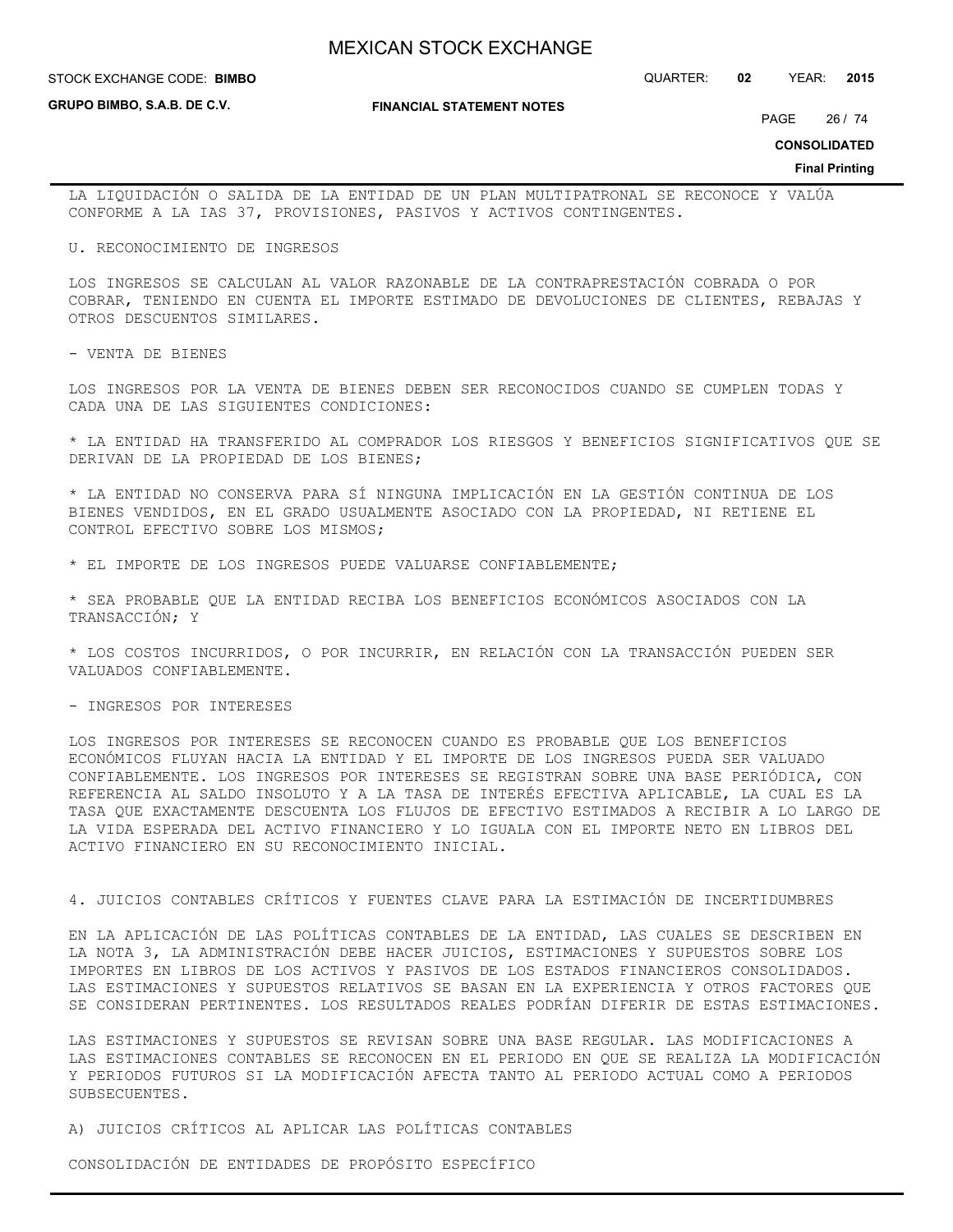STOCK EXCHANGE CODE: QUARTER: **02** YEAR: **2015 BIMBO**

**GRUPO BIMBO, S.A.B. DE C.V.**

**FINANCIAL STATEMENT NOTES**

PAGE 26 / 74

**CONSOLIDATED**

**Final Printing**

LA LIQUIDACIÓN O SALIDA DE LA ENTIDAD DE UN PLAN MULTIPATRONAL SE RECONOCE Y VALÚA CONFORME A LA IAS 37, PROVISIONES, PASIVOS Y ACTIVOS CONTINGENTES.

U. RECONOCIMIENTO DE INGRESOS

LOS INGRESOS SE CALCULAN AL VALOR RAZONABLE DE LA CONTRAPRESTACIÓN COBRADA O POR COBRAR, TENIENDO EN CUENTA EL IMPORTE ESTIMADO DE DEVOLUCIONES DE CLIENTES, REBAJAS Y OTROS DESCUENTOS SIMILARES.

- VENTA DE BIENES

LOS INGRESOS POR LA VENTA DE BIENES DEBEN SER RECONOCIDOS CUANDO SE CUMPLEN TODAS Y CADA UNA DE LAS SIGUIENTES CONDICIONES:

\* LA ENTIDAD HA TRANSFERIDO AL COMPRADOR LOS RIESGOS Y BENEFICIOS SIGNIFICATIVOS QUE SE DERIVAN DE LA PROPIEDAD DE LOS BIENES;

\* LA ENTIDAD NO CONSERVA PARA SÍ NINGUNA IMPLICACIÓN EN LA GESTIÓN CONTINUA DE LOS BIENES VENDIDOS, EN EL GRADO USUALMENTE ASOCIADO CON LA PROPIEDAD, NI RETIENE EL CONTROL EFECTIVO SOBRE LOS MISMOS;

\* EL IMPORTE DE LOS INGRESOS PUEDE VALUARSE CONFIABLEMENTE;

\* SEA PROBABLE QUE LA ENTIDAD RECIBA LOS BENEFICIOS ECONÓMICOS ASOCIADOS CON LA TRANSACCIÓN; Y

\* LOS COSTOS INCURRIDOS, O POR INCURRIR, EN RELACIÓN CON LA TRANSACCIÓN PUEDEN SER VALUADOS CONFIABLEMENTE.

- INGRESOS POR INTERESES

LOS INGRESOS POR INTERESES SE RECONOCEN CUANDO ES PROBABLE QUE LOS BENEFICIOS ECONÓMICOS FLUYAN HACIA LA ENTIDAD Y EL IMPORTE DE LOS INGRESOS PUEDA SER VALUADO CONFIABLEMENTE. LOS INGRESOS POR INTERESES SE REGISTRAN SOBRE UNA BASE PERIÓDICA, CON REFERENCIA AL SALDO INSOLUTO Y A LA TASA DE INTERÉS EFECTIVA APLICABLE, LA CUAL ES LA TASA QUE EXACTAMENTE DESCUENTA LOS FLUJOS DE EFECTIVO ESTIMADOS A RECIBIR A LO LARGO DE LA VIDA ESPERADA DEL ACTIVO FINANCIERO Y LO IGUALA CON EL IMPORTE NETO EN LIBROS DEL ACTIVO FINANCIERO EN SU RECONOCIMIENTO INICIAL.

4. JUICIOS CONTABLES CRÍTICOS Y FUENTES CLAVE PARA LA ESTIMACIÓN DE INCERTIDUMBRES

EN LA APLICACIÓN DE LAS POLÍTICAS CONTABLES DE LA ENTIDAD, LAS CUALES SE DESCRIBEN EN LA NOTA 3, LA ADMINISTRACIÓN DEBE HACER JUICIOS, ESTIMACIONES Y SUPUESTOS SOBRE LOS IMPORTES EN LIBROS DE LOS ACTIVOS Y PASIVOS DE LOS ESTADOS FINANCIEROS CONSOLIDADOS. LAS ESTIMACIONES Y SUPUESTOS RELATIVOS SE BASAN EN LA EXPERIENCIA Y OTROS FACTORES QUE SE CONSIDERAN PERTINENTES. LOS RESULTADOS REALES PODRÍAN DIFERIR DE ESTAS ESTIMACIONES.

LAS ESTIMACIONES Y SUPUESTOS SE REVISAN SOBRE UNA BASE REGULAR. LAS MODIFICACIONES A LAS ESTIMACIONES CONTABLES SE RECONOCEN EN EL PERIODO EN QUE SE REALIZA LA MODIFICACIÓN Y PERIODOS FUTUROS SI LA MODIFICACIÓN AFECTA TANTO AL PERIODO ACTUAL COMO A PERIODOS SUBSECUENTES.

A) JUICIOS CRÍTICOS AL APLICAR LAS POLÍTICAS CONTABLES

CONSOLIDACIÓN DE ENTIDADES DE PROPÓSITO ESPECÍFICO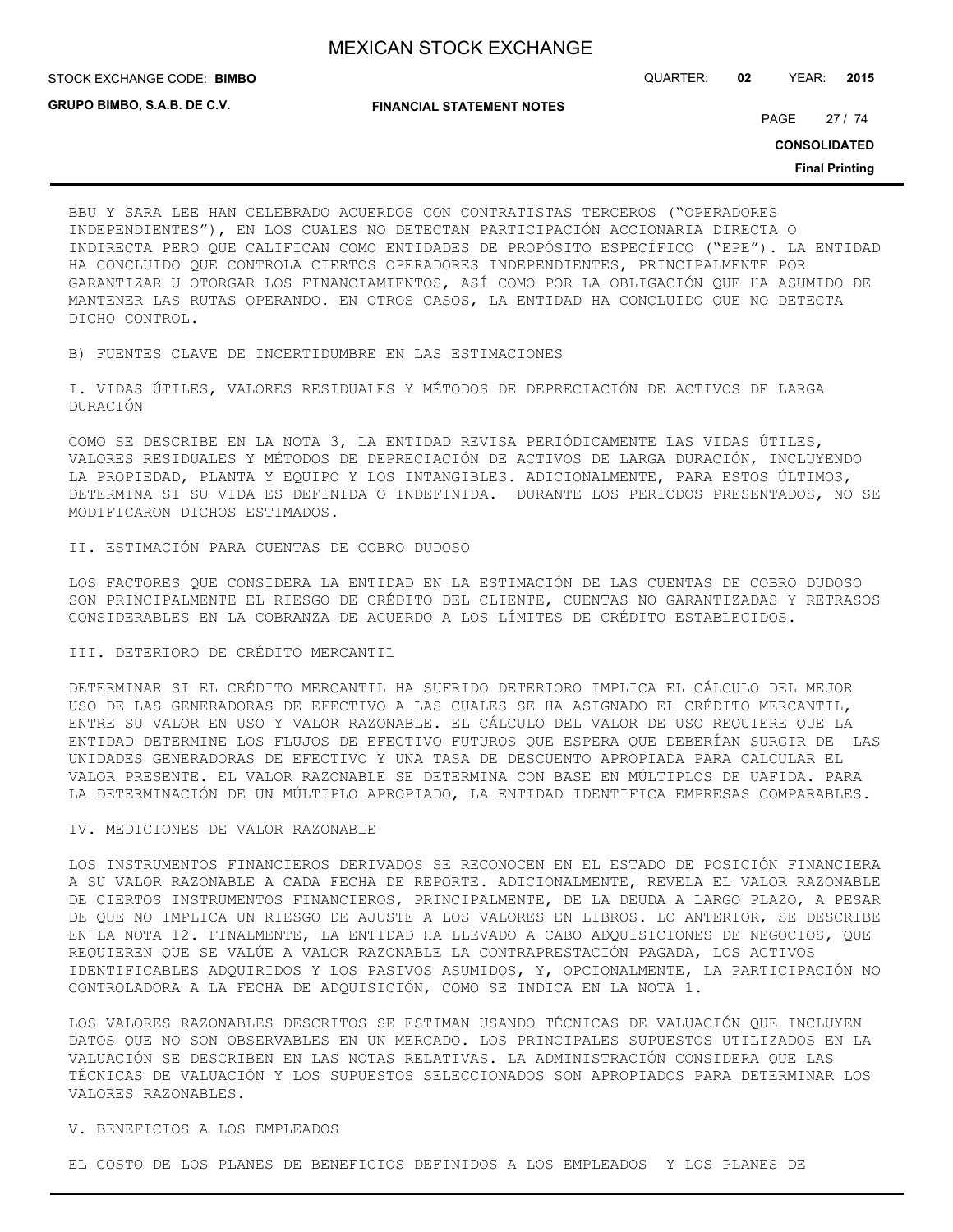STOCK EXCHANGE CODE: QUARTER: **02** YEAR: **2015 BIMBO**

**GRUPO BIMBO, S.A.B. DE C.V.**

**FINANCIAL STATEMENT NOTES**

PAGE 27 / 74

**CONSOLIDATED**

**Final Printing**

BBU Y SARA LEE HAN CELEBRADO ACUERDOS CON CONTRATISTAS TERCEROS ("OPERADORES INDEPENDIENTES"), EN LOS CUALES NO DETECTAN PARTICIPACIÓN ACCIONARIA DIRECTA O INDIRECTA PERO QUE CALIFICAN COMO ENTIDADES DE PROPÓSITO ESPECÍFICO ("EPE"). LA ENTIDAD HA CONCLUIDO QUE CONTROLA CIERTOS OPERADORES INDEPENDIENTES, PRINCIPALMENTE POR GARANTIZAR U OTORGAR LOS FINANCIAMIENTOS, ASÍ COMO POR LA OBLIGACIÓN QUE HA ASUMIDO DE MANTENER LAS RUTAS OPERANDO. EN OTROS CASOS, LA ENTIDAD HA CONCLUIDO QUE NO DETECTA DICHO CONTROL.

B) FUENTES CLAVE DE INCERTIDUMBRE EN LAS ESTIMACIONES

I. VIDAS ÚTILES, VALORES RESIDUALES Y MÉTODOS DE DEPRECIACIÓN DE ACTIVOS DE LARGA DURACIÓN

COMO SE DESCRIBE EN LA NOTA 3, LA ENTIDAD REVISA PERIÓDICAMENTE LAS VIDAS ÚTILES, VALORES RESIDUALES Y MÉTODOS DE DEPRECIACIÓN DE ACTIVOS DE LARGA DURACIÓN, INCLUYENDO LA PROPIEDAD, PLANTA Y EQUIPO Y LOS INTANGIBLES. ADICIONALMENTE, PARA ESTOS ÚLTIMOS, DETERMINA SI SU VIDA ES DEFINIDA O INDEFINIDA. DURANTE LOS PERIODOS PRESENTADOS, NO SE MODIFICARON DICHOS ESTIMADOS.

#### II. ESTIMACIÓN PARA CUENTAS DE COBRO DUDOSO

LOS FACTORES QUE CONSIDERA LA ENTIDAD EN LA ESTIMACIÓN DE LAS CUENTAS DE COBRO DUDOSO SON PRINCIPALMENTE EL RIESGO DE CRÉDITO DEL CLIENTE, CUENTAS NO GARANTIZADAS Y RETRASOS CONSIDERABLES EN LA COBRANZA DE ACUERDO A LOS LÍMITES DE CRÉDITO ESTABLECIDOS.

#### III. DETERIORO DE CRÉDITO MERCANTIL

DETERMINAR SI EL CRÉDITO MERCANTIL HA SUFRIDO DETERIORO IMPLICA EL CÁLCULO DEL MEJOR USO DE LAS GENERADORAS DE EFECTIVO A LAS CUALES SE HA ASIGNADO EL CRÉDITO MERCANTIL, ENTRE SU VALOR EN USO Y VALOR RAZONABLE. EL CÁLCULO DEL VALOR DE USO REQUIERE QUE LA ENTIDAD DETERMINE LOS FLUJOS DE EFECTIVO FUTUROS QUE ESPERA QUE DEBERÍAN SURGIR DE LAS UNIDADES GENERADORAS DE EFECTIVO Y UNA TASA DE DESCUENTO APROPIADA PARA CALCULAR EL VALOR PRESENTE. EL VALOR RAZONABLE SE DETERMINA CON BASE EN MÚLTIPLOS DE UAFIDA. PARA LA DETERMINACIÓN DE UN MÚLTIPLO APROPIADO, LA ENTIDAD IDENTIFICA EMPRESAS COMPARABLES.

#### IV. MEDICIONES DE VALOR RAZONABLE

LOS INSTRUMENTOS FINANCIEROS DERIVADOS SE RECONOCEN EN EL ESTADO DE POSICIÓN FINANCIERA A SU VALOR RAZONABLE A CADA FECHA DE REPORTE. ADICIONALMENTE, REVELA EL VALOR RAZONABLE DE CIERTOS INSTRUMENTOS FINANCIEROS, PRINCIPALMENTE, DE LA DEUDA A LARGO PLAZO, A PESAR DE QUE NO IMPLICA UN RIESGO DE AJUSTE A LOS VALORES EN LIBROS. LO ANTERIOR, SE DESCRIBE EN LA NOTA 12. FINALMENTE, LA ENTIDAD HA LLEVADO A CABO ADQUISICIONES DE NEGOCIOS, QUE REQUIEREN QUE SE VALÚE A VALOR RAZONABLE LA CONTRAPRESTACIÓN PAGADA, LOS ACTIVOS IDENTIFICABLES ADQUIRIDOS Y LOS PASIVOS ASUMIDOS, Y, OPCIONALMENTE, LA PARTICIPACIÓN NO CONTROLADORA A LA FECHA DE ADQUISICIÓN, COMO SE INDICA EN LA NOTA 1.

LOS VALORES RAZONABLES DESCRITOS SE ESTIMAN USANDO TÉCNICAS DE VALUACIÓN QUE INCLUYEN DATOS QUE NO SON OBSERVABLES EN UN MERCADO. LOS PRINCIPALES SUPUESTOS UTILIZADOS EN LA VALUACIÓN SE DESCRIBEN EN LAS NOTAS RELATIVAS. LA ADMINISTRACIÓN CONSIDERA QUE LAS TÉCNICAS DE VALUACIÓN Y LOS SUPUESTOS SELECCIONADOS SON APROPIADOS PARA DETERMINAR LOS VALORES RAZONABLES.

### V. BENEFICIOS A LOS EMPLEADOS

EL COSTO DE LOS PLANES DE BENEFICIOS DEFINIDOS A LOS EMPLEADOS Y LOS PLANES DE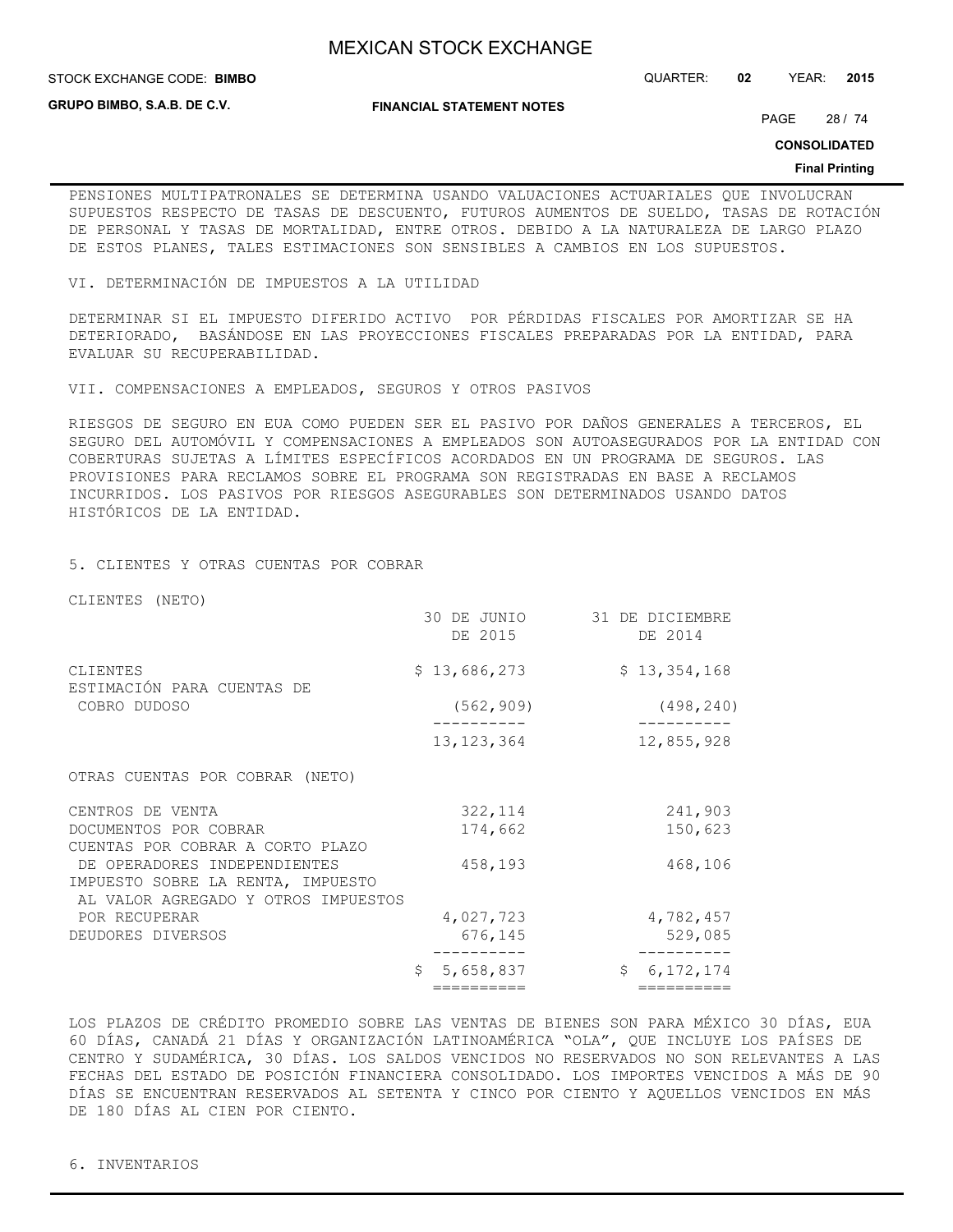**STOCK EXCHANGE CODE: BIMBO** 

STOCK EXCHANGE CODE: QUARTER: **02** YEAR: **2015**

**GRUPO BIMBO, S.A.B. DE C.V.**

**FINANCIAL STATEMENT NOTES**

PAGE 28 / 74

**CONSOLIDATED**

#### **Final Printing**

PENSIONES MULTIPATRONALES SE DETERMINA USANDO VALUACIONES ACTUARIALES QUE INVOLUCRAN SUPUESTOS RESPECTO DE TASAS DE DESCUENTO, FUTUROS AUMENTOS DE SUELDO, TASAS DE ROTACIÓN DE PERSONAL Y TASAS DE MORTALIDAD, ENTRE OTROS. DEBIDO A LA NATURALEZA DE LARGO PLAZO DE ESTOS PLANES, TALES ESTIMACIONES SON SENSIBLES A CAMBIOS EN LOS SUPUESTOS.

VI. DETERMINACIÓN DE IMPUESTOS A LA UTILIDAD

DETERMINAR SI EL IMPUESTO DIFERIDO ACTIVO POR PÉRDIDAS FISCALES POR AMORTIZAR SE HA DETERIORADO, BASÁNDOSE EN LAS PROYECCIONES FISCALES PREPARADAS POR LA ENTIDAD, PARA EVALUAR SU RECUPERABILIDAD.

VII. COMPENSACIONES A EMPLEADOS, SEGUROS Y OTROS PASIVOS

RIESGOS DE SEGURO EN EUA COMO PUEDEN SER EL PASIVO POR DAÑOS GENERALES A TERCEROS, EL SEGURO DEL AUTOMÓVIL Y COMPENSACIONES A EMPLEADOS SON AUTOASEGURADOS POR LA ENTIDAD CON COBERTURAS SUJETAS A LÍMITES ESPECÍFICOS ACORDADOS EN UN PROGRAMA DE SEGUROS. LAS PROVISIONES PARA RECLAMOS SOBRE EL PROGRAMA SON REGISTRADAS EN BASE A RECLAMOS INCURRIDOS. LOS PASIVOS POR RIESGOS ASEGURABLES SON DETERMINADOS USANDO DATOS HISTÓRICOS DE LA ENTIDAD.

## 5. CLIENTES Y OTRAS CUENTAS POR COBRAR

CLIENTES (NETO)

|                                                                                                          | ==========             | ==========                 |
|----------------------------------------------------------------------------------------------------------|------------------------|----------------------------|
|                                                                                                          | 5,658,837              | \$<br>6, 172, 174          |
| POR RECUPERAR<br>DEUDORES DIVERSOS                                                                       | 4,027,723<br>676,145   | 4,782,457<br>529,085       |
| DE OPERADORES INDEPENDIENTES<br>IMPUESTO SOBRE LA RENTA, IMPUESTO<br>AL VALOR AGREGADO Y OTROS IMPUESTOS | 458,193                | 468,106                    |
| DOCUMENTOS POR COBRAR<br>CUENTAS POR COBRAR A CORTO PLAZO                                                | 174,662                | 150,623                    |
| OTRAS CUENTAS POR COBRAR (NETO)<br>CENTROS DE VENTA                                                      | 322, 114               | 241,903                    |
|                                                                                                          | 13, 123, 364           | 12,855,928                 |
| ESTIMACIÓN PARA CUENTAS DE<br>COBRO DUDOSO                                                               | (562, 909)             | (498, 240)                 |
| CLIENTES                                                                                                 | \$13,686,273           | \$13,354,168               |
|                                                                                                          | 30 DE JUNIO<br>DE 2015 | 31 DE DICIEMBRE<br>DE 2014 |

LOS PLAZOS DE CRÉDITO PROMEDIO SOBRE LAS VENTAS DE BIENES SON PARA MÉXICO 30 DÍAS, EUA 60 DÍAS, CANADÁ 21 DÍAS Y ORGANIZACIÓN LATINOAMÉRICA "OLA", QUE INCLUYE LOS PAÍSES DE CENTRO Y SUDAMÉRICA, 30 DÍAS. LOS SALDOS VENCIDOS NO RESERVADOS NO SON RELEVANTES A LAS FECHAS DEL ESTADO DE POSICIÓN FINANCIERA CONSOLIDADO. LOS IMPORTES VENCIDOS A MÁS DE 90 DÍAS SE ENCUENTRAN RESERVADOS AL SETENTA Y CINCO POR CIENTO Y AQUELLOS VENCIDOS EN MÁS DE 180 DÍAS AL CIEN POR CIENTO.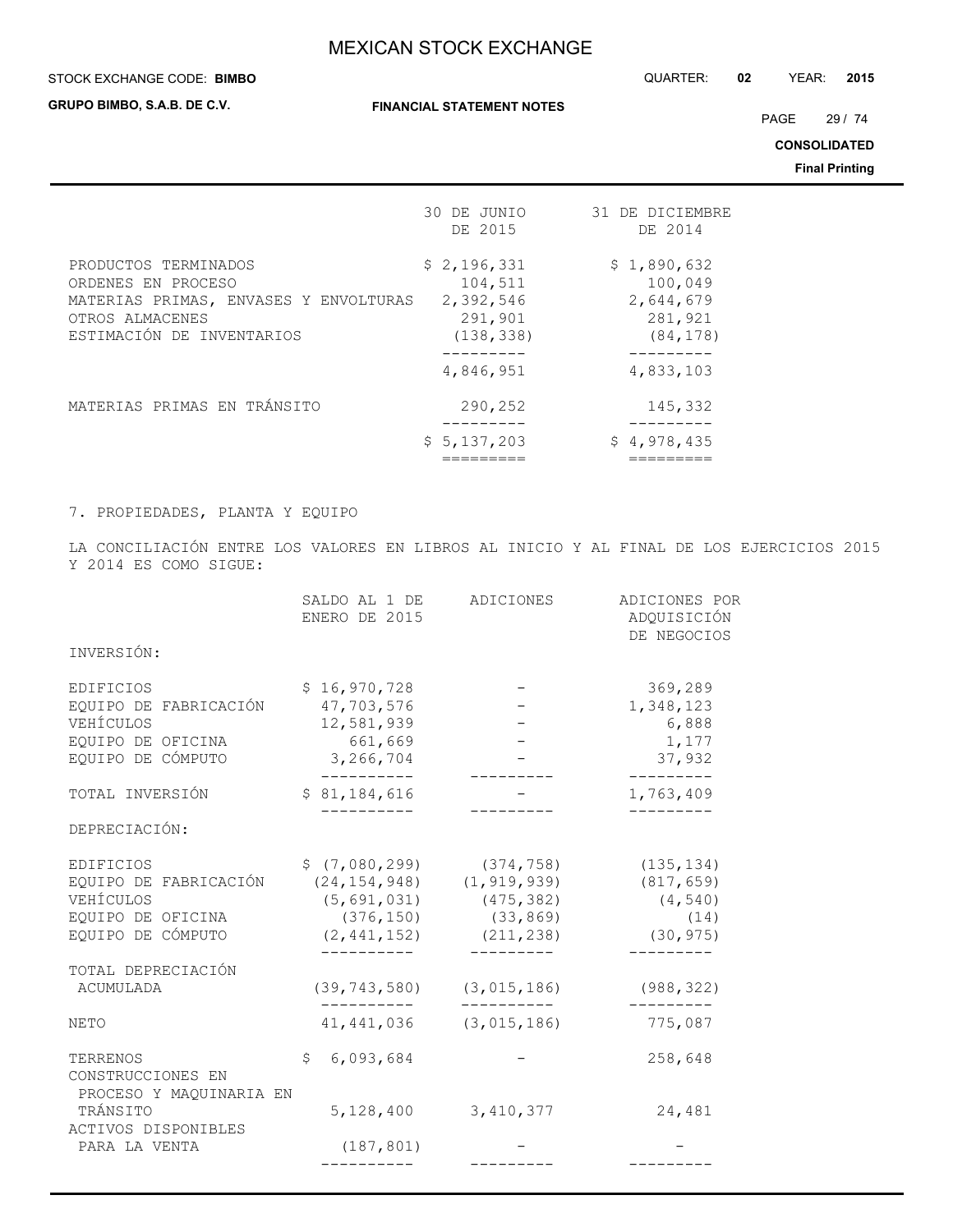#### STOCK EXCHANGE CODE: QUARTER: **02** YEAR: **2015 BIMBO**

**GRUPO BIMBO, S.A.B. DE C.V.**

PAGE 29 / 74

**CONSOLIDATED**

**Final Printing**

|                                                                                                                                     | 30 DE JUNIO<br>DE 2015                                       | 31 DE DICIEMBRE<br>DE 2014                                  |
|-------------------------------------------------------------------------------------------------------------------------------------|--------------------------------------------------------------|-------------------------------------------------------------|
| PRODUCTOS TERMINADOS<br>ORDENES EN PROCESO<br>MATERIAS PRIMAS, ENVASES Y ENVOLTURAS<br>OTROS ALMACENES<br>ESTIMACIÓN DE INVENTARIOS | \$2,196,331<br>104,511<br>2,392,546<br>291,901<br>(138, 338) | \$1,890,632<br>100,049<br>2,644,679<br>281,921<br>(84, 178) |
|                                                                                                                                     | 4,846,951                                                    | 4,833,103                                                   |
| MATERIAS PRIMAS EN TRANSITO                                                                                                         | 290,252<br>\$5,137,203                                       | 145,332<br>\$4,978,435                                      |

7. PROPIEDADES, PLANTA Y EQUIPO

LA CONCILIACIÓN ENTRE LOS VALORES EN LIBROS AL INICIO Y AL FINAL DE LOS EJERCICIOS 2015 Y 2014 ES COMO SIGUE:

|                                                          | SALDO AL 1 DE<br>ENERO DE 2015 | ADICIONES     | ADICIONES POR<br>ADQUISICIÓN<br>DE NEGOCIOS |
|----------------------------------------------------------|--------------------------------|---------------|---------------------------------------------|
| INVERSIÓN:                                               |                                |               |                                             |
| EDIFICIOS                                                | \$16,970,728                   |               | 369,289                                     |
| EQUIPO DE FABRICACIÓN                                    | 47,703,576                     |               | 1,348,123                                   |
| VEHÍCULOS                                                | 12,581,939                     |               | 6,888                                       |
| EQUIPO DE OFICINA                                        | 661,669                        |               | 1,177                                       |
| EQUIPO DE CÓMPUTO                                        | 3,266,704<br>-----------       |               | 37,932<br>----------                        |
| TOTAL INVERSIÓN                                          | \$81,184,616                   |               | 1,763,409                                   |
|                                                          |                                |               |                                             |
| DEPRECIACIÓN:                                            |                                |               |                                             |
| EDIFICIOS                                                | \$(7,080,299)                  | (374, 758)    | (135, 134)                                  |
| EQUIPO DE FABRICACIÓN                                    | (24, 154, 948)                 | (1, 919, 939) | (817, 659)                                  |
| VEHÍCULOS                                                | (5, 691, 031)                  | (475, 382)    | (4, 540)                                    |
| EQUIPO DE OFICINA                                        | (376, 150)                     | (33, 869)     | (14)                                        |
| EQUIPO DE CÓMPUTO                                        | (2, 441, 152)                  | (211, 238)    | (30, 975)                                   |
| TOTAL DEPRECIACIÓN                                       |                                |               |                                             |
| ACUMULADA                                                | (39, 743, 580)                 | (3,015,186)   | (988, 322)                                  |
| <b>NETO</b>                                              | 41,441,036                     | (3,015,186)   | 775,087                                     |
| TERRENOS<br>CONSTRUCCIONES EN<br>PROCESO Y MAQUINARIA EN | \$<br>6,093,684                |               | 258,648                                     |
| TRÁNSITO                                                 | 5,128,400                      | 3,410,377     | 24,481                                      |
| ACTIVOS DISPONIBLES<br>PARA LA VENTA                     | (187, 801)                     |               |                                             |
|                                                          |                                | ----------    |                                             |
|                                                          |                                |               |                                             |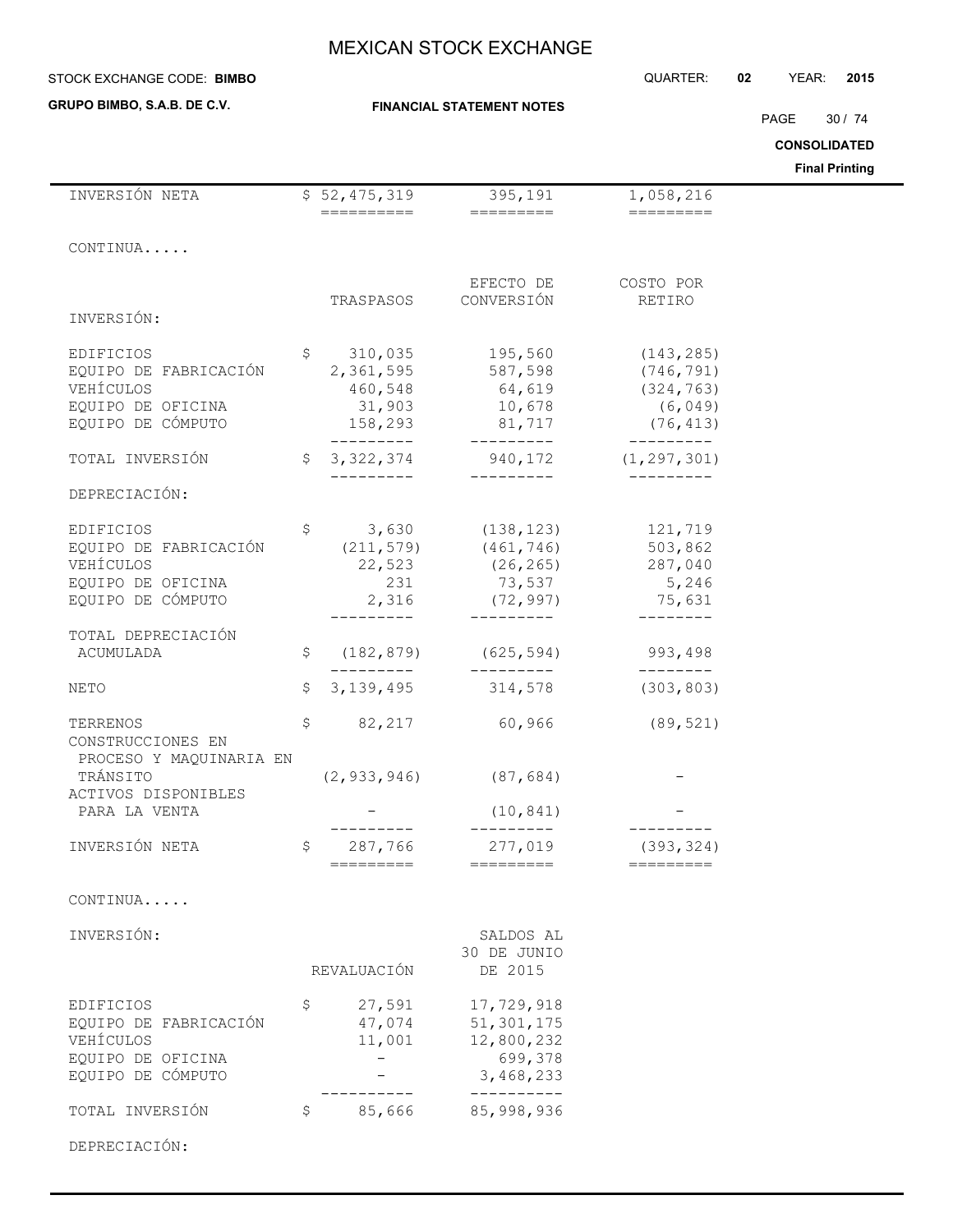### **STOCK EXCHANGE CODE: BIMBO**

**GRUPO BIMBO, S.A.B. DE C.V.**

## **FINANCIAL STATEMENT NOTES**

STOCK EXCHANGE CODE: QUARTER: **02** YEAR: **2015**

PAGE 30 / 74

**CONSOLIDATED**

|                                      |                   |                                                 |                                                                                                                                                                                                                                                                                                                                                                                                                                                     | <b>Final Printing</b> |
|--------------------------------------|-------------------|-------------------------------------------------|-----------------------------------------------------------------------------------------------------------------------------------------------------------------------------------------------------------------------------------------------------------------------------------------------------------------------------------------------------------------------------------------------------------------------------------------------------|-----------------------|
| INVERSIÓN NETA                       | \$52,475,319      | 395,191                                         | 1,058,216                                                                                                                                                                                                                                                                                                                                                                                                                                           |                       |
|                                      | ==========        | $=$ $=$ $=$ $=$ $=$ $=$ $=$ $=$                 | $\begin{tabular}{ll} \multicolumn{2}{c}{\textbf{2.2}} & \multicolumn{2}{c}{\textbf{2.2}} & \multicolumn{2}{c}{\textbf{2.2}} & \multicolumn{2}{c}{\textbf{2.2}} & \multicolumn{2}{c}{\textbf{2.2}} & \multicolumn{2}{c}{\textbf{2.2}} & \multicolumn{2}{c}{\textbf{2.2}} & \multicolumn{2}{c}{\textbf{2.2}} & \multicolumn{2}{c}{\textbf{2.2}} & \multicolumn{2}{c}{\textbf{2.2}} & \multicolumn{2}{c}{\textbf{2.2}} & \multicolumn{2}{c}{\textbf{2$ |                       |
| CONTINUA                             |                   |                                                 |                                                                                                                                                                                                                                                                                                                                                                                                                                                     |                       |
|                                      |                   |                                                 |                                                                                                                                                                                                                                                                                                                                                                                                                                                     |                       |
|                                      |                   | EFECTO DE                                       | COSTO POR                                                                                                                                                                                                                                                                                                                                                                                                                                           |                       |
|                                      | TRASPASOS         | CONVERSIÓN                                      | RETIRO                                                                                                                                                                                                                                                                                                                                                                                                                                              |                       |
| INVERSIÓN:                           |                   |                                                 |                                                                                                                                                                                                                                                                                                                                                                                                                                                     |                       |
| <b>EDIFICIOS</b>                     | \$310,035         | 195,560                                         | (143, 285)                                                                                                                                                                                                                                                                                                                                                                                                                                          |                       |
| EQUIPO DE FABRICACIÓN                | 2,361,595         | 587,598                                         | (746, 791)                                                                                                                                                                                                                                                                                                                                                                                                                                          |                       |
| VEHÍCULOS                            | 460,548           | 64,619                                          | (324, 763)                                                                                                                                                                                                                                                                                                                                                                                                                                          |                       |
| EQUIPO DE OFICINA                    | 31,903            | 10,678                                          | (6, 049)                                                                                                                                                                                                                                                                                                                                                                                                                                            |                       |
| EQUIPO DE CÓMPUTO                    | 158,293           | 81,717                                          | (76, 413)                                                                                                                                                                                                                                                                                                                                                                                                                                           |                       |
| TOTAL INVERSIÓN                      | _________         | ___________<br>$$3,322,374$ 940,172 (1,297,301) | __________                                                                                                                                                                                                                                                                                                                                                                                                                                          |                       |
|                                      | _________         | ----------                                      | $- - - - - - - -$                                                                                                                                                                                                                                                                                                                                                                                                                                   |                       |
| DEPRECIACIÓN:                        |                   |                                                 |                                                                                                                                                                                                                                                                                                                                                                                                                                                     |                       |
|                                      |                   |                                                 |                                                                                                                                                                                                                                                                                                                                                                                                                                                     |                       |
| EDIFICIOS<br>EQUIPO DE FABRICACIÓN   | \$<br>(211, 579)  | $3,630$ (138,123)<br>(461, 746)                 | 121,719<br>503,862                                                                                                                                                                                                                                                                                                                                                                                                                                  |                       |
| VEHÍCULOS                            | 22,523            | (26, 265)                                       | 287,040                                                                                                                                                                                                                                                                                                                                                                                                                                             |                       |
| EQUIPO DE OFICINA                    | 231               | 73,537                                          | 5,246                                                                                                                                                                                                                                                                                                                                                                                                                                               |                       |
| EQUIPO DE CÓMPUTO                    | 2,316             | (72, 997)                                       | 75,631                                                                                                                                                                                                                                                                                                                                                                                                                                              |                       |
|                                      |                   |                                                 |                                                                                                                                                                                                                                                                                                                                                                                                                                                     |                       |
| TOTAL DEPRECIACIÓN                   |                   |                                                 |                                                                                                                                                                                                                                                                                                                                                                                                                                                     |                       |
| ACUMULADA                            | \$<br>(182, 879)  | (625, 594)                                      | 993,498                                                                                                                                                                                                                                                                                                                                                                                                                                             |                       |
| NETO                                 | \$<br>3, 139, 495 | ----------<br>314,578                           | ---------<br>(303, 803)                                                                                                                                                                                                                                                                                                                                                                                                                             |                       |
|                                      |                   |                                                 |                                                                                                                                                                                                                                                                                                                                                                                                                                                     |                       |
| TERRENOS                             | \$                | 82,217 60,966                                   | (89, 521)                                                                                                                                                                                                                                                                                                                                                                                                                                           |                       |
| CONSTRUCCIONES EN                    |                   |                                                 |                                                                                                                                                                                                                                                                                                                                                                                                                                                     |                       |
| PROCESO Y MAQUINARIA EN              |                   |                                                 |                                                                                                                                                                                                                                                                                                                                                                                                                                                     |                       |
| TRÁNSITO                             | (2, 933, 946)     | (87, 684)                                       |                                                                                                                                                                                                                                                                                                                                                                                                                                                     |                       |
| ACTIVOS DISPONIBLES<br>PARA LA VENTA |                   | (10, 841)                                       |                                                                                                                                                                                                                                                                                                                                                                                                                                                     |                       |
|                                      |                   |                                                 |                                                                                                                                                                                                                                                                                                                                                                                                                                                     |                       |
| INVERSIÓN NETA                       | \$ 287,766        | 277,019                                         | (393, 324)                                                                                                                                                                                                                                                                                                                                                                                                                                          |                       |
|                                      | —————————         | —————————                                       | ----------                                                                                                                                                                                                                                                                                                                                                                                                                                          |                       |
| CONTINUA                             |                   |                                                 |                                                                                                                                                                                                                                                                                                                                                                                                                                                     |                       |
|                                      |                   |                                                 |                                                                                                                                                                                                                                                                                                                                                                                                                                                     |                       |
| INVERSIÓN:                           |                   | SALDOS AL                                       |                                                                                                                                                                                                                                                                                                                                                                                                                                                     |                       |
|                                      |                   | 30 DE JUNIO                                     |                                                                                                                                                                                                                                                                                                                                                                                                                                                     |                       |
|                                      | REVALUACIÓN       | DE 2015                                         |                                                                                                                                                                                                                                                                                                                                                                                                                                                     |                       |
| EDIFICIOS                            | \$<br>27,591      | 17,729,918                                      |                                                                                                                                                                                                                                                                                                                                                                                                                                                     |                       |
| EQUIPO DE FABRICACIÓN                | 47,074            | 51, 301, 175                                    |                                                                                                                                                                                                                                                                                                                                                                                                                                                     |                       |
| VEHÍCULOS                            | 11,001            | 12,800,232                                      |                                                                                                                                                                                                                                                                                                                                                                                                                                                     |                       |
| EQUIPO DE OFICINA                    |                   | 699,378                                         |                                                                                                                                                                                                                                                                                                                                                                                                                                                     |                       |
| EQUIPO DE CÓMPUTO                    |                   | 3,468,233                                       |                                                                                                                                                                                                                                                                                                                                                                                                                                                     |                       |
|                                      |                   |                                                 |                                                                                                                                                                                                                                                                                                                                                                                                                                                     |                       |
| TOTAL INVERSIÓN                      | \$<br>85,666      | 85,998,936                                      |                                                                                                                                                                                                                                                                                                                                                                                                                                                     |                       |
| DEPRECIACIÓN:                        |                   |                                                 |                                                                                                                                                                                                                                                                                                                                                                                                                                                     |                       |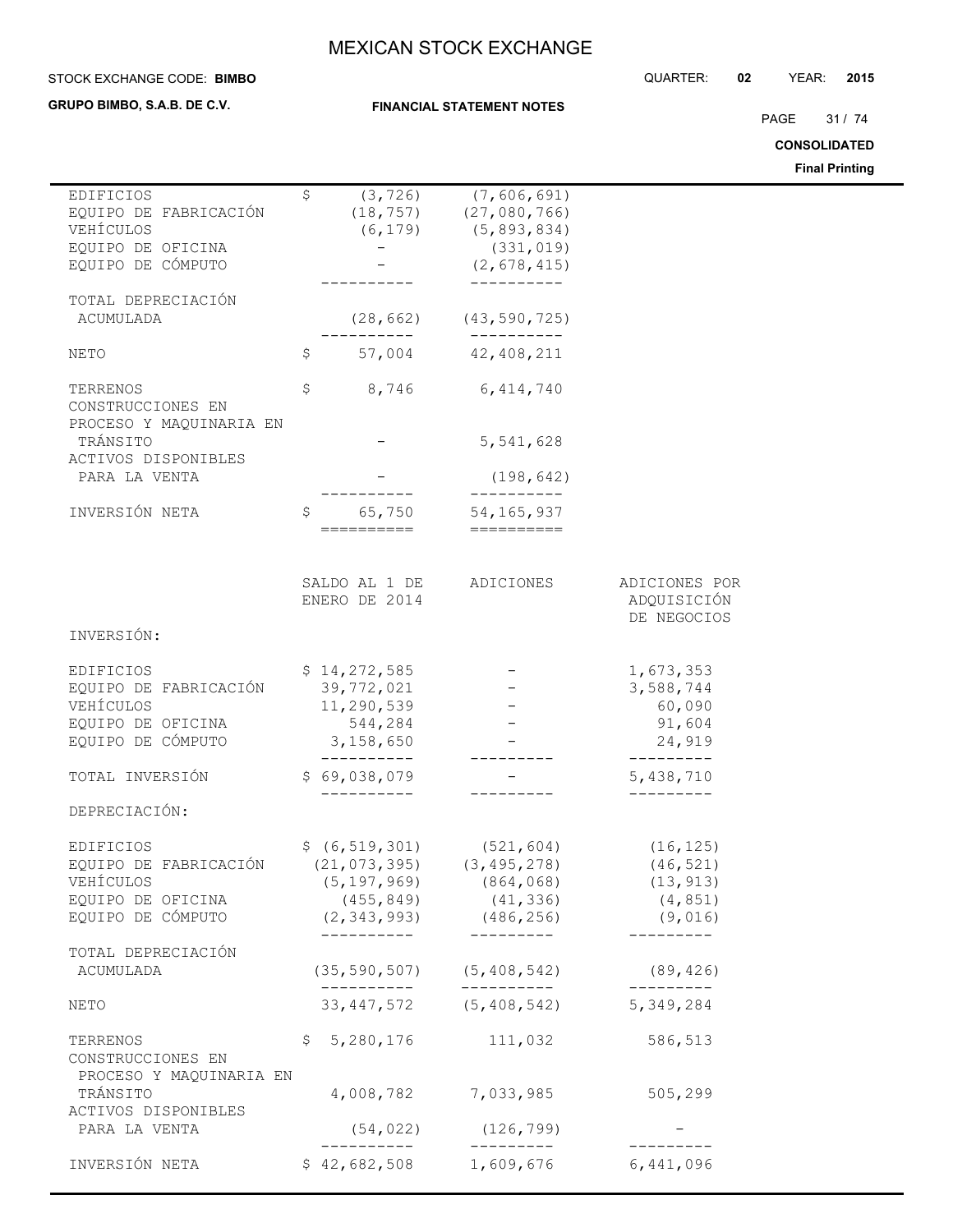#### STOCK EXCHANGE CODE: QUARTER: **02** YEAR: **2015 BIMBO**

**GRUPO BIMBO, S.A.B. DE C.V.**

 $\blacksquare$ 

#### **FINANCIAL STATEMENT NOTES**

PAGE 31 / 74

**CONSOLIDATED**

| EDIFICIOS               | \$  |                              | $(3, 726)$ $(7, 606, 691)$                                                                                                                                                                                                                                                                                                                                                                                                                                                             |               |  |
|-------------------------|-----|------------------------------|----------------------------------------------------------------------------------------------------------------------------------------------------------------------------------------------------------------------------------------------------------------------------------------------------------------------------------------------------------------------------------------------------------------------------------------------------------------------------------------|---------------|--|
| EQUIPO DE FABRICACIÓN   |     | (18, 757)                    | (27,080,766)                                                                                                                                                                                                                                                                                                                                                                                                                                                                           |               |  |
| VEHÍCULOS               |     | (6, 179)                     | (5, 893, 834)                                                                                                                                                                                                                                                                                                                                                                                                                                                                          |               |  |
| EQUIPO DE OFICINA       |     |                              |                                                                                                                                                                                                                                                                                                                                                                                                                                                                                        |               |  |
|                         |     |                              | (331, 019)                                                                                                                                                                                                                                                                                                                                                                                                                                                                             |               |  |
| EQUIPO DE CÓMPUTO       |     |                              | (2, 678, 415)                                                                                                                                                                                                                                                                                                                                                                                                                                                                          |               |  |
|                         |     |                              | __________                                                                                                                                                                                                                                                                                                                                                                                                                                                                             |               |  |
| TOTAL DEPRECIACIÓN      |     |                              |                                                                                                                                                                                                                                                                                                                                                                                                                                                                                        |               |  |
| ACUMULADA               |     |                              | $(28, 662)$ $(43, 590, 725)$                                                                                                                                                                                                                                                                                                                                                                                                                                                           |               |  |
|                         |     |                              |                                                                                                                                                                                                                                                                                                                                                                                                                                                                                        |               |  |
| NETO                    | \$  |                              | 57,004 42,408,211                                                                                                                                                                                                                                                                                                                                                                                                                                                                      |               |  |
|                         |     |                              |                                                                                                                                                                                                                                                                                                                                                                                                                                                                                        |               |  |
| TERRENOS                | \$  |                              | 8,746 6,414,740                                                                                                                                                                                                                                                                                                                                                                                                                                                                        |               |  |
| CONSTRUCCIONES EN       |     |                              |                                                                                                                                                                                                                                                                                                                                                                                                                                                                                        |               |  |
|                         |     |                              |                                                                                                                                                                                                                                                                                                                                                                                                                                                                                        |               |  |
| PROCESO Y MAQUINARIA EN |     |                              |                                                                                                                                                                                                                                                                                                                                                                                                                                                                                        |               |  |
| TRÁNSITO                |     |                              | 5,541,628                                                                                                                                                                                                                                                                                                                                                                                                                                                                              |               |  |
| ACTIVOS DISPONIBLES     |     |                              |                                                                                                                                                                                                                                                                                                                                                                                                                                                                                        |               |  |
| PARA LA VENTA           |     |                              | (198, 642)                                                                                                                                                                                                                                                                                                                                                                                                                                                                             |               |  |
|                         |     |                              | ----------                                                                                                                                                                                                                                                                                                                                                                                                                                                                             |               |  |
| INVERSIÓN NETA          | \$. | 65,750                       | 54, 165, 937                                                                                                                                                                                                                                                                                                                                                                                                                                                                           |               |  |
|                         |     | ==========                   | $\begin{array}{cccccccccc} \multicolumn{2}{c}{} & \multicolumn{2}{c}{} & \multicolumn{2}{c}{} & \multicolumn{2}{c}{} & \multicolumn{2}{c}{} & \multicolumn{2}{c}{} & \multicolumn{2}{c}{} & \multicolumn{2}{c}{} & \multicolumn{2}{c}{} & \multicolumn{2}{c}{} & \multicolumn{2}{c}{} & \multicolumn{2}{c}{} & \multicolumn{2}{c}{} & \multicolumn{2}{c}{} & \multicolumn{2}{c}{} & \multicolumn{2}{c}{} & \multicolumn{2}{c}{} & \multicolumn{2}{c}{} & \multicolumn{2}{c}{} & \mult$ |               |  |
|                         |     |                              |                                                                                                                                                                                                                                                                                                                                                                                                                                                                                        |               |  |
|                         |     |                              |                                                                                                                                                                                                                                                                                                                                                                                                                                                                                        |               |  |
|                         |     | SALDO AL 1 DE                | ADICIONES                                                                                                                                                                                                                                                                                                                                                                                                                                                                              | ADICIONES POR |  |
|                         |     | ENERO DE 2014                |                                                                                                                                                                                                                                                                                                                                                                                                                                                                                        | ADQUISICIÓN   |  |
|                         |     |                              |                                                                                                                                                                                                                                                                                                                                                                                                                                                                                        |               |  |
|                         |     |                              |                                                                                                                                                                                                                                                                                                                                                                                                                                                                                        | DE NEGOCIOS   |  |
| INVERSIÓN:              |     |                              |                                                                                                                                                                                                                                                                                                                                                                                                                                                                                        |               |  |
|                         |     |                              |                                                                                                                                                                                                                                                                                                                                                                                                                                                                                        |               |  |
| EDIFICIOS               |     | \$14,272,585                 |                                                                                                                                                                                                                                                                                                                                                                                                                                                                                        | 1,673,353     |  |
| EQUIPO DE FABRICACIÓN   |     | 39,772,021                   |                                                                                                                                                                                                                                                                                                                                                                                                                                                                                        | 3,588,744     |  |
| VEHÍCULOS               |     | 11,290,539                   |                                                                                                                                                                                                                                                                                                                                                                                                                                                                                        | 60,090        |  |
| EQUIPO DE OFICINA       |     | 544,284                      |                                                                                                                                                                                                                                                                                                                                                                                                                                                                                        | 91,604        |  |
| EQUIPO DE CÓMPUTO       |     | 3,158,650                    |                                                                                                                                                                                                                                                                                                                                                                                                                                                                                        | 24,919        |  |
|                         |     | -----------                  |                                                                                                                                                                                                                                                                                                                                                                                                                                                                                        |               |  |
| TOTAL INVERSIÓN         |     |                              |                                                                                                                                                                                                                                                                                                                                                                                                                                                                                        |               |  |
|                         |     | \$69,038,079                 |                                                                                                                                                                                                                                                                                                                                                                                                                                                                                        | 5,438,710     |  |
|                         |     |                              |                                                                                                                                                                                                                                                                                                                                                                                                                                                                                        |               |  |
| DEPRECIACIÓN:           |     |                              |                                                                                                                                                                                                                                                                                                                                                                                                                                                                                        |               |  |
|                         |     |                              |                                                                                                                                                                                                                                                                                                                                                                                                                                                                                        |               |  |
| EDIFICIOS               |     | $$ (6, 519, 301)$ (521, 604) |                                                                                                                                                                                                                                                                                                                                                                                                                                                                                        | (16, 125)     |  |
| EOUIPO DE FABRICACIÓN   |     | (21, 073, 395)               | (3, 495, 278)                                                                                                                                                                                                                                                                                                                                                                                                                                                                          | (46, 521)     |  |
| VEHÍCULOS               |     | (5, 197, 969)                | (864,068)                                                                                                                                                                                                                                                                                                                                                                                                                                                                              | (13, 913)     |  |
| EQUIPO DE OFICINA       |     | (455, 849)                   | (41, 336)                                                                                                                                                                                                                                                                                                                                                                                                                                                                              | (4, 851)      |  |
| EQUIPO DE CÓMPUTO       |     |                              | $(2, 343, 993)$ $(486, 256)$                                                                                                                                                                                                                                                                                                                                                                                                                                                           | (9,016)       |  |
|                         |     | -----------                  | ----------                                                                                                                                                                                                                                                                                                                                                                                                                                                                             | ----------    |  |
| TOTAL DEPRECIACIÓN      |     |                              |                                                                                                                                                                                                                                                                                                                                                                                                                                                                                        |               |  |
|                         |     |                              |                                                                                                                                                                                                                                                                                                                                                                                                                                                                                        |               |  |
| ACUMULADA               |     |                              | $(35, 590, 507)$ $(5, 408, 542)$                                                                                                                                                                                                                                                                                                                                                                                                                                                       | (89, 426)     |  |
|                         |     | -----------                  | -----------                                                                                                                                                                                                                                                                                                                                                                                                                                                                            | ----------    |  |
| NETO                    |     |                              | 33, 447, 572 (5, 408, 542)                                                                                                                                                                                                                                                                                                                                                                                                                                                             | 5,349,284     |  |
|                         |     |                              |                                                                                                                                                                                                                                                                                                                                                                                                                                                                                        |               |  |
| TERRENOS                | \$  | 5,280,176                    | 111,032                                                                                                                                                                                                                                                                                                                                                                                                                                                                                | 586,513       |  |
| CONSTRUCCIONES EN       |     |                              |                                                                                                                                                                                                                                                                                                                                                                                                                                                                                        |               |  |
| PROCESO Y MAQUINARIA EN |     |                              |                                                                                                                                                                                                                                                                                                                                                                                                                                                                                        |               |  |
| TRÁNSITO                |     |                              | 4,008,782 7,033,985                                                                                                                                                                                                                                                                                                                                                                                                                                                                    | 505,299       |  |
| ACTIVOS DISPONIBLES     |     |                              |                                                                                                                                                                                                                                                                                                                                                                                                                                                                                        |               |  |
|                         |     |                              |                                                                                                                                                                                                                                                                                                                                                                                                                                                                                        |               |  |
| PARA LA VENTA           |     | (54, 022)                    | (126, 799)<br>----------                                                                                                                                                                                                                                                                                                                                                                                                                                                               |               |  |
|                         |     |                              |                                                                                                                                                                                                                                                                                                                                                                                                                                                                                        |               |  |
| INVERSIÓN NETA          |     |                              | $$42,682,508$ 1,609,676                                                                                                                                                                                                                                                                                                                                                                                                                                                                | 6,441,096     |  |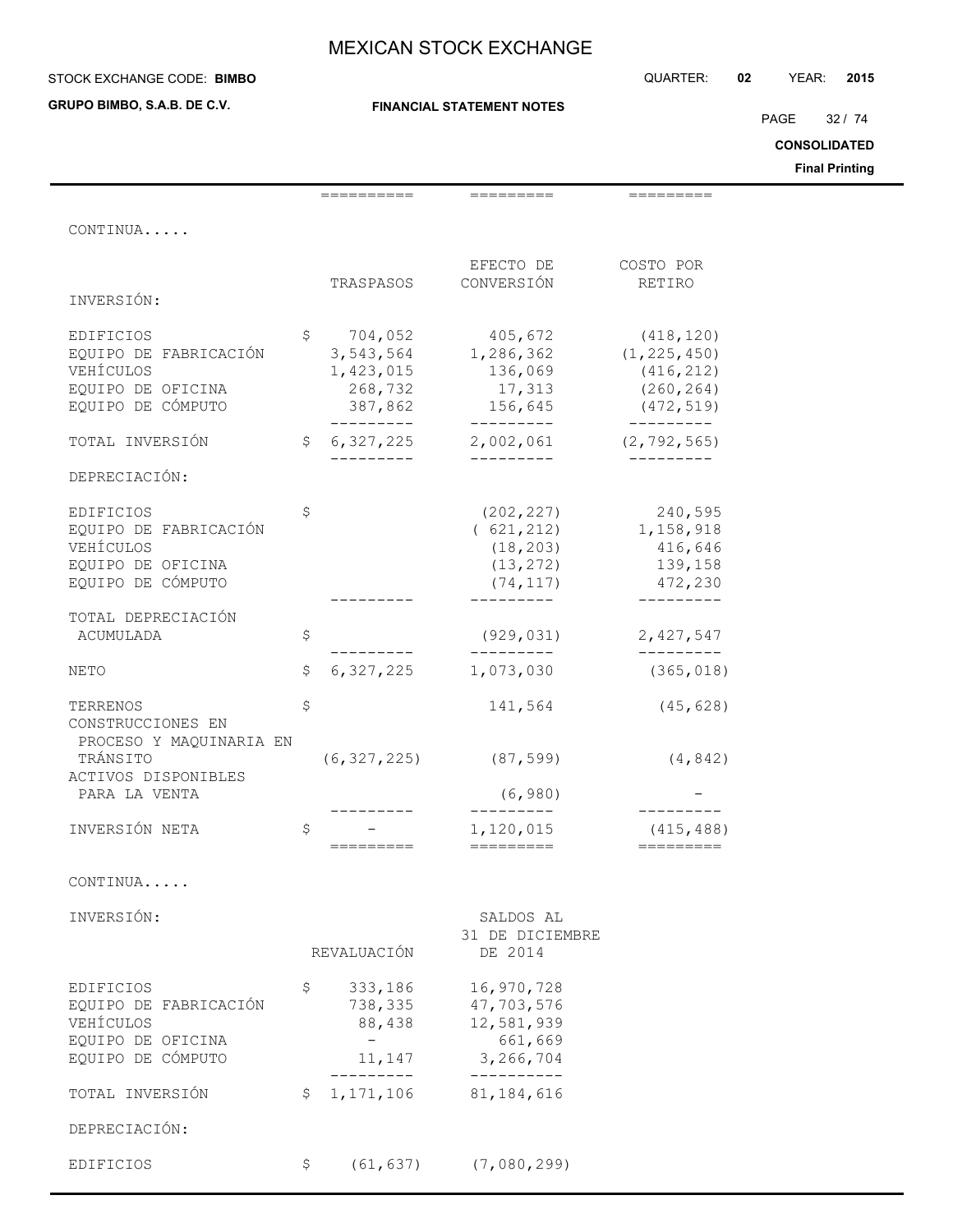#### STOCK EXCHANGE CODE: QUARTER: **02** YEAR: **2015 BIMBO**

**GRUPO BIMBO, S.A.B. DE C.V.**

**FINANCIAL STATEMENT NOTES**

PAGE 32 / 74

**CONSOLIDATED**

|                                              |    | $=$ $=$ $=$ $=$ $=$ $=$ $=$ $=$ $=$ |                                         | $=$ =========                    |  |
|----------------------------------------------|----|-------------------------------------|-----------------------------------------|----------------------------------|--|
| CONTINUA                                     |    |                                     |                                         |                                  |  |
|                                              |    |                                     |                                         |                                  |  |
|                                              |    |                                     | EFECTO DE                               | COSTO POR                        |  |
|                                              |    | TRASPASOS                           | CONVERSIÓN                              | RETIRO                           |  |
| INVERSIÓN:                                   |    |                                     |                                         |                                  |  |
| <b>EDIFICIOS</b>                             |    | \$704,052                           | 405,672                                 | (418, 120)                       |  |
| EQUIPO DE FABRICACIÓN                        |    |                                     | $3, 543, 564$ 1, 286, 362 (1, 225, 450) |                                  |  |
| VEHÍCULOS                                    |    | 1,423,015                           | 136,069                                 | (416, 212)                       |  |
| EQUIPO DE OFICINA                            |    | 268,732                             | 17,313                                  | (260, 264)                       |  |
| EQUIPO DE CÓMPUTO                            |    | 387,862                             | 156,645                                 | (472, 519)                       |  |
|                                              |    | ----------                          | ----------                              | ----------                       |  |
| TOTAL INVERSIÓN                              |    | \$6,327,225                         | 2,002,061<br>$- - - - - - - -$          | (2, 792, 565)                    |  |
| DEPRECIACIÓN:                                |    |                                     |                                         |                                  |  |
| <b>EDIFICIOS</b>                             | \$ |                                     | (202, 227)                              | 240,595                          |  |
| EQUIPO DE FABRICACIÓN                        |    |                                     | (621, 212)                              | 1,158,918                        |  |
| VEHÍCULOS                                    |    |                                     | (18, 203)                               | 416,646                          |  |
| EQUIPO DE OFICINA                            |    |                                     | (13, 272)                               | 139,158                          |  |
| EQUIPO DE CÓMPUTO                            |    |                                     | (74, 117)                               | 472,230                          |  |
|                                              |    |                                     |                                         | _________                        |  |
| TOTAL DEPRECIACIÓN                           |    |                                     |                                         |                                  |  |
| ACUMULADA                                    | \$ |                                     | (929, 031)                              | 2,427,547<br>$- - - - - - - - -$ |  |
| NETO                                         | \$ | 6,327,225                           | ----------<br>1,073,030                 | (365, 018)                       |  |
| TERRENOS                                     | \$ |                                     | 141,564                                 | (45, 628)                        |  |
| CONSTRUCCIONES EN<br>PROCESO Y MAQUINARIA EN |    |                                     |                                         |                                  |  |
| TRÁNSITO                                     |    | (6, 327, 225)                       | (87, 599)                               | (4, 842)                         |  |
| ACTIVOS DISPONIBLES                          |    |                                     |                                         |                                  |  |
| PARA LA VENTA                                |    |                                     | (6, 980)                                |                                  |  |
| INVERSIÓN NETA                               | \$ |                                     | 1,120,015                               | (415, 488)                       |  |
|                                              |    | =========                           | =========                               |                                  |  |
| CONTINUA                                     |    |                                     |                                         |                                  |  |
| INVERSIÓN:                                   |    |                                     | SALDOS AL                               |                                  |  |
|                                              |    |                                     | 31 DE DICIEMBRE                         |                                  |  |
|                                              |    | REVALUACIÓN                         | DE 2014                                 |                                  |  |
| EDIFICIOS                                    | Ş. | 333,186                             | 16,970,728                              |                                  |  |
| EQUIPO DE FABRICACIÓN                        |    | 738,335                             | 47,703,576                              |                                  |  |
| VEHÍCULOS                                    |    | 88,438                              | 12,581,939                              |                                  |  |
| EQUIPO DE OFICINA                            |    | $\sim$                              | 661,669                                 |                                  |  |
| EQUIPO DE CÓMPUTO                            |    | 11,147                              | 3,266,704                               |                                  |  |
| TOTAL INVERSIÓN                              |    | \$1,171,106                         | -----------<br>81, 184, 616             |                                  |  |
| DEPRECIACIÓN:                                |    |                                     |                                         |                                  |  |
|                                              |    |                                     |                                         |                                  |  |
| EDIFICIOS                                    | \$ | (61, 637)                           | (7,080,299)                             |                                  |  |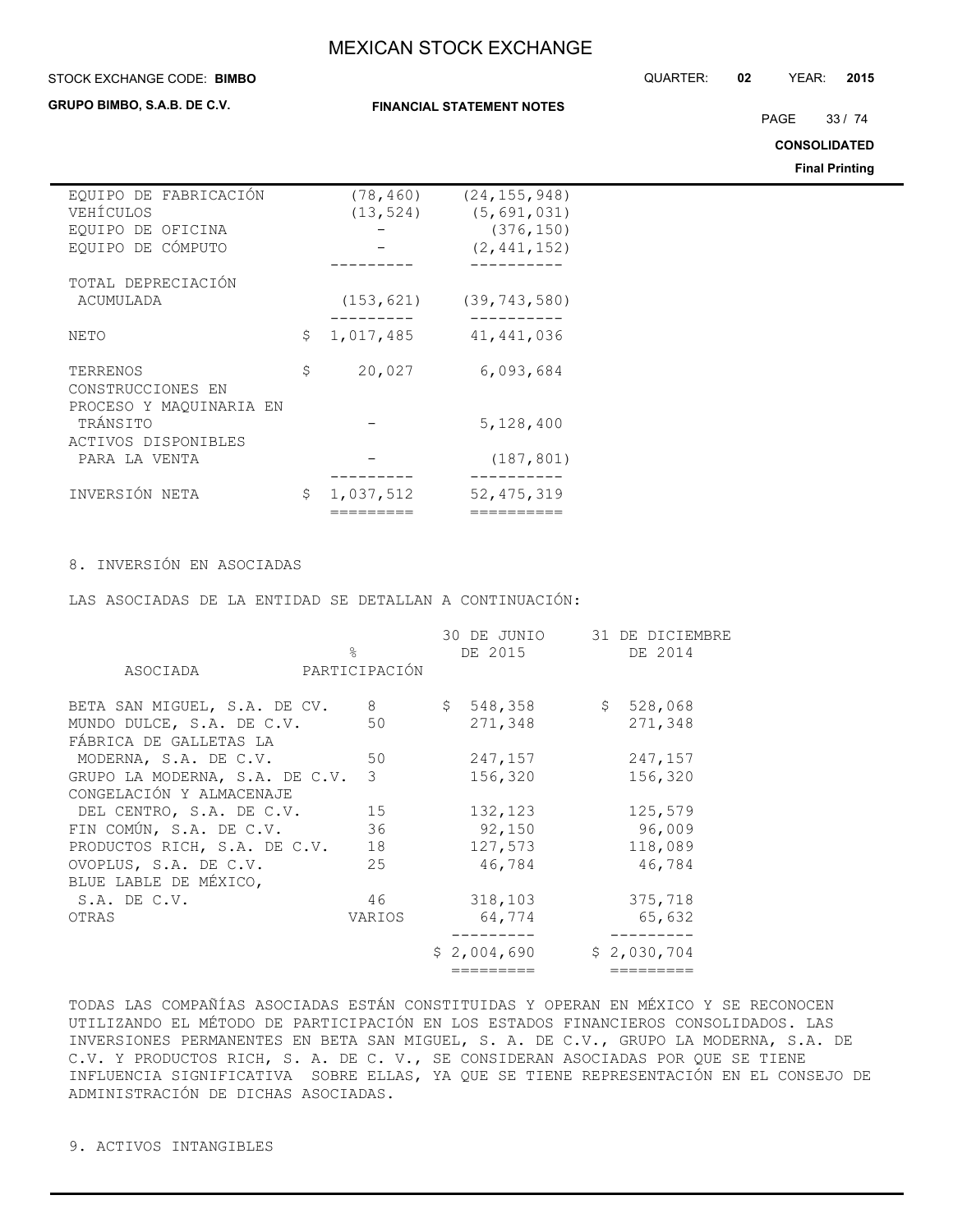#### **STOCK EXCHANGE CODE: BIMBO**

**GRUPO BIMBO, S.A.B. DE C.V.**

#### **FINANCIAL STATEMENT NOTES**

STOCK EXCHANGE CODE: QUARTER: **02** YEAR: **2015**

PAGE 33 / 74

**CONSOLIDATED**

**Final Printing**

| EOUIPO DE FABRICACIÓN         | (78, 460)       | (24, 155, 948)              |
|-------------------------------|-----------------|-----------------------------|
| VEHÍCULOS                     |                 | $(13, 524)$ $(5, 691, 031)$ |
| EQUIPO DE OFICINA             |                 | (376, 150)                  |
| EQUIPO DE CÓMPUTO             |                 | (2, 441, 152)               |
|                               |                 |                             |
| TOTAL DEPRECIACIÓN            |                 |                             |
| ACUMULADA                     | (153, 621)      | (39, 743, 580)              |
|                               |                 |                             |
| NETO                          | \$<br>1,017,485 | 41,441,036                  |
|                               | \$<br>20,027    |                             |
| TERRENOS<br>CONSTRUCCIONES EN |                 | 6,093,684                   |
| PROCESO Y MAOUINARIA EN       |                 |                             |
| TRÁNSITO                      |                 | 5,128,400                   |
| ACTIVOS DISPONIBLES           |                 |                             |
| PARA LA VENTA                 |                 | (187, 801)                  |
|                               |                 |                             |
| INVERSIÓN NETA                | \$<br>1,037,512 | 52, 475, 319                |
|                               | =========       | ==========                  |

## 8. INVERSIÓN EN ASOCIADAS

LAS ASOCIADAS DE LA ENTIDAD SE DETALLAN A CONTINUACIÓN:

|                                     | 30 DE JUNIO    | 31 DE DICIEMBRE<br>DE 2014 |
|-------------------------------------|----------------|----------------------------|
| PARTICIPACIÓN                       |                |                            |
| 8<br>BETA SAN MIGUEL, S.A. DE CV.   | \$548,358      | \$528,068                  |
| 50                                  | 271,348        | 271,348                    |
|                                     |                |                            |
| 50                                  | 247,157        | 247,157                    |
| GRUPO LA MODERNA, S.A. DE C.V.<br>3 | 156,320        | 156,320                    |
|                                     |                |                            |
| 15                                  | 132,123        | 125,579                    |
| 36                                  | 92,150         | 96,009                     |
| 18<br>PRODUCTOS RICH, S.A. DE C.V.  | 127,573        | 118,089                    |
| 25                                  | 46,784         | 46,784                     |
|                                     |                |                            |
| 46                                  | 318,103        | 375,718                    |
| VARIOS                              | 64,774         | 65,632                     |
|                                     |                | \$2,030,704                |
|                                     |                |                            |
|                                     | $\frac{6}{10}$ | DE 2015<br>\$2,004,690     |

TODAS LAS COMPAÑÍAS ASOCIADAS ESTÁN CONSTITUIDAS Y OPERAN EN MÉXICO Y SE RECONOCEN UTILIZANDO EL MÉTODO DE PARTICIPACIÓN EN LOS ESTADOS FINANCIEROS CONSOLIDADOS. LAS INVERSIONES PERMANENTES EN BETA SAN MIGUEL, S. A. DE C.V., GRUPO LA MODERNA, S.A. DE C.V. Y PRODUCTOS RICH, S. A. DE C. V., SE CONSIDERAN ASOCIADAS POR QUE SE TIENE INFLUENCIA SIGNIFICATIVA SOBRE ELLAS, YA QUE SE TIENE REPRESENTACIÓN EN EL CONSEJO DE ADMINISTRACIÓN DE DICHAS ASOCIADAS.

## 9. ACTIVOS INTANGIBLES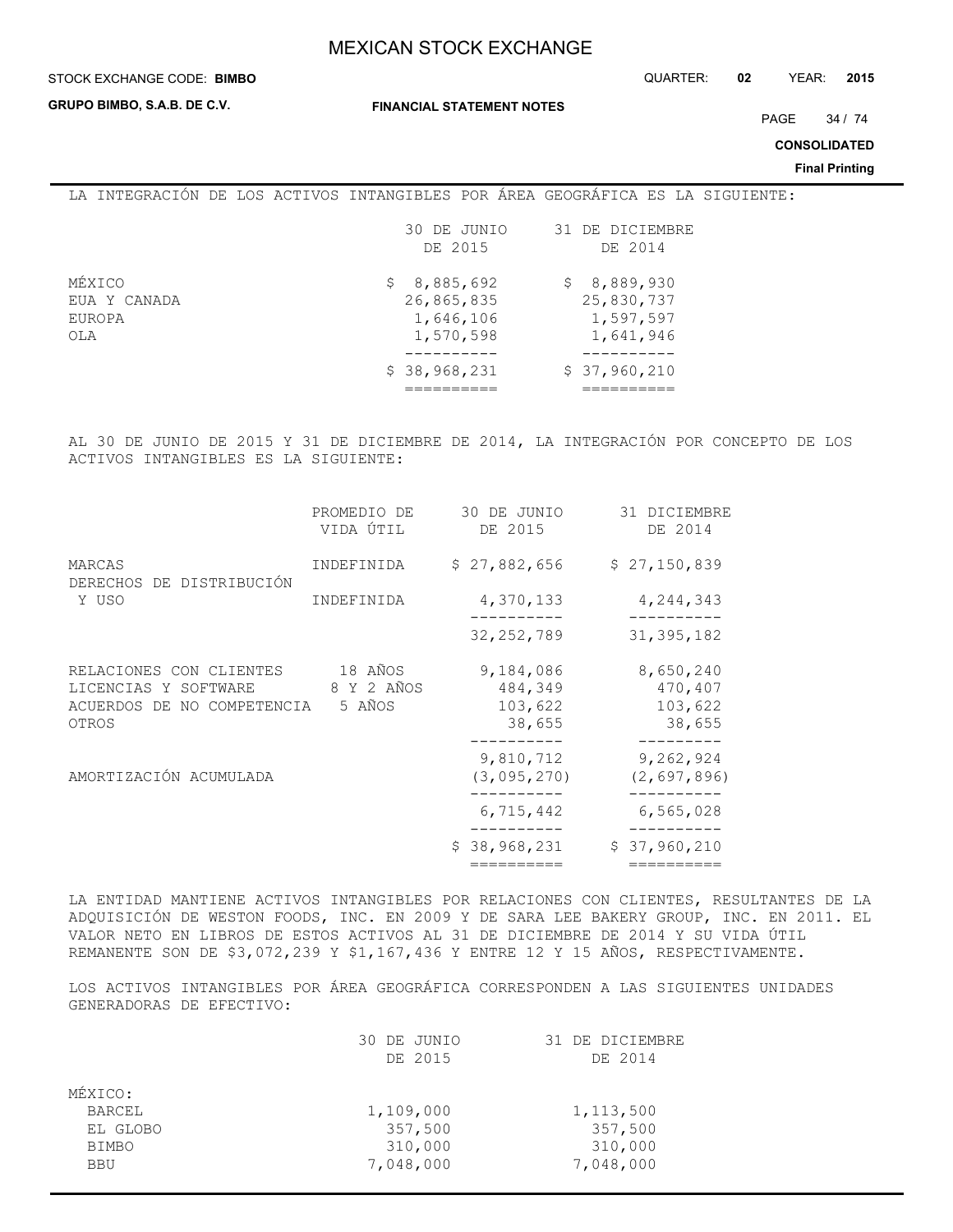#### STOCK EXCHANGE CODE: QUARTER: **02** YEAR: **2015 BIMBO**

**GRUPO BIMBO, S.A.B. DE C.V.**

**FINANCIAL STATEMENT NOTES**

PAGE 34 / 74

**CONSOLIDATED**

**Final Printing**

#### LA INTEGRACIÓN DE LOS ACTIVOS INTANGIBLES POR ÁREA GEOGRÁFICA ES LA SIGUIENTE:

|              | 30 DE JUNIO  | 31 DE DICIEMBRE |
|--------------|--------------|-----------------|
|              | DE 2015      | DE 2014         |
| MÉXICO       | \$8,885,692  | \$8,889,930     |
| EUA Y CANADA | 26,865,835   | 25,830,737      |
| EUROPA       | 1,646,106    | 1,597,597       |
| OLA          | 1,570,598    | 1,641,946       |
|              | \$38,968,231 | \$37,960,210    |
|              |              |                 |

AL 30 DE JUNIO DE 2015 Y 31 DE DICIEMBRE DE 2014, LA INTEGRACIÓN POR CONCEPTO DE LOS ACTIVOS INTANGIBLES ES LA SIGUIENTE:

|                                                                                        | PROMEDIO DE<br>VIDA ÚTIL        | 30 DE JUNIO<br>DE 2015                    | 31 DICIEMBRE<br>DE 2014                   |
|----------------------------------------------------------------------------------------|---------------------------------|-------------------------------------------|-------------------------------------------|
| MARCAS<br>DERECHOS DE DISTRIBUCIÓN                                                     | INDEFINIDA                      | \$27,882,656                              | \$27,150,839                              |
| Y USO                                                                                  | INDEFINIDA                      | 4,370,133                                 | 4,244,343                                 |
|                                                                                        |                                 | 32, 252, 789                              | 31, 395, 182                              |
| RELACIONES CON CLIENTES<br>LICENCIAS Y SOFTWARE<br>ACUERDOS DE NO COMPETENCIA<br>OTROS | 18 AÑOS<br>8 Y 2 AÑOS<br>5 AÑOS | 9,184,086<br>484,349<br>103,622<br>38,655 | 8,650,240<br>470,407<br>103,622<br>38,655 |
| AMORTIZACIÓN ACUMULADA                                                                 |                                 | 9,810,712<br>(3,095,270)                  | 9,262,924<br>(2,697,896)                  |
|                                                                                        |                                 | 6,715,442                                 | 6,565,028                                 |
|                                                                                        |                                 | \$38,968,231                              | \$37,960,210                              |
|                                                                                        |                                 | =========                                 | :=========                                |

LA ENTIDAD MANTIENE ACTIVOS INTANGIBLES POR RELACIONES CON CLIENTES, RESULTANTES DE LA ADQUISICIÓN DE WESTON FOODS, INC. EN 2009 Y DE SARA LEE BAKERY GROUP, INC. EN 2011. EL VALOR NETO EN LIBROS DE ESTOS ACTIVOS AL 31 DE DICIEMBRE DE 2014 Y SU VIDA ÚTIL REMANENTE SON DE \$3,072,239 Y \$1,167,436 Y ENTRE 12 Y 15 AÑOS, RESPECTIVAMENTE.

LOS ACTIVOS INTANGIBLES POR ÁREA GEOGRÁFICA CORRESPONDEN A LAS SIGUIENTES UNIDADES GENERADORAS DE EFECTIVO:

|              | 30 DE JUNIO<br>DE 2015 | 31 DE DICIEMBRE<br>DE 2014 |
|--------------|------------------------|----------------------------|
| MÉXICO:      |                        |                            |
| BARCEL       | 1,109,000              | 1, 113, 500                |
| EL GLOBO     | 357,500                | 357,500                    |
| <b>BIMBO</b> | 310,000                | 310,000                    |
| <b>BBU</b>   | 7,048,000              | 7,048,000                  |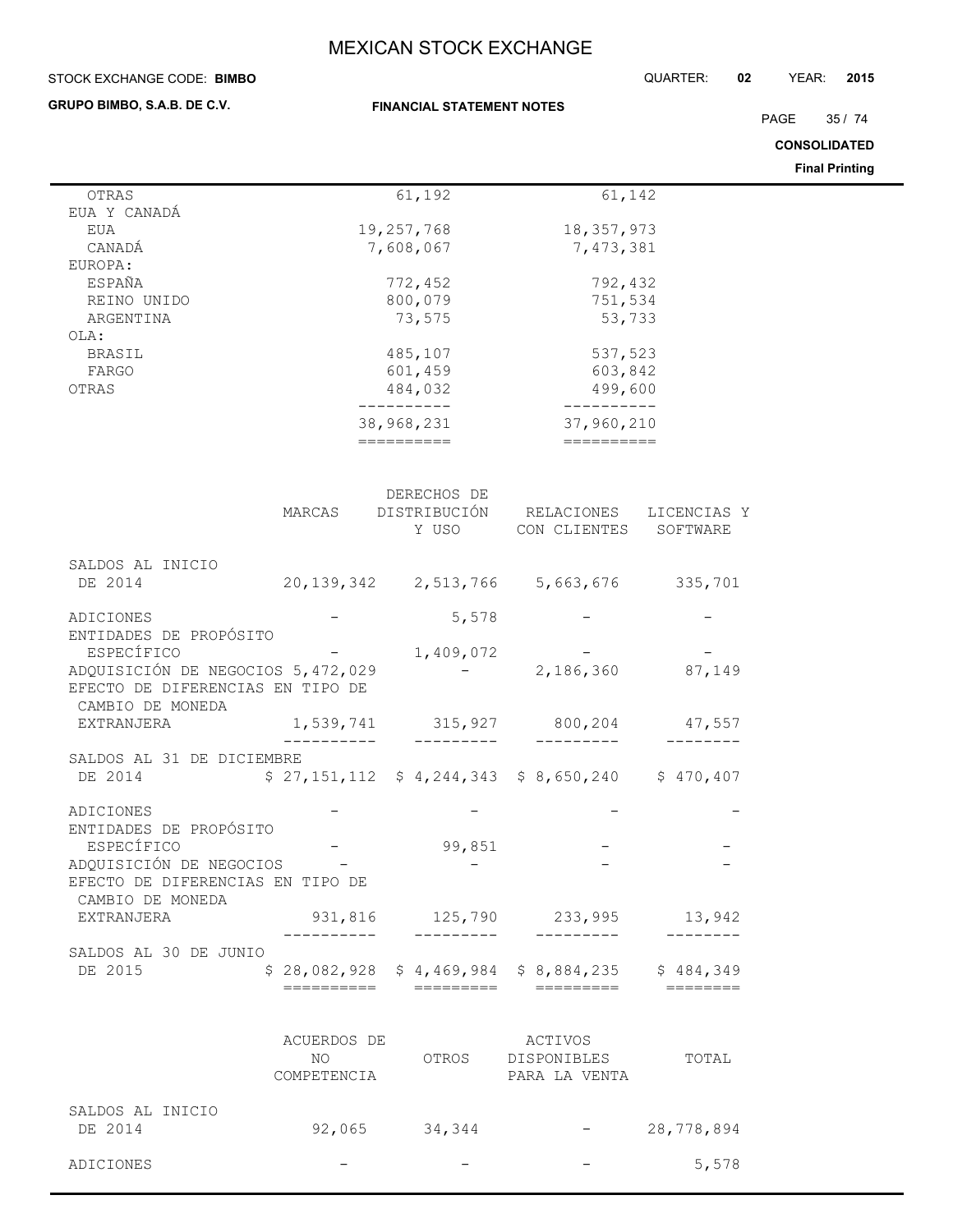**FINANCIAL STATEMENT NOTES**

### **GRUPO BIMBO, S.A.B. DE C.V.**

STOCK EXCHANGE CODE: QUARTER: **02** YEAR: **2015 BIMBO**

PAGE 35 / 74

**CONSOLIDATED Final Printing**

|                                   |             |               |                                                                                                                                                                                                                                                                                                                                                                                                                                     |               | <b>Filial Fillitilly</b> |
|-----------------------------------|-------------|---------------|-------------------------------------------------------------------------------------------------------------------------------------------------------------------------------------------------------------------------------------------------------------------------------------------------------------------------------------------------------------------------------------------------------------------------------------|---------------|--------------------------|
| OTRAS                             |             | 61,192        | 61,142                                                                                                                                                                                                                                                                                                                                                                                                                              |               |                          |
| EUA Y CANADÁ                      |             |               |                                                                                                                                                                                                                                                                                                                                                                                                                                     |               |                          |
| EUA                               |             | 19,257,768    | 18, 357, 973                                                                                                                                                                                                                                                                                                                                                                                                                        |               |                          |
| CANADÁ                            |             | 7,608,067     | 7,473,381                                                                                                                                                                                                                                                                                                                                                                                                                           |               |                          |
| EUROPA:                           |             |               |                                                                                                                                                                                                                                                                                                                                                                                                                                     |               |                          |
| ESPAÑA                            |             | 772,452       | 792,432                                                                                                                                                                                                                                                                                                                                                                                                                             |               |                          |
| REINO UNIDO                       |             | 800,079       | 751,534                                                                                                                                                                                                                                                                                                                                                                                                                             |               |                          |
| ARGENTINA                         |             | 73,575        | 53,733                                                                                                                                                                                                                                                                                                                                                                                                                              |               |                          |
| OLA:                              |             |               |                                                                                                                                                                                                                                                                                                                                                                                                                                     |               |                          |
|                                   |             |               |                                                                                                                                                                                                                                                                                                                                                                                                                                     |               |                          |
| BRASIL                            |             | 485,107       | 537,523                                                                                                                                                                                                                                                                                                                                                                                                                             |               |                          |
| FARGO                             |             | 601,459       | 603,842                                                                                                                                                                                                                                                                                                                                                                                                                             |               |                          |
| OTRAS                             |             | 484,032       | 499,600                                                                                                                                                                                                                                                                                                                                                                                                                             |               |                          |
|                                   |             | -----------   | -----------                                                                                                                                                                                                                                                                                                                                                                                                                         |               |                          |
|                                   |             |               | 38, 968, 231 37, 960, 210                                                                                                                                                                                                                                                                                                                                                                                                           |               |                          |
|                                   |             | ==========    | $\begin{array}{cccccccccc} \texttt{m} & \texttt{m} & \texttt{m} & \texttt{m} & \texttt{m} & \texttt{m} & \texttt{m} & \texttt{m} & \texttt{m} & \texttt{m} & \texttt{m} & \texttt{m} & \texttt{m} & \texttt{m} & \texttt{m} & \texttt{m} & \texttt{m} & \texttt{m} & \texttt{m} & \texttt{m} & \texttt{m} & \texttt{m} & \texttt{m} & \texttt{m} & \texttt{m} & \texttt{m} & \texttt{m} & \texttt{m} & \texttt{m} & \texttt{m} & \$ |               |                          |
|                                   |             |               |                                                                                                                                                                                                                                                                                                                                                                                                                                     |               |                          |
|                                   |             | DERECHOS DE   |                                                                                                                                                                                                                                                                                                                                                                                                                                     |               |                          |
|                                   | MARCAS      |               | DISTRIBUCIÓN RELACIONES LICENCIAS Y                                                                                                                                                                                                                                                                                                                                                                                                 |               |                          |
|                                   |             |               | Y USO CON CLIENTES SOFTWARE                                                                                                                                                                                                                                                                                                                                                                                                         |               |                          |
|                                   |             |               |                                                                                                                                                                                                                                                                                                                                                                                                                                     |               |                          |
| SALDOS AL INICIO                  |             |               |                                                                                                                                                                                                                                                                                                                                                                                                                                     |               |                          |
| DE 2014                           |             |               | 20, 139, 342 2, 513, 766 5, 663, 676 335, 701                                                                                                                                                                                                                                                                                                                                                                                       |               |                          |
|                                   |             |               |                                                                                                                                                                                                                                                                                                                                                                                                                                     |               |                          |
| ADICIONES                         |             | 5,578         |                                                                                                                                                                                                                                                                                                                                                                                                                                     |               |                          |
| ENTIDADES DE PROPÓSITO            |             |               |                                                                                                                                                                                                                                                                                                                                                                                                                                     |               |                          |
| ESPECÍFICO                        |             | 1,409,072     |                                                                                                                                                                                                                                                                                                                                                                                                                                     |               |                          |
| ADQUISICIÓN DE NEGOCIOS 5,472,029 |             |               | 2, 186, 360 87, 149                                                                                                                                                                                                                                                                                                                                                                                                                 |               |                          |
| EFECTO DE DIFERENCIAS EN TIPO DE  |             |               |                                                                                                                                                                                                                                                                                                                                                                                                                                     |               |                          |
| CAMBIO DE MONEDA                  |             |               |                                                                                                                                                                                                                                                                                                                                                                                                                                     |               |                          |
| EXTRANJERA                        |             |               | 1,539,741 315,927 800,204 47,557                                                                                                                                                                                                                                                                                                                                                                                                    |               |                          |
|                                   |             |               |                                                                                                                                                                                                                                                                                                                                                                                                                                     |               |                          |
| SALDOS AL 31 DE DICIEMBRE         |             |               |                                                                                                                                                                                                                                                                                                                                                                                                                                     |               |                          |
| DE 2014                           |             |               | $$27,151,112$ $$4,244,343$ $$8,650,240$ $$470,407$                                                                                                                                                                                                                                                                                                                                                                                  |               |                          |
|                                   |             |               |                                                                                                                                                                                                                                                                                                                                                                                                                                     |               |                          |
| ADICIONES                         |             |               |                                                                                                                                                                                                                                                                                                                                                                                                                                     |               |                          |
| ENTIDADES DE PROPÓSITO            |             |               |                                                                                                                                                                                                                                                                                                                                                                                                                                     |               |                          |
| ESPECÍFICO                        |             | 99,851        |                                                                                                                                                                                                                                                                                                                                                                                                                                     |               |                          |
| ADQUISICIÓN DE NEGOCIOS           |             |               |                                                                                                                                                                                                                                                                                                                                                                                                                                     |               |                          |
|                                   |             |               |                                                                                                                                                                                                                                                                                                                                                                                                                                     |               |                          |
| EFECTO DE DIFERENCIAS EN TIPO DE  |             |               |                                                                                                                                                                                                                                                                                                                                                                                                                                     |               |                          |
| CAMBIO DE MONEDA                  |             |               |                                                                                                                                                                                                                                                                                                                                                                                                                                     |               |                          |
| EXTRANJERA                        |             |               | 931,816 125,790 233,995 13,942                                                                                                                                                                                                                                                                                                                                                                                                      |               |                          |
|                                   |             |               |                                                                                                                                                                                                                                                                                                                                                                                                                                     |               |                          |
| SALDOS AL 30 DE JUNIO             |             |               |                                                                                                                                                                                                                                                                                                                                                                                                                                     |               |                          |
| DE 2015                           |             |               | $$28,082,928$$ $$4,469,984$$ $$8,884,235$$ $$484,349$                                                                                                                                                                                                                                                                                                                                                                               |               |                          |
|                                   |             |               |                                                                                                                                                                                                                                                                                                                                                                                                                                     |               |                          |
|                                   |             |               |                                                                                                                                                                                                                                                                                                                                                                                                                                     |               |                          |
|                                   | ACUERDOS DE |               | ACTIVOS                                                                                                                                                                                                                                                                                                                                                                                                                             |               |                          |
|                                   |             |               | NO OTROS DISPONIBLES                                                                                                                                                                                                                                                                                                                                                                                                                | TOTAL         |                          |
|                                   | COMPETENCIA |               | PARA LA VENTA                                                                                                                                                                                                                                                                                                                                                                                                                       |               |                          |
|                                   |             |               |                                                                                                                                                                                                                                                                                                                                                                                                                                     |               |                          |
| SALDOS AL INICIO                  |             |               |                                                                                                                                                                                                                                                                                                                                                                                                                                     |               |                          |
| DE 2014                           |             | 92,065 34,344 |                                                                                                                                                                                                                                                                                                                                                                                                                                     | $-28,778,894$ |                          |
|                                   |             |               |                                                                                                                                                                                                                                                                                                                                                                                                                                     |               |                          |
| ADICIONES                         |             |               |                                                                                                                                                                                                                                                                                                                                                                                                                                     | 5,578         |                          |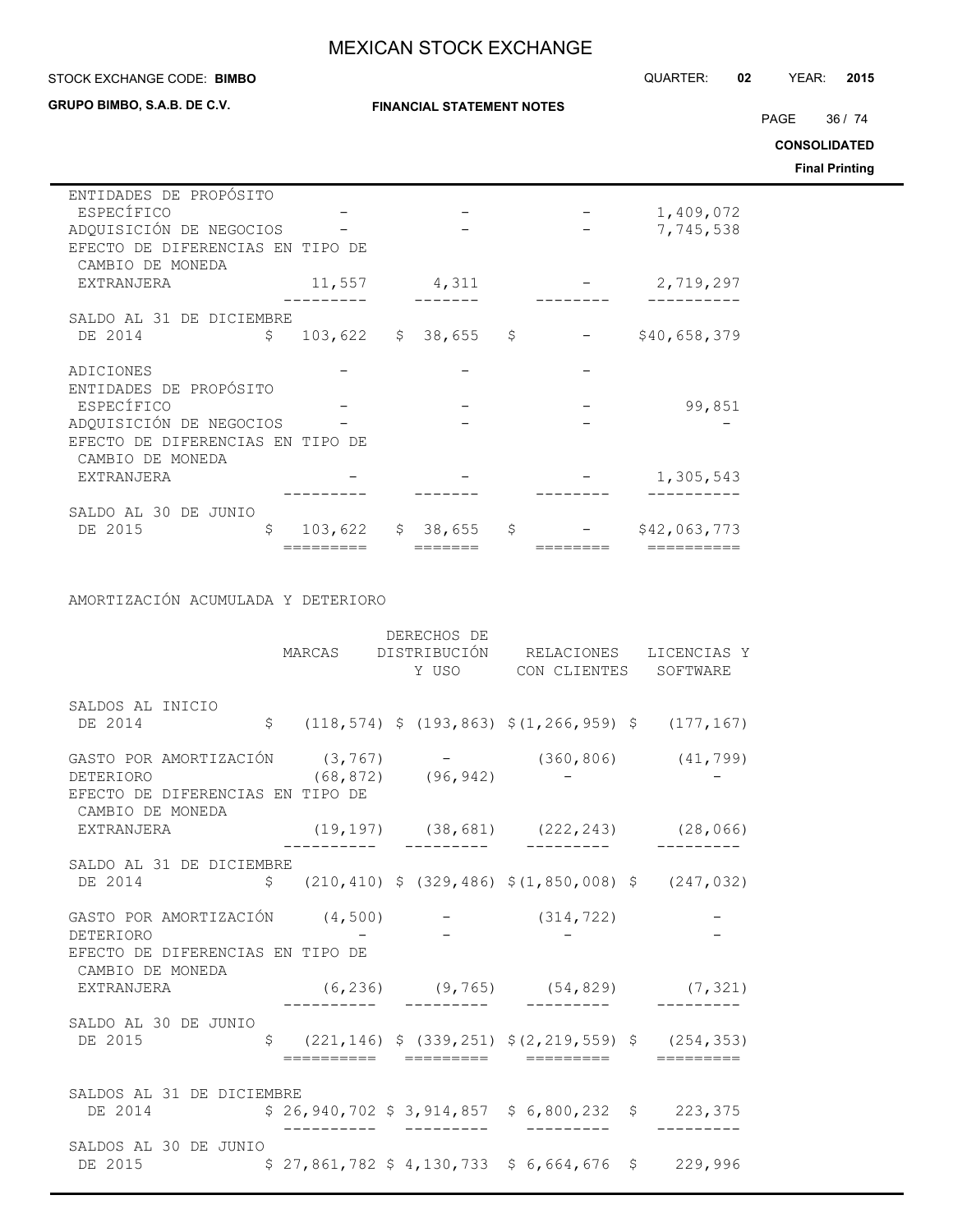| STOCK EXCHANGE CODE: BIMBO                                                                                                |        |                                  |  | QUARTER:                                                                                                                                                                                                                                                                                                                                                                                                                                                                                                                                                 | 02 | <b>YEAR:</b>        | 2015                  |
|---------------------------------------------------------------------------------------------------------------------------|--------|----------------------------------|--|----------------------------------------------------------------------------------------------------------------------------------------------------------------------------------------------------------------------------------------------------------------------------------------------------------------------------------------------------------------------------------------------------------------------------------------------------------------------------------------------------------------------------------------------------------|----|---------------------|-----------------------|
| GRUPO BIMBO, S.A.B. DE C.V.                                                                                               |        | <b>FINANCIAL STATEMENT NOTES</b> |  |                                                                                                                                                                                                                                                                                                                                                                                                                                                                                                                                                          |    | PAGE                | 36 / 74               |
|                                                                                                                           |        |                                  |  |                                                                                                                                                                                                                                                                                                                                                                                                                                                                                                                                                          |    | <b>CONSOLIDATED</b> | <b>Final Printing</b> |
| ENTIDADES DE PROPÓSITO<br>ESPECÍFICO<br>ADQUISICIÓN DE NEGOCIOS -<br>EFECTO DE DIFERENCIAS EN TIPO DE<br>CAMBIO DE MONEDA |        |                                  |  | 1,409,072<br>7,745,538                                                                                                                                                                                                                                                                                                                                                                                                                                                                                                                                   |    |                     |                       |
| EXTRANJERA                                                                                                                |        | 11,557 4,311                     |  | 2,719,297                                                                                                                                                                                                                                                                                                                                                                                                                                                                                                                                                |    |                     |                       |
| SALDO AL 31 DE DICIEMBRE<br>DE 2014                                                                                       |        |                                  |  | $$103,622$ $$38,655$ $$$ - $$40,658,379$                                                                                                                                                                                                                                                                                                                                                                                                                                                                                                                 |    |                     |                       |
| ADICIONES<br>ENTIDADES DE PROPÓSITO<br>ESPECÍFICO                                                                         |        |                                  |  | 99,851                                                                                                                                                                                                                                                                                                                                                                                                                                                                                                                                                   |    |                     |                       |
| ADQUISICIÓN DE NEGOCIOS<br>EFECTO DE DIFERENCIAS EN TIPO DE<br>CAMBIO DE MONEDA                                           |        |                                  |  |                                                                                                                                                                                                                                                                                                                                                                                                                                                                                                                                                          |    |                     |                       |
| EXTRANJERA                                                                                                                |        |                                  |  | 1,305,543                                                                                                                                                                                                                                                                                                                                                                                                                                                                                                                                                |    |                     |                       |
| SALDO AL 30 DE JUNIO<br>DE 2015<br>$\mathsf{S}$                                                                           |        |                                  |  | $103,622$ \$ 38,655 \$ - \$42,063,773<br>$\begin{tabular}{l} \multicolumn{2}{c}{\textbf{\textcolor{blue}{\bf{1}}}}\\ \multicolumn{2}{c}{\textbf{\textcolor{blue}{\bf{2}}}}\\ \multicolumn{2}{c}{\textbf{\textcolor{blue}{\bf{2}}}}\\ \multicolumn{2}{c}{\textbf{\textcolor{blue}{\bf{2}}}}\\ \multicolumn{2}{c}{\textbf{\textcolor{blue}{\bf{2}}}}\\ \multicolumn{2}{c}{\textbf{\textcolor{blue}{\bf{2}}}}\\ \multicolumn{2}{c}{\textbf{\textcolor{blue}{\bf{2}}}}\\ \multicolumn{2}{c}{\textbf{\textcolor{blue}{\bf{2}}}}\\ \multicolumn{2}{c}{\textbf$ |    |                     |                       |
| AMORTIZACIÓN ACUMULADA Y DETERIORO                                                                                        |        |                                  |  |                                                                                                                                                                                                                                                                                                                                                                                                                                                                                                                                                          |    |                     |                       |
|                                                                                                                           | MARCAS | DERECHOS DE                      |  | DISTRIBUCIÓN RELACIONES LICENCIAS Y<br>Y USO CON CLIENTES SOFTWARE                                                                                                                                                                                                                                                                                                                                                                                                                                                                                       |    |                     |                       |
| SALDOS AL INICIO<br>$\mathbb{R}^m$ $\bigcap_{n=1}^{\infty}$                                                               |        |                                  |  | $A = (110 \text{ F}74) A = (100 \text{ A}73) A + (100 \text{ A}73) A = (100 \text{ A})$                                                                                                                                                                                                                                                                                                                                                                                                                                                                  |    |                     |                       |

|                                                                                                                                              |  |  | CON CHINING DOLIMING |  |
|----------------------------------------------------------------------------------------------------------------------------------------------|--|--|----------------------|--|
| SALDOS AL INICIO<br>SALDOS AL INICIO<br>DE 2014 \$ (118,574) \$ (193,863) \$(1,266,959) \$ (177,167)                                         |  |  |                      |  |
|                                                                                                                                              |  |  |                      |  |
| GASTO POR AMORTIZACIÓN (3,767) - (360,806) (41,799)<br>DETERIORO (68,872) (96,942) -<br>EFECTO DE DIFERENCIAS EN TIPO DE<br>CAMBIO DE MONEDA |  |  |                      |  |
| EXTRANJERA (19,197) (38,681) (222,243) (28,066)                                                                                              |  |  |                      |  |
| SALDO AL 31 DE DICIEMBRE<br>DE 2014 \$ (210,410) \$ (329,486) \$ (1,850,008) \$ (247,032)                                                    |  |  |                      |  |
| GASTO POR AMORTIZACIÓN $(4,500)$ - $(314,722)$ -<br>DETERIORO                                                                                |  |  |                      |  |
| EFECTO DE DIFERENCIAS EN TIPO DE<br>CAMBIO DE MONEDA<br>EXTRANJERA (6,236) (9,765) (54,829) (7,321)                                          |  |  |                      |  |
| SALDO AL 30 DE JUNIO<br>DE 2015 $\qquad$ $(221, 146)$ $(339, 251)$ $(2, 219, 559)$ $(254, 353)$                                              |  |  |                      |  |
| SALDOS AL 31 DE DICIEMBRE<br>DE 2014 \$ 26,940,702 \$ 3,914,857 \$ 6,800,232 \$ 223,375                                                      |  |  |                      |  |
| SALDOS AL 30 DE JUNIO<br>DE 2015 \$ 27,861,782 \$ 4,130,733 \$ 6,664,676 \$ 229,996                                                          |  |  |                      |  |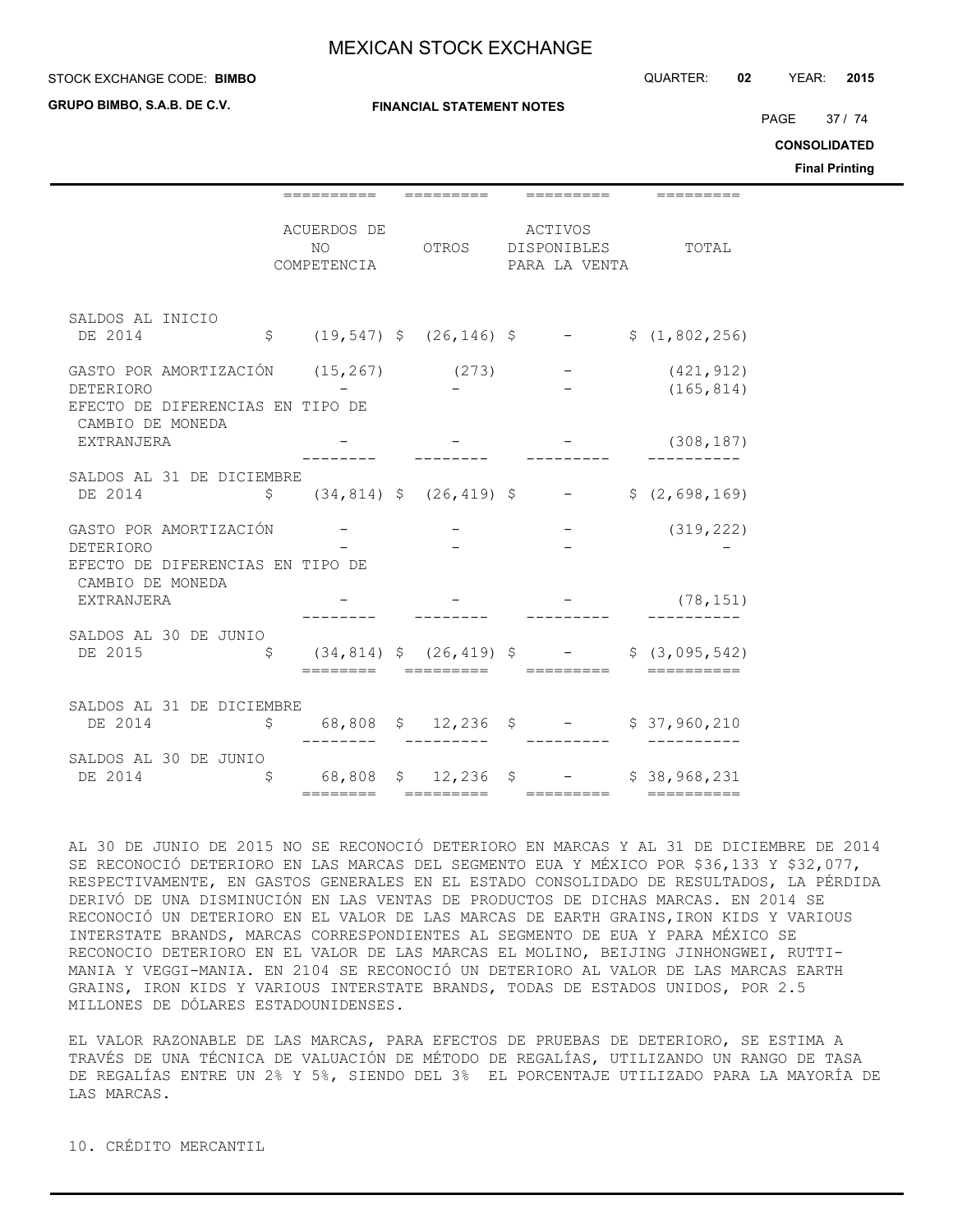**FINANCIAL STATEMENT NOTES**

**GRUPO BIMBO, S.A.B. DE C.V.**

PAGE 37 / 74

**CONSOLIDATED**

**Final Printing**

|                                               |                |                                   |  |                                                     |                                                                                                                  | т птаг |
|-----------------------------------------------|----------------|-----------------------------------|--|-----------------------------------------------------|------------------------------------------------------------------------------------------------------------------|--------|
|                                               |                | ==========                        |  |                                                     | =========                                                                                                        |        |
|                                               |                | ACUERDOS DE<br>NO.<br>COMPETENCIA |  | ACTIVOS<br>OTROS DISPONIBLES TOTAL<br>PARA LA VENTA |                                                                                                                  |        |
| SALDOS AL INICIO<br>DE 2014                   |                |                                   |  |                                                     | $\frac{19}{5}$ (19,547) $\frac{26}{146}$ $\frac{146}{5}$ $\frac{146}{7}$ $\frac{1}{7}$ $\frac{1}{7}$ (1,802,256) |        |
| GASTO POR AMORTIZACIÓN (15,267) (273)         |                |                                   |  |                                                     | (421, 912)                                                                                                       |        |
| DETERIORO<br>EFECTO DE DIFERENCIAS EN TIPO DE |                |                                   |  |                                                     | (165, 814)                                                                                                       |        |
| CAMBIO DE MONEDA<br>EXTRANJERA                |                |                                   |  |                                                     | (308, 187)                                                                                                       |        |
| SALDOS AL 31 DE DICIEMBRE<br>DE 2014          |                |                                   |  |                                                     | $\frac{1}{2}$ (34,814) $\frac{1}{2}$ (26,419) $\frac{1}{2}$ - $\frac{1}{2}$ (2,698,169)                          |        |
|                                               |                |                                   |  |                                                     | (319, 222)                                                                                                       |        |
| DETERIORO<br>EFECTO DE DIFERENCIAS EN TIPO DE |                |                                   |  |                                                     |                                                                                                                  |        |
| CAMBIO DE MONEDA<br>EXTRANJERA                |                |                                   |  |                                                     | (78, 151)                                                                                                        |        |
| SALDOS AL 30 DE JUNIO<br>DE 2015              | $\mathsf{S}^-$ |                                   |  | ========  =========  =========                      | $(34, 814)$ \$ $(26, 419)$ \$ - \$ $(3, 095, 542)$                                                               |        |
| SALDOS AL 31 DE DICIEMBRE<br>DE 2014          | \$             |                                   |  | 68,808 \$ 12,236 \$ - \$ 37,960,210                 |                                                                                                                  |        |
| SALDOS AL 30 DE JUNIO<br>DE 2014              | \$             |                                   |  | 68,808 \$ 12,236 \$ - \$ 38,968,231                 |                                                                                                                  |        |

AL 30 DE JUNIO DE 2015 NO SE RECONOCIÓ DETERIORO EN MARCAS Y AL 31 DE DICIEMBRE DE 2014 SE RECONOCIÓ DETERIORO EN LAS MARCAS DEL SEGMENTO EUA Y MÉXICO POR \$36,133 Y \$32,077, RESPECTIVAMENTE, EN GASTOS GENERALES EN EL ESTADO CONSOLIDADO DE RESULTADOS, LA PÉRDIDA DERIVÓ DE UNA DISMINUCIÓN EN LAS VENTAS DE PRODUCTOS DE DICHAS MARCAS. EN 2014 SE RECONOCIÓ UN DETERIORO EN EL VALOR DE LAS MARCAS DE EARTH GRAINS,IRON KIDS Y VARIOUS INTERSTATE BRANDS, MARCAS CORRESPONDIENTES AL SEGMENTO DE EUA Y PARA MÉXICO SE RECONOCIO DETERIORO EN EL VALOR DE LAS MARCAS EL MOLINO, BEIJING JINHONGWEI, RUTTI-MANIA Y VEGGI-MANIA. EN 2104 SE RECONOCIÓ UN DETERIORO AL VALOR DE LAS MARCAS EARTH GRAINS, IRON KIDS Y VARIOUS INTERSTATE BRANDS, TODAS DE ESTADOS UNIDOS, POR 2.5 MILLONES DE DÓLARES ESTADOUNIDENSES.

EL VALOR RAZONABLE DE LAS MARCAS, PARA EFECTOS DE PRUEBAS DE DETERIORO, SE ESTIMA A TRAVÉS DE UNA TÉCNICA DE VALUACIÓN DE MÉTODO DE REGALÍAS, UTILIZANDO UN RANGO DE TASA DE REGALÍAS ENTRE UN 2% Y 5%, SIENDO DEL 3% EL PORCENTAJE UTILIZADO PARA LA MAYORÍA DE LAS MARCAS.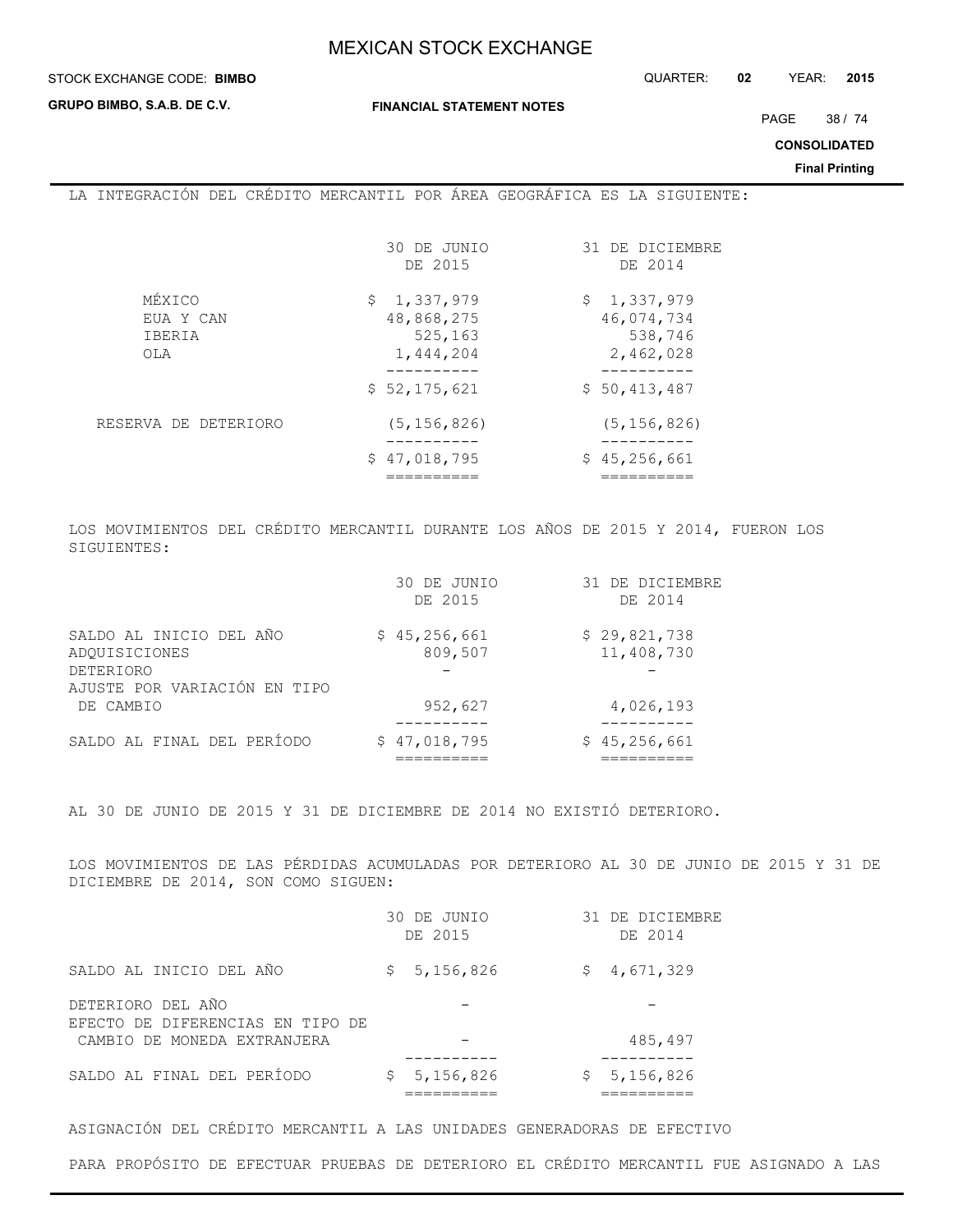#### STOCK EXCHANGE CODE: QUARTER: **02** YEAR: **2015 BIMBO**

**GRUPO BIMBO, S.A.B. DE C.V.**

PAGE 38 / 74

**CONSOLIDATED**

**Final Printing**

## LA INTEGRACIÓN DEL CRÉDITO MERCANTIL POR ÁREA GEOGRÁFICA ES LA SIGUIENTE:

|                                      | 30 DE JUNIO<br>DE 2015                            | 31 DE DICIEMBRE<br>DE 2014                        |
|--------------------------------------|---------------------------------------------------|---------------------------------------------------|
| MÉXICO<br>EUA Y CAN<br>IBERIA<br>OLA | \$1,337,979<br>48,868,275<br>525,163<br>1,444,204 | \$1,337,979<br>46,074,734<br>538,746<br>2,462,028 |
|                                      | \$52,175,621                                      | \$50,413,487                                      |
| RESERVA DE DETERIORO                 | (5, 156, 826)<br>\$47,018,795                     | (5, 156, 826)<br>\$45,256,661                     |
|                                      |                                                   |                                                   |

LOS MOVIMIENTOS DEL CRÉDITO MERCANTIL DURANTE LOS AÑOS DE 2015 Y 2014, FUERON LOS SIGUIENTES:

|                                                              | 30 DE JUNIO<br>DE 2015  | 31 DE DICIEMBRE<br>DE 2014 |
|--------------------------------------------------------------|-------------------------|----------------------------|
| SALDO AL INICIO DEL AÑO<br>ADOUISICIONES<br><b>DETERIORO</b> | \$45,256,661<br>809,507 | \$29,821,738<br>11,408,730 |
| AJUSTE POR VARIACIÓN EN TIPO<br>DE CAMBIO                    | 952,627                 | 4,026,193                  |
| SALDO AL FINAL DEL PERÍODO                                   | \$47,018,795            | \$45,256,661               |

AL 30 DE JUNIO DE 2015 Y 31 DE DICIEMBRE DE 2014 NO EXISTIÓ DETERIORO.

LOS MOVIMIENTOS DE LAS PÉRDIDAS ACUMULADAS POR DETERIORO AL 30 DE JUNIO DE 2015 Y 31 DE DICIEMBRE DE 2014, SON COMO SIGUEN:

|                                                       | 30 DE JUNIO<br>DE 2015 | 31 DE DICIEMBRE<br>DE 2014 |
|-------------------------------------------------------|------------------------|----------------------------|
| SALDO AL INICIO DEL AÑO                               | \$5,156,826            | \$4,671,329                |
| DETERIORO DEL AÑO<br>EFECTO DE DIFERENCIAS EN TIPO DE |                        |                            |
| CAMBIO DE MONEDA EXTRANJERA                           |                        | 485,497                    |
| SALDO AL FINAL DEL PERÍODO                            | \$5,156,826            | \$5,156,826                |

ASIGNACIÓN DEL CRÉDITO MERCANTIL A LAS UNIDADES GENERADORAS DE EFECTIVO

PARA PROPÓSITO DE EFECTUAR PRUEBAS DE DETERIORO EL CRÉDITO MERCANTIL FUE ASIGNADO A LAS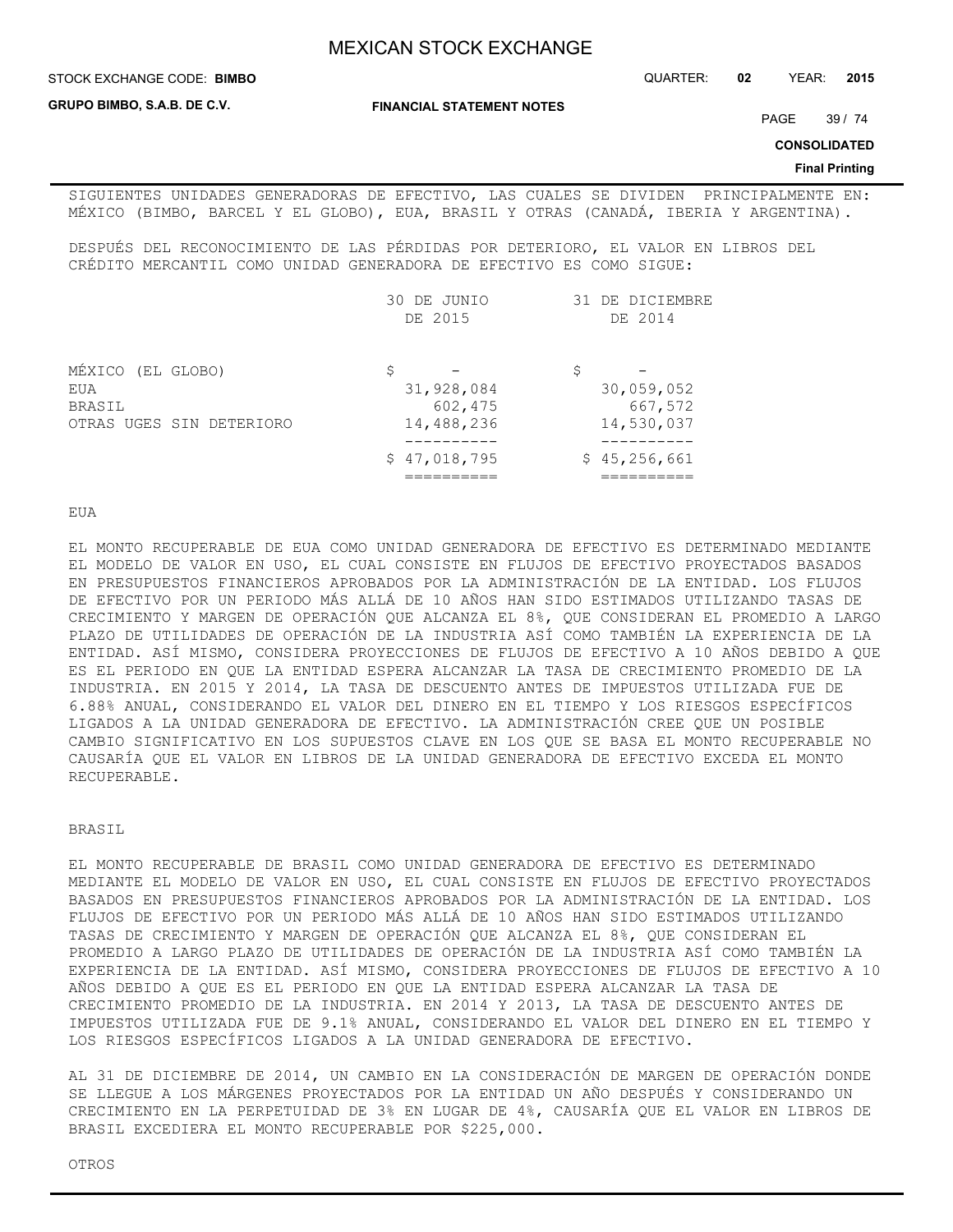**GRUPO BIMBO, S.A.B. DE C.V.**

STOCK EXCHANGE CODE: QUARTER: **02** YEAR: **2015 BIMBO**

**FINANCIAL STATEMENT NOTES**

PAGE 39 / 74

**CONSOLIDATED**

#### **Final Printing**

SIGUIENTES UNIDADES GENERADORAS DE EFECTIVO, LAS CUALES SE DIVIDEN PRINCIPALMENTE EN: MÉXICO (BIMBO, BARCEL Y EL GLOBO), EUA, BRASIL Y OTRAS (CANADÁ, IBERIA Y ARGENTINA).

DESPUÉS DEL RECONOCIMIENTO DE LAS PÉRDIDAS POR DETERIORO, EL VALOR EN LIBROS DEL CRÉDITO MERCANTIL COMO UNIDAD GENERADORA DE EFECTIVO ES COMO SIGUE:

|                                    | 30 DE JUNIO<br>DE 2015      | 31 DE DICIEMBRE<br>DE 2014 |
|------------------------------------|-----------------------------|----------------------------|
| MÉXICO (EL GLOBO)<br>EUA<br>BRASIL | \$<br>31,928,084<br>602,475 | S<br>30,059,052<br>667,572 |
| OTRAS UGES SIN DETERIORO           | 14,488,236                  | 14,530,037                 |
|                                    | \$47,018,795                | \$45,256,661               |

EUA

EL MONTO RECUPERABLE DE EUA COMO UNIDAD GENERADORA DE EFECTIVO ES DETERMINADO MEDIANTE EL MODELO DE VALOR EN USO, EL CUAL CONSISTE EN FLUJOS DE EFECTIVO PROYECTADOS BASADOS EN PRESUPUESTOS FINANCIEROS APROBADOS POR LA ADMINISTRACIÓN DE LA ENTIDAD. LOS FLUJOS DE EFECTIVO POR UN PERIODO MÁS ALLÁ DE 10 AÑOS HAN SIDO ESTIMADOS UTILIZANDO TASAS DE CRECIMIENTO Y MARGEN DE OPERACIÓN QUE ALCANZA EL 8%, QUE CONSIDERAN EL PROMEDIO A LARGO PLAZO DE UTILIDADES DE OPERACIÓN DE LA INDUSTRIA ASÍ COMO TAMBIÉN LA EXPERIENCIA DE LA ENTIDAD. ASÍ MISMO, CONSIDERA PROYECCIONES DE FLUJOS DE EFECTIVO A 10 AÑOS DEBIDO A QUE ES EL PERIODO EN QUE LA ENTIDAD ESPERA ALCANZAR LA TASA DE CRECIMIENTO PROMEDIO DE LA INDUSTRIA. EN 2015 Y 2014, LA TASA DE DESCUENTO ANTES DE IMPUESTOS UTILIZADA FUE DE 6.88% ANUAL, CONSIDERANDO EL VALOR DEL DINERO EN EL TIEMPO Y LOS RIESGOS ESPECÍFICOS LIGADOS A LA UNIDAD GENERADORA DE EFECTIVO. LA ADMINISTRACIÓN CREE QUE UN POSIBLE CAMBIO SIGNIFICATIVO EN LOS SUPUESTOS CLAVE EN LOS QUE SE BASA EL MONTO RECUPERABLE NO CAUSARÍA QUE EL VALOR EN LIBROS DE LA UNIDAD GENERADORA DE EFECTIVO EXCEDA EL MONTO RECUPERABLE.

#### BRASIL

EL MONTO RECUPERABLE DE BRASIL COMO UNIDAD GENERADORA DE EFECTIVO ES DETERMINADO MEDIANTE EL MODELO DE VALOR EN USO, EL CUAL CONSISTE EN FLUJOS DE EFECTIVO PROYECTADOS BASADOS EN PRESUPUESTOS FINANCIEROS APROBADOS POR LA ADMINISTRACIÓN DE LA ENTIDAD. LOS FLUJOS DE EFECTIVO POR UN PERIODO MÁS ALLÁ DE 10 AÑOS HAN SIDO ESTIMADOS UTILIZANDO TASAS DE CRECIMIENTO Y MARGEN DE OPERACIÓN QUE ALCANZA EL 8%, QUE CONSIDERAN EL PROMEDIO A LARGO PLAZO DE UTILIDADES DE OPERACIÓN DE LA INDUSTRIA ASÍ COMO TAMBIÉN LA EXPERIENCIA DE LA ENTIDAD. ASÍ MISMO, CONSIDERA PROYECCIONES DE FLUJOS DE EFECTIVO A 10 AÑOS DEBIDO A QUE ES EL PERIODO EN QUE LA ENTIDAD ESPERA ALCANZAR LA TASA DE CRECIMIENTO PROMEDIO DE LA INDUSTRIA. EN 2014 Y 2013, LA TASA DE DESCUENTO ANTES DE IMPUESTOS UTILIZADA FUE DE 9.1% ANUAL, CONSIDERANDO EL VALOR DEL DINERO EN EL TIEMPO Y LOS RIESGOS ESPECÍFICOS LIGADOS A LA UNIDAD GENERADORA DE EFECTIVO.

AL 31 DE DICIEMBRE DE 2014, UN CAMBIO EN LA CONSIDERACIÓN DE MARGEN DE OPERACIÓN DONDE SE LLEGUE A LOS MÁRGENES PROYECTADOS POR LA ENTIDAD UN AÑO DESPUÉS Y CONSIDERANDO UN CRECIMIENTO EN LA PERPETUIDAD DE 3% EN LUGAR DE 4%, CAUSARÍA QUE EL VALOR EN LIBROS DE BRASIL EXCEDIERA EL MONTO RECUPERABLE POR \$225,000.

OTROS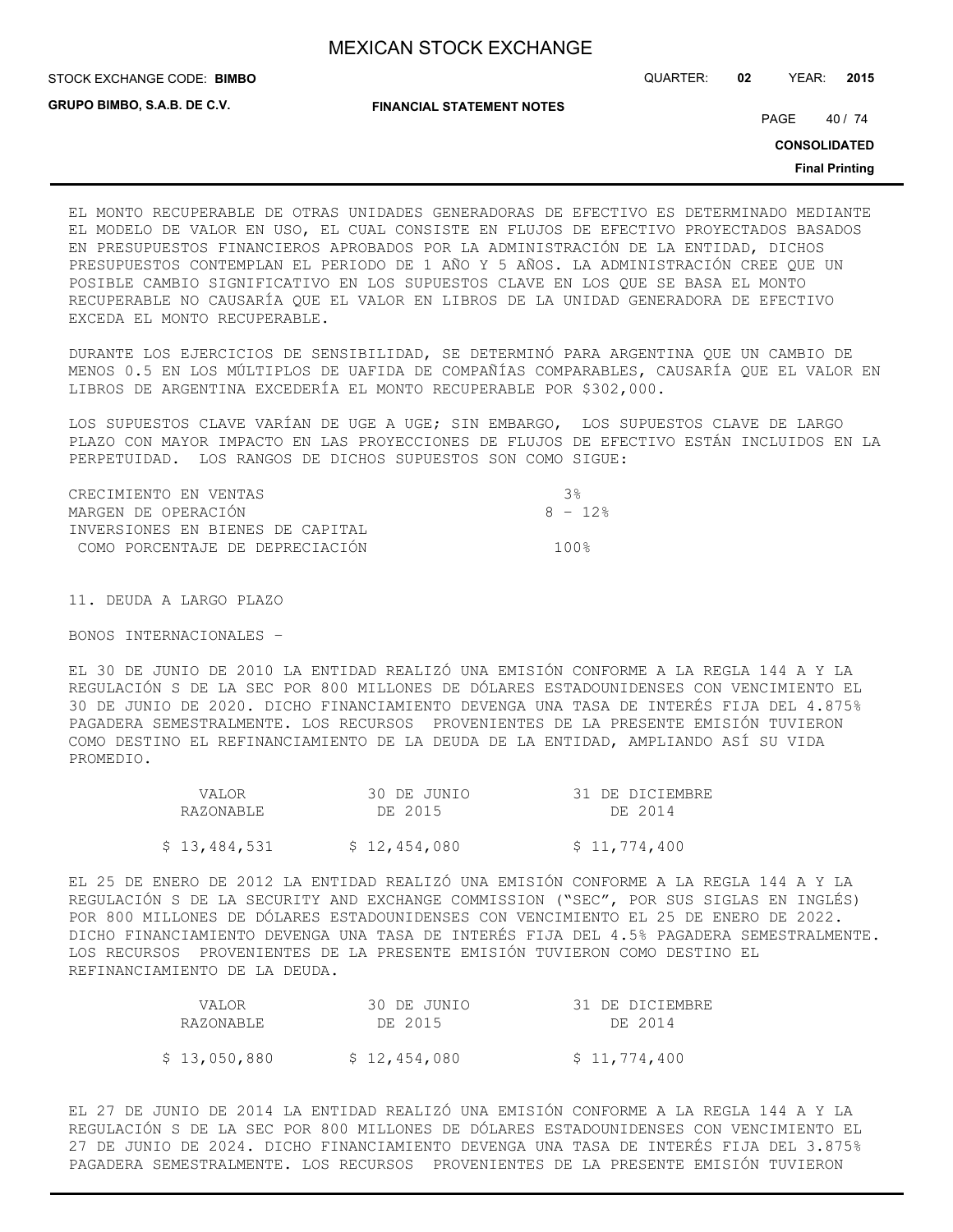STOCK EXCHANGE CODE: QUARTER: **02** YEAR: **2015 BIMBO**

**GRUPO BIMBO, S.A.B. DE C.V.**

**FINANCIAL STATEMENT NOTES**

PAGE 40 / 74

**CONSOLIDATED**

**Final Printing**

EL MONTO RECUPERABLE DE OTRAS UNIDADES GENERADORAS DE EFECTIVO ES DETERMINADO MEDIANTE EL MODELO DE VALOR EN USO, EL CUAL CONSISTE EN FLUJOS DE EFECTIVO PROYECTADOS BASADOS EN PRESUPUESTOS FINANCIEROS APROBADOS POR LA ADMINISTRACIÓN DE LA ENTIDAD, DICHOS PRESUPUESTOS CONTEMPLAN EL PERIODO DE 1 AÑO Y 5 AÑOS. LA ADMINISTRACIÓN CREE QUE UN POSIBLE CAMBIO SIGNIFICATIVO EN LOS SUPUESTOS CLAVE EN LOS QUE SE BASA EL MONTO RECUPERABLE NO CAUSARÍA QUE EL VALOR EN LIBROS DE LA UNIDAD GENERADORA DE EFECTIVO EXCEDA EL MONTO RECUPERABLE.

DURANTE LOS EJERCICIOS DE SENSIBILIDAD, SE DETERMINÓ PARA ARGENTINA QUE UN CAMBIO DE MENOS 0.5 EN LOS MÚLTIPLOS DE UAFIDA DE COMPAÑÍAS COMPARABLES, CAUSARÍA QUE EL VALOR EN LIBROS DE ARGENTINA EXCEDERÍA EL MONTO RECUPERABLE POR \$302,000.

LOS SUPUESTOS CLAVE VARÍAN DE UGE A UGE; SIN EMBARGO, LOS SUPUESTOS CLAVE DE LARGO PLAZO CON MAYOR IMPACTO EN LAS PROYECCIONES DE FLUJOS DE EFECTIVO ESTÁN INCLUIDOS EN LA PERPETUIDAD. LOS RANGOS DE DICHOS SUPUESTOS SON COMO SIGUE:

| CRECIMIENTO EN VENTAS            | - 3 જ   |
|----------------------------------|---------|
| MARGEN DE OPERACIÓN              | 8 - 12% |
| INVERSIONES EN BIENES DE CAPITAL |         |
| COMO PORCENTAJE DE DEPRECIACIÓN  | 1 ∩ ∩ ዱ |

11. DEUDA A LARGO PLAZO

BONOS INTERNACIONALES –

EL 30 DE JUNIO DE 2010 LA ENTIDAD REALIZÓ UNA EMISIÓN CONFORME A LA REGLA 144 A Y LA REGULACIÓN S DE LA SEC POR 800 MILLONES DE DÓLARES ESTADOUNIDENSES CON VENCIMIENTO EL 30 DE JUNIO DE 2020. DICHO FINANCIAMIENTO DEVENGA UNA TASA DE INTERÉS FIJA DEL 4.875% PAGADERA SEMESTRALMENTE. LOS RECURSOS PROVENIENTES DE LA PRESENTE EMISIÓN TUVIERON COMO DESTINO EL REFINANCIAMIENTO DE LA DEUDA DE LA ENTIDAD, AMPLIANDO ASÍ SU VIDA PROMEDIO.

| VALOR.       | 30 DE JUNIO  | 31 DE DICIEMBRE |
|--------------|--------------|-----------------|
| RAZONABLE    | DE 2015      | DE 2014         |
| \$13,484,531 | \$12,454,080 | \$11,774,400    |

EL 25 DE ENERO DE 2012 LA ENTIDAD REALIZÓ UNA EMISIÓN CONFORME A LA REGLA 144 A Y LA REGULACIÓN S DE LA SECURITY AND EXCHANGE COMMISSION ("SEC", POR SUS SIGLAS EN INGLÉS) POR 800 MILLONES DE DÓLARES ESTADOUNIDENSES CON VENCIMIENTO EL 25 DE ENERO DE 2022. DICHO FINANCIAMIENTO DEVENGA UNA TASA DE INTERÉS FIJA DEL 4.5% PAGADERA SEMESTRALMENTE. LOS RECURSOS PROVENIENTES DE LA PRESENTE EMISIÓN TUVIERON COMO DESTINO EL REFINANCIAMIENTO DE LA DEUDA.

| VALOR        | 30 DE JUNIO  | 31 DE DICIEMBRE |
|--------------|--------------|-----------------|
| RAZONABLE    | DE 2015      | DE 2014         |
| \$13,050,880 | \$12,454,080 | \$11,774,400    |
|              |              |                 |

EL 27 DE JUNIO DE 2014 LA ENTIDAD REALIZÓ UNA EMISIÓN CONFORME A LA REGLA 144 A Y LA REGULACIÓN S DE LA SEC POR 800 MILLONES DE DÓLARES ESTADOUNIDENSES CON VENCIMIENTO EL 27 DE JUNIO DE 2024. DICHO FINANCIAMIENTO DEVENGA UNA TASA DE INTERÉS FIJA DEL 3.875% PAGADERA SEMESTRALMENTE. LOS RECURSOS PROVENIENTES DE LA PRESENTE EMISIÓN TUVIERON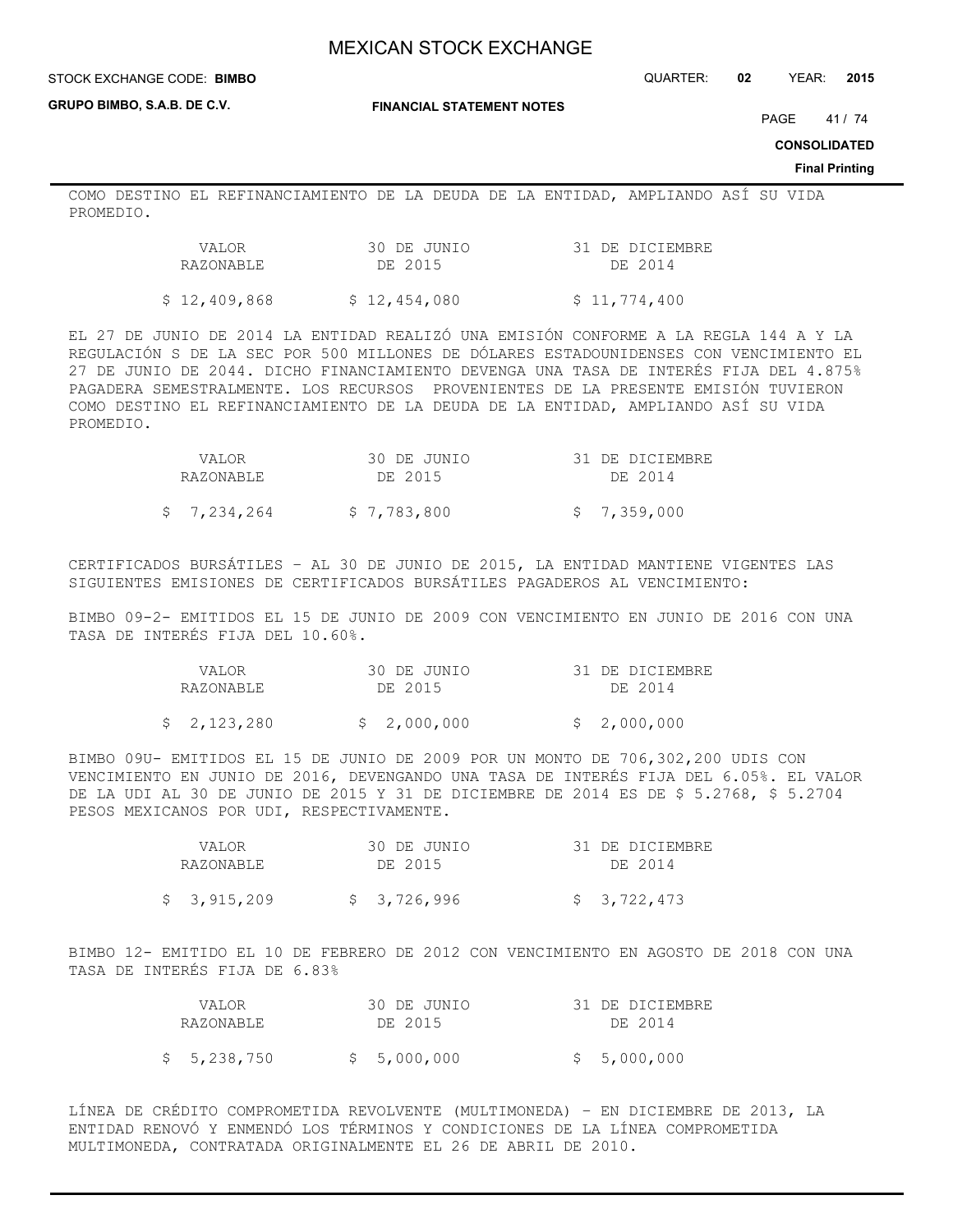#### STOCK EXCHANGE CODE: QUARTER: **02** YEAR: **2015 BIMBO**

**GRUPO BIMBO, S.A.B. DE C.V.**

PAGE 41 / 74

**CONSOLIDATED**

**Final Printing**

COMO DESTINO EL REFINANCIAMIENTO DE LA DEUDA DE LA ENTIDAD, AMPLIANDO ASÍ SU VIDA PROMEDIO.

| VALOR        | 30 DE JUNIO  | 31 DE DICIEMBRE |
|--------------|--------------|-----------------|
| RAZONABLE    | DE 2015      | DE 2014         |
| \$12,409,868 | \$12,454,080 | \$11,774,400    |

EL 27 DE JUNIO DE 2014 LA ENTIDAD REALIZÓ UNA EMISIÓN CONFORME A LA REGLA 144 A Y LA REGULACIÓN S DE LA SEC POR 500 MILLONES DE DÓLARES ESTADOUNIDENSES CON VENCIMIENTO EL 27 DE JUNIO DE 2044. DICHO FINANCIAMIENTO DEVENGA UNA TASA DE INTERÉS FIJA DEL 4.875% PAGADERA SEMESTRALMENTE. LOS RECURSOS PROVENIENTES DE LA PRESENTE EMISIÓN TUVIERON COMO DESTINO EL REFINANCIAMIENTO DE LA DEUDA DE LA ENTIDAD, AMPLIANDO ASÍ SU VIDA PROMEDIO.

| VALOR       | 30 DE JUNIO | 31 DE DICIEMBRE |
|-------------|-------------|-----------------|
| RAZONABLE   | DE 2015     | DE 2014         |
| \$7,234,264 | \$7,783,800 | \$7,359,000     |

CERTIFICADOS BURSÁTILES – AL 30 DE JUNIO DE 2015, LA ENTIDAD MANTIENE VIGENTES LAS SIGUIENTES EMISIONES DE CERTIFICADOS BURSÁTILES PAGADEROS AL VENCIMIENTO:

BIMBO 09-2- EMITIDOS EL 15 DE JUNIO DE 2009 CON VENCIMIENTO EN JUNIO DE 2016 CON UNA TASA DE INTERÉS FIJA DEL 10.60%.

| VALOR     | 30 DE JUNIO | 31 DE DICIEMBRE |
|-----------|-------------|-----------------|
| RAZONABLE | DE 2015     | DE 2014         |
|           |             |                 |

\$ 2,123,280 \$ 2,000,000 \$ 2,000,000

BIMBO 09U- EMITIDOS EL 15 DE JUNIO DE 2009 POR UN MONTO DE 706,302,200 UDIS CON VENCIMIENTO EN JUNIO DE 2016, DEVENGANDO UNA TASA DE INTERÉS FIJA DEL 6.05%. EL VALOR DE LA UDI AL 30 DE JUNIO DE 2015 Y 31 DE DICIEMBRE DE 2014 ES DE \$ 5.2768, \$ 5.2704 PESOS MEXICANOS POR UDI, RESPECTIVAMENTE.

| VALOR.      | 30 DE JUNIO | 31 DE DICIEMBRE |  |  |  |  |
|-------------|-------------|-----------------|--|--|--|--|
| RAZONABLE   | DE 2015     | DE 2014         |  |  |  |  |
| \$3,915,209 | \$3,726,996 | \$3,722,473     |  |  |  |  |

BIMBO 12- EMITIDO EL 10 DE FEBRERO DE 2012 CON VENCIMIENTO EN AGOSTO DE 2018 CON UNA TASA DE INTERÉS FIJA DE 6.83%

| VALOR       | 30 DE JUNIO | 31 DE DICIEMBRE |
|-------------|-------------|-----------------|
| RAZONABLE   | DE 2015     | DE 2014         |
| \$5,238,750 | \$5,000,000 | \$5,000,000     |

LÍNEA DE CRÉDITO COMPROMETIDA REVOLVENTE (MULTIMONEDA) – EN DICIEMBRE DE 2013, LA ENTIDAD RENOVÓ Y ENMENDÓ LOS TÉRMINOS Y CONDICIONES DE LA LÍNEA COMPROMETIDA MULTIMONEDA, CONTRATADA ORIGINALMENTE EL 26 DE ABRIL DE 2010.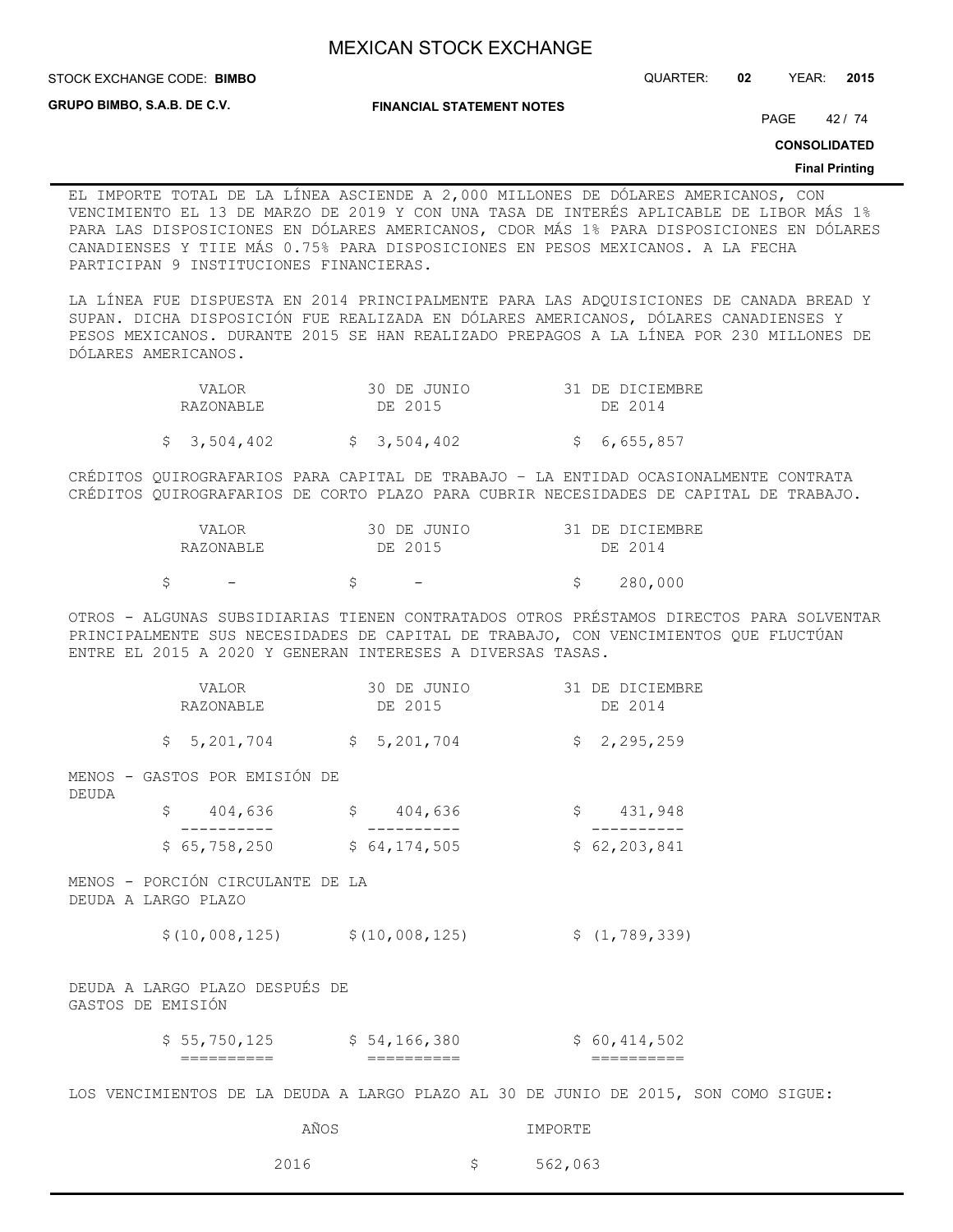**STOCK EXCHANGE CODE: BIMBO** 

STOCK EXCHANGE CODE: QUARTER: **02** YEAR: **2015**

**GRUPO BIMBO, S.A.B. DE C.V.**

**FINANCIAL STATEMENT NOTES**

PAGE 42 / 74

**CONSOLIDATED**

#### **Final Printing**

EL IMPORTE TOTAL DE LA LÍNEA ASCIENDE A 2,000 MILLONES DE DÓLARES AMERICANOS, CON VENCIMIENTO EL 13 DE MARZO DE 2019 Y CON UNA TASA DE INTERÉS APLICABLE DE LIBOR MÁS 1% PARA LAS DISPOSICIONES EN DÓLARES AMERICANOS, CDOR MÁS 1% PARA DISPOSICIONES EN DÓLARES CANADIENSES Y TIIE MÁS 0.75% PARA DISPOSICIONES EN PESOS MEXICANOS. A LA FECHA PARTICIPAN 9 INSTITUCIONES FINANCIERAS.

LA LÍNEA FUE DISPUESTA EN 2014 PRINCIPALMENTE PARA LAS ADQUISICIONES DE CANADA BREAD Y SUPAN. DICHA DISPOSICIÓN FUE REALIZADA EN DÓLARES AMERICANOS, DÓLARES CANADIENSES Y PESOS MEXICANOS. DURANTE 2015 SE HAN REALIZADO PREPAGOS A LA LÍNEA POR 230 MILLONES DE DÓLARES AMERICANOS.

| VALOR       | 30 DE JUNIO | 31 DE DICIEMBRE |
|-------------|-------------|-----------------|
| RAZONABLE   | DE 2015     | DE 2014         |
| \$3,504,402 | \$3,504,402 | \$6,655,857     |

CRÉDITOS QUIROGRAFARIOS PARA CAPITAL DE TRABAJO – LA ENTIDAD OCASIONALMENTE CONTRATA CRÉDITOS QUIROGRAFARIOS DE CORTO PLAZO PARA CUBRIR NECESIDADES DE CAPITAL DE TRABAJO.

| VALOR     | 30 DE JUNIO | 31 DE DICIEMBRE |
|-----------|-------------|-----------------|
| RAZONABLE | DE 2015     | DE 2014         |
|           |             | 280,000         |
|           |             |                 |

OTROS - ALGUNAS SUBSIDIARIAS TIENEN CONTRATADOS OTROS PRÉSTAMOS DIRECTOS PARA SOLVENTAR PRINCIPALMENTE SUS NECESIDADES DE CAPITAL DE TRABAJO, CON VENCIMIENTOS QUE FLUCTÚAN ENTRE EL 2015 A 2020 Y GENERAN INTERESES A DIVERSAS TASAS.

|       | VALOR<br>RAZONABLE                                      | 30 DE JUNIO<br>DE 2015 | 31 DE DICIEMBRE<br>DE 2014                                                         |
|-------|---------------------------------------------------------|------------------------|------------------------------------------------------------------------------------|
|       | $$5,201,704$ $$5,201,704$                               |                        | \$2, 295, 259                                                                      |
| DEUDA | MENOS - GASTOS POR EMISIÓN DE                           |                        |                                                                                    |
|       | $$404,636$ $$404,636$                                   |                        | \$ 431,948                                                                         |
|       | $$65,758,250$ $$64,174,505$                             |                        | \$62, 203, 841                                                                     |
|       | MENOS - PORCIÓN CIRCULANTE DE LA<br>DEUDA A LARGO PLAZO |                        |                                                                                    |
|       | $$(10,008,125)$ $$(10,008,125)$                         |                        | \$(1, 789, 339)                                                                    |
|       | DEUDA A LARGO PLAZO DESPUÉS DE<br>GASTOS DE EMISIÓN     |                        |                                                                                    |
|       | $$55,750,125$ $$54,166,380$<br>==========               | $=$ =========          | \$60,414,502<br>=========                                                          |
|       |                                                         |                        | LOS VENCIMIENTOS DE LA DEUDA A LARGO PLAZO AL 30 DE JUNIO DE 2015, SON COMO SIGUE: |

| AÑOS | IMPORTE |
|------|---------|
| 2016 | 562,063 |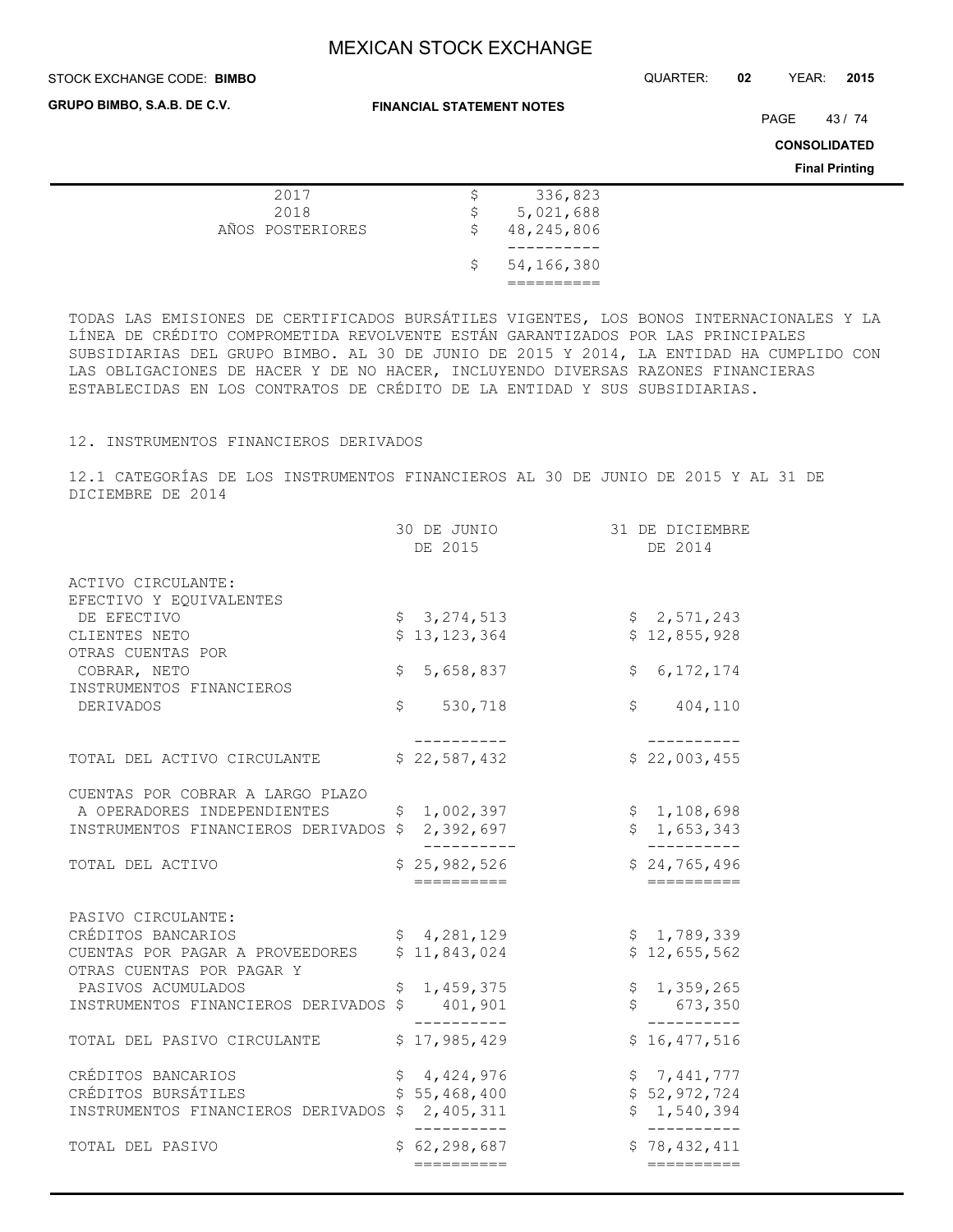#### **STOCK EXCHANGE CODE: BIMBO**

**GRUPO BIMBO, S.A.B. DE C.V.**

**FINANCIAL STATEMENT NOTES**

STOCK EXCHANGE CODE: QUARTER: **02** YEAR: **2015**

PAGE 43/74

**CONSOLIDATED**

**Final Printing**

|  | 2017             |   | 336,823    |
|--|------------------|---|------------|
|  | 2018             |   | 5,021,688  |
|  | AÑOS POSTERIORES | S | 48,245,806 |
|  |                  |   |            |
|  |                  | S | 54,166,380 |
|  |                  |   |            |
|  |                  |   |            |

TODAS LAS EMISIONES DE CERTIFICADOS BURSÁTILES VIGENTES, LOS BONOS INTERNACIONALES Y LA LÍNEA DE CRÉDITO COMPROMETIDA REVOLVENTE ESTÁN GARANTIZADOS POR LAS PRINCIPALES SUBSIDIARIAS DEL GRUPO BIMBO. AL 30 DE JUNIO DE 2015 Y 2014, LA ENTIDAD HA CUMPLIDO CON LAS OBLIGACIONES DE HACER Y DE NO HACER, INCLUYENDO DIVERSAS RAZONES FINANCIERAS ESTABLECIDAS EN LOS CONTRATOS DE CRÉDITO DE LA ENTIDAD Y SUS SUBSIDIARIAS.

#### 12. INSTRUMENTOS FINANCIEROS DERIVADOS

12.1 CATEGORÍAS DE LOS INSTRUMENTOS FINANCIEROS AL 30 DE JUNIO DE 2015 Y AL 31 DE DICIEMBRE DE 2014

|                                                              | 30 DE JUNIO<br>DE 2015              | 31 DE DICIEMBRE<br>DE 2014 |                           |  |
|--------------------------------------------------------------|-------------------------------------|----------------------------|---------------------------|--|
| ACTIVO CIRCULANTE:<br>EFECTIVO Y EQUIVALENTES                |                                     |                            |                           |  |
| DE EFECTIVO                                                  | \$3, 274, 513                       |                            | \$2,571,243               |  |
| CLIENTES NETO<br>OTRAS CUENTAS POR                           | \$13,123,364                        |                            | \$12,855,928              |  |
| COBRAR, NETO                                                 | \$5,658,837                         |                            | \$6, 172, 174             |  |
| INSTRUMENTOS FINANCIEROS<br>DERIVADOS                        | \$530,718                           |                            | \$404, 110                |  |
| TOTAL DEL ACTIVO CIRCULANTE                                  | \$22,587,432                        |                            | \$22,003,455              |  |
| CUENTAS POR COBRAR A LARGO PLAZO                             |                                     |                            |                           |  |
| A OPERADORES INDEPENDIENTES                                  | \$1,002,397                         |                            | \$1,108,698               |  |
| INSTRUMENTOS FINANCIEROS DERIVADOS \$                        | 2,392,697                           |                            | \$1,653,343               |  |
| TOTAL DEL ACTIVO                                             | \$25,982,526<br>==========          |                            | \$24,765,496              |  |
| PASIVO CIRCULANTE:                                           |                                     |                            |                           |  |
| CRÉDITOS BANCARIOS                                           | \$4,281,129                         |                            | \$1,789,339               |  |
| CUENTAS POR PAGAR A PROVEEDORES<br>OTRAS CUENTAS POR PAGAR Y | \$11,843,024                        |                            | \$12,655,562              |  |
| PASIVOS ACUMULADOS                                           | \$<br>1,459,375                     |                            | \$1,359,265               |  |
| INSTRUMENTOS FINANCIEROS DERIVADOS                           | \$<br>401,901                       |                            | \$ 673,350                |  |
| TOTAL DEL PASIVO CIRCULANTE                                  | \$17,985,429                        |                            | \$16,477,516              |  |
| CRÉDITOS BANCARIOS                                           | \$4,424,976                         |                            | \$7,441,777               |  |
| CRÉDITOS BURSÁTILES                                          | \$55,468,400                        |                            | \$52,972,724              |  |
| INSTRUMENTOS FINANCIEROS DERIVADOS \$ 2,405,311              | -----------                         |                            | \$1,540,394<br>__________ |  |
| TOTAL DEL PASIVO                                             | \$62, 298, 687                      |                            | \$78,432,411              |  |
|                                                              | $=$ $=$ $=$ $=$ $=$ $=$ $=$ $=$ $=$ |                            | ==========                |  |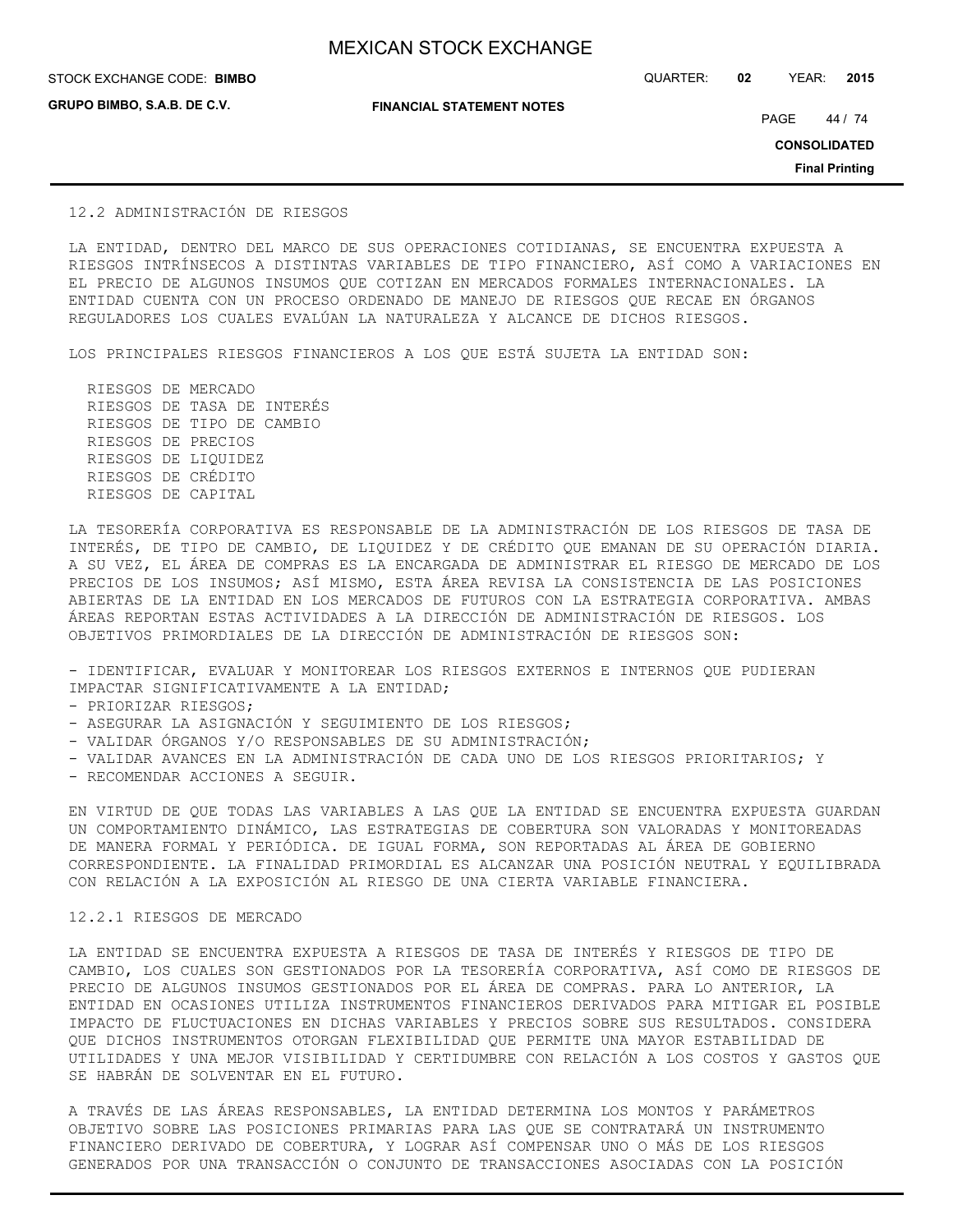**GRUPO BIMBO, S.A.B. DE C.V.**

STOCK EXCHANGE CODE: QUARTER: **02** YEAR: **2015 BIMBO**

**FINANCIAL STATEMENT NOTES**

PAGE 44 / 74

**CONSOLIDATED**

**Final Printing**

#### 12.2 ADMINISTRACIÓN DE RIESGOS

LA ENTIDAD, DENTRO DEL MARCO DE SUS OPERACIONES COTIDIANAS, SE ENCUENTRA EXPUESTA A RIESGOS INTRÍNSECOS A DISTINTAS VARIABLES DE TIPO FINANCIERO, ASÍ COMO A VARIACIONES EN EL PRECIO DE ALGUNOS INSUMOS QUE COTIZAN EN MERCADOS FORMALES INTERNACIONALES. LA ENTIDAD CUENTA CON UN PROCESO ORDENADO DE MANEJO DE RIESGOS QUE RECAE EN ÓRGANOS REGULADORES LOS CUALES EVALÚAN LA NATURALEZA Y ALCANCE DE DICHOS RIESGOS.

LOS PRINCIPALES RIESGOS FINANCIEROS A LOS QUE ESTÁ SUJETA LA ENTIDAD SON:

 RIESGOS DE MERCADO RIESGOS DE TASA DE INTERÉS RIESGOS DE TIPO DE CAMBIO RIESGOS DE PRECIOS RIESGOS DE LIQUIDEZ RIESGOS DE CRÉDITO RIESGOS DE CAPITAL

LA TESORERÍA CORPORATIVA ES RESPONSABLE DE LA ADMINISTRACIÓN DE LOS RIESGOS DE TASA DE INTERÉS, DE TIPO DE CAMBIO, DE LIQUIDEZ Y DE CRÉDITO QUE EMANAN DE SU OPERACIÓN DIARIA. A SU VEZ, EL ÁREA DE COMPRAS ES LA ENCARGADA DE ADMINISTRAR EL RIESGO DE MERCADO DE LOS PRECIOS DE LOS INSUMOS; ASÍ MISMO, ESTA ÁREA REVISA LA CONSISTENCIA DE LAS POSICIONES ABIERTAS DE LA ENTIDAD EN LOS MERCADOS DE FUTUROS CON LA ESTRATEGIA CORPORATIVA. AMBAS ÁREAS REPORTAN ESTAS ACTIVIDADES A LA DIRECCIÓN DE ADMINISTRACIÓN DE RIESGOS. LOS OBJETIVOS PRIMORDIALES DE LA DIRECCIÓN DE ADMINISTRACIÓN DE RIESGOS SON:

- IDENTIFICAR, EVALUAR Y MONITOREAR LOS RIESGOS EXTERNOS E INTERNOS QUE PUDIERAN

- IMPACTAR SIGNIFICATIVAMENTE A LA ENTIDAD;
- PRIORIZAR RIESGOS;
- ASEGURAR LA ASIGNACIÓN Y SEGUIMIENTO DE LOS RIESGOS;
- VALIDAR ÓRGANOS Y/O RESPONSABLES DE SU ADMINISTRACIÓN;
- VALIDAR AVANCES EN LA ADMINISTRACIÓN DE CADA UNO DE LOS RIESGOS PRIORITARIOS; Y
- RECOMENDAR ACCIONES A SEGUIR.

EN VIRTUD DE QUE TODAS LAS VARIABLES A LAS QUE LA ENTIDAD SE ENCUENTRA EXPUESTA GUARDAN UN COMPORTAMIENTO DINÁMICO, LAS ESTRATEGIAS DE COBERTURA SON VALORADAS Y MONITOREADAS DE MANERA FORMAL Y PERIÓDICA. DE IGUAL FORMA, SON REPORTADAS AL ÁREA DE GOBIERNO CORRESPONDIENTE. LA FINALIDAD PRIMORDIAL ES ALCANZAR UNA POSICIÓN NEUTRAL Y EQUILIBRADA CON RELACIÓN A LA EXPOSICIÓN AL RIESGO DE UNA CIERTA VARIABLE FINANCIERA.

#### 12.2.1 RIESGOS DE MERCADO

LA ENTIDAD SE ENCUENTRA EXPUESTA A RIESGOS DE TASA DE INTERÉS Y RIESGOS DE TIPO DE CAMBIO, LOS CUALES SON GESTIONADOS POR LA TESORERÍA CORPORATIVA, ASÍ COMO DE RIESGOS DE PRECIO DE ALGUNOS INSUMOS GESTIONADOS POR EL ÁREA DE COMPRAS. PARA LO ANTERIOR, LA ENTIDAD EN OCASIONES UTILIZA INSTRUMENTOS FINANCIEROS DERIVADOS PARA MITIGAR EL POSIBLE IMPACTO DE FLUCTUACIONES EN DICHAS VARIABLES Y PRECIOS SOBRE SUS RESULTADOS. CONSIDERA QUE DICHOS INSTRUMENTOS OTORGAN FLEXIBILIDAD QUE PERMITE UNA MAYOR ESTABILIDAD DE UTILIDADES Y UNA MEJOR VISIBILIDAD Y CERTIDUMBRE CON RELACIÓN A LOS COSTOS Y GASTOS QUE SE HABRÁN DE SOLVENTAR EN EL FUTURO.

A TRAVÉS DE LAS ÁREAS RESPONSABLES, LA ENTIDAD DETERMINA LOS MONTOS Y PARÁMETROS OBJETIVO SOBRE LAS POSICIONES PRIMARIAS PARA LAS QUE SE CONTRATARÁ UN INSTRUMENTO FINANCIERO DERIVADO DE COBERTURA, Y LOGRAR ASÍ COMPENSAR UNO O MÁS DE LOS RIESGOS GENERADOS POR UNA TRANSACCIÓN O CONJUNTO DE TRANSACCIONES ASOCIADAS CON LA POSICIÓN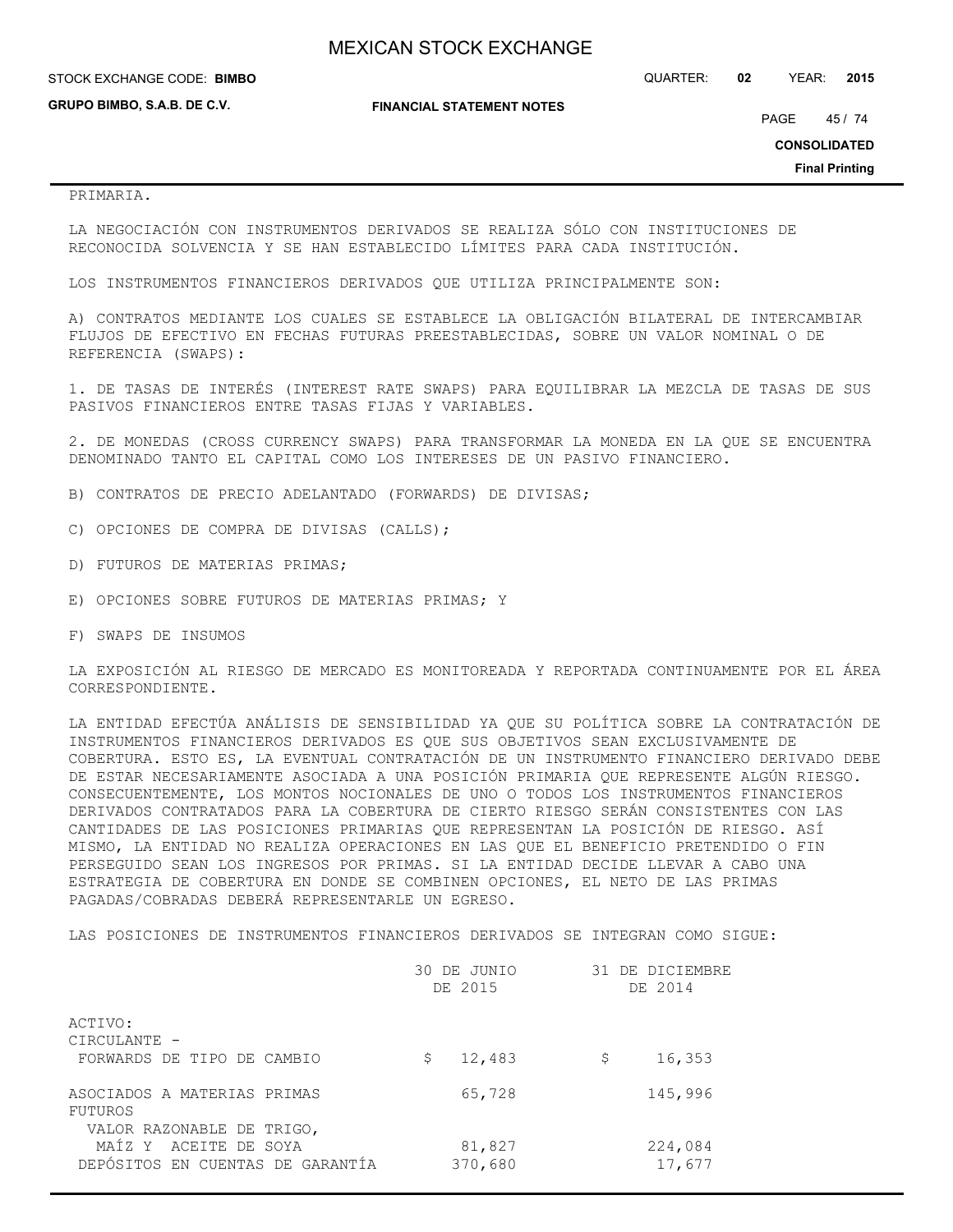STOCK EXCHANGE CODE: QUARTER: **02** YEAR: **2015 BIMBO**

**GRUPO BIMBO, S.A.B. DE C.V.**

**FINANCIAL STATEMENT NOTES**

PAGE 45 / 74

**CONSOLIDATED**

**Final Printing**

### PRIMARIA.

LA NEGOCIACIÓN CON INSTRUMENTOS DERIVADOS SE REALIZA SÓLO CON INSTITUCIONES DE RECONOCIDA SOLVENCIA Y SE HAN ESTABLECIDO LÍMITES PARA CADA INSTITUCIÓN.

LOS INSTRUMENTOS FINANCIEROS DERIVADOS QUE UTILIZA PRINCIPALMENTE SON:

A) CONTRATOS MEDIANTE LOS CUALES SE ESTABLECE LA OBLIGACIÓN BILATERAL DE INTERCAMBIAR FLUJOS DE EFECTIVO EN FECHAS FUTURAS PREESTABLECIDAS, SOBRE UN VALOR NOMINAL O DE REFERENCIA (SWAPS):

1. DE TASAS DE INTERÉS (INTEREST RATE SWAPS) PARA EQUILIBRAR LA MEZCLA DE TASAS DE SUS PASIVOS FINANCIEROS ENTRE TASAS FIJAS Y VARIABLES.

2. DE MONEDAS (CROSS CURRENCY SWAPS) PARA TRANSFORMAR LA MONEDA EN LA QUE SE ENCUENTRA DENOMINADO TANTO EL CAPITAL COMO LOS INTERESES DE UN PASIVO FINANCIERO.

B) CONTRATOS DE PRECIO ADELANTADO (FORWARDS) DE DIVISAS;

- C) OPCIONES DE COMPRA DE DIVISAS (CALLS);
- D) FUTUROS DE MATERIAS PRIMAS;
- E) OPCIONES SOBRE FUTUROS DE MATERIAS PRIMAS; Y
- F) SWAPS DE INSUMOS

LA EXPOSICIÓN AL RIESGO DE MERCADO ES MONITOREADA Y REPORTADA CONTINUAMENTE POR EL ÁREA CORRESPONDIENTE.

LA ENTIDAD EFECTÚA ANÁLISIS DE SENSIBILIDAD YA QUE SU POLÍTICA SOBRE LA CONTRATACIÓN DE INSTRUMENTOS FINANCIEROS DERIVADOS ES QUE SUS OBJETIVOS SEAN EXCLUSIVAMENTE DE COBERTURA. ESTO ES, LA EVENTUAL CONTRATACIÓN DE UN INSTRUMENTO FINANCIERO DERIVADO DEBE DE ESTAR NECESARIAMENTE ASOCIADA A UNA POSICIÓN PRIMARIA QUE REPRESENTE ALGÚN RIESGO. CONSECUENTEMENTE, LOS MONTOS NOCIONALES DE UNO O TODOS LOS INSTRUMENTOS FINANCIEROS DERIVADOS CONTRATADOS PARA LA COBERTURA DE CIERTO RIESGO SERÁN CONSISTENTES CON LAS CANTIDADES DE LAS POSICIONES PRIMARIAS QUE REPRESENTAN LA POSICIÓN DE RIESGO. ASÍ MISMO, LA ENTIDAD NO REALIZA OPERACIONES EN LAS QUE EL BENEFICIO PRETENDIDO O FIN PERSEGUIDO SEAN LOS INGRESOS POR PRIMAS. SI LA ENTIDAD DECIDE LLEVAR A CABO UNA ESTRATEGIA DE COBERTURA EN DONDE SE COMBINEN OPCIONES, EL NETO DE LAS PRIMAS PAGADAS/COBRADAS DEBERÁ REPRESENTARLE UN EGRESO.

LAS POSICIONES DE INSTRUMENTOS FINANCIEROS DERIVADOS SE INTEGRAN COMO SIGUE:

|                                                       | 30 DE JUNIO<br>DE 2015 | 31 DE DICIEMBRE<br>DE 2014 |  |  |  |
|-------------------------------------------------------|------------------------|----------------------------|--|--|--|
| ACTIVO:                                               |                        |                            |  |  |  |
| CIRCULANTE -<br>FORWARDS DE TIPO DE CAMBIO            | 12,483<br>\$           | 16,353<br>Ş.               |  |  |  |
| ASOCIADOS A MATERIAS PRIMAS                           | 65,728                 | 145,996                    |  |  |  |
| FUTUROS                                               |                        |                            |  |  |  |
| VALOR RAZONABLE DE TRIGO,<br>ACEITE DE SOYA<br>MAÍZ Y | 81,827                 | 224,084                    |  |  |  |
| DEPÓSITOS EN CUENTAS DE GARANTÍA                      | 370,680                | 17,677                     |  |  |  |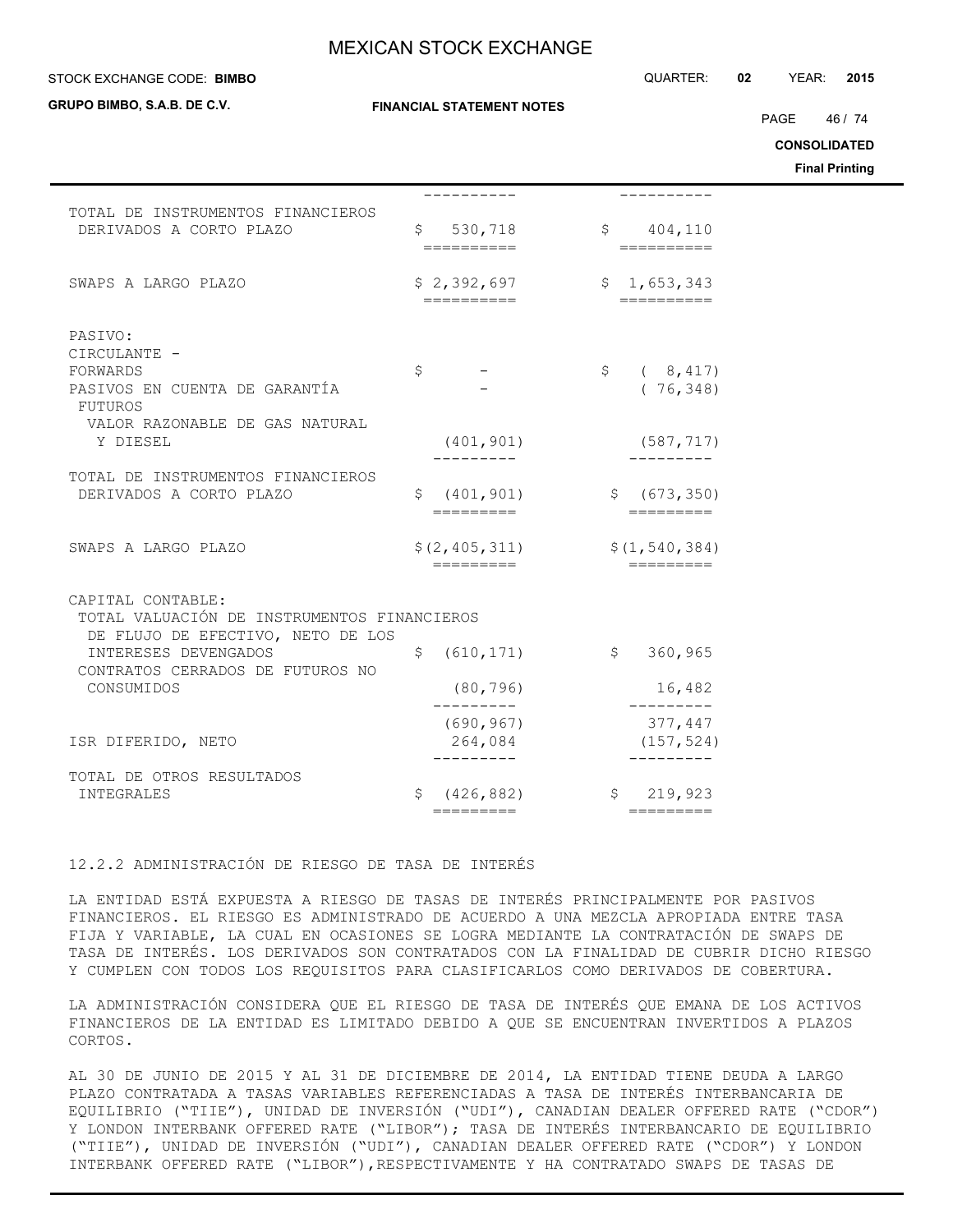#### STOCK EXCHANGE CODE: QUARTER: **02** YEAR: **2015 BIMBO**

**GRUPO BIMBO, S.A.B. DE C.V.**

**FINANCIAL STATEMENT NOTES**

PAGE 46 / 74

**CONSOLIDATED**

**Final Printing**

|                                                 |                                                 |                                                                                                                                                                                                                                                                                                                                                                                                                                                                  | THIAI FINIUNG |
|-------------------------------------------------|-------------------------------------------------|------------------------------------------------------------------------------------------------------------------------------------------------------------------------------------------------------------------------------------------------------------------------------------------------------------------------------------------------------------------------------------------------------------------------------------------------------------------|---------------|
| TOTAL DE INSTRUMENTOS FINANCIEROS               | ----------                                      | ----------                                                                                                                                                                                                                                                                                                                                                                                                                                                       |               |
| DERIVADOS A CORTO PLAZO                         | \$530,718<br>==========                         | \$ 404, 110                                                                                                                                                                                                                                                                                                                                                                                                                                                      |               |
| SWAPS A LARGO PLAZO                             | $$2,392,697$ $$1,653,343$<br>==========         |                                                                                                                                                                                                                                                                                                                                                                                                                                                                  |               |
| PASIVO:                                         |                                                 |                                                                                                                                                                                                                                                                                                                                                                                                                                                                  |               |
| CIRCULANTE -                                    |                                                 |                                                                                                                                                                                                                                                                                                                                                                                                                                                                  |               |
| FORWARDS                                        | \$                                              | \$ 8,417)                                                                                                                                                                                                                                                                                                                                                                                                                                                        |               |
| PASIVOS EN CUENTA DE GARANTÍA<br><b>FUTUROS</b> |                                                 | (76, 348)                                                                                                                                                                                                                                                                                                                                                                                                                                                        |               |
| VALOR RAZONABLE DE GAS NATURAL                  |                                                 |                                                                                                                                                                                                                                                                                                                                                                                                                                                                  |               |
| Y DIESEL                                        | (401, 901)                                      | (587, 717)                                                                                                                                                                                                                                                                                                                                                                                                                                                       |               |
|                                                 |                                                 |                                                                                                                                                                                                                                                                                                                                                                                                                                                                  |               |
| TOTAL DE INSTRUMENTOS FINANCIEROS               |                                                 |                                                                                                                                                                                                                                                                                                                                                                                                                                                                  |               |
| DERIVADOS A CORTO PLAZO                         | $\frac{1}{2}$ (401,901) $\frac{1}{2}$ (673,350) |                                                                                                                                                                                                                                                                                                                                                                                                                                                                  |               |
|                                                 | =========                                       |                                                                                                                                                                                                                                                                                                                                                                                                                                                                  |               |
|                                                 |                                                 |                                                                                                                                                                                                                                                                                                                                                                                                                                                                  |               |
| SWAPS A LARGO PLAZO                             | $$(2, 405, 311)$ $$(1, 540, 384)$               |                                                                                                                                                                                                                                                                                                                                                                                                                                                                  |               |
|                                                 | =========                                       | =========                                                                                                                                                                                                                                                                                                                                                                                                                                                        |               |
| CAPITAL CONTABLE:                               |                                                 |                                                                                                                                                                                                                                                                                                                                                                                                                                                                  |               |
| TOTAL VALUACIÓN DE INSTRUMENTOS FINANCIEROS     |                                                 |                                                                                                                                                                                                                                                                                                                                                                                                                                                                  |               |
| DE FLUJO DE EFECTIVO, NETO DE LOS               |                                                 |                                                                                                                                                                                                                                                                                                                                                                                                                                                                  |               |
| INTERESES DEVENGADOS                            | \$ (610, 171)                                   | \$360,965                                                                                                                                                                                                                                                                                                                                                                                                                                                        |               |
| CONTRATOS CERRADOS DE FUTUROS NO                |                                                 |                                                                                                                                                                                                                                                                                                                                                                                                                                                                  |               |
| CONSUMIDOS                                      | (80, 796)                                       | 16,482                                                                                                                                                                                                                                                                                                                                                                                                                                                           |               |
|                                                 |                                                 |                                                                                                                                                                                                                                                                                                                                                                                                                                                                  |               |
|                                                 | (690, 967)                                      | 377,447                                                                                                                                                                                                                                                                                                                                                                                                                                                          |               |
| ISR DIFERIDO, NETO                              | 264,084                                         | (157, 524)<br>---------                                                                                                                                                                                                                                                                                                                                                                                                                                          |               |
| TOTAL DE OTROS RESULTADOS                       |                                                 |                                                                                                                                                                                                                                                                                                                                                                                                                                                                  |               |
| INTEGRALES                                      |                                                 |                                                                                                                                                                                                                                                                                                                                                                                                                                                                  |               |
|                                                 | \$(426, 882)                                    | \$219,923<br>$\begin{tabular}{ll} \multicolumn{2}{c}{\textbf{2.2}} & \multicolumn{2}{c}{\textbf{2.2}} & \multicolumn{2}{c}{\textbf{2.2}} & \multicolumn{2}{c}{\textbf{2.2}} & \multicolumn{2}{c}{\textbf{2.2}} & \multicolumn{2}{c}{\textbf{2.2}} & \multicolumn{2}{c}{\textbf{2.2}} & \multicolumn{2}{c}{\textbf{2.2}} & \multicolumn{2}{c}{\textbf{2.2}} & \multicolumn{2}{c}{\textbf{2.2}} & \multicolumn{2}{c}{\textbf{2.2}} & \multicolumn{2}{c}{\textbf{2$ |               |
|                                                 |                                                 |                                                                                                                                                                                                                                                                                                                                                                                                                                                                  |               |

### 12.2.2 ADMINISTRACIÓN DE RIESGO DE TASA DE INTERÉS

LA ENTIDAD ESTÁ EXPUESTA A RIESGO DE TASAS DE INTERÉS PRINCIPALMENTE POR PASIVOS FINANCIEROS. EL RIESGO ES ADMINISTRADO DE ACUERDO A UNA MEZCLA APROPIADA ENTRE TASA FIJA Y VARIABLE, LA CUAL EN OCASIONES SE LOGRA MEDIANTE LA CONTRATACIÓN DE SWAPS DE TASA DE INTERÉS. LOS DERIVADOS SON CONTRATADOS CON LA FINALIDAD DE CUBRIR DICHO RIESGO Y CUMPLEN CON TODOS LOS REQUISITOS PARA CLASIFICARLOS COMO DERIVADOS DE COBERTURA.

LA ADMINISTRACIÓN CONSIDERA QUE EL RIESGO DE TASA DE INTERÉS QUE EMANA DE LOS ACTIVOS FINANCIEROS DE LA ENTIDAD ES LIMITADO DEBIDO A QUE SE ENCUENTRAN INVERTIDOS A PLAZOS CORTOS.

AL 30 DE JUNIO DE 2015 Y AL 31 DE DICIEMBRE DE 2014, LA ENTIDAD TIENE DEUDA A LARGO PLAZO CONTRATADA A TASAS VARIABLES REFERENCIADAS A TASA DE INTERÉS INTERBANCARIA DE EQUILIBRIO ("TIIE"), UNIDAD DE INVERSIÓN ("UDI"), CANADIAN DEALER OFFERED RATE ("CDOR") Y LONDON INTERBANK OFFERED RATE ("LIBOR"); TASA DE INTERÉS INTERBANCARIO DE EQUILIBRIO ("TIIE"), UNIDAD DE INVERSIÓN ("UDI"), CANADIAN DEALER OFFERED RATE ("CDOR") Y LONDON INTERBANK OFFERED RATE ("LIBOR"),RESPECTIVAMENTE Y HA CONTRATADO SWAPS DE TASAS DE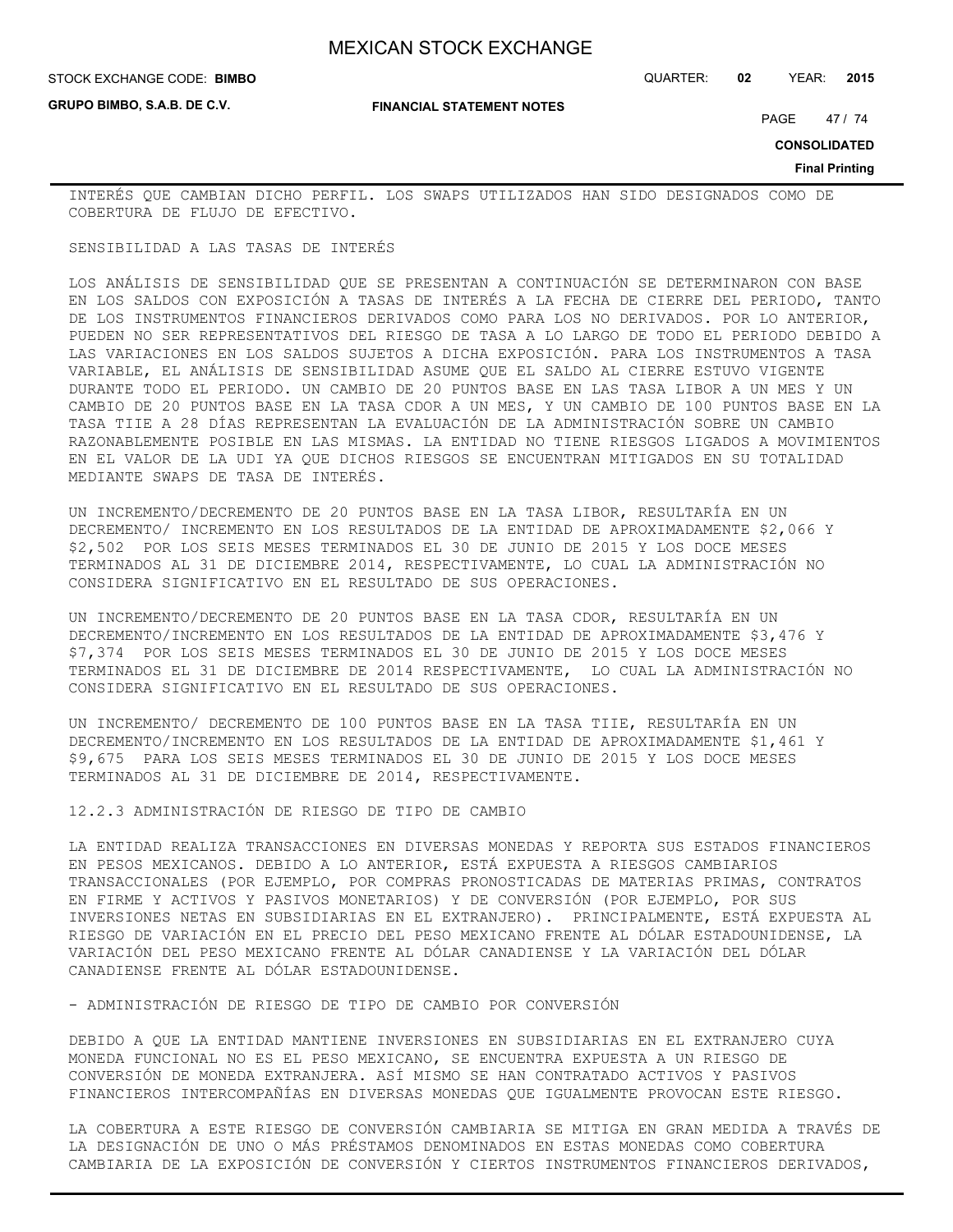**STOCK EXCHANGE CODE: BIMBO** 

**GRUPO BIMBO, S.A.B. DE C.V.**

STOCK EXCHANGE CODE: QUARTER: **02** YEAR: **2015**

**FINANCIAL STATEMENT NOTES**

PAGE 47 / 74

**CONSOLIDATED**

**Final Printing**

INTERÉS QUE CAMBIAN DICHO PERFIL. LOS SWAPS UTILIZADOS HAN SIDO DESIGNADOS COMO DE COBERTURA DE FLUJO DE EFECTIVO.

#### SENSIBILIDAD A LAS TASAS DE INTERÉS

LOS ANÁLISIS DE SENSIBILIDAD QUE SE PRESENTAN A CONTINUACIÓN SE DETERMINARON CON BASE EN LOS SALDOS CON EXPOSICIÓN A TASAS DE INTERÉS A LA FECHA DE CIERRE DEL PERIODO, TANTO DE LOS INSTRUMENTOS FINANCIEROS DERIVADOS COMO PARA LOS NO DERIVADOS. POR LO ANTERIOR, PUEDEN NO SER REPRESENTATIVOS DEL RIESGO DE TASA A LO LARGO DE TODO EL PERIODO DEBIDO A LAS VARIACIONES EN LOS SALDOS SUJETOS A DICHA EXPOSICIÓN. PARA LOS INSTRUMENTOS A TASA VARIABLE, EL ANÁLISIS DE SENSIBILIDAD ASUME QUE EL SALDO AL CIERRE ESTUVO VIGENTE DURANTE TODO EL PERIODO. UN CAMBIO DE 20 PUNTOS BASE EN LAS TASA LIBOR A UN MES Y UN CAMBIO DE 20 PUNTOS BASE EN LA TASA CDOR A UN MES, Y UN CAMBIO DE 100 PUNTOS BASE EN LA TASA TIIE A 28 DÍAS REPRESENTAN LA EVALUACIÓN DE LA ADMINISTRACIÓN SOBRE UN CAMBIO RAZONABLEMENTE POSIBLE EN LAS MISMAS. LA ENTIDAD NO TIENE RIESGOS LIGADOS A MOVIMIENTOS EN EL VALOR DE LA UDI YA QUE DICHOS RIESGOS SE ENCUENTRAN MITIGADOS EN SU TOTALIDAD MEDIANTE SWAPS DE TASA DE INTERÉS.

UN INCREMENTO/DECREMENTO DE 20 PUNTOS BASE EN LA TASA LIBOR, RESULTARÍA EN UN DECREMENTO/ INCREMENTO EN LOS RESULTADOS DE LA ENTIDAD DE APROXIMADAMENTE \$2,066 Y \$2,502 POR LOS SEIS MESES TERMINADOS EL 30 DE JUNIO DE 2015 Y LOS DOCE MESES TERMINADOS AL 31 DE DICIEMBRE 2014, RESPECTIVAMENTE, LO CUAL LA ADMINISTRACIÓN NO CONSIDERA SIGNIFICATIVO EN EL RESULTADO DE SUS OPERACIONES.

UN INCREMENTO/DECREMENTO DE 20 PUNTOS BASE EN LA TASA CDOR, RESULTARÍA EN UN DECREMENTO/INCREMENTO EN LOS RESULTADOS DE LA ENTIDAD DE APROXIMADAMENTE \$3,476 Y \$7,374 POR LOS SEIS MESES TERMINADOS EL 30 DE JUNIO DE 2015 Y LOS DOCE MESES TERMINADOS EL 31 DE DICIEMBRE DE 2014 RESPECTIVAMENTE, LO CUAL LA ADMINISTRACIÓN NO CONSIDERA SIGNIFICATIVO EN EL RESULTADO DE SUS OPERACIONES.

UN INCREMENTO/ DECREMENTO DE 100 PUNTOS BASE EN LA TASA TIIE, RESULTARÍA EN UN DECREMENTO/INCREMENTO EN LOS RESULTADOS DE LA ENTIDAD DE APROXIMADAMENTE \$1,461 Y \$9,675 PARA LOS SEIS MESES TERMINADOS EL 30 DE JUNIO DE 2015 Y LOS DOCE MESES TERMINADOS AL 31 DE DICIEMBRE DE 2014, RESPECTIVAMENTE.

12.2.3 ADMINISTRACIÓN DE RIESGO DE TIPO DE CAMBIO

LA ENTIDAD REALIZA TRANSACCIONES EN DIVERSAS MONEDAS Y REPORTA SUS ESTADOS FINANCIEROS EN PESOS MEXICANOS. DEBIDO A LO ANTERIOR, ESTÁ EXPUESTA A RIESGOS CAMBIARIOS TRANSACCIONALES (POR EJEMPLO, POR COMPRAS PRONOSTICADAS DE MATERIAS PRIMAS, CONTRATOS EN FIRME Y ACTIVOS Y PASIVOS MONETARIOS) Y DE CONVERSIÓN (POR EJEMPLO, POR SUS INVERSIONES NETAS EN SUBSIDIARIAS EN EL EXTRANJERO). PRINCIPALMENTE, ESTÁ EXPUESTA AL RIESGO DE VARIACIÓN EN EL PRECIO DEL PESO MEXICANO FRENTE AL DÓLAR ESTADOUNIDENSE, LA VARIACIÓN DEL PESO MEXICANO FRENTE AL DÓLAR CANADIENSE Y LA VARIACIÓN DEL DÓLAR CANADIENSE FRENTE AL DÓLAR ESTADOUNIDENSE.

- ADMINISTRACIÓN DE RIESGO DE TIPO DE CAMBIO POR CONVERSIÓN

DEBIDO A QUE LA ENTIDAD MANTIENE INVERSIONES EN SUBSIDIARIAS EN EL EXTRANJERO CUYA MONEDA FUNCIONAL NO ES EL PESO MEXICANO, SE ENCUENTRA EXPUESTA A UN RIESGO DE CONVERSIÓN DE MONEDA EXTRANJERA. ASÍ MISMO SE HAN CONTRATADO ACTIVOS Y PASIVOS FINANCIEROS INTERCOMPAÑÍAS EN DIVERSAS MONEDAS QUE IGUALMENTE PROVOCAN ESTE RIESGO.

LA COBERTURA A ESTE RIESGO DE CONVERSIÓN CAMBIARIA SE MITIGA EN GRAN MEDIDA A TRAVÉS DE LA DESIGNACIÓN DE UNO O MÁS PRÉSTAMOS DENOMINADOS EN ESTAS MONEDAS COMO COBERTURA CAMBIARIA DE LA EXPOSICIÓN DE CONVERSIÓN Y CIERTOS INSTRUMENTOS FINANCIEROS DERIVADOS,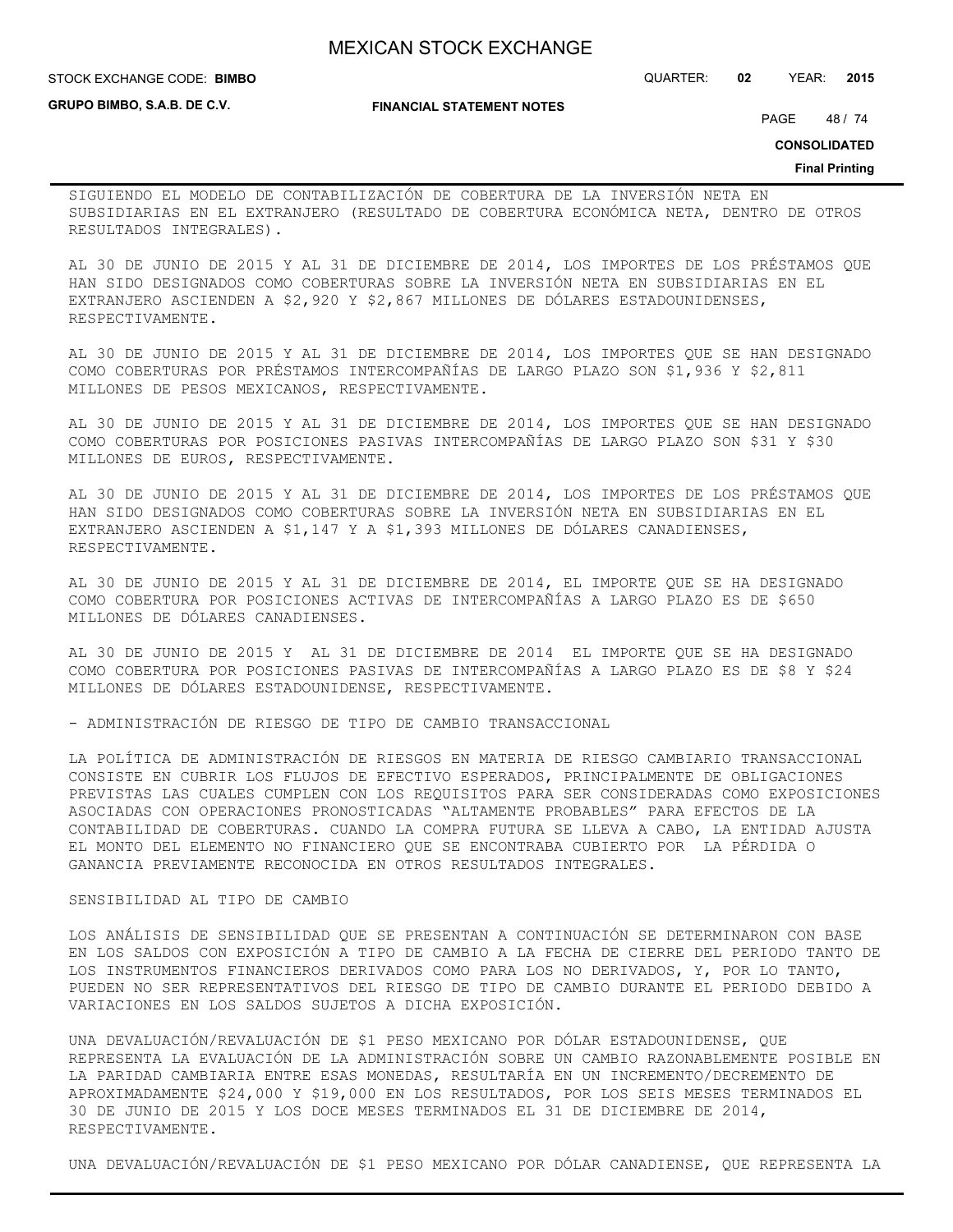**GRUPO BIMBO, S.A.B. DE C.V.**

#### **FINANCIAL STATEMENT NOTES**

STOCK EXCHANGE CODE: QUARTER: **02** YEAR: **2015 BIMBO**

PAGE 48 / 74

**CONSOLIDATED**

#### **Final Printing**

SIGUIENDO EL MODELO DE CONTABILIZACIÓN DE COBERTURA DE LA INVERSIÓN NETA EN SUBSIDIARIAS EN EL EXTRANJERO (RESULTADO DE COBERTURA ECONÓMICA NETA, DENTRO DE OTROS RESULTADOS INTEGRALES).

AL 30 DE JUNIO DE 2015 Y AL 31 DE DICIEMBRE DE 2014, LOS IMPORTES DE LOS PRÉSTAMOS QUE HAN SIDO DESIGNADOS COMO COBERTURAS SOBRE LA INVERSIÓN NETA EN SUBSIDIARIAS EN EL EXTRANJERO ASCIENDEN A \$2,920 Y \$2,867 MILLONES DE DÓLARES ESTADOUNIDENSES, RESPECTIVAMENTE.

AL 30 DE JUNIO DE 2015 Y AL 31 DE DICIEMBRE DE 2014, LOS IMPORTES QUE SE HAN DESIGNADO COMO COBERTURAS POR PRÉSTAMOS INTERCOMPAÑÍAS DE LARGO PLAZO SON \$1,936 Y \$2,811 MILLONES DE PESOS MEXICANOS, RESPECTIVAMENTE.

AL 30 DE JUNIO DE 2015 Y AL 31 DE DICIEMBRE DE 2014, LOS IMPORTES QUE SE HAN DESIGNADO COMO COBERTURAS POR POSICIONES PASIVAS INTERCOMPAÑÍAS DE LARGO PLAZO SON \$31 Y \$30 MILLONES DE EUROS, RESPECTIVAMENTE.

AL 30 DE JUNIO DE 2015 Y AL 31 DE DICIEMBRE DE 2014, LOS IMPORTES DE LOS PRÉSTAMOS QUE HAN SIDO DESIGNADOS COMO COBERTURAS SOBRE LA INVERSIÓN NETA EN SUBSIDIARIAS EN EL EXTRANJERO ASCIENDEN A \$1,147 Y A \$1,393 MILLONES DE DÓLARES CANADIENSES, RESPECTIVAMENTE.

AL 30 DE JUNIO DE 2015 Y AL 31 DE DICIEMBRE DE 2014, EL IMPORTE QUE SE HA DESIGNADO COMO COBERTURA POR POSICIONES ACTIVAS DE INTERCOMPAÑÍAS A LARGO PLAZO ES DE \$650 MILLONES DE DÓLARES CANADIENSES.

AL 30 DE JUNIO DE 2015 Y AL 31 DE DICIEMBRE DE 2014 EL IMPORTE QUE SE HA DESIGNADO COMO COBERTURA POR POSICIONES PASIVAS DE INTERCOMPAÑÍAS A LARGO PLAZO ES DE \$8 Y \$24 MILLONES DE DÓLARES ESTADOUNIDENSE, RESPECTIVAMENTE.

- ADMINISTRACIÓN DE RIESGO DE TIPO DE CAMBIO TRANSACCIONAL

LA POLÍTICA DE ADMINISTRACIÓN DE RIESGOS EN MATERIA DE RIESGO CAMBIARIO TRANSACCIONAL CONSISTE EN CUBRIR LOS FLUJOS DE EFECTIVO ESPERADOS, PRINCIPALMENTE DE OBLIGACIONES PREVISTAS LAS CUALES CUMPLEN CON LOS REQUISITOS PARA SER CONSIDERADAS COMO EXPOSICIONES ASOCIADAS CON OPERACIONES PRONOSTICADAS "ALTAMENTE PROBABLES" PARA EFECTOS DE LA CONTABILIDAD DE COBERTURAS. CUANDO LA COMPRA FUTURA SE LLEVA A CABO, LA ENTIDAD AJUSTA EL MONTO DEL ELEMENTO NO FINANCIERO QUE SE ENCONTRABA CUBIERTO POR LA PÉRDIDA O GANANCIA PREVIAMENTE RECONOCIDA EN OTROS RESULTADOS INTEGRALES.

### SENSIBILIDAD AL TIPO DE CAMBIO

LOS ANÁLISIS DE SENSIBILIDAD QUE SE PRESENTAN A CONTINUACIÓN SE DETERMINARON CON BASE EN LOS SALDOS CON EXPOSICIÓN A TIPO DE CAMBIO A LA FECHA DE CIERRE DEL PERIODO TANTO DE LOS INSTRUMENTOS FINANCIEROS DERIVADOS COMO PARA LOS NO DERIVADOS, Y, POR LO TANTO, PUEDEN NO SER REPRESENTATIVOS DEL RIESGO DE TIPO DE CAMBIO DURANTE EL PERIODO DEBIDO A VARIACIONES EN LOS SALDOS SUJETOS A DICHA EXPOSICIÓN.

UNA DEVALUACIÓN/REVALUACIÓN DE \$1 PESO MEXICANO POR DÓLAR ESTADOUNIDENSE, QUE REPRESENTA LA EVALUACIÓN DE LA ADMINISTRACIÓN SOBRE UN CAMBIO RAZONABLEMENTE POSIBLE EN LA PARIDAD CAMBIARIA ENTRE ESAS MONEDAS, RESULTARÍA EN UN INCREMENTO/DECREMENTO DE APROXIMADAMENTE \$24,000 Y \$19,000 EN LOS RESULTADOS, POR LOS SEIS MESES TERMINADOS EL 30 DE JUNIO DE 2015 Y LOS DOCE MESES TERMINADOS EL 31 DE DICIEMBRE DE 2014, RESPECTIVAMENTE.

UNA DEVALUACIÓN/REVALUACIÓN DE \$1 PESO MEXICANO POR DÓLAR CANADIENSE, QUE REPRESENTA LA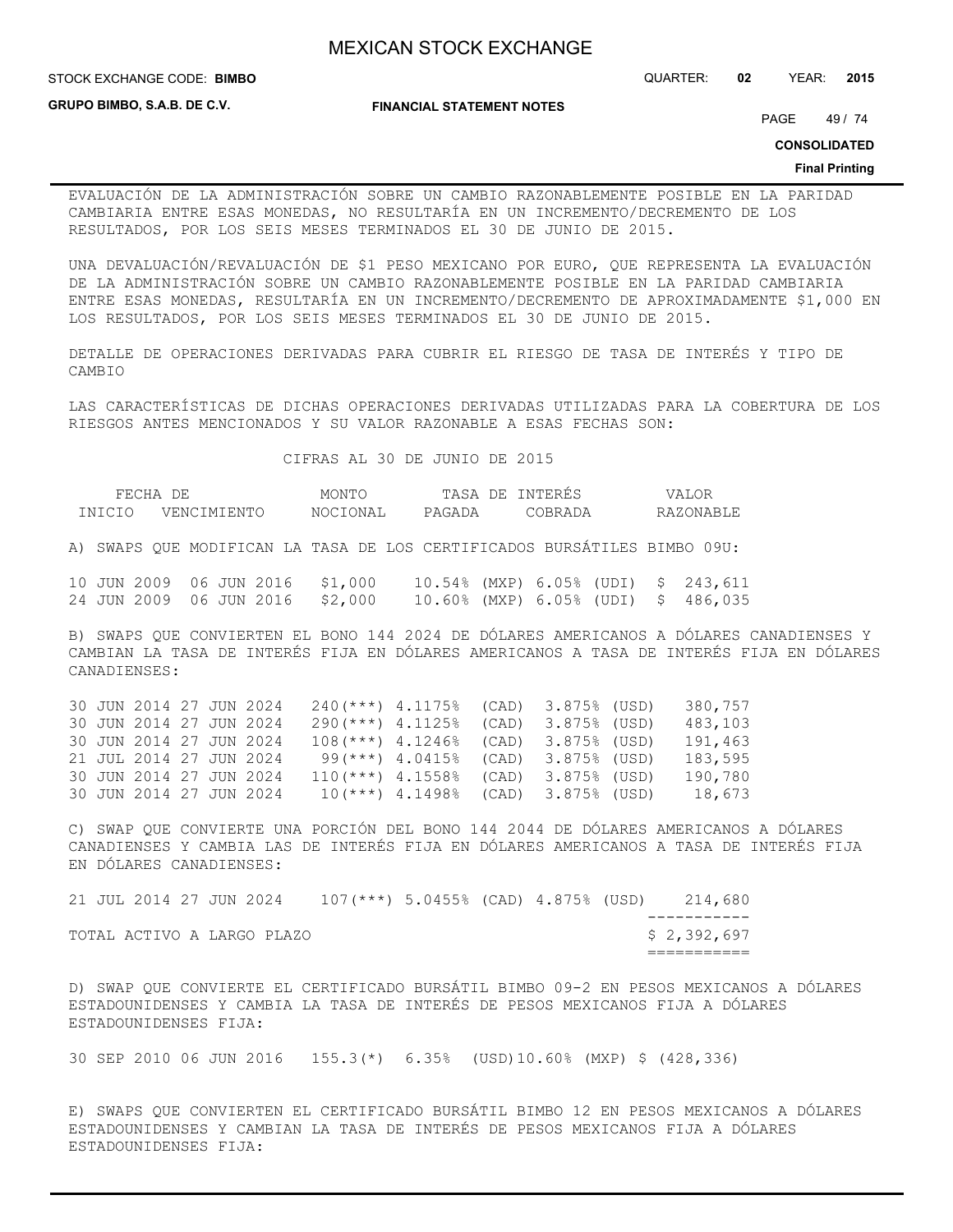**GRUPO BIMBO, S.A.B. DE C.V.**

STOCK EXCHANGE CODE: QUARTER: **02** YEAR: **2015 BIMBO**

**FINANCIAL STATEMENT NOTES**

PAGE 49 / 74

**CONSOLIDATED**

**Final Printing**

EVALUACIÓN DE LA ADMINISTRACIÓN SOBRE UN CAMBIO RAZONABLEMENTE POSIBLE EN LA PARIDAD CAMBIARIA ENTRE ESAS MONEDAS, NO RESULTARÍA EN UN INCREMENTO/DECREMENTO DE LOS RESULTADOS, POR LOS SEIS MESES TERMINADOS EL 30 DE JUNIO DE 2015.

UNA DEVALUACIÓN/REVALUACIÓN DE \$1 PESO MEXICANO POR EURO, QUE REPRESENTA LA EVALUACIÓN DE LA ADMINISTRACIÓN SOBRE UN CAMBIO RAZONABLEMENTE POSIBLE EN LA PARIDAD CAMBIARIA ENTRE ESAS MONEDAS, RESULTARÍA EN UN INCREMENTO/DECREMENTO DE APROXIMADAMENTE \$1,000 EN LOS RESULTADOS, POR LOS SEIS MESES TERMINADOS EL 30 DE JUNIO DE 2015.

DETALLE DE OPERACIONES DERIVADAS PARA CUBRIR EL RIESGO DE TASA DE INTERÉS Y TIPO DE CAMBIO

LAS CARACTERÍSTICAS DE DICHAS OPERACIONES DERIVADAS UTILIZADAS PARA LA COBERTURA DE LOS RIESGOS ANTES MENCIONADOS Y SU VALOR RAZONABLE A ESAS FECHAS SON:

CIFRAS AL 30 DE JUNIO DE 2015

|  |                         |  |          |  |                |  |  | VALOR |  |           |  |  |                                                                              |  |
|--|-------------------------|--|----------|--|----------------|--|--|-------|--|-----------|--|--|------------------------------------------------------------------------------|--|
|  | INICIO VENCIMIENTO      |  | NOCIONAL |  | PAGADA COBRADA |  |  |       |  | RAZONABLE |  |  |                                                                              |  |
|  |                         |  |          |  |                |  |  |       |  |           |  |  | A) SWAPS QUE MODIFICAN LA TASA DE LOS CERTIFICADOS BURSÁTILES BIMBO 09U:     |  |
|  | 10 JUN 2009 06 JUN 2016 |  |          |  | \$1,000        |  |  |       |  |           |  |  | $10.54\%$ (MXP) 6.05% (UDI) \$ 243,611                                       |  |
|  | 24 JUN 2009 06 JUN 2016 |  |          |  |                |  |  |       |  |           |  |  | $$2,000$ 10.60% (MXP) 6.05% (UDI) \$ 486,035                                 |  |
|  |                         |  |          |  |                |  |  |       |  |           |  |  | B) SWAPS QUE CONVIERTEN EL BONO 144 2024 DE DÓLARES AMERICANOS A DÓLARES CAN |  |

NADIENSES Y CAMBIAN LA TASA DE INTERÉS FIJA EN DÓLARES AMERICANOS A TASA DE INTERÉS FIJA EN DÓLARES CANADIENSES:

|  | 30 JUN 2014 27 JUN 2024 |  | $240$ (***) 4.1175% (CAD) 3.875% (USD)   |                                         |  | 380,757 |
|--|-------------------------|--|------------------------------------------|-----------------------------------------|--|---------|
|  | 30 JUN 2014 27 JUN 2024 |  | 290(***) 4.1125% (CAD) 3.875% (USD)      |                                         |  | 483,103 |
|  | 30 JUN 2014 27 JUN 2024 |  | $108$ (***) $4.1246$ (CAD) $3.875$ (USD) |                                         |  | 191,463 |
|  | 21 JUL 2014 27 JUN 2024 |  |                                          | $99$ (***) $4.0415$ (CAD) $3.875$ (USD) |  | 183,595 |
|  | 30 JUN 2014 27 JUN 2024 |  |                                          | $110(***)$ 4.1558% (CAD) 3.875% (USD)   |  | 190,780 |
|  | 30 JUN 2014 27 JUN 2024 |  |                                          | $10(***)$ 4.1498% (CAD) 3.875% (USD)    |  | 18,673  |

C) SWAP QUE CONVIERTE UNA PORCIÓN DEL BONO 144 2044 DE DÓLARES AMERICANOS A DÓLARES CANADIENSES Y CAMBIA LAS DE INTERÉS FIJA EN DÓLARES AMERICANOS A TASA DE INTERÉS FIJA EN DÓLARES CANADIENSES:

|  |                         |  | TOTAL ACTIVO A LARGO PLAZO |                                        |  |  | \$2,392,697 |
|--|-------------------------|--|----------------------------|----------------------------------------|--|--|-------------|
|  |                         |  |                            |                                        |  |  |             |
|  | 21 JUL 2014 27 JUN 2024 |  |                            | $107$ (***) 5.0455% (CAD) 4.875% (USD) |  |  | 214,680     |

D) SWAP QUE CONVIERTE EL CERTIFICADO BURSÁTIL BIMBO 09-2 EN PESOS MEXICANOS A DÓLARES ESTADOUNIDENSES Y CAMBIA LA TASA DE INTERÉS DE PESOS MEXICANOS FIJA A DÓLARES ESTADOUNIDENSES FIJA:

30 SEP 2010 06 JUN 2016 155.3(\*) 6.35% (USD)10.60% (MXP) \$ (428,336)

E) SWAPS QUE CONVIERTEN EL CERTIFICADO BURSÁTIL BIMBO 12 EN PESOS MEXICANOS A DÓLARES ESTADOUNIDENSES Y CAMBIAN LA TASA DE INTERÉS DE PESOS MEXICANOS FIJA A DÓLARES ESTADOUNIDENSES FIJA: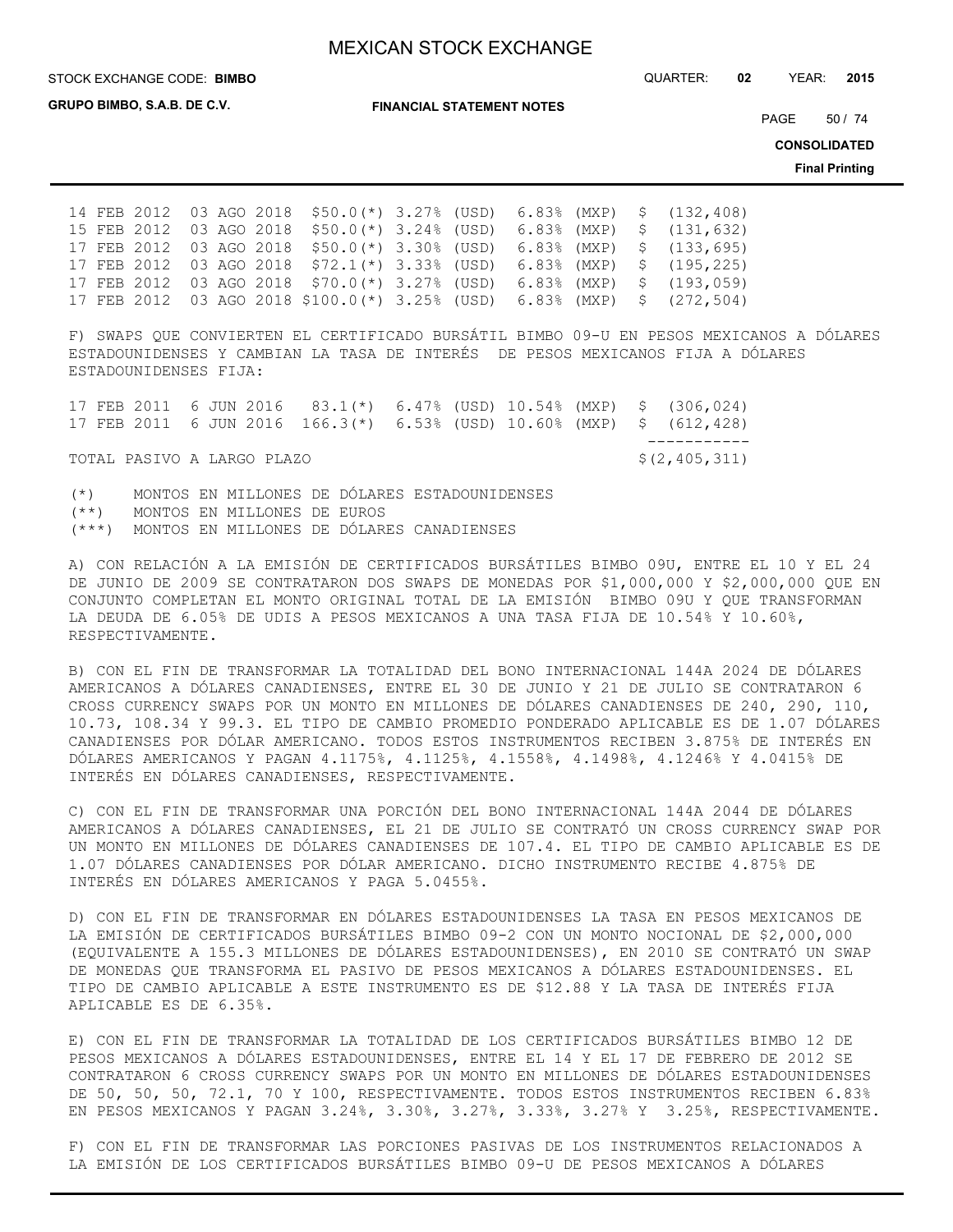STOCK EXCHANGE CODE: QUARTER: **02** YEAR: **2015 BIMBO**

**GRUPO BIMBO, S.A.B. DE C.V.**

**FINANCIAL STATEMENT NOTES**

PAGE 50 / 74

**CONSOLIDATED**

**Final Printing**

14 FEB 2012 03 AGO 2018 \$50.0(\*) 3.27% (USD) 6.83% (MXP) \$ (132,408) 15 FEB 2012 03 AGO 2018 \$50.0(\*) 3.24% (USD) 6.83% (MXP) \$ (131,632) 17 FEB 2012 03 AGO 2018 \$50.0(\*) 3.30% (USD) 6.83% (MXP) \$ (133,695) 17 FEB 2012 03 AGO 2018 \$72.1(\*) 3.33% (USD) 6.83% (MXP) \$ (195,225) 17 FEB 2012 03 AGO 2018 \$70.0(\*) 3.27% (USD) 6.83% (MXP) \$ (193,059) 17 FEB 2012 03 AGO 2018 \$100.0(\*) 3.25% (USD) 6.83% (MXP) \$ (272,504)

F) SWAPS QUE CONVIERTEN EL CERTIFICADO BURSÁTIL BIMBO 09-U EN PESOS MEXICANOS A DÓLARES ESTADOUNIDENSES Y CAMBIAN LA TASA DE INTERÉS DE PESOS MEXICANOS FIJA A DÓLARES ESTADOUNIDENSES FIJA:

|  |                            |  | 17 FEB 2011 6 JUN 2016 83.1(*) 6.47% (USD) 10.54% (MXP) \$ (306,024)  |  |  |                 |
|--|----------------------------|--|-----------------------------------------------------------------------|--|--|-----------------|
|  |                            |  | 17 FEB 2011 6 JUN 2016 166.3(*) 6.53% (USD) 10.60% (MXP) \$ (612,428) |  |  |                 |
|  |                            |  |                                                                       |  |  |                 |
|  | TOTAL PASIVO A LARGO PLAZO |  |                                                                       |  |  | \$(2, 405, 311) |

(\*) MONTOS EN MILLONES DE DÓLARES ESTADOUNIDENSES (\*\*) MONTOS EN MILLONES DE EUROS (\*\*\*) MONTOS EN MILLONES DE DÓLARES CANADIENSES

A) CON RELACIÓN A LA EMISIÓN DE CERTIFICADOS BURSÁTILES BIMBO 09U, ENTRE EL 10 Y EL 24 DE JUNIO DE 2009 SE CONTRATARON DOS SWAPS DE MONEDAS POR \$1,000,000 Y \$2,000,000 QUE EN CONJUNTO COMPLETAN EL MONTO ORIGINAL TOTAL DE LA EMISIÓN BIMBO 09U Y QUE TRANSFORMAN LA DEUDA DE 6.05% DE UDIS A PESOS MEXICANOS A UNA TASA FIJA DE 10.54% Y 10.60%, RESPECTIVAMENTE.

B) CON EL FIN DE TRANSFORMAR LA TOTALIDAD DEL BONO INTERNACIONAL 144A 2024 DE DÓLARES AMERICANOS A DÓLARES CANADIENSES, ENTRE EL 30 DE JUNIO Y 21 DE JULIO SE CONTRATARON 6 CROSS CURRENCY SWAPS POR UN MONTO EN MILLONES DE DÓLARES CANADIENSES DE 240, 290, 110, 10.73, 108.34 Y 99.3. EL TIPO DE CAMBIO PROMEDIO PONDERADO APLICABLE ES DE 1.07 DÓLARES CANADIENSES POR DÓLAR AMERICANO. TODOS ESTOS INSTRUMENTOS RECIBEN 3.875% DE INTERÉS EN DÓLARES AMERICANOS Y PAGAN 4.1175%, 4.1125%, 4.1558%, 4.1498%, 4.1246% Y 4.0415% DE INTERÉS EN DÓLARES CANADIENSES, RESPECTIVAMENTE.

C) CON EL FIN DE TRANSFORMAR UNA PORCIÓN DEL BONO INTERNACIONAL 144A 2044 DE DÓLARES AMERICANOS A DÓLARES CANADIENSES, EL 21 DE JULIO SE CONTRATÓ UN CROSS CURRENCY SWAP POR UN MONTO EN MILLONES DE DÓLARES CANADIENSES DE 107.4. EL TIPO DE CAMBIO APLICABLE ES DE 1.07 DÓLARES CANADIENSES POR DÓLAR AMERICANO. DICHO INSTRUMENTO RECIBE 4.875% DE INTERÉS EN DÓLARES AMERICANOS Y PAGA 5.0455%.

D) CON EL FIN DE TRANSFORMAR EN DÓLARES ESTADOUNIDENSES LA TASA EN PESOS MEXICANOS DE LA EMISIÓN DE CERTIFICADOS BURSÁTILES BIMBO 09-2 CON UN MONTO NOCIONAL DE \$2,000,000 (EQUIVALENTE A 155.3 MILLONES DE DÓLARES ESTADOUNIDENSES), EN 2010 SE CONTRATÓ UN SWAP DE MONEDAS QUE TRANSFORMA EL PASIVO DE PESOS MEXICANOS A DÓLARES ESTADOUNIDENSES. EL TIPO DE CAMBIO APLICABLE A ESTE INSTRUMENTO ES DE \$12.88 Y LA TASA DE INTERÉS FIJA APLICABLE ES DE 6.35%.

E) CON EL FIN DE TRANSFORMAR LA TOTALIDAD DE LOS CERTIFICADOS BURSÁTILES BIMBO 12 DE PESOS MEXICANOS A DÓLARES ESTADOUNIDENSES, ENTRE EL 14 Y EL 17 DE FEBRERO DE 2012 SE CONTRATARON 6 CROSS CURRENCY SWAPS POR UN MONTO EN MILLONES DE DÓLARES ESTADOUNIDENSES DE 50, 50, 50, 72.1, 70 Y 100, RESPECTIVAMENTE. TODOS ESTOS INSTRUMENTOS RECIBEN 6.83% EN PESOS MEXICANOS Y PAGAN 3.24%, 3.30%, 3.27%, 3.33%, 3.27% Y 3.25%, RESPECTIVAMENTE.

F) CON EL FIN DE TRANSFORMAR LAS PORCIONES PASIVAS DE LOS INSTRUMENTOS RELACIONADOS A LA EMISIÓN DE LOS CERTIFICADOS BURSÁTILES BIMBO 09-U DE PESOS MEXICANOS A DÓLARES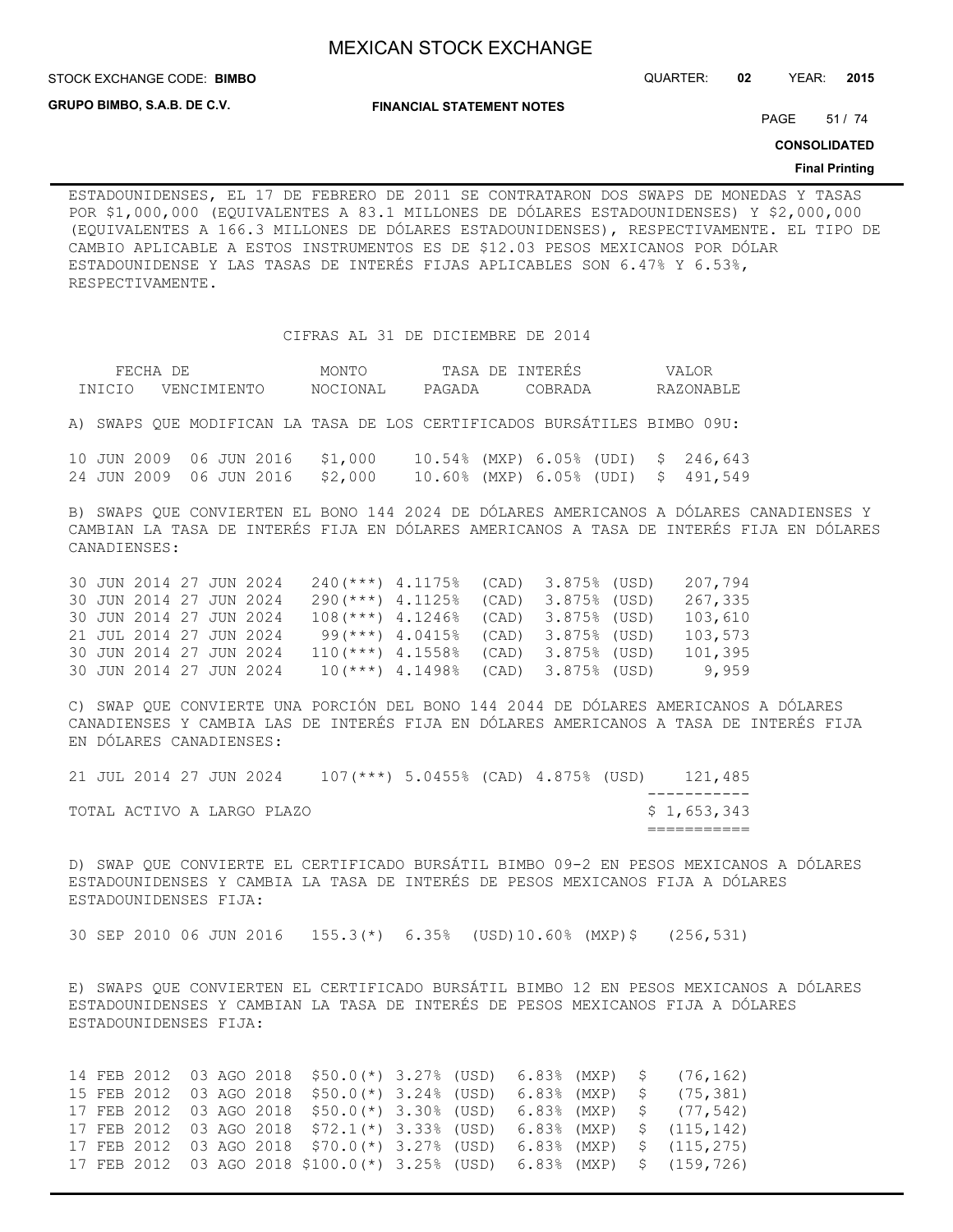**STOCK EXCHANGE CODE: BIMBO** 

STOCK EXCHANGE CODE: QUARTER: **02** YEAR: **2015**

**GRUPO BIMBO, S.A.B. DE C.V.**

**FINANCIAL STATEMENT NOTES**

PAGE 51 / 74

**CONSOLIDATED**

#### **Final Printing**

ESTADOUNIDENSES, EL 17 DE FEBRERO DE 2011 SE CONTRATARON DOS SWAPS DE MONEDAS Y TASAS POR \$1,000,000 (EQUIVALENTES A 83.1 MILLONES DE DÓLARES ESTADOUNIDENSES) Y \$2,000,000 (EQUIVALENTES A 166.3 MILLONES DE DÓLARES ESTADOUNIDENSES), RESPECTIVAMENTE. EL TIPO DE CAMBIO APLICABLE A ESTOS INSTRUMENTOS ES DE \$12.03 PESOS MEXICANOS POR DÓLAR ESTADOUNIDENSE Y LAS TASAS DE INTERÉS FIJAS APLICABLES SON 6.47% Y 6.53%, RESPECTIVAMENTE.

CIFRAS AL 31 DE DICIEMBRE DE 2014

| FECHA  | DF               | MONT(    | тд.<br>DE.  | INTERES | 7 A T     |
|--------|------------------|----------|-------------|---------|-----------|
| TNTCTO | 7ENC.<br>「MTENT∩ | NOCIONAL | ገገ<br>PAGAT | COBRADA | RAZONARLE |

A) SWAPS QUE MODIFICAN LA TASA DE LOS CERTIFICADOS BURSÁTILES BIMBO 09U:

10 JUN 2009 06 JUN 2016 \$1,000 10.54% (MXP) 6.05% (UDI) \$ 246,643 24 JUN 2009 06 JUN 2016 \$2,000 10.60% (MXP) 6.05% (UDI) \$ 491,549

B) SWAPS QUE CONVIERTEN EL BONO 144 2024 DE DÓLARES AMERICANOS A DÓLARES CANADIENSES Y CAMBIAN LA TASA DE INTERÉS FIJA EN DÓLARES AMERICANOS A TASA DE INTERÉS FIJA EN DÓLARES CANADIENSES:

30 JUN 2014 27 JUN 2024 240(\*\*\*) 4.1175% (CAD) 3.875% (USD) 207,794 30 JUN 2014 27 JUN 2024 290(\*\*\*) 4.1125% (CAD) 3.875% (USD) 267,335 30 JUN 2014 27 JUN 2024 108(\*\*\*) 4.1246% (CAD) 3.875% (USD) 103,610 21 JUL 2014 27 JUN 2024 99(\*\*\*) 4.0415% (CAD) 3.875% (USD) 103,573 30 JUN 2014 27 JUN 2024 110(\*\*\*) 4.1558% (CAD) 3.875% (USD) 101,395 30 JUN 2014 27 JUN 2024 10(\*\*\*) 4.1498% (CAD) 3.875% (USD) 9,959

C) SWAP QUE CONVIERTE UNA PORCIÓN DEL BONO 144 2044 DE DÓLARES AMERICANOS A DÓLARES CANADIENSES Y CAMBIA LAS DE INTERÉS FIJA EN DÓLARES AMERICANOS A TASA DE INTERÉS FIJA EN DÓLARES CANADIENSES:

|  | 21 JUL 2014 27 JUN 2024 |  |                            | $107$ (***) 5.0455% (CAD) 4.875% (USD) |  |  | 121,485     |
|--|-------------------------|--|----------------------------|----------------------------------------|--|--|-------------|
|  |                         |  |                            |                                        |  |  |             |
|  |                         |  | TOTAL ACTIVO A LARGO PLAZO |                                        |  |  | \$1,653,343 |
|  |                         |  |                            |                                        |  |  |             |

D) SWAP QUE CONVIERTE EL CERTIFICADO BURSÁTIL BIMBO 09-2 EN PESOS MEXICANOS A DÓLARES ESTADOUNIDENSES Y CAMBIA LA TASA DE INTERÉS DE PESOS MEXICANOS FIJA A DÓLARES ESTADOUNIDENSES FIJA:

30 SEP 2010 06 JUN 2016 155.3(\*) 6.35% (USD)10.60% (MXP)\$ (256,531)

E) SWAPS QUE CONVIERTEN EL CERTIFICADO BURSÁTIL BIMBO 12 EN PESOS MEXICANOS A DÓLARES ESTADOUNIDENSES Y CAMBIAN LA TASA DE INTERÉS DE PESOS MEXICANOS FIJA A DÓLARES ESTADOUNIDENSES FIJA:

14 FEB 2012 03 AGO 2018 \$50.0(\*) 3.27% (USD) 6.83% (MXP) \$ (76,162) 15 FEB 2012 03 AGO 2018 \$50.0(\*) 3.24% (USD) 6.83% (MXP) \$ (75,381) 17 FEB 2012 03 AGO 2018 \$50.0(\*) 3.30% (USD) 6.83% (MXP) \$ (77,542) 17 FEB 2012 03 AGO 2018 \$72.1(\*) 3.33% (USD) 6.83% (MXP) \$ (115,142) 17 FEB 2012 03 AGO 2018 \$70.0(\*) 3.27% (USD) 6.83% (MXP) \$ (115,275) 17 FEB 2012 03 AGO 2018 \$100.0(\*) 3.25% (USD) 6.83% (MXP) \$ (159,726)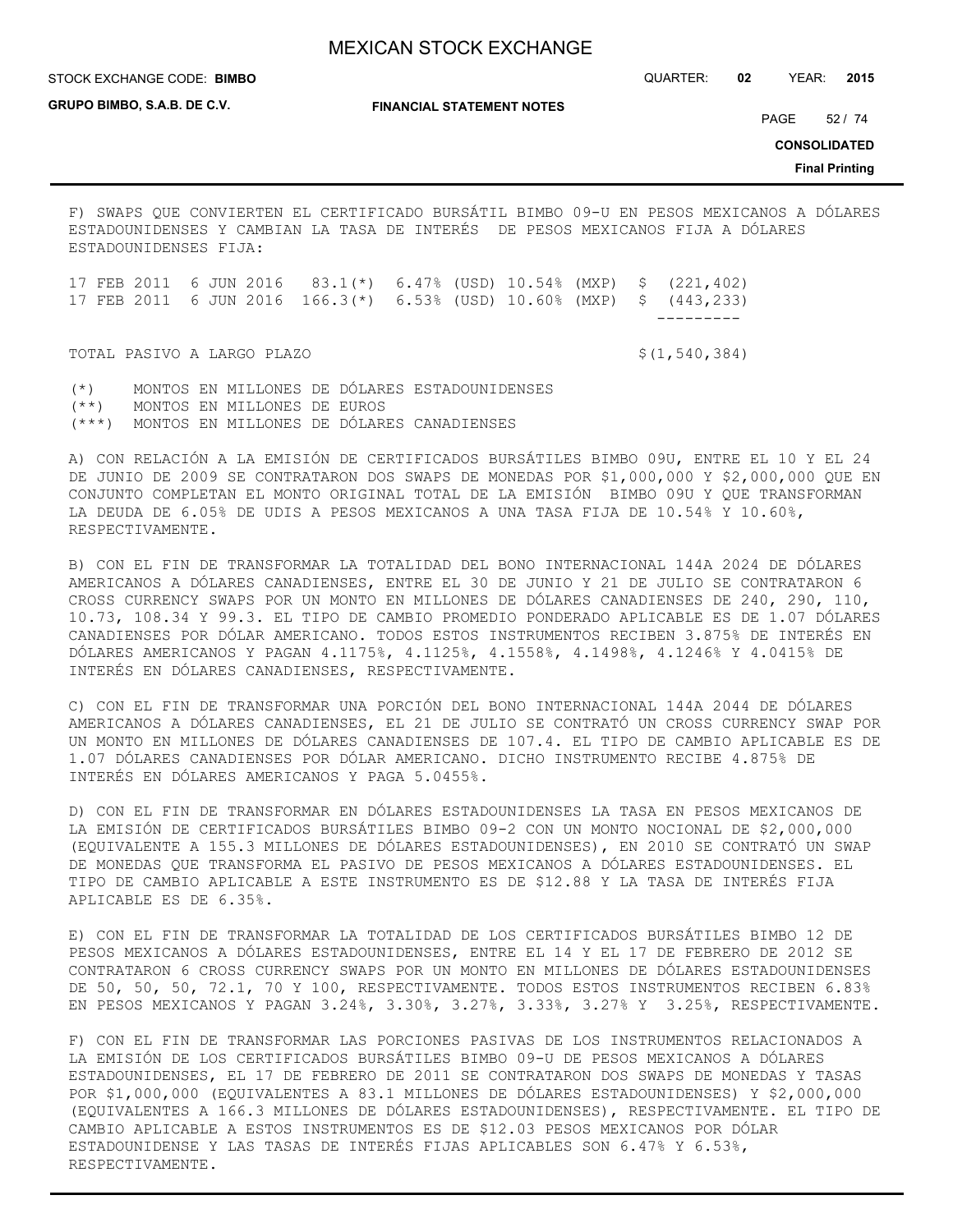STOCK EXCHANGE CODE: QUARTER: **02** YEAR: **2015 BIMBO**

**GRUPO BIMBO, S.A.B. DE C.V.**

**FINANCIAL STATEMENT NOTES**

PAGE 52 / 74

**CONSOLIDATED**

**Final Printing**

F) SWAPS QUE CONVIERTEN EL CERTIFICADO BURSÁTIL BIMBO 09-U EN PESOS MEXICANOS A DÓLARES ESTADOUNIDENSES Y CAMBIAN LA TASA DE INTERÉS DE PESOS MEXICANOS FIJA A DÓLARES ESTADOUNIDENSES FIJA:

17 FEB 2011 6 JUN 2016 83.1(\*) 6.47% (USD) 10.54% (MXP) \$ (221,402) 17 FEB 2011 6 JUN 2016 166.3(\*) 6.53% (USD) 10.60% (MXP) \$ (443,233) ---------

TOTAL PASIVO A LARGO PLAZO  $\zeta(1,540,384)$ 

(\*) MONTOS EN MILLONES DE DÓLARES ESTADOUNIDENSES (\*\*) MONTOS EN MILLONES DE EUROS

(\*\*\*) MONTOS EN MILLONES DE DÓLARES CANADIENSES

A) CON RELACIÓN A LA EMISIÓN DE CERTIFICADOS BURSÁTILES BIMBO 09U, ENTRE EL 10 Y EL 24 DE JUNIO DE 2009 SE CONTRATARON DOS SWAPS DE MONEDAS POR \$1,000,000 Y \$2,000,000 QUE EN CONJUNTO COMPLETAN EL MONTO ORIGINAL TOTAL DE LA EMISIÓN BIMBO 09U Y QUE TRANSFORMAN LA DEUDA DE 6.05% DE UDIS A PESOS MEXICANOS A UNA TASA FIJA DE 10.54% Y 10.60%, RESPECTIVAMENTE.

B) CON EL FIN DE TRANSFORMAR LA TOTALIDAD DEL BONO INTERNACIONAL 144A 2024 DE DÓLARES AMERICANOS A DÓLARES CANADIENSES, ENTRE EL 30 DE JUNIO Y 21 DE JULIO SE CONTRATARON 6 CROSS CURRENCY SWAPS POR UN MONTO EN MILLONES DE DÓLARES CANADIENSES DE 240, 290, 110, 10.73, 108.34 Y 99.3. EL TIPO DE CAMBIO PROMEDIO PONDERADO APLICABLE ES DE 1.07 DÓLARES CANADIENSES POR DÓLAR AMERICANO. TODOS ESTOS INSTRUMENTOS RECIBEN 3.875% DE INTERÉS EN DÓLARES AMERICANOS Y PAGAN 4.1175%, 4.1125%, 4.1558%, 4.1498%, 4.1246% Y 4.0415% DE INTERÉS EN DÓLARES CANADIENSES, RESPECTIVAMENTE.

C) CON EL FIN DE TRANSFORMAR UNA PORCIÓN DEL BONO INTERNACIONAL 144A 2044 DE DÓLARES AMERICANOS A DÓLARES CANADIENSES, EL 21 DE JULIO SE CONTRATÓ UN CROSS CURRENCY SWAP POR UN MONTO EN MILLONES DE DÓLARES CANADIENSES DE 107.4. EL TIPO DE CAMBIO APLICABLE ES DE 1.07 DÓLARES CANADIENSES POR DÓLAR AMERICANO. DICHO INSTRUMENTO RECIBE 4.875% DE INTERÉS EN DÓLARES AMERICANOS Y PAGA 5.0455%.

D) CON EL FIN DE TRANSFORMAR EN DÓLARES ESTADOUNIDENSES LA TASA EN PESOS MEXICANOS DE LA EMISIÓN DE CERTIFICADOS BURSÁTILES BIMBO 09-2 CON UN MONTO NOCIONAL DE \$2,000,000 (EQUIVALENTE A 155.3 MILLONES DE DÓLARES ESTADOUNIDENSES), EN 2010 SE CONTRATÓ UN SWAP DE MONEDAS QUE TRANSFORMA EL PASIVO DE PESOS MEXICANOS A DÓLARES ESTADOUNIDENSES. EL TIPO DE CAMBIO APLICABLE A ESTE INSTRUMENTO ES DE \$12.88 Y LA TASA DE INTERÉS FIJA APLICABLE ES DE 6.35%.

E) CON EL FIN DE TRANSFORMAR LA TOTALIDAD DE LOS CERTIFICADOS BURSÁTILES BIMBO 12 DE PESOS MEXICANOS A DÓLARES ESTADOUNIDENSES, ENTRE EL 14 Y EL 17 DE FEBRERO DE 2012 SE CONTRATARON 6 CROSS CURRENCY SWAPS POR UN MONTO EN MILLONES DE DÓLARES ESTADOUNIDENSES DE 50, 50, 50, 72.1, 70 Y 100, RESPECTIVAMENTE. TODOS ESTOS INSTRUMENTOS RECIBEN 6.83% EN PESOS MEXICANOS Y PAGAN 3.24%, 3.30%, 3.27%, 3.33%, 3.27% Y 3.25%, RESPECTIVAMENTE.

F) CON EL FIN DE TRANSFORMAR LAS PORCIONES PASIVAS DE LOS INSTRUMENTOS RELACIONADOS A LA EMISIÓN DE LOS CERTIFICADOS BURSÁTILES BIMBO 09-U DE PESOS MEXICANOS A DÓLARES ESTADOUNIDENSES, EL 17 DE FEBRERO DE 2011 SE CONTRATARON DOS SWAPS DE MONEDAS Y TASAS POR \$1,000,000 (EQUIVALENTES A 83.1 MILLONES DE DÓLARES ESTADOUNIDENSES) Y \$2,000,000 (EQUIVALENTES A 166.3 MILLONES DE DÓLARES ESTADOUNIDENSES), RESPECTIVAMENTE. EL TIPO DE CAMBIO APLICABLE A ESTOS INSTRUMENTOS ES DE \$12.03 PESOS MEXICANOS POR DÓLAR ESTADOUNIDENSE Y LAS TASAS DE INTERÉS FIJAS APLICABLES SON 6.47% Y 6.53%, RESPECTIVAMENTE.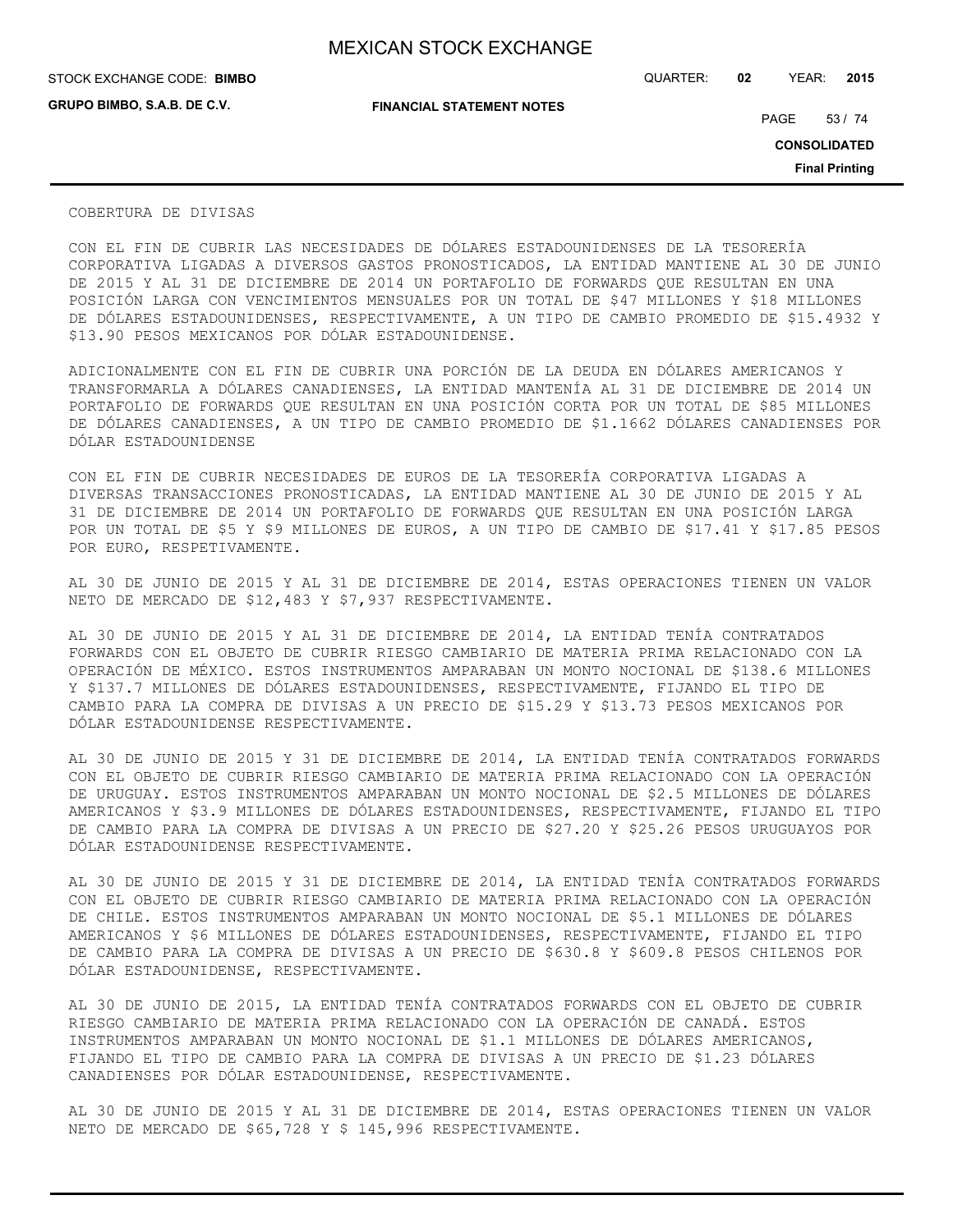**GRUPO BIMBO, S.A.B. DE C.V.**

STOCK EXCHANGE CODE: QUARTER: **02** YEAR: **2015 BIMBO**

**FINANCIAL STATEMENT NOTES**

PAGE 53 / 74

**CONSOLIDATED**

**Final Printing**

#### COBERTURA DE DIVISAS

CON EL FIN DE CUBRIR LAS NECESIDADES DE DÓLARES ESTADOUNIDENSES DE LA TESORERÍA CORPORATIVA LIGADAS A DIVERSOS GASTOS PRONOSTICADOS, LA ENTIDAD MANTIENE AL 30 DE JUNIO DE 2015 Y AL 31 DE DICIEMBRE DE 2014 UN PORTAFOLIO DE FORWARDS QUE RESULTAN EN UNA POSICIÓN LARGA CON VENCIMIENTOS MENSUALES POR UN TOTAL DE \$47 MILLONES Y \$18 MILLONES DE DÓLARES ESTADOUNIDENSES, RESPECTIVAMENTE, A UN TIPO DE CAMBIO PROMEDIO DE \$15.4932 Y \$13.90 PESOS MEXICANOS POR DÓLAR ESTADOUNIDENSE.

ADICIONALMENTE CON EL FIN DE CUBRIR UNA PORCIÓN DE LA DEUDA EN DÓLARES AMERICANOS Y TRANSFORMARLA A DÓLARES CANADIENSES, LA ENTIDAD MANTENÍA AL 31 DE DICIEMBRE DE 2014 UN PORTAFOLIO DE FORWARDS QUE RESULTAN EN UNA POSICIÓN CORTA POR UN TOTAL DE \$85 MILLONES DE DÓLARES CANADIENSES, A UN TIPO DE CAMBIO PROMEDIO DE \$1.1662 DÓLARES CANADIENSES POR DÓLAR ESTADOUNIDENSE

CON EL FIN DE CUBRIR NECESIDADES DE EUROS DE LA TESORERÍA CORPORATIVA LIGADAS A DIVERSAS TRANSACCIONES PRONOSTICADAS, LA ENTIDAD MANTIENE AL 30 DE JUNIO DE 2015 Y AL 31 DE DICIEMBRE DE 2014 UN PORTAFOLIO DE FORWARDS QUE RESULTAN EN UNA POSICIÓN LARGA POR UN TOTAL DE \$5 Y \$9 MILLONES DE EUROS, A UN TIPO DE CAMBIO DE \$17.41 Y \$17.85 PESOS POR EURO, RESPETIVAMENTE.

AL 30 DE JUNIO DE 2015 Y AL 31 DE DICIEMBRE DE 2014, ESTAS OPERACIONES TIENEN UN VALOR NETO DE MERCADO DE \$12,483 Y \$7,937 RESPECTIVAMENTE.

AL 30 DE JUNIO DE 2015 Y AL 31 DE DICIEMBRE DE 2014, LA ENTIDAD TENÍA CONTRATADOS FORWARDS CON EL OBJETO DE CUBRIR RIESGO CAMBIARIO DE MATERIA PRIMA RELACIONADO CON LA OPERACIÓN DE MÉXICO. ESTOS INSTRUMENTOS AMPARABAN UN MONTO NOCIONAL DE \$138.6 MILLONES Y \$137.7 MILLONES DE DÓLARES ESTADOUNIDENSES, RESPECTIVAMENTE, FIJANDO EL TIPO DE CAMBIO PARA LA COMPRA DE DIVISAS A UN PRECIO DE \$15.29 Y \$13.73 PESOS MEXICANOS POR DÓLAR ESTADOUNIDENSE RESPECTIVAMENTE.

AL 30 DE JUNIO DE 2015 Y 31 DE DICIEMBRE DE 2014, LA ENTIDAD TENÍA CONTRATADOS FORWARDS CON EL OBJETO DE CUBRIR RIESGO CAMBIARIO DE MATERIA PRIMA RELACIONADO CON LA OPERACIÓN DE URUGUAY. ESTOS INSTRUMENTOS AMPARABAN UN MONTO NOCIONAL DE \$2.5 MILLONES DE DÓLARES AMERICANOS Y \$3.9 MILLONES DE DÓLARES ESTADOUNIDENSES, RESPECTIVAMENTE, FIJANDO EL TIPO DE CAMBIO PARA LA COMPRA DE DIVISAS A UN PRECIO DE \$27.20 Y \$25.26 PESOS URUGUAYOS POR DÓLAR ESTADOUNIDENSE RESPECTIVAMENTE.

AL 30 DE JUNIO DE 2015 Y 31 DE DICIEMBRE DE 2014, LA ENTIDAD TENÍA CONTRATADOS FORWARDS CON EL OBJETO DE CUBRIR RIESGO CAMBIARIO DE MATERIA PRIMA RELACIONADO CON LA OPERACIÓN DE CHILE. ESTOS INSTRUMENTOS AMPARABAN UN MONTO NOCIONAL DE \$5.1 MILLONES DE DÓLARES AMERICANOS Y \$6 MILLONES DE DÓLARES ESTADOUNIDENSES, RESPECTIVAMENTE, FIJANDO EL TIPO DE CAMBIO PARA LA COMPRA DE DIVISAS A UN PRECIO DE \$630.8 Y \$609.8 PESOS CHILENOS POR DÓLAR ESTADOUNIDENSE, RESPECTIVAMENTE.

AL 30 DE JUNIO DE 2015, LA ENTIDAD TENÍA CONTRATADOS FORWARDS CON EL OBJETO DE CUBRIR RIESGO CAMBIARIO DE MATERIA PRIMA RELACIONADO CON LA OPERACIÓN DE CANADÁ. ESTOS INSTRUMENTOS AMPARABAN UN MONTO NOCIONAL DE \$1.1 MILLONES DE DÓLARES AMERICANOS, FIJANDO EL TIPO DE CAMBIO PARA LA COMPRA DE DIVISAS A UN PRECIO DE \$1.23 DÓLARES CANADIENSES POR DÓLAR ESTADOUNIDENSE, RESPECTIVAMENTE.

AL 30 DE JUNIO DE 2015 Y AL 31 DE DICIEMBRE DE 2014, ESTAS OPERACIONES TIENEN UN VALOR NETO DE MERCADO DE \$65,728 Y \$ 145,996 RESPECTIVAMENTE.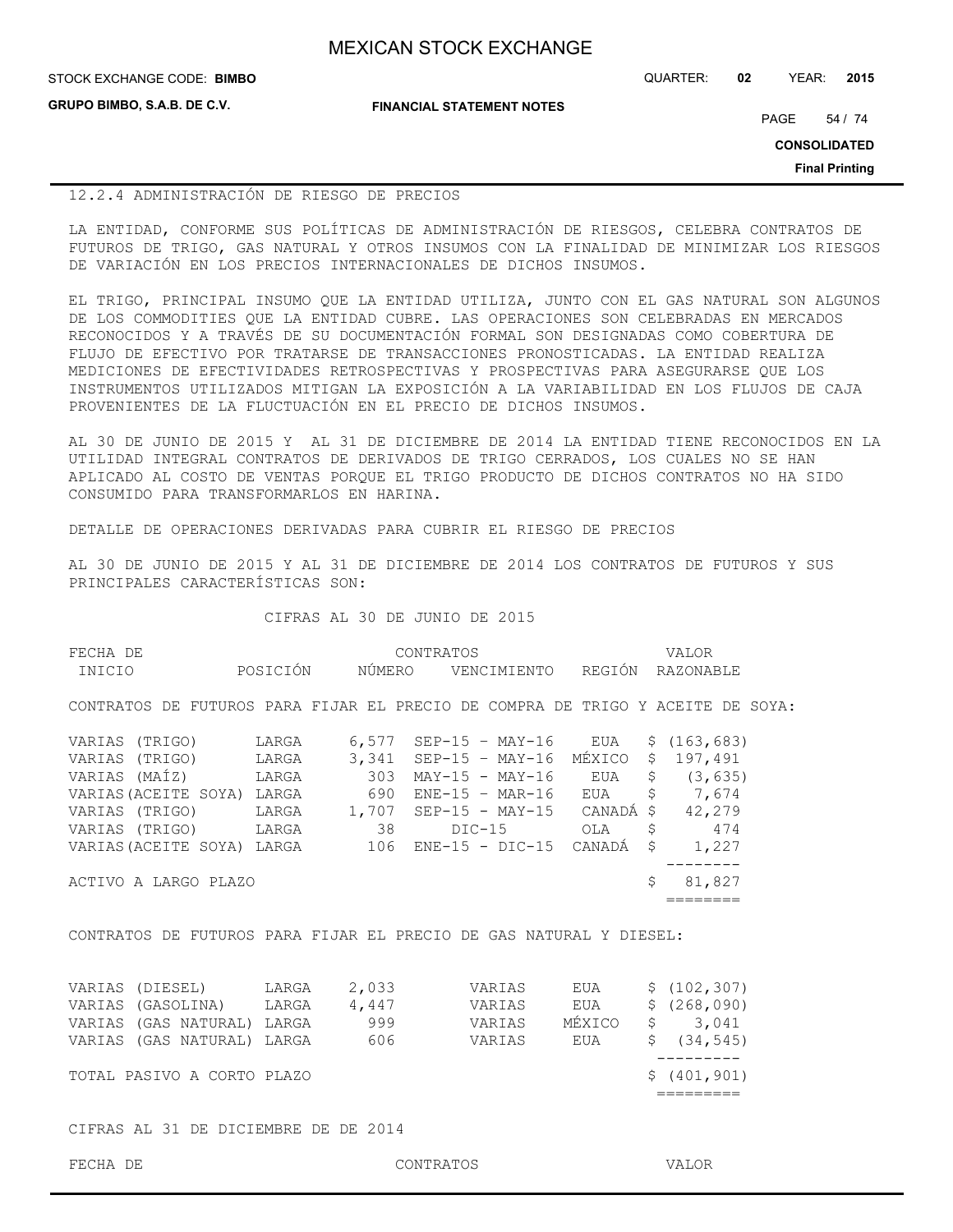| <b>MEXICAN STOCK EXCHANGE</b> |  |
|-------------------------------|--|
|-------------------------------|--|

**STOCK EXCHANGE CODE: BIMBO** 

**GRUPO BIMBO, S.A.B. DE C.V.**

**FINANCIAL STATEMENT NOTES**

STOCK EXCHANGE CODE: QUARTER: **02** YEAR: **2015**

PAGE 54 / 74

**CONSOLIDATED**

**Final Printing**

#### 12.2.4 ADMINISTRACIÓN DE RIESGO DE PRECIOS

LA ENTIDAD, CONFORME SUS POLÍTICAS DE ADMINISTRACIÓN DE RIESGOS, CELEBRA CONTRATOS DE FUTUROS DE TRIGO, GAS NATURAL Y OTROS INSUMOS CON LA FINALIDAD DE MINIMIZAR LOS RIESGOS DE VARIACIÓN EN LOS PRECIOS INTERNACIONALES DE DICHOS INSUMOS.

EL TRIGO, PRINCIPAL INSUMO QUE LA ENTIDAD UTILIZA, JUNTO CON EL GAS NATURAL SON ALGUNOS DE LOS COMMODITIES QUE LA ENTIDAD CUBRE. LAS OPERACIONES SON CELEBRADAS EN MERCADOS RECONOCIDOS Y A TRAVÉS DE SU DOCUMENTACIÓN FORMAL SON DESIGNADAS COMO COBERTURA DE FLUJO DE EFECTIVO POR TRATARSE DE TRANSACCIONES PRONOSTICADAS. LA ENTIDAD REALIZA MEDICIONES DE EFECTIVIDADES RETROSPECTIVAS Y PROSPECTIVAS PARA ASEGURARSE QUE LOS INSTRUMENTOS UTILIZADOS MITIGAN LA EXPOSICIÓN A LA VARIABILIDAD EN LOS FLUJOS DE CAJA PROVENIENTES DE LA FLUCTUACIÓN EN EL PRECIO DE DICHOS INSUMOS.

AL 30 DE JUNIO DE 2015 Y AL 31 DE DICIEMBRE DE 2014 LA ENTIDAD TIENE RECONOCIDOS EN LA UTILIDAD INTEGRAL CONTRATOS DE DERIVADOS DE TRIGO CERRADOS, LOS CUALES NO SE HAN APLICADO AL COSTO DE VENTAS PORQUE EL TRIGO PRODUCTO DE DICHOS CONTRATOS NO HA SIDO CONSUMIDO PARA TRANSFORMARLOS EN HARINA.

DETALLE DE OPERACIONES DERIVADAS PARA CUBRIR EL RIESGO DE PRECIOS

AL 30 DE JUNIO DE 2015 Y AL 31 DE DICIEMBRE DE 2014 LOS CONTRATOS DE FUTUROS Y SUS PRINCIPALES CARACTERÍSTICAS SON:

CIFRAS AL 30 DE JUNIO DE 2015

| FECHA DE                   |                                                                                                                                                                                                     | CONTRATOS                                           |        | VALOR                                               |  |
|----------------------------|-----------------------------------------------------------------------------------------------------------------------------------------------------------------------------------------------------|-----------------------------------------------------|--------|-----------------------------------------------------|--|
| INICIO                     |                                                                                                                                                                                                     | POSICIÓN   NÚMERO   VENCIMIENTO   REGIÓN  RAZONABLE |        |                                                     |  |
|                            | CONTRATOS DE FUTUROS PARA FIJAR EL PRECIO DE COMPRA DE TRIGO Y ACEITE DE SOYA:                                                                                                                      |                                                     |        |                                                     |  |
|                            | VARIAS (TRIGO) LARGA 6,577 SEP-15 - MAY-16 EUA<br>VARIAS (TRIGO) LARGA $3,341$ SEP-15 - MAY-16<br>VARIAS (MAÍZ) LARGA 303 MAY-15 - MAY-16 EUA<br>VARIAS (ACEITE SOYA) LARGA 690 ENE-15 - MAR-16 EUA |                                                     | MÉXICO | \$(163, 683)<br>\$197,491<br>\$ (3, 635)<br>\$7,674 |  |
|                            | VARIAS (TRIGO) LARGA 1,707 SEP-15 - MAY-15 CANADÁ \$ 42,279<br>VARIAS (TRIGO) LARGA 38 DIC-15 OLA                                                                                                   |                                                     |        | \$474                                               |  |
|                            | VARIAS (ACEITE SOYA) LARGA 106 ENE-15 - DIC-15 CANADÁ                                                                                                                                               |                                                     |        | \$1,227                                             |  |
| ACTIVO A LARGO PLAZO       |                                                                                                                                                                                                     |                                                     |        | 81,827<br>Ŝ.<br>========                            |  |
|                            | CONTRATOS DE FUTUROS PARA FIJAR EL PRECIO DE GAS NATURAL Y DIESEL:                                                                                                                                  |                                                     |        |                                                     |  |
|                            | VARIAS (DIESEL) LARGA 2,033 VARIAS EUA<br>VARIAS (GASOLINA) LARGA 4,447 VARIAS EUA                                                                                                                  |                                                     |        | \$(102, 307)<br>\$(268,090)                         |  |
|                            |                                                                                                                                                                                                     |                                                     |        | \$3,041<br>\$ (34, 545)                             |  |
| TOTAL PASIVO A CORTO PLAZO |                                                                                                                                                                                                     |                                                     |        | \$ (401, 901)<br>$=$ ========                       |  |

### CIFRAS AL 31 DE DICIEMBRE DE DE 2014

| M.<br>۰. |  |
|----------|--|
|----------|--|

CONTRATOS VALOR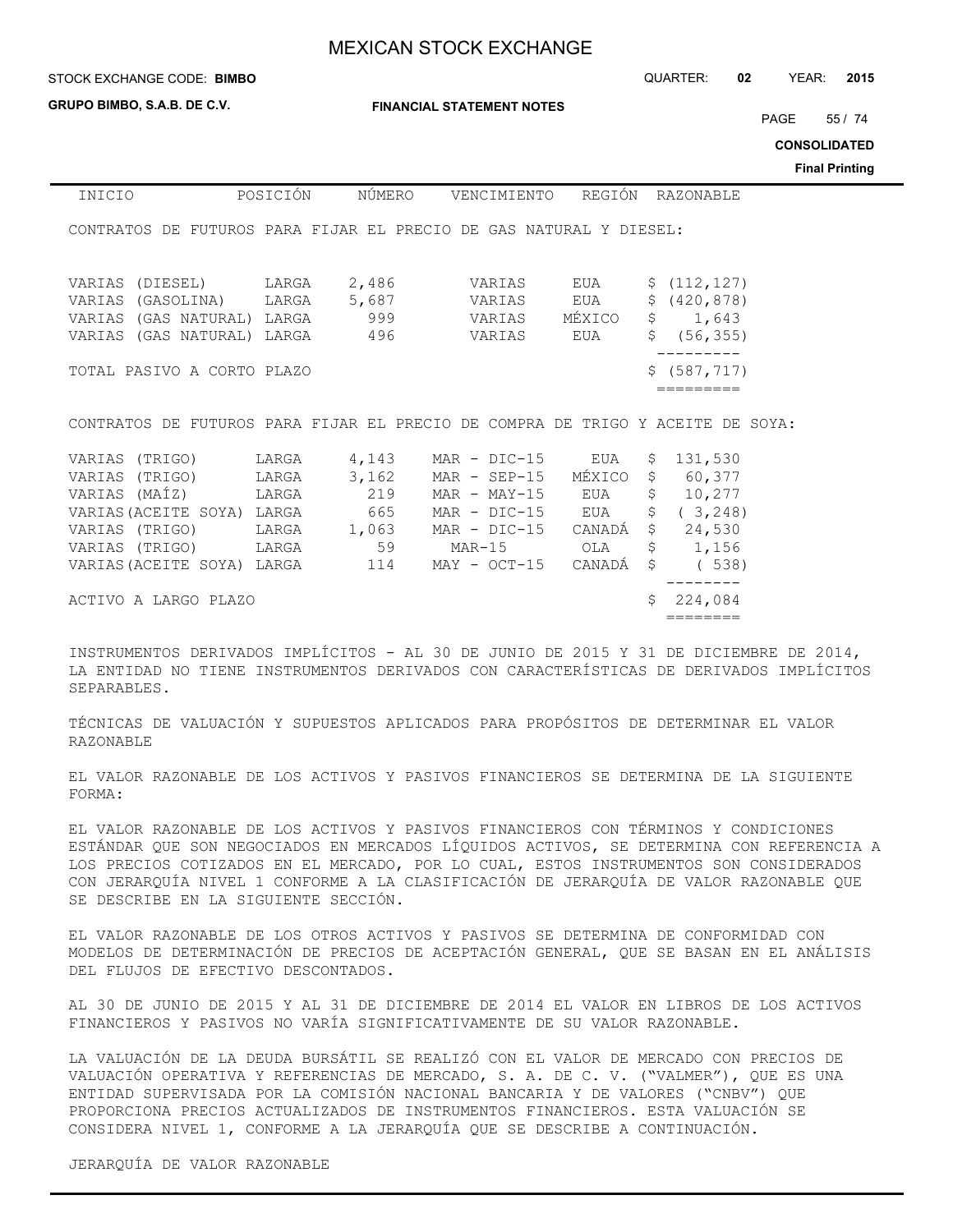**FINANCIAL STATEMENT NOTES** STOCK EXCHANGE CODE: QUARTER: **02** YEAR: **2015 CONSOLIDATED Final Printing STOCK EXCHANGE CODE: BIMBO GRUPO BIMBO, S.A.B. DE C.V.** PAGE 55 / 74 INICIO POSICIÓN NÚMERO VENCIMIENTO REGIÓN RAZONABLE CONTRATOS DE FUTUROS PARA FIJAR EL PRECIO DE GAS NATURAL Y DIESEL: VARIAS (DIESEL) LARGA 2,486 VARIAS EUA \$ (112,127) VARIAS (GASOLINA) LARGA 5,687 VARIAS EUA \$ (420,878) VARIAS (GAS NATURAL) LARGA 999 VARIAS MÉXICO \$ 1,643 VARIAS (GAS NATURAL) LARGA 496 VARIAS EUA \$ (56,355) --------- TOTAL PASIVO A CORTO PLAZO **\$** (587,717) ========= CONTRATOS DE FUTUROS PARA FIJAR EL PRECIO DE COMPRA DE TRIGO Y ACEITE DE SOYA: VARIAS (TRIGO) LARGA 4,143 MAR - DIC-15 EUA \$ 131,530 VARIAS (TRIGO) LARGA 3,162 MAR - SEP-15 MÉXICO \$ 60,377 VARIAS (MAÍZ) LARGA 219 MAR - MAY-15 EUA \$ 10,277 VARIAS(ACEITE SOYA) LARGA 665 MAR - DIC-15 EUA \$ ( 3,248) VARIAS (TRIGO) LARGA 1,063 MAR - DIC-15 CANADÁ \$ 24,530 VARIAS (TRIGO) LARGA 59 MAR-15 OLA \$ 1,156

VARIAS(ACEITE SOYA) LARGA 114 MAY - OCT-15 CANADÁ \$ ( 538) -------- ACTIVO A LARGO PLAZO **\$** 224,084 ========

INSTRUMENTOS DERIVADOS IMPLÍCITOS - AL 30 DE JUNIO DE 2015 Y 31 DE DICIEMBRE DE 2014, LA ENTIDAD NO TIENE INSTRUMENTOS DERIVADOS CON CARACTERÍSTICAS DE DERIVADOS IMPLÍCITOS SEPARABLES.

TÉCNICAS DE VALUACIÓN Y SUPUESTOS APLICADOS PARA PROPÓSITOS DE DETERMINAR EL VALOR RAZONABLE

EL VALOR RAZONABLE DE LOS ACTIVOS Y PASIVOS FINANCIEROS SE DETERMINA DE LA SIGUIENTE FORMA:

EL VALOR RAZONABLE DE LOS ACTIVOS Y PASIVOS FINANCIEROS CON TÉRMINOS Y CONDICIONES ESTÁNDAR QUE SON NEGOCIADOS EN MERCADOS LÍQUIDOS ACTIVOS, SE DETERMINA CON REFERENCIA A LOS PRECIOS COTIZADOS EN EL MERCADO, POR LO CUAL, ESTOS INSTRUMENTOS SON CONSIDERADOS CON JERARQUÍA NIVEL 1 CONFORME A LA CLASIFICACIÓN DE JERARQUÍA DE VALOR RAZONABLE QUE SE DESCRIBE EN LA SIGUIENTE SECCIÓN.

EL VALOR RAZONABLE DE LOS OTROS ACTIVOS Y PASIVOS SE DETERMINA DE CONFORMIDAD CON MODELOS DE DETERMINACIÓN DE PRECIOS DE ACEPTACIÓN GENERAL, QUE SE BASAN EN EL ANÁLISIS DEL FLUJOS DE EFECTIVO DESCONTADOS.

AL 30 DE JUNIO DE 2015 Y AL 31 DE DICIEMBRE DE 2014 EL VALOR EN LIBROS DE LOS ACTIVOS FINANCIEROS Y PASIVOS NO VARÍA SIGNIFICATIVAMENTE DE SU VALOR RAZONABLE.

LA VALUACIÓN DE LA DEUDA BURSÁTIL SE REALIZÓ CON EL VALOR DE MERCADO CON PRECIOS DE VALUACIÓN OPERATIVA Y REFERENCIAS DE MERCADO, S. A. DE C. V. ("VALMER"), QUE ES UNA ENTIDAD SUPERVISADA POR LA COMISIÓN NACIONAL BANCARIA Y DE VALORES ("CNBV") QUE PROPORCIONA PRECIOS ACTUALIZADOS DE INSTRUMENTOS FINANCIEROS. ESTA VALUACIÓN SE CONSIDERA NIVEL 1, CONFORME A LA JERARQUÍA QUE SE DESCRIBE A CONTINUACIÓN.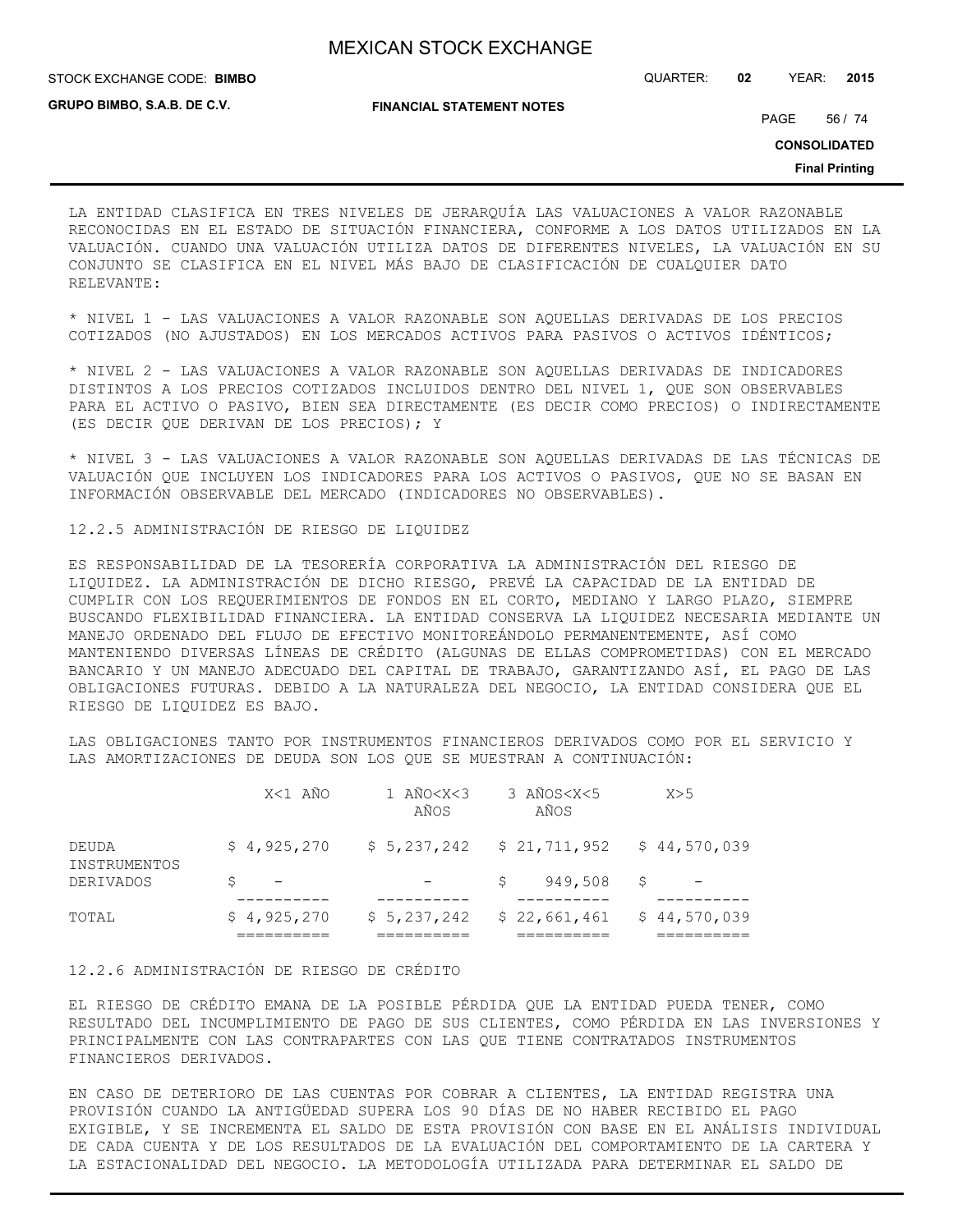STOCK EXCHANGE CODE: QUARTER: **02** YEAR: **2015 BIMBO**

**GRUPO BIMBO, S.A.B. DE C.V.**

**FINANCIAL STATEMENT NOTES**

PAGE 56 / 74

**CONSOLIDATED**

**Final Printing**

LA ENTIDAD CLASIFICA EN TRES NIVELES DE JERARQUÍA LAS VALUACIONES A VALOR RAZONABLE RECONOCIDAS EN EL ESTADO DE SITUACIÓN FINANCIERA, CONFORME A LOS DATOS UTILIZADOS EN LA VALUACIÓN. CUANDO UNA VALUACIÓN UTILIZA DATOS DE DIFERENTES NIVELES, LA VALUACIÓN EN SU CONJUNTO SE CLASIFICA EN EL NIVEL MÁS BAJO DE CLASIFICACIÓN DE CUALQUIER DATO RELEVANTE:

\* NIVEL 1 - LAS VALUACIONES A VALOR RAZONABLE SON AQUELLAS DERIVADAS DE LOS PRECIOS COTIZADOS (NO AJUSTADOS) EN LOS MERCADOS ACTIVOS PARA PASIVOS O ACTIVOS IDÉNTICOS;

\* NIVEL 2 - LAS VALUACIONES A VALOR RAZONABLE SON AQUELLAS DERIVADAS DE INDICADORES DISTINTOS A LOS PRECIOS COTIZADOS INCLUIDOS DENTRO DEL NIVEL 1, QUE SON OBSERVABLES PARA EL ACTIVO O PASIVO, BIEN SEA DIRECTAMENTE (ES DECIR COMO PRECIOS) O INDIRECTAMENTE (ES DECIR QUE DERIVAN DE LOS PRECIOS); Y

\* NIVEL 3 - LAS VALUACIONES A VALOR RAZONABLE SON AQUELLAS DERIVADAS DE LAS TÉCNICAS DE VALUACIÓN QUE INCLUYEN LOS INDICADORES PARA LOS ACTIVOS O PASIVOS, QUE NO SE BASAN EN INFORMACIÓN OBSERVABLE DEL MERCADO (INDICADORES NO OBSERVABLES).

12.2.5 ADMINISTRACIÓN DE RIESGO DE LIQUIDEZ

ES RESPONSABILIDAD DE LA TESORERÍA CORPORATIVA LA ADMINISTRACIÓN DEL RIESGO DE LIQUIDEZ. LA ADMINISTRACIÓN DE DICHO RIESGO, PREVÉ LA CAPACIDAD DE LA ENTIDAD DE CUMPLIR CON LOS REQUERIMIENTOS DE FONDOS EN EL CORTO, MEDIANO Y LARGO PLAZO, SIEMPRE BUSCANDO FLEXIBILIDAD FINANCIERA. LA ENTIDAD CONSERVA LA LIQUIDEZ NECESARIA MEDIANTE UN MANEJO ORDENADO DEL FLUJO DE EFECTIVO MONITOREÁNDOLO PERMANENTEMENTE, ASÍ COMO MANTENIENDO DIVERSAS LÍNEAS DE CRÉDITO (ALGUNAS DE ELLAS COMPROMETIDAS) CON EL MERCADO BANCARIO Y UN MANEJO ADECUADO DEL CAPITAL DE TRABAJO, GARANTIZANDO ASÍ, EL PAGO DE LAS OBLIGACIONES FUTURAS. DEBIDO A LA NATURALEZA DEL NEGOCIO, LA ENTIDAD CONSIDERA QUE EL RIESGO DE LIQUIDEZ ES BAJO.

LAS OBLIGACIONES TANTO POR INSTRUMENTOS FINANCIEROS DERIVADOS COMO POR EL SERVICIO Y LAS AMORTIZACIONES DE DEUDA SON LOS QUE SE MUESTRAN A CONTINUACIÓN:

|                       | X<1 AÑO     | 1 AÑO <x<3<br>AÑOS</x<3<br> | 3 AÑOS <x<5<br>AÑOS</x<5<br>             | X>5          |
|-----------------------|-------------|-----------------------------|------------------------------------------|--------------|
| DEUDA<br>INSTRUMENTOS | \$4.925.270 |                             | $$5,237,242$ $$21,711,952$ $$44,570,039$ |              |
| <b>DERIVADOS</b>      |             |                             | 949,508 \$<br>S.                         |              |
| TOTAL                 | \$4.925.270 | \$5,237,242                 | \$22,661,461                             | \$44,570,039 |

12.2.6 ADMINISTRACIÓN DE RIESGO DE CRÉDITO

EL RIESGO DE CRÉDITO EMANA DE LA POSIBLE PÉRDIDA QUE LA ENTIDAD PUEDA TENER, COMO RESULTADO DEL INCUMPLIMIENTO DE PAGO DE SUS CLIENTES, COMO PÉRDIDA EN LAS INVERSIONES Y PRINCIPALMENTE CON LAS CONTRAPARTES CON LAS QUE TIENE CONTRATADOS INSTRUMENTOS FINANCIEROS DERIVADOS.

EN CASO DE DETERIORO DE LAS CUENTAS POR COBRAR A CLIENTES, LA ENTIDAD REGISTRA UNA PROVISIÓN CUANDO LA ANTIGÜEDAD SUPERA LOS 90 DÍAS DE NO HABER RECIBIDO EL PAGO EXIGIBLE, Y SE INCREMENTA EL SALDO DE ESTA PROVISIÓN CON BASE EN EL ANÁLISIS INDIVIDUAL DE CADA CUENTA Y DE LOS RESULTADOS DE LA EVALUACIÓN DEL COMPORTAMIENTO DE LA CARTERA Y LA ESTACIONALIDAD DEL NEGOCIO. LA METODOLOGÍA UTILIZADA PARA DETERMINAR EL SALDO DE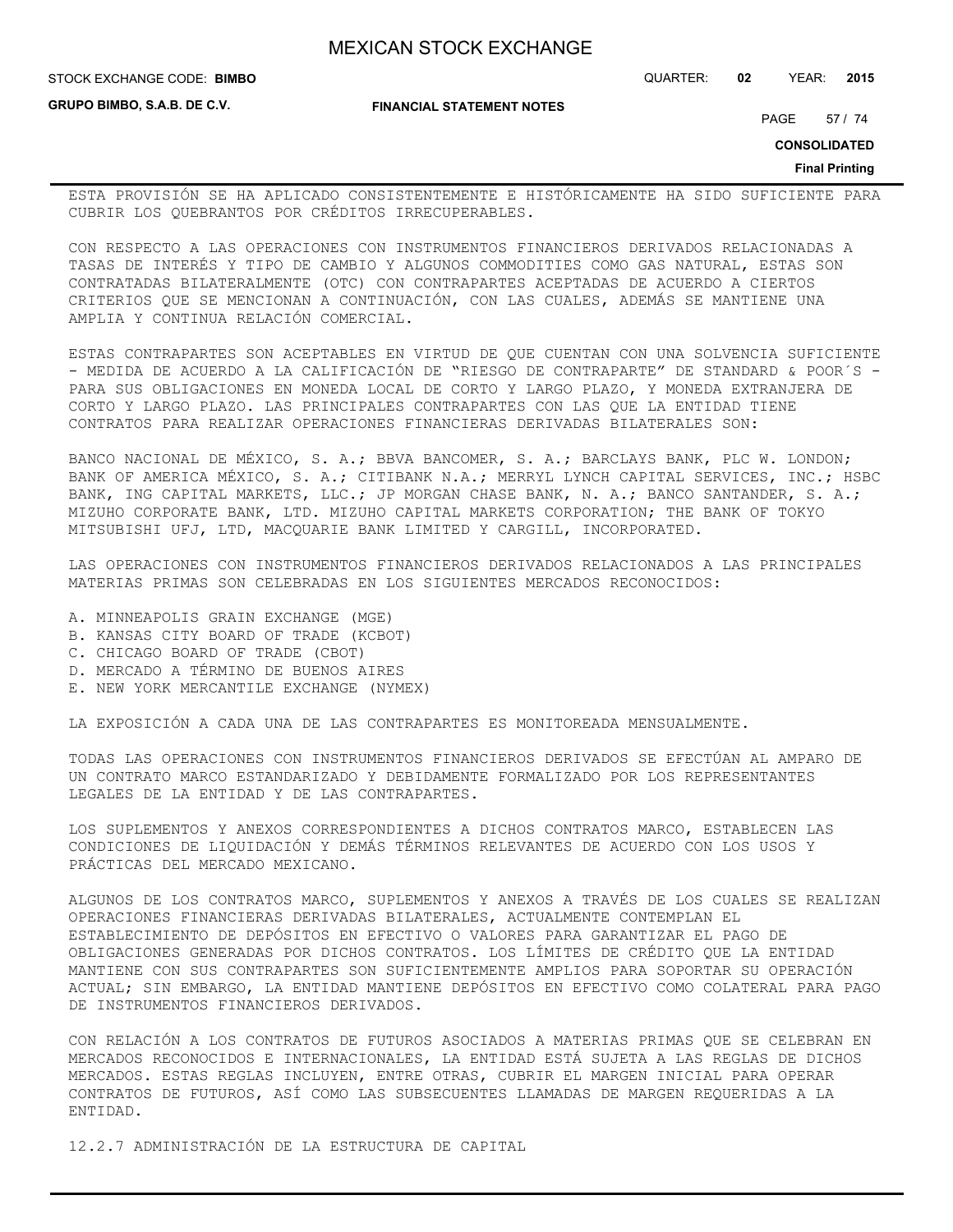**STOCK EXCHANGE CODE: BIMBO** 

**GRUPO BIMBO, S.A.B. DE C.V.**

#### STOCK EXCHANGE CODE: QUARTER: **02** YEAR: **2015**

**FINANCIAL STATEMENT NOTES**

PAGE 57 / 74

**CONSOLIDATED**

**Final Printing**

ESTA PROVISIÓN SE HA APLICADO CONSISTENTEMENTE E HISTÓRICAMENTE HA SIDO SUFICIENTE PARA CUBRIR LOS QUEBRANTOS POR CRÉDITOS IRRECUPERABLES.

CON RESPECTO A LAS OPERACIONES CON INSTRUMENTOS FINANCIEROS DERIVADOS RELACIONADAS A TASAS DE INTERÉS Y TIPO DE CAMBIO Y ALGUNOS COMMODITIES COMO GAS NATURAL, ESTAS SON CONTRATADAS BILATERALMENTE (OTC) CON CONTRAPARTES ACEPTADAS DE ACUERDO A CIERTOS CRITERIOS QUE SE MENCIONAN A CONTINUACIÓN, CON LAS CUALES, ADEMÁS SE MANTIENE UNA AMPLIA Y CONTINUA RELACIÓN COMERCIAL.

ESTAS CONTRAPARTES SON ACEPTABLES EN VIRTUD DE QUE CUENTAN CON UNA SOLVENCIA SUFICIENTE - MEDIDA DE ACUERDO A LA CALIFICACIÓN DE "RIESGO DE CONTRAPARTE" DE STANDARD & POOR´S - PARA SUS OBLIGACIONES EN MONEDA LOCAL DE CORTO Y LARGO PLAZO, Y MONEDA EXTRANJERA DE CORTO Y LARGO PLAZO. LAS PRINCIPALES CONTRAPARTES CON LAS QUE LA ENTIDAD TIENE CONTRATOS PARA REALIZAR OPERACIONES FINANCIERAS DERIVADAS BILATERALES SON:

BANCO NACIONAL DE MÉXICO, S. A.; BBVA BANCOMER, S. A.; BARCLAYS BANK, PLC W. LONDON; BANK OF AMERICA MÉXICO, S. A.; CITIBANK N.A.; MERRYL LYNCH CAPITAL SERVICES, INC.; HSBC BANK, ING CAPITAL MARKETS, LLC.; JP MORGAN CHASE BANK, N. A.; BANCO SANTANDER, S. A.; MIZUHO CORPORATE BANK, LTD. MIZUHO CAPITAL MARKETS CORPORATION; THE BANK OF TOKYO MITSUBISHI UFJ, LTD, MACQUARIE BANK LIMITED Y CARGILL, INCORPORATED.

LAS OPERACIONES CON INSTRUMENTOS FINANCIEROS DERIVADOS RELACIONADOS A LAS PRINCIPALES MATERIAS PRIMAS SON CELEBRADAS EN LOS SIGUIENTES MERCADOS RECONOCIDOS:

- A. MINNEAPOLIS GRAIN EXCHANGE (MGE)
- B. KANSAS CITY BOARD OF TRADE (KCBOT)
- C. CHICAGO BOARD OF TRADE (CBOT)
- D. MERCADO A TÉRMINO DE BUENOS AIRES
- E. NEW YORK MERCANTILE EXCHANGE (NYMEX)

LA EXPOSICIÓN A CADA UNA DE LAS CONTRAPARTES ES MONITOREADA MENSUALMENTE.

TODAS LAS OPERACIONES CON INSTRUMENTOS FINANCIEROS DERIVADOS SE EFECTÚAN AL AMPARO DE UN CONTRATO MARCO ESTANDARIZADO Y DEBIDAMENTE FORMALIZADO POR LOS REPRESENTANTES LEGALES DE LA ENTIDAD Y DE LAS CONTRAPARTES.

LOS SUPLEMENTOS Y ANEXOS CORRESPONDIENTES A DICHOS CONTRATOS MARCO, ESTABLECEN LAS CONDICIONES DE LIQUIDACIÓN Y DEMÁS TÉRMINOS RELEVANTES DE ACUERDO CON LOS USOS Y PRÁCTICAS DEL MERCADO MEXICANO.

ALGUNOS DE LOS CONTRATOS MARCO, SUPLEMENTOS Y ANEXOS A TRAVÉS DE LOS CUALES SE REALIZAN OPERACIONES FINANCIERAS DERIVADAS BILATERALES, ACTUALMENTE CONTEMPLAN EL ESTABLECIMIENTO DE DEPÓSITOS EN EFECTIVO O VALORES PARA GARANTIZAR EL PAGO DE OBLIGACIONES GENERADAS POR DICHOS CONTRATOS. LOS LÍMITES DE CRÉDITO QUE LA ENTIDAD MANTIENE CON SUS CONTRAPARTES SON SUFICIENTEMENTE AMPLIOS PARA SOPORTAR SU OPERACIÓN ACTUAL; SIN EMBARGO, LA ENTIDAD MANTIENE DEPÓSITOS EN EFECTIVO COMO COLATERAL PARA PAGO DE INSTRUMENTOS FINANCIEROS DERIVADOS.

CON RELACIÓN A LOS CONTRATOS DE FUTUROS ASOCIADOS A MATERIAS PRIMAS QUE SE CELEBRAN EN MERCADOS RECONOCIDOS E INTERNACIONALES, LA ENTIDAD ESTÁ SUJETA A LAS REGLAS DE DICHOS MERCADOS. ESTAS REGLAS INCLUYEN, ENTRE OTRAS, CUBRIR EL MARGEN INICIAL PARA OPERAR CONTRATOS DE FUTUROS, ASÍ COMO LAS SUBSECUENTES LLAMADAS DE MARGEN REQUERIDAS A LA ENTIDAD.

12.2.7 ADMINISTRACIÓN DE LA ESTRUCTURA DE CAPITAL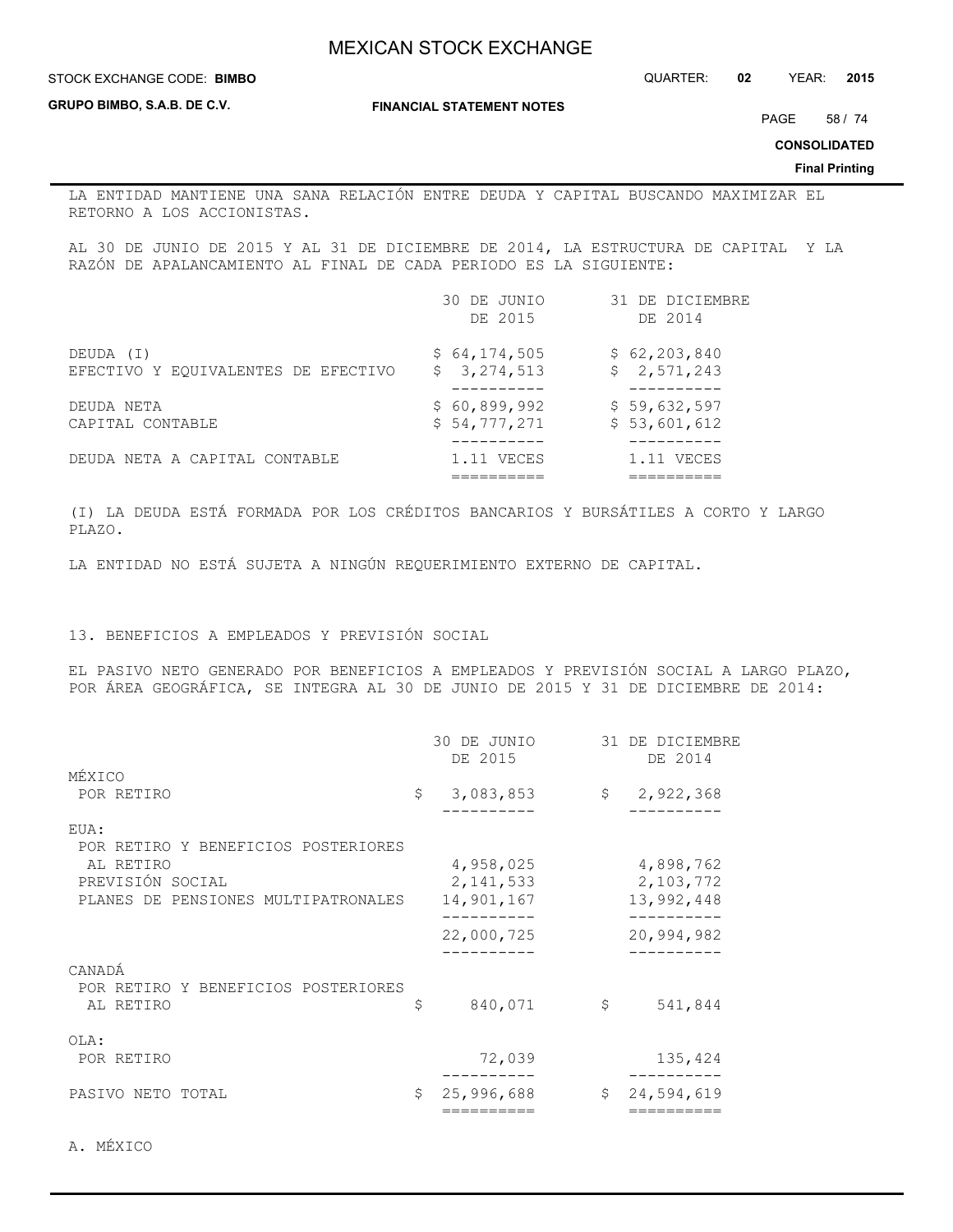#### STOCK EXCHANGE CODE: QUARTER: **02** YEAR: **2015 BIMBO**

**GRUPO BIMBO, S.A.B. DE C.V.**

**FINANCIAL STATEMENT NOTES**

PAGE 58 / 74

**CONSOLIDATED**

**Final Printing**

LA ENTIDAD MANTIENE UNA SANA RELACIÓN ENTRE DEUDA Y CAPITAL BUSCANDO MAXIMIZAR EL RETORNO A LOS ACCIONISTAS.

AL 30 DE JUNIO DE 2015 Y AL 31 DE DICIEMBRE DE 2014, LA ESTRUCTURA DE CAPITAL Y LA RAZÓN DE APALANCAMIENTO AL FINAL DE CADA PERIODO ES LA SIGUIENTE:

|                                     | 30 DE JUNIO<br>DE 2015 | 31 DE DICIEMBRE<br>DE 2014 |
|-------------------------------------|------------------------|----------------------------|
| DEUDA (I)                           | \$64, 174, 505         | \$62, 203, 840             |
| EFECTIVO Y EQUIVALENTES DE EFECTIVO | \$3,274,513            | \$2,571,243                |
| DEUDA NETA                          | \$60,899,992           | \$59,632,597               |
| CAPITAL CONTABLE                    | \$54,777,271           | \$53,601,612               |
| DEUDA NETA A CAPITAL CONTABLE       | 1.11 VECES             | 1.11 VECES                 |
|                                     |                        |                            |

(I) LA DEUDA ESTÁ FORMADA POR LOS CRÉDITOS BANCARIOS Y BURSÁTILES A CORTO Y LARGO PLAZO.

LA ENTIDAD NO ESTÁ SUJETA A NINGÚN REQUERIMIENTO EXTERNO DE CAPITAL.

#### 13. BENEFICIOS A EMPLEADOS Y PREVISIÓN SOCIAL

EL PASIVO NETO GENERADO POR BENEFICIOS A EMPLEADOS Y PREVISIÓN SOCIAL A LARGO PLAZO, POR ÁREA GEOGRÁFICA, SE INTEGRA AL 30 DE JUNIO DE 2015 Y 31 DE DICIEMBRE DE 2014:

|                                                                                                             |    | 30 DE JUNIO<br>DE 2015                 |               | 31 DE DICIEMBRE<br>DE 2014           |
|-------------------------------------------------------------------------------------------------------------|----|----------------------------------------|---------------|--------------------------------------|
| MÉXICO                                                                                                      |    |                                        |               |                                      |
| POR RETIRO                                                                                                  | Ŝ. | 3,083,853                              |               | \$2,922,368                          |
| EUA:                                                                                                        |    |                                        |               |                                      |
| POR RETIRO Y BENEFICIOS POSTERIORES<br>AL RETIRO<br>PREVISIÓN SOCIAL<br>PLANES DE PENSIONES MULTIPATRONALES |    | 4,958,025<br>2, 141, 533<br>14,901,167 |               | 4,898,762<br>2,103,772<br>13,992,448 |
|                                                                                                             |    | 22,000,725                             |               | 20,994,982                           |
| CANADÁ<br>POR RETIRO Y BENEFICIOS POSTERIORES<br>AL RETIRO                                                  | \$ | 840,071                                | $\mathcal{S}$ | 541,844                              |
| OLA:<br>POR RETIRO                                                                                          |    | 72,039                                 |               | 135,424                              |
| PASIVO NETO TOTAL                                                                                           | \$ | 25,996,688<br>=========                | \$            | 24,594,619<br>=========              |
|                                                                                                             |    |                                        |               |                                      |

A. MÉXICO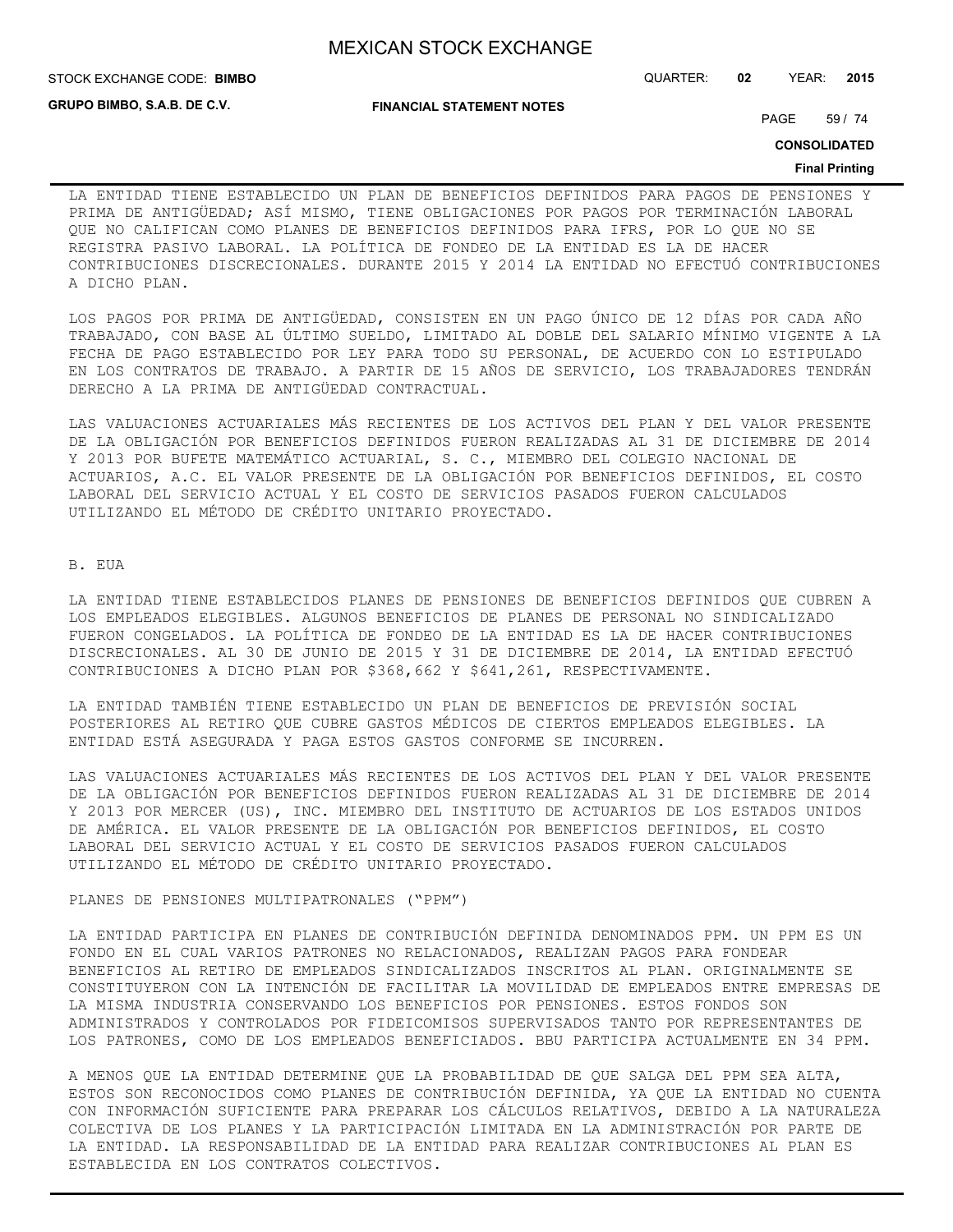**STOCK EXCHANGE CODE: BIMBO** 

STOCK EXCHANGE CODE: QUARTER: **02** YEAR: **2015**

**GRUPO BIMBO, S.A.B. DE C.V.**

**FINANCIAL STATEMENT NOTES**

PAGE 59 / 74

**CONSOLIDATED**

#### **Final Printing**

LA ENTIDAD TIENE ESTABLECIDO UN PLAN DE BENEFICIOS DEFINIDOS PARA PAGOS DE PENSIONES Y PRIMA DE ANTIGÜEDAD; ASÍ MISMO, TIENE OBLIGACIONES POR PAGOS POR TERMINACIÓN LABORAL QUE NO CALIFICAN COMO PLANES DE BENEFICIOS DEFINIDOS PARA IFRS, POR LO QUE NO SE REGISTRA PASIVO LABORAL. LA POLÍTICA DE FONDEO DE LA ENTIDAD ES LA DE HACER CONTRIBUCIONES DISCRECIONALES. DURANTE 2015 Y 2014 LA ENTIDAD NO EFECTUÓ CONTRIBUCIONES A DICHO PLAN.

LOS PAGOS POR PRIMA DE ANTIGÜEDAD, CONSISTEN EN UN PAGO ÚNICO DE 12 DÍAS POR CADA AÑO TRABAJADO, CON BASE AL ÚLTIMO SUELDO, LIMITADO AL DOBLE DEL SALARIO MÍNIMO VIGENTE A LA FECHA DE PAGO ESTABLECIDO POR LEY PARA TODO SU PERSONAL, DE ACUERDO CON LO ESTIPULADO EN LOS CONTRATOS DE TRABAJO. A PARTIR DE 15 AÑOS DE SERVICIO, LOS TRABAJADORES TENDRÁN DERECHO A LA PRIMA DE ANTIGÜEDAD CONTRACTUAL.

LAS VALUACIONES ACTUARIALES MÁS RECIENTES DE LOS ACTIVOS DEL PLAN Y DEL VALOR PRESENTE DE LA OBLIGACIÓN POR BENEFICIOS DEFINIDOS FUERON REALIZADAS AL 31 DE DICIEMBRE DE 2014 Y 2013 POR BUFETE MATEMÁTICO ACTUARIAL, S. C., MIEMBRO DEL COLEGIO NACIONAL DE ACTUARIOS, A.C. EL VALOR PRESENTE DE LA OBLIGACIÓN POR BENEFICIOS DEFINIDOS, EL COSTO LABORAL DEL SERVICIO ACTUAL Y EL COSTO DE SERVICIOS PASADOS FUERON CALCULADOS UTILIZANDO EL MÉTODO DE CRÉDITO UNITARIO PROYECTADO.

#### B. EUA

LA ENTIDAD TIENE ESTABLECIDOS PLANES DE PENSIONES DE BENEFICIOS DEFINIDOS QUE CUBREN A LOS EMPLEADOS ELEGIBLES. ALGUNOS BENEFICIOS DE PLANES DE PERSONAL NO SINDICALIZADO FUERON CONGELADOS. LA POLÍTICA DE FONDEO DE LA ENTIDAD ES LA DE HACER CONTRIBUCIONES DISCRECIONALES. AL 30 DE JUNIO DE 2015 Y 31 DE DICIEMBRE DE 2014, LA ENTIDAD EFECTUÓ CONTRIBUCIONES A DICHO PLAN POR \$368,662 Y \$641,261, RESPECTIVAMENTE.

LA ENTIDAD TAMBIÉN TIENE ESTABLECIDO UN PLAN DE BENEFICIOS DE PREVISIÓN SOCIAL POSTERIORES AL RETIRO QUE CUBRE GASTOS MÉDICOS DE CIERTOS EMPLEADOS ELEGIBLES. LA ENTIDAD ESTÁ ASEGURADA Y PAGA ESTOS GASTOS CONFORME SE INCURREN.

LAS VALUACIONES ACTUARIALES MÁS RECIENTES DE LOS ACTIVOS DEL PLAN Y DEL VALOR PRESENTE DE LA OBLIGACIÓN POR BENEFICIOS DEFINIDOS FUERON REALIZADAS AL 31 DE DICIEMBRE DE 2014 Y 2013 POR MERCER (US), INC. MIEMBRO DEL INSTITUTO DE ACTUARIOS DE LOS ESTADOS UNIDOS DE AMÉRICA. EL VALOR PRESENTE DE LA OBLIGACIÓN POR BENEFICIOS DEFINIDOS, EL COSTO LABORAL DEL SERVICIO ACTUAL Y EL COSTO DE SERVICIOS PASADOS FUERON CALCULADOS UTILIZANDO EL MÉTODO DE CRÉDITO UNITARIO PROYECTADO.

PLANES DE PENSIONES MULTIPATRONALES ("PPM")

LA ENTIDAD PARTICIPA EN PLANES DE CONTRIBUCIÓN DEFINIDA DENOMINADOS PPM. UN PPM ES UN FONDO EN EL CUAL VARIOS PATRONES NO RELACIONADOS, REALIZAN PAGOS PARA FONDEAR BENEFICIOS AL RETIRO DE EMPLEADOS SINDICALIZADOS INSCRITOS AL PLAN. ORIGINALMENTE SE CONSTITUYERON CON LA INTENCIÓN DE FACILITAR LA MOVILIDAD DE EMPLEADOS ENTRE EMPRESAS DE LA MISMA INDUSTRIA CONSERVANDO LOS BENEFICIOS POR PENSIONES. ESTOS FONDOS SON ADMINISTRADOS Y CONTROLADOS POR FIDEICOMISOS SUPERVISADOS TANTO POR REPRESENTANTES DE LOS PATRONES, COMO DE LOS EMPLEADOS BENEFICIADOS. BBU PARTICIPA ACTUALMENTE EN 34 PPM.

A MENOS QUE LA ENTIDAD DETERMINE QUE LA PROBABILIDAD DE QUE SALGA DEL PPM SEA ALTA, ESTOS SON RECONOCIDOS COMO PLANES DE CONTRIBUCIÓN DEFINIDA, YA QUE LA ENTIDAD NO CUENTA CON INFORMACIÓN SUFICIENTE PARA PREPARAR LOS CÁLCULOS RELATIVOS, DEBIDO A LA NATURALEZA COLECTIVA DE LOS PLANES Y LA PARTICIPACIÓN LIMITADA EN LA ADMINISTRACIÓN POR PARTE DE LA ENTIDAD. LA RESPONSABILIDAD DE LA ENTIDAD PARA REALIZAR CONTRIBUCIONES AL PLAN ES ESTABLECIDA EN LOS CONTRATOS COLECTIVOS.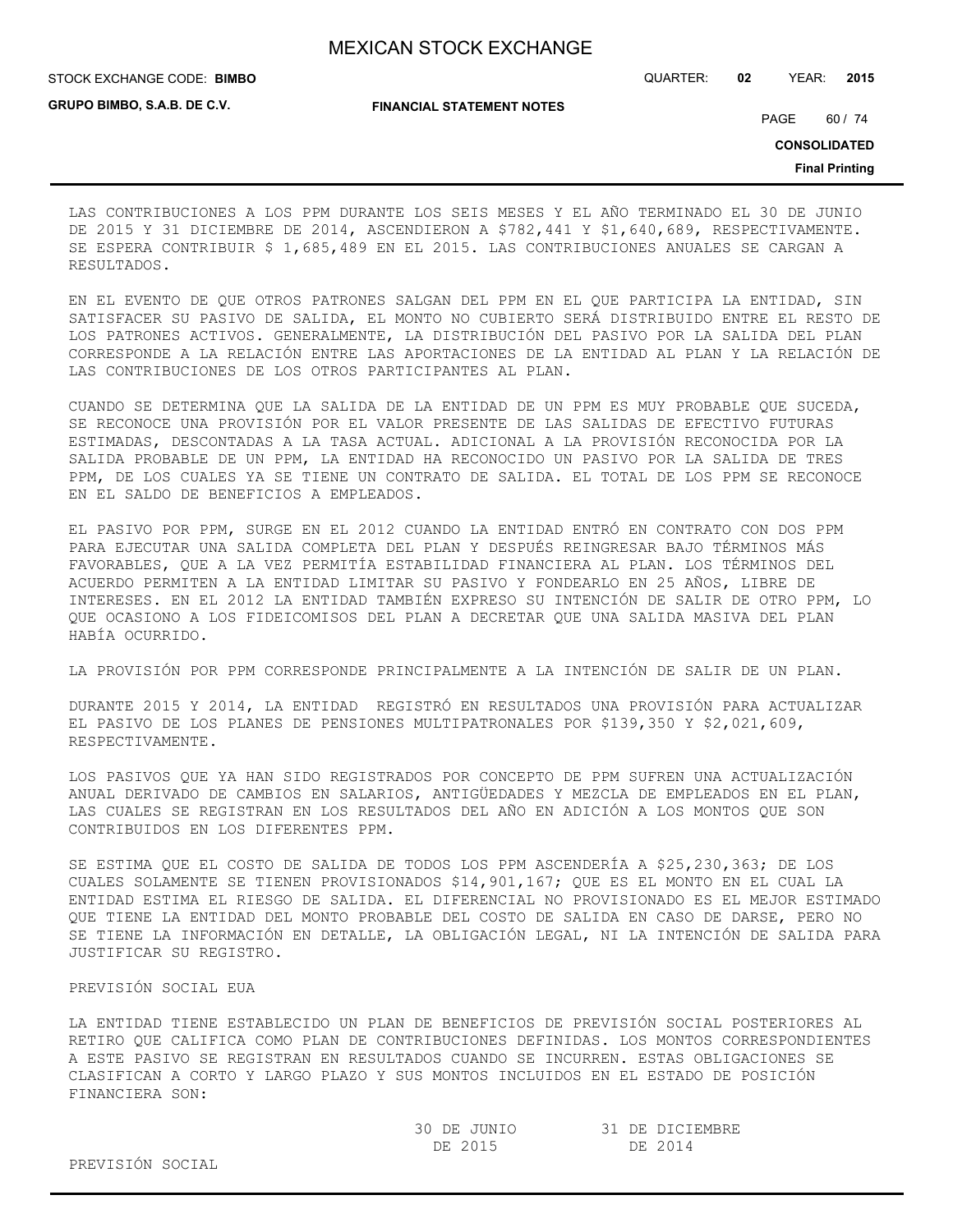STOCK EXCHANGE CODE: QUARTER: **02** YEAR: **2015 BIMBO**

**GRUPO BIMBO, S.A.B. DE C.V.**

**FINANCIAL STATEMENT NOTES**

PAGE 60 / 74

**CONSOLIDATED**

**Final Printing**

LAS CONTRIBUCIONES A LOS PPM DURANTE LOS SEIS MESES Y EL AÑO TERMINADO EL 30 DE JUNIO DE 2015 Y 31 DICIEMBRE DE 2014, ASCENDIERON A \$782,441 Y \$1,640,689, RESPECTIVAMENTE. SE ESPERA CONTRIBUIR \$ 1,685,489 EN EL 2015. LAS CONTRIBUCIONES ANUALES SE CARGAN A RESULTADOS.

EN EL EVENTO DE QUE OTROS PATRONES SALGAN DEL PPM EN EL QUE PARTICIPA LA ENTIDAD, SIN SATISFACER SU PASIVO DE SALIDA, EL MONTO NO CUBIERTO SERÁ DISTRIBUIDO ENTRE EL RESTO DE LOS PATRONES ACTIVOS. GENERALMENTE, LA DISTRIBUCIÓN DEL PASIVO POR LA SALIDA DEL PLAN CORRESPONDE A LA RELACIÓN ENTRE LAS APORTACIONES DE LA ENTIDAD AL PLAN Y LA RELACIÓN DE LAS CONTRIBUCIONES DE LOS OTROS PARTICIPANTES AL PLAN.

CUANDO SE DETERMINA QUE LA SALIDA DE LA ENTIDAD DE UN PPM ES MUY PROBABLE QUE SUCEDA, SE RECONOCE UNA PROVISIÓN POR EL VALOR PRESENTE DE LAS SALIDAS DE EFECTIVO FUTURAS ESTIMADAS, DESCONTADAS A LA TASA ACTUAL. ADICIONAL A LA PROVISIÓN RECONOCIDA POR LA SALIDA PROBABLE DE UN PPM, LA ENTIDAD HA RECONOCIDO UN PASIVO POR LA SALIDA DE TRES PPM, DE LOS CUALES YA SE TIENE UN CONTRATO DE SALIDA. EL TOTAL DE LOS PPM SE RECONOCE EN EL SALDO DE BENEFICIOS A EMPLEADOS.

EL PASIVO POR PPM, SURGE EN EL 2012 CUANDO LA ENTIDAD ENTRÓ EN CONTRATO CON DOS PPM PARA EJECUTAR UNA SALIDA COMPLETA DEL PLAN Y DESPUÉS REINGRESAR BAJO TÉRMINOS MÁS FAVORABLES, QUE A LA VEZ PERMITÍA ESTABILIDAD FINANCIERA AL PLAN. LOS TÉRMINOS DEL ACUERDO PERMITEN A LA ENTIDAD LIMITAR SU PASIVO Y FONDEARLO EN 25 AÑOS, LIBRE DE INTERESES. EN EL 2012 LA ENTIDAD TAMBIÉN EXPRESO SU INTENCIÓN DE SALIR DE OTRO PPM, LO QUE OCASIONO A LOS FIDEICOMISOS DEL PLAN A DECRETAR QUE UNA SALIDA MASIVA DEL PLAN HABÍA OCURRIDO.

LA PROVISIÓN POR PPM CORRESPONDE PRINCIPALMENTE A LA INTENCIÓN DE SALIR DE UN PLAN.

DURANTE 2015 Y 2014, LA ENTIDAD REGISTRÓ EN RESULTADOS UNA PROVISIÓN PARA ACTUALIZAR EL PASIVO DE LOS PLANES DE PENSIONES MULTIPATRONALES POR \$139,350 Y \$2,021,609, RESPECTIVAMENTE.

LOS PASIVOS QUE YA HAN SIDO REGISTRADOS POR CONCEPTO DE PPM SUFREN UNA ACTUALIZACIÓN ANUAL DERIVADO DE CAMBIOS EN SALARIOS, ANTIGÜEDADES Y MEZCLA DE EMPLEADOS EN EL PLAN, LAS CUALES SE REGISTRAN EN LOS RESULTADOS DEL AÑO EN ADICIÓN A LOS MONTOS QUE SON CONTRIBUIDOS EN LOS DIFERENTES PPM.

SE ESTIMA QUE EL COSTO DE SALIDA DE TODOS LOS PPM ASCENDERÍA A \$25,230,363; DE LOS CUALES SOLAMENTE SE TIENEN PROVISIONADOS \$14,901,167; QUE ES EL MONTO EN EL CUAL LA ENTIDAD ESTIMA EL RIESGO DE SALIDA. EL DIFERENCIAL NO PROVISIONADO ES EL MEJOR ESTIMADO QUE TIENE LA ENTIDAD DEL MONTO PROBABLE DEL COSTO DE SALIDA EN CASO DE DARSE, PERO NO SE TIENE LA INFORMACIÓN EN DETALLE, LA OBLIGACIÓN LEGAL, NI LA INTENCIÓN DE SALIDA PARA JUSTIFICAR SU REGISTRO.

#### PREVISIÓN SOCIAL EUA

LA ENTIDAD TIENE ESTABLECIDO UN PLAN DE BENEFICIOS DE PREVISIÓN SOCIAL POSTERIORES AL RETIRO QUE CALIFICA COMO PLAN DE CONTRIBUCIONES DEFINIDAS. LOS MONTOS CORRESPONDIENTES A ESTE PASIVO SE REGISTRAN EN RESULTADOS CUANDO SE INCURREN. ESTAS OBLIGACIONES SE CLASIFICAN A CORTO Y LARGO PLAZO Y SUS MONTOS INCLUIDOS EN EL ESTADO DE POSICIÓN FINANCIERA SON:

| 30 DE JUNIO | 31 DE DICIEMBRE |
|-------------|-----------------|
| DE 2015     | DE 2014         |

PREVISIÓN SOCIAL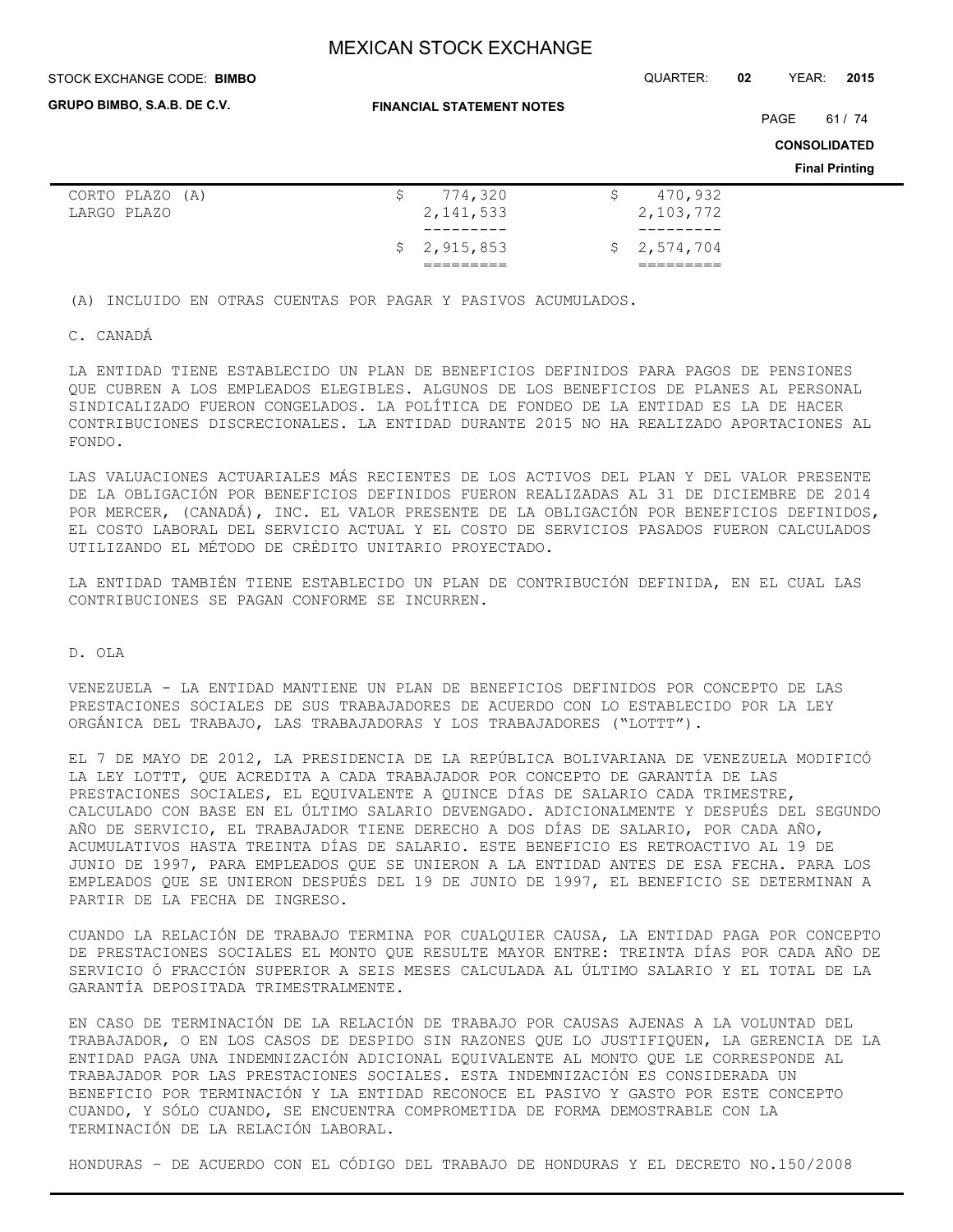#### STOCK EXCHANGE CODE: QUARTER: **02** YEAR: **2015 BIMBO**

**GRUPO BIMBO, S.A.B. DE C.V.**

**FINANCIAL STATEMENT NOTES**

PAGE 61 / 74

**CONSOLIDATED**

**Final Printing**

| CORTO PLAZO (A) | 774,320         | 470,932     |
|-----------------|-----------------|-------------|
| LARGO PLAZO     | 2, 141, 533     | 2,103,772   |
|                 | . _ _ _ _ _ _ _ |             |
|                 | \$2,915,853     | \$2,574,704 |
|                 |                 |             |

(A) INCLUIDO EN OTRAS CUENTAS POR PAGAR Y PASIVOS ACUMULADOS.

C. CANADÁ

LA ENTIDAD TIENE ESTABLECIDO UN PLAN DE BENEFICIOS DEFINIDOS PARA PAGOS DE PENSIONES QUE CUBREN A LOS EMPLEADOS ELEGIBLES. ALGUNOS DE LOS BENEFICIOS DE PLANES AL PERSONAL SINDICALIZADO FUERON CONGELADOS. LA POLÍTICA DE FONDEO DE LA ENTIDAD ES LA DE HACER CONTRIBUCIONES DISCRECIONALES. LA ENTIDAD DURANTE 2015 NO HA REALIZADO APORTACIONES AL FONDO.

LAS VALUACIONES ACTUARIALES MÁS RECIENTES DE LOS ACTIVOS DEL PLAN Y DEL VALOR PRESENTE DE LA OBLIGACIÓN POR BENEFICIOS DEFINIDOS FUERON REALIZADAS AL 31 DE DICIEMBRE DE 2014 POR MERCER, (CANADÁ), INC. EL VALOR PRESENTE DE LA OBLIGACIÓN POR BENEFICIOS DEFINIDOS, EL COSTO LABORAL DEL SERVICIO ACTUAL Y EL COSTO DE SERVICIOS PASADOS FUERON CALCULADOS UTILIZANDO EL MÉTODO DE CRÉDITO UNITARIO PROYECTADO.

LA ENTIDAD TAMBIÉN TIENE ESTABLECIDO UN PLAN DE CONTRIBUCIÓN DEFINIDA, EN EL CUAL LAS CONTRIBUCIONES SE PAGAN CONFORME SE INCURREN.

D. OLA

VENEZUELA - LA ENTIDAD MANTIENE UN PLAN DE BENEFICIOS DEFINIDOS POR CONCEPTO DE LAS PRESTACIONES SOCIALES DE SUS TRABAJADORES DE ACUERDO CON LO ESTABLECIDO POR LA LEY ORGÁNICA DEL TRABAJO, LAS TRABAJADORAS Y LOS TRABAJADORES ("LOTTT").

EL 7 DE MAYO DE 2012, LA PRESIDENCIA DE LA REPÚBLICA BOLIVARIANA DE VENEZUELA MODIFICÓ LA LEY LOTTT, QUE ACREDITA A CADA TRABAJADOR POR CONCEPTO DE GARANTÍA DE LAS PRESTACIONES SOCIALES, EL EQUIVALENTE A QUINCE DÍAS DE SALARIO CADA TRIMESTRE, CALCULADO CON BASE EN EL ÚLTIMO SALARIO DEVENGADO. ADICIONALMENTE Y DESPUÉS DEL SEGUNDO AÑO DE SERVICIO, EL TRABAJADOR TIENE DERECHO A DOS DÍAS DE SALARIO, POR CADA AÑO, ACUMULATIVOS HASTA TREINTA DÍAS DE SALARIO. ESTE BENEFICIO ES RETROACTIVO AL 19 DE JUNIO DE 1997, PARA EMPLEADOS QUE SE UNIERON A LA ENTIDAD ANTES DE ESA FECHA. PARA LOS EMPLEADOS QUE SE UNIERON DESPUÉS DEL 19 DE JUNIO DE 1997, EL BENEFICIO SE DETERMINAN A PARTIR DE LA FECHA DE INGRESO.

CUANDO LA RELACIÓN DE TRABAJO TERMINA POR CUALQUIER CAUSA, LA ENTIDAD PAGA POR CONCEPTO DE PRESTACIONES SOCIALES EL MONTO QUE RESULTE MAYOR ENTRE: TREINTA DÍAS POR CADA AÑO DE SERVICIO Ó FRACCIÓN SUPERIOR A SEIS MESES CALCULADA AL ÚLTIMO SALARIO Y EL TOTAL DE LA GARANTÍA DEPOSITADA TRIMESTRALMENTE.

EN CASO DE TERMINACIÓN DE LA RELACIÓN DE TRABAJO POR CAUSAS AJENAS A LA VOLUNTAD DEL TRABAJADOR, O EN LOS CASOS DE DESPIDO SIN RAZONES QUE LO JUSTIFIQUEN, LA GERENCIA DE LA ENTIDAD PAGA UNA INDEMNIZACIÓN ADICIONAL EQUIVALENTE AL MONTO QUE LE CORRESPONDE AL TRABAJADOR POR LAS PRESTACIONES SOCIALES. ESTA INDEMNIZACIÓN ES CONSIDERADA UN BENEFICIO POR TERMINACIÓN Y LA ENTIDAD RECONOCE EL PASIVO Y GASTO POR ESTE CONCEPTO CUANDO, Y SÓLO CUANDO, SE ENCUENTRA COMPROMETIDA DE FORMA DEMOSTRABLE CON LA TERMINACIÓN DE LA RELACIÓN LABORAL.

HONDURAS – DE ACUERDO CON EL CÓDIGO DEL TRABAJO DE HONDURAS Y EL DECRETO NO.150/2008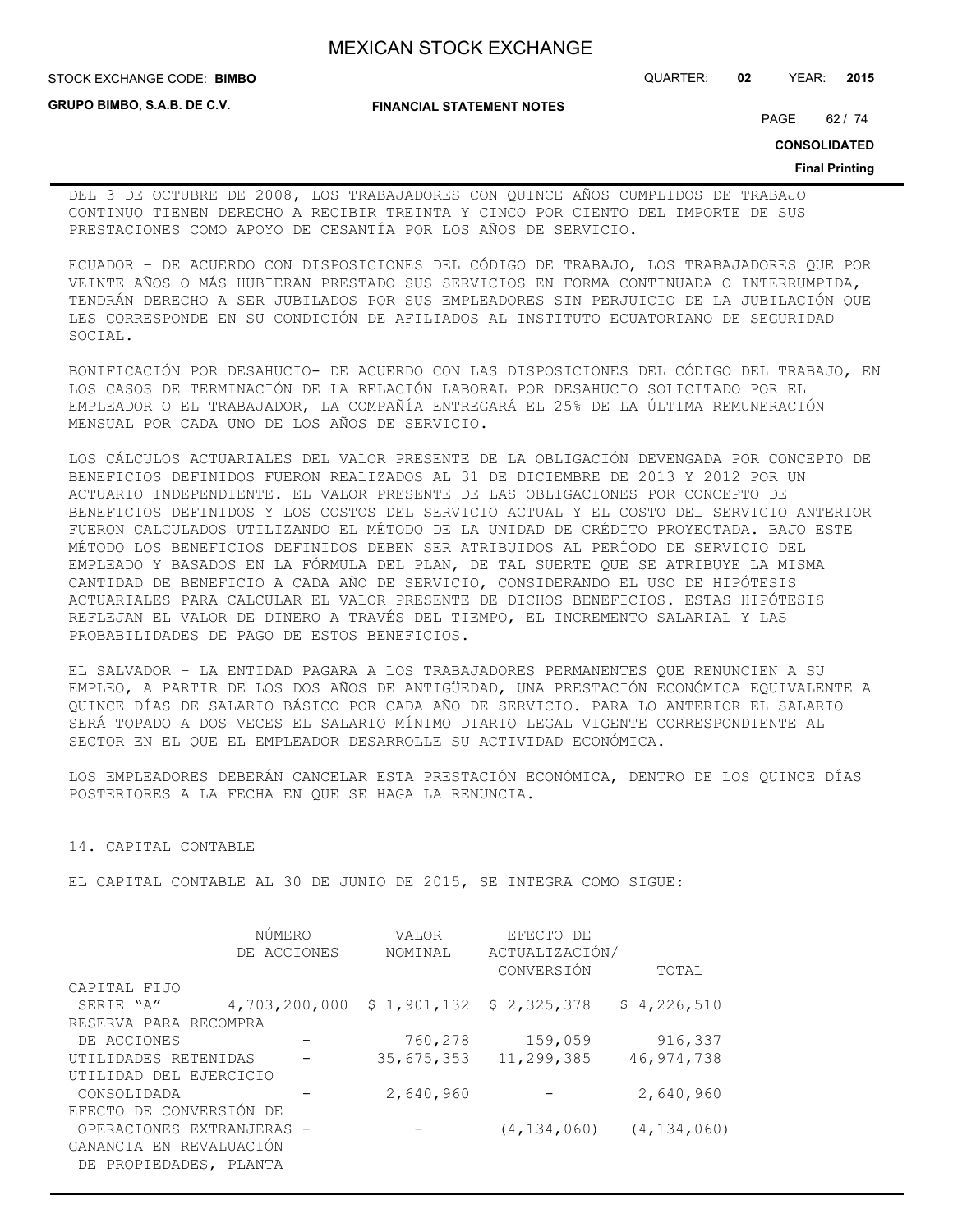**GRUPO BIMBO, S.A.B. DE C.V.**

**FINANCIAL STATEMENT NOTES**

STOCK EXCHANGE CODE: QUARTER: **02** YEAR: **2015 BIMBO**

PAGE 62 / 74

**CONSOLIDATED**

#### **Final Printing**

DEL 3 DE OCTUBRE DE 2008, LOS TRABAJADORES CON QUINCE AÑOS CUMPLIDOS DE TRABAJO CONTINUO TIENEN DERECHO A RECIBIR TREINTA Y CINCO POR CIENTO DEL IMPORTE DE SUS PRESTACIONES COMO APOYO DE CESANTÍA POR LOS AÑOS DE SERVICIO.

ECUADOR – DE ACUERDO CON DISPOSICIONES DEL CÓDIGO DE TRABAJO, LOS TRABAJADORES QUE POR VEINTE AÑOS O MÁS HUBIERAN PRESTADO SUS SERVICIOS EN FORMA CONTINUADA O INTERRUMPIDA, TENDRÁN DERECHO A SER JUBILADOS POR SUS EMPLEADORES SIN PERJUICIO DE LA JUBILACIÓN QUE LES CORRESPONDE EN SU CONDICIÓN DE AFILIADOS AL INSTITUTO ECUATORIANO DE SEGURIDAD SOCIAL.

BONIFICACIÓN POR DESAHUCIO- DE ACUERDO CON LAS DISPOSICIONES DEL CÓDIGO DEL TRABAJO, EN LOS CASOS DE TERMINACIÓN DE LA RELACIÓN LABORAL POR DESAHUCIO SOLICITADO POR EL EMPLEADOR O EL TRABAJADOR, LA COMPAÑÍA ENTREGARÁ EL 25% DE LA ÚLTIMA REMUNERACIÓN MENSUAL POR CADA UNO DE LOS AÑOS DE SERVICIO.

LOS CÁLCULOS ACTUARIALES DEL VALOR PRESENTE DE LA OBLIGACIÓN DEVENGADA POR CONCEPTO DE BENEFICIOS DEFINIDOS FUERON REALIZADOS AL 31 DE DICIEMBRE DE 2013 Y 2012 POR UN ACTUARIO INDEPENDIENTE. EL VALOR PRESENTE DE LAS OBLIGACIONES POR CONCEPTO DE BENEFICIOS DEFINIDOS Y LOS COSTOS DEL SERVICIO ACTUAL Y EL COSTO DEL SERVICIO ANTERIOR FUERON CALCULADOS UTILIZANDO EL MÉTODO DE LA UNIDAD DE CRÉDITO PROYECTADA. BAJO ESTE MÉTODO LOS BENEFICIOS DEFINIDOS DEBEN SER ATRIBUIDOS AL PERÍODO DE SERVICIO DEL EMPLEADO Y BASADOS EN LA FÓRMULA DEL PLAN, DE TAL SUERTE QUE SE ATRIBUYE LA MISMA CANTIDAD DE BENEFICIO A CADA AÑO DE SERVICIO, CONSIDERANDO EL USO DE HIPÓTESIS ACTUARIALES PARA CALCULAR EL VALOR PRESENTE DE DICHOS BENEFICIOS. ESTAS HIPÓTESIS REFLEJAN EL VALOR DE DINERO A TRAVÉS DEL TIEMPO, EL INCREMENTO SALARIAL Y LAS PROBABILIDADES DE PAGO DE ESTOS BENEFICIOS.

EL SALVADOR – LA ENTIDAD PAGARA A LOS TRABAJADORES PERMANENTES QUE RENUNCIEN A SU EMPLEO, A PARTIR DE LOS DOS AÑOS DE ANTIGÜEDAD, UNA PRESTACIÓN ECONÓMICA EQUIVALENTE A QUINCE DÍAS DE SALARIO BÁSICO POR CADA AÑO DE SERVICIO. PARA LO ANTERIOR EL SALARIO SERÁ TOPADO A DOS VECES EL SALARIO MÍNIMO DIARIO LEGAL VIGENTE CORRESPONDIENTE AL SECTOR EN EL QUE EL EMPLEADOR DESARROLLE SU ACTIVIDAD ECONÓMICA.

LOS EMPLEADORES DEBERÁN CANCELAR ESTA PRESTACIÓN ECONÓMICA, DENTRO DE LOS QUINCE DÍAS POSTERIORES A LA FECHA EN QUE SE HAGA LA RENUNCIA.

#### 14. CAPITAL CONTABLE

EL CAPITAL CONTABLE AL 30 DE JUNIO DE 2015, SE INTEGRA COMO SIGUE:

|                           | NÚMERO        | VALOR                     | EFECTO DE                    |               |
|---------------------------|---------------|---------------------------|------------------------------|---------------|
|                           | DE ACCIONES   | NOMINAL                   | ACTUALIZACIÓN/<br>CONVERSIÓN | TOTAL         |
| CAPITAL FIJO              |               |                           |                              |               |
| SERIE "A"                 | 4,703,200,000 | $$1,901,132$ $$2,325,378$ |                              | \$4,226,510   |
| RESERVA PARA RECOMPRA     |               |                           |                              |               |
| DE ACCIONES               |               | 760,278                   | 159,059                      | 916,337       |
|                           |               |                           |                              |               |
| UTILIDADES RETENIDAS      |               | 35,675,353                | 11,299,385                   | 46, 974, 738  |
| UTILIDAD DEL EJERCICIO    |               |                           |                              |               |
| CONSOLIDADA               |               | 2,640,960                 |                              | 2,640,960     |
| EFECTO DE CONVERSIÓN DE   |               |                           |                              |               |
| OPERACIONES EXTRANJERAS - |               |                           | (4, 134, 060)                | (4, 134, 060) |
| GANANCIA EN REVALUACIÓN   |               |                           |                              |               |
| DE PROPIEDADES, PLANTA    |               |                           |                              |               |
|                           |               |                           |                              |               |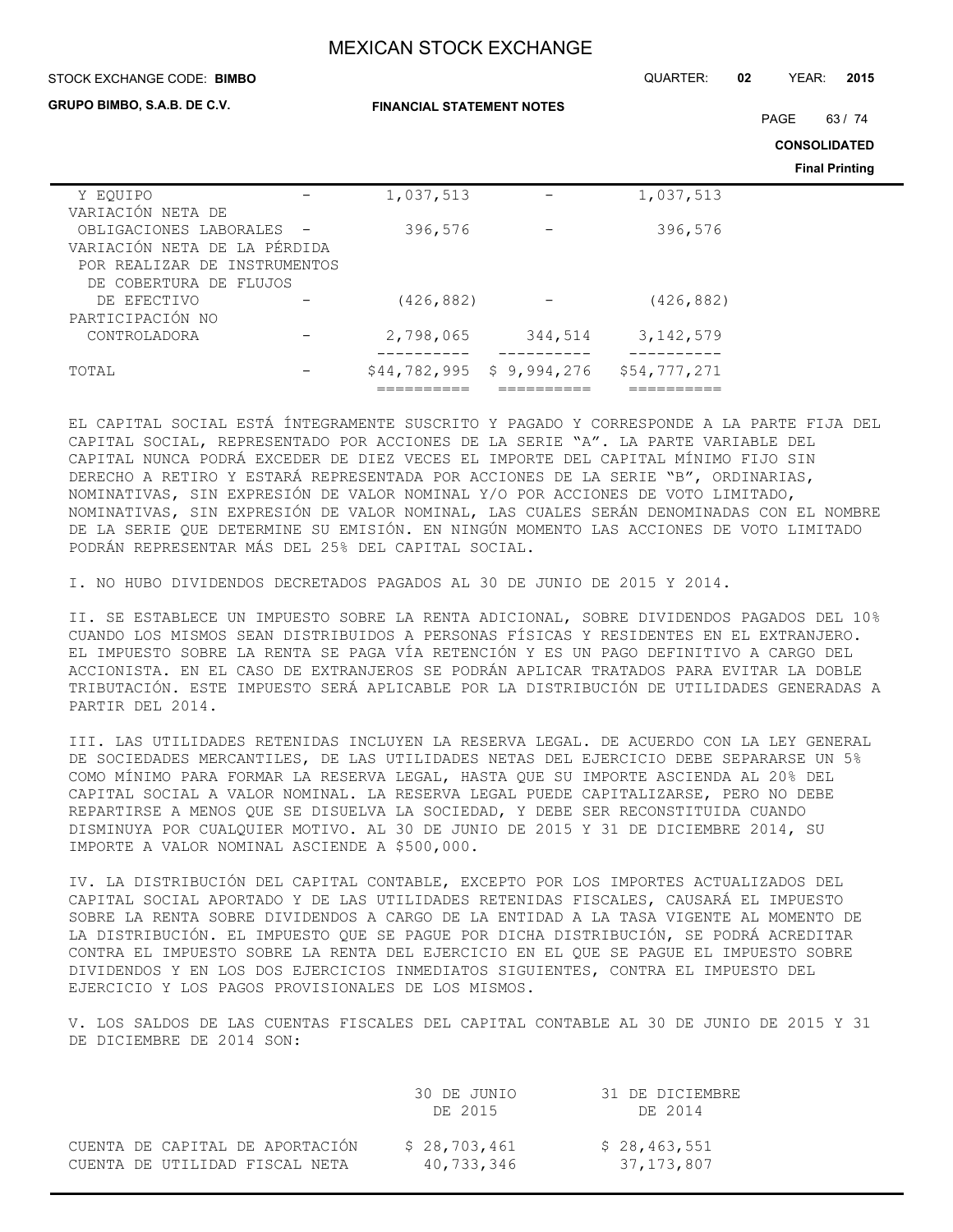| STOCK EXCHANGE CODE: BIMBO                                                                                         |                                  |              |             | QUARTER:     | 02    | YEAR:               | 2015                  |
|--------------------------------------------------------------------------------------------------------------------|----------------------------------|--------------|-------------|--------------|-------|---------------------|-----------------------|
| GRUPO BIMBO, S.A.B. DE C.V.                                                                                        | <b>FINANCIAL STATEMENT NOTES</b> |              |             | PAGE         | 63/74 |                     |                       |
|                                                                                                                    |                                  |              |             |              |       | <b>CONSOLIDATED</b> |                       |
|                                                                                                                    |                                  |              |             |              |       |                     | <b>Final Printing</b> |
| Y EOUIPO<br>VARIACIÓN NETA DE                                                                                      |                                  | 1,037,513    |             | 1,037,513    |       |                     |                       |
| OBLIGACIONES LABORALES -<br>VARIACIÓN NETA DE LA PÉRDIDA<br>POR REALIZAR DE INSTRUMENTOS<br>DE COBERTURA DE FLUJOS |                                  | 396,576      |             | 396,576      |       |                     |                       |
| DE EFECTIVO<br>PARTICIPACIÓN NO                                                                                    |                                  | (426, 882)   |             | (426, 882)   |       |                     |                       |
| CONTROLADORA                                                                                                       |                                  | 2,798,065    | 344,514     | 3, 142, 579  |       |                     |                       |
| TOTAL                                                                                                              |                                  | \$44,782,995 | \$9,994,276 | \$54,777,271 |       |                     |                       |

EL CAPITAL SOCIAL ESTÁ ÍNTEGRAMENTE SUSCRITO Y PAGADO Y CORRESPONDE A LA PARTE FIJA DEL CAPITAL SOCIAL, REPRESENTADO POR ACCIONES DE LA SERIE "A". LA PARTE VARIABLE DEL CAPITAL NUNCA PODRÁ EXCEDER DE DIEZ VECES EL IMPORTE DEL CAPITAL MÍNIMO FIJO SIN DERECHO A RETIRO Y ESTARÁ REPRESENTADA POR ACCIONES DE LA SERIE "B", ORDINARIAS, NOMINATIVAS, SIN EXPRESIÓN DE VALOR NOMINAL Y/O POR ACCIONES DE VOTO LIMITADO, NOMINATIVAS, SIN EXPRESIÓN DE VALOR NOMINAL, LAS CUALES SERÁN DENOMINADAS CON EL NOMBRE DE LA SERIE QUE DETERMINE SU EMISIÓN. EN NINGÚN MOMENTO LAS ACCIONES DE VOTO LIMITADO PODRÁN REPRESENTAR MÁS DEL 25% DEL CAPITAL SOCIAL.

========== ========== ==========

I. NO HUBO DIVIDENDOS DECRETADOS PAGADOS AL 30 DE JUNIO DE 2015 Y 2014.

II. SE ESTABLECE UN IMPUESTO SOBRE LA RENTA ADICIONAL, SOBRE DIVIDENDOS PAGADOS DEL 10% CUANDO LOS MISMOS SEAN DISTRIBUIDOS A PERSONAS FÍSICAS Y RESIDENTES EN EL EXTRANJERO. EL IMPUESTO SOBRE LA RENTA SE PAGA VÍA RETENCIÓN Y ES UN PAGO DEFINITIVO A CARGO DEL ACCIONISTA. EN EL CASO DE EXTRANJEROS SE PODRÁN APLICAR TRATADOS PARA EVITAR LA DOBLE TRIBUTACIÓN. ESTE IMPUESTO SERÁ APLICABLE POR LA DISTRIBUCIÓN DE UTILIDADES GENERADAS A PARTIR DEL 2014.

III. LAS UTILIDADES RETENIDAS INCLUYEN LA RESERVA LEGAL. DE ACUERDO CON LA LEY GENERAL DE SOCIEDADES MERCANTILES, DE LAS UTILIDADES NETAS DEL EJERCICIO DEBE SEPARARSE UN 5% COMO MÍNIMO PARA FORMAR LA RESERVA LEGAL, HASTA QUE SU IMPORTE ASCIENDA AL 20% DEL CAPITAL SOCIAL A VALOR NOMINAL. LA RESERVA LEGAL PUEDE CAPITALIZARSE, PERO NO DEBE REPARTIRSE A MENOS QUE SE DISUELVA LA SOCIEDAD, Y DEBE SER RECONSTITUIDA CUANDO DISMINUYA POR CUALQUIER MOTIVO. AL 30 DE JUNIO DE 2015 Y 31 DE DICIEMBRE 2014, SU IMPORTE A VALOR NOMINAL ASCIENDE A \$500,000.

IV. LA DISTRIBUCIÓN DEL CAPITAL CONTABLE, EXCEPTO POR LOS IMPORTES ACTUALIZADOS DEL CAPITAL SOCIAL APORTADO Y DE LAS UTILIDADES RETENIDAS FISCALES, CAUSARÁ EL IMPUESTO SOBRE LA RENTA SOBRE DIVIDENDOS A CARGO DE LA ENTIDAD A LA TASA VIGENTE AL MOMENTO DE LA DISTRIBUCIÓN. EL IMPUESTO QUE SE PAGUE POR DICHA DISTRIBUCIÓN, SE PODRÁ ACREDITAR CONTRA EL IMPUESTO SOBRE LA RENTA DEL EJERCICIO EN EL QUE SE PAGUE EL IMPUESTO SOBRE DIVIDENDOS Y EN LOS DOS EJERCICIOS INMEDIATOS SIGUIENTES, CONTRA EL IMPUESTO DEL EJERCICIO Y LOS PAGOS PROVISIONALES DE LOS MISMOS.

V. LOS SALDOS DE LAS CUENTAS FISCALES DEL CAPITAL CONTABLE AL 30 DE JUNIO DE 2015 Y 31 DE DICIEMBRE DE 2014 SON:

|                                 | 30 DE JUNIO  | 31 DE DICIEMBRE |
|---------------------------------|--------------|-----------------|
|                                 | DE 2015      | DE 2014         |
|                                 |              |                 |
| CUENTA DE CAPITAL DE APORTACIÓN | \$28,703,461 | \$28,463,551    |
| CUENTA DE UTILIDAD FISCAL NETA  | 40,733,346   | 37,173,807      |
|                                 |              |                 |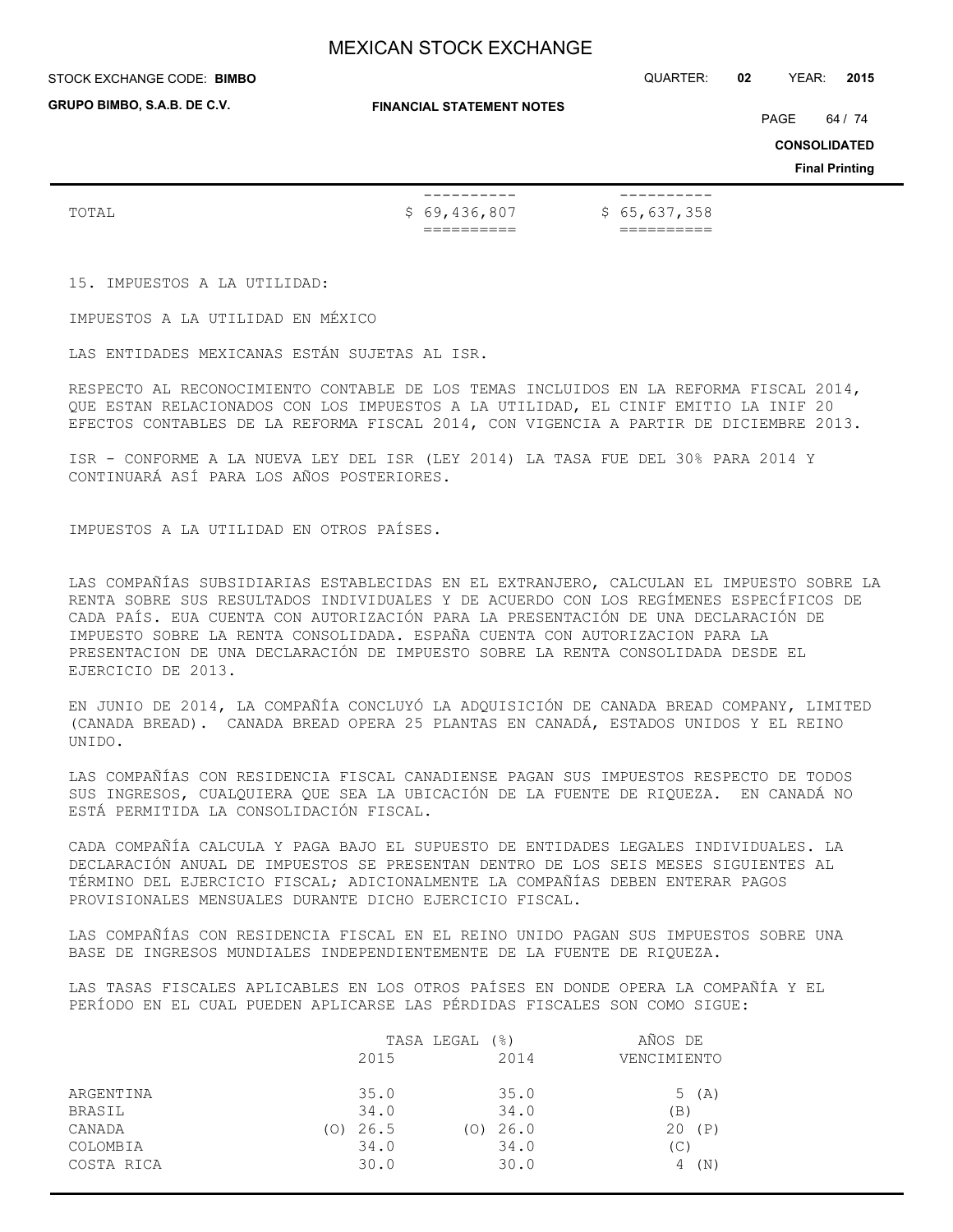STOCK EXCHANGE CODE: QUARTER: **02** YEAR: **2015 BIMBO**

| <b>GRUPO BIMBO, S.A.B. DE C.V.</b> | <b>FINANCIAL STATEMENT NOTES</b> |              |  |                                              |  |
|------------------------------------|----------------------------------|--------------|--|----------------------------------------------|--|
|                                    |                                  |              |  | <b>CONSOLIDATED</b><br><b>Final Printing</b> |  |
| TOTAL                              | \$69,436,807                     | \$65,637,358 |  |                                              |  |
|                                    |                                  |              |  |                                              |  |

15. IMPUESTOS A LA UTILIDAD:

IMPUESTOS A LA UTILIDAD EN MÉXICO

LAS ENTIDADES MEXICANAS ESTÁN SUJETAS AL ISR.

RESPECTO AL RECONOCIMIENTO CONTABLE DE LOS TEMAS INCLUIDOS EN LA REFORMA FISCAL 2014, QUE ESTAN RELACIONADOS CON LOS IMPUESTOS A LA UTILIDAD, EL CINIF EMITIO LA INIF 20 EFECTOS CONTABLES DE LA REFORMA FISCAL 2014, CON VIGENCIA A PARTIR DE DICIEMBRE 2013.

ISR - CONFORME A LA NUEVA LEY DEL ISR (LEY 2014) LA TASA FUE DEL 30% PARA 2014 Y CONTINUARÁ ASÍ PARA LOS AÑOS POSTERIORES.

IMPUESTOS A LA UTILIDAD EN OTROS PAÍSES.

LAS COMPAÑÍAS SUBSIDIARIAS ESTABLECIDAS EN EL EXTRANJERO, CALCULAN EL IMPUESTO SOBRE LA RENTA SOBRE SUS RESULTADOS INDIVIDUALES Y DE ACUERDO CON LOS REGÍMENES ESPECÍFICOS DE CADA PAÍS. EUA CUENTA CON AUTORIZACIÓN PARA LA PRESENTACIÓN DE UNA DECLARACIÓN DE IMPUESTO SOBRE LA RENTA CONSOLIDADA. ESPAÑA CUENTA CON AUTORIZACION PARA LA PRESENTACION DE UNA DECLARACIÓN DE IMPUESTO SOBRE LA RENTA CONSOLIDADA DESDE EL EJERCICIO DE 2013.

EN JUNIO DE 2014, LA COMPAÑÍA CONCLUYÓ LA ADQUISICIÓN DE CANADA BREAD COMPANY, LIMITED (CANADA BREAD). CANADA BREAD OPERA 25 PLANTAS EN CANADÁ, ESTADOS UNIDOS Y EL REINO UNIDO.

LAS COMPAÑÍAS CON RESIDENCIA FISCAL CANADIENSE PAGAN SUS IMPUESTOS RESPECTO DE TODOS SUS INGRESOS, CUALQUIERA QUE SEA LA UBICACIÓN DE LA FUENTE DE RIQUEZA. EN CANADÁ NO ESTÁ PERMITIDA LA CONSOLIDACIÓN FISCAL.

CADA COMPAÑÍA CALCULA Y PAGA BAJO EL SUPUESTO DE ENTIDADES LEGALES INDIVIDUALES. LA DECLARACIÓN ANUAL DE IMPUESTOS SE PRESENTAN DENTRO DE LOS SEIS MESES SIGUIENTES AL TÉRMINO DEL EJERCICIO FISCAL; ADICIONALMENTE LA COMPAÑÍAS DEBEN ENTERAR PAGOS PROVISIONALES MENSUALES DURANTE DICHO EJERCICIO FISCAL.

LAS COMPAÑÍAS CON RESIDENCIA FISCAL EN EL REINO UNIDO PAGAN SUS IMPUESTOS SOBRE UNA BASE DE INGRESOS MUNDIALES INDEPENDIENTEMENTE DE LA FUENTE DE RIQUEZA.

LAS TASAS FISCALES APLICABLES EN LOS OTROS PAÍSES EN DONDE OPERA LA COMPAÑÍA Y EL PERÍODO EN EL CUAL PUEDEN APLICARSE LAS PÉRDIDAS FISCALES SON COMO SIGUE:

|            | $($ $\frac{6}{6}$ $)$<br>TASA LEGAL |      |     | AÑOS DE |             |
|------------|-------------------------------------|------|-----|---------|-------------|
|            |                                     | 2015 |     | 2014    | VENCIMIENTO |
| ARGENTINA  |                                     | 35.0 |     | 35.0    | (A)<br>5    |
| BRASIL     |                                     | 34.0 |     | 34.0    | [B]         |
| CANADA     | (O)                                 | 26.5 | (O) | 26.0    | 20<br>(P)   |
| COLOMBIA   |                                     | 34.0 |     | 34.0    | (C)         |
| COSTA RICA |                                     | 30.0 |     | 30.0    | (N)<br>4    |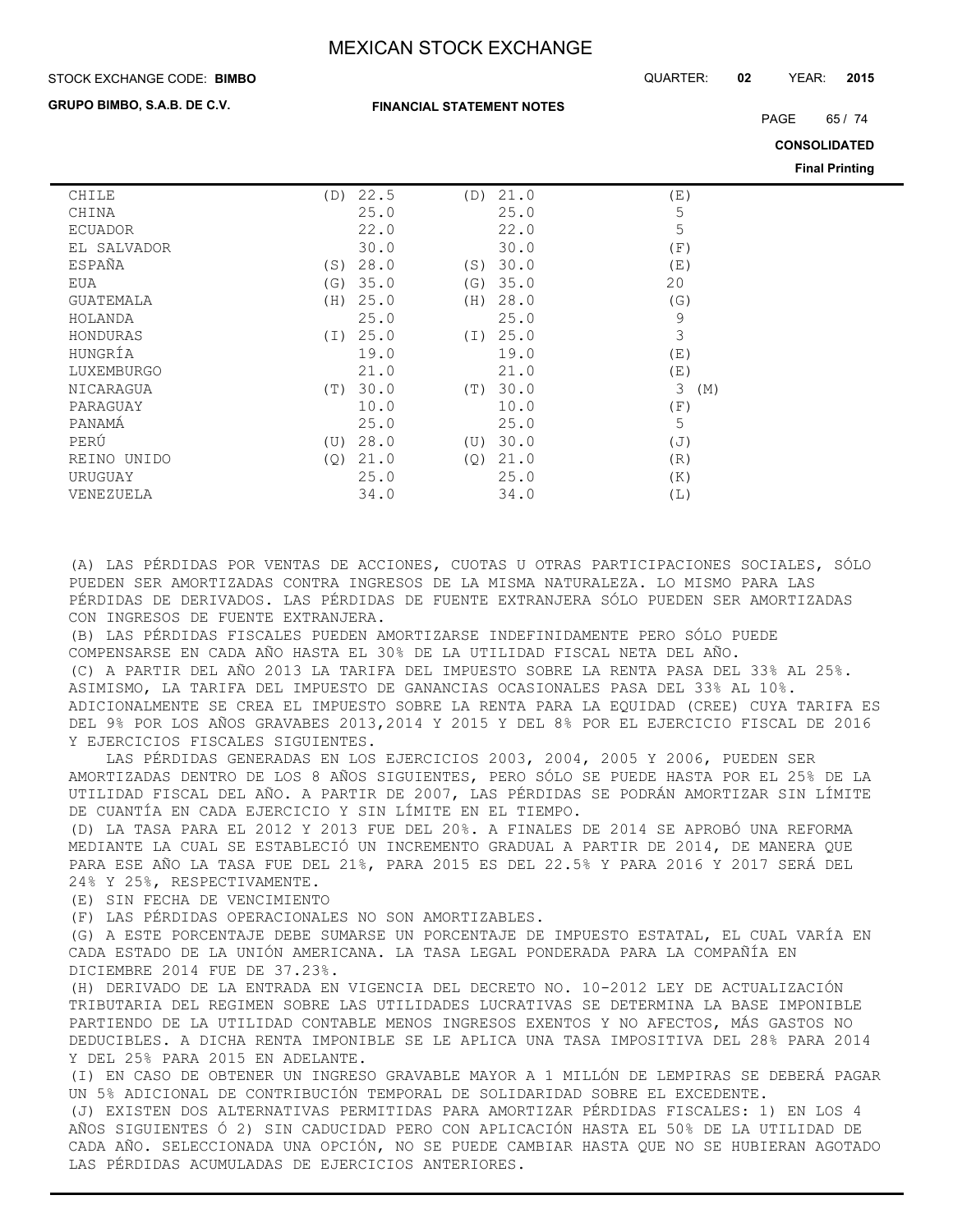#### STOCK EXCHANGE CODE: QUARTER: **02** YEAR: **2015 BIMBO**

#### **GRUPO BIMBO, S.A.B. DE C.V.**

**FINANCIAL STATEMENT NOTES**

PAGE 65 / 74

**CONSOLIDATED**

**Final Printing**

| CHILE            | (D) | 22.5 | (D) | 21.0 | (E)               |  |
|------------------|-----|------|-----|------|-------------------|--|
| CHINA            |     | 25.0 |     | 25.0 | 5                 |  |
| <b>ECUADOR</b>   |     | 22.0 |     | 22.0 | 5                 |  |
| EL SALVADOR      |     | 30.0 |     | 30.0 | $(\, {\rm F} \,)$ |  |
| ESPAÑA           | (S) | 28.0 | (S) | 30.0 | (E)               |  |
| EUA              | (G) | 35.0 | (G) | 35.0 | 20                |  |
| <b>GUATEMALA</b> | (H) | 25.0 | (H) | 28.0 | (G)               |  |
| HOLANDA          |     | 25.0 |     | 25.0 | 9                 |  |
| HONDURAS         | (I) | 25.0 | (T) | 25.0 | 3                 |  |
| HUNGRÍA          |     | 19.0 |     | 19.0 | (E)               |  |
| LUXEMBURGO       |     | 21.0 |     | 21.0 | (E)               |  |
| NICARAGUA        | (T) | 30.0 | (T) | 30.0 | 3<br>(M)          |  |
| PARAGUAY         |     | 10.0 |     | 10.0 | $(\, {\rm F} \,)$ |  |
| PANAMÁ           |     | 25.0 |     | 25.0 | 5                 |  |
| PERÚ             | (U) | 28.0 | (U) | 30.0 | (J)               |  |
| REINO UNIDO      | (Q) | 21.0 | (Q) | 21.0 | (R)               |  |
| URUGUAY          |     | 25.0 |     | 25.0 | (K)               |  |
| VENEZUELA        |     | 34.0 |     | 34.0 | (L)               |  |
|                  |     |      |     |      |                   |  |

(A) LAS PÉRDIDAS POR VENTAS DE ACCIONES, CUOTAS U OTRAS PARTICIPACIONES SOCIALES, SÓLO PUEDEN SER AMORTIZADAS CONTRA INGRESOS DE LA MISMA NATURALEZA. LO MISMO PARA LAS PÉRDIDAS DE DERIVADOS. LAS PÉRDIDAS DE FUENTE EXTRANJERA SÓLO PUEDEN SER AMORTIZADAS CON INGRESOS DE FUENTE EXTRANJERA.

(B) LAS PÉRDIDAS FISCALES PUEDEN AMORTIZARSE INDEFINIDAMENTE PERO SÓLO PUEDE COMPENSARSE EN CADA AÑO HASTA EL 30% DE LA UTILIDAD FISCAL NETA DEL AÑO. (C) A PARTIR DEL AÑO 2013 LA TARIFA DEL IMPUESTO SOBRE LA RENTA PASA DEL 33% AL 25%. ASIMISMO, LA TARIFA DEL IMPUESTO DE GANANCIAS OCASIONALES PASA DEL 33% AL 10%. ADICIONALMENTE SE CREA EL IMPUESTO SOBRE LA RENTA PARA LA EQUIDAD (CREE) CUYA TARIFA ES DEL 9% POR LOS AÑOS GRAVABES 2013,2014 Y 2015 Y DEL 8% POR EL EJERCICIO FISCAL DE 2016 Y EJERCICIOS FISCALES SIGUIENTES.

 LAS PÉRDIDAS GENERADAS EN LOS EJERCICIOS 2003, 2004, 2005 Y 2006, PUEDEN SER AMORTIZADAS DENTRO DE LOS 8 AÑOS SIGUIENTES, PERO SÓLO SE PUEDE HASTA POR EL 25% DE LA UTILIDAD FISCAL DEL AÑO. A PARTIR DE 2007, LAS PÉRDIDAS SE PODRÁN AMORTIZAR SIN LÍMITE DE CUANTÍA EN CADA EJERCICIO Y SIN LÍMITE EN EL TIEMPO.

(D) LA TASA PARA EL 2012 Y 2013 FUE DEL 20%. A FINALES DE 2014 SE APROBÓ UNA REFORMA MEDIANTE LA CUAL SE ESTABLECIÓ UN INCREMENTO GRADUAL A PARTIR DE 2014, DE MANERA QUE PARA ESE AÑO LA TASA FUE DEL 21%, PARA 2015 ES DEL 22.5% Y PARA 2016 Y 2017 SERÁ DEL 24% Y 25%, RESPECTIVAMENTE.

(E) SIN FECHA DE VENCIMIENTO

(F) LAS PÉRDIDAS OPERACIONALES NO SON AMORTIZABLES.

(G) A ESTE PORCENTAJE DEBE SUMARSE UN PORCENTAJE DE IMPUESTO ESTATAL, EL CUAL VARÍA EN CADA ESTADO DE LA UNIÓN AMERICANA. LA TASA LEGAL PONDERADA PARA LA COMPAÑÍA EN DICIEMBRE 2014 FUE DE 37.23%.

(H) DERIVADO DE LA ENTRADA EN VIGENCIA DEL DECRETO NO. 10-2012 LEY DE ACTUALIZACIÓN TRIBUTARIA DEL REGIMEN SOBRE LAS UTILIDADES LUCRATIVAS SE DETERMINA LA BASE IMPONIBLE PARTIENDO DE LA UTILIDAD CONTABLE MENOS INGRESOS EXENTOS Y NO AFECTOS, MÁS GASTOS NO DEDUCIBLES. A DICHA RENTA IMPONIBLE SE LE APLICA UNA TASA IMPOSITIVA DEL 28% PARA 2014 Y DEL 25% PARA 2015 EN ADELANTE.

(I) EN CASO DE OBTENER UN INGRESO GRAVABLE MAYOR A 1 MILLÓN DE LEMPIRAS SE DEBERÁ PAGAR UN 5% ADICIONAL DE CONTRIBUCIÓN TEMPORAL DE SOLIDARIDAD SOBRE EL EXCEDENTE.

(J) EXISTEN DOS ALTERNATIVAS PERMITIDAS PARA AMORTIZAR PÉRDIDAS FISCALES: 1) EN LOS 4 AÑOS SIGUIENTES Ó 2) SIN CADUCIDAD PERO CON APLICACIÓN HASTA EL 50% DE LA UTILIDAD DE CADA AÑO. SELECCIONADA UNA OPCIÓN, NO SE PUEDE CAMBIAR HASTA QUE NO SE HUBIERAN AGOTADO LAS PÉRDIDAS ACUMULADAS DE EJERCICIOS ANTERIORES.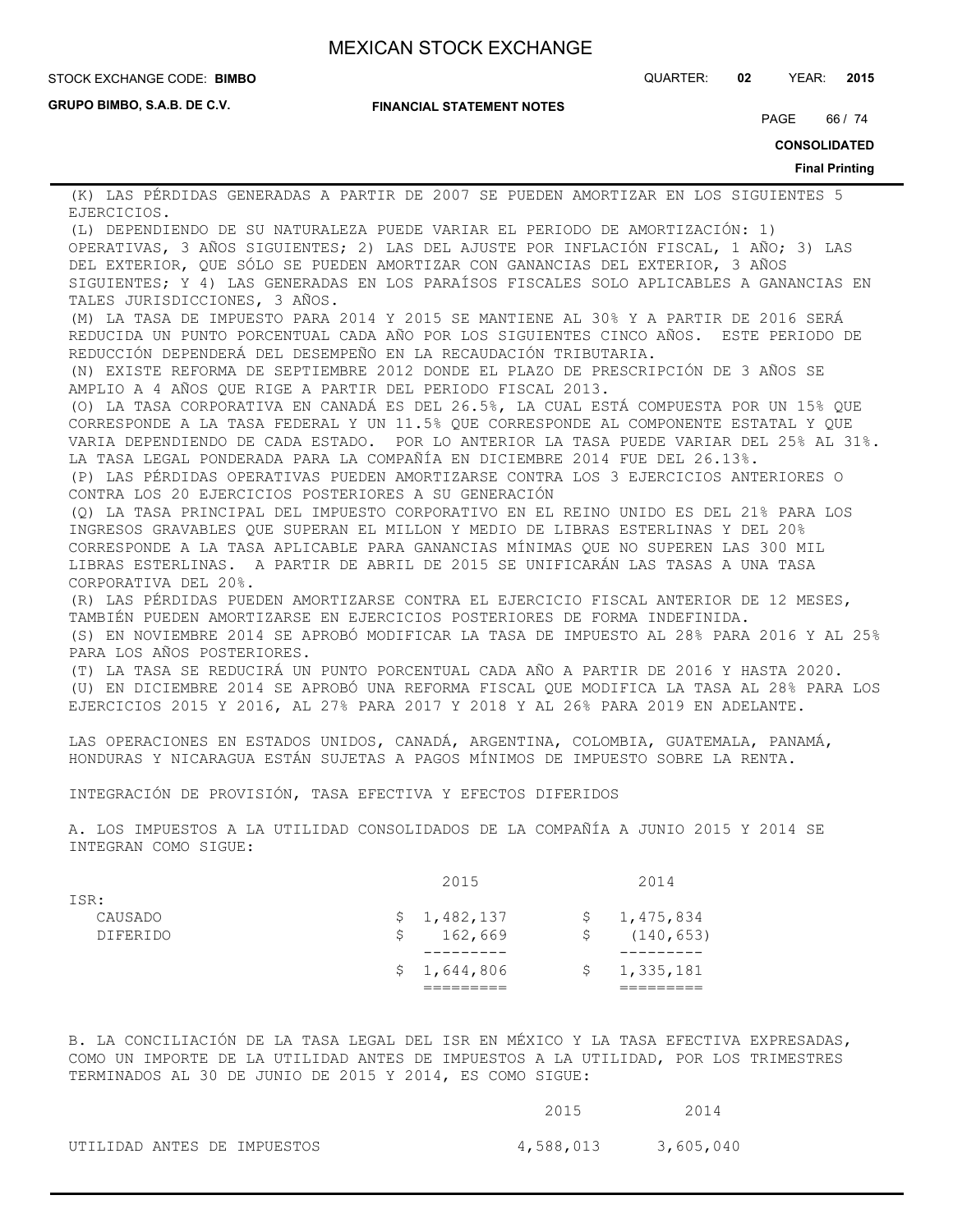**GRUPO BIMBO, S.A.B. DE C.V.**

**FINANCIAL STATEMENT NOTES**

PAGE 66 / 74

**CONSOLIDATED**

#### **Final Printing**

(K) LAS PÉRDIDAS GENERADAS A PARTIR DE 2007 SE PUEDEN AMORTIZAR EN LOS SIGUIENTES 5 EJERCICIOS.

(L) DEPENDIENDO DE SU NATURALEZA PUEDE VARIAR EL PERIODO DE AMORTIZACIÓN: 1) OPERATIVAS, 3 AÑOS SIGUIENTES; 2) LAS DEL AJUSTE POR INFLACIÓN FISCAL, 1 AÑO; 3) LAS DEL EXTERIOR, QUE SÓLO SE PUEDEN AMORTIZAR CON GANANCIAS DEL EXTERIOR, 3 AÑOS SIGUIENTES; Y 4) LAS GENERADAS EN LOS PARAÍSOS FISCALES SOLO APLICABLES A GANANCIAS EN TALES JURISDICCIONES, 3 AÑOS. (M) LA TASA DE IMPUESTO PARA 2014 Y 2015 SE MANTIENE AL 30% Y A PARTIR DE 2016 SERÁ REDUCIDA UN PUNTO PORCENTUAL CADA AÑO POR LOS SIGUIENTES CINCO AÑOS. ESTE PERIODO DE REDUCCIÓN DEPENDERÁ DEL DESEMPEÑO EN LA RECAUDACIÓN TRIBUTARIA. (N) EXISTE REFORMA DE SEPTIEMBRE 2012 DONDE EL PLAZO DE PRESCRIPCIÓN DE 3 AÑOS SE AMPLIO A 4 AÑOS QUE RIGE A PARTIR DEL PERIODO FISCAL 2013. (O) LA TASA CORPORATIVA EN CANADÁ ES DEL 26.5%, LA CUAL ESTÁ COMPUESTA POR UN 15% QUE CORRESPONDE A LA TASA FEDERAL Y UN 11.5% QUE CORRESPONDE AL COMPONENTE ESTATAL Y QUE VARIA DEPENDIENDO DE CADA ESTADO. POR LO ANTERIOR LA TASA PUEDE VARIAR DEL 25% AL 31%. LA TASA LEGAL PONDERADA PARA LA COMPAÑÍA EN DICIEMBRE 2014 FUE DEL 26.13%. (P) LAS PÉRDIDAS OPERATIVAS PUEDEN AMORTIZARSE CONTRA LOS 3 EJERCICIOS ANTERIORES O CONTRA LOS 20 EJERCICIOS POSTERIORES A SU GENERACIÓN (Q) LA TASA PRINCIPAL DEL IMPUESTO CORPORATIVO EN EL REINO UNIDO ES DEL 21% PARA LOS INGRESOS GRAVABLES QUE SUPERAN EL MILLON Y MEDIO DE LIBRAS ESTERLINAS Y DEL 20% CORRESPONDE A LA TASA APLICABLE PARA GANANCIAS MÍNIMAS QUE NO SUPEREN LAS 300 MIL LIBRAS ESTERLINAS. A PARTIR DE ABRIL DE 2015 SE UNIFICARÁN LAS TASAS A UNA TASA CORPORATIVA DEL 20%. (R) LAS PÉRDIDAS PUEDEN AMORTIZARSE CONTRA EL EJERCICIO FISCAL ANTERIOR DE 12 MESES, TAMBIÉN PUEDEN AMORTIZARSE EN EJERCICIOS POSTERIORES DE FORMA INDEFINIDA. (S) EN NOVIEMBRE 2014 SE APROBÓ MODIFICAR LA TASA DE IMPUESTO AL 28% PARA 2016 Y AL 25% PARA LOS AÑOS POSTERIORES. (T) LA TASA SE REDUCIRÁ UN PUNTO PORCENTUAL CADA AÑO A PARTIR DE 2016 Y HASTA 2020. (U) EN DICIEMBRE 2014 SE APROBÓ UNA REFORMA FISCAL QUE MODIFICA LA TASA AL 28% PARA LOS

EJERCICIOS 2015 Y 2016, AL 27% PARA 2017 Y 2018 Y AL 26% PARA 2019 EN ADELANTE.

LAS OPERACIONES EN ESTADOS UNIDOS, CANADÁ, ARGENTINA, COLOMBIA, GUATEMALA, PANAMÁ, HONDURAS Y NICARAGUA ESTÁN SUJETAS A PAGOS MÍNIMOS DE IMPUESTO SOBRE LA RENTA.

INTEGRACIÓN DE PROVISIÓN, TASA EFECTIVA Y EFECTOS DIFERIDOS

A. LOS IMPUESTOS A LA UTILIDAD CONSOLIDADOS DE LA COMPAÑÍA A JUNIO 2015 Y 2014 SE INTEGRAN COMO SIGUE:

|                 |   | \$1,644,806 |    | \$1,335,181 |
|-----------------|---|-------------|----|-------------|
|                 |   |             |    |             |
| <b>DIFERIDO</b> | S | 162,669     | S. | (140, 653)  |
| CAUSADO         |   | \$1,482,137 |    | \$1,475,834 |
| ISR:            |   |             |    |             |
|                 |   | 2015        |    | 2014        |

B. LA CONCILIACIÓN DE LA TASA LEGAL DEL ISR EN MÉXICO Y LA TASA EFECTIVA EXPRESADAS, COMO UN IMPORTE DE LA UTILIDAD ANTES DE IMPUESTOS A LA UTILIDAD, POR LOS TRIMESTRES TERMINADOS AL 30 DE JUNIO DE 2015 Y 2014, ES COMO SIGUE:

|  |                             | 2015      | 2014      |
|--|-----------------------------|-----------|-----------|
|  | UTILIDAD ANTES DE IMPUESTOS | 4,588,013 | 3,605,040 |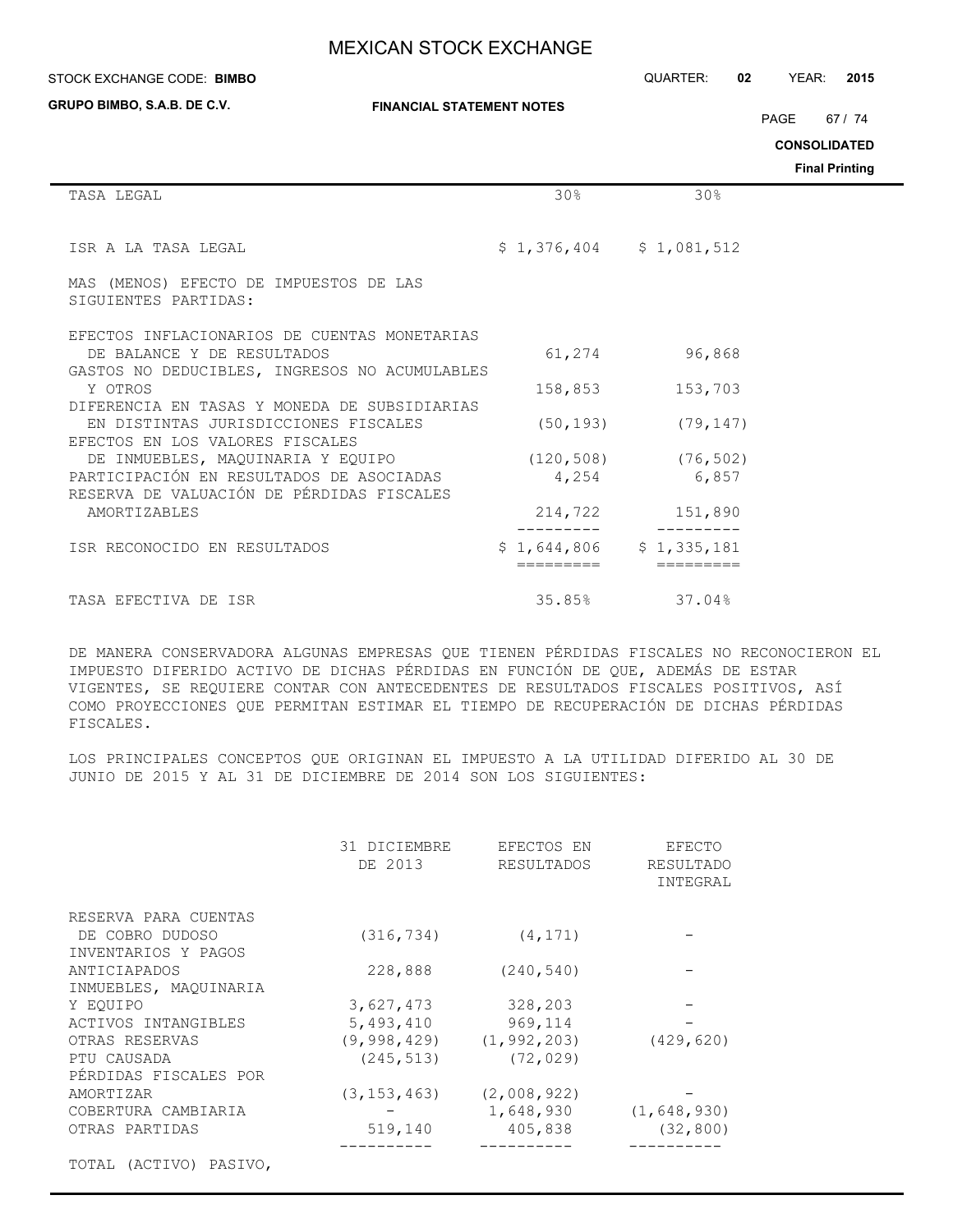| STOCK EXCHANGE CODE: BIMBO                                                                                                  |                                        | QUARTER:<br>02     | YEAR:<br>2015         |
|-----------------------------------------------------------------------------------------------------------------------------|----------------------------------------|--------------------|-----------------------|
| GRUPO BIMBO, S.A.B. DE C.V.<br><b>FINANCIAL STATEMENT NOTES</b>                                                             |                                        |                    | PAGE<br>67 / 74       |
|                                                                                                                             |                                        |                    | <b>CONSOLIDATED</b>   |
|                                                                                                                             |                                        |                    | <b>Final Printing</b> |
| TASA LEGAL                                                                                                                  | 30%                                    | 30%                |                       |
| ISR A LA TASA LEGAL                                                                                                         | $$1,376,404$ $$1,081,512$              |                    |                       |
| MAS (MENOS) EFECTO DE IMPUESTOS DE LAS<br>SIGUIENTES PARTIDAS:                                                              |                                        |                    |                       |
| EFECTOS INFLACIONARIOS DE CUENTAS MONETARIAS<br>DE BALANCE Y DE RESULTADOS<br>GASTOS NO DEDUCIBLES, INGRESOS NO ACUMULABLES | 61,274                                 | 96,868             |                       |
| Y OTROS<br>DIFERENCIA EN TASAS Y MONEDA DE SUBSIDIARIAS                                                                     | 158,853                                | 153,703            |                       |
| EN DISTINTAS JURISDICCIONES FISCALES<br>EFECTOS EN LOS VALORES FISCALES                                                     | (50, 193)                              | (79, 147)          |                       |
| DE INMUEBLES, MAOUINARIA Y EOUIPO<br>PARTICIPACIÓN EN RESULTADOS DE ASOCIADAS<br>RESERVA DE VALUACIÓN DE PÉRDIDAS FISCALES  | (120, 508)<br>4,254                    | (76, 502)<br>6,857 |                       |
| <b>AMORTIZABLES</b>                                                                                                         | 214,722                                | 151,890            |                       |
| ISR RECONOCIDO EN RESULTADOS                                                                                                | $$1,644,806$ $$1,335,181$<br>========= | =========          |                       |
| TASA EFECTIVA DE ISR                                                                                                        | 35.85%                                 | 37.04%             |                       |

DE MANERA CONSERVADORA ALGUNAS EMPRESAS QUE TIENEN PÉRDIDAS FISCALES NO RECONOCIERON EL IMPUESTO DIFERIDO ACTIVO DE DICHAS PÉRDIDAS EN FUNCIÓN DE QUE, ADEMÁS DE ESTAR VIGENTES, SE REQUIERE CONTAR CON ANTECEDENTES DE RESULTADOS FISCALES POSITIVOS, ASÍ COMO PROYECCIONES QUE PERMITAN ESTIMAR EL TIEMPO DE RECUPERACIÓN DE DICHAS PÉRDIDAS FISCALES.

LOS PRINCIPALES CONCEPTOS QUE ORIGINAN EL IMPUESTO A LA UTILIDAD DIFERIDO AL 30 DE JUNIO DE 2015 Y AL 31 DE DICIEMBRE DE 2014 SON LOS SIGUIENTES:

|                                        | 31 DICIEMBRE<br>DE 2013 | EFECTOS EN<br>RESULTADOS        | EFECTO<br>RESULTADO<br>INTEGRAL |
|----------------------------------------|-------------------------|---------------------------------|---------------------------------|
| RESERVA PARA CUENTAS                   |                         |                                 |                                 |
| DE COBRO DUDOSO<br>INVENTARIOS Y PAGOS | (316, 734)              | (4, 171)                        |                                 |
| ANTICIAPADOS                           | 228,888                 | (240, 540)                      |                                 |
| INMUEBLES, MAQUINARIA                  |                         |                                 |                                 |
| Y EOUIPO                               | 3,627,473               | 328,203                         |                                 |
| ACTIVOS INTANGIBLES                    | 5,493,410               | 969,114                         |                                 |
| OTRAS RESERVAS                         |                         | $(9, 998, 429)$ $(1, 992, 203)$ | (429, 620)                      |
| PTU CAUSADA                            | (245, 513)              | (72, 029)                       |                                 |
| PÉRDIDAS FISCALES POR                  |                         |                                 |                                 |
| AMORTIZAR                              | (3, 153, 463)           | (2,008,922)                     |                                 |
| COBERTURA CAMBIARIA                    |                         | 1,648,930                       | (1, 648, 930)                   |
| OTRAS PARTIDAS                         | 519,140                 | 405,838                         | (32, 800)                       |
| TOTAL (ACTIVO) PASIVO,                 |                         |                                 |                                 |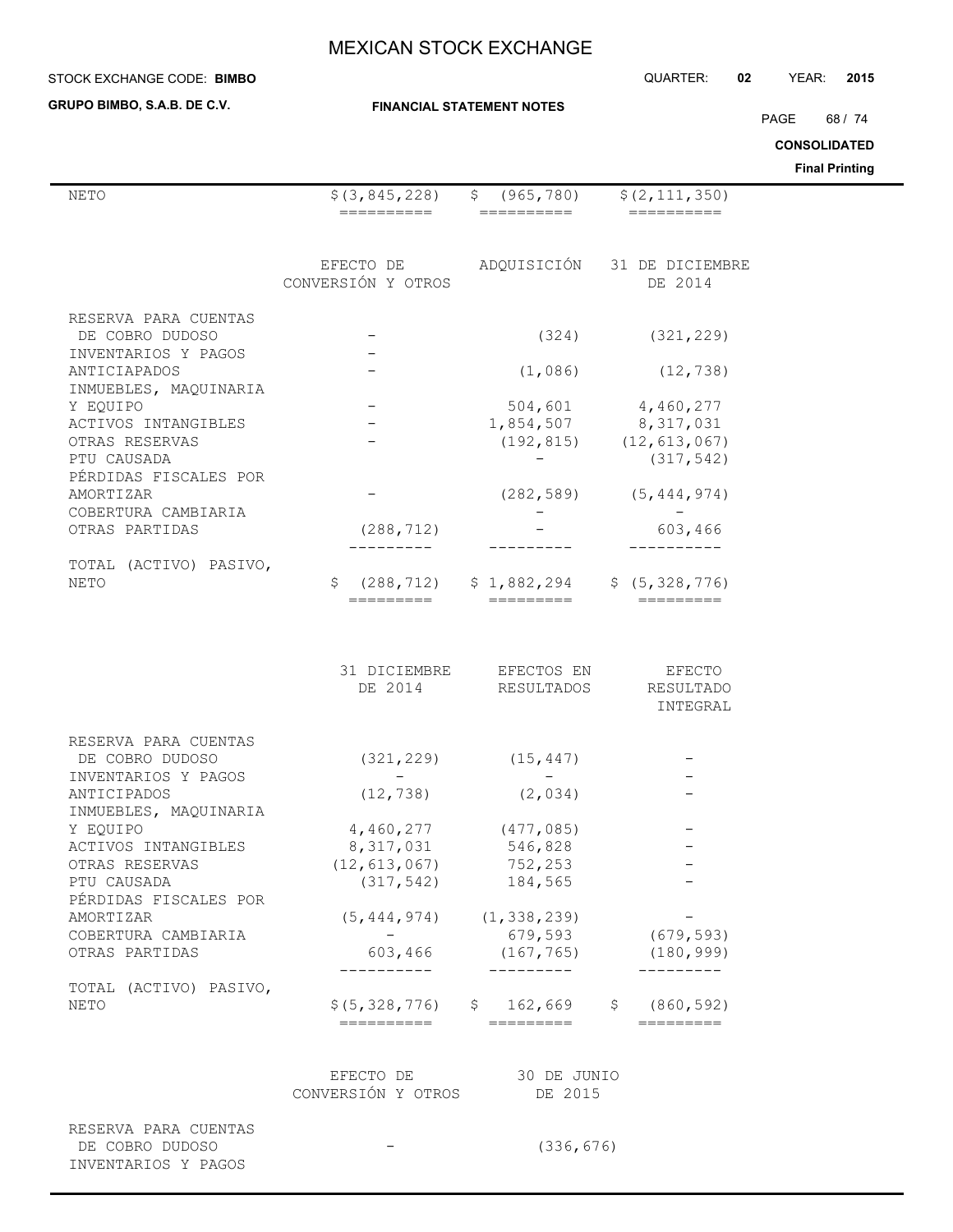#### STOCK EXCHANGE CODE: QUARTER: **02** YEAR: **2015 BIMBO**

**GRUPO BIMBO, S.A.B. DE C.V.**

PAGE 68 / 74

**CONSOLIDATED**

| NETO                                   | $$$ (3,845,228)<br>==========          | \$ (965, 780)<br>$=$ ==========        | \$(2, 111, 350)<br>$=$ ========== |  |
|----------------------------------------|----------------------------------------|----------------------------------------|-----------------------------------|--|
|                                        |                                        |                                        |                                   |  |
|                                        | EFECTO DE                              |                                        | ADQUISICIÓN 31 DE DICIEMBRE       |  |
|                                        | CONVERSIÓN Y OTROS                     |                                        | DE 2014                           |  |
| RESERVA PARA CUENTAS                   |                                        |                                        |                                   |  |
| DE COBRO DUDOSO<br>INVENTARIOS Y PAGOS |                                        | (324)                                  | (321, 229)                        |  |
| ANTICIAPADOS<br>INMUEBLES, MAQUINARIA  |                                        | (1,086)                                | (12, 738)                         |  |
| Y EQUIPO                               |                                        | 504,601                                | 4,460,277                         |  |
| ACTIVOS INTANGIBLES                    |                                        | 1,854,507                              | 8,317,031                         |  |
| OTRAS RESERVAS                         |                                        |                                        | $(192, 815)$ $(12, 613, 067)$     |  |
| PTU CAUSADA<br>PÉRDIDAS FISCALES POR   |                                        | $\overline{\phantom{0}}$               | (317, 542)                        |  |
| AMORTIZAR                              |                                        |                                        | $(282, 589)$ $(5, 444, 974)$      |  |
| COBERTURA CAMBIARIA<br>OTRAS PARTIDAS  |                                        |                                        |                                   |  |
|                                        | (288, 712)                             |                                        | 603,466                           |  |
| TOTAL (ACTIVO) PASIVO,                 |                                        |                                        |                                   |  |
| NETO                                   | \$<br>=========                        | $(288, 712)$ \$ 1,882,294<br>========= | \$(5, 328, 776)                   |  |
|                                        |                                        |                                        |                                   |  |
|                                        | 31 DICIEMBRE                           | EFECTOS EN                             | EFECTO                            |  |
|                                        | DE 2014                                | RESULTADOS                             | RESULTADO                         |  |
|                                        |                                        |                                        | INTEGRAL                          |  |
| RESERVA PARA CUENTAS                   |                                        |                                        |                                   |  |
| DE COBRO DUDOSO                        | (321, 229)<br>$\overline{\phantom{0}}$ | (15, 447)                              |                                   |  |
| INVENTARIOS Y PAGOS<br>ANTICIPADOS     | (12, 738)                              | (2, 034)                               |                                   |  |
| INMUEBLES, MAQUINARIA                  |                                        |                                        |                                   |  |
| Y EQUIPO                               | 4,460,277 (477,085)                    |                                        |                                   |  |
| ACTIVOS INTANGIBLES                    | 8,317,031                              | 546,828                                |                                   |  |
| OTRAS RESERVAS<br>PTU CAUSADA          | (12, 613, 067)<br>(317, 542)           | 752,253<br>184,565                     |                                   |  |
| PÉRDIDAS FISCALES POR                  |                                        |                                        |                                   |  |
| AMORTIZAR                              |                                        | $(5, 444, 974)$ $(1, 338, 239)$        |                                   |  |
| COBERTURA CAMBIARIA<br>OTRAS PARTIDAS  | $-$<br>603,466                         | 679,593<br>(167, 765)                  | (679, 593)                        |  |
|                                        |                                        | ----------                             | (180, 999)<br>------              |  |
| TOTAL (ACTIVO) PASIVO,                 |                                        |                                        |                                   |  |
| NETO                                   |                                        | $$(5, 328, 776)$ $$162, 669$           | \$ (860, 592)                     |  |
|                                        |                                        |                                        |                                   |  |
|                                        | EFECTO DE                              | 30 DE JUNIO                            |                                   |  |
|                                        | CONVERSIÓN Y OTROS                     | DE 2015                                |                                   |  |
| RESERVA PARA CUENTAS                   |                                        |                                        |                                   |  |
| DE COBRO DUDOSO                        |                                        | (336, 676)                             |                                   |  |
| INVENTARIOS Y PAGOS                    |                                        |                                        |                                   |  |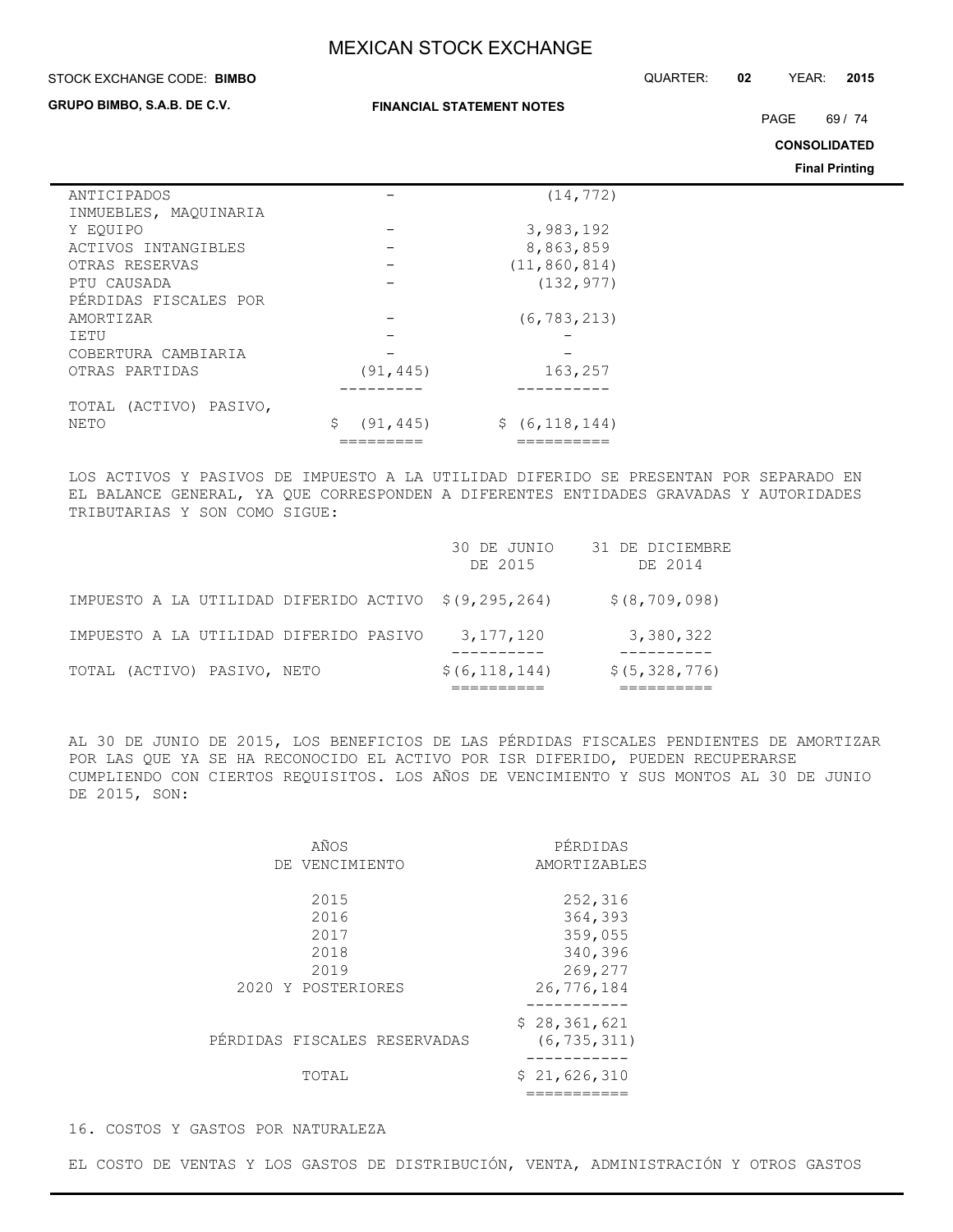| STOCK EXCHANGE CODE: BIMBO           | QUARTER:                         | 02               | YEAR: | 2015        |                     |                       |
|--------------------------------------|----------------------------------|------------------|-------|-------------|---------------------|-----------------------|
| GRUPO BIMBO, S.A.B. DE C.V.          | <b>FINANCIAL STATEMENT NOTES</b> |                  |       | <b>PAGE</b> | 69/74               |                       |
|                                      |                                  |                  |       |             | <b>CONSOLIDATED</b> |                       |
|                                      |                                  |                  |       |             |                     | <b>Final Printing</b> |
| ANTICIPADOS<br>INMUEBLES, MAQUINARIA |                                  | (14, 772)        |       |             |                     |                       |
| Y EOUIPO                             |                                  | 3,983,192        |       |             |                     |                       |
| ACTIVOS INTANGIBLES                  |                                  | 8,863,859        |       |             |                     |                       |
| OTRAS RESERVAS                       |                                  | (11, 860, 814)   |       |             |                     |                       |
| PTU CAUSADA<br>PÉRDIDAS FISCALES POR |                                  | (132, 977)       |       |             |                     |                       |
| AMORTIZAR                            |                                  | (6, 783, 213)    |       |             |                     |                       |
| IETU                                 |                                  |                  |       |             |                     |                       |
| COBERTURA CAMBIARIA                  |                                  |                  |       |             |                     |                       |
| OTRAS PARTIDAS                       | (91, 445)                        | 163,257          |       |             |                     |                       |
| (ACTIVO) PASIVO,<br>TOTAL            |                                  |                  |       |             |                     |                       |
| NETO                                 | \$<br>(91, 445)                  | \$ (6, 118, 144) |       |             |                     |                       |

LOS ACTIVOS Y PASIVOS DE IMPUESTO A LA UTILIDAD DIFERIDO SE PRESENTAN POR SEPARADO EN EL BALANCE GENERAL, YA QUE CORRESPONDEN A DIFERENTES ENTIDADES GRAVADAS Y AUTORIDADES TRIBUTARIAS Y SON COMO SIGUE:

========= ==========

|                                        | 30 DE JUNIO<br>DE 2015 | 31 DE DICIEMBRE<br>DE 2014 |
|----------------------------------------|------------------------|----------------------------|
| IMPUESTO A LA UTILIDAD DIFERIDO ACTIVO | \$ (9, 295, 264)       | \$ (8, 709, 098)           |
| IMPUESTO A LA UTILIDAD DIFERIDO PASIVO | 3, 177, 120            | 3,380,322                  |
| TOTAL (ACTIVO) PASIVO, NETO            | \$ (6, 118, 144)       | \$ (5, 328, 776)           |

AL 30 DE JUNIO DE 2015, LOS BENEFICIOS DE LAS PÉRDIDAS FISCALES PENDIENTES DE AMORTIZAR POR LAS QUE YA SE HA RECONOCIDO EL ACTIVO POR ISR DIFERIDO, PUEDEN RECUPERARSE CUMPLIENDO CON CIERTOS REQUISITOS. LOS AÑOS DE VENCIMIENTO Y SUS MONTOS AL 30 DE JUNIO DE 2015, SON:

| PÉRDIDAS<br>AMORTIZABLES |
|--------------------------|
|                          |
| 252,316                  |
| 364,393                  |
| 359,055                  |
| 340,396                  |
| 269,277                  |
| 26,776,184               |
| \$28,361,621             |
| (6, 735, 311)            |
| \$21,626,310             |
|                          |
|                          |

#### 16. COSTOS Y GASTOS POR NATURALEZA

EL COSTO DE VENTAS Y LOS GASTOS DE DISTRIBUCIÓN, VENTA, ADMINISTRACIÓN Y OTROS GASTOS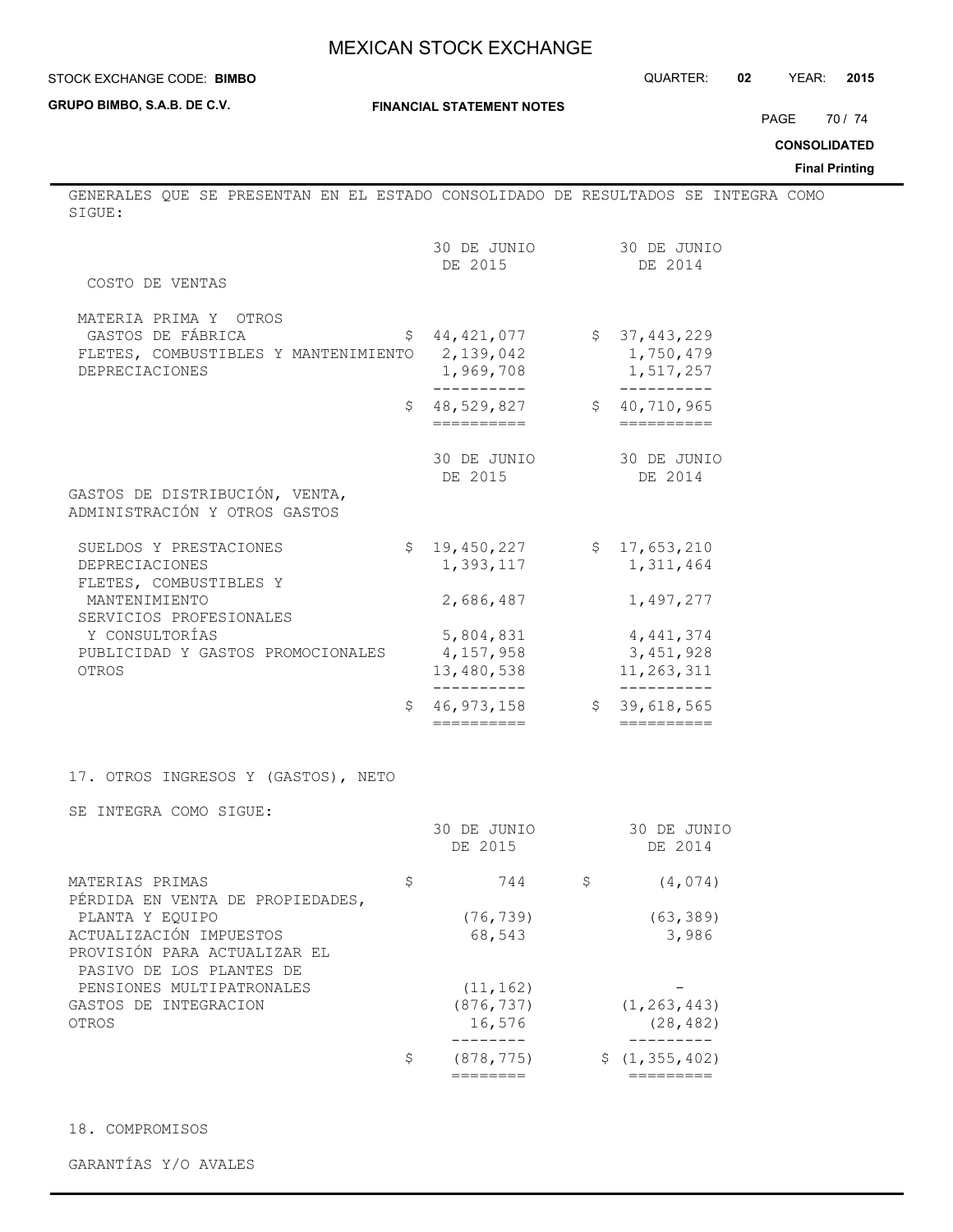| STOCK EXCHANGE CODE: BIMBO | QUARTER: | 02 | YEAR: | 2015 |
|----------------------------|----------|----|-------|------|
|----------------------------|----------|----|-------|------|

**GRUPO BIMBO, S.A.B. DE C.V.**

**FINANCIAL STATEMENT NOTES**

PAGE 70 / 74

**CONSOLIDATED**

**Final Printing**

|                                                                                                        |                                                       |                                                       | пша |
|--------------------------------------------------------------------------------------------------------|-------------------------------------------------------|-------------------------------------------------------|-----|
| GENERALES QUE SE PRESENTAN EN EL ESTADO CONSOLIDADO DE RESULTADOS SE INTEGRA COMO<br>SIGUE:            |                                                       |                                                       |     |
| COSTO DE VENTAS                                                                                        | 30 DE JUNIO<br>DE 2015                                | 30 DE JUNIO<br>DE 2014                                |     |
| MATERIA PRIMA Y OTROS<br>GASTOS DE FÁBRICA<br>FLETES, COMBUSTIBLES Y MANTENIMIENTO<br>DEPRECIACIONES   | \$44,421,077<br>2,139,042<br>1,969,708<br>----------- | \$37,443,229<br>1,750,479<br>1,517,257<br>----------- |     |
|                                                                                                        | \$48,529,827<br>==========                            | \$40, 710, 965                                        |     |
| GASTOS DE DISTRIBUCIÓN, VENTA,<br>ADMINISTRACIÓN Y OTROS GASTOS                                        | 30 DE JUNIO<br>DE 2015                                | 30 DE JUNIO<br>DE 2014                                |     |
| SUELDOS Y PRESTACIONES<br>DEPRECIACIONES<br>FLETES, COMBUSTIBLES Y                                     | \$19,450,227<br>1,393,117                             | \$17,653,210<br>1,311,464                             |     |
| MANTENIMIENTO<br>SERVICIOS PROFESIONALES<br>Y CONSULTORÍAS                                             | 2,686,487<br>5,804,831                                | 1,497,277<br>4, 441, 374                              |     |
| PUBLICIDAD Y GASTOS PROMOCIONALES<br>OTROS                                                             | 4,157,958<br>13,480,538<br>-----------                | 3,451,928<br>11,263,311<br>-----------                |     |
|                                                                                                        | \$46,973,158<br>==========                            | \$39,618,565                                          |     |
| 17. OTROS INGRESOS Y (GASTOS), NETO                                                                    |                                                       |                                                       |     |
| SE INTEGRA COMO SIGUE:                                                                                 | 30 DE JUNIO<br>DE 2015                                | 30 DE JUNIO<br>DE 2014                                |     |
| MATERIAS PRIMAS<br>PÉRDIDA EN VENTA DE PROPIEDADES,                                                    | \$<br>744                                             | \$<br>(4, 074)                                        |     |
| PLANTA Y EQUIPO<br>ACTUALIZACIÓN IMPUESTOS<br>PROVISIÓN PARA ACTUALIZAR EL<br>PASIVO DE LOS PLANTES DE | (76, 739)<br>68,543                                   | (63, 389)<br>3,986                                    |     |
| PENSIONES MULTIPATRONALES<br>GASTOS DE INTEGRACION<br>OTROS                                            | (11, 162)<br>(876, 737)<br>16,576                     | (1, 263, 443)<br>(28, 482)                            |     |
|                                                                                                        | \$<br>(878, 775)<br>========                          | \$(1, 355, 402)<br>=========                          |     |

18. COMPROMISOS

GARANTÍAS Y/O AVALES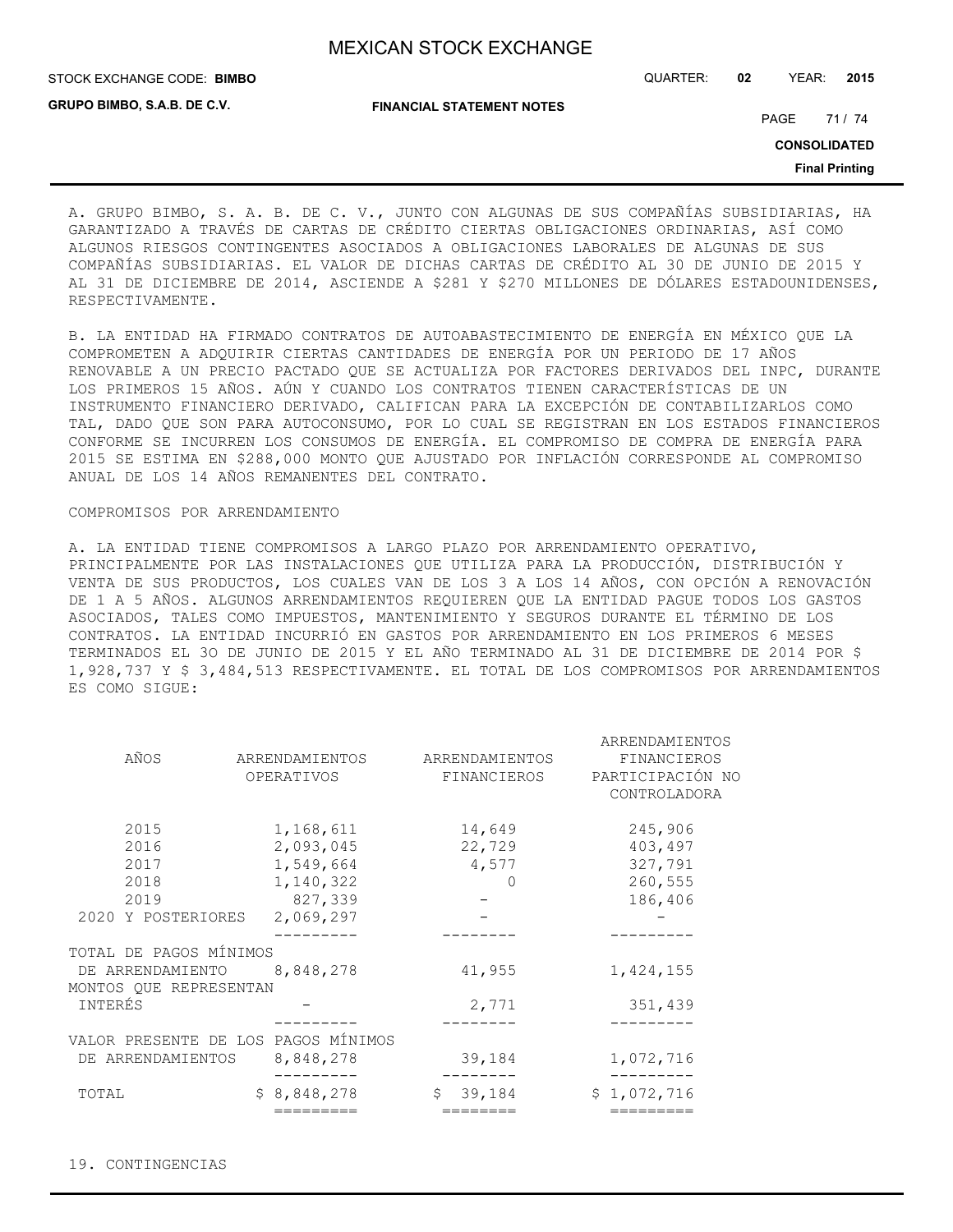STOCK EXCHANGE CODE: QUARTER: **02** YEAR: **2015 BIMBO**

**GRUPO BIMBO, S.A.B. DE C.V.**

**FINANCIAL STATEMENT NOTES**

PAGE 71 / 74

**CONSOLIDATED**

**Final Printing**

A. GRUPO BIMBO, S. A. B. DE C. V., JUNTO CON ALGUNAS DE SUS COMPAÑÍAS SUBSIDIARIAS, HA GARANTIZADO A TRAVÉS DE CARTAS DE CRÉDITO CIERTAS OBLIGACIONES ORDINARIAS, ASÍ COMO ALGUNOS RIESGOS CONTINGENTES ASOCIADOS A OBLIGACIONES LABORALES DE ALGUNAS DE SUS COMPAÑÍAS SUBSIDIARIAS. EL VALOR DE DICHAS CARTAS DE CRÉDITO AL 30 DE JUNIO DE 2015 Y AL 31 DE DICIEMBRE DE 2014, ASCIENDE A \$281 Y \$270 MILLONES DE DÓLARES ESTADOUNIDENSES, RESPECTIVAMENTE.

B. LA ENTIDAD HA FIRMADO CONTRATOS DE AUTOABASTECIMIENTO DE ENERGÍA EN MÉXICO QUE LA COMPROMETEN A ADQUIRIR CIERTAS CANTIDADES DE ENERGÍA POR UN PERIODO DE 17 AÑOS RENOVABLE A UN PRECIO PACTADO QUE SE ACTUALIZA POR FACTORES DERIVADOS DEL INPC, DURANTE LOS PRIMEROS 15 AÑOS. AÚN Y CUANDO LOS CONTRATOS TIENEN CARACTERÍSTICAS DE UN INSTRUMENTO FINANCIERO DERIVADO, CALIFICAN PARA LA EXCEPCIÓN DE CONTABILIZARLOS COMO TAL, DADO QUE SON PARA AUTOCONSUMO, POR LO CUAL SE REGISTRAN EN LOS ESTADOS FINANCIEROS CONFORME SE INCURREN LOS CONSUMOS DE ENERGÍA. EL COMPROMISO DE COMPRA DE ENERGÍA PARA 2015 SE ESTIMA EN \$288,000 MONTO QUE AJUSTADO POR INFLACIÓN CORRESPONDE AL COMPROMISO ANUAL DE LOS 14 AÑOS REMANENTES DEL CONTRATO.

#### COMPROMISOS POR ARRENDAMIENTO

A. LA ENTIDAD TIENE COMPROMISOS A LARGO PLAZO POR ARRENDAMIENTO OPERATIVO, PRINCIPALMENTE POR LAS INSTALACIONES QUE UTILIZA PARA LA PRODUCCIÓN, DISTRIBUCIÓN Y VENTA DE SUS PRODUCTOS, LOS CUALES VAN DE LOS 3 A LOS 14 AÑOS, CON OPCIÓN A RENOVACIÓN DE 1 A 5 AÑOS. ALGUNOS ARRENDAMIENTOS REQUIEREN QUE LA ENTIDAD PAGUE TODOS LOS GASTOS ASOCIADOS, TALES COMO IMPUESTOS, MANTENIMIENTO Y SEGUROS DURANTE EL TÉRMINO DE LOS CONTRATOS. LA ENTIDAD INCURRIÓ EN GASTOS POR ARRENDAMIENTO EN LOS PRIMEROS 6 MESES TERMINADOS EL 3O DE JUNIO DE 2015 Y EL AÑO TERMINADO AL 31 DE DICIEMBRE DE 2014 POR \$ 1,928,737 Y \$ 3,484,513 RESPECTIVAMENTE. EL TOTAL DE LOS COMPROMISOS POR ARRENDAMIENTOS ES COMO SIGUE:

|                                     |                |                | ARRENDAMIENTOS   |
|-------------------------------------|----------------|----------------|------------------|
| AÑOS                                | ARRENDAMIENTOS | ARRENDAMIENTOS | FINANCIEROS      |
|                                     | OPERATIVOS     | FINANCIEROS    | PARTICIPACIÓN NO |
|                                     |                |                | CONTROLADORA     |
| 2015                                | 1,168,611      | 14,649         | 245,906          |
| 2016                                | 2,093,045      | 22,729         | 403,497          |
| 2017                                | 1,549,664      | 4,577          | 327,791          |
| 2018                                | 1,140,322      | $\Omega$       | 260,555          |
| 2019                                | 827,339        |                | 186,406          |
| 2020 Y POSTERIORES                  | 2,069,297      |                |                  |
|                                     |                |                |                  |
| TOTAL DE PAGOS MÍNIMOS              |                |                |                  |
| DE ARRENDAMIENTO                    | 8,848,278      | 41,955         | 1,424,155        |
| MONTOS OUE REPRESENTAN              |                |                |                  |
| INTERÉS                             |                | 2,771          | 351,439          |
|                                     |                |                |                  |
| VALOR PRESENTE DE LOS PAGOS MÍNIMOS |                |                |                  |
| DE ARRENDAMIENTOS                   | 8,848,278      | 39,184         | 1,072,716        |
| TOTAL                               | \$8,848,278    | \$39,184       | \$1,072,716      |
|                                     | =========      | ========       | =========        |

19. CONTINGENCIAS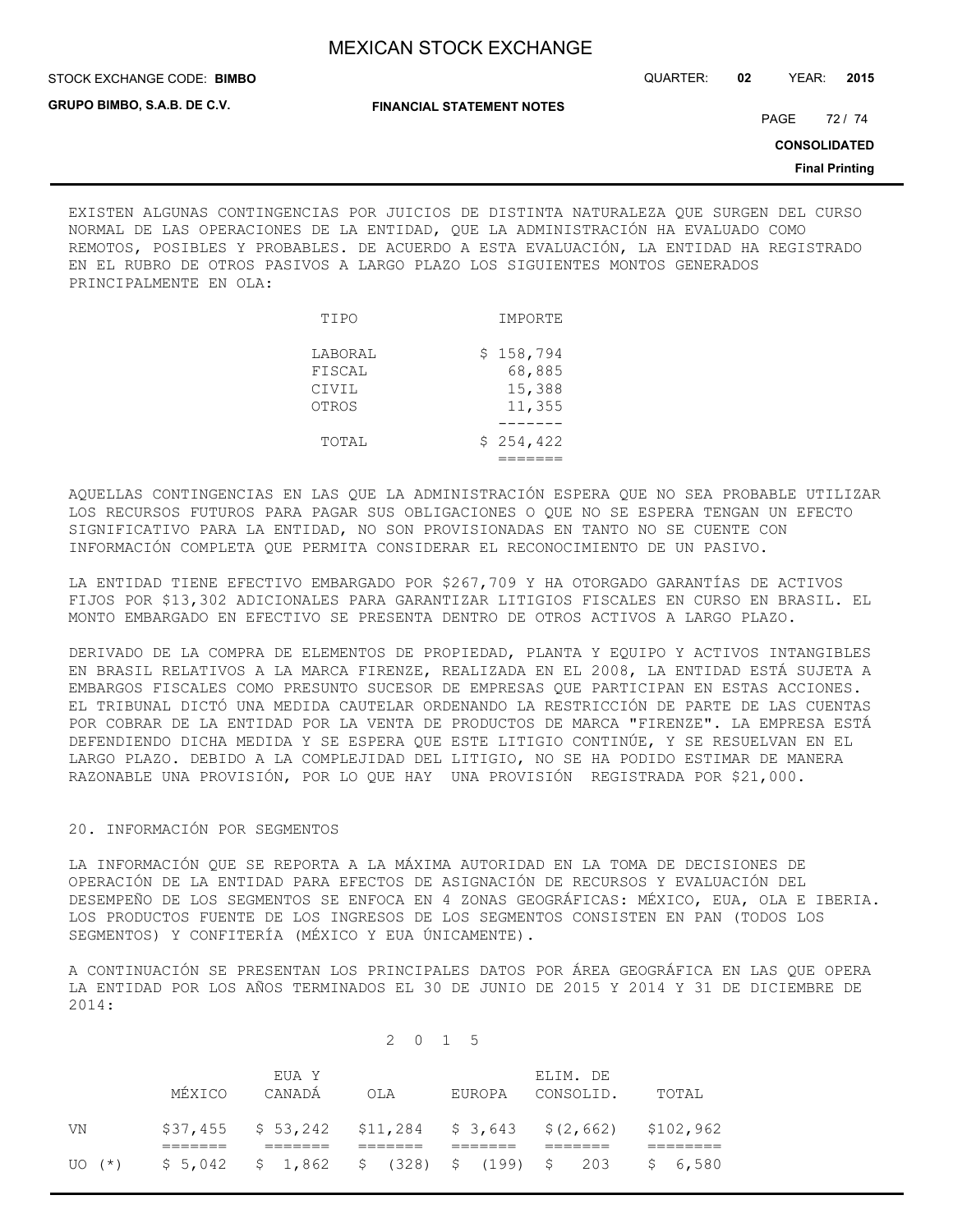STOCK EXCHANGE CODE: QUARTER: **02** YEAR: **2015 BIMBO**

**GRUPO BIMBO, S.A.B. DE C.V.**

**FINANCIAL STATEMENT NOTES**

PAGE 72 / 74

**CONSOLIDATED**

**Final Printing**

EXISTEN ALGUNAS CONTINGENCIAS POR JUICIOS DE DISTINTA NATURALEZA QUE SURGEN DEL CURSO NORMAL DE LAS OPERACIONES DE LA ENTIDAD, QUE LA ADMINISTRACIÓN HA EVALUADO COMO REMOTOS, POSIBLES Y PROBABLES. DE ACUERDO A ESTA EVALUACIÓN, LA ENTIDAD HA REGISTRADO EN EL RUBRO DE OTROS PASIVOS A LARGO PLAZO LOS SIGUIENTES MONTOS GENERADOS PRINCIPALMENTE EN OLA:

| TIPO                                | IMPORTE                                 |
|-------------------------------------|-----------------------------------------|
| LABORAL<br>FISCAL<br>CIVIL<br>OTROS | \$158,794<br>68,885<br>15,388<br>11,355 |
| TOTAL                               | \$254,422                               |

AQUELLAS CONTINGENCIAS EN LAS QUE LA ADMINISTRACIÓN ESPERA QUE NO SEA PROBABLE UTILIZAR LOS RECURSOS FUTUROS PARA PAGAR SUS OBLIGACIONES O QUE NO SE ESPERA TENGAN UN EFECTO SIGNIFICATIVO PARA LA ENTIDAD, NO SON PROVISIONADAS EN TANTO NO SE CUENTE CON INFORMACIÓN COMPLETA QUE PERMITA CONSIDERAR EL RECONOCIMIENTO DE UN PASIVO.

LA ENTIDAD TIENE EFECTIVO EMBARGADO POR \$267,709 Y HA OTORGADO GARANTÍAS DE ACTIVOS FIJOS POR \$13,302 ADICIONALES PARA GARANTIZAR LITIGIOS FISCALES EN CURSO EN BRASIL. EL MONTO EMBARGADO EN EFECTIVO SE PRESENTA DENTRO DE OTROS ACTIVOS A LARGO PLAZO.

DERIVADO DE LA COMPRA DE ELEMENTOS DE PROPIEDAD, PLANTA Y EQUIPO Y ACTIVOS INTANGIBLES EN BRASIL RELATIVOS A LA MARCA FIRENZE, REALIZADA EN EL 2008, LA ENTIDAD ESTÁ SUJETA A EMBARGOS FISCALES COMO PRESUNTO SUCESOR DE EMPRESAS QUE PARTICIPAN EN ESTAS ACCIONES. EL TRIBUNAL DICTÓ UNA MEDIDA CAUTELAR ORDENANDO LA RESTRICCIÓN DE PARTE DE LAS CUENTAS POR COBRAR DE LA ENTIDAD POR LA VENTA DE PRODUCTOS DE MARCA "FIRENZE". LA EMPRESA ESTÁ DEFENDIENDO DICHA MEDIDA Y SE ESPERA QUE ESTE LITIGIO CONTINÚE, Y SE RESUELVAN EN EL LARGO PLAZO. DEBIDO A LA COMPLEJIDAD DEL LITIGIO, NO SE HA PODIDO ESTIMAR DE MANERA RAZONABLE UNA PROVISIÓN, POR LO QUE HAY UNA PROVISIÓN REGISTRADA POR \$21,000.

#### 20. INFORMACIÓN POR SEGMENTOS

LA INFORMACIÓN QUE SE REPORTA A LA MÁXIMA AUTORIDAD EN LA TOMA DE DECISIONES DE OPERACIÓN DE LA ENTIDAD PARA EFECTOS DE ASIGNACIÓN DE RECURSOS Y EVALUACIÓN DEL DESEMPEÑO DE LOS SEGMENTOS SE ENFOCA EN 4 ZONAS GEOGRÁFICAS: MÉXICO, EUA, OLA E IBERIA. LOS PRODUCTOS FUENTE DE LOS INGRESOS DE LOS SEGMENTOS CONSISTEN EN PAN (TODOS LOS SEGMENTOS) Y CONFITERÍA (MÉXICO Y EUA ÚNICAMENTE).

A CONTINUACIÓN SE PRESENTAN LOS PRINCIPALES DATOS POR ÁREA GEOGRÁFICA EN LAS QUE OPERA LA ENTIDAD POR LOS AÑOS TERMINADOS EL 30 DE JUNIO DE 2015 Y 2014 Y 31 DE DICIEMBRE DE 2014:

#### 2 0 1 5

|        | MÉXICO | EUA Y<br>CANADÀ | OLA | EUROPA | ELIM. DE<br>CONSOLID.                                        | TOTAL |
|--------|--------|-----------------|-----|--------|--------------------------------------------------------------|-------|
| VN     |        |                 |     |        | $$37,455$ $$53,242$ $$11,284$ $$3,643$ $$(2,662)$ $$102,962$ |       |
| UO (*) |        |                 |     |        | $$5,042$ $$1,862$ $$(328)$ $$(199)$ $$203$ $$6,580$          |       |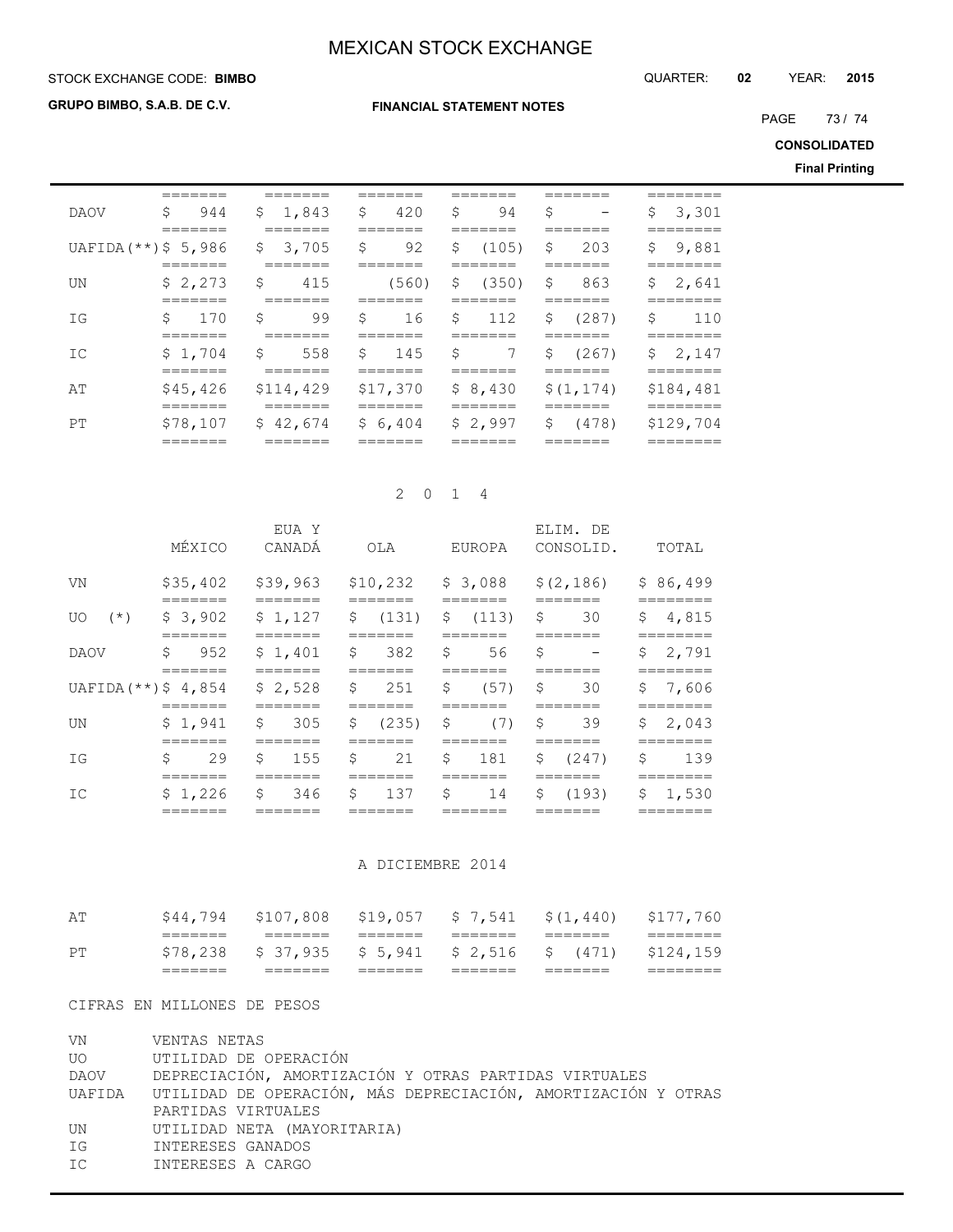**FINANCIAL STATEMENT NOTES**

STOCK EXCHANGE CODE: QUARTER: **02** YEAR: **2015 BIMBO**

**GRUPO BIMBO, S.A.B. DE C.V.**

PAGE 73 / 74

**CONSOLIDATED**

**Final Printing**

|                        | _______             |                      |                     |                        |             |                      |
|------------------------|---------------------|----------------------|---------------------|------------------------|-------------|----------------------|
| <b>DAOV</b>            | Ŝ.<br>944           | \$1,843              | $\mathsf{S}$<br>420 | \$<br>94               | \$          | \$<br>3,301          |
| UAFIDA $(**)$ \$ 5,986 | =======             | \$3,705              | -\$<br>92           | \$<br>(105)<br>_______ | \$<br>203   | \$<br>9,881          |
| UN                     | \$2,273             | \$<br>415            | (560)               | \$<br>(350)            | \$<br>863   | \$<br>2,641          |
| IG                     | Ŝ.<br>170           | S<br>99              | S<br>16             | \$ 112                 | \$<br>(287) | Ŝ.<br>110            |
| IC                     | \$1,704             | - \$<br>558          | $\mathsf{S}$<br>145 | \$<br>7                | Ŝ.<br>(267) | \$<br>2,147          |
| AΤ                     | \$45,426<br>------- | \$114,429<br>_______ | \$17,370<br>_______ | \$8,430<br>-------     | \$(1, 174)  | \$184,481<br>======= |
| PT                     | \$78,107            | \$42,674             | \$6,404             | \$2,997<br>--          | \$<br>(478) | \$129,704            |
|                        |                     |                      |                     |                        |             |                      |

#### 2 0 1 4

|                       | ======             |                    |                        |                        |                                | =======                 |
|-----------------------|--------------------|--------------------|------------------------|------------------------|--------------------------------|-------------------------|
| IC                    | \$1,226            | \$<br>346          | \$<br>137              | \$<br>14               | \$<br>(193)                    | \$<br>1,530             |
|                       |                    |                    |                        |                        |                                |                         |
| IG                    | \$<br>29           | S<br>155           | S<br>21                | S<br>181               | \$<br>(247)                    | \$<br>139               |
| UN                    | \$1,941            | \$<br>305          | Ŝ.<br>(235)            | \$<br>(7)              | \$<br>39                       | \$<br>2,043             |
|                       | =======            |                    | =======                |                        | =======                        | =======                 |
| $UAFIDA$ (**) \$4,854 |                    | \$2,528            | \$<br>251              | \$<br>(57)             | \$<br>30                       | \$<br>7,606             |
|                       |                    |                    |                        |                        |                                |                         |
| DAOV                  | S<br>952           | \$1,401            | \$<br>382              | \$<br>56               | \$<br>$\overline{\phantom{0}}$ | \$<br>2,791             |
| $(*)$<br>UO           | \$3,902<br>======= | \$1,127<br>_______ | \$<br>(131)<br>======= | \$<br>(113)<br>_______ | \$<br>=======                  | 4,815<br>\$<br>======== |
|                       |                    |                    |                        |                        | 30                             |                         |
| VN                    | \$35,402           | \$39,963           | \$10,232               | \$3,088                | \$(2, 186)                     | \$86,499                |
|                       |                    |                    |                        |                        |                                |                         |
|                       | MÉXICO             | EUA Y<br>CANADA    | OLA                    | EUROPA                 | ELIM. DE<br>CONSOLID.          | TOTAL                   |

## A DICIEMBRE 2014

|             | _______<br>_______ |                                                               | _______ | _______ |  |
|-------------|--------------------|---------------------------------------------------------------|---------|---------|--|
| $_{\rm PT}$ |                    | $$78,238$ $$37,935$ $$5,941$ $$2,516$ $$(471)$ $$124,159$     |         |         |  |
|             | _______<br>_______ |                                                               |         |         |  |
| AΤ          |                    | $$44,794$ $$107,808$ $$19,057$ $$7,541$ $$(1,440)$ $$177,760$ |         |         |  |

#### CIFRAS EN MILLONES DE PESOS

| VN | VENTAS NETAS                                                         |
|----|----------------------------------------------------------------------|
| UO | UTILIDAD DE OPERACIÓN                                                |
|    | DAOV DEPRECIACIÓN, AMORTIZACIÓN Y OTRAS PARTIDAS VIRTUALES           |
|    | UAFIDA UTILIDAD DE OPERACIÓN, MÁS DEPRECIACIÓN, AMORTIZACIÓN Y OTRAS |
|    | PARTIDAS VIRTUALES                                                   |
| UN | UTILIDAD NETA (MAYORITARIA)                                          |
| ΙG | INTERESES GANADOS                                                    |
| IC | INTERESES A CARGO                                                    |
|    |                                                                      |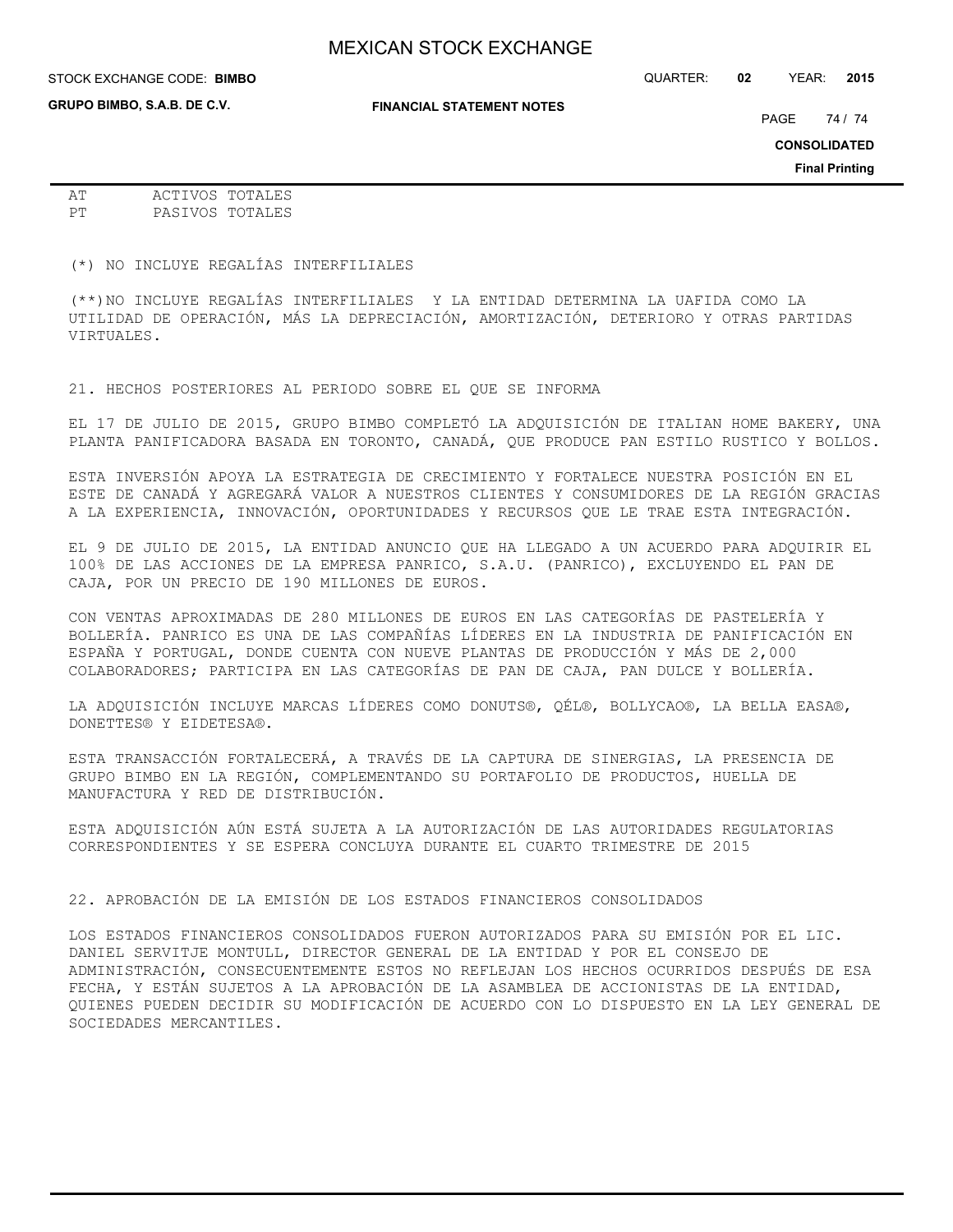**GRUPO BIMBO, S.A.B. DE C.V.**

STOCK EXCHANGE CODE: QUARTER: **02** YEAR: **2015 BIMBO**

**FINANCIAL STATEMENT NOTES**

PAGE 74 / 74

**CONSOLIDATED**

**Final Printing**

AT ACTIVOS TOTALES PT PASIVOS TOTALES

(\*) NO INCLUYE REGALÍAS INTERFILIALES

(\*\*)NO INCLUYE REGALÍAS INTERFILIALES Y LA ENTIDAD DETERMINA LA UAFIDA COMO LA UTILIDAD DE OPERACIÓN, MÁS LA DEPRECIACIÓN, AMORTIZACIÓN, DETERIORO Y OTRAS PARTIDAS VIRTUALES.

21. HECHOS POSTERIORES AL PERIODO SOBRE EL QUE SE INFORMA

EL 17 DE JULIO DE 2015, GRUPO BIMBO COMPLETÓ LA ADQUISICIÓN DE ITALIAN HOME BAKERY, UNA PLANTA PANIFICADORA BASADA EN TORONTO, CANADÁ, QUE PRODUCE PAN ESTILO RUSTICO Y BOLLOS.

ESTA INVERSIÓN APOYA LA ESTRATEGIA DE CRECIMIENTO Y FORTALECE NUESTRA POSICIÓN EN EL ESTE DE CANADÁ Y AGREGARÁ VALOR A NUESTROS CLIENTES Y CONSUMIDORES DE LA REGIÓN GRACIAS A LA EXPERIENCIA, INNOVACIÓN, OPORTUNIDADES Y RECURSOS QUE LE TRAE ESTA INTEGRACIÓN.

EL 9 DE JULIO DE 2015, LA ENTIDAD ANUNCIO QUE HA LLEGADO A UN ACUERDO PARA ADQUIRIR EL 100% DE LAS ACCIONES DE LA EMPRESA PANRICO, S.A.U. (PANRICO), EXCLUYENDO EL PAN DE CAJA, POR UN PRECIO DE 190 MILLONES DE EUROS.

CON VENTAS APROXIMADAS DE 280 MILLONES DE EUROS EN LAS CATEGORÍAS DE PASTELERÍA Y BOLLERÍA. PANRICO ES UNA DE LAS COMPAÑÍAS LÍDERES EN LA INDUSTRIA DE PANIFICACIÓN EN ESPAÑA Y PORTUGAL, DONDE CUENTA CON NUEVE PLANTAS DE PRODUCCIÓN Y MÁS DE 2,000 COLABORADORES; PARTICIPA EN LAS CATEGORÍAS DE PAN DE CAJA, PAN DULCE Y BOLLERÍA.

LA ADQUISICIÓN INCLUYE MARCAS LÍDERES COMO DONUTS®, QÉL®, BOLLYCAO®, LA BELLA EASA®, DONETTES® Y EIDETESA®.

ESTA TRANSACCIÓN FORTALECERÁ, A TRAVÉS DE LA CAPTURA DE SINERGIAS, LA PRESENCIA DE GRUPO BIMBO EN LA REGIÓN, COMPLEMENTANDO SU PORTAFOLIO DE PRODUCTOS, HUELLA DE MANUFACTURA Y RED DE DISTRIBUCIÓN.

ESTA ADQUISICIÓN AÚN ESTÁ SUJETA A LA AUTORIZACIÓN DE LAS AUTORIDADES REGULATORIAS CORRESPONDIENTES Y SE ESPERA CONCLUYA DURANTE EL CUARTO TRIMESTRE DE 2015

22. APROBACIÓN DE LA EMISIÓN DE LOS ESTADOS FINANCIEROS CONSOLIDADOS

LOS ESTADOS FINANCIEROS CONSOLIDADOS FUERON AUTORIZADOS PARA SU EMISIÓN POR EL LIC. DANIEL SERVITJE MONTULL, DIRECTOR GENERAL DE LA ENTIDAD Y POR EL CONSEJO DE ADMINISTRACIÓN, CONSECUENTEMENTE ESTOS NO REFLEJAN LOS HECHOS OCURRIDOS DESPUÉS DE ESA FECHA, Y ESTÁN SUJETOS A LA APROBACIÓN DE LA ASAMBLEA DE ACCIONISTAS DE LA ENTIDAD, QUIENES PUEDEN DECIDIR SU MODIFICACIÓN DE ACUERDO CON LO DISPUESTO EN LA LEY GENERAL DE SOCIEDADES MERCANTILES.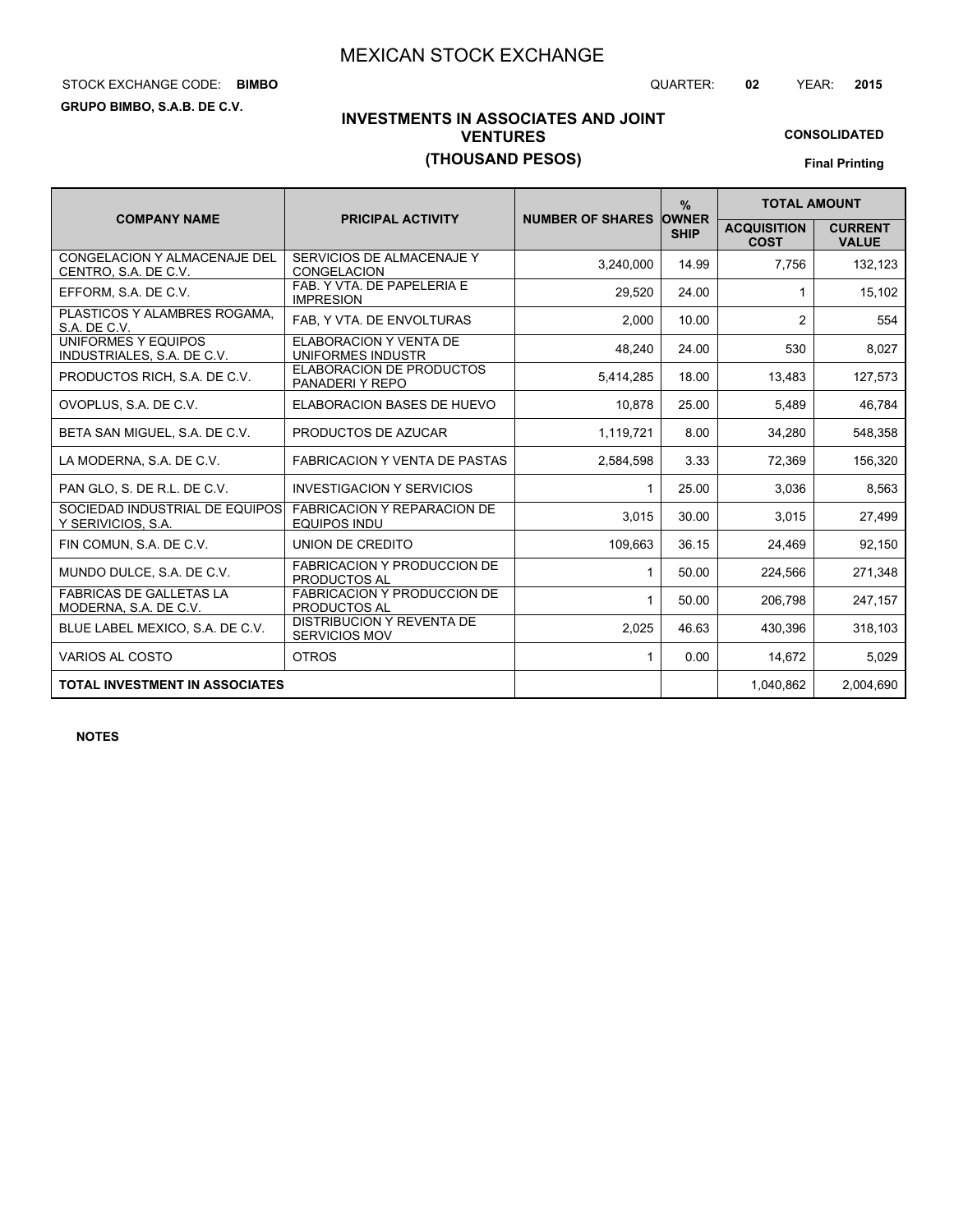# STOCK EXCHANGE CODE: QUARTER: **02** YEAR: **2015 BIMBO**

**GRUPO BIMBO, S.A.B. DE C.V.**

**CONSOLIDATED**

# **INVESTMENTS IN ASSOCIATES AND JOINT VENTURES (THOUSAND PESOS)**

**Final Printing**

|                                                             |                                                           |                         | $\frac{9}{6}$               | <b>TOTAL AMOUNT</b>               |                                |
|-------------------------------------------------------------|-----------------------------------------------------------|-------------------------|-----------------------------|-----------------------------------|--------------------------------|
| <b>COMPANY NAME</b>                                         | <b>PRICIPAL ACTIVITY</b>                                  | <b>NUMBER OF SHARES</b> | <b>OWNER</b><br><b>SHIP</b> | <b>ACQUISITION</b><br><b>COST</b> | <b>CURRENT</b><br><b>VALUE</b> |
| <b>CONGELACION Y ALMACENAJE DEL</b><br>CENTRO, S.A. DE C.V. | SERVICIOS DE ALMACENAJE Y<br>CONGELACION                  | 3,240,000               | 14.99                       | 7,756                             | 132,123                        |
| EFFORM, S.A. DE C.V.                                        | FAB. Y VTA. DE PAPELERIA E<br><b>IMPRESION</b>            | 29,520                  | 24.00                       |                                   | 15,102                         |
| PLASTICOS Y ALAMBRES ROGAMA.<br>S.A. DE C.V.                | FAB, Y VTA. DE ENVOLTURAS                                 | 2,000                   | 10.00                       | 2                                 | 554                            |
| UNIFORMES Y EQUIPOS<br>INDUSTRIALES, S.A. DE C.V.           | ELABORACION Y VENTA DE<br>UNIFORMES INDUSTR               | 48,240                  | 24.00                       | 530                               | 8,027                          |
| PRODUCTOS RICH, S.A. DE C.V.                                | <b>ELABORACION DE PRODUCTOS</b><br>PANADERI Y REPO        | 5,414,285               | 18.00                       | 13,483                            | 127,573                        |
| OVOPLUS, S.A. DE C.V.                                       | <b>ELABORACION BASES DE HUEVO</b>                         | 10,878                  | 25.00                       | 5,489                             | 46,784                         |
| BETA SAN MIGUEL, S.A. DE C.V.                               | PRODUCTOS DE AZUCAR                                       | 1,119,721               | 8.00                        | 34.280                            | 548,358                        |
| LA MODERNA, S.A. DE C.V.                                    | <b>FABRICACION Y VENTA DE PASTAS</b>                      | 2,584,598               | 3.33                        | 72,369                            | 156,320                        |
| PAN GLO, S. DE R.L. DE C.V.                                 | <b>INVESTIGACION Y SERVICIOS</b>                          | $\mathbf{1}$            | 25.00                       | 3,036                             | 8,563                          |
| SOCIEDAD INDUSTRIAL DE EQUIPOS<br>Y SERIVICIOS, S.A.        | <b>FABRICACION Y REPARACION DE</b><br><b>EQUIPOS INDU</b> | 3,015                   | 30.00                       | 3.015                             | 27,499                         |
| FIN COMUN, S.A. DE C.V.                                     | UNION DE CREDITO                                          | 109,663                 | 36.15                       | 24,469                            | 92,150                         |
| MUNDO DULCE, S.A. DE C.V.                                   | <b>FABRICACION Y PRODUCCION DE</b><br><b>PRODUCTOS AL</b> | 1                       | 50.00                       | 224,566                           | 271,348                        |
| <b>FABRICAS DE GALLETAS LA</b><br>MODERNA, S.A. DE C.V.     | <b>FABRICACION Y PRODUCCION DE</b><br><b>PRODUCTOS AL</b> | 1                       | 50.00                       | 206,798                           | 247,157                        |
| BLUE LABEL MEXICO, S.A. DE C.V.                             | DISTRIBUCION Y REVENTA DE<br><b>SERVICIOS MOV</b>         | 2,025                   | 46.63                       | 430,396                           | 318,103                        |
| VARIOS AL COSTO                                             | <b>OTROS</b>                                              | 1                       | 0.00                        | 14,672                            | 5,029                          |
| <b>TOTAL INVESTMENT IN ASSOCIATES</b>                       |                                                           |                         |                             | 1,040,862                         | 2,004,690                      |

**NOTES**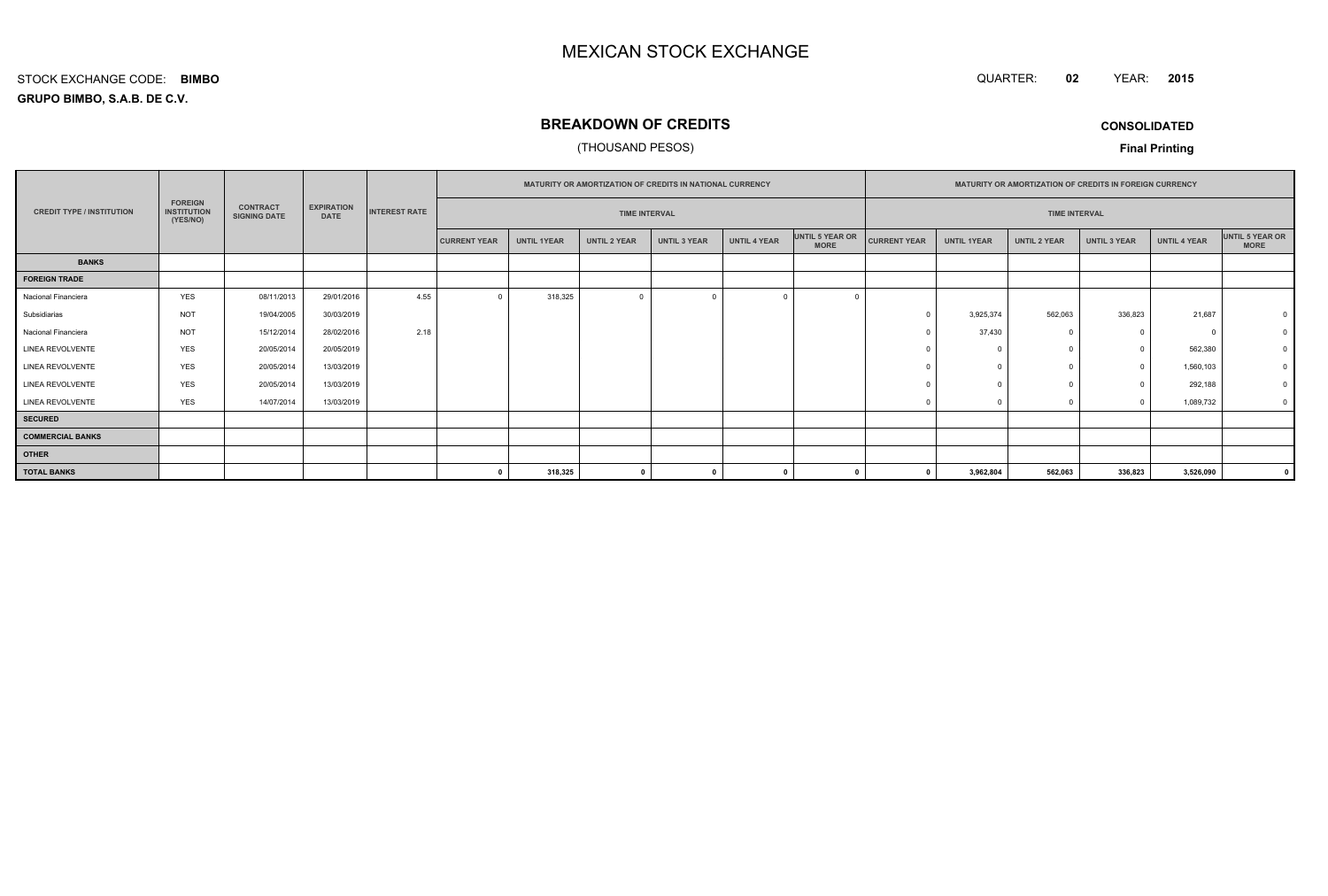QUARTER: **02**YEAR: **<sup>2015</sup>**

**GRUPO BIMBO, S.A.B. DE C.V.**STOCK EXCHANGE CODE:**BIMBO**

## **BREAKDOWN OF CREDITS**

## (THOUSAND PESOS)

**CONSOLIDATED**

|                                  |                                                  |                                        |                                  |                      |                     | MATURITY OR AMORTIZATION OF CREDITS IN NATIONAL CURRENCY |                |                     |              |                                | MATURITY OR AMORTIZATION OF CREDITS IN FOREIGN CURRENCY |                    |                     |                     |                     |                                |
|----------------------------------|--------------------------------------------------|----------------------------------------|----------------------------------|----------------------|---------------------|----------------------------------------------------------|----------------|---------------------|--------------|--------------------------------|---------------------------------------------------------|--------------------|---------------------|---------------------|---------------------|--------------------------------|
| <b>CREDIT TYPE / INSTITUTION</b> | <b>FOREIGN</b><br><b>INSTITUTION</b><br>(YES/NO) | <b>CONTRACT</b><br><b>SIGNING DATE</b> | <b>EXPIRATION</b><br><b>DATE</b> | <b>INTEREST RATE</b> |                     | <b>TIME INTERVAL</b>                                     |                |                     |              | <b>TIME INTERVAL</b>           |                                                         |                    |                     |                     |                     |                                |
|                                  |                                                  |                                        |                                  |                      | <b>CURRENT YEAR</b> | <b>UNTIL 1YEAR</b>                                       | UNTIL 2 YEAR   | <b>UNTIL 3 YEAR</b> | UNTIL 4 YEAR | UNTIL 5 YEAR OR<br><b>MORE</b> | <b>CURRENT YEAR</b>                                     | <b>UNTIL 1YEAR</b> | <b>UNTIL 2 YEAR</b> | <b>UNTIL 3 YEAR</b> | <b>UNTIL 4 YEAR</b> | UNTIL 5 YEAR OR<br><b>MORE</b> |
| <b>BANKS</b>                     |                                                  |                                        |                                  |                      |                     |                                                          |                |                     |              |                                |                                                         |                    |                     |                     |                     |                                |
| <b>FOREIGN TRADE</b>             |                                                  |                                        |                                  |                      |                     |                                                          |                |                     |              |                                |                                                         |                    |                     |                     |                     |                                |
| Nacional Financiera              | <b>YES</b>                                       | 08/11/2013                             | 29/01/2016                       | 4.55                 | $\Omega$            | 318,325                                                  | $\overline{0}$ |                     |              |                                |                                                         |                    |                     |                     |                     |                                |
| Subsidiarias                     | <b>NOT</b>                                       | 19/04/2005                             | 30/03/2019                       |                      |                     |                                                          |                |                     |              |                                |                                                         | 3,925,374          | 562,063             | 336,823             | 21,687              |                                |
| Nacional Financiera              | <b>NOT</b>                                       | 15/12/2014                             | 28/02/2016                       | 2.18                 |                     |                                                          |                |                     |              |                                |                                                         | 37,430             |                     | $\circ$             | $\Omega$            |                                |
| LINEA REVOLVENTE                 | <b>YES</b>                                       | 20/05/2014                             | 20/05/2019                       |                      |                     |                                                          |                |                     |              |                                |                                                         |                    |                     | $\mathbf{0}$        | 562,380             |                                |
| <b>LINEA REVOLVENTE</b>          | <b>YES</b>                                       | 20/05/2014                             | 13/03/2019                       |                      |                     |                                                          |                |                     |              |                                |                                                         |                    |                     | $\circ$             | 1,560,103           |                                |
| LINEA REVOLVENTE                 | <b>YES</b>                                       | 20/05/2014                             | 13/03/2019                       |                      |                     |                                                          |                |                     |              |                                |                                                         |                    |                     | $\Omega$            | 292,188             |                                |
| LINEA REVOLVENTE                 | <b>YES</b>                                       | 14/07/2014                             | 13/03/2019                       |                      |                     |                                                          |                |                     |              |                                |                                                         |                    |                     | $\Omega$            | 1,089,732           | $\mathsf 0$                    |
| <b>SECURED</b>                   |                                                  |                                        |                                  |                      |                     |                                                          |                |                     |              |                                |                                                         |                    |                     |                     |                     |                                |
| <b>COMMERCIAL BANKS</b>          |                                                  |                                        |                                  |                      |                     |                                                          |                |                     |              |                                |                                                         |                    |                     |                     |                     |                                |
| <b>OTHER</b>                     |                                                  |                                        |                                  |                      |                     |                                                          |                |                     |              |                                |                                                         |                    |                     |                     |                     |                                |
| <b>TOTAL BANKS</b>               |                                                  |                                        |                                  |                      |                     | 318,325                                                  | $\mathbf{0}$   |                     |              |                                |                                                         | 3,962,804          | 562,063             | 336,823             | 3,526,090           | $\mathbf{0}$                   |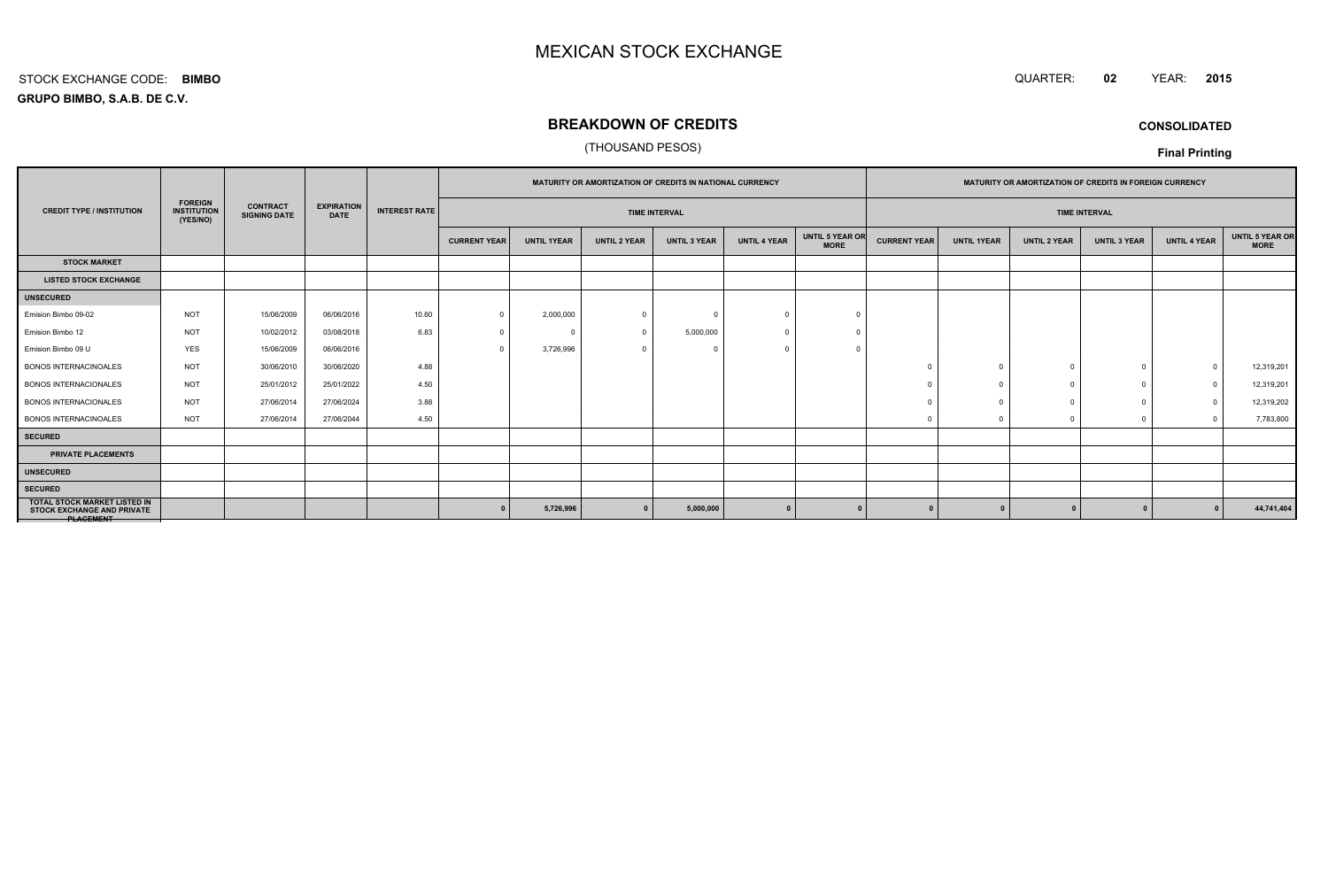#### QUARTER: **<sup>02</sup>**YEAR: **<sup>2015</sup>**

**GRUPO BIMBO, S.A.B. DE C.V.**STOCK EXCHANGE CODE:**BIMBO**

## **BREAKDOWN OF CREDITS**

## (THOUSAND PESOS)

**CONSOLIDATED**

|                                                                                              |                                                  |                                        |                                  |                      |                     | MATURITY OR AMORTIZATION OF CREDITS IN NATIONAL CURRENCY |                     |                      |                     | MATURITY OR AMORTIZATION OF CREDITS IN FOREIGN CURRENCY |                     |                    |                     |                      |                     |                                       |
|----------------------------------------------------------------------------------------------|--------------------------------------------------|----------------------------------------|----------------------------------|----------------------|---------------------|----------------------------------------------------------|---------------------|----------------------|---------------------|---------------------------------------------------------|---------------------|--------------------|---------------------|----------------------|---------------------|---------------------------------------|
| <b>CREDIT TYPE / INSTITUTION</b>                                                             | <b>FOREIGN</b><br><b>INSTITUTION</b><br>(YES/NO) | <b>CONTRACT</b><br><b>SIGNING DATE</b> | <b>EXPIRATION</b><br><b>DATE</b> | <b>INTEREST RATE</b> |                     |                                                          |                     | <b>TIME INTERVAL</b> |                     |                                                         |                     |                    |                     | <b>TIME INTERVAL</b> |                     |                                       |
|                                                                                              |                                                  |                                        |                                  |                      | <b>CURRENT YEAR</b> | <b>UNTIL 1YEAR</b>                                       | <b>UNTIL 2 YEAR</b> | <b>UNTIL 3 YEAR</b>  | <b>UNTIL 4 YEAR</b> | UNTIL 5 YEAR OR<br><b>MORE</b>                          | <b>CURRENT YEAR</b> | <b>UNTIL 1YEAR</b> | <b>UNTIL 2 YEAR</b> | <b>UNTIL 3 YEAR</b>  | <b>UNTIL 4 YEAR</b> | <b>UNTIL 5 YEAR OR</b><br><b>MORE</b> |
| <b>STOCK MARKET</b>                                                                          |                                                  |                                        |                                  |                      |                     |                                                          |                     |                      |                     |                                                         |                     |                    |                     |                      |                     |                                       |
| <b>LISTED STOCK EXCHANGE</b>                                                                 |                                                  |                                        |                                  |                      |                     |                                                          |                     |                      |                     |                                                         |                     |                    |                     |                      |                     |                                       |
| <b>UNSECURED</b>                                                                             |                                                  |                                        |                                  |                      |                     |                                                          |                     |                      |                     |                                                         |                     |                    |                     |                      |                     |                                       |
| Emision Bimbo 09-02                                                                          | <b>NOT</b>                                       | 15/06/2009                             | 06/06/2016                       | 10.60                | $\cap$              | 2,000,000                                                | $\Omega$            |                      | $\Omega$            |                                                         |                     |                    |                     |                      |                     |                                       |
| Emision Bimbo 12                                                                             | <b>NOT</b>                                       | 10/02/2012                             | 03/08/2018                       | 6.83                 | $\Omega$            |                                                          | $\Omega$            | 5,000,000            |                     |                                                         |                     |                    |                     |                      |                     |                                       |
| Emision Bimbo 09 U                                                                           | <b>YES</b>                                       | 15/06/2009                             | 06/06/2016                       |                      |                     | 3,726,996                                                | $\Omega$            |                      | $\Omega$            |                                                         |                     |                    |                     |                      |                     |                                       |
| <b>BONOS INTERNACINOALES</b>                                                                 | <b>NOT</b>                                       | 30/06/2010                             | 30/06/2020                       | 4.88                 |                     |                                                          |                     |                      |                     |                                                         |                     | $\sqrt{2}$         |                     |                      |                     | 12,319,201                            |
| <b>BONOS INTERNACIONALES</b>                                                                 | <b>NOT</b>                                       | 25/01/2012                             | 25/01/2022                       | 4.50                 |                     |                                                          |                     |                      |                     |                                                         |                     | $\Omega$           | C                   |                      | $\overline{0}$      | 12,319,201                            |
| BONOS INTERNACIONALES                                                                        | <b>NOT</b>                                       | 27/06/2014                             | 27/06/2024                       | 3.88                 |                     |                                                          |                     |                      |                     |                                                         |                     |                    |                     |                      | $\Omega$            | 12,319,202                            |
| BONOS INTERNACINOALES                                                                        | <b>NOT</b>                                       | 27/06/2014                             | 27/06/2044                       | 4.50                 |                     |                                                          |                     |                      |                     |                                                         |                     |                    |                     |                      |                     | 7,783,800                             |
| <b>SECURED</b>                                                                               |                                                  |                                        |                                  |                      |                     |                                                          |                     |                      |                     |                                                         |                     |                    |                     |                      |                     |                                       |
| <b>PRIVATE PLACEMENTS</b>                                                                    |                                                  |                                        |                                  |                      |                     |                                                          |                     |                      |                     |                                                         |                     |                    |                     |                      |                     |                                       |
| <b>UNSECURED</b>                                                                             |                                                  |                                        |                                  |                      |                     |                                                          |                     |                      |                     |                                                         |                     |                    |                     |                      |                     |                                       |
| <b>SECURED</b>                                                                               |                                                  |                                        |                                  |                      |                     |                                                          |                     |                      |                     |                                                         |                     |                    |                     |                      |                     |                                       |
| <b>TOTAL STOCK MARKET LISTED IN</b><br><b>STOCK EXCHANGE AND PRIVATE</b><br><b>PLAGEMENT</b> |                                                  |                                        |                                  |                      |                     | 5,726,996                                                |                     | 5,000,000            | - 0                 |                                                         |                     |                    |                     | $\Omega$             | $\Omega$            | 44,741,404                            |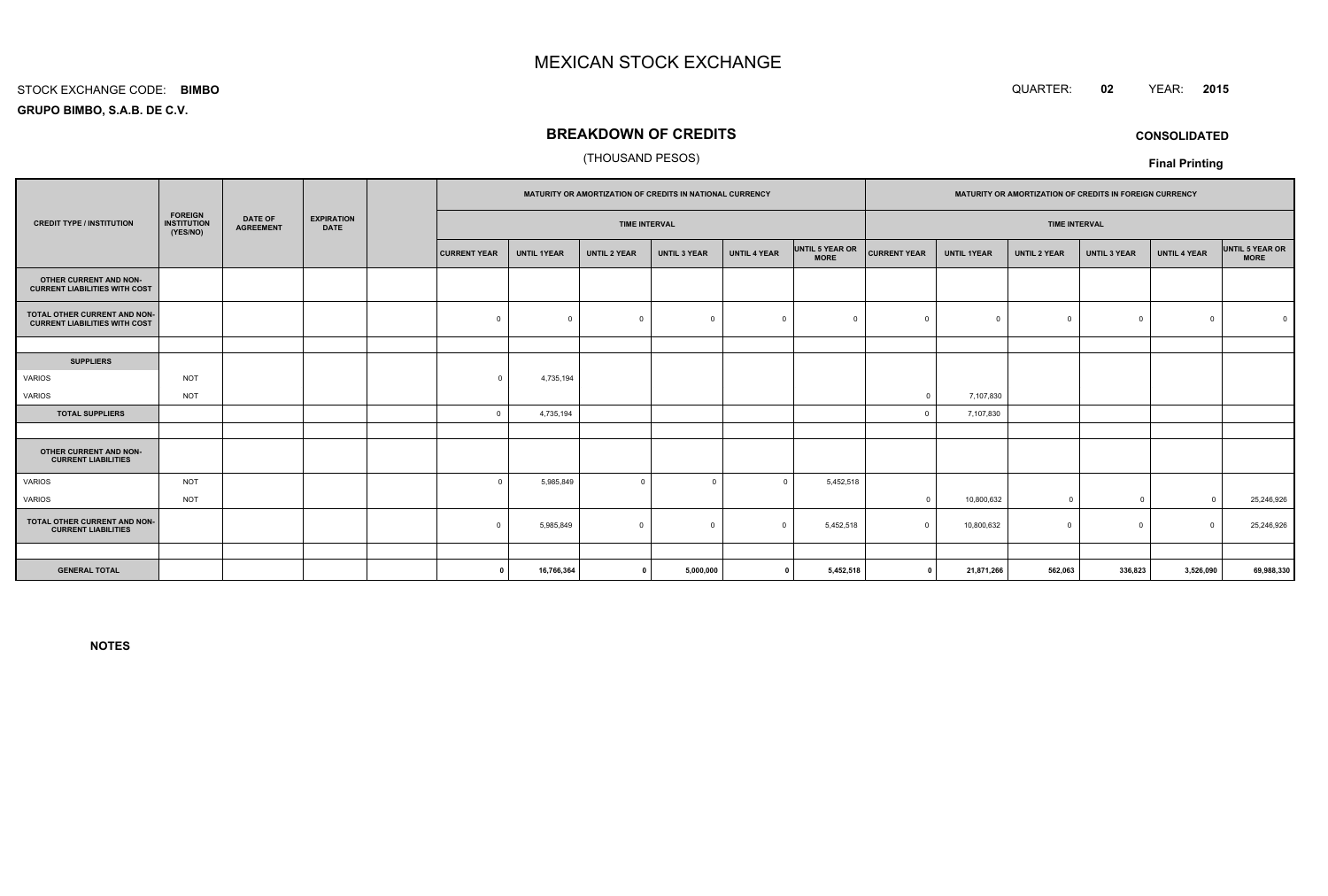#### STOCK EXCHANGE CODE:**BIMBO**

**GRUPO BIMBO, S.A.B. DE C.V.**

## **BREAKDOWN OF CREDITS**

## (THOUSAND PESOS)

|                                                                      |                                                  |                                    |                                  |                     | MATURITY OR AMORTIZATION OF CREDITS IN NATIONAL CURRENCY |                      |                     |                     |                                | MATURITY OR AMORTIZATION OF CREDITS IN FOREIGN CURRENCY |                    |                      |                     |                     |                                |
|----------------------------------------------------------------------|--------------------------------------------------|------------------------------------|----------------------------------|---------------------|----------------------------------------------------------|----------------------|---------------------|---------------------|--------------------------------|---------------------------------------------------------|--------------------|----------------------|---------------------|---------------------|--------------------------------|
| <b>CREDIT TYPE / INSTITUTION</b>                                     | <b>FOREIGN</b><br><b>INSTITUTION</b><br>(YES/NO) | <b>DATE OF</b><br><b>AGREEMENT</b> | <b>EXPIRATION</b><br><b>DATE</b> |                     |                                                          | <b>TIME INTERVAL</b> |                     |                     |                                |                                                         |                    | <b>TIME INTERVAL</b> |                     |                     |                                |
|                                                                      |                                                  |                                    |                                  | <b>CURRENT YEAR</b> | <b>UNTIL 1YEAR</b>                                       | <b>UNTIL 2 YEAR</b>  | <b>UNTIL 3 YEAR</b> | <b>UNTIL 4 YEAR</b> | UNTIL 5 YEAR OR<br><b>MORE</b> | <b>CURRENT YEAR</b>                                     | <b>UNTIL 1YEAR</b> | <b>UNTIL 2 YEAR</b>  | <b>UNTIL 3 YEAR</b> | <b>UNTIL 4 YEAR</b> | UNTIL 5 YEAR OR<br><b>MORE</b> |
| OTHER CURRENT AND NON-<br><b>CURRENT LIABILITIES WITH COST</b>       |                                                  |                                    |                                  |                     |                                                          |                      |                     |                     |                                |                                                         |                    |                      |                     |                     |                                |
| TOTAL OTHER CURRENT AND NON-<br><b>CURRENT LIABILITIES WITH COST</b> |                                                  |                                    |                                  | $\mathbf 0$         | $\Omega$                                                 | $\Omega$             | $\overline{0}$      | $\Omega$            | $\Omega$                       |                                                         | $^{\circ}$         | $\Omega$             | $^{\circ}$          | $\Omega$            |                                |
|                                                                      |                                                  |                                    |                                  |                     |                                                          |                      |                     |                     |                                |                                                         |                    |                      |                     |                     |                                |
| <b>SUPPLIERS</b>                                                     |                                                  |                                    |                                  |                     |                                                          |                      |                     |                     |                                |                                                         |                    |                      |                     |                     |                                |
| VARIOS                                                               | <b>NOT</b>                                       |                                    |                                  |                     | 4,735,194                                                |                      |                     |                     |                                |                                                         |                    |                      |                     |                     |                                |
| VARIOS                                                               | <b>NOT</b>                                       |                                    |                                  |                     |                                                          |                      |                     |                     |                                | $\Omega$                                                | 7,107,830          |                      |                     |                     |                                |
| <b>TOTAL SUPPLIERS</b>                                               |                                                  |                                    |                                  | $\mathbf 0$         | 4,735,194                                                |                      |                     |                     |                                |                                                         | 7,107,830          |                      |                     |                     |                                |
|                                                                      |                                                  |                                    |                                  |                     |                                                          |                      |                     |                     |                                |                                                         |                    |                      |                     |                     |                                |
| OTHER CURRENT AND NON-<br><b>CURRENT LIABILITIES</b>                 |                                                  |                                    |                                  |                     |                                                          |                      |                     |                     |                                |                                                         |                    |                      |                     |                     |                                |
| <b>VARIOS</b>                                                        | <b>NOT</b>                                       |                                    |                                  | $\Omega$            | 5,985,849                                                | $\mathbf 0$          | $\Omega$            | $\Omega$            | 5,452,518                      |                                                         |                    |                      |                     |                     |                                |
| VARIOS                                                               | <b>NOT</b>                                       |                                    |                                  |                     |                                                          |                      |                     |                     |                                | $\Omega$                                                | 10,800,632         | $\Omega$             | $\overline{0}$      | $\Omega$            | 25,246,926                     |
| TOTAL OTHER CURRENT AND NON-<br><b>CURRENT LIABILITIES</b>           |                                                  |                                    |                                  | $\Omega$            | 5,985,849                                                | $\Omega$             | $\Omega$            | $\Omega$            | 5,452,518                      | $\Omega$                                                | 10,800,632         | $\Omega$             | $^{\circ}$          | $\Omega$            | 25,246,926                     |
|                                                                      |                                                  |                                    |                                  |                     |                                                          |                      |                     |                     |                                |                                                         |                    |                      |                     |                     |                                |
| <b>GENERAL TOTAL</b>                                                 |                                                  |                                    |                                  | $\Omega$            | 16,766,364                                               | $\mathbf{0}$         | 5,000,000           | $\mathbf{0}$        | 5,452,518                      | $\mathbf 0$                                             | 21,871,266         | 562,063              | 336,823             | 3,526,090           | 69,988,330                     |

**NOTES**



**CONSOLIDATED**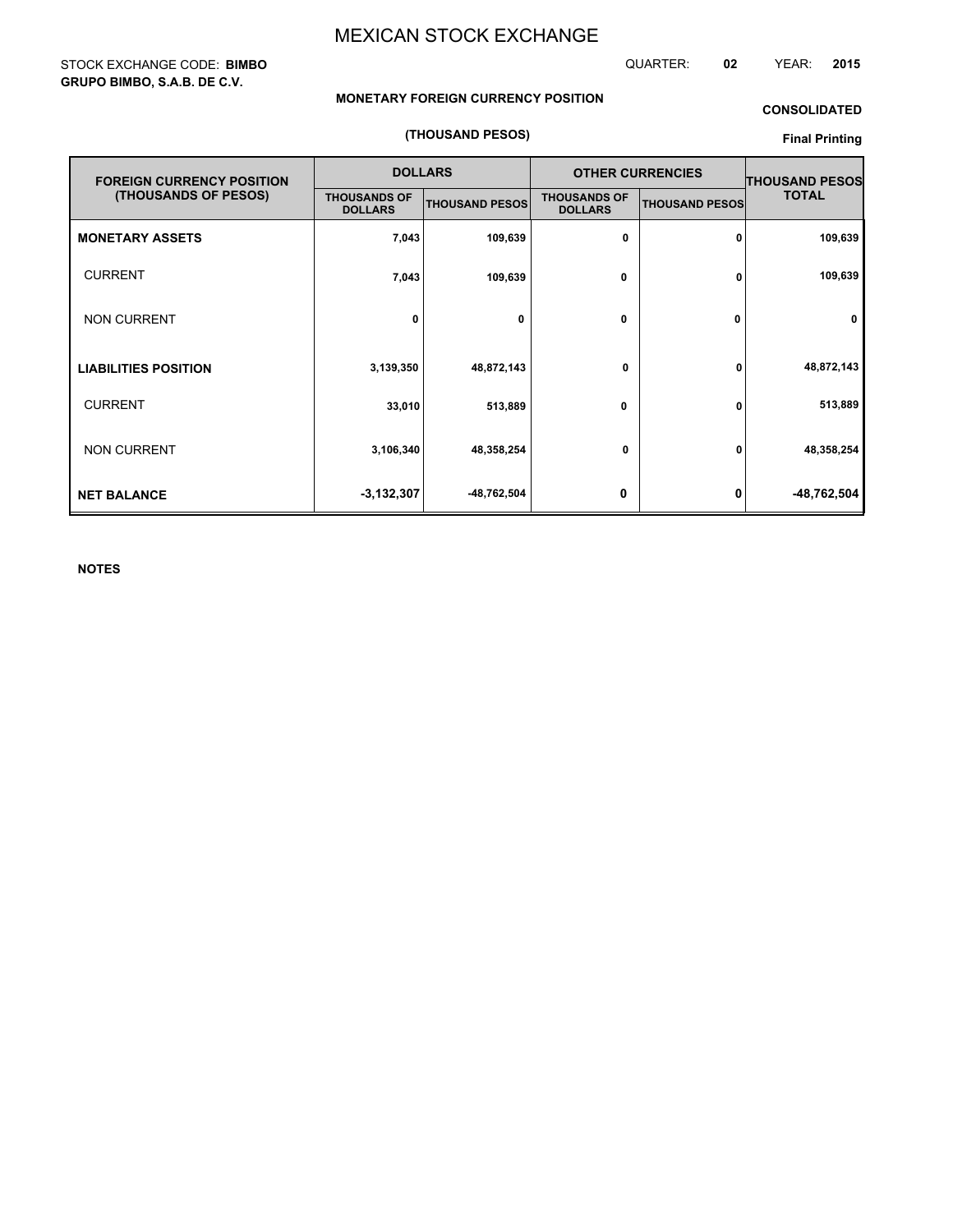### STOCK EXCHANGE CODE: **BIMBO GRUPO BIMBO, S.A.B. DE C.V.**

QUARTER: **02** YEAR: **2015**

## **MONETARY FOREIGN CURRENCY POSITION**

## **CONSOLIDATED**

#### **(THOUSAND PESOS)**

## **Final Printing**

| <b>FOREIGN CURRENCY POSITION</b> |                                       | <b>DOLLARS</b>        | <b>OTHER CURRENCIES</b>               | <b>THOUSAND PESOS</b> |              |
|----------------------------------|---------------------------------------|-----------------------|---------------------------------------|-----------------------|--------------|
| (THOUSANDS OF PESOS)             | <b>THOUSANDS OF</b><br><b>DOLLARS</b> | <b>THOUSAND PESOS</b> | <b>THOUSANDS OF</b><br><b>DOLLARS</b> | <b>THOUSAND PESOS</b> | <b>TOTAL</b> |
| <b>MONETARY ASSETS</b>           | 7,043                                 | 109,639               | 0                                     | 0                     | 109,639      |
| <b>CURRENT</b>                   | 7,043                                 | 109,639               | 0                                     | 0                     | 109,639      |
| <b>NON CURRENT</b>               | 0                                     | 0                     | 0                                     | 0                     | $\mathbf 0$  |
| <b>LIABILITIES POSITION</b>      | 3,139,350                             | 48,872,143            | 0                                     | 0                     | 48,872,143   |
| <b>CURRENT</b>                   | 33,010                                | 513,889               | 0                                     | 0                     | 513,889      |
| <b>NON CURRENT</b>               | 3,106,340                             | 48,358,254            | 0                                     | 0                     | 48,358,254   |
| <b>NET BALANCE</b>               | $-3,132,307$                          | -48,762,504           | 0                                     | 0                     | -48,762,504  |

**NOTES**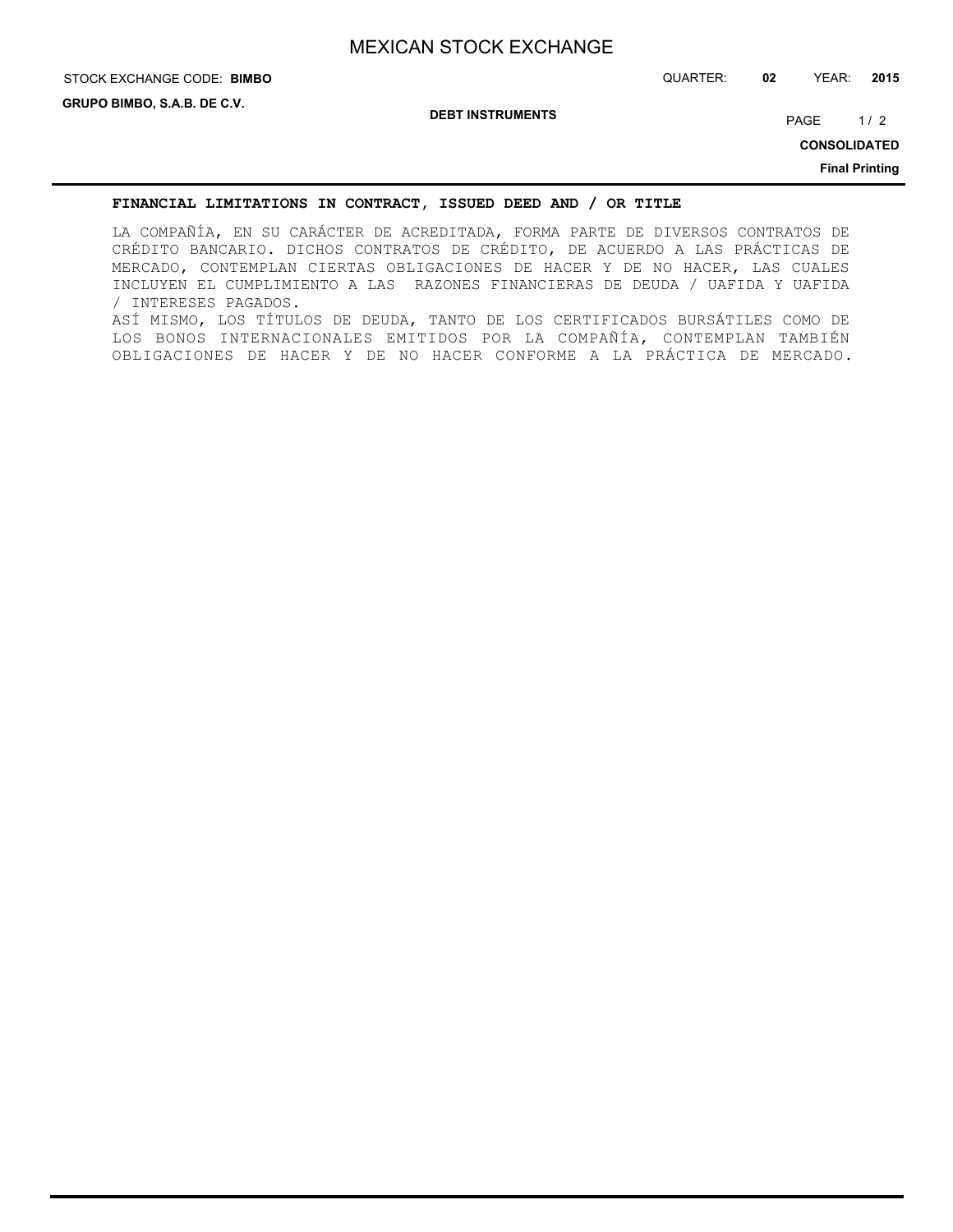# STOCK EXCHANGE CODE: QUARTER: **02** YEAR: **2015 BIMBO**

**DEBT INSTRUMENTS**

PAGE 1/2

**CONSOLIDATED**

**Final Printing**

#### **FINANCIAL LIMITATIONS IN CONTRACT, ISSUED DEED AND / OR TITLE**

LA COMPAÑÍA, EN SU CARÁCTER DE ACREDITADA, FORMA PARTE DE DIVERSOS CONTRATOS DE CRÉDITO BANCARIO. DICHOS CONTRATOS DE CRÉDITO, DE ACUERDO A LAS PRÁCTICAS DE MERCADO, CONTEMPLAN CIERTAS OBLIGACIONES DE HACER Y DE NO HACER, LAS CUALES INCLUYEN EL CUMPLIMIENTO A LAS RAZONES FINANCIERAS DE DEUDA / UAFIDA Y UAFIDA / INTERESES PAGADOS. ASÍ MISMO, LOS TÍTULOS DE DEUDA, TANTO DE LOS CERTIFICADOS BURSÁTILES COMO DE LOS BONOS INTERNACIONALES EMITIDOS POR LA COMPAÑÍA, CONTEMPLAN TAMBIÉN OBLIGACIONES DE HACER Y DE NO HACER CONFORME A LA PRÁCTICA DE MERCADO.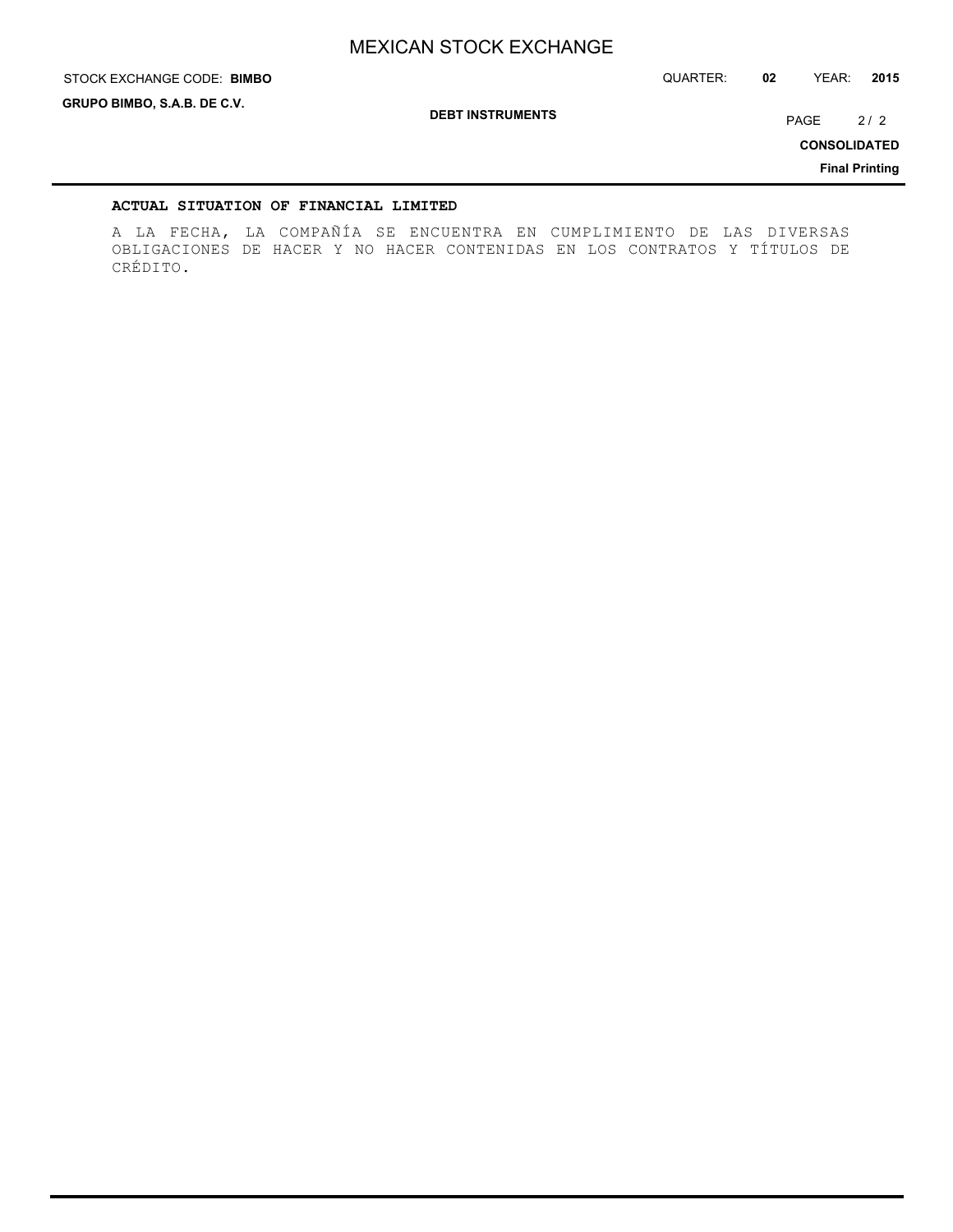STOCK EXCHANGE CODE: QUARTER: **02** YEAR: **2015 BIMBO**

**GRUPO BIMBO, S.A.B. DE C.V.**

**DEBT INSTRUMENTS**

PAGE 2/2

**CONSOLIDATED**

**Final Printing**

### **ACTUAL SITUATION OF FINANCIAL LIMITED**

A LA FECHA, LA COMPAÑÍA SE ENCUENTRA EN CUMPLIMIENTO DE LAS DIVERSAS OBLIGACIONES DE HACER Y NO HACER CONTENIDAS EN LOS CONTRATOS Y TÍTULOS DE CRÉDITO.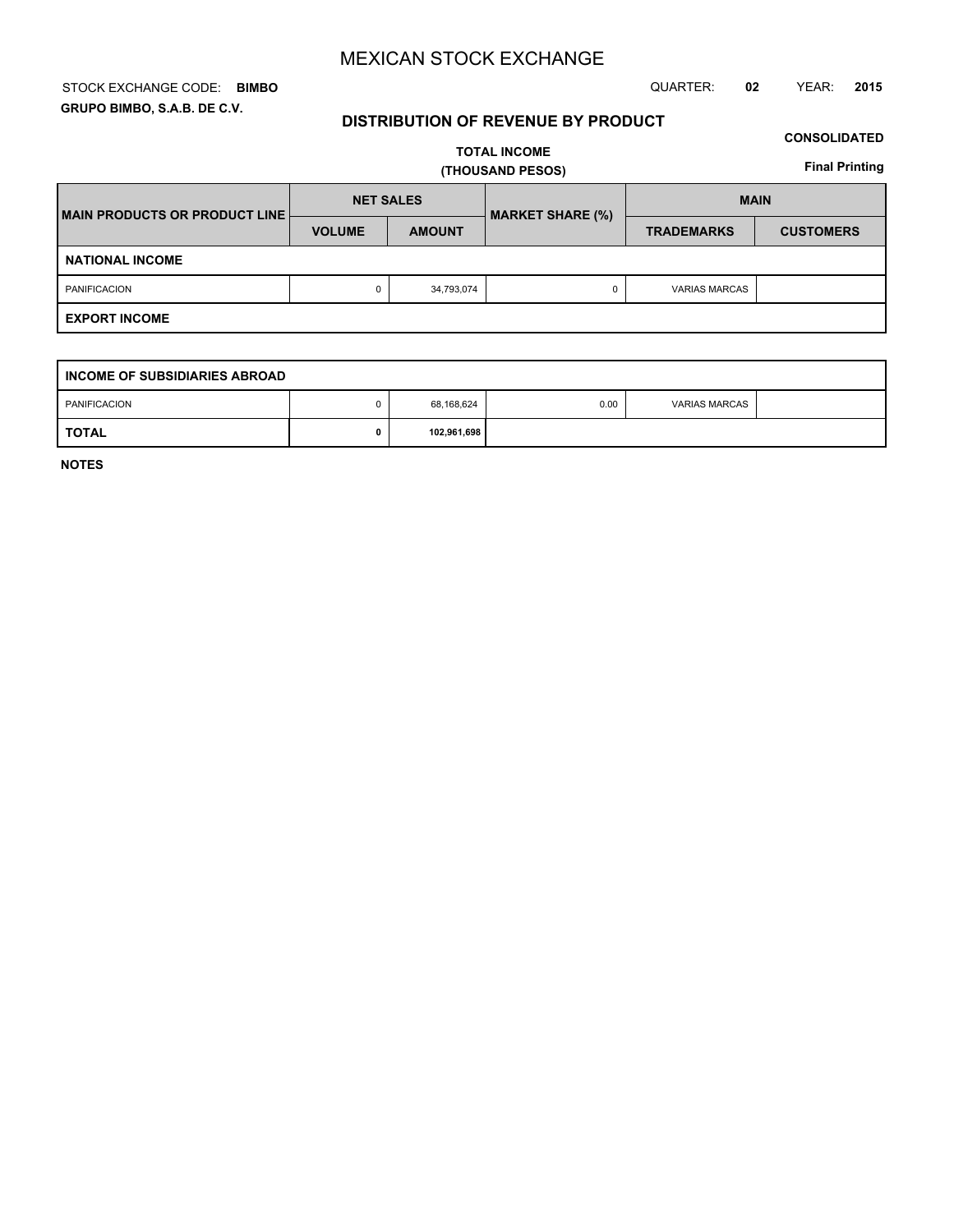## STOCK EXCHANGE CODE: QUARTER: **02** YEAR: **2015 BIMBO GRUPO BIMBO, S.A.B. DE C.V.**

## **DISTRIBUTION OF REVENUE BY PRODUCT**

## **CONSOLIDATED**

**TOTAL INCOME (THOUSAND PESOS)**

**Final Printing**

| <b>IMAIN PRODUCTS OR PRODUCT LINE!</b> | <b>NET SALES</b> |               | <b>MARKET SHARE (%)</b> | <b>MAIN</b>          |                  |  |  |  |  |
|----------------------------------------|------------------|---------------|-------------------------|----------------------|------------------|--|--|--|--|
|                                        | <b>VOLUME</b>    | <b>AMOUNT</b> |                         | <b>TRADEMARKS</b>    | <b>CUSTOMERS</b> |  |  |  |  |
| <b>NATIONAL INCOME</b>                 |                  |               |                         |                      |                  |  |  |  |  |
| <b>PANIFICACION</b>                    | 0                | 34,793,074    |                         | <b>VARIAS MARCAS</b> |                  |  |  |  |  |
| <b>EXPORT INCOME</b>                   |                  |               |                         |                      |                  |  |  |  |  |

| INCOME OF SUBSIDIARIES ABROAD |  |             |      |                      |  |  |  |  |  |
|-------------------------------|--|-------------|------|----------------------|--|--|--|--|--|
| PANIFICACION                  |  | 68,168,624  | 0.00 | <b>VARIAS MARCAS</b> |  |  |  |  |  |
| <b>TOTAL</b>                  |  | 102,961,698 |      |                      |  |  |  |  |  |

**NOTES**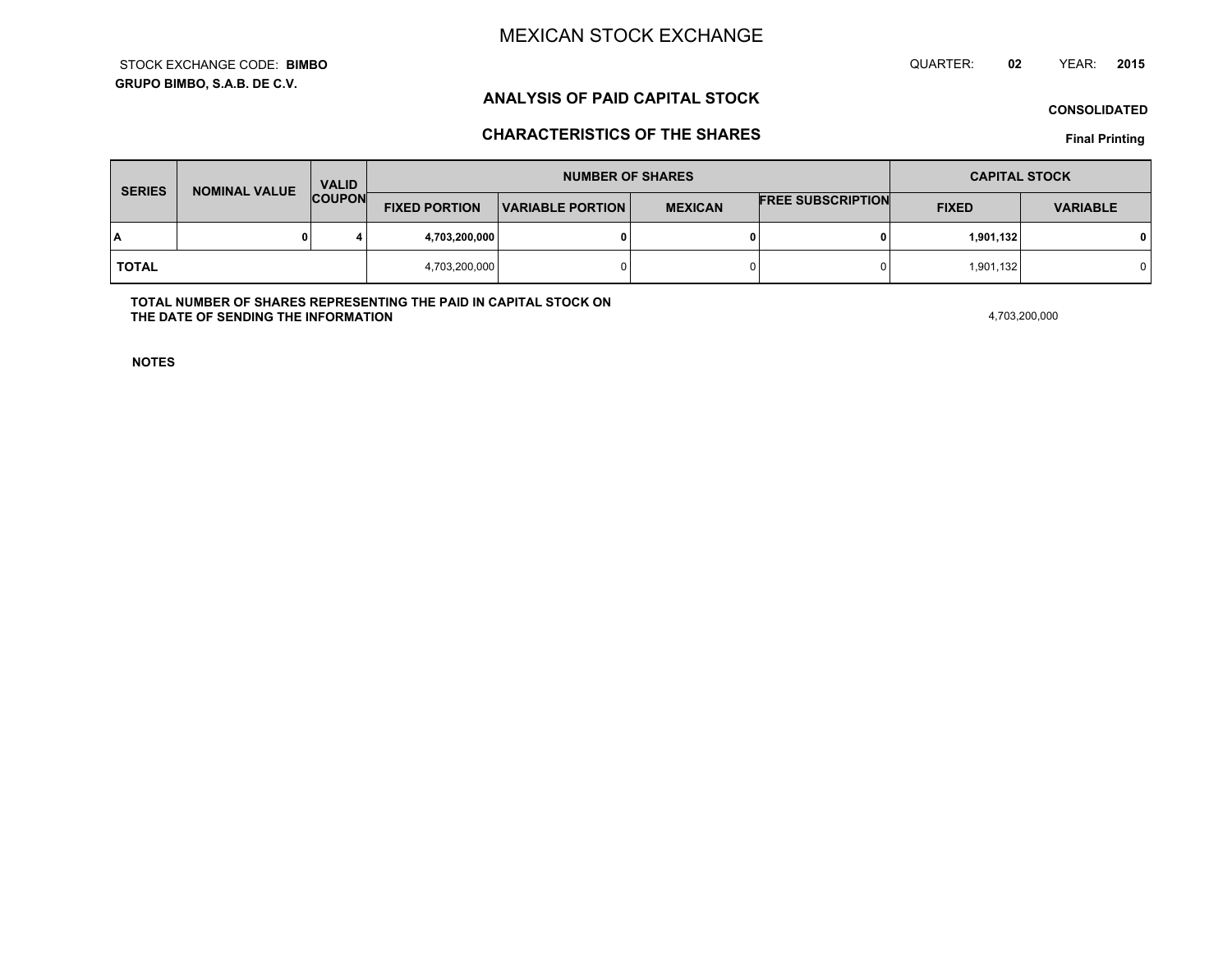**GRUPO BIMBO, S.A.B. DE C.V.**STOCK EXCHANGE CODE:**BIMBO** QUARTER: **02**YEAR: **<sup>2015</sup>**

## **ANALYSIS OF PAID CAPITAL STOCK**

**CONSOLIDATED**

## **CHARACTERISTICS OF THE SHARES**

**Final Printing**

| <b>SERIES</b> | <b>NOMINAL VALUE</b> | <b>VALID</b>  |                      | <b>NUMBER OF SHARES</b> | <b>CAPITAL STOCK</b> |                          |              |                 |
|---------------|----------------------|---------------|----------------------|-------------------------|----------------------|--------------------------|--------------|-----------------|
|               |                      | <b>COUPON</b> | <b>FIXED PORTION</b> | VARIABLE PORTION        | <b>MEXICAN</b>       | <b>FREE SUBSCRIPTION</b> | <b>FIXED</b> | <b>VARIABLE</b> |
| I٨            |                      |               | 4,703,200,000        |                         | 0                    |                          | 1,901,132    |                 |
| <b>TOTAL</b>  |                      |               | 4,703,200,000        |                         | $\Omega$             |                          | 1,901,132    | 0 I             |

**TOTAL NUMBER OF SHARES REPRESENTING THE PAID IN CAPITAL STOCK ONTHE DATE OF SENDING THE INFORMATIONN** 4,703,200,000

**NOTES**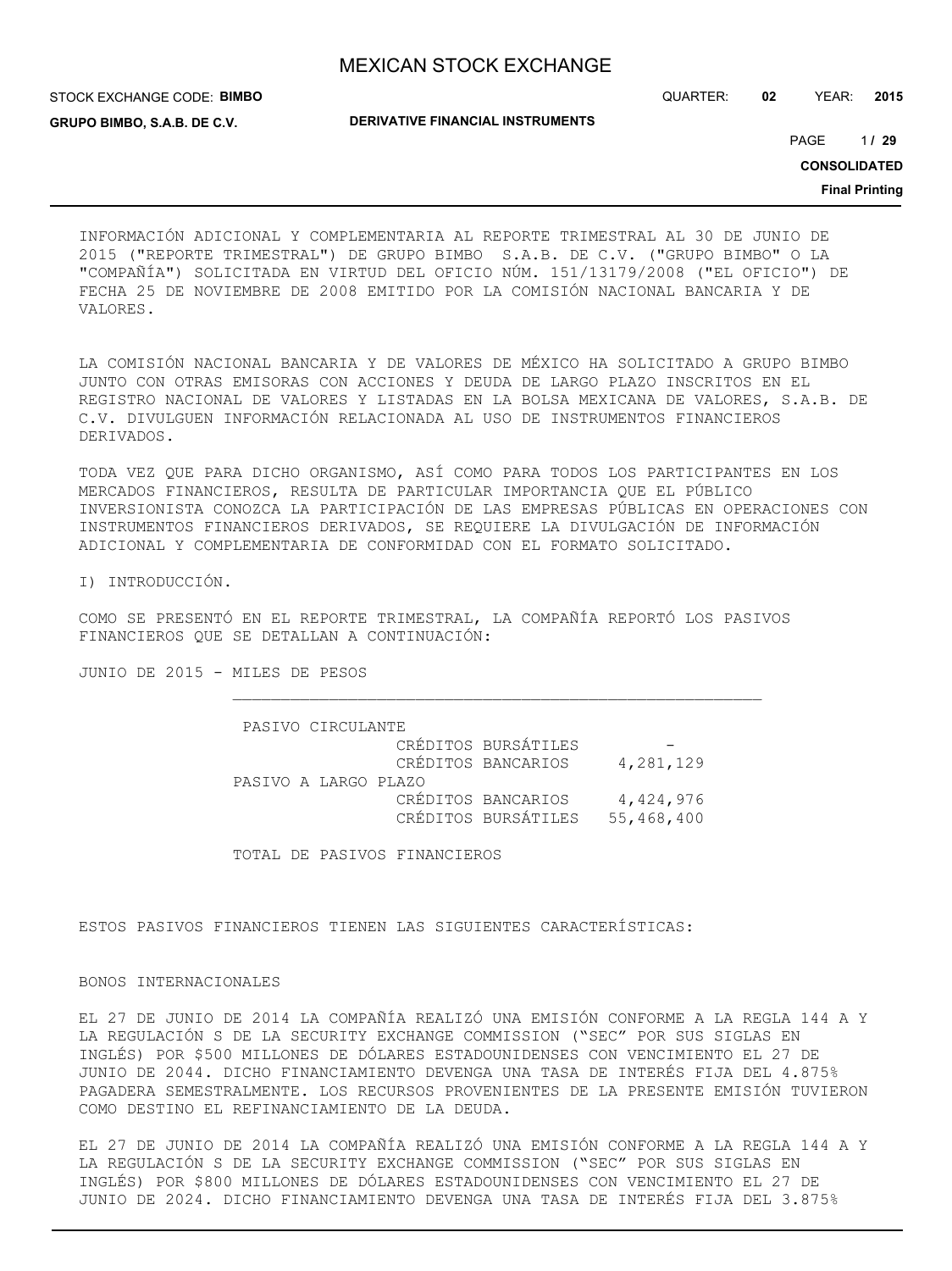STOCK EXCHANGE CODE: **BIMBO GRUPO BIMBO, S.A.B. DE C.V.**

QUARTER: **02** YEAR: **2015**

**DERIVATIVE FINANCIAL INSTRUMENTS**

1 PAGE **/ 29**

**CONSOLIDATED**

**Final Printing**

INFORMACIÓN ADICIONAL Y COMPLEMENTARIA AL REPORTE TRIMESTRAL AL 30 DE JUNIO DE 2015 ("REPORTE TRIMESTRAL") DE GRUPO BIMBO S.A.B. DE C.V. ("GRUPO BIMBO" O LA "COMPAÑÍA") SOLICITADA EN VIRTUD DEL OFICIO NÚM. 151/13179/2008 ("EL OFICIO") DE FECHA 25 DE NOVIEMBRE DE 2008 EMITIDO POR LA COMISIÓN NACIONAL BANCARIA Y DE VALORES.

LA COMISIÓN NACIONAL BANCARIA Y DE VALORES DE MÉXICO HA SOLICITADO A GRUPO BIMBO JUNTO CON OTRAS EMISORAS CON ACCIONES Y DEUDA DE LARGO PLAZO INSCRITOS EN EL REGISTRO NACIONAL DE VALORES Y LISTADAS EN LA BOLSA MEXICANA DE VALORES, S.A.B. DE C.V. DIVULGUEN INFORMACIÓN RELACIONADA AL USO DE INSTRUMENTOS FINANCIEROS DERIVADOS.

TODA VEZ QUE PARA DICHO ORGANISMO, ASÍ COMO PARA TODOS LOS PARTICIPANTES EN LOS MERCADOS FINANCIEROS, RESULTA DE PARTICULAR IMPORTANCIA QUE EL PÚBLICO INVERSIONISTA CONOZCA LA PARTICIPACIÓN DE LAS EMPRESAS PÚBLICAS EN OPERACIONES CON INSTRUMENTOS FINANCIEROS DERIVADOS, SE REQUIERE LA DIVULGACIÓN DE INFORMACIÓN ADICIONAL Y COMPLEMENTARIA DE CONFORMIDAD CON EL FORMATO SOLICITADO.

I) INTRODUCCIÓN.

COMO SE PRESENTÓ EN EL REPORTE TRIMESTRAL, LA COMPAÑÍA REPORTÓ LOS PASIVOS FINANCIEROS QUE SE DETALLAN A CONTINUACIÓN:

JUNIO DE 2015 - MILES DE PESOS

 PASIVO CIRCULANTE CRÉDITOS BURSÁTILES -<br>CRÉDITOS BANCARIOS 4,281,129 CRÉDITOS BANCARIOS PASIVO A LARGO PLAZO CRÉDITOS BANCARIOS 4,424,976 CRÉDITOS BURSÁTILES 55,468,400

TOTAL DE PASIVOS FINANCIEROS

ESTOS PASIVOS FINANCIEROS TIENEN LAS SIGUIENTES CARACTERÍSTICAS:

#### BONOS INTERNACIONALES

EL 27 DE JUNIO DE 2014 LA COMPAÑÍA REALIZÓ UNA EMISIÓN CONFORME A LA REGLA 144 A Y LA REGULACIÓN S DE LA SECURITY EXCHANGE COMMISSION ("SEC" POR SUS SIGLAS EN INGLÉS) POR \$500 MILLONES DE DÓLARES ESTADOUNIDENSES CON VENCIMIENTO EL 27 DE JUNIO DE 2044. DICHO FINANCIAMIENTO DEVENGA UNA TASA DE INTERÉS FIJA DEL 4.875% PAGADERA SEMESTRALMENTE. LOS RECURSOS PROVENIENTES DE LA PRESENTE EMISIÓN TUVIERON COMO DESTINO EL REFINANCIAMIENTO DE LA DEUDA.

EL 27 DE JUNIO DE 2014 LA COMPAÑÍA REALIZÓ UNA EMISIÓN CONFORME A LA REGLA 144 A Y LA REGULACIÓN S DE LA SECURITY EXCHANGE COMMISSION ("SEC" POR SUS SIGLAS EN INGLÉS) POR \$800 MILLONES DE DÓLARES ESTADOUNIDENSES CON VENCIMIENTO EL 27 DE JUNIO DE 2024. DICHO FINANCIAMIENTO DEVENGA UNA TASA DE INTERÉS FIJA DEL 3.875%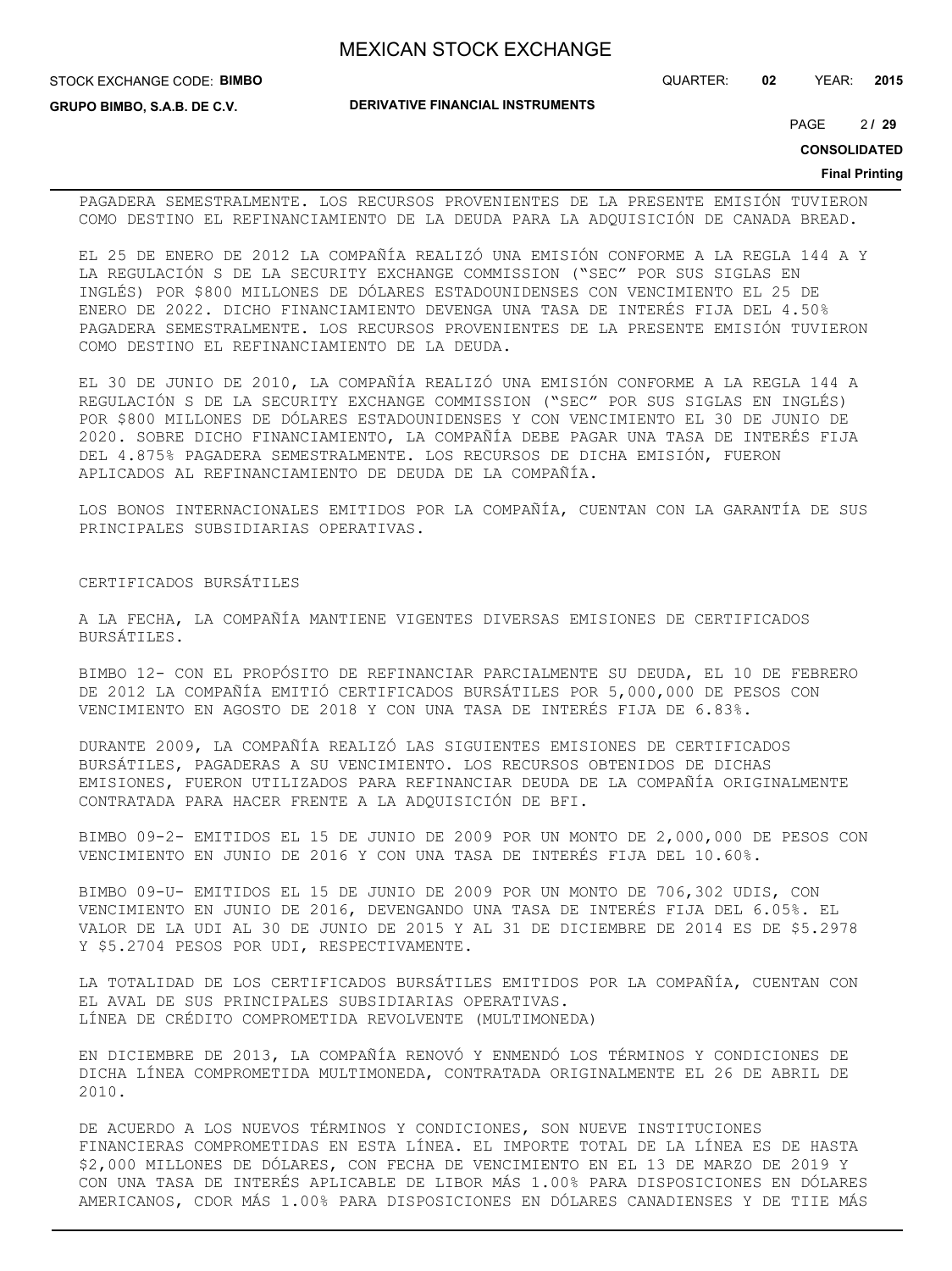STOCK EXCHANGE CODE: **BIMBO**

**GRUPO BIMBO, S.A.B. DE C.V.**

**DERIVATIVE FINANCIAL INSTRUMENTS**

QUARTER: **02** YEAR: **2015**

2 PAGE **/ 29**

**CONSOLIDATED**

#### **Final Printing**

PAGADERA SEMESTRALMENTE. LOS RECURSOS PROVENIENTES DE LA PRESENTE EMISIÓN TUVIERON COMO DESTINO EL REFINANCIAMIENTO DE LA DEUDA PARA LA ADQUISICIÓN DE CANADA BREAD.

EL 25 DE ENERO DE 2012 LA COMPAÑÍA REALIZÓ UNA EMISIÓN CONFORME A LA REGLA 144 A Y LA REGULACIÓN S DE LA SECURITY EXCHANGE COMMISSION ("SEC" POR SUS SIGLAS EN INGLÉS) POR \$800 MILLONES DE DÓLARES ESTADOUNIDENSES CON VENCIMIENTO EL 25 DE ENERO DE 2022. DICHO FINANCIAMIENTO DEVENGA UNA TASA DE INTERÉS FIJA DEL 4.50% PAGADERA SEMESTRALMENTE. LOS RECURSOS PROVENIENTES DE LA PRESENTE EMISIÓN TUVIERON COMO DESTINO EL REFINANCIAMIENTO DE LA DEUDA.

EL 30 DE JUNIO DE 2010, LA COMPAÑÍA REALIZÓ UNA EMISIÓN CONFORME A LA REGLA 144 A REGULACIÓN S DE LA SECURITY EXCHANGE COMMISSION ("SEC" POR SUS SIGLAS EN INGLÉS) POR \$800 MILLONES DE DÓLARES ESTADOUNIDENSES Y CON VENCIMIENTO EL 30 DE JUNIO DE 2020. SOBRE DICHO FINANCIAMIENTO, LA COMPAÑÍA DEBE PAGAR UNA TASA DE INTERÉS FIJA DEL 4.875% PAGADERA SEMESTRALMENTE. LOS RECURSOS DE DICHA EMISIÓN, FUERON APLICADOS AL REFINANCIAMIENTO DE DEUDA DE LA COMPAÑÍA.

LOS BONOS INTERNACIONALES EMITIDOS POR LA COMPAÑÍA, CUENTAN CON LA GARANTÍA DE SUS PRINCIPALES SUBSIDIARIAS OPERATIVAS.

#### CERTIFICADOS BURSÁTILES

A LA FECHA, LA COMPAÑÍA MANTIENE VIGENTES DIVERSAS EMISIONES DE CERTIFICADOS BURSÁTILES.

BIMBO 12- CON EL PROPÓSITO DE REFINANCIAR PARCIALMENTE SU DEUDA, EL 10 DE FEBRERO DE 2012 LA COMPAÑÍA EMITIÓ CERTIFICADOS BURSÁTILES POR 5,000,000 DE PESOS CON VENCIMIENTO EN AGOSTO DE 2018 Y CON UNA TASA DE INTERÉS FIJA DE 6.83%.

DURANTE 2009, LA COMPAÑÍA REALIZÓ LAS SIGUIENTES EMISIONES DE CERTIFICADOS BURSÁTILES, PAGADERAS A SU VENCIMIENTO. LOS RECURSOS OBTENIDOS DE DICHAS EMISIONES, FUERON UTILIZADOS PARA REFINANCIAR DEUDA DE LA COMPAÑÍA ORIGINALMENTE CONTRATADA PARA HACER FRENTE A LA ADQUISICIÓN DE BFI.

BIMBO 09-2- EMITIDOS EL 15 DE JUNIO DE 2009 POR UN MONTO DE 2,000,000 DE PESOS CON VENCIMIENTO EN JUNIO DE 2016 Y CON UNA TASA DE INTERÉS FIJA DEL 10.60%.

BIMBO 09-U- EMITIDOS EL 15 DE JUNIO DE 2009 POR UN MONTO DE 706,302 UDIS, CON VENCIMIENTO EN JUNIO DE 2016, DEVENGANDO UNA TASA DE INTERÉS FIJA DEL 6.05%. EL VALOR DE LA UDI AL 30 DE JUNIO DE 2015 Y AL 31 DE DICIEMBRE DE 2014 ES DE \$5.2978 Y \$5.2704 PESOS POR UDI, RESPECTIVAMENTE.

LA TOTALIDAD DE LOS CERTIFICADOS BURSÁTILES EMITIDOS POR LA COMPAÑÍA, CUENTAN CON EL AVAL DE SUS PRINCIPALES SUBSIDIARIAS OPERATIVAS. LÍNEA DE CRÉDITO COMPROMETIDA REVOLVENTE (MULTIMONEDA)

EN DICIEMBRE DE 2013, LA COMPAÑÍA RENOVÓ Y ENMENDÓ LOS TÉRMINOS Y CONDICIONES DE DICHA LÍNEA COMPROMETIDA MULTIMONEDA, CONTRATADA ORIGINALMENTE EL 26 DE ABRIL DE 2010.

DE ACUERDO A LOS NUEVOS TÉRMINOS Y CONDICIONES, SON NUEVE INSTITUCIONES FINANCIERAS COMPROMETIDAS EN ESTA LÍNEA. EL IMPORTE TOTAL DE LA LÍNEA ES DE HASTA \$2,000 MILLONES DE DÓLARES, CON FECHA DE VENCIMIENTO EN EL 13 DE MARZO DE 2019 Y CON UNA TASA DE INTERÉS APLICABLE DE LIBOR MÁS 1.00% PARA DISPOSICIONES EN DÓLARES AMERICANOS, CDOR MÁS 1.00% PARA DISPOSICIONES EN DÓLARES CANADIENSES Y DE TIIE MÁS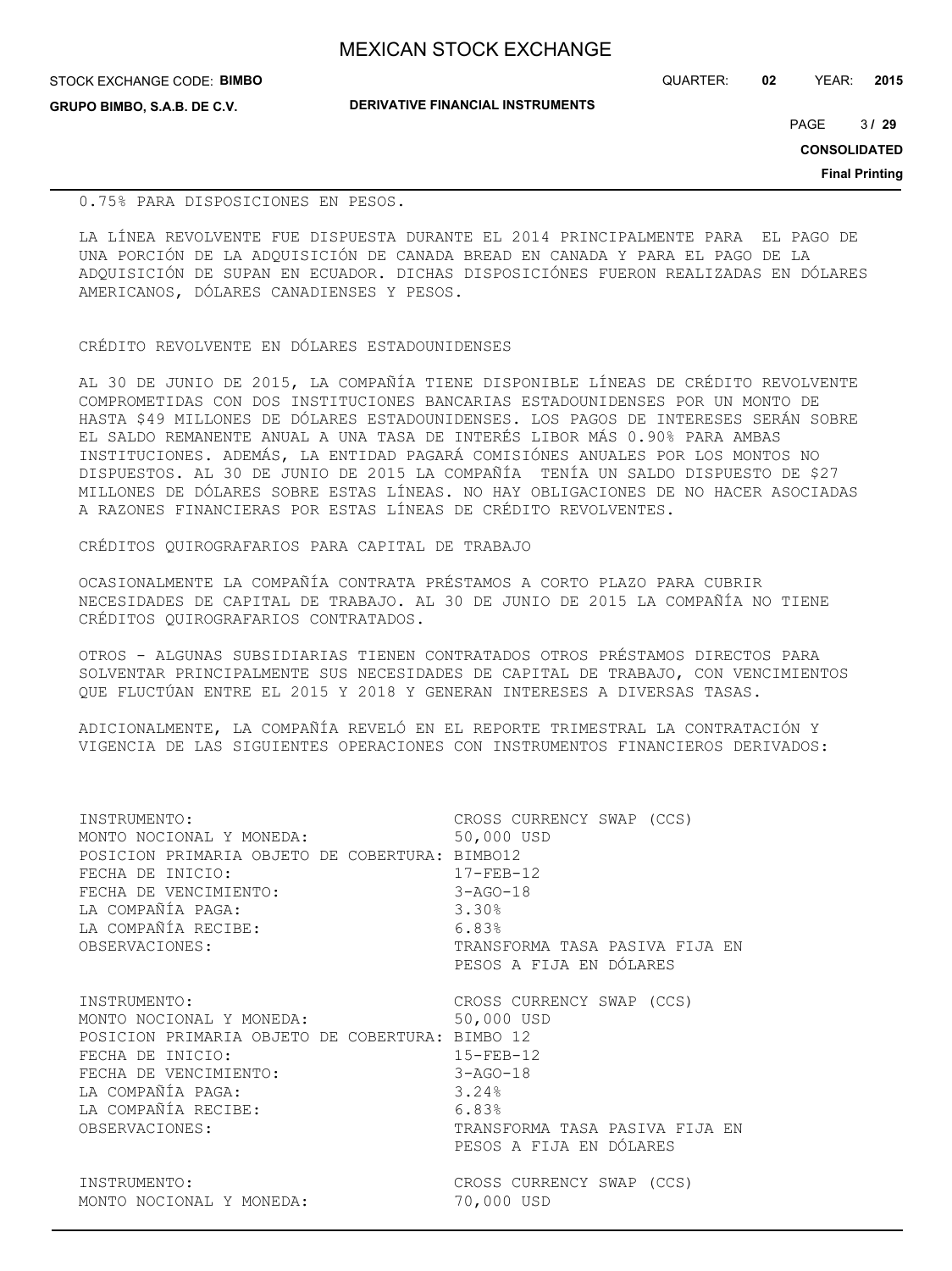| <b>MEXICAN STOCK EXCHANGE</b> |
|-------------------------------|
|-------------------------------|

**GRUPO BIMBO, S.A.B. DE C.V.**

QUARTER: **02** YEAR: **2015**

**DERIVATIVE FINANCIAL INSTRUMENTS**

 $3/29$ PAGE **/ 29**

**CONSOLIDATED**

**Final Printing**

#### 0.75% PARA DISPOSICIONES EN PESOS.

LA LÍNEA REVOLVENTE FUE DISPUESTA DURANTE EL 2014 PRINCIPALMENTE PARA EL PAGO DE UNA PORCIÓN DE LA ADQUISICIÓN DE CANADA BREAD EN CANADA Y PARA EL PAGO DE LA ADQUISICIÓN DE SUPAN EN ECUADOR. DICHAS DISPOSICIÓNES FUERON REALIZADAS EN DÓLARES AMERICANOS, DÓLARES CANADIENSES Y PESOS.

#### CRÉDITO REVOLVENTE EN DÓLARES ESTADOUNIDENSES

AL 30 DE JUNIO DE 2015, LA COMPAÑÍA TIENE DISPONIBLE LÍNEAS DE CRÉDITO REVOLVENTE COMPROMETIDAS CON DOS INSTITUCIONES BANCARIAS ESTADOUNIDENSES POR UN MONTO DE HASTA \$49 MILLONES DE DÓLARES ESTADOUNIDENSES. LOS PAGOS DE INTERESES SERÁN SOBRE EL SALDO REMANENTE ANUAL A UNA TASA DE INTERÉS LIBOR MÁS 0.90% PARA AMBAS INSTITUCIONES. ADEMÁS, LA ENTIDAD PAGARÁ COMISIÓNES ANUALES POR LOS MONTOS NO DISPUESTOS. AL 30 DE JUNIO DE 2015 LA COMPAÑÍA TENÍA UN SALDO DISPUESTO DE \$27 MILLONES DE DÓLARES SOBRE ESTAS LÍNEAS. NO HAY OBLIGACIONES DE NO HACER ASOCIADAS A RAZONES FINANCIERAS POR ESTAS LÍNEAS DE CRÉDITO REVOLVENTES.

CRÉDITOS QUIROGRAFARIOS PARA CAPITAL DE TRABAJO

OCASIONALMENTE LA COMPAÑÍA CONTRATA PRÉSTAMOS A CORTO PLAZO PARA CUBRIR NECESIDADES DE CAPITAL DE TRABAJO. AL 30 DE JUNIO DE 2015 LA COMPAÑÍA NO TIENE CRÉDITOS QUIROGRAFARIOS CONTRATADOS.

OTROS - ALGUNAS SUBSIDIARIAS TIENEN CONTRATADOS OTROS PRÉSTAMOS DIRECTOS PARA SOLVENTAR PRINCIPALMENTE SUS NECESIDADES DE CAPITAL DE TRABAJO, CON VENCIMIENTOS QUE FLUCTÚAN ENTRE EL 2015 Y 2018 Y GENERAN INTERESES A DIVERSAS TASAS.

ADICIONALMENTE, LA COMPAÑÍA REVELÓ EN EL REPORTE TRIMESTRAL LA CONTRATACIÓN Y VIGENCIA DE LAS SIGUIENTES OPERACIONES CON INSTRUMENTOS FINANCIEROS DERIVADOS:

| INSTRUMENTO:                                    | CROSS CURRENCY SWAP (CCS)      |
|-------------------------------------------------|--------------------------------|
| MONTO NOCIONAL Y MONEDA:                        | 50,000 USD                     |
| POSICION PRIMARIA OBJETO DE COBERTURA: BIMBO12  | 17-FEB-12                      |
| FECHA DE INICIO:                                | $3 - AGO - 18$                 |
| FECHA DE VENCIMIENTO:                           | 3.30%                          |
| LA COMPAÑÍA PAGA:                               | 6.83%                          |
| LA COMPAÑÍA RECIBE:                             | TRANSFORMA TASA PASIVA FIJA EN |
| OBSERVACIONES:                                  | PESOS A FIJA EN DÓLARES        |
| INSTRUMENTO:                                    | CROSS CURRENCY SWAP (CCS)      |
| MONTO NOCIONAL Y MONEDA:                        | 50,000 USD                     |
| POSICION PRIMARIA OBJETO DE COBERTURA: BIMBO 12 | 15-FEB-12                      |
| FECHA DE INICIO:                                | 3-AGO-18                       |
| FECHA DE VENCIMIENTO:                           | 3.24%                          |
| LA COMPAÑÍA PAGA:                               | 6.83%                          |
| LA COMPAÑÍA RECIBE:                             | TRANSFORMA TASA PASIVA FIJA EN |
| OBSERVACIONES:                                  | PESOS A FIJA EN DÓLARES        |
| INSTRUMENTO:                                    | CROSS CURRENCY SWAP (CCS)      |
| MONTO NOCIONAL Y MONEDA:                        | 70,000 USD                     |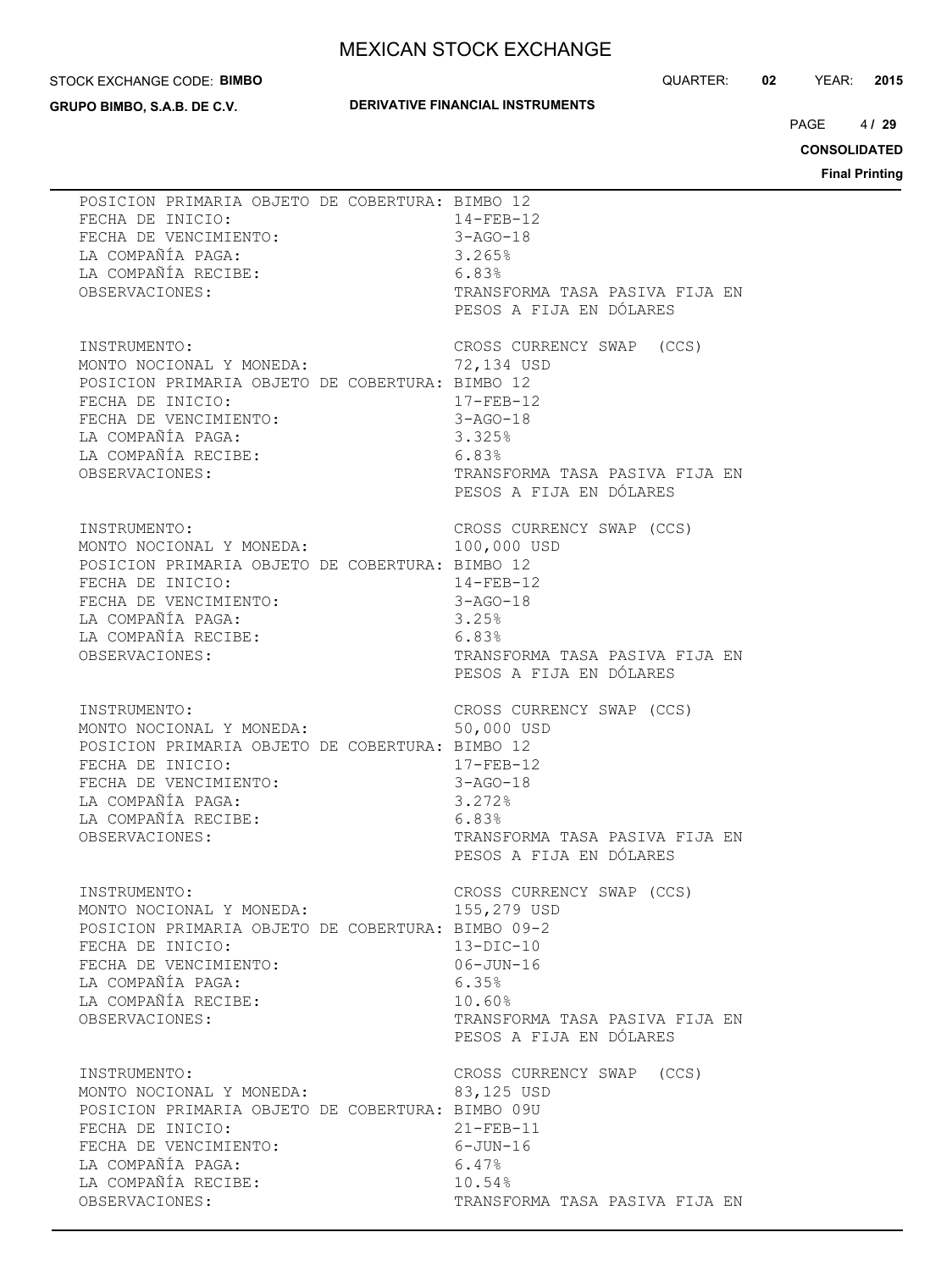#### STOCK EXCHANGE CODE: **BIMBO**

**GRUPO BIMBO, S.A.B. DE C.V.**

### **DERIVATIVE FINANCIAL INSTRUMENTS**

QUARTER: **02** YEAR: **2015**

 $4/29$ PAGE **/ 29**

**CONSOLIDATED**

| POSICION PRIMARIA OBJETO DE COBERTURA: BIMBO 12<br>FECHA DE INICIO:<br>FECHA DE VENCIMIENTO:<br>LA COMPAÑÍA PAGA:<br>LA COMPAÑÍA RECIBE:<br>6.83%<br>OBSERVACIONES:                                     | $14 - FEB - 12$<br>$3 - AGO - 18$<br>3.265%<br>TRANSFORMA TASA PASIVA FIJA EN<br>PESOS A FIJA EN DÓLARES                          |
|---------------------------------------------------------------------------------------------------------------------------------------------------------------------------------------------------------|-----------------------------------------------------------------------------------------------------------------------------------|
| INSTRUMENTO:                                                                                                                                                                                            | CROSS CURRENCY SWAP (CCS)                                                                                                         |
| MONTO NOCIONAL Y MONEDA:                                                                                                                                                                                | 72,134 USD                                                                                                                        |
| POSICION PRIMARIA OBJETO DE COBERTURA: BIMBO 12                                                                                                                                                         | $17 - FEB - 12$                                                                                                                   |
| FECHA DE INICIO:                                                                                                                                                                                        | $17 - FEB - 1$<br>$3 - AGO - 18$                                                                                                  |
| FECHA DE VENCIMIENTO:                                                                                                                                                                                   | 3.325%                                                                                                                            |
| LA COMPAÑÍA PAGA:                                                                                                                                                                                       | 6.83%                                                                                                                             |
| LA COMPAÑÍA RECIBE:                                                                                                                                                                                     | TRANSFORMA TASA PASIVA FIJA EN                                                                                                    |
| OBSERVACIONES:                                                                                                                                                                                          | PESOS A FIJA EN DÓLARES                                                                                                           |
| INSTRUMENTO:                                                                                                                                                                                            | CROSS CURRENCY SWAP (CCS)                                                                                                         |
| MONTO NOCIONAL Y MONEDA:                                                                                                                                                                                | 100,000 USD                                                                                                                       |
| POSICION PRIMARIA OBJETO DE COBERTURA: BIMBO 12                                                                                                                                                         | $14 - FEB - 12$                                                                                                                   |
| FECHA DE INICIO:                                                                                                                                                                                        | $3 - AGO - 18$                                                                                                                    |
| FECHA DE VENCIMIENTO:                                                                                                                                                                                   | 3.25%                                                                                                                             |
| LA COMPAÑÍA PAGA:                                                                                                                                                                                       | 6.83%                                                                                                                             |
| LA COMPAÑÍA RECIBE:                                                                                                                                                                                     | TRANSFORMA TASA PASIVA FIJA EN                                                                                                    |
| OBSERVACIONES:                                                                                                                                                                                          | PESOS A FIJA EN DÓLARES                                                                                                           |
| INSTRUMENTO:                                                                                                                                                                                            | CROSS CURRENCY SWAP (CCS)                                                                                                         |
| MONTO NOCIONAL Y MONEDA:                                                                                                                                                                                | 50,000 USD                                                                                                                        |
| POSICION PRIMARIA OBJETO DE COBERTURA: BIMBO 12                                                                                                                                                         | $17 - FEB - 12$                                                                                                                   |
| FECHA DE INICIO:                                                                                                                                                                                        | $3 - AGO - 18$                                                                                                                    |
| FECHA DE VENCIMIENTO:                                                                                                                                                                                   | 3.272%                                                                                                                            |
| LA COMPAÑÍA PAGA:                                                                                                                                                                                       | 6.83%                                                                                                                             |
| LA COMPAÑÍA RECIBE:                                                                                                                                                                                     | TRANSFORMA TASA PASIVA FIJA EN                                                                                                    |
| OBSERVACIONES:                                                                                                                                                                                          | PESOS A FIJA EN DÓLARES                                                                                                           |
| INSTRUMENTO:                                                                                                                                                                                            | CROSS CURRENCY SWAP (CCS)                                                                                                         |
| MONTO NOCIONAL Y MONEDA:                                                                                                                                                                                | 155,279 USD                                                                                                                       |
| POSICION PRIMARIA OBJETO DE COBERTURA: BIMBO 09-2                                                                                                                                                       | $13-DIC-10$                                                                                                                       |
| FECHA DE INICIO:                                                                                                                                                                                        | $06 - JUN - 16$                                                                                                                   |
| FECHA DE VENCIMIENTO:                                                                                                                                                                                   | 6.35%                                                                                                                             |
| LA COMPAÑÍA PAGA:                                                                                                                                                                                       | 10.60%                                                                                                                            |
| LA COMPAÑÍA RECIBE:                                                                                                                                                                                     | TRANSFORMA TASA PASIVA FIJA EN                                                                                                    |
| OBSERVACIONES:                                                                                                                                                                                          | PESOS A FIJA EN DÓLARES                                                                                                           |
| INSTRUMENTO:<br>MONTO NOCIONAL Y MONEDA:<br>POSICION PRIMARIA OBJETO DE COBERTURA: BIMBO 09U<br>FECHA DE INICIO:<br>FECHA DE VENCIMIENTO:<br>LA COMPAÑÍA PAGA:<br>LA COMPAÑÍA RECIBE:<br>OBSERVACIONES: | CROSS CURRENCY SWAP (CCS)<br>83,125 USD<br>$21 - FEB - 11$<br>$6 - JUN - 16$<br>6.47%<br>10.54%<br>TRANSFORMA TASA PASIVA FIJA EN |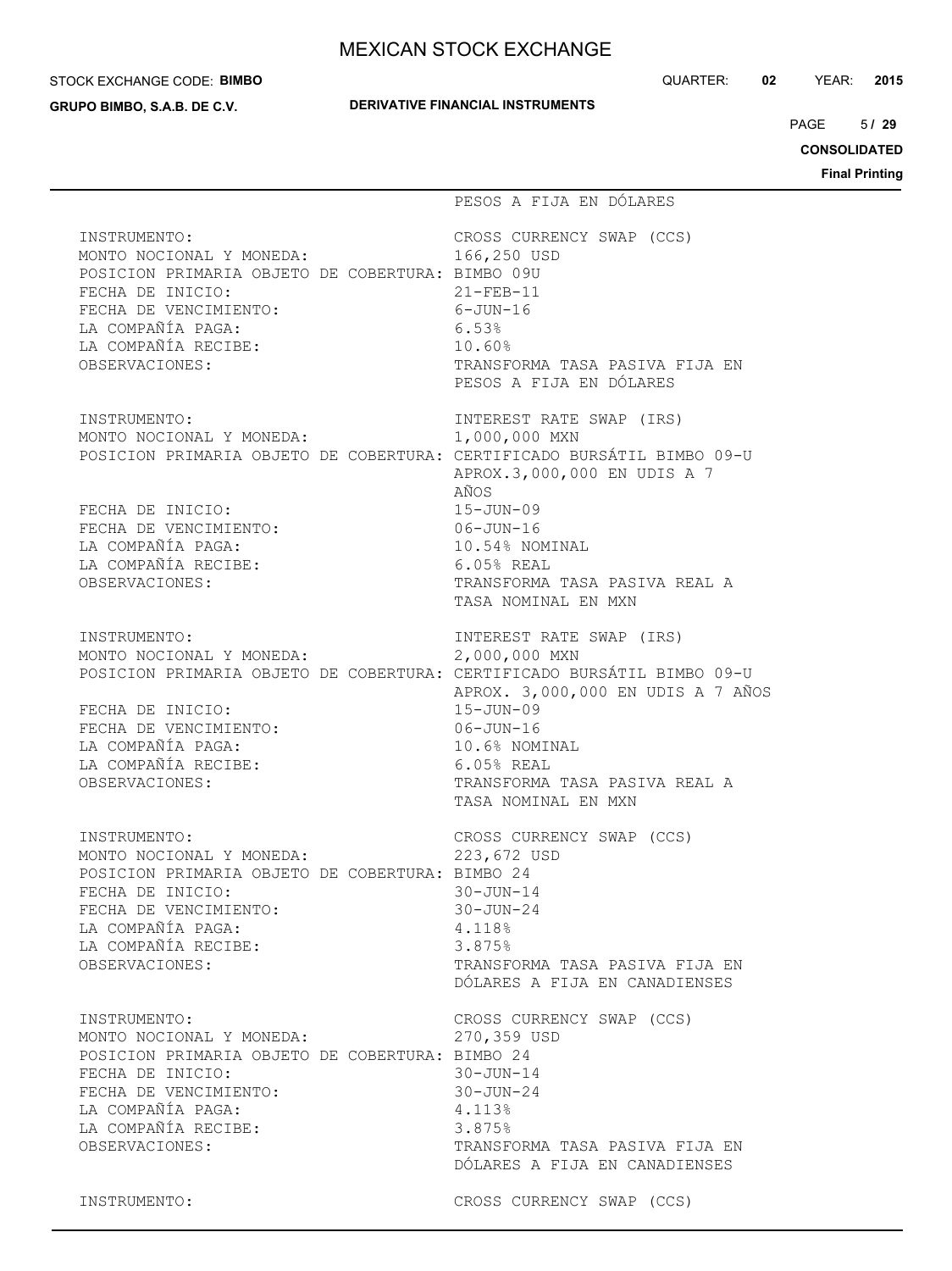#### STOCK EXCHANGE CODE: **BIMBO**

**GRUPO BIMBO, S.A.B. DE C.V.**

#### **DERIVATIVE FINANCIAL INSTRUMENTS**

QUARTER: **02** YEAR: **2015**

5 PAGE **/ 29**

**CONSOLIDATED Final Printing**

 PESOS A FIJA EN DÓLARES INSTRUMENTO: CROSS CURRENCY SWAP (CCS) MONTO NOCIONAL Y MONEDA: 166,250 USD POSICION PRIMARIA OBJETO DE COBERTURA: BIMBO 09U FECHA DE INICIO: 21-FEB-11 FECHA DE VENCIMIENTO: 6-JUN-16 LA COMPAÑÍA PAGA: 6.53% LA COMPAÑÍA RECIBE: 10.60% OBSERVACIONES: TRANSFORMA TASA PASIVA FIJA EN PESOS A FIJA EN DÓLARES INSTRUMENTO: INTEREST RATE SWAP (IRS) MONTO NOCIONAL Y MONEDA: 1,000,000 MXN POSICION PRIMARIA OBJETO DE COBERTURA: CERTIFICADO BURSÁTIL BIMBO 09-U APROX.3,000,000 EN UDIS A 7 AÑOS FECHA DE INICIO: 15-JUN-09 FECHA DE VENCIMIENTO: 06-JUN-16 LA COMPAÑÍA PAGA: 10.54% NOMINAL LA COMPAÑÍA RECIBE: 6.05% REAL OBSERVACIONES: TRANSFORMA TASA PASIVA REAL A TASA NOMINAL EN MXN INSTRUMENTO: INTEREST RATE SWAP (IRS) MONTO NOCIONAL Y MONEDA: 2,000,000 MXN POSICION PRIMARIA OBJETO DE COBERTURA: CERTIFICADO BURSÁTIL BIMBO 09-U APROX. 3,000,000 EN UDIS A 7 AÑOS FECHA DE INICIO: FECHA DE VENCIMIENTO: 06-JUN-16 LA COMPAÑÍA PAGA: 10.6% NOMINAL LA COMPAÑÍA RECIBE: 6.05% REAL OBSERVACIONES: TRANSFORMA TASA PASIVA REAL A TASA NOMINAL EN MXN INSTRUMENTO: CROSS CURRENCY SWAP (CCS) MONTO NOCIONAL Y MONEDA: 223,672 USD POSICION PRIMARIA OBJETO DE COBERTURA: BIMBO 24<br>FECHA DE INICIO: 30-JUN-14 FECHA DE INICIO: FECHA DE VENCIMIENTO: 30-JUN-24 LA COMPAÑÍA PAGA: 4.118% LA COMPAÑÍA RECIBE: 3.875% OBSERVACIONES: TRANSFORMA TASA PASIVA FIJA EN DÓLARES A FIJA EN CANADIENSES INSTRUMENTO: CROSS CURRENCY SWAP (CCS) MONTO NOCIONAL Y MONEDA: 270,359 USD POSICION PRIMARIA OBJETO DE COBERTURA: BIMBO 24 FECHA DE INICIO: 30-JUN-14 FECHA DE VENCIMIENTO: 30-JUN-24 LA COMPAÑÍA PAGA: 4.113% LA COMPAÑÍA RECIBE: 3.875% OBSERVACIONES: TRANSFORMA TASA PASIVA FIJA EN DÓLARES A FIJA EN CANADIENSES INSTRUMENTO: CROSS CURRENCY SWAP (CCS)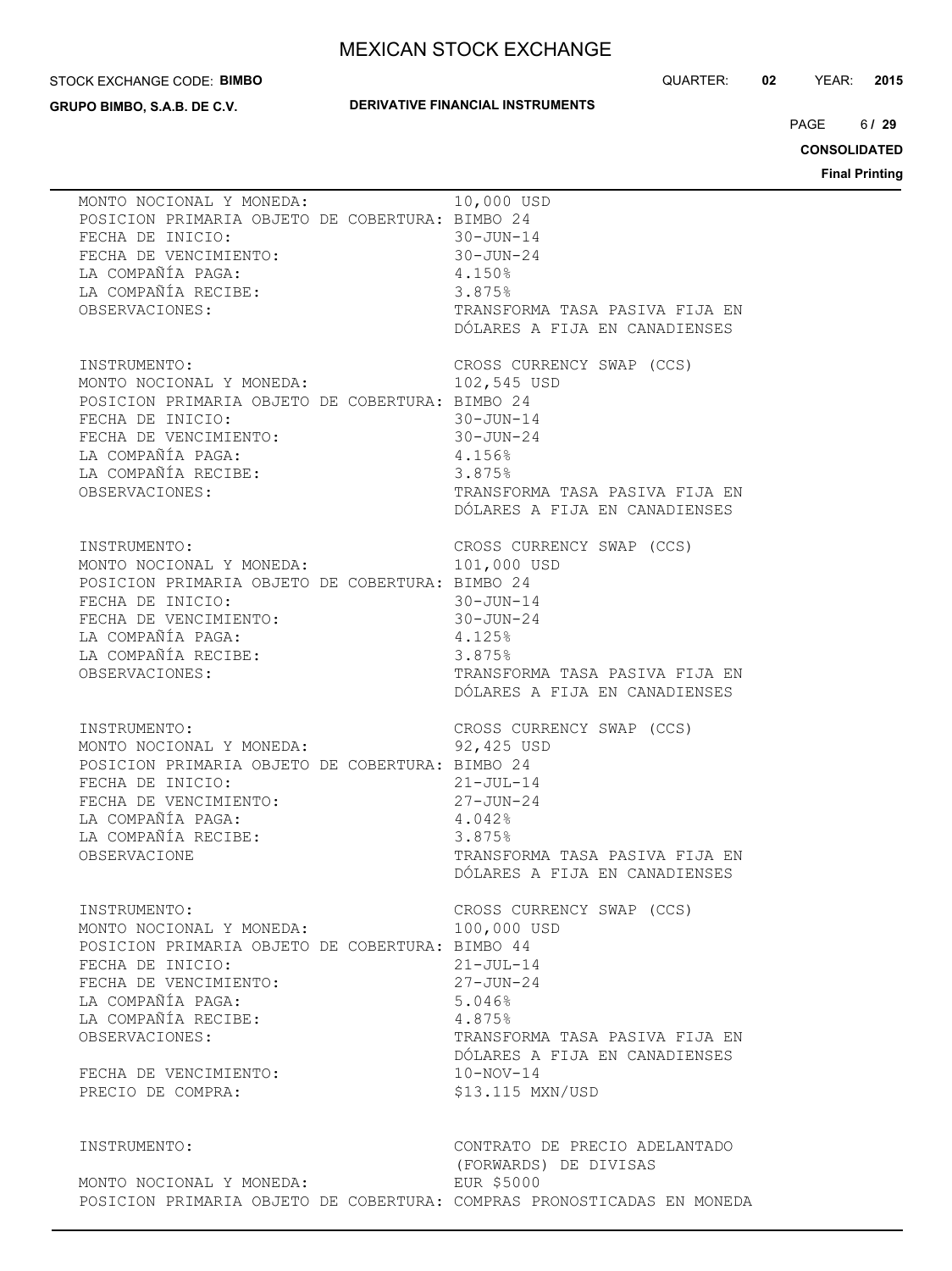#### STOCK EXCHANGE CODE: **BIMBO**

**GRUPO BIMBO, S.A.B. DE C.V.**

### **DERIVATIVE FINANCIAL INSTRUMENTS**

QUARTER: **02** YEAR: **2015**

 $6/29$  $PAGE$ 

**CONSOLIDATED**

| MONTO NOCIONAL Y MONEDA:                                               | 10,000 USD                     |
|------------------------------------------------------------------------|--------------------------------|
| POSICION PRIMARIA OBJETO DE COBERTURA: BIMBO 24                        | $30 - JUN - 14$                |
| FECHA DE INICIO:                                                       | $30 - JUN - 24$                |
| FECHA DE VENCIMIENTO:<br>LA COMPRISE                                   | 4.150%                         |
| LA COMPAÑÍA PAGA:                                                      | 3.875%                         |
| LA COMPAÑÍA RECIBE:                                                    | TRANSFORMA TASA PASIVA FIJA EN |
| OBSERVACIONES:                                                         | DÓLARES A FIJA EN CANADIENSES  |
| INSTRUMENTO:                                                           | CROSS CURRENCY SWAP (CCS)      |
| MONTO NOCIONAL Y MONEDA:                                               | 102,545 USD                    |
| POSICION PRIMARIA OBJETO DE COBERTURA: BIMBO 24                        | $30 - JUN - 14$                |
| FECHA DE INICIO:                                                       | $30 - JUN - 24$                |
| FECHA DE VENCIMIENTO:                                                  | 4.156%                         |
| LA COMPAÑÍA PAGA:                                                      | 3.875%                         |
| LA COMPAÑÍA RECIBE:                                                    | TRANSFORMA TASA PASIVA FIJA EN |
| OBSERVACIONES:                                                         | DÓLARES A FIJA EN CANADIENSES  |
| INSTRUMENTO:                                                           | CROSS CURRENCY SWAP (CCS)      |
| MONTO NOCIONAL Y MONEDA:                                               | 101,000 USD                    |
| POSICION PRIMARIA OBJETO DE COBERTURA: BIMBO 24                        | $30 - JUN - 14$                |
| FECHA DE INICIO:                                                       | $30 - JUN - 24$                |
| FECHA DE INICIO.<br>FECHA DE VENCIMIENTO:                              | 4.125%                         |
| LA COMPAÑÍA PAGA:                                                      | 3.875%                         |
| LA COMPAÑÍA RECIBE:                                                    | TRANSFORMA TASA PASIVA FIJA EN |
| OBSERVACIONES:                                                         | DÓLARES A FIJA EN CANADIENSES  |
| INSTRUMENTO:                                                           | CROSS CURRENCY SWAP (CCS)      |
| MONTO NOCIONAL Y MONEDA:                                               | 92,425 USD                     |
| POSICION PRIMARIA OBJETO DE COBERTURA: BIMBO 24                        | $21 - JUL-14$                  |
| FECHA DE INICIO:                                                       | $27 - JUN - 24$                |
| FECHA DE VENCIMIENTO:<br>FECHA DE VENCIMIENTO:                         | 4.042%                         |
| LA COMPAÑÍA PAGA:                                                      | 3.875%                         |
| LA COMPAÑÍA RECIBE:                                                    | TRANSFORMA TASA PASIVA FIJA EN |
| OBSERVACIONE                                                           | DÓLARES A FIJA EN CANADIENSES  |
| INSTRUMENTO:                                                           | CROSS CURRENCY SWAP (CCS)      |
| MONTO NOCIONAL Y MONEDA:                                               | 100,000 USD                    |
| POSICION PRIMARIA OBJETO DE COBERTURA: BIMBO 44                        | 21-JUL-14                      |
| FECHA DE INICIO:                                                       | $27 - JUN - 24$                |
| FECHA DE VENCIMIENTO:                                                  | 5.046%                         |
| LA COMPAÑÍA PAGA:                                                      | 4.875%                         |
| LA COMPAÑÍA RECIBE:                                                    | TRANSFORMA TASA PASIVA FIJA EN |
| OBSERVACIONES:                                                         | DÓLARES A FIJA EN CANADIENSES  |
| FECHA DE VENCIMIENTO:                                                  | $10-NOV-14$                    |
| PRECIO DE COMPRA:                                                      | \$13.115 MXN/USD               |
| INSTRUMENTO:                                                           | CONTRATO DE PRECIO ADELANTADO  |
| MONTO NOCIONAL Y MONEDA:                                               | (FORWARDS) DE DIVISAS          |
| POSICION PRIMARIA OBJETO DE COBERTURA: COMPRAS PRONOSTICADAS EN MONEDA | EUR \$5000                     |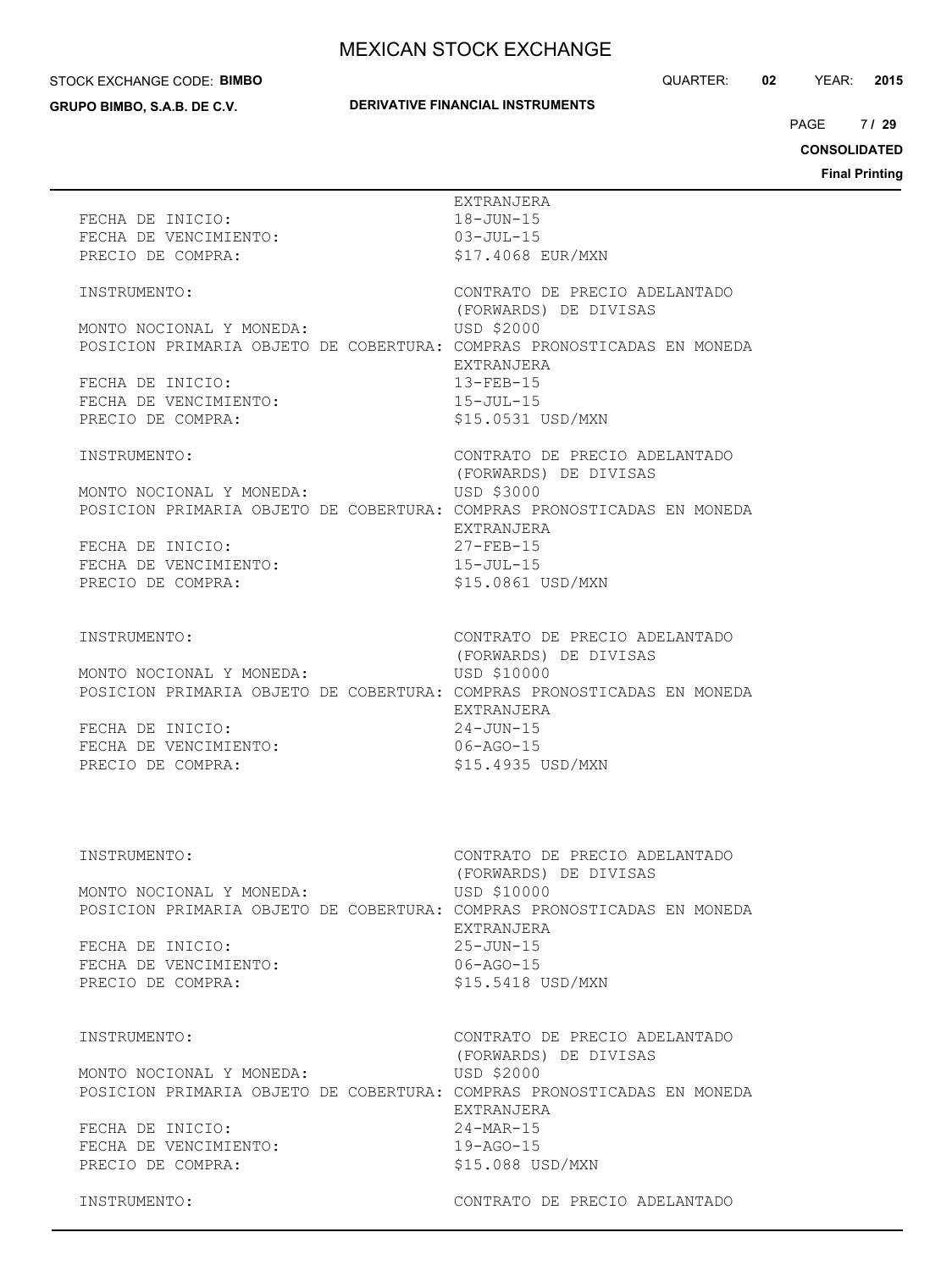#### STOCK EXCHANGE CODE: **BIMBO**

**GRUPO BIMBO, S.A.B. DE C.V.**

#### **DERIVATIVE FINANCIAL INSTRUMENTS**

QUARTER: **02** YEAR: **2015**

7/29  $PAGE$ 

# **CONSOLIDATED**

| FECHA DE INICIO:<br>FECHA DE VENCIMIENTO:<br>PRECIO DE COMPRA:                                                                                                                                       | EXTRANJERA<br>$18 - JUN - 15$<br>$03 - JUL - 15$<br>\$17.4068 EUR/MXN                                                                                                                |
|------------------------------------------------------------------------------------------------------------------------------------------------------------------------------------------------------|--------------------------------------------------------------------------------------------------------------------------------------------------------------------------------------|
| INSTRUMENTO:                                                                                                                                                                                         | CONTRATO DE PRECIO ADELANTADO<br>(FORWARDS) DE DIVISAS                                                                                                                               |
| MONTO NOCIONAL Y MONEDA:<br>POSICION PRIMARIA OBJETO DE COBERTURA: COMPRAS PRONOSTICADAS EN MONEDA<br>FECHA DE INICIO:<br>FECHA DE VENCIMIENTO:<br>PRECIO DE COMPRA:                                 | USD \$2000<br>EXTRANJERA<br>$13 - FEB - 15$<br>$15 - JUL - 15$<br>\$15.0531 USD/MXN                                                                                                  |
| INSTRUMENTO:                                                                                                                                                                                         | CONTRATO DE PRECIO ADELANTADO                                                                                                                                                        |
| MONTO NOCIONAL Y MONEDA:<br>POSICION PRIMARIA OBJETO DE COBERTURA: COMPRAS PRONOSTICADAS EN MONEDA<br>FECHA DE INICIO:<br>FECHA DE VENCIMIENTO:<br>PRECIO DE COMPRA:                                 | (FORWARDS) DE DIVISAS<br>USD \$3000<br>EXTRANJERA<br>$27 - FEB - 15$<br>$15 - JUL - 15$<br>\$15.0861 USD/MXN                                                                         |
| INSTRUMENTO:<br>MONTO NOCIONAL Y MONEDA:<br>POSICION PRIMARIA OBJETO DE COBERTURA: COMPRAS PRONOSTICADAS EN MONEDA<br>FECHA DE INICIO:<br>FECHA DE VENCIMIENTO:<br>PRECIO DE COMPRA:                 | CONTRATO DE PRECIO ADELANTADO<br>(FORWARDS) DE DIVISAS<br>USD \$10000<br>EXTRANJERA<br>$24 - JUN - 15$<br>$06 - AGO - 15$<br>\$15.4935 USD/MXN                                       |
| INSTRUMENTO:<br>MONTO NOCIONAL Y MONEDA:<br>POSICION PRIMARIA OBJETO DE COBERTURA: COMPRAS PRONOSTICADAS EN MONEDA<br>FECHA DE INICIO:<br>FECHA DE VENCIMIENTO:<br>PRECIO DE COMPRA:                 | CONTRATO DE PRECIO ADELANTADO<br>(FORWARDS) DE DIVISAS<br>USD \$10000<br>EXTRANJERA<br>$25 - JUN - 15$<br>$06 - AGO - 15$<br>\$15.5418 USD/MXN                                       |
| INSTRUMENTO:<br>MONTO NOCIONAL Y MONEDA:<br>POSICION PRIMARIA OBJETO DE COBERTURA: COMPRAS PRONOSTICADAS EN MONEDA<br>FECHA DE INICIO:<br>FECHA DE VENCIMIENTO:<br>PRECIO DE COMPRA:<br>INSTRUMENTO: | CONTRATO DE PRECIO ADELANTADO<br>(FORWARDS) DE DIVISAS<br>USD \$2000<br>EXTRANJERA<br>$24 - \text{MAR} - 15$<br>$19 - AGO - 15$<br>\$15.088 USD/MXN<br>CONTRATO DE PRECIO ADELANTADO |
|                                                                                                                                                                                                      |                                                                                                                                                                                      |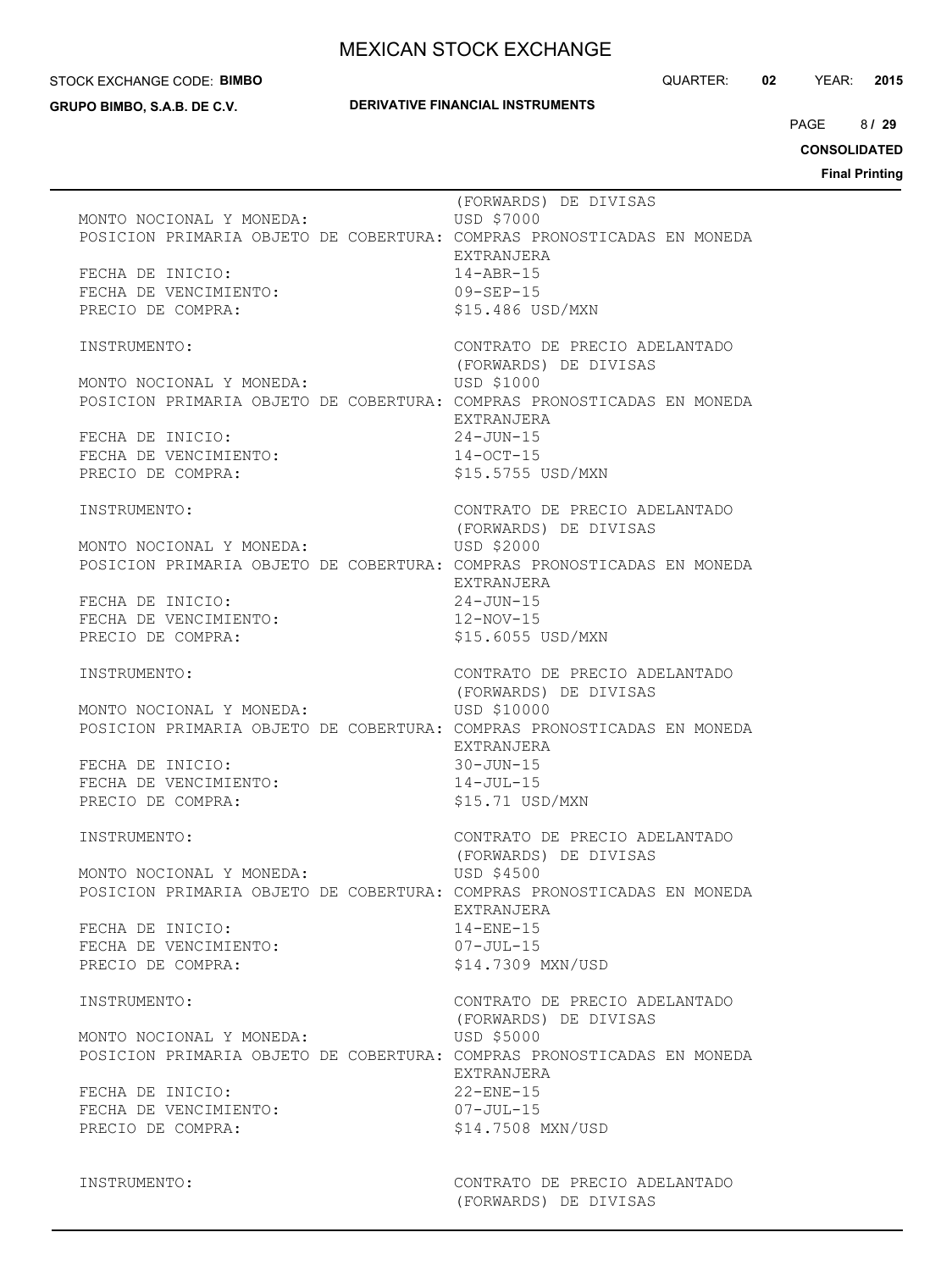STOCK EXCHANGE CODE: **BIMBO**

**GRUPO BIMBO, S.A.B. DE C.V.**

#### **DERIVATIVE FINANCIAL INSTRUMENTS**

QUARTER: **02** YEAR: **2015**

8 PAGE **/ 29**

**CONSOLIDATED**

**Final Printing**

 (FORWARDS) DE DIVISAS MONTO NOCIONAL Y MONEDA: USD \$7000 POSICION PRIMARIA OBJETO DE COBERTURA: COMPRAS PRONOSTICADAS EN MONEDA EXTRANJERA FECHA DE INICIO: 14-ABR-15 FECHA DE VENCIMIENTO: 09-SEP-15 PRECIO DE COMPRA:  $$15.486$  USD/MXN INSTRUMENTO: CONTRATO DE PRECIO ADELANTADO (FORWARDS) DE DIVISAS MONTO NOCIONAL Y MONEDA: USD \$1000 POSICION PRIMARIA OBJETO DE COBERTURA: COMPRAS PRONOSTICADAS EN MONEDA EXTRANJERA FECHA DE INICIO: 24-JUN-15 FECHA DE VENCIMIENTO:  $14-9CT-15$ PRECIO DE COMPRA:  $$15.5755$  USD/MXN INSTRUMENTO: CONTRATO DE PRECIO ADELANTADO (FORWARDS) DE DIVISAS MONTO NOCIONAL Y MONEDA: USD \$2000 POSICION PRIMARIA OBJETO DE COBERTURA: COMPRAS PRONOSTICADAS EN MONEDA EXTRANJERA FECHA DE INICIO:  $24-JUN-15$ <br>FECHA DE VENCIMIENTO:  $12-NOV-15$ FECHA DE VENCIMIENTO: PRECIO DE COMPRA:  $$15.6055$  USD/MXN INSTRUMENTO: CONTRATO DE PRECIO ADELANTADO (FORWARDS) DE DIVISAS MONTO NOCIONAL Y MONEDA: USD \$10000 POSICION PRIMARIA OBJETO DE COBERTURA: COMPRAS PRONOSTICADAS EN MONEDA EXTRANJERA FECHA DE INICIO: 30-JUN-15 FECHA DE VENCIMIENTO: 14-JUL-15 PRECIO DE COMPRA:  $$15.71$  USD/MXN INSTRUMENTO: CONTRATO DE PRECIO ADELANTADO (FORWARDS) DE DIVISAS MONTO NOCIONAL Y MONEDA: USD \$4500 POSICION PRIMARIA OBJETO DE COBERTURA: COMPRAS PRONOSTICADAS EN MONEDA EXTRANJERA FECHA DE INICIO: 14-ENE-15 FECHA DE VENCIMIENTO: 07-JUL-15 PRECIO DE COMPRA:  $$14.7309$  MXN/USD INSTRUMENTO: CONTRATO DE PRECIO ADELANTADO (FORWARDS) DE DIVISAS MONTO NOCIONAL Y MONEDA: USD \$5000 POSICION PRIMARIA OBJETO DE COBERTURA: COMPRAS PRONOSTICADAS EN MONEDA EXTRANJERA FECHA DE INICIO: 22-ENE-15 FECHA DE VENCIMIENTO: 07-JUL-15 PRECIO DE COMPRA:  $$14.7508$  MXN/USD INSTRUMENTO: CONTRATO DE PRECIO ADELANTADO

(FORWARDS) DE DIVISAS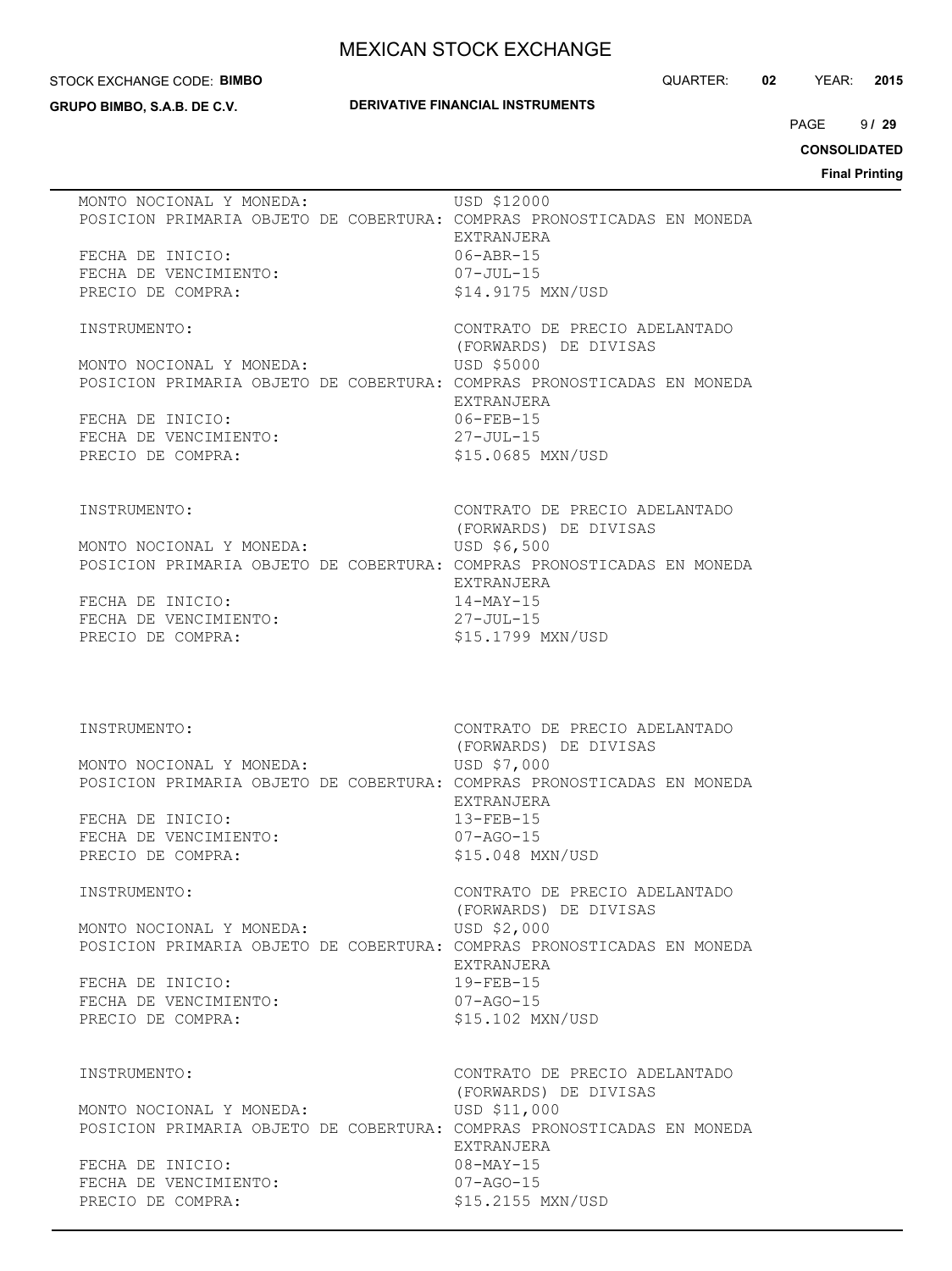#### STOCK EXCHANGE CODE: **BIMBO**

**GRUPO BIMBO, S.A.B. DE C.V.**

#### **DERIVATIVE FINANCIAL INSTRUMENTS**

QUARTER: **02** YEAR: **2015**

 $9129$  $PAGE$ 

**CONSOLIDATED**

|                                            |                                                                                       | . |
|--------------------------------------------|---------------------------------------------------------------------------------------|---|
| MONTO NOCIONAL Y MONEDA:                   | USD \$12000<br>POSICION PRIMARIA OBJETO DE COBERTURA: COMPRAS PRONOSTICADAS EN MONEDA |   |
|                                            | EXTRANJERA                                                                            |   |
| FECHA DE INICIO:<br>FECHA DE VENCIMIENTO:  | 06-ABR-15<br>07-JUL-15                                                                |   |
| PRECIO DE COMPRA:                          | \$14.9175 MXN/USD                                                                     |   |
| INSTRUMENTO:                               | CONTRATO DE PRECIO ADELANTADO<br>(FORWARDS) DE DIVISAS                                |   |
| MONTO NOCIONAL Y MONEDA:                   | USD \$5000                                                                            |   |
|                                            | POSICION PRIMARIA OBJETO DE COBERTURA: COMPRAS PRONOSTICADAS EN MONEDA<br>EXTRANJERA  |   |
| FECHA DE INICIO:                           | 06-FEB-15                                                                             |   |
| FECHA DE VENCIMIENTO:                      | 27-JUL-15                                                                             |   |
| PRECIO DE COMPRA:                          | \$15.0685 MXN/USD                                                                     |   |
| INSTRUMENTO:                               | CONTRATO DE PRECIO ADELANTADO                                                         |   |
| MONTO NOCIONAL Y MONEDA:                   | (FORWARDS) DE DIVISAS<br>USD \$6,500                                                  |   |
|                                            | POSICION PRIMARIA OBJETO DE COBERTURA: COMPRAS PRONOSTICADAS EN MONEDA                |   |
|                                            | EXTRANJERA<br>14-MAY-15                                                               |   |
| FECHA DE INICIO:<br>FECHA DE VENCIMIENTO:  | 27-JUL-15                                                                             |   |
| PRECIO DE COMPRA:                          | \$15.1799 MXN/USD                                                                     |   |
| INSTRUMENTO:                               | CONTRATO DE PRECIO ADELANTADO                                                         |   |
|                                            | (FORWARDS) DE DIVISAS                                                                 |   |
| MONTO NOCIONAL Y MONEDA:                   | USD \$7,000<br>POSICION PRIMARIA OBJETO DE COBERTURA: COMPRAS PRONOSTICADAS EN MONEDA |   |
|                                            | EXTRANJERA                                                                            |   |
| FECHA DE INICIO:                           | $13 - FEB - 15$                                                                       |   |
| FECHA DE VENCIMIENTO:<br>PRECIO DE COMPRA: | 07-AGO-15                                                                             |   |
|                                            | \$15.048 MXN/USD                                                                      |   |
| INSTRUMENTO:                               | CONTRATO DE PRECIO ADELANTADO<br>(FORWARDS) DE DIVISAS                                |   |
| MONTO NOCIONAL Y MONEDA:                   | USD \$2,000                                                                           |   |
|                                            | POSICION PRIMARIA OBJETO DE COBERTURA: COMPRAS PRONOSTICADAS EN MONEDA<br>EXTRANJERA  |   |
| FECHA DE INICIO:                           | $19-FEB-15$                                                                           |   |
| FECHA DE VENCIMIENTO:                      | $07 - AGO - 15$                                                                       |   |
| PRECIO DE COMPRA:                          | \$15.102 MXN/USD                                                                      |   |
| INSTRUMENTO:                               | CONTRATO DE PRECIO ADELANTADO                                                         |   |
| MONTO NOCIONAL Y MONEDA:                   | (FORWARDS) DE DIVISAS<br>USD \$11,000                                                 |   |
|                                            | POSICION PRIMARIA OBJETO DE COBERTURA: COMPRAS PRONOSTICADAS EN MONEDA                |   |
|                                            | EXTRANJERA                                                                            |   |
| FECHA DE INICIO:<br>FECHA DE VENCIMIENTO:  | $08 - \text{MAX} - 15$<br>$07 - AGO - 15$                                             |   |
| PRECIO DE COMPRA:                          | \$15.2155 MXN/USD                                                                     |   |
|                                            |                                                                                       |   |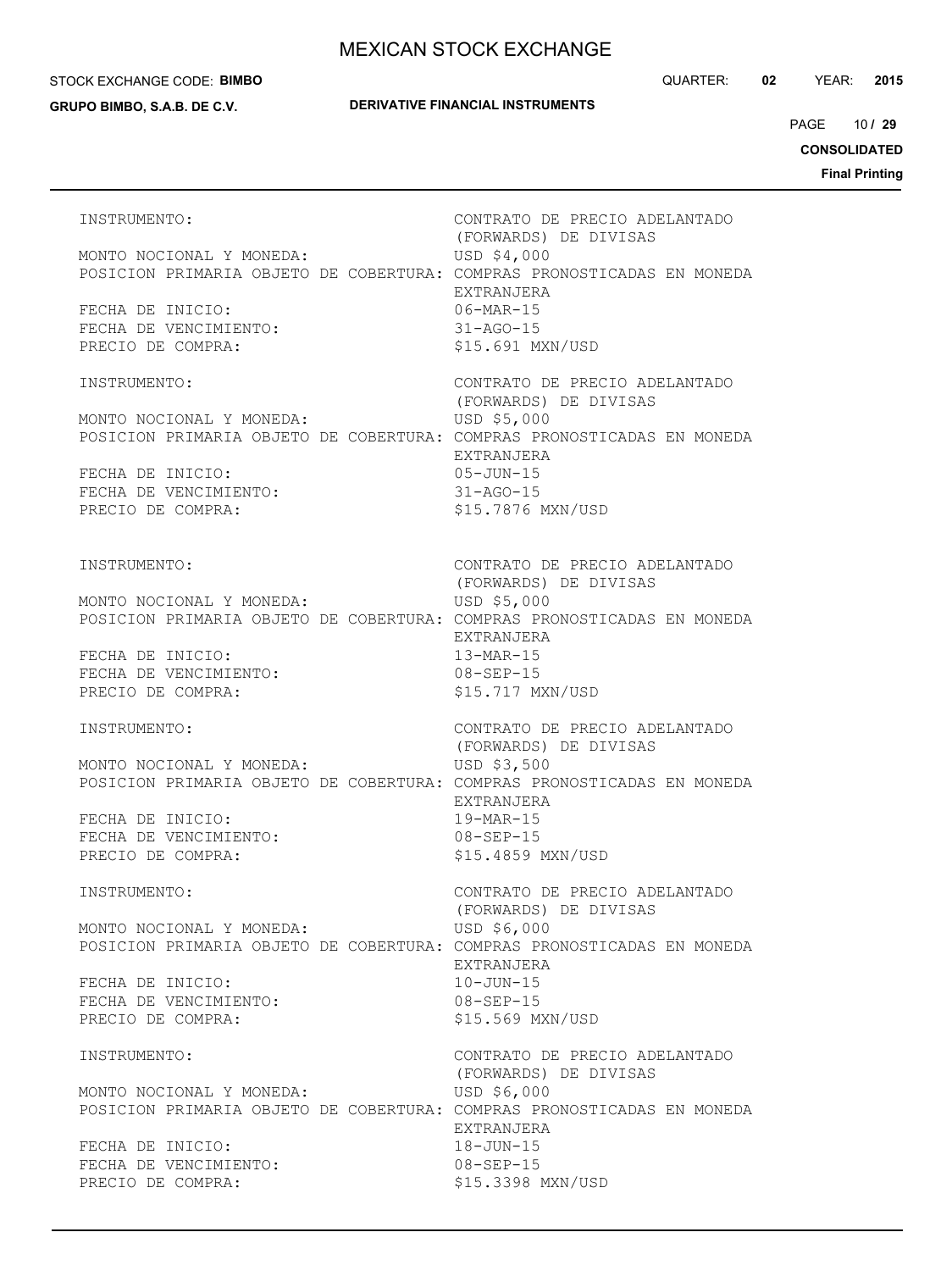#### STOCK EXCHANGE CODE: **BIMBO**

**GRUPO BIMBO, S.A.B. DE C.V.**

**DERIVATIVE FINANCIAL INSTRUMENTS**

10 PAGE **/ 29**

**CONSOLIDATED**

**Final Printing**

INSTRUMENTO: CONTRATO DE PRECIO ADELANTADO (FORWARDS) DE DIVISAS MONTO NOCIONAL Y MONEDA: USD \$4,000 POSICION PRIMARIA OBJETO DE COBERTURA: COMPRAS PRONOSTICADAS EN MONEDA EXTRANJERA FECHA DE INICIO: 06-MAR-15 FECHA DE VENCIMIENTO: 31-AGO-15 PRECIO DE COMPRA:  $$15.691$  MXN/USD INSTRUMENTO: CONTRATO DE PRECIO ADELANTADO (FORWARDS) DE DIVISAS MONTO NOCIONAL Y MONEDA: USD \$5,000 POSICION PRIMARIA OBJETO DE COBERTURA: COMPRAS PRONOSTICADAS EN MONEDA EXTRANJERA FECHA DE INICIO: 05-JUN-15 FECHA DE VENCIMIENTO: 31-AGO-15 PRECIO DE COMPRA:  $$15.7876$  MXN/USD INSTRUMENTO: CONTRATO DE PRECIO ADELANTADO (FORWARDS) DE DIVISAS MONTO NOCIONAL Y MONEDA: USD \$5,000 POSICION PRIMARIA OBJETO DE COBERTURA: COMPRAS PRONOSTICADAS EN MONEDA EXTRANJERA FECHA DE INICIO: 13-MAR-15 FECHA DE VENCIMIENTO: 08-SEP-15 PRECIO DE COMPRA:  $$15.717$  MXN/USD INSTRUMENTO: CONTRATO DE PRECIO ADELANTADO (FORWARDS) DE DIVISAS MONTO NOCIONAL Y MONEDA: USD \$3,500 POSICION PRIMARIA OBJETO DE COBERTURA: COMPRAS PRONOSTICADAS EN MONEDA EXTRANJERA FECHA DE INICIO: 19-MAR-15 FECHA DE VENCIMIENTO: 08-SEP-15 PRECIO DE COMPRA:  $$15.4859$  MXN/USD INSTRUMENTO: CONTRATO DE PRECIO ADELANTADO (FORWARDS) DE DIVISAS MONTO NOCIONAL Y MONEDA: USD \$6,000 POSICION PRIMARIA OBJETO DE COBERTURA: COMPRAS PRONOSTICADAS EN MONEDA EXTRANJERA FECHA DE INICIO: 10-JUN-15 FECHA DE VENCIMIENTO: 08-SEP-15 PRECIO DE COMPRA:  $$15.569$  MXN/USD INSTRUMENTO: CONTRATO DE PRECIO ADELANTADO (FORWARDS) DE DIVISAS MONTO NOCIONAL Y MONEDA: USD \$6,000 POSICION PRIMARIA OBJETO DE COBERTURA: COMPRAS PRONOSTICADAS EN MONEDA EXTRANJERA FECHA DE INICIO: 18-JUN-15 FECHA DE VENCIMIENTO: 08-SEP-15 PRECIO DE COMPRA:  $$15.3398$  MXN/USD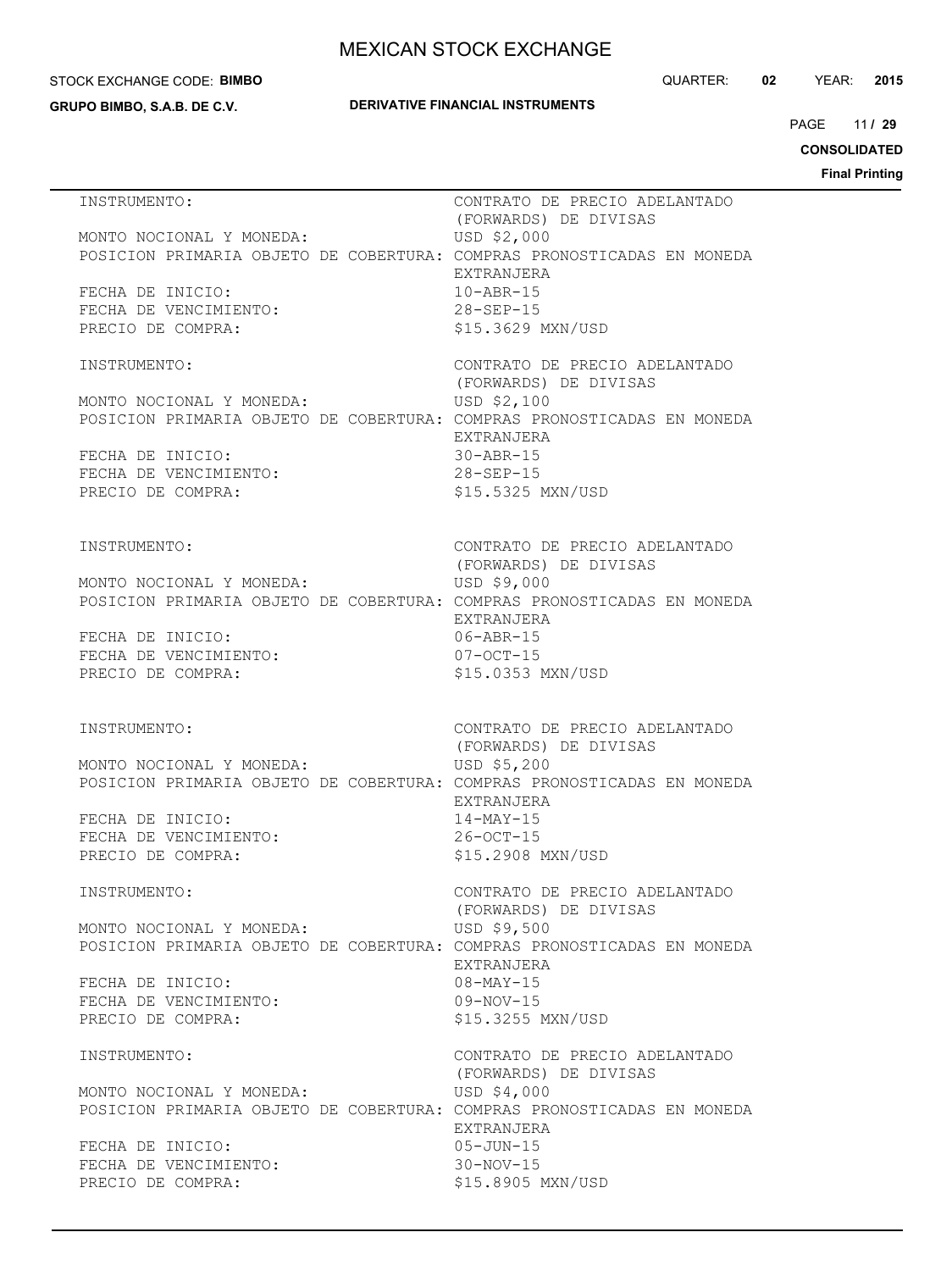#### STOCK EXCHANGE CODE: **BIMBO**

**GRUPO BIMBO, S.A.B. DE C.V.**

### **DERIVATIVE FINANCIAL INSTRUMENTS**

QUARTER: **02** YEAR: **2015**

11 PAGE **/ 29**

**CONSOLIDATED**

| INSTRUMENTO:                               | CONTRATO DE PRECIO ADELANTADO<br>(FORWARDS) DE DIVISAS                                |
|--------------------------------------------|---------------------------------------------------------------------------------------|
| MONTO NOCIONAL Y MONEDA:                   | USD \$2,000                                                                           |
|                                            | POSICION PRIMARIA OBJETO DE COBERTURA: COMPRAS PRONOSTICADAS EN MONEDA<br>EXTRANJERA  |
| FECHA DE INICIO:                           | $10 - ABR - 15$                                                                       |
| FECHA DE VENCIMIENTO:<br>PRECIO DE COMPRA: | $28 - SEP - 15$<br>\$15.3629 MXN/USD                                                  |
|                                            |                                                                                       |
| INSTRUMENTO:                               | CONTRATO DE PRECIO ADELANTADO<br>(FORWARDS) DE DIVISAS                                |
| MONTO NOCIONAL Y MONEDA:                   | USD \$2,100                                                                           |
|                                            | POSICION PRIMARIA OBJETO DE COBERTURA: COMPRAS PRONOSTICADAS EN MONEDA                |
| FECHA DE INICIO:                           | EXTRANJERA<br>$30 - ABR - 15$                                                         |
| FECHA DE VENCIMIENTO:                      | $28 - SEP - 15$                                                                       |
| PRECIO DE COMPRA:                          | \$15.5325 MXN/USD                                                                     |
|                                            |                                                                                       |
| INSTRUMENTO:                               | CONTRATO DE PRECIO ADELANTADO<br>(FORWARDS) DE DIVISAS                                |
| MONTO NOCIONAL Y MONEDA:                   | USD \$9,000                                                                           |
|                                            | POSICION PRIMARIA OBJETO DE COBERTURA: COMPRAS PRONOSTICADAS EN MONEDA<br>EXTRANJERA  |
| FECHA DE INICIO:                           | 06-ABR-15                                                                             |
| FECHA DE VENCIMIENTO:                      | $07-0CT-15$                                                                           |
| PRECIO DE COMPRA:                          | \$15.0353 MXN/USD                                                                     |
|                                            |                                                                                       |
|                                            |                                                                                       |
| INSTRUMENTO:                               | CONTRATO DE PRECIO ADELANTADO<br>(FORWARDS) DE DIVISAS                                |
| MONTO NOCIONAL Y MONEDA:                   | USD \$5,200                                                                           |
|                                            | POSICION PRIMARIA OBJETO DE COBERTURA: COMPRAS PRONOSTICADAS EN MONEDA<br>EXTRANJERA  |
| FECHA DE INICIO:                           | 14-MAY-15                                                                             |
| FECHA DE VENCIMIENTO:                      | 26-OCT-15                                                                             |
| PRECIO DE COMPRA:                          | \$15.2908 MXN/USD                                                                     |
| INSTRUMENTO:                               | CONTRATO DE PRECIO ADELANTADO                                                         |
| MONTO NOCIONAL Y MONEDA:                   | (FORWARDS) DE DIVISAS<br>USD \$9,500                                                  |
|                                            | POSICION PRIMARIA OBJETO DE COBERTURA: COMPRAS PRONOSTICADAS EN MONEDA                |
| FECHA DE INICIO:                           | EXTRANJERA<br>$08 - MAX - 15$                                                         |
| FECHA DE VENCIMIENTO:                      | $09-NOV-15$                                                                           |
| PRECIO DE COMPRA:                          | \$15.3255 MXN/USD                                                                     |
| INSTRUMENTO:                               | CONTRATO DE PRECIO ADELANTADO                                                         |
| MONTO NOCIONAL Y MONEDA:                   | (FORWARDS) DE DIVISAS                                                                 |
|                                            | USD \$4,000<br>POSICION PRIMARIA OBJETO DE COBERTURA: COMPRAS PRONOSTICADAS EN MONEDA |
|                                            | EXTRANJERA                                                                            |
| FECHA DE INICIO:<br>FECHA DE VENCIMIENTO:  | $05 - JUN - 15$<br>$30-NOV-15$                                                        |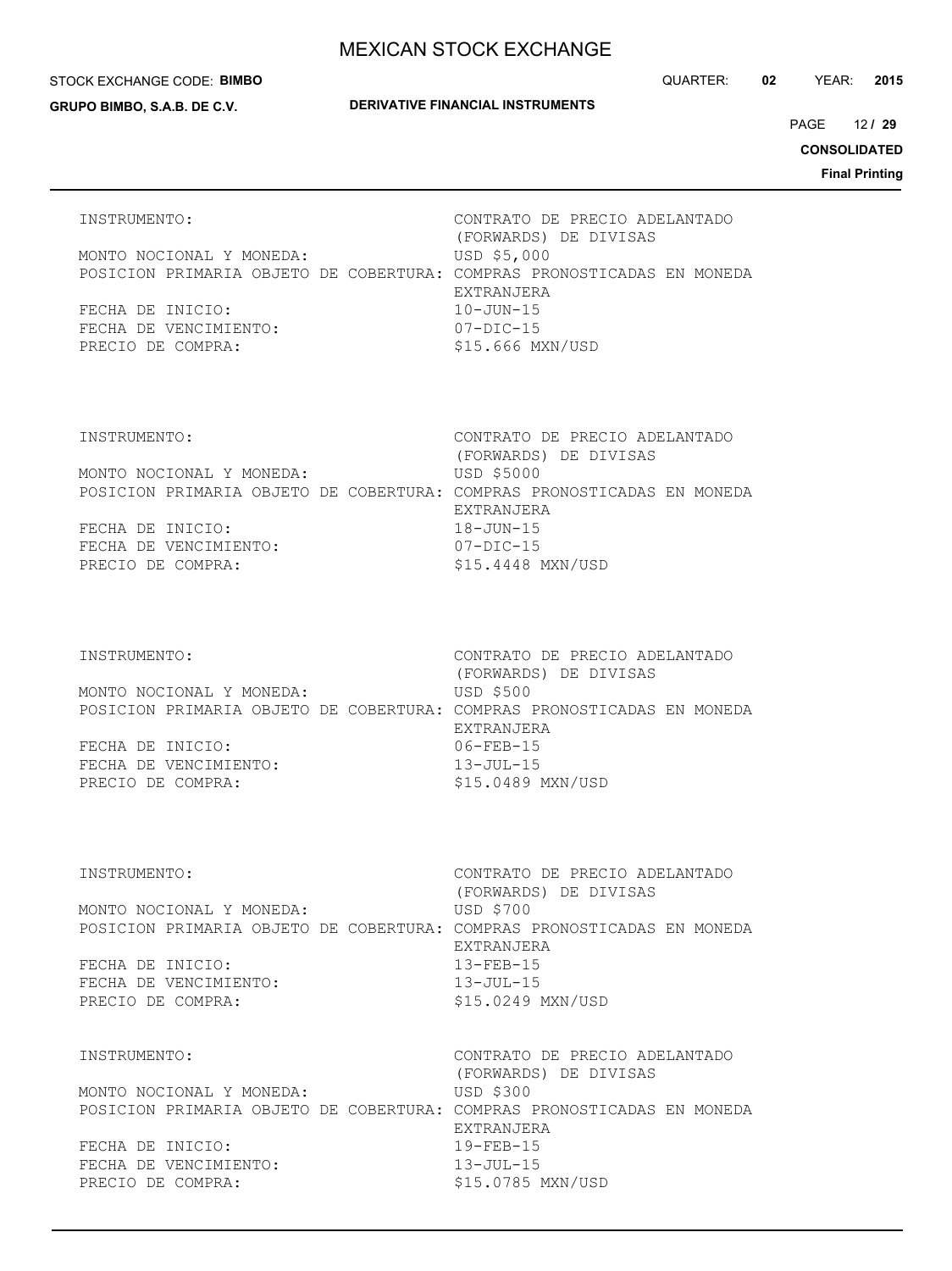STOCK EXCHANGE CODE: **BIMBO**

**GRUPO BIMBO, S.A.B. DE C.V.**

QUARTER: **02** YEAR: **2015**

12 PAGE **/ 29**

**CONSOLIDATED**

**Final Printing**

| INSTRUMENTO:                                                           | CONTRATO DE PRECIO ADELANTADO<br>(FORWARDS) DE DIVISAS |
|------------------------------------------------------------------------|--------------------------------------------------------|
| MONTO NOCIONAL Y MONEDA:                                               | USD \$5,000                                            |
| POSICION PRIMARIA OBJETO DE COBERTURA: COMPRAS PRONOSTICADAS EN MONEDA |                                                        |
|                                                                        | EXTRANJERA                                             |
| FECHA DE INICIO:                                                       | $10 - JUN - 15$                                        |
| FECHA DE VENCIMIENTO:                                                  | $07 - DIC - 15$                                        |
| PRECIO DE COMPRA:                                                      | \$15,666 MXN/USD                                       |

INSTRUMENTO: CONTRATO DE PRECIO ADELANTADO (FORWARDS) DE DIVISAS MONTO NOCIONAL Y MONEDA: USD \$5000 POSICION PRIMARIA OBJETO DE COBERTURA: COMPRAS PRONOSTICADAS EN MONEDA EXTRANJERA FECHA DE INICIO: 18-JUN-15 FECHA DE VENCIMIENTO: 07-DIC-15 PRECIO DE COMPRA:  $$15.4448$  MXN/USD

INSTRUMENTO: CONTRATO DE PRECIO ADELANTADO

 (FORWARDS) DE DIVISAS MONTO NOCIONAL Y MONEDA: USD \$500 POSICION PRIMARIA OBJETO DE COBERTURA: COMPRAS PRONOSTICADAS EN MONEDA EXTRANJERA FECHA DE INICIO: 06-FEB-15 FECHA DE VENCIMIENTO: 13-JUL-15 PRECIO DE COMPRA:  $$15.0489$  MXN/USD

INSTRUMENTO: CONTRATO DE PRECIO ADELANTADO (FORWARDS) DE DIVISAS MONTO NOCIONAL Y MONEDA: USD \$700 POSICION PRIMARIA OBJETO DE COBERTURA: COMPRAS PRONOSTICADAS EN MONEDA EXTRANJERA FECHA DE INICIO: 13-FEB-15 FECHA DE VENCIMIENTO: 13-JUL-15 PRECIO DE COMPRA:  $$15.0249$  MXN/USD

INSTRUMENTO: CONTRATO DE PRECIO ADELANTADO (FORWARDS) DE DIVISAS MONTO NOCIONAL Y MONEDA: USD \$300 POSICION PRIMARIA OBJETO DE COBERTURA: COMPRAS PRONOSTICADAS EN MONEDA EXTRANJERA FECHA DE INICIO: 19-FEB-15 FECHA DE VENCIMIENTO: 13-JUL-15 PRECIO DE COMPRA:  $$15.0785$  MXN/USD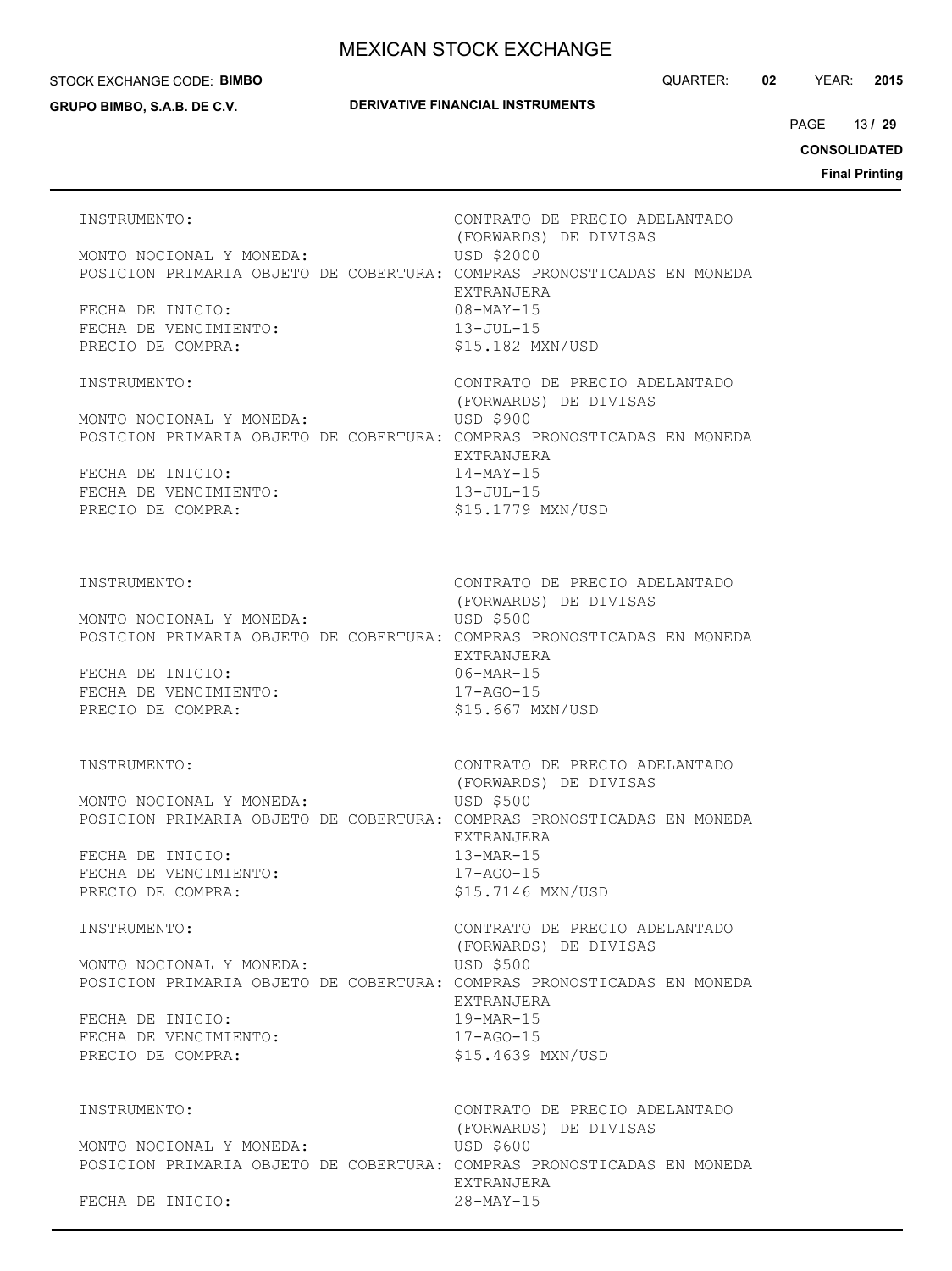#### STOCK EXCHANGE CODE: **BIMBO**

**GRUPO BIMBO, S.A.B. DE C.V.**

# **DERIVATIVE FINANCIAL INSTRUMENTS**

13 PAGE **/ 29**

**CONSOLIDATED**

| INSTRUMENTO:<br>MONTO NOCIONAL Y MONEDA:<br>POSICION PRIMARIA OBJETO DE COBERTURA: COMPRAS PRONOSTICADAS EN MONEDA<br>FECHA DE INICIO:<br>FECHA DE VENCIMIENTO:<br>PRECIO DE COMPRA: | CONTRATO DE PRECIO ADELANTADO<br>(FORWARDS) DE DIVISAS<br>USD \$2000<br>EXTRANJERA<br>$08 - \text{MAX} - 15$<br>$13 - JUL - 15$<br>\$15.182 MXN/USD |
|--------------------------------------------------------------------------------------------------------------------------------------------------------------------------------------|-----------------------------------------------------------------------------------------------------------------------------------------------------|
| INSTRUMENTO:<br>MONTO NOCIONAL Y MONEDA:<br>POSICION PRIMARIA OBJETO DE COBERTURA: COMPRAS PRONOSTICADAS EN MONEDA<br>FECHA DE INICIO:<br>FECHA DE VENCIMIENTO:<br>PRECIO DE COMPRA: | CONTRATO DE PRECIO ADELANTADO<br>(FORWARDS) DE DIVISAS<br>USD \$900<br>EXTRANJERA<br>14-MAY-15<br>$13 - JUL-15$<br>\$15.1779 MXN/USD                |
| INSTRUMENTO:<br>MONTO NOCIONAL Y MONEDA:<br>POSICION PRIMARIA OBJETO DE COBERTURA: COMPRAS PRONOSTICADAS EN MONEDA<br>FECHA DE INICIO:<br>FECHA DE VENCIMIENTO:<br>PRECIO DE COMPRA: | CONTRATO DE PRECIO ADELANTADO<br>(FORWARDS) DE DIVISAS<br><b>USD \$500</b><br>EXTRANJERA<br>$06 - \text{MAR} - 15$<br>17-AGO-15<br>\$15.667 MXN/USD |
| INSTRUMENTO:<br>MONTO NOCIONAL Y MONEDA:<br>POSICION PRIMARIA OBJETO DE COBERTURA: COMPRAS PRONOSTICADAS EN MONEDA<br>FECHA DE INICIO:<br>FECHA DE VENCIMIENTO:<br>PRECIO DE COMPRA: | CONTRATO DE PRECIO ADELANTADO<br>(FORWARDS) DE DIVISAS<br>USD \$500<br>EXTRANJERA<br>$13-MAR-15$<br>$17 - AGO - 15$<br>\$15.7146 MXN/USD            |
| INSTRUMENTO:<br>MONTO NOCIONAL Y MONEDA:<br>POSICION PRIMARIA OBJETO DE COBERTURA: COMPRAS PRONOSTICADAS EN MONEDA<br>FECHA DE INICIO:<br>FECHA DE VENCIMIENTO:<br>PRECIO DE COMPRA: | CONTRATO DE PRECIO ADELANTADO<br>(FORWARDS) DE DIVISAS<br>USD \$500<br>EXTRANJERA<br>19-MAR-15<br>$17 - AGO - 15$<br>\$15.4639 MXN/USD              |
| INSTRUMENTO:<br>MONTO NOCIONAL Y MONEDA:<br>POSICION PRIMARIA OBJETO DE COBERTURA: COMPRAS PRONOSTICADAS EN MONEDA<br>FECHA DE INICIO:                                               | CONTRATO DE PRECIO ADELANTADO<br>(FORWARDS) DE DIVISAS<br>USD \$600<br>EXTRANJERA<br>$28 - MAX - 15$                                                |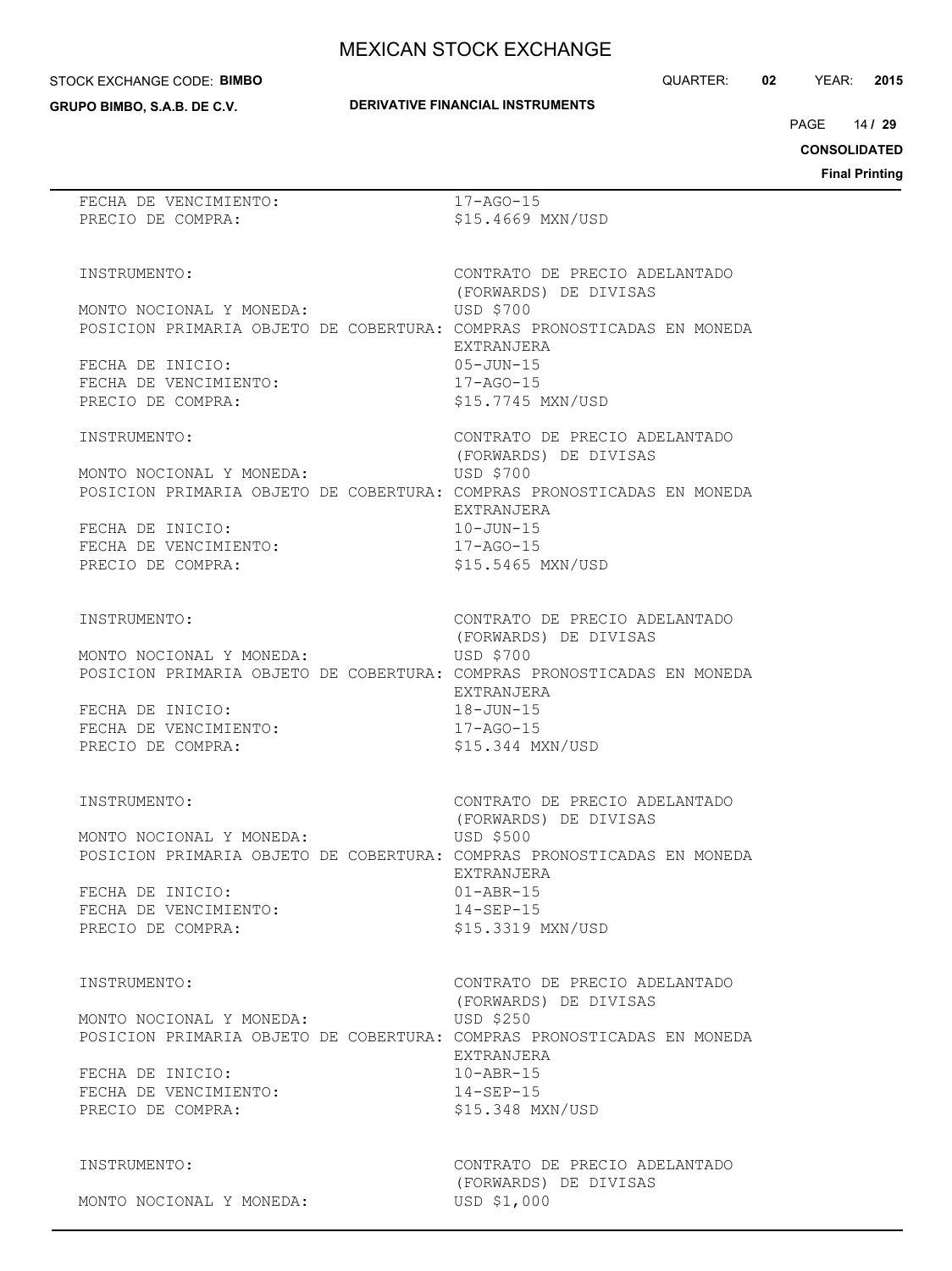**DERIVATIVE FINANCIAL INSTRUMENTS**

#### STOCK EXCHANGE CODE: **BIMBO**

**GRUPO BIMBO, S.A.B. DE C.V.**

14 PAGE **/ 29**

**CONSOLIDATED**

| FECHA DE VENCIMIENTO:<br>PRECIO DE COMPRA:                                                                                                                                           | $17 - AGO - 15$<br>\$15.4669 MXN/USD                                                                                                        |
|--------------------------------------------------------------------------------------------------------------------------------------------------------------------------------------|---------------------------------------------------------------------------------------------------------------------------------------------|
| INSTRUMENTO:<br>MONTO NOCIONAL Y MONEDA:<br>POSICION PRIMARIA OBJETO DE COBERTURA: COMPRAS PRONOSTICADAS EN MONEDA                                                                   | CONTRATO DE PRECIO ADELANTADO<br>(FORWARDS) DE DIVISAS<br>USD \$700<br>EXTRANJERA                                                           |
| FECHA DE INICIO:<br>FECHA DE VENCIMIENTO:<br>PRECIO DE COMPRA:                                                                                                                       | $05 - JUN - 15$<br>$17 - AGO - 15$<br>\$15.7745 MXN/USD                                                                                     |
| INSTRUMENTO:                                                                                                                                                                         | CONTRATO DE PRECIO ADELANTADO<br>(FORWARDS) DE DIVISAS                                                                                      |
| MONTO NOCIONAL Y MONEDA:<br>POSICION PRIMARIA OBJETO DE COBERTURA: COMPRAS PRONOSTICADAS EN MONEDA<br>FECHA DE INICIO:<br>FECHA DE VENCIMIENTO:<br>PRECIO DE COMPRA:                 | USD \$700<br>EXTRANJERA<br>$10 - JUN - 15$<br>$17 - AGO - 15$<br>\$15.5465 MXN/USD                                                          |
| INSTRUMENTO:<br>MONTO NOCIONAL Y MONEDA:<br>POSICION PRIMARIA OBJETO DE COBERTURA: COMPRAS PRONOSTICADAS EN MONEDA<br>FECHA DE INICIO:<br>FECHA DE VENCIMIENTO:<br>PRECIO DE COMPRA: | CONTRATO DE PRECIO ADELANTADO<br>(FORWARDS) DE DIVISAS<br>USD \$700<br>EXTRANJERA<br>$18 - JUN - 15$<br>$17 - AGO - 15$<br>\$15.344 MXN/USD |
| INSTRUMENTO:                                                                                                                                                                         | CONTRATO DE PRECIO ADELANTADO<br>(FORWARDS) DE DIVISAS                                                                                      |
| MONTO NOCIONAL Y MONEDA:<br>POSICION PRIMARIA OBJETO DE COBERTURA: COMPRAS PRONOSTICADAS EN MONEDA<br>FECHA DE INICIO:<br>FECHA DE VENCIMIENTO:<br>PRECIO DE COMPRA:                 | <b>USD \$500</b><br>EXTRANJERA<br>$01 - ABR - 15$<br>$14 - SEP - 15$<br>\$15.3319 MXN/USD                                                   |
| INSTRUMENTO:                                                                                                                                                                         | CONTRATO DE PRECIO ADELANTADO<br>(FORWARDS) DE DIVISAS                                                                                      |
| MONTO NOCIONAL Y MONEDA:<br>POSICION PRIMARIA OBJETO DE COBERTURA: COMPRAS PRONOSTICADAS EN MONEDA<br>FECHA DE INICIO:<br>FECHA DE VENCIMIENTO:<br>PRECIO DE COMPRA:                 | USD \$250<br>EXTRANJERA<br>$10 - ABR - 15$<br>$14 - SEP - 15$<br>\$15.348 MXN/USD                                                           |
| INSTRUMENTO:<br>MONTO NOCIONAL Y MONEDA:                                                                                                                                             | CONTRATO DE PRECIO ADELANTADO<br>(FORWARDS) DE DIVISAS<br>USD \$1,000                                                                       |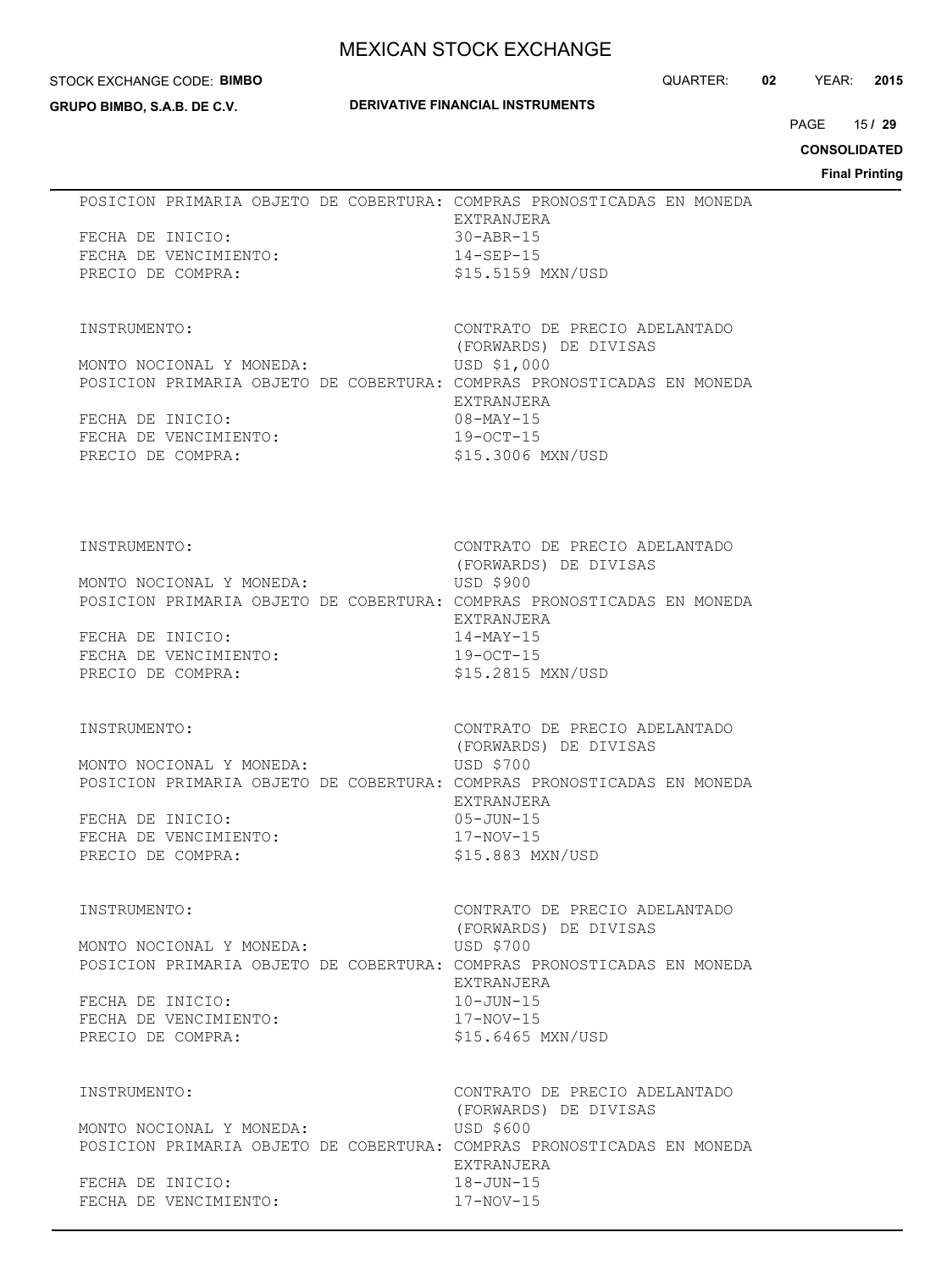#### STOCK EXCHANGE CODE: **BIMBO**

**GRUPO BIMBO, S.A.B. DE C.V.**

### **DERIVATIVE FINANCIAL INSTRUMENTS**

QUARTER: **02** YEAR: **2015**

15 PAGE **/ 29**

**CONSOLIDATED**

**Printing** 

|                                                                                                            |                                                                                                                                                                                                                         | <b>Final I</b> |
|------------------------------------------------------------------------------------------------------------|-------------------------------------------------------------------------------------------------------------------------------------------------------------------------------------------------------------------------|----------------|
| FECHA DE INICIO:<br>FECHA DE VENCIMIENTO:<br>PRECIO DE COMPRA:                                             | POSICION PRIMARIA OBJETO DE COBERTURA: COMPRAS PRONOSTICADAS EN MONEDA<br>EXTRANJERA<br>$30 - ABR - 15$<br>$14 - SEP - 15$<br>\$15.5159 MXN/USD                                                                         |                |
| INSTRUMENTO:<br>MONTO NOCIONAL Y MONEDA:<br>FECHA DE INICIO:<br>FECHA DE VENCIMIENTO:<br>PRECIO DE COMPRA: | CONTRATO DE PRECIO ADELANTADO<br>(FORWARDS) DE DIVISAS<br>USD \$1,000<br>POSICION PRIMARIA OBJETO DE COBERTURA: COMPRAS PRONOSTICADAS EN MONEDA<br>EXTRANJERA<br>08-MAY-15<br>$19-0CT-15$<br>\$15,3006 MXN/USD          |                |
| INSTRUMENTO:<br>MONTO NOCIONAL Y MONEDA:<br>FECHA DE INICIO:<br>FECHA DE VENCIMIENTO:<br>PRECIO DE COMPRA: | CONTRATO DE PRECIO ADELANTADO<br>(FORWARDS) DE DIVISAS<br>USD \$900<br>POSICION PRIMARIA OBJETO DE COBERTURA: COMPRAS PRONOSTICADAS EN MONEDA<br>EXTRANJERA<br>14-MAY-15<br>19-OCT-15<br>\$15.2815 MXN/USD              |                |
| INSTRUMENTO:<br>MONTO NOCIONAL Y MONEDA:<br>FECHA DE INICIO:<br>FECHA DE VENCIMIENTO:<br>PRECIO DE COMPRA: | CONTRATO DE PRECIO ADELANTADO<br>(FORWARDS) DE DIVISAS<br>USD \$700<br>POSICION PRIMARIA OBJETO DE COBERTURA: COMPRAS PRONOSTICADAS EN MONEDA<br>EXTRANJERA<br>$05 - JUN - 15$<br>17-NOV-15<br>\$15.883 MXN/USD         |                |
| INSTRUMENTO:<br>MONTO NOCIONAL Y MONEDA:<br>FECHA DE INICIO:<br>FECHA DE VENCIMIENTO:<br>PRECIO DE COMPRA: | CONTRATO DE PRECIO ADELANTADO<br>(FORWARDS) DE DIVISAS<br><b>USD \$700</b><br>POSICION PRIMARIA OBJETO DE COBERTURA: COMPRAS PRONOSTICADAS EN MONEDA<br>EXTRANJERA<br>$10 - JUN - 15$<br>17-NOV-15<br>\$15.6465 MXN/USD |                |
| INSTRUMENTO:<br>MONTO NOCIONAL Y MONEDA:<br>FECHA DE INICIO:<br>FECHA DE VENCIMIENTO:                      | CONTRATO DE PRECIO ADELANTADO<br>(FORWARDS) DE DIVISAS<br>USD \$600<br>POSICION PRIMARIA OBJETO DE COBERTURA: COMPRAS PRONOSTICADAS EN MONEDA<br>EXTRANJERA<br>$18 - JUN - 15$<br>$17 - NOV - 15$                       |                |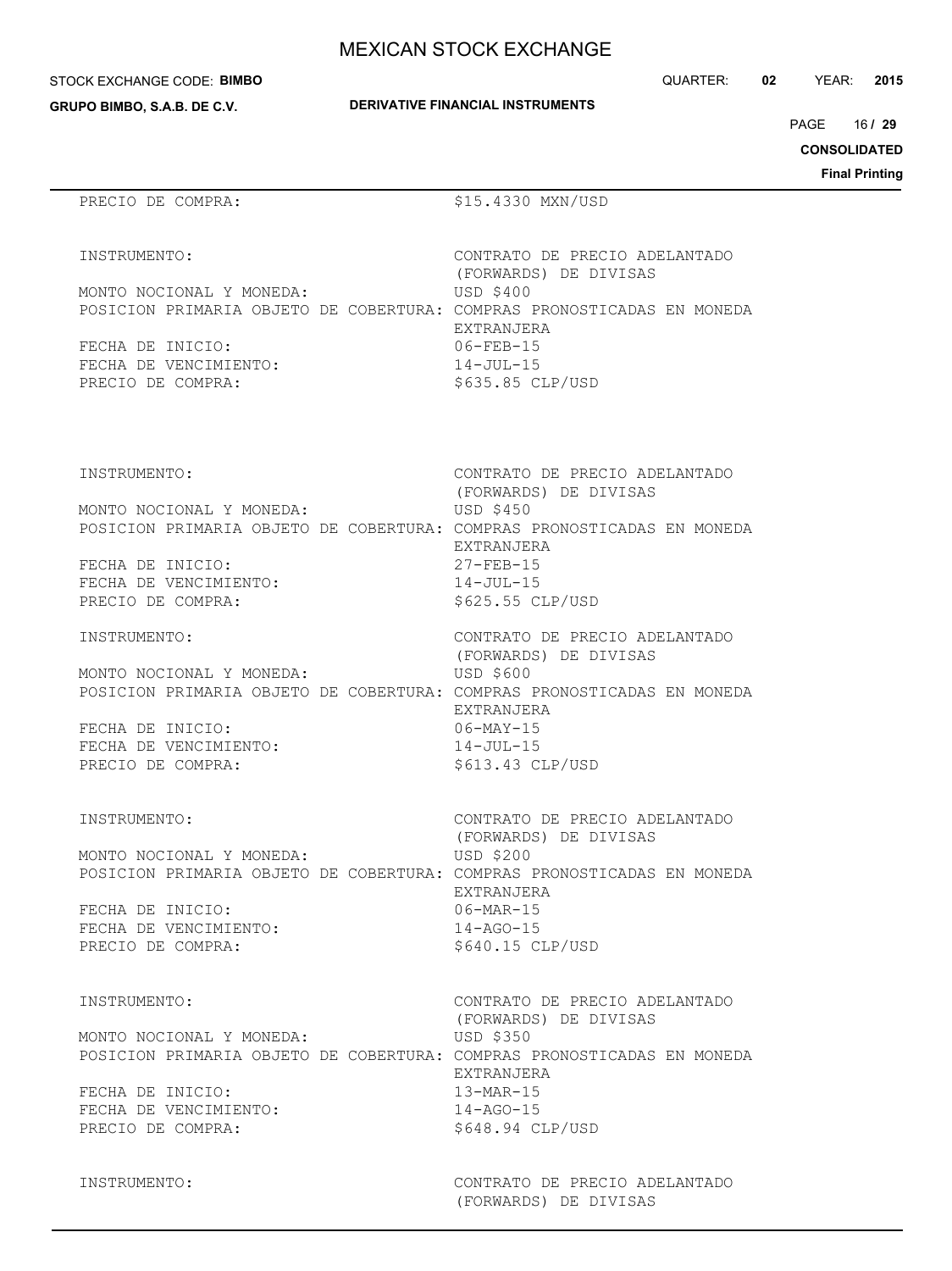| STOCK EXCHANGE CODE: BIMBO                                     | QUARTER:                                                                                                                                      | 02 | YEAR:               | 2015                  |
|----------------------------------------------------------------|-----------------------------------------------------------------------------------------------------------------------------------------------|----|---------------------|-----------------------|
| <b>GRUPO BIMBO, S.A.B. DE C.V.</b>                             | <b>DERIVATIVE FINANCIAL INSTRUMENTS</b>                                                                                                       |    |                     |                       |
|                                                                |                                                                                                                                               |    | PAGE 16/29          |                       |
|                                                                |                                                                                                                                               |    | <b>CONSOLIDATED</b> |                       |
|                                                                |                                                                                                                                               |    |                     | <b>Final Printing</b> |
| PRECIO DE COMPRA:                                              | \$15.4330 MXN/USD                                                                                                                             |    |                     |                       |
| INSTRUMENTO:                                                   | CONTRATO DE PRECIO ADELANTADO<br>(FORWARDS) DE DIVISAS                                                                                        |    |                     |                       |
| MONTO NOCIONAL Y MONEDA:                                       | USD \$400<br>POSICION PRIMARIA OBJETO DE COBERTURA: COMPRAS PRONOSTICADAS EN MONEDA<br>EXTRANJERA                                             |    |                     |                       |
| FECHA DE INICIO:<br>FECHA DE VENCIMIENTO:<br>PRECIO DE COMPRA: | $06 - FEB - 15$<br>$14 - JUL-15$<br>\$635.85 CLP/USD                                                                                          |    |                     |                       |
| INSTRUMENTO:<br>MONTO NOCIONAL Y MONEDA:                       | CONTRATO DE PRECIO ADELANTADO<br>(FORWARDS) DE DIVISAS<br>USD \$450                                                                           |    |                     |                       |
|                                                                | POSICION PRIMARIA OBJETO DE COBERTURA: COMPRAS PRONOSTICADAS EN MONEDA<br>EXTRANJERA                                                          |    |                     |                       |
| FECHA DE INICIO:<br>FECHA DE VENCIMIENTO:<br>PRECIO DE COMPRA: | $27 - FEB - 15$<br>$14 - JUL-15$<br>\$625.55 CLP/USD                                                                                          |    |                     |                       |
| INSTRUMENTO:<br>MONTO NOCIONAL Y MONEDA:                       | CONTRATO DE PRECIO ADELANTADO<br>(FORWARDS) DE DIVISAS<br>USD \$600<br>POSICION PRIMARIA OBJETO DE COBERTURA: COMPRAS PRONOSTICADAS EN MONEDA |    |                     |                       |
| FECHA DE INICIO:<br>FECHA DE VENCIMIENTO:<br>PRECIO DE COMPRA: | EXTRANJERA<br>$06 - MAX - 15$<br>$14 - JUL-15$<br>\$613.43 CLP/USD                                                                            |    |                     |                       |
| INSTRUMENTO:                                                   | CONTRATO DE PRECIO ADELANTADO<br>(FORWARDS) DE DIVISAS                                                                                        |    |                     |                       |
| MONTO NOCIONAL Y MONEDA:                                       | USD \$200<br>POSICION PRIMARIA OBJETO DE COBERTURA: COMPRAS PRONOSTICADAS EN MONEDA<br>EXTRANJERA                                             |    |                     |                       |
| FECHA DE INICIO:<br>FECHA DE VENCIMIENTO:<br>PRECIO DE COMPRA: | 06-MAR-15<br>$14 - AGO - 15$<br>$$640.15$ CLP/USD                                                                                             |    |                     |                       |
| INSTRUMENTO:                                                   | CONTRATO DE PRECIO ADELANTADO<br>(FORWARDS) DE DIVISAS                                                                                        |    |                     |                       |
| MONTO NOCIONAL Y MONEDA:                                       | USD \$350<br>POSICION PRIMARIA OBJETO DE COBERTURA: COMPRAS PRONOSTICADAS EN MONEDA<br>EXTRANJERA                                             |    |                     |                       |
| FECHA DE INICIO:<br>FECHA DE VENCIMIENTO:<br>PRECIO DE COMPRA: | 13-MAR-15<br>14-AGO-15<br>$$648.94$ CLP/USD                                                                                                   |    |                     |                       |
| INSTRUMENTO:                                                   | CONTRATO DE PRECIO ADELANTADO<br>(FORWARDS) DE DIVISAS                                                                                        |    |                     |                       |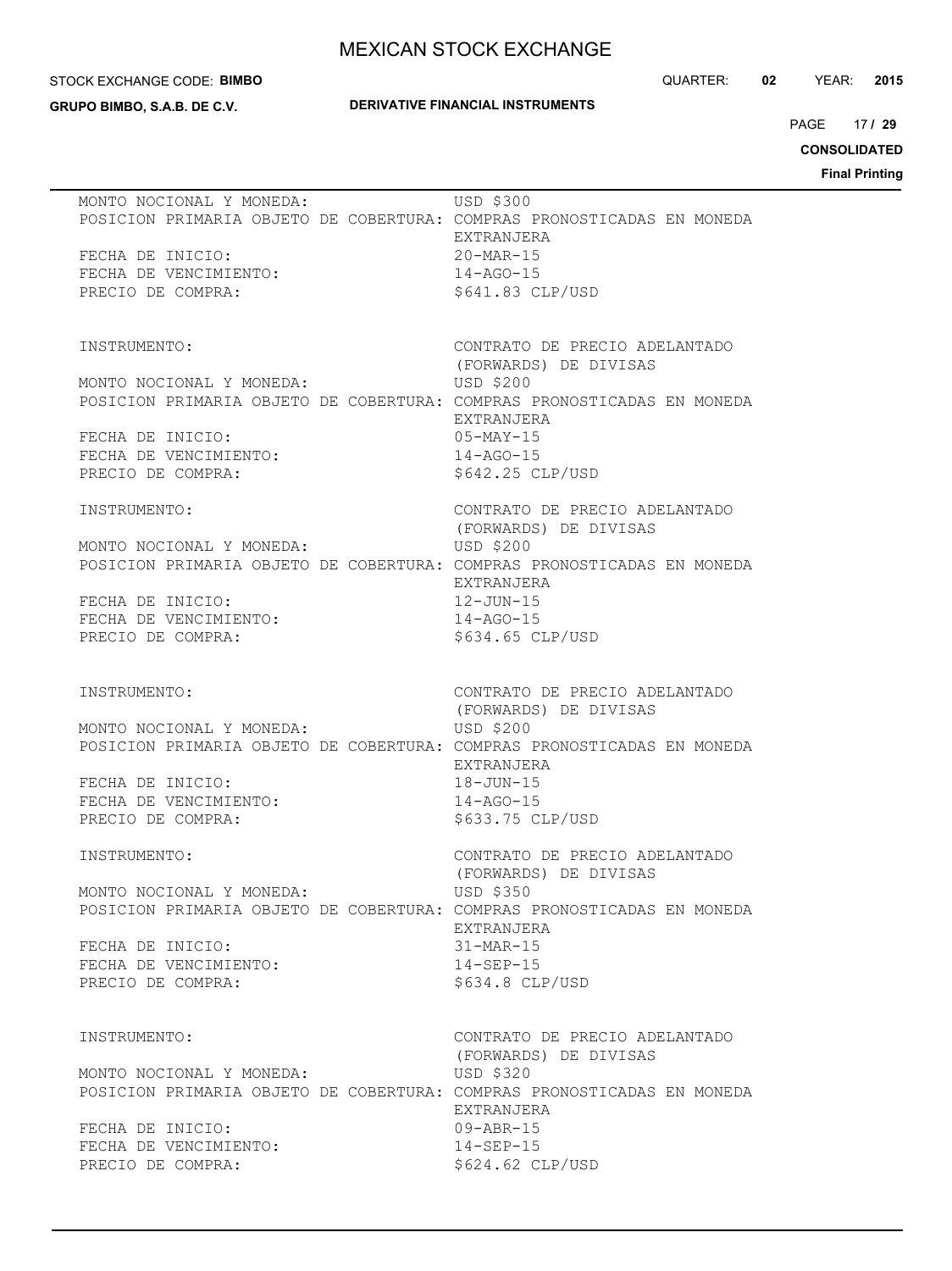#### STOCK EXCHANGE CODE: **BIMBO**

**GRUPO BIMBO, S.A.B. DE C.V.**

### **DERIVATIVE FINANCIAL INSTRUMENTS**

QUARTER: **02** YEAR: **2015**

17 PAGE **/ 29**

**CONSOLIDATED**

| MONTO NOCIONAL Y MONEDA:<br>POSICION PRIMARIA OBJETO DE COBERTURA: COMPRAS PRONOSTICADAS EN MONEDA<br>FECHA DE INICIO:<br>FECHA DE VENCIMIENTO:<br>PRECIO DE COMPRA:                 | USD \$300<br>EXTRANJERA<br>$20 - \text{MAR} - 15$<br>$14 - AGO - 15$<br>\$641.83 CLP/USD                                                    |
|--------------------------------------------------------------------------------------------------------------------------------------------------------------------------------------|---------------------------------------------------------------------------------------------------------------------------------------------|
| INSTRUMENTO:<br>MONTO NOCIONAL Y MONEDA:<br>POSICION PRIMARIA OBJETO DE COBERTURA: COMPRAS PRONOSTICADAS EN MONEDA<br>FECHA DE INICIO:<br>FECHA DE VENCIMIENTO:<br>PRECIO DE COMPRA: | CONTRATO DE PRECIO ADELANTADO<br>(FORWARDS) DE DIVISAS<br>USD \$200<br>EXTRANJERA<br>$05-MAY-15$<br>$14 - AGO - 15$<br>\$642.25 CLP/USD     |
| INSTRUMENTO:<br>MONTO NOCIONAL Y MONEDA:<br>POSICION PRIMARIA OBJETO DE COBERTURA: COMPRAS PRONOSTICADAS EN MONEDA<br>FECHA DE INICIO:<br>FECHA DE VENCIMIENTO:<br>PRECIO DE COMPRA: | CONTRATO DE PRECIO ADELANTADO<br>(FORWARDS) DE DIVISAS<br>USD \$200<br>EXTRANJERA<br>$12 - JUN - 15$<br>$14 - AGO - 15$<br>\$634.65 CLP/USD |
| INSTRUMENTO:<br>MONTO NOCIONAL Y MONEDA:<br>POSICION PRIMARIA OBJETO DE COBERTURA: COMPRAS PRONOSTICADAS EN MONEDA<br>FECHA DE INICIO:<br>FECHA DE VENCIMIENTO:<br>PRECIO DE COMPRA: | CONTRATO DE PRECIO ADELANTADO<br>(FORWARDS) DE DIVISAS<br>USD \$200<br>EXTRANJERA<br>$18 - JUN - 15$<br>$14 - AGO - 15$<br>\$633.75 CLP/USD |
| INSTRUMENTO:<br>MONTO NOCIONAL Y MONEDA:<br>POSICION PRIMARIA OBJETO DE COBERTURA: COMPRAS PRONOSTICADAS EN MONEDA<br>FECHA DE INICIO:<br>FECHA DE VENCIMIENTO:<br>PRECIO DE COMPRA: | CONTRATO DE PRECIO ADELANTADO<br>(FORWARDS) DE DIVISAS<br>USD \$350<br>EXTRANJERA<br>$31-MAR-15$<br>$14 - SEP - 15$<br>\$634.8 CLP/USD      |
| INSTRUMENTO:<br>MONTO NOCIONAL Y MONEDA:<br>POSICION PRIMARIA OBJETO DE COBERTURA: COMPRAS PRONOSTICADAS EN MONEDA<br>FECHA DE INICIO:<br>FECHA DE VENCIMIENTO:<br>PRECIO DE COMPRA: | CONTRATO DE PRECIO ADELANTADO<br>(FORWARDS) DE DIVISAS<br>USD \$320<br>EXTRANJERA<br>$09 - ABR - 15$<br>$14 - SEP - 15$<br>\$624.62 CLP/USD |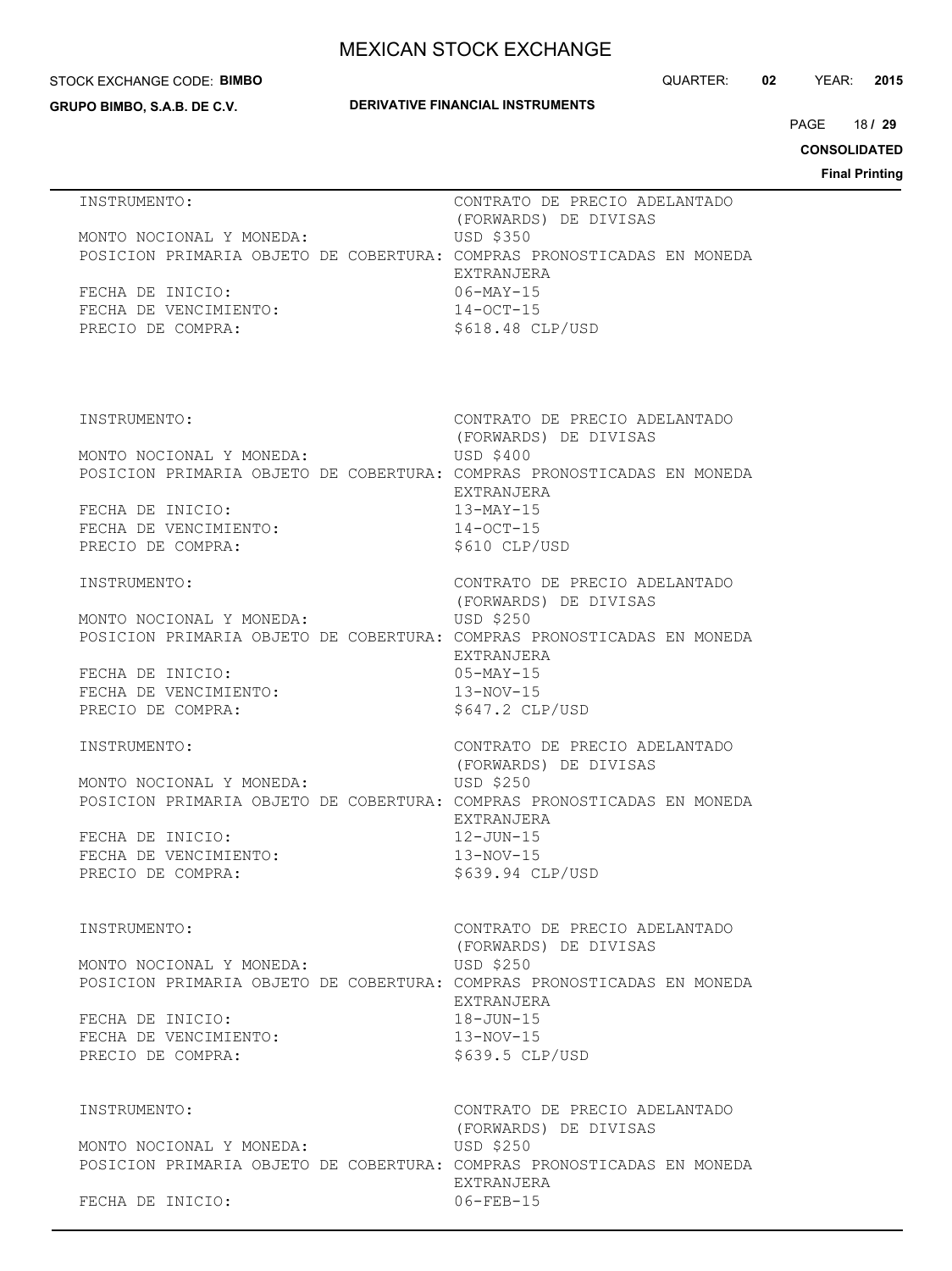#### STOCK EXCHANGE CODE: **BIMBO**

**GRUPO BIMBO, S.A.B. DE C.V.**

#### **DERIVATIVE FINANCIAL INSTRUMENTS**

(FORWARDS) DE DIVISAS

(FORWARDS) DE DIVISAS

(FORWARDS) DE DIVISAS

(FORWARDS) DE DIVISAS

EXTRANJERA

EXTRANJERA

EXTRANJERA

QUARTER: **02** YEAR: **2015**

18 PAGE **/ 29**

**CONSOLIDATED**

**Final Printing**

| INSTRUMENTO:                                                           | CONTRATO DE PRECIO ADELANTADO |
|------------------------------------------------------------------------|-------------------------------|
|                                                                        | (FORWARDS) DE DIVISAS         |
| MONTO NOCIONAL Y MONEDA:                                               | USD \$350                     |
| POSICION PRIMARIA OBJETO DE COBERTURA: COMPRAS PRONOSTICADAS EN MONEDA |                               |
|                                                                        | <b>EXTRANJERA</b>             |
| FECHA DE INICIO:                                                       | $06 - MAX - 15$               |
| FECHA DE VENCIMIENTO:                                                  | $14 - OCT - 15$               |
| PRECIO DE COMPRA:                                                      | $$618.48$ CLP/USD             |
|                                                                        |                               |

INSTRUMENTO: CONTRATO DE PRECIO ADELANTADO

MONTO NOCIONAL Y MONEDA: USD \$400 POSICION PRIMARIA OBJETO DE COBERTURA: COMPRAS PRONOSTICADAS EN MONEDA EXTRANJERA

FECHA DE INICIO: 13-MAY-15 FECHA DE VENCIMIENTO:  $14-OCT-15$ PRECIO DE COMPRA:  $$610$  CLP/USD

### INSTRUMENTO: CONTRATO DE PRECIO ADELANTADO

MONTO NOCIONAL Y MONEDA: USD \$250 POSICION PRIMARIA OBJETO DE COBERTURA: COMPRAS PRONOSTICADAS EN MONEDA

FECHA DE INICIO: 05-MAY-15 FECHA DE VENCIMIENTO: 13-NOV-15 PRECIO DE COMPRA:  $$647.2$  CLP/USD

### INSTRUMENTO: CONTRATO DE PRECIO ADELANTADO

MONTO NOCIONAL Y MONEDA: USD \$250 POSICION PRIMARIA OBJETO DE COBERTURA: COMPRAS PRONOSTICADAS EN MONEDA

FECHA DE INICIO: 12-JUN-15 FECHA DE VENCIMIENTO: 13-NOV-15 PRECIO DE COMPRA:  $$639.94$  CLP/USD

### INSTRUMENTO: CONTRATO DE PRECIO ADELANTADO

MONTO NOCIONAL Y MONEDA: USD \$250 POSICION PRIMARIA OBJETO DE COBERTURA: COMPRAS PRONOSTICADAS EN MONEDA

FECHA DE INICIO: 18-JUN-15 FECHA DE VENCIMIENTO: 13-NOV-15 PRECIO DE COMPRA:  $$639.5$  CLP/USD

MONTO NOCIONAL Y MONEDA: USD \$250 POSICION PRIMARIA OBJETO DE COBERTURA: COMPRAS PRONOSTICADAS EN MONEDA

INSTRUMENTO: CONTRATO DE PRECIO ADELANTADO (FORWARDS) DE DIVISAS EXTRANJERA FECHA DE INICIO: 06-FEB-15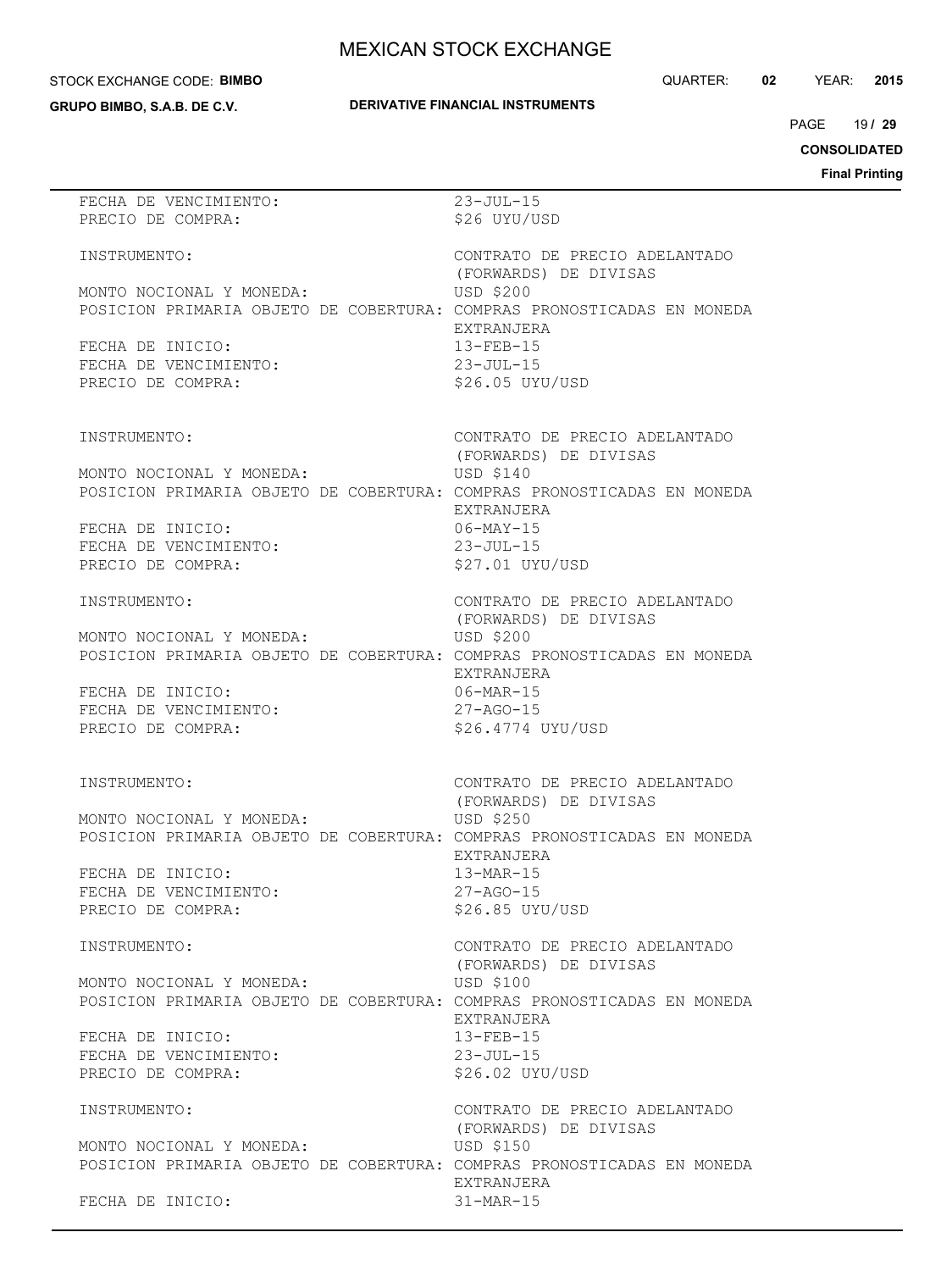#### STOCK EXCHANGE CODE: **BIMBO**

**GRUPO BIMBO, S.A.B. DE C.V.**

| QUARTER: | 02 | YEAR: | 2015 |
|----------|----|-------|------|
|          |    |       |      |

# **DERIVATIVE FINANCIAL INSTRUMENTS**

19 PAGE **/ 29**

**CONSOLIDATED**

| FECHA DE VENCIMIENTO:<br>PRECIO DE COMPRA:                                                         | $23 - JUL - 15$<br>\$26 UYU/USD                                            |
|----------------------------------------------------------------------------------------------------|----------------------------------------------------------------------------|
| INSTRUMENTO:<br>MONTO NOCIONAL Y MONEDA:                                                           | CONTRATO DE PRECIO ADELANTADO<br>(FORWARDS) DE DIVISAS<br><b>USD \$200</b> |
| POSICION PRIMARIA OBJETO DE COBERTURA: COMPRAS PRONOSTICADAS EN MONEDA                             | EXTRANJERA                                                                 |
| FECHA DE INICIO:<br>FECHA DE VENCIMIENTO:                                                          | $13 - FEB - 15$<br>$23 - JUL - 15$                                         |
| PRECIO DE COMPRA:                                                                                  | \$26.05 UYU/USD                                                            |
| INSTRUMENTO:                                                                                       | CONTRATO DE PRECIO ADELANTADO<br>(FORWARDS) DE DIVISAS                     |
| MONTO NOCIONAL Y MONEDA:<br>POSICION PRIMARIA OBJETO DE COBERTURA: COMPRAS PRONOSTICADAS EN MONEDA | USD \$140                                                                  |
| FECHA DE INICIO:                                                                                   | EXTRANJERA<br>$06 - MAX - 15$                                              |
| FECHA DE INICIO:<br>FECHA DE VENCIMIENTO:<br>PRECIO DE COMPRA:<br>PRECIO DE COMPRA:                | $23 - JUL - 15$<br>\$27.01 UYU/USD                                         |
| INSTRUMENTO:                                                                                       | CONTRATO DE PRECIO ADELANTADO                                              |
| MONTO NOCIONAL Y MONEDA:<br>POSICION PRIMARIA OBJETO DE COBERTURA: COMPRAS PRONOSTICADAS EN MONEDA | (FORWARDS) DE DIVISAS<br>USD \$200                                         |
| FECHA DE INICIO:                                                                                   | EXTRANJERA<br>06-MAR-15                                                    |
| FECHA DE VENCIMIENTO:<br>PRECIO DE COMPRA:                                                         | $27 - AGO - 15$<br>\$26.4774 UYU/USD                                       |
|                                                                                                    |                                                                            |
| INSTRUMENTO:                                                                                       | CONTRATO DE PRECIO ADELANTADO<br>(FORWARDS) DE DIVISAS                     |
| MONTO NOCIONAL Y MONEDA:<br>POSICION PRIMARIA OBJETO DE COBERTURA: COMPRAS PRONOSTICADAS EN MONEDA | <b>USD \$250</b>                                                           |
| FECHA DE INICIO:                                                                                   | EXTRANJERA<br>$13-MAR-15$                                                  |
| FECHA DE VENCIMIENTO:<br>PRECIO DE COMPRA:                                                         | $27 - AGO - 15$<br>\$26.85 UYU/USD                                         |
| INSTRUMENTO:                                                                                       | CONTRATO DE PRECIO ADELANTADO<br>(FORWARDS) DE DIVISAS                     |
| MONTO NOCIONAL Y MONEDA:<br>POSICION PRIMARIA OBJETO DE COBERTURA: COMPRAS PRONOSTICADAS EN MONEDA | USD \$100                                                                  |
| FECHA DE INICIO:                                                                                   | EXTRANJERA<br>$13 - FEB - 15$                                              |
| FECHA DE VENCIMIENTO:<br>PRECIO DE COMPRA:                                                         | $23 - JUL - 15$<br>\$26.02 UYU/USD                                         |
| INSTRUMENTO:                                                                                       | CONTRATO DE PRECIO ADELANTADO<br>(FORWARDS) DE DIVISAS                     |
| MONTO NOCIONAL Y MONEDA:<br>POSICION PRIMARIA OBJETO DE COBERTURA: COMPRAS PRONOSTICADAS EN MONEDA | USD \$150                                                                  |
| FECHA DE INICIO:                                                                                   | EXTRANJERA<br>$31-MAR-15$                                                  |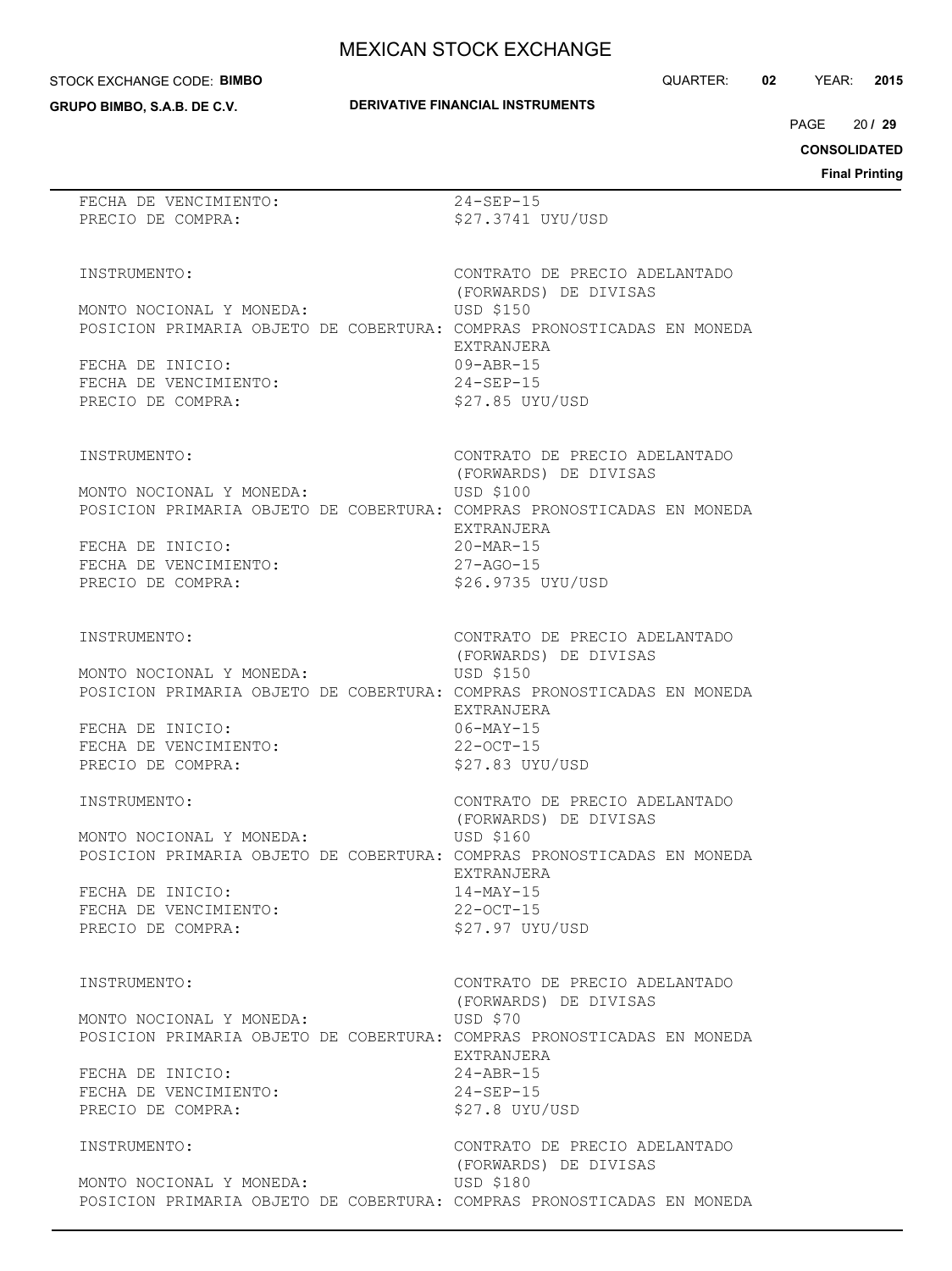#### STOCK EXCHANGE CODE: **BIMBO**

**GRUPO BIMBO, S.A.B. DE C.V.**

# **DERIVATIVE FINANCIAL INSTRUMENTS**

 $20/29$  $PAGE$ 

**CONSOLIDATED**

| FECHA DE VENCIMIENTO:<br>$24 - SEP - 15$<br>\$27.3741 UYU/USD<br>PRECIO DE COMPRA:<br>CONTRATO DE PRECIO ADELANTADO<br>INSTRUMENTO:<br>(FORWARDS) DE DIVISAS<br>USD \$150<br>MONTO NOCIONAL Y MONEDA:<br>POSICION PRIMARIA OBJETO DE COBERTURA: COMPRAS PRONOSTICADAS EN MONEDA<br><b>EXTRANJERA</b><br>FECHA DE INICIO:<br>$09 - ABR - 15$<br>FECHA DE VENCIMIENTO:<br>$24 - SEP - 15$<br>PRECIO DE COMPRA:<br>$$27.85$ UYU/USD<br>CONTRATO DE PRECIO ADELANTADO<br>INSTRUMENTO:<br>(FORWARDS) DE DIVISAS<br>USD \$100<br>MONTO NOCIONAL Y MONEDA:<br>POSICION PRIMARIA OBJETO DE COBERTURA: COMPRAS PRONOSTICADAS EN MONEDA<br>EXTRANJERA<br>FECHA DE INICIO:<br>$20-MAR-15$<br>FECHA DE VENCIMIENTO:<br>$27 - AGO - 15$<br>\$26.9735 UYU/USD<br>PRECIO DE COMPRA:<br>INSTRUMENTO:<br>CONTRATO DE PRECIO ADELANTADO<br>(FORWARDS) DE DIVISAS<br>USD \$150<br>MONTO NOCIONAL Y MONEDA:<br>POSICION PRIMARIA OBJETO DE COBERTURA: COMPRAS PRONOSTICADAS EN MONEDA<br>EXTRANJERA<br>FECHA DE INICIO:<br>$06 - MAX - 15$<br>FECHA DE VENCIMIENTO:<br>22-OCT-15<br>\$27.83 UYU/USD<br>PRECIO DE COMPRA:<br>CONTRATO DE PRECIO ADELANTADO<br>INSTRUMENTO:<br>(FORWARDS) DE DIVISAS<br>MONTO NOCIONAL Y MONEDA:<br>USD \$160<br>POSICION PRIMARIA OBJETO DE COBERTURA: COMPRAS PRONOSTICADAS EN MONEDA<br>EXTRANJERA<br>FECHA DE INICIO:<br>$14 - MAX - 15$<br>FECHA DE VENCIMIENTO:<br>$22 - OCT - 15$<br>\$27.97 UYU/USD<br>PRECIO DE COMPRA:<br>CONTRATO DE PRECIO ADELANTADO<br>INSTRUMENTO:<br>(FORWARDS) DE DIVISAS<br><b>USD \$70</b><br>MONTO NOCIONAL Y MONEDA:<br>POSICION PRIMARIA OBJETO DE COBERTURA: COMPRAS PRONOSTICADAS EN MONEDA<br>EXTRANJERA<br>FECHA DE INICIO:<br>$24 - ABR - 15$<br>FECHA DE VENCIMIENTO:<br>$24 - SEP - 15$<br>PRECIO DE COMPRA:<br>\$27.8 UYU/USD<br>INSTRUMENTO:<br>CONTRATO DE PRECIO ADELANTADO<br>(FORWARDS) DE DIVISAS<br>USD \$180<br>MONTO NOCIONAL Y MONEDA: |  | Fina |
|----------------------------------------------------------------------------------------------------------------------------------------------------------------------------------------------------------------------------------------------------------------------------------------------------------------------------------------------------------------------------------------------------------------------------------------------------------------------------------------------------------------------------------------------------------------------------------------------------------------------------------------------------------------------------------------------------------------------------------------------------------------------------------------------------------------------------------------------------------------------------------------------------------------------------------------------------------------------------------------------------------------------------------------------------------------------------------------------------------------------------------------------------------------------------------------------------------------------------------------------------------------------------------------------------------------------------------------------------------------------------------------------------------------------------------------------------------------------------------------------------------------------------------------------------------------------------------------------------------------------------------------------------------------------------------------------------------------------------------------------------------------------------------------------------------------------------------------------------------------------------------------------------------|--|------|
|                                                                                                                                                                                                                                                                                                                                                                                                                                                                                                                                                                                                                                                                                                                                                                                                                                                                                                                                                                                                                                                                                                                                                                                                                                                                                                                                                                                                                                                                                                                                                                                                                                                                                                                                                                                                                                                                                                          |  |      |
|                                                                                                                                                                                                                                                                                                                                                                                                                                                                                                                                                                                                                                                                                                                                                                                                                                                                                                                                                                                                                                                                                                                                                                                                                                                                                                                                                                                                                                                                                                                                                                                                                                                                                                                                                                                                                                                                                                          |  |      |
|                                                                                                                                                                                                                                                                                                                                                                                                                                                                                                                                                                                                                                                                                                                                                                                                                                                                                                                                                                                                                                                                                                                                                                                                                                                                                                                                                                                                                                                                                                                                                                                                                                                                                                                                                                                                                                                                                                          |  |      |
|                                                                                                                                                                                                                                                                                                                                                                                                                                                                                                                                                                                                                                                                                                                                                                                                                                                                                                                                                                                                                                                                                                                                                                                                                                                                                                                                                                                                                                                                                                                                                                                                                                                                                                                                                                                                                                                                                                          |  |      |
|                                                                                                                                                                                                                                                                                                                                                                                                                                                                                                                                                                                                                                                                                                                                                                                                                                                                                                                                                                                                                                                                                                                                                                                                                                                                                                                                                                                                                                                                                                                                                                                                                                                                                                                                                                                                                                                                                                          |  |      |
|                                                                                                                                                                                                                                                                                                                                                                                                                                                                                                                                                                                                                                                                                                                                                                                                                                                                                                                                                                                                                                                                                                                                                                                                                                                                                                                                                                                                                                                                                                                                                                                                                                                                                                                                                                                                                                                                                                          |  |      |
| POSICION PRIMARIA OBJETO DE COBERTURA: COMPRAS PRONOSTICADAS EN MONEDA                                                                                                                                                                                                                                                                                                                                                                                                                                                                                                                                                                                                                                                                                                                                                                                                                                                                                                                                                                                                                                                                                                                                                                                                                                                                                                                                                                                                                                                                                                                                                                                                                                                                                                                                                                                                                                   |  |      |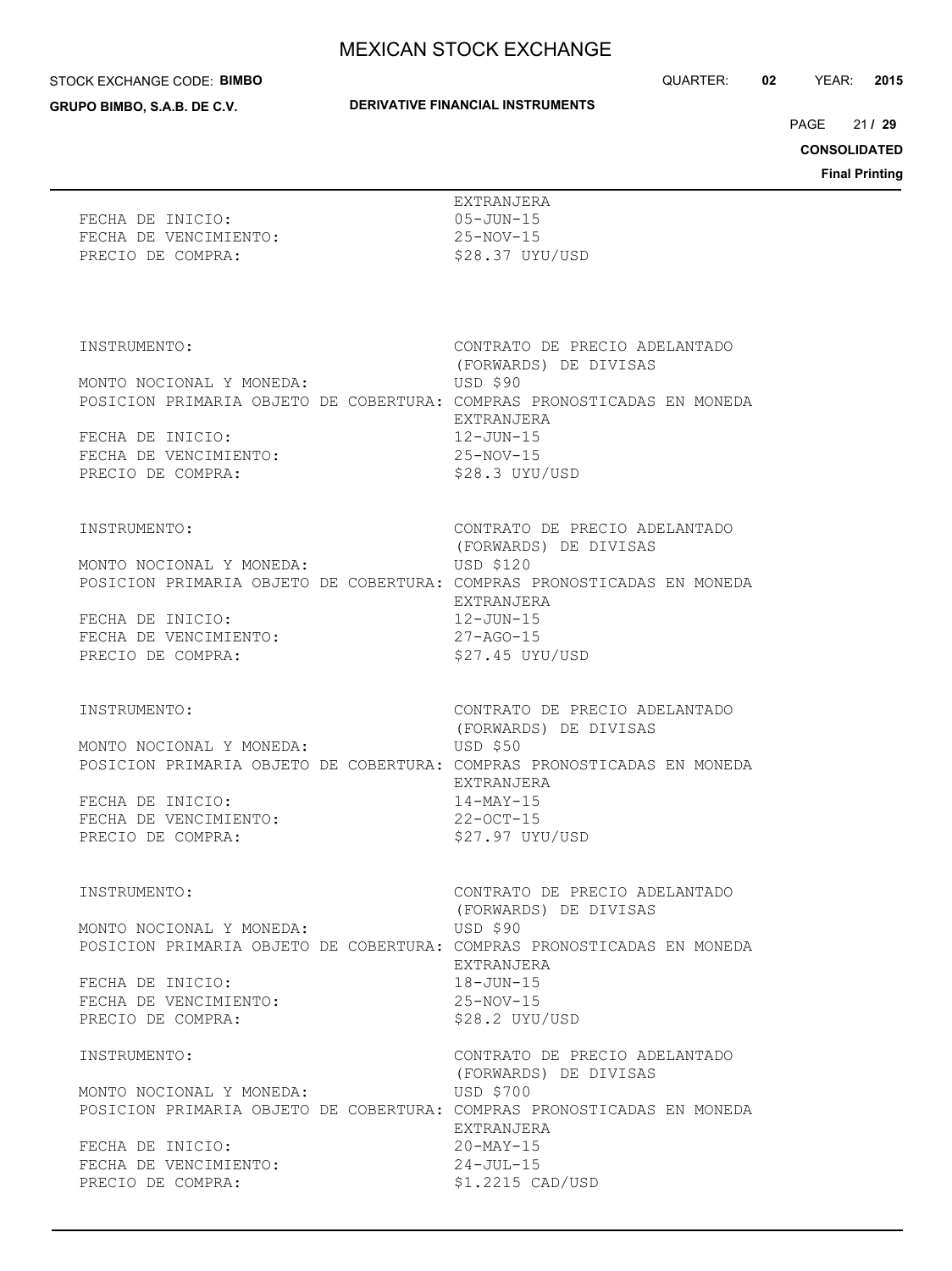#### STOCK EXCHANGE CODE: **BIMBO**

**GRUPO BIMBO, S.A.B. DE C.V.**

### **DERIVATIVE FINANCIAL INSTRUMENTS**

QUARTER: **02** YEAR: **2015**

21 PAGE **/ 29**

**CONSOLIDATED**

**Final Printing**

FECHA DE INICIO: 05-JUN-15 FECHA DE VENCIMIENTO: 25-NOV-15 PRECIO DE COMPRA:  $$28.37$  UYU/USD

EXTRANJERA

INSTRUMENTO: CONTRATO DE PRECIO ADELANTADO

 (FORWARDS) DE DIVISAS MONTO NOCIONAL Y MONEDA: USD \$90 POSICION PRIMARIA OBJETO DE COBERTURA: COMPRAS PRONOSTICADAS EN MONEDA

FECHA DE VENCIMIENTO: 25-NOV-15

MONTO NOCIONAL Y MONEDA: USD \$120

FECHA DE INICIO: 12-JUN-15 FECHA DE VENCIMIENTO: 27-AGO-15

MONTO NOCIONAL Y MONEDA: USD \$50

FECHA DE VENCIMIENTO: 22-OCT-15

MONTO NOCIONAL Y MONEDA: USD \$90

FECHA DE INICIO: 18-JUN-15 FECHA DE VENCIMIENTO: 25-NOV-15 PRECIO DE COMPRA:  $$28.2$  UYU/USD

MONTO NOCIONAL Y MONEDA: USD \$700

 EXTRANJERA FECHA DE INICIO: 12-JUN-15 PRECIO DE COMPRA:  $$28.3$  UYU/USD INSTRUMENTO: CONTRATO DE PRECIO ADELANTADO (FORWARDS) DE DIVISAS POSICION PRIMARIA OBJETO DE COBERTURA: COMPRAS PRONOSTICADAS EN MONEDA EXTRANJERA PRECIO DE COMPRA:  $$27.45$  UYU/USD

INSTRUMENTO: CONTRATO DE PRECIO ADELANTADO (FORWARDS) DE DIVISAS POSICION PRIMARIA OBJETO DE COBERTURA: COMPRAS PRONOSTICADAS EN MONEDA EXTRANJERA FECHA DE INICIO: 14-MAY-15 PRECIO DE COMPRA:  $$27.97$  UYU/USD

INSTRUMENTO: CONTRATO DE PRECIO ADELANTADO (FORWARDS) DE DIVISAS POSICION PRIMARIA OBJETO DE COBERTURA: COMPRAS PRONOSTICADAS EN MONEDA EXTRANJERA

INSTRUMENTO: CONTRATO DE PRECIO ADELANTADO (FORWARDS) DE DIVISAS POSICION PRIMARIA OBJETO DE COBERTURA: COMPRAS PRONOSTICADAS EN MONEDA EXTRANJERA FECHA DE INICIO: 20-MAY-15 FECHA DE VENCIMIENTO: 24-JUL-15 PRECIO DE COMPRA:  $$1.2215$  CAD/USD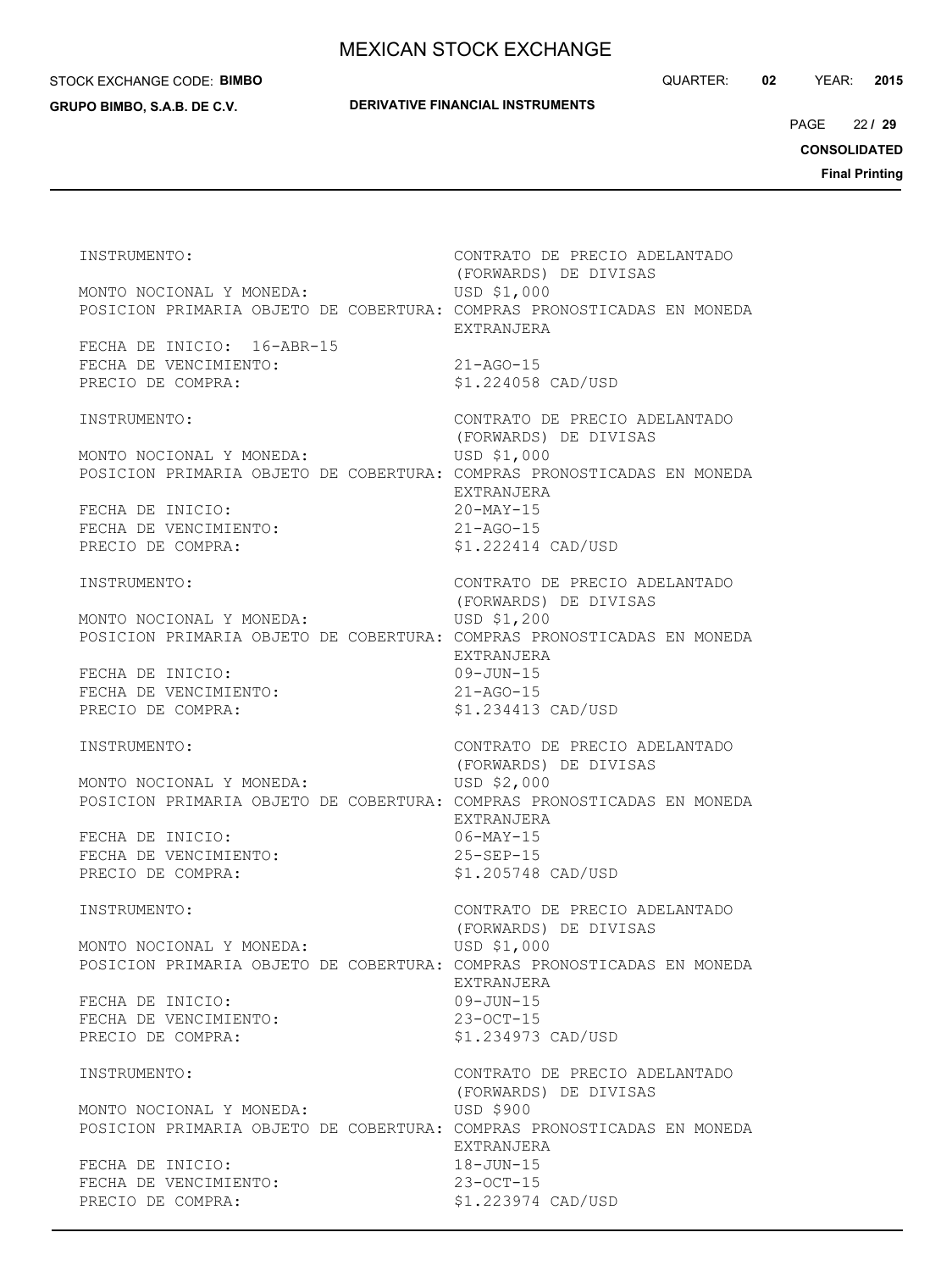#### STOCK EXCHANGE CODE: **BIMBO**

**GRUPO BIMBO, S.A.B. DE C.V.**

## **DERIVATIVE FINANCIAL INSTRUMENTS**

QUARTER: **02** YEAR: **2015**

 $22/29$  $PAGE$ 

**CONSOLIDATED**

| INSTRUMENTO:                                                                                       | CONTRATO DE PRECIO ADELANTADO<br>(FORWARDS) DE DIVISAS                 |
|----------------------------------------------------------------------------------------------------|------------------------------------------------------------------------|
| MONTO NOCIONAL Y MONEDA:<br>POSICION PRIMARIA OBJETO DE COBERTURA: COMPRAS PRONOSTICADAS EN MONEDA | USD \$1,000<br>EXTRANJERA                                              |
| FECHA DE INICIO: 16-ABR-15<br>FECHA DE VENCIMIENTO:<br>PRECIO DE COMPRA:                           | $21 - AGO - 15$<br>\$1.224058 CAD/USD                                  |
| INSTRUMENTO:                                                                                       | CONTRATO DE PRECIO ADELANTADO<br>(FORWARDS) DE DIVISAS                 |
| MONTO NOCIONAL Y MONEDA:<br>POSICION PRIMARIA OBJETO DE COBERTURA: COMPRAS PRONOSTICADAS EN MONEDA | USD \$1,000<br>EXTRANJERA                                              |
| FECHA DE INICIO:<br>FECHA DE VENCIMIENTO:<br>PRECIO DE COMPRA:                                     | $20 - \text{MAX} - 15$<br>$21 - AGO - 15$<br>\$1.222414 CAD/USD        |
| INSTRUMENTO:                                                                                       | CONTRATO DE PRECIO ADELANTADO<br>(FORWARDS) DE DIVISAS                 |
| MONTO NOCIONAL Y MONEDA:<br>POSICION PRIMARIA OBJETO DE COBERTURA: COMPRAS PRONOSTICADAS EN MONEDA | USD \$1,200<br>EXTRANJERA                                              |
| FECHA DE INICIO:<br>FECHA DE VENCIMIENTO:<br>PRECIO DE COMPRA:                                     | $09 - JUN - 15$<br>$21 - AGO - 15$<br>\$1.234413 CAD/USD               |
|                                                                                                    |                                                                        |
| INSTRUMENTO:                                                                                       | CONTRATO DE PRECIO ADELANTADO                                          |
| MONTO NOCIONAL Y MONEDA:<br>POSICION PRIMARIA OBJETO DE COBERTURA: COMPRAS PRONOSTICADAS EN MONEDA | (FORWARDS) DE DIVISAS<br>USD \$2,000                                   |
| FECHA DE INICIO:<br>FECHA DE VENCIMIENTO:<br>PRECIO DE COMPRA:                                     | EXTRANJERA<br>$06 - MAX - 15$<br>$25 - SEP - 15$<br>\$1.205748 CAD/USD |
| INSTRUMENTO:                                                                                       | CONTRATO DE PRECIO ADELANTADO                                          |
| MONTO NOCIONAL Y MONEDA:<br>POSICION PRIMARIA OBJETO DE COBERTURA: COMPRAS PRONOSTICADAS EN MONEDA | (FORWARDS) DE DIVISAS<br>USD \$1,000                                   |
| FECHA DE INICIO:<br>FECHA DE VENCIMIENTO:<br>PRECIO DE COMPRA:                                     | EXTRANJERA<br>$09 - JUN - 15$<br>$23 - OCT - 15$<br>\$1.234973 CAD/USD |
| INSTRUMENTO:                                                                                       | CONTRATO DE PRECIO ADELANTADO<br>(FORWARDS) DE DIVISAS                 |
| MONTO NOCIONAL Y MONEDA:<br>POSICION PRIMARIA OBJETO DE COBERTURA: COMPRAS PRONOSTICADAS EN MONEDA | <b>USD \$900</b><br>EXTRANJERA                                         |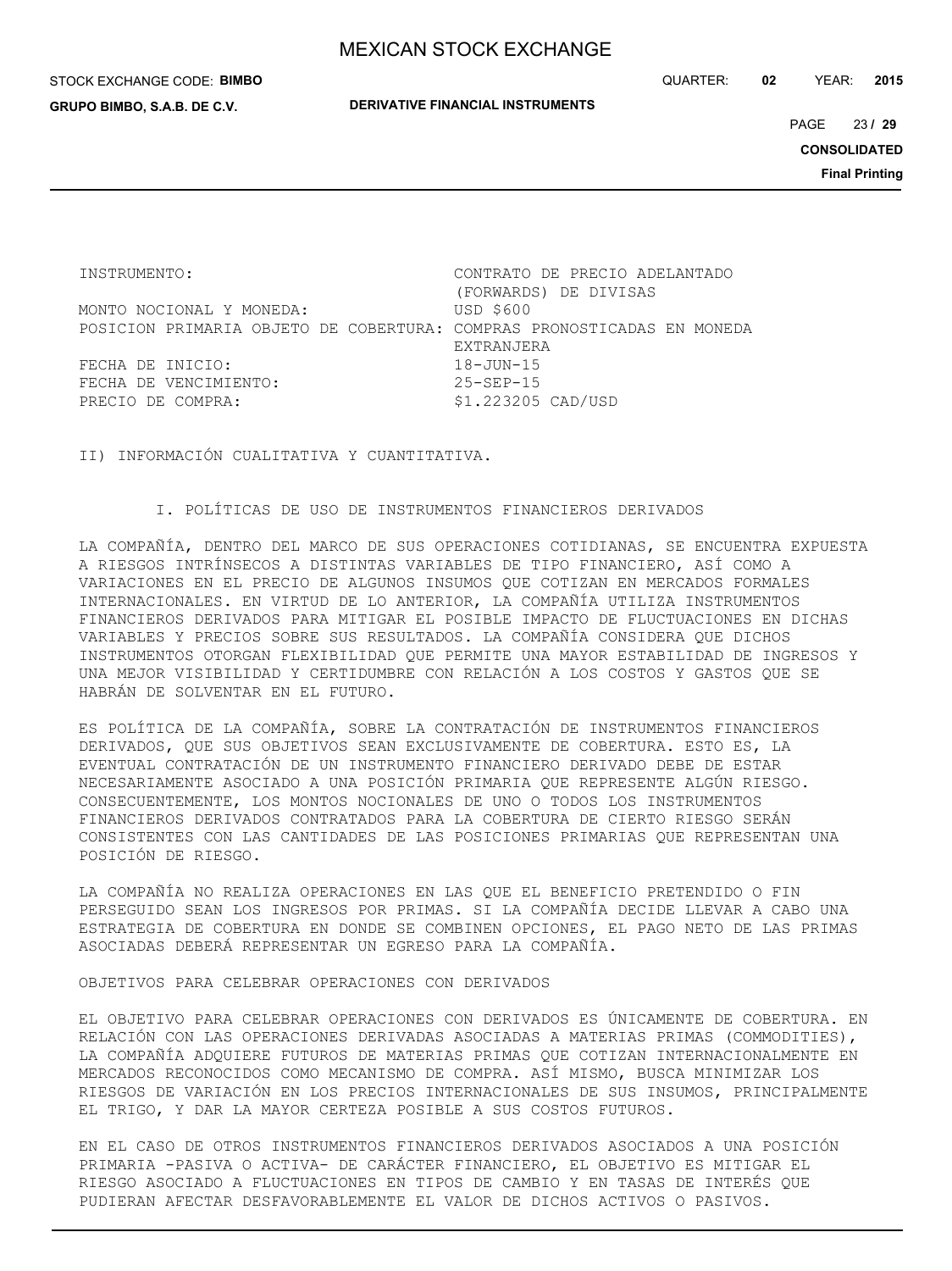STOCK EXCHANGE CODE: **BIMBO**

**GRUPO BIMBO, S.A.B. DE C.V.**

**DERIVATIVE FINANCIAL INSTRUMENTS**

QUARTER: **02** YEAR: **2015**

23 PAGE **/ 29**

**CONSOLIDATED**

**Final Printing**

MONTO NOCIONAL Y MONEDA: USD \$600 POSICION PRIMARIA OBJETO DE COBERTURA: COMPRAS PRONOSTICADAS EN MONEDA

FECHA DE INICIO: 18-JUN-15 FECHA DE VENCIMIENTO: 25-SEP-15

INSTRUMENTO: CONTRATO DE PRECIO ADELANTADO (FORWARDS) DE DIVISAS EXTRANJERA PRECIO DE COMPRA:  $$1.223205$  CAD/USD

II) INFORMACIÓN CUALITATIVA Y CUANTITATIVA.

I. POLÍTICAS DE USO DE INSTRUMENTOS FINANCIEROS DERIVADOS

LA COMPAÑÍA, DENTRO DEL MARCO DE SUS OPERACIONES COTIDIANAS, SE ENCUENTRA EXPUESTA A RIESGOS INTRÍNSECOS A DISTINTAS VARIABLES DE TIPO FINANCIERO, ASÍ COMO A VARIACIONES EN EL PRECIO DE ALGUNOS INSUMOS QUE COTIZAN EN MERCADOS FORMALES INTERNACIONALES. EN VIRTUD DE LO ANTERIOR, LA COMPAÑÍA UTILIZA INSTRUMENTOS FINANCIEROS DERIVADOS PARA MITIGAR EL POSIBLE IMPACTO DE FLUCTUACIONES EN DICHAS VARIABLES Y PRECIOS SOBRE SUS RESULTADOS. LA COMPAÑÍA CONSIDERA QUE DICHOS INSTRUMENTOS OTORGAN FLEXIBILIDAD QUE PERMITE UNA MAYOR ESTABILIDAD DE INGRESOS Y UNA MEJOR VISIBILIDAD Y CERTIDUMBRE CON RELACIÓN A LOS COSTOS Y GASTOS QUE SE HABRÁN DE SOLVENTAR EN EL FUTURO.

ES POLÍTICA DE LA COMPAÑÍA, SOBRE LA CONTRATACIÓN DE INSTRUMENTOS FINANCIEROS DERIVADOS, QUE SUS OBJETIVOS SEAN EXCLUSIVAMENTE DE COBERTURA. ESTO ES, LA EVENTUAL CONTRATACIÓN DE UN INSTRUMENTO FINANCIERO DERIVADO DEBE DE ESTAR NECESARIAMENTE ASOCIADO A UNA POSICIÓN PRIMARIA QUE REPRESENTE ALGÚN RIESGO. CONSECUENTEMENTE, LOS MONTOS NOCIONALES DE UNO O TODOS LOS INSTRUMENTOS FINANCIEROS DERIVADOS CONTRATADOS PARA LA COBERTURA DE CIERTO RIESGO SERÁN CONSISTENTES CON LAS CANTIDADES DE LAS POSICIONES PRIMARIAS QUE REPRESENTAN UNA POSICIÓN DE RIESGO.

LA COMPAÑÍA NO REALIZA OPERACIONES EN LAS QUE EL BENEFICIO PRETENDIDO O FIN PERSEGUIDO SEAN LOS INGRESOS POR PRIMAS. SI LA COMPAÑÍA DECIDE LLEVAR A CABO UNA ESTRATEGIA DE COBERTURA EN DONDE SE COMBINEN OPCIONES, EL PAGO NETO DE LAS PRIMAS ASOCIADAS DEBERÁ REPRESENTAR UN EGRESO PARA LA COMPAÑÍA.

OBJETIVOS PARA CELEBRAR OPERACIONES CON DERIVADOS

EL OBJETIVO PARA CELEBRAR OPERACIONES CON DERIVADOS ES ÚNICAMENTE DE COBERTURA. EN RELACIÓN CON LAS OPERACIONES DERIVADAS ASOCIADAS A MATERIAS PRIMAS (COMMODITIES), LA COMPAÑÍA ADQUIERE FUTUROS DE MATERIAS PRIMAS QUE COTIZAN INTERNACIONALMENTE EN MERCADOS RECONOCIDOS COMO MECANISMO DE COMPRA. ASÍ MISMO, BUSCA MINIMIZAR LOS RIESGOS DE VARIACIÓN EN LOS PRECIOS INTERNACIONALES DE SUS INSUMOS, PRINCIPALMENTE EL TRIGO, Y DAR LA MAYOR CERTEZA POSIBLE A SUS COSTOS FUTUROS.

EN EL CASO DE OTROS INSTRUMENTOS FINANCIEROS DERIVADOS ASOCIADOS A UNA POSICIÓN PRIMARIA -PASIVA O ACTIVA- DE CARÁCTER FINANCIERO, EL OBJETIVO ES MITIGAR EL RIESGO ASOCIADO A FLUCTUACIONES EN TIPOS DE CAMBIO Y EN TASAS DE INTERÉS QUE PUDIERAN AFECTAR DESFAVORABLEMENTE EL VALOR DE DICHOS ACTIVOS O PASIVOS.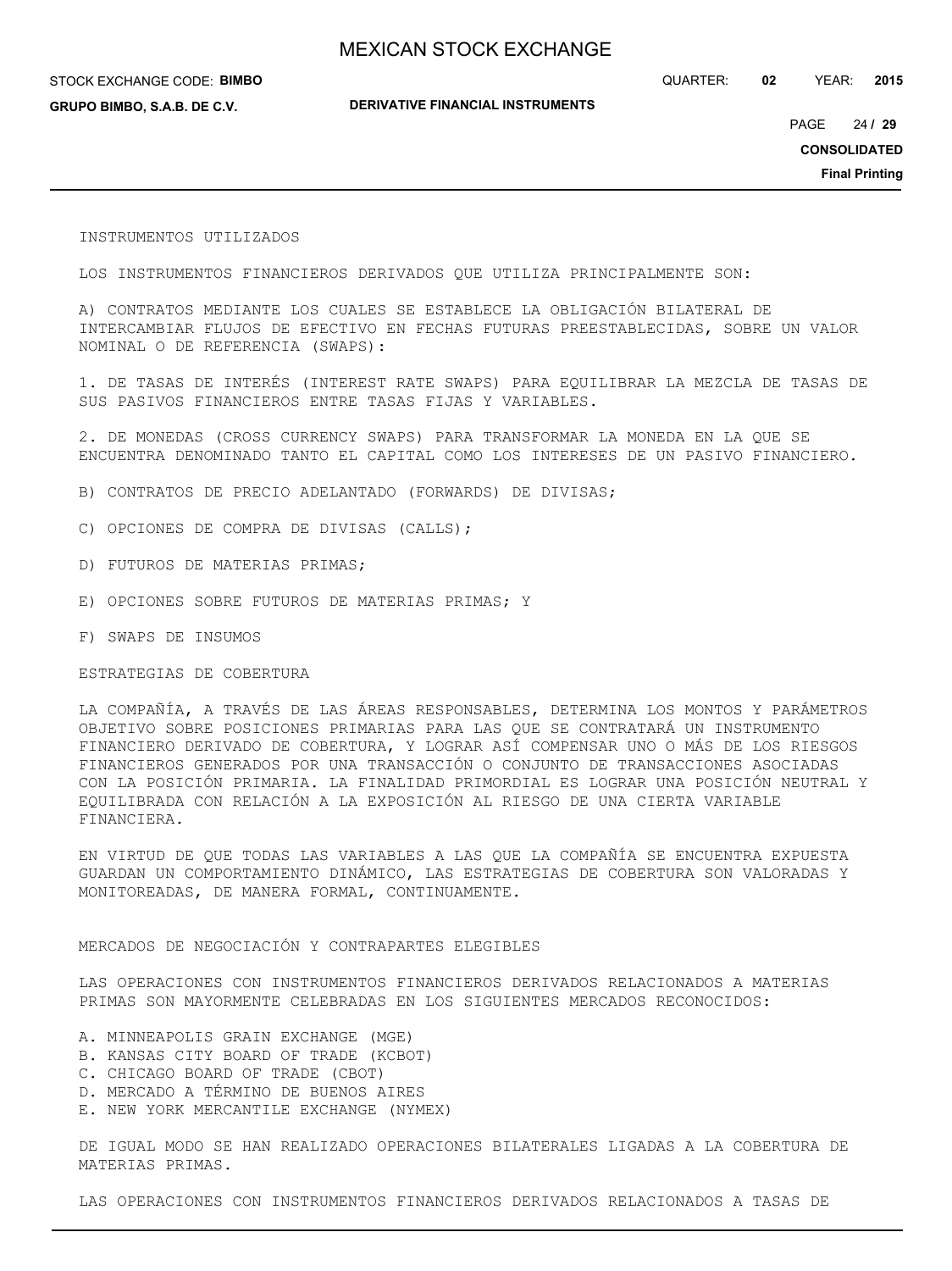QUARTER: **02** YEAR: **2015**

**GRUPO BIMBO, S.A.B. DE C.V.**

STOCK EXCHANGE CODE: **BIMBO**

**DERIVATIVE FINANCIAL INSTRUMENTS**

24 PAGE **/ 29**

**CONSOLIDATED**

**Final Printing**

INSTRUMENTOS UTILIZADOS

LOS INSTRUMENTOS FINANCIEROS DERIVADOS QUE UTILIZA PRINCIPALMENTE SON:

A) CONTRATOS MEDIANTE LOS CUALES SE ESTABLECE LA OBLIGACIÓN BILATERAL DE INTERCAMBIAR FLUJOS DE EFECTIVO EN FECHAS FUTURAS PREESTABLECIDAS, SOBRE UN VALOR NOMINAL O DE REFERENCIA (SWAPS):

1. DE TASAS DE INTERÉS (INTEREST RATE SWAPS) PARA EQUILIBRAR LA MEZCLA DE TASAS DE SUS PASIVOS FINANCIEROS ENTRE TASAS FIJAS Y VARIABLES.

2. DE MONEDAS (CROSS CURRENCY SWAPS) PARA TRANSFORMAR LA MONEDA EN LA QUE SE ENCUENTRA DENOMINADO TANTO EL CAPITAL COMO LOS INTERESES DE UN PASIVO FINANCIERO.

- B) CONTRATOS DE PRECIO ADELANTADO (FORWARDS) DE DIVISAS;
- C) OPCIONES DE COMPRA DE DIVISAS (CALLS);
- D) FUTUROS DE MATERIAS PRIMAS;
- E) OPCIONES SOBRE FUTUROS DE MATERIAS PRIMAS; Y
- F) SWAPS DE INSUMOS

ESTRATEGIAS DE COBERTURA

LA COMPAÑÍA, A TRAVÉS DE LAS ÁREAS RESPONSABLES, DETERMINA LOS MONTOS Y PARÁMETROS OBJETIVO SOBRE POSICIONES PRIMARIAS PARA LAS QUE SE CONTRATARÁ UN INSTRUMENTO FINANCIERO DERIVADO DE COBERTURA, Y LOGRAR ASÍ COMPENSAR UNO O MÁS DE LOS RIESGOS FINANCIEROS GENERADOS POR UNA TRANSACCIÓN O CONJUNTO DE TRANSACCIONES ASOCIADAS CON LA POSICIÓN PRIMARIA. LA FINALIDAD PRIMORDIAL ES LOGRAR UNA POSICIÓN NEUTRAL Y EQUILIBRADA CON RELACIÓN A LA EXPOSICIÓN AL RIESGO DE UNA CIERTA VARIABLE FINANCIERA.

EN VIRTUD DE QUE TODAS LAS VARIABLES A LAS QUE LA COMPAÑÍA SE ENCUENTRA EXPUESTA GUARDAN UN COMPORTAMIENTO DINÁMICO, LAS ESTRATEGIAS DE COBERTURA SON VALORADAS Y MONITOREADAS, DE MANERA FORMAL, CONTINUAMENTE.

### MERCADOS DE NEGOCIACIÓN Y CONTRAPARTES ELEGIBLES

LAS OPERACIONES CON INSTRUMENTOS FINANCIEROS DERIVADOS RELACIONADOS A MATERIAS PRIMAS SON MAYORMENTE CELEBRADAS EN LOS SIGUIENTES MERCADOS RECONOCIDOS:

- A. MINNEAPOLIS GRAIN EXCHANGE (MGE)
- B. KANSAS CITY BOARD OF TRADE (KCBOT)
- C. CHICAGO BOARD OF TRADE (CBOT)
- D. MERCADO A TÉRMINO DE BUENOS AIRES
- E. NEW YORK MERCANTILE EXCHANGE (NYMEX)

DE IGUAL MODO SE HAN REALIZADO OPERACIONES BILATERALES LIGADAS A LA COBERTURA DE MATERIAS PRIMAS.

LAS OPERACIONES CON INSTRUMENTOS FINANCIEROS DERIVADOS RELACIONADOS A TASAS DE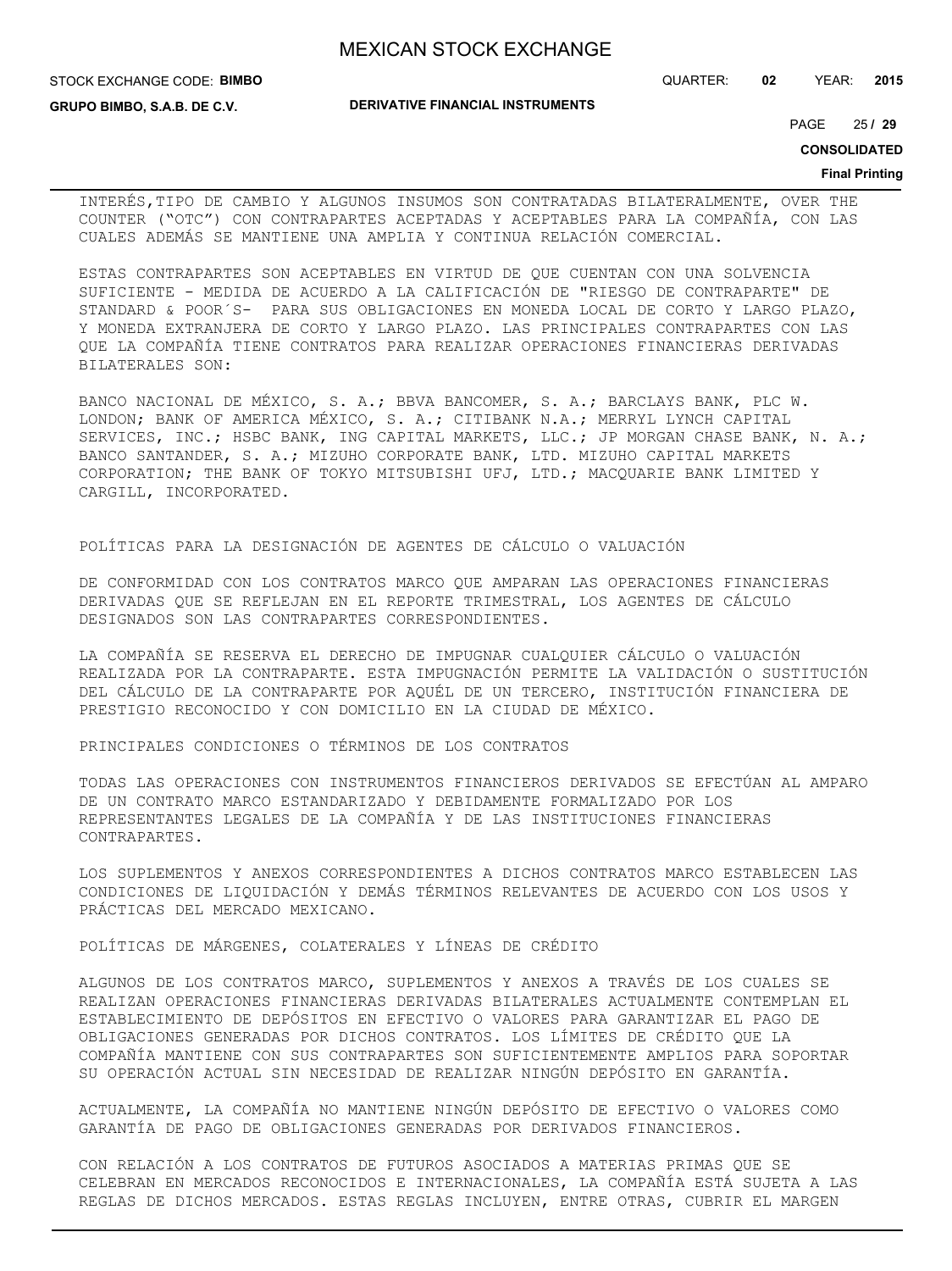STOCK EXCHANGE CODE: **BIMBO**

**GRUPO BIMBO, S.A.B. DE C.V.**

**DERIVATIVE FINANCIAL INSTRUMENTS**

QUARTER: **02** YEAR: **2015**

25 PAGE **/ 29**

**CONSOLIDATED**

#### **Final Printing**

INTERÉS,TIPO DE CAMBIO Y ALGUNOS INSUMOS SON CONTRATADAS BILATERALMENTE, OVER THE COUNTER ("OTC") CON CONTRAPARTES ACEPTADAS Y ACEPTABLES PARA LA COMPAÑÍA, CON LAS CUALES ADEMÁS SE MANTIENE UNA AMPLIA Y CONTINUA RELACIÓN COMERCIAL.

ESTAS CONTRAPARTES SON ACEPTABLES EN VIRTUD DE QUE CUENTAN CON UNA SOLVENCIA SUFICIENTE - MEDIDA DE ACUERDO A LA CALIFICACIÓN DE "RIESGO DE CONTRAPARTE" DE STANDARD & POOR´S- PARA SUS OBLIGACIONES EN MONEDA LOCAL DE CORTO Y LARGO PLAZO, Y MONEDA EXTRANJERA DE CORTO Y LARGO PLAZO. LAS PRINCIPALES CONTRAPARTES CON LAS QUE LA COMPAÑÍA TIENE CONTRATOS PARA REALIZAR OPERACIONES FINANCIERAS DERIVADAS BILATERALES SON:

BANCO NACIONAL DE MÉXICO, S. A.; BBVA BANCOMER, S. A.; BARCLAYS BANK, PLC W. LONDON; BANK OF AMERICA MÉXICO, S. A.; CITIBANK N.A.; MERRYL LYNCH CAPITAL SERVICES, INC.; HSBC BANK, ING CAPITAL MARKETS, LLC.; JP MORGAN CHASE BANK, N. A.; BANCO SANTANDER, S. A.; MIZUHO CORPORATE BANK, LTD. MIZUHO CAPITAL MARKETS CORPORATION; THE BANK OF TOKYO MITSUBISHI UFJ, LTD.; MACQUARIE BANK LIMITED Y CARGILL, INCORPORATED.

POLÍTICAS PARA LA DESIGNACIÓN DE AGENTES DE CÁLCULO O VALUACIÓN

DE CONFORMIDAD CON LOS CONTRATOS MARCO QUE AMPARAN LAS OPERACIONES FINANCIERAS DERIVADAS QUE SE REFLEJAN EN EL REPORTE TRIMESTRAL, LOS AGENTES DE CÁLCULO DESIGNADOS SON LAS CONTRAPARTES CORRESPONDIENTES.

LA COMPAÑÍA SE RESERVA EL DERECHO DE IMPUGNAR CUALQUIER CÁLCULO O VALUACIÓN REALIZADA POR LA CONTRAPARTE. ESTA IMPUGNACIÓN PERMITE LA VALIDACIÓN O SUSTITUCIÓN DEL CÁLCULO DE LA CONTRAPARTE POR AQUÉL DE UN TERCERO, INSTITUCIÓN FINANCIERA DE PRESTIGIO RECONOCIDO Y CON DOMICILIO EN LA CIUDAD DE MÉXICO.

PRINCIPALES CONDICIONES O TÉRMINOS DE LOS CONTRATOS

TODAS LAS OPERACIONES CON INSTRUMENTOS FINANCIEROS DERIVADOS SE EFECTÚAN AL AMPARO DE UN CONTRATO MARCO ESTANDARIZADO Y DEBIDAMENTE FORMALIZADO POR LOS REPRESENTANTES LEGALES DE LA COMPAÑÍA Y DE LAS INSTITUCIONES FINANCIERAS CONTRAPARTES.

LOS SUPLEMENTOS Y ANEXOS CORRESPONDIENTES A DICHOS CONTRATOS MARCO ESTABLECEN LAS CONDICIONES DE LIQUIDACIÓN Y DEMÁS TÉRMINOS RELEVANTES DE ACUERDO CON LOS USOS Y PRÁCTICAS DEL MERCADO MEXICANO.

POLÍTICAS DE MÁRGENES, COLATERALES Y LÍNEAS DE CRÉDITO

ALGUNOS DE LOS CONTRATOS MARCO, SUPLEMENTOS Y ANEXOS A TRAVÉS DE LOS CUALES SE REALIZAN OPERACIONES FINANCIERAS DERIVADAS BILATERALES ACTUALMENTE CONTEMPLAN EL ESTABLECIMIENTO DE DEPÓSITOS EN EFECTIVO O VALORES PARA GARANTIZAR EL PAGO DE OBLIGACIONES GENERADAS POR DICHOS CONTRATOS. LOS LÍMITES DE CRÉDITO QUE LA COMPAÑÍA MANTIENE CON SUS CONTRAPARTES SON SUFICIENTEMENTE AMPLIOS PARA SOPORTAR SU OPERACIÓN ACTUAL SIN NECESIDAD DE REALIZAR NINGÚN DEPÓSITO EN GARANTÍA.

ACTUALMENTE, LA COMPAÑÍA NO MANTIENE NINGÚN DEPÓSITO DE EFECTIVO O VALORES COMO GARANTÍA DE PAGO DE OBLIGACIONES GENERADAS POR DERIVADOS FINANCIEROS.

CON RELACIÓN A LOS CONTRATOS DE FUTUROS ASOCIADOS A MATERIAS PRIMAS QUE SE CELEBRAN EN MERCADOS RECONOCIDOS E INTERNACIONALES, LA COMPAÑÍA ESTÁ SUJETA A LAS REGLAS DE DICHOS MERCADOS. ESTAS REGLAS INCLUYEN, ENTRE OTRAS, CUBRIR EL MARGEN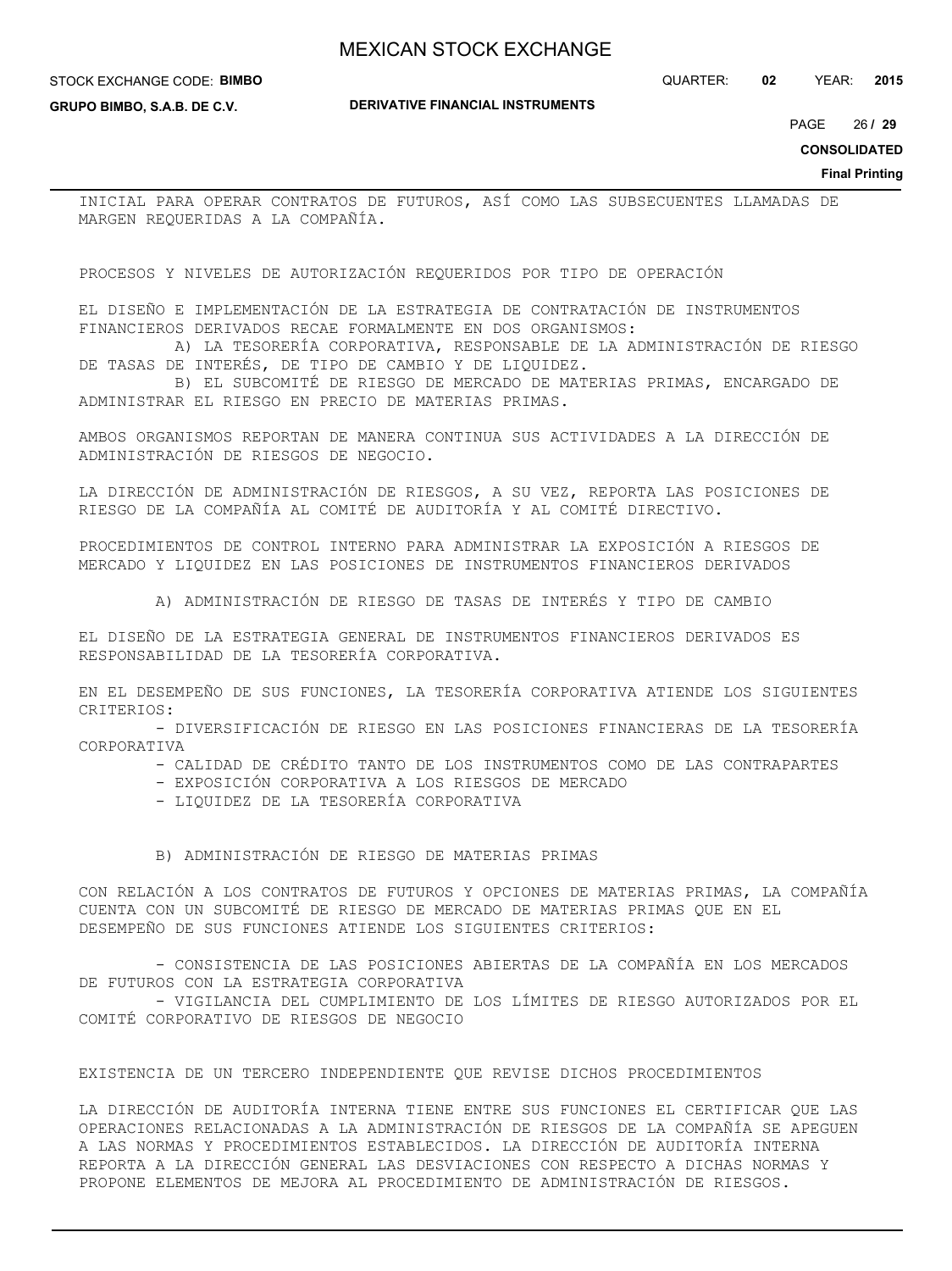STOCK EXCHANGE CODE: **BIMBO**

**GRUPO BIMBO, S.A.B. DE C.V.**

### **DERIVATIVE FINANCIAL INSTRUMENTS**

QUARTER: **02** YEAR: **2015**

 $26/29$ PAGE **/ 29**

**CONSOLIDATED**

**Final Printing**

INICIAL PARA OPERAR CONTRATOS DE FUTUROS, ASÍ COMO LAS SUBSECUENTES LLAMADAS DE MARGEN REQUERIDAS A LA COMPAÑÍA.

PROCESOS Y NIVELES DE AUTORIZACIÓN REQUERIDOS POR TIPO DE OPERACIÓN

EL DISEÑO E IMPLEMENTACIÓN DE LA ESTRATEGIA DE CONTRATACIÓN DE INSTRUMENTOS FINANCIEROS DERIVADOS RECAE FORMALMENTE EN DOS ORGANISMOS:

 A) LA TESORERÍA CORPORATIVA, RESPONSABLE DE LA ADMINISTRACIÓN DE RIESGO DE TASAS DE INTERÉS, DE TIPO DE CAMBIO Y DE LIQUIDEZ.

 B) EL SUBCOMITÉ DE RIESGO DE MERCADO DE MATERIAS PRIMAS, ENCARGADO DE ADMINISTRAR EL RIESGO EN PRECIO DE MATERIAS PRIMAS.

AMBOS ORGANISMOS REPORTAN DE MANERA CONTINUA SUS ACTIVIDADES A LA DIRECCIÓN DE ADMINISTRACIÓN DE RIESGOS DE NEGOCIO.

LA DIRECCIÓN DE ADMINISTRACIÓN DE RIESGOS, A SU VEZ, REPORTA LAS POSICIONES DE RIESGO DE LA COMPAÑÍA AL COMITÉ DE AUDITORÍA Y AL COMITÉ DIRECTIVO.

PROCEDIMIENTOS DE CONTROL INTERNO PARA ADMINISTRAR LA EXPOSICIÓN A RIESGOS DE MERCADO Y LIQUIDEZ EN LAS POSICIONES DE INSTRUMENTOS FINANCIEROS DERIVADOS

A) ADMINISTRACIÓN DE RIESGO DE TASAS DE INTERÉS Y TIPO DE CAMBIO

EL DISEÑO DE LA ESTRATEGIA GENERAL DE INSTRUMENTOS FINANCIEROS DERIVADOS ES RESPONSABILIDAD DE LA TESORERÍA CORPORATIVA.

EN EL DESEMPEÑO DE SUS FUNCIONES, LA TESORERÍA CORPORATIVA ATIENDE LOS SIGUIENTES CRITERIOS:

 - DIVERSIFICACIÓN DE RIESGO EN LAS POSICIONES FINANCIERAS DE LA TESORERÍA CORPORATIVA

- CALIDAD DE CRÉDITO TANTO DE LOS INSTRUMENTOS COMO DE LAS CONTRAPARTES

- EXPOSICIÓN CORPORATIVA A LOS RIESGOS DE MERCADO
- LIQUIDEZ DE LA TESORERÍA CORPORATIVA

### B) ADMINISTRACIÓN DE RIESGO DE MATERIAS PRIMAS

CON RELACIÓN A LOS CONTRATOS DE FUTUROS Y OPCIONES DE MATERIAS PRIMAS, LA COMPAÑÍA CUENTA CON UN SUBCOMITÉ DE RIESGO DE MERCADO DE MATERIAS PRIMAS QUE EN EL DESEMPEÑO DE SUS FUNCIONES ATIENDE LOS SIGUIENTES CRITERIOS:

 - CONSISTENCIA DE LAS POSICIONES ABIERTAS DE LA COMPAÑÍA EN LOS MERCADOS DE FUTUROS CON LA ESTRATEGIA CORPORATIVA

 - VIGILANCIA DEL CUMPLIMIENTO DE LOS LÍMITES DE RIESGO AUTORIZADOS POR EL COMITÉ CORPORATIVO DE RIESGOS DE NEGOCIO

### EXISTENCIA DE UN TERCERO INDEPENDIENTE QUE REVISE DICHOS PROCEDIMIENTOS

LA DIRECCIÓN DE AUDITORÍA INTERNA TIENE ENTRE SUS FUNCIONES EL CERTIFICAR QUE LAS OPERACIONES RELACIONADAS A LA ADMINISTRACIÓN DE RIESGOS DE LA COMPAÑÍA SE APEGUEN A LAS NORMAS Y PROCEDIMIENTOS ESTABLECIDOS. LA DIRECCIÓN DE AUDITORÍA INTERNA REPORTA A LA DIRECCIÓN GENERAL LAS DESVIACIONES CON RESPECTO A DICHAS NORMAS Y PROPONE ELEMENTOS DE MEJORA AL PROCEDIMIENTO DE ADMINISTRACIÓN DE RIESGOS.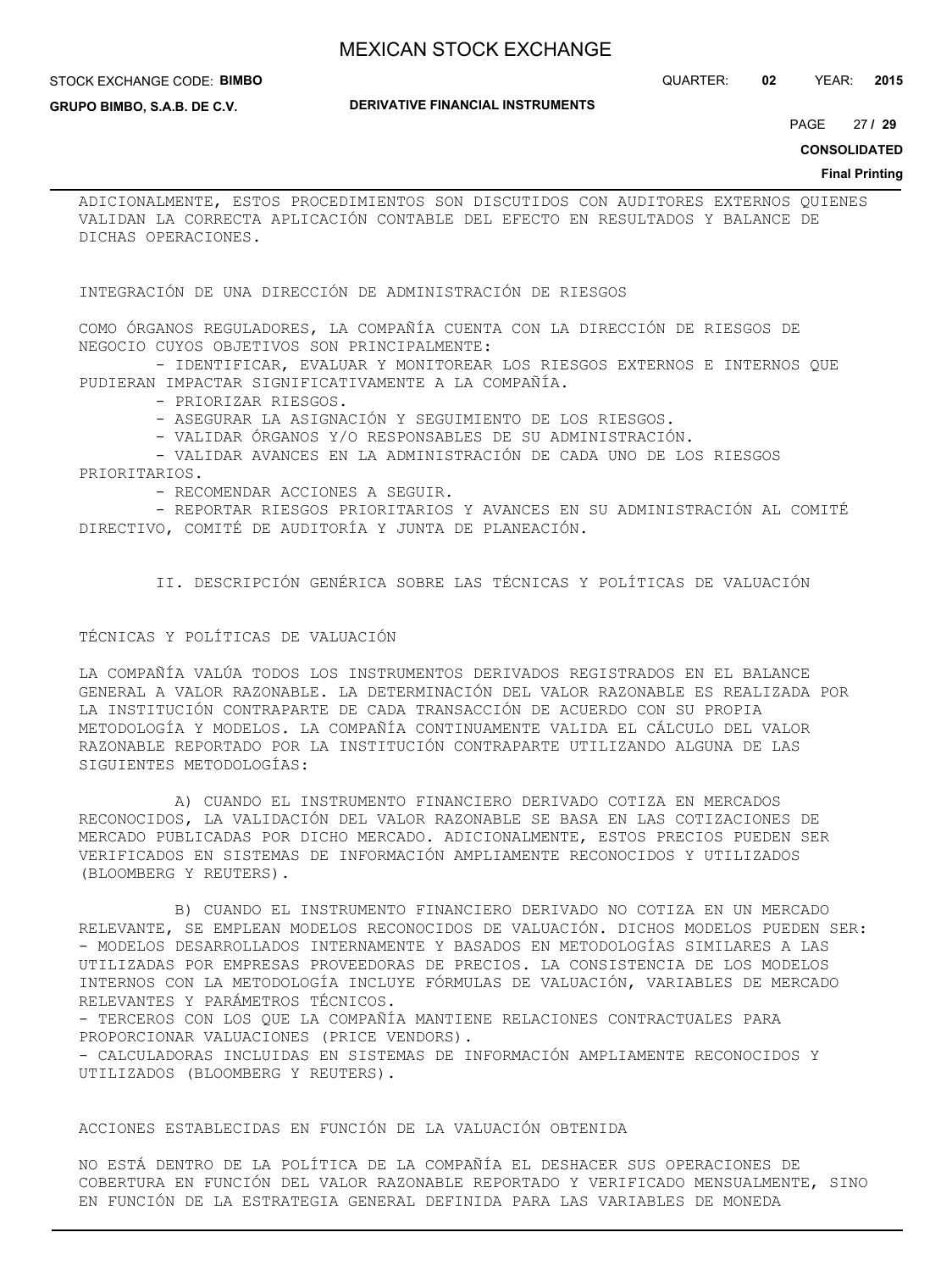#### STOCK EXCHANGE CODE: **BIMBO**

**GRUPO BIMBO, S.A.B. DE C.V.**

QUARTER: **02** YEAR: **2015**

27 PAGE **/ 29**

**CONSOLIDATED**

**Final Printing**

ADICIONALMENTE, ESTOS PROCEDIMIENTOS SON DISCUTIDOS CON AUDITORES EXTERNOS QUIENES VALIDAN LA CORRECTA APLICACIÓN CONTABLE DEL EFECTO EN RESULTADOS Y BALANCE DE DICHAS OPERACIONES.

INTEGRACIÓN DE UNA DIRECCIÓN DE ADMINISTRACIÓN DE RIESGOS

COMO ÓRGANOS REGULADORES, LA COMPAÑÍA CUENTA CON LA DIRECCIÓN DE RIESGOS DE NEGOCIO CUYOS OBJETIVOS SON PRINCIPALMENTE:

- IDENTIFICAR, EVALUAR Y MONITOREAR LOS RIESGOS EXTERNOS E INTERNOS QUE PUDIERAN IMPACTAR SIGNIFICATIVAMENTE A LA COMPAÑÍA.

- PRIORIZAR RIESGOS.

- ASEGURAR LA ASIGNACIÓN Y SEGUIMIENTO DE LOS RIESGOS.

- VALIDAR ÓRGANOS Y/O RESPONSABLES DE SU ADMINISTRACIÓN.

 - VALIDAR AVANCES EN LA ADMINISTRACIÓN DE CADA UNO DE LOS RIESGOS PRIORITARIOS.

- RECOMENDAR ACCIONES A SEGUIR.

 - REPORTAR RIESGOS PRIORITARIOS Y AVANCES EN SU ADMINISTRACIÓN AL COMITÉ DIRECTIVO, COMITÉ DE AUDITORÍA Y JUNTA DE PLANEACIÓN.

II. DESCRIPCIÓN GENÉRICA SOBRE LAS TÉCNICAS Y POLÍTICAS DE VALUACIÓN

### TÉCNICAS Y POLÍTICAS DE VALUACIÓN

LA COMPAÑÍA VALÚA TODOS LOS INSTRUMENTOS DERIVADOS REGISTRADOS EN EL BALANCE GENERAL A VALOR RAZONABLE. LA DETERMINACIÓN DEL VALOR RAZONABLE ES REALIZADA POR LA INSTITUCIÓN CONTRAPARTE DE CADA TRANSACCIÓN DE ACUERDO CON SU PROPIA METODOLOGÍA Y MODELOS. LA COMPAÑÍA CONTINUAMENTE VALIDA EL CÁLCULO DEL VALOR RAZONABLE REPORTADO POR LA INSTITUCIÓN CONTRAPARTE UTILIZANDO ALGUNA DE LAS SIGUIENTES METODOLOGÍAS:

 A) CUANDO EL INSTRUMENTO FINANCIERO DERIVADO COTIZA EN MERCADOS RECONOCIDOS, LA VALIDACIÓN DEL VALOR RAZONABLE SE BASA EN LAS COTIZACIONES DE MERCADO PUBLICADAS POR DICHO MERCADO. ADICIONALMENTE, ESTOS PRECIOS PUEDEN SER VERIFICADOS EN SISTEMAS DE INFORMACIÓN AMPLIAMENTE RECONOCIDOS Y UTILIZADOS (BLOOMBERG Y REUTERS).

 B) CUANDO EL INSTRUMENTO FINANCIERO DERIVADO NO COTIZA EN UN MERCADO RELEVANTE, SE EMPLEAN MODELOS RECONOCIDOS DE VALUACIÓN. DICHOS MODELOS PUEDEN SER: - MODELOS DESARROLLADOS INTERNAMENTE Y BASADOS EN METODOLOGÍAS SIMILARES A LAS UTILIZADAS POR EMPRESAS PROVEEDORAS DE PRECIOS. LA CONSISTENCIA DE LOS MODELOS INTERNOS CON LA METODOLOGÍA INCLUYE FÓRMULAS DE VALUACIÓN, VARIABLES DE MERCADO RELEVANTES Y PARÁMETROS TÉCNICOS.

- TERCEROS CON LOS QUE LA COMPAÑÍA MANTIENE RELACIONES CONTRACTUALES PARA PROPORCIONAR VALUACIONES (PRICE VENDORS).

- CALCULADORAS INCLUIDAS EN SISTEMAS DE INFORMACIÓN AMPLIAMENTE RECONOCIDOS Y UTILIZADOS (BLOOMBERG Y REUTERS).

### ACCIONES ESTABLECIDAS EN FUNCIÓN DE LA VALUACIÓN OBTENIDA

NO ESTÁ DENTRO DE LA POLÍTICA DE LA COMPAÑÍA EL DESHACER SUS OPERACIONES DE COBERTURA EN FUNCIÓN DEL VALOR RAZONABLE REPORTADO Y VERIFICADO MENSUALMENTE, SINO EN FUNCIÓN DE LA ESTRATEGIA GENERAL DEFINIDA PARA LAS VARIABLES DE MONEDA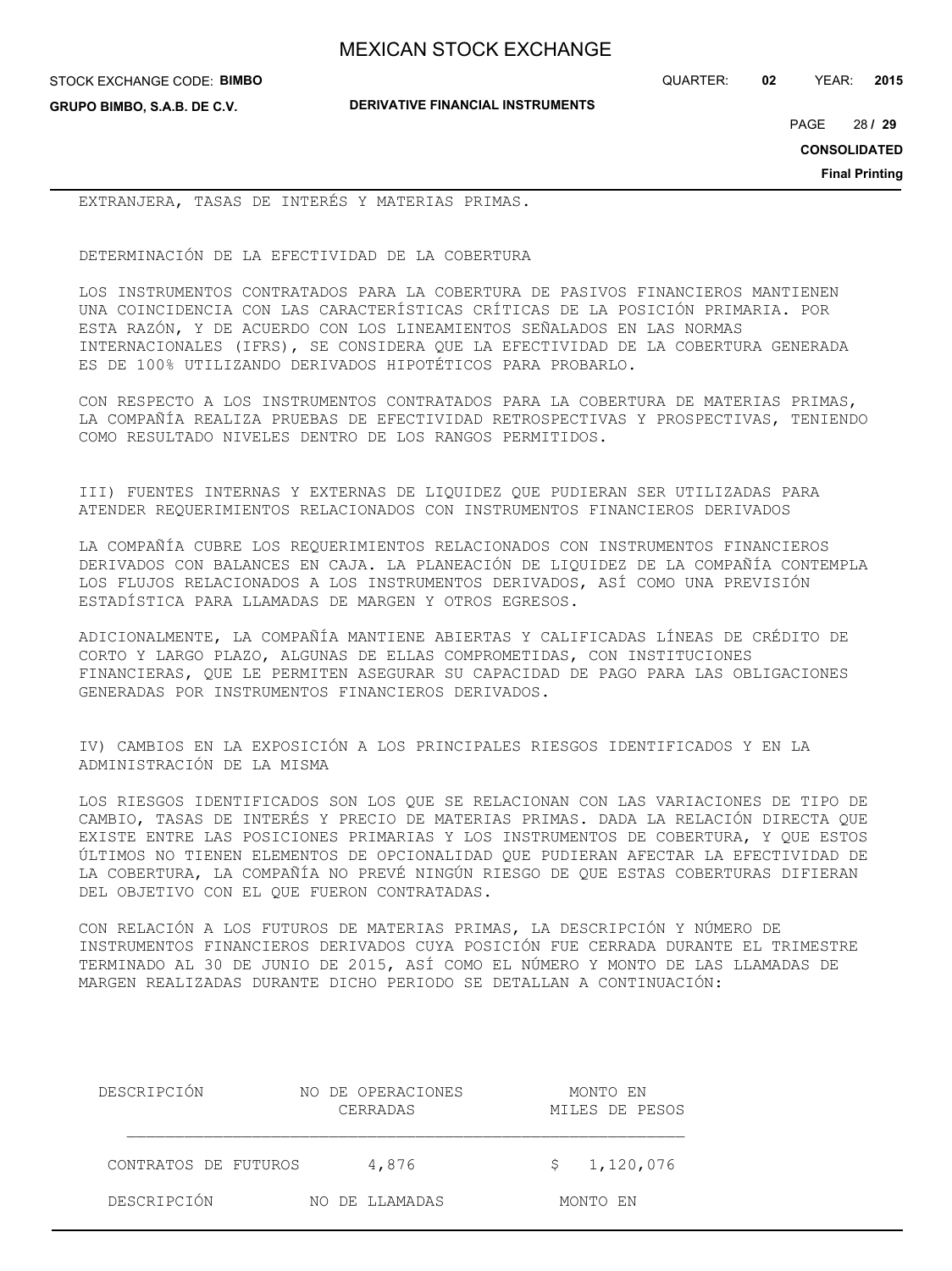STOCK EXCHANGE CODE: **BIMBO**

**GRUPO BIMBO, S.A.B. DE C.V.**

**DERIVATIVE FINANCIAL INSTRUMENTS**

QUARTER: **02** YEAR: **2015**

28 PAGE **/ 29**

**CONSOLIDATED**

**Final Printing**

EXTRANJERA, TASAS DE INTERÉS Y MATERIAS PRIMAS.

DETERMINACIÓN DE LA EFECTIVIDAD DE LA COBERTURA

LOS INSTRUMENTOS CONTRATADOS PARA LA COBERTURA DE PASIVOS FINANCIEROS MANTIENEN UNA COINCIDENCIA CON LAS CARACTERÍSTICAS CRÍTICAS DE LA POSICIÓN PRIMARIA. POR ESTA RAZÓN, Y DE ACUERDO CON LOS LINEAMIENTOS SEÑALADOS EN LAS NORMAS INTERNACIONALES (IFRS), SE CONSIDERA QUE LA EFECTIVIDAD DE LA COBERTURA GENERADA ES DE 100% UTILIZANDO DERIVADOS HIPOTÉTICOS PARA PROBARLO.

CON RESPECTO A LOS INSTRUMENTOS CONTRATADOS PARA LA COBERTURA DE MATERIAS PRIMAS, LA COMPAÑÍA REALIZA PRUEBAS DE EFECTIVIDAD RETROSPECTIVAS Y PROSPECTIVAS, TENIENDO COMO RESULTADO NIVELES DENTRO DE LOS RANGOS PERMITIDOS.

III) FUENTES INTERNAS Y EXTERNAS DE LIQUIDEZ QUE PUDIERAN SER UTILIZADAS PARA ATENDER REQUERIMIENTOS RELACIONADOS CON INSTRUMENTOS FINANCIEROS DERIVADOS

LA COMPAÑÍA CUBRE LOS REQUERIMIENTOS RELACIONADOS CON INSTRUMENTOS FINANCIEROS DERIVADOS CON BALANCES EN CAJA. LA PLANEACIÓN DE LIQUIDEZ DE LA COMPAÑÍA CONTEMPLA LOS FLUJOS RELACIONADOS A LOS INSTRUMENTOS DERIVADOS, ASÍ COMO UNA PREVISIÓN ESTADÍSTICA PARA LLAMADAS DE MARGEN Y OTROS EGRESOS.

ADICIONALMENTE, LA COMPAÑÍA MANTIENE ABIERTAS Y CALIFICADAS LÍNEAS DE CRÉDITO DE CORTO Y LARGO PLAZO, ALGUNAS DE ELLAS COMPROMETIDAS, CON INSTITUCIONES FINANCIERAS, QUE LE PERMITEN ASEGURAR SU CAPACIDAD DE PAGO PARA LAS OBLIGACIONES GENERADAS POR INSTRUMENTOS FINANCIEROS DERIVADOS.

IV) CAMBIOS EN LA EXPOSICIÓN A LOS PRINCIPALES RIESGOS IDENTIFICADOS Y EN LA ADMINISTRACIÓN DE LA MISMA

LOS RIESGOS IDENTIFICADOS SON LOS QUE SE RELACIONAN CON LAS VARIACIONES DE TIPO DE CAMBIO, TASAS DE INTERÉS Y PRECIO DE MATERIAS PRIMAS. DADA LA RELACIÓN DIRECTA QUE EXISTE ENTRE LAS POSICIONES PRIMARIAS Y LOS INSTRUMENTOS DE COBERTURA, Y QUE ESTOS ÚLTIMOS NO TIENEN ELEMENTOS DE OPCIONALIDAD QUE PUDIERAN AFECTAR LA EFECTIVIDAD DE LA COBERTURA, LA COMPAÑÍA NO PREVÉ NINGÚN RIESGO DE QUE ESTAS COBERTURAS DIFIERAN DEL OBJETIVO CON EL QUE FUERON CONTRATADAS.

CON RELACIÓN A LOS FUTUROS DE MATERIAS PRIMAS, LA DESCRIPCIÓN Y NÚMERO DE INSTRUMENTOS FINANCIEROS DERIVADOS CUYA POSICIÓN FUE CERRADA DURANTE EL TRIMESTRE TERMINADO AL 30 DE JUNIO DE 2015, ASÍ COMO EL NÚMERO Y MONTO DE LAS LLAMADAS DE MARGEN REALIZADAS DURANTE DICHO PERIODO SE DETALLAN A CONTINUACIÓN:

| DESCRIPCIÓN          | NO DE OPERACIONES<br>CERRADAS | MONTO EN<br>MILES DE PESOS |
|----------------------|-------------------------------|----------------------------|
| CONTRATOS DE FUTUROS | 4,876                         | \$1,120,076                |
| DESCRIPCIÓN          | NO DE LLAMADAS                | MONTO EN                   |